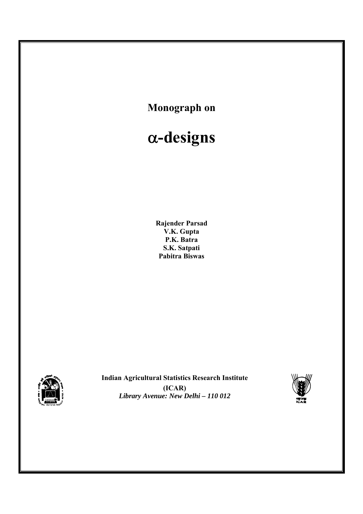



**Indian Agricultural Statistics Research Institute (ICAR)**  *Library Avenue: New Delhi – 110 012*

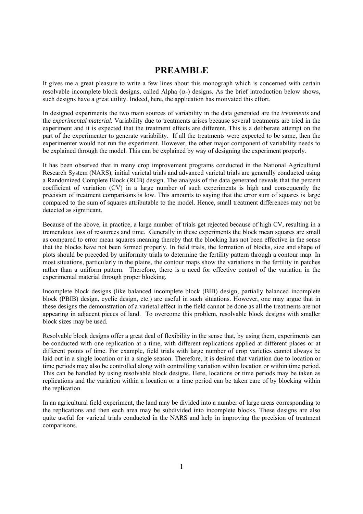# **PREAMBLE**

It gives me a great pleasure to write a few lines about this monograph which is concerned with certain resolvable incomplete block designs, called Alpha  $(\alpha)$  designs. As the brief introduction below shows, such designs have a great utility. Indeed, here, the application has motivated this effort.

In designed experiments the two main sources of variability in the data generated are the *treatments* and the *experimental material*. Variability due to treatments arises because several treatments are tried in the experiment and it is expected that the treatment effects are different. This is a deliberate attempt on the part of the experimenter to generate variability. If all the treatments were expected to be same, then the experimenter would not run the experiment. However, the other major component of variability needs to be explained through the model. This can be explained by way of designing the experiment properly.

It has been observed that in many crop improvement programs conducted in the National Agricultural Research System (NARS), initial varietal trials and advanced varietal trials are generally conducted using a Randomized Complete Block (RCB) design. The analysis of the data generated reveals that the percent coefficient of variation (CV) in a large number of such experiments is high and consequently the precision of treatment comparisons is low. This amounts to saying that the error sum of squares is large compared to the sum of squares attributable to the model. Hence, small treatment differences may not be detected as significant.

Because of the above, in practice, a large number of trials get rejected because of high CV, resulting in a tremendous loss of resources and time. Generally in these experiments the block mean squares are small as compared to error mean squares meaning thereby that the blocking has not been effective in the sense that the blocks have not been formed properly. In field trials, the formation of blocks, size and shape of plots should be preceded by uniformity trials to determine the fertility pattern through a contour map. In most situations, particularly in the plains, the contour maps show the variations in the fertility in patches rather than a uniform pattern. Therefore, there is a need for effective control of the variation in the experimental material through proper blocking.

Incomplete block designs (like balanced incomplete block (BIB) design, partially balanced incomplete block (PBIB) design, cyclic design, etc.) are useful in such situations. However, one may argue that in these designs the demonstration of a varietal effect in the field cannot be done as all the treatments are not appearing in adjacent pieces of land. To overcome this problem, resolvable block designs with smaller block sizes may be used.

Resolvable block designs offer a great deal of flexibility in the sense that, by using them, experiments can be conducted with one replication at a time, with different replications applied at different places or at different points of time. For example, field trials with large number of crop varieties cannot always be laid out in a single location or in a single season. Therefore, it is desired that variation due to location or time periods may also be controlled along with controlling variation within location or within time period. This can be handled by using resolvable block designs. Here, locations or time periods may be taken as replications and the variation within a location or a time period can be taken care of by blocking within the replication.

In an agricultural field experiment, the land may be divided into a number of large areas corresponding to the replications and then each area may be subdivided into incomplete blocks. These designs are also quite useful for varietal trials conducted in the NARS and help in improving the precision of treatment comparisons.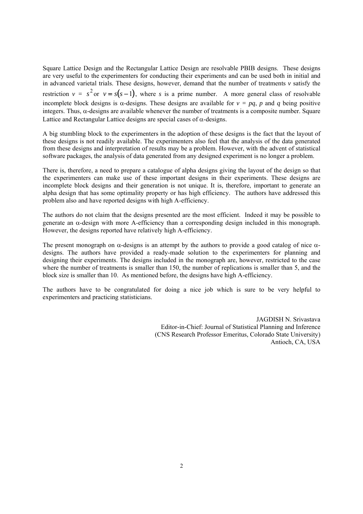Square Lattice Design and the Rectangular Lattice Design are resolvable PBIB designs. These designs are very useful to the experimenters for conducting their experiments and can be used both in initial and in advanced varietal trials. These designs, however, demand that the number of treatments  $\nu$  satisfy the restriction  $v = s^2$  or  $v = s(s-1)$ , where *s* is a prime number. A more general class of resolvable incomplete block designs is  $\alpha$ -designs. These designs are available for  $v = pq$ , *p* and *q* being positive integers. Thus,  $\alpha$ -designs are available whenever the number of treatments is a composite number. Square Lattice and Rectangular Lattice designs are special cases of  $\alpha$ -designs.

A big stumbling block to the experimenters in the adoption of these designs is the fact that the layout of these designs is not readily available. The experimenters also feel that the analysis of the data generated from these designs and interpretation of results may be a problem. However, with the advent of statistical software packages, the analysis of data generated from any designed experiment is no longer a problem.

There is, therefore, a need to prepare a catalogue of alpha designs giving the layout of the design so that the experimenters can make use of these important designs in their experiments. These designs are incomplete block designs and their generation is not unique. It is, therefore, important to generate an alpha design that has some optimality property or has high efficiency. The authors have addressed this problem also and have reported designs with high A-efficiency.

The authors do not claim that the designs presented are the most efficient. Indeed it may be possible to generate an  $\alpha$ -design with more A-efficiency than a corresponding design included in this monograph. However, the designs reported have relatively high A-efficiency.

The present monograph on  $\alpha$ -designs is an attempt by the authors to provide a good catalog of nice  $\alpha$ designs. The authors have provided a ready-made solution to the experimenters for planning and designing their experiments. The designs included in the monograph are, however, restricted to the case where the number of treatments is smaller than 150, the number of replications is smaller than 5, and the block size is smaller than 10. As mentioned before, the designs have high A-efficiency.

The authors have to be congratulated for doing a nice job which is sure to be very helpful to experimenters and practicing statisticians.

> JAGDISH N. Srivastava Editor-in-Chief: Journal of Statistical Planning and Inference (CNS Research Professor Emeritus, Colorado State University) Antioch, CA, USA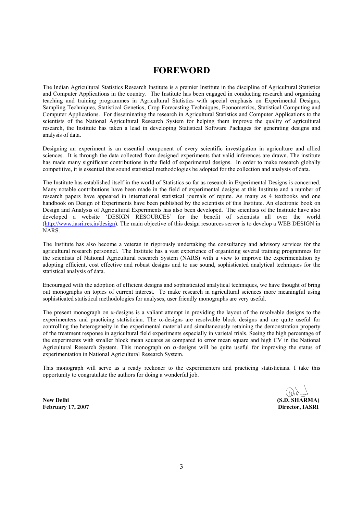# **FOREWORD**

The Indian Agricultural Statistics Research Institute is a premier Institute in the discipline of Agricultural Statistics and Computer Applications in the country. The Institute has been engaged in conducting research and organizing teaching and training programmes in Agricultural Statistics with special emphasis on Experimental Designs, Sampling Techniques, Statistical Genetics, Crop Forecasting Techniques, Econometrics, Statistical Computing and Computer Applications. For disseminating the research in Agricultural Statistics and Computer Applications to the scientists of the National Agricultural Research System for helping them improve the quality of agricultural research, the Institute has taken a lead in developing Statistical Software Packages for generating designs and analysis of data.

Designing an experiment is an essential component of every scientific investigation in agriculture and allied sciences. It is through the data collected from designed experiments that valid inferences are drawn. The institute has made many significant contributions in the field of experimental designs. In order to make research globally competitive, it is essential that sound statistical methodologies be adopted for the collection and analysis of data.

The Institute has established itself in the world of Statistics so far as research in Experimental Designs is concerned. Many notable contributions have been made in the field of experimental designs at this Institute and a number of research papers have appeared in international statistical journals of repute. As many as 4 textbooks and one handbook on Design of Experiments have been published by the scientists of this Institute. An electronic book on Design and Analysis of Agricultural Experiments has also been developed. The scientists of the Institute have also developed a website 'DESIGN RESOURCES' for the benefit of scientists all over the world (http://www.iasri.res.in/design). The main objective of this design resources server is to develop a WEB DESIGN in NARS.

The Institute has also become a veteran in rigorously undertaking the consultancy and advisory services for the agricultural research personnel. The Institute has a vast experience of organizing several training programmes for the scientists of National Agricultural research System (NARS) with a view to improve the experimentation by adopting efficient, cost effective and robust designs and to use sound, sophisticated analytical techniques for the statistical analysis of data.

Encouraged with the adoption of efficient designs and sophisticated analytical techniques, we have thought of bring out monographs on topics of current interest. To make research in agricultural sciences more meaningful using sophisticated statistical methodologies for analyses, user friendly monographs are very useful.

The present monograph on α-designs is a valiant attempt in providing the layout of the resolvable designs to the experimenters and practicing statistician. The  $\alpha$ -designs are resolvable block designs and are quite useful for controlling the heterogeneity in the experimental material and simultaneously retaining the demonstration property of the treatment response in agricultural field experiments especially in varietal trials. Seeing the high percentage of the experiments with smaller block mean squares as compared to error mean square and high CV in the National Agricultural Research System. This monograph on  $\alpha$ -designs will be quite useful for improving the status of experimentation in National Agricultural Research System.

This monograph will serve as a ready reckoner to the experimenters and practicing statisticians. I take this opportunity to congratulate the authors for doing a wonderful job.

ليسية المساوية المساوية المساوية المساوية المساوية المساوية المساوية المساوية المساوية المساوية المساوية المساو<br>**1990 (S.D. SHARMA)** بالمساوية المساوية المساوية المساوية المساوية المساوية المساوية المساوية المساوية المساو

**February 17, 2007 Director, IASRI**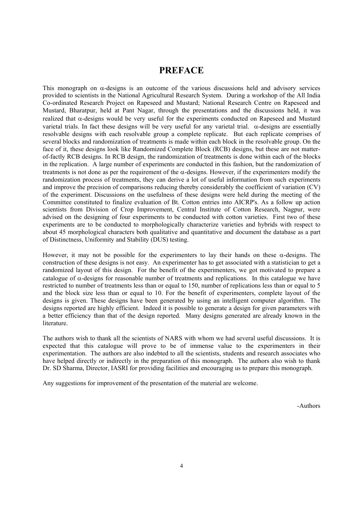# **PREFACE**

This monograph on  $\alpha$ -designs is an outcome of the various discussions held and advisory services provided to scientists in the National Agricultural Research System. During a workshop of the All India Co-ordinated Research Project on Rapeseed and Mustard; National Research Centre on Rapeseed and Mustard, Bharatpur, held at Pant Nagar, through the presentations and the discussions held, it was realized that  $\alpha$ -designs would be very useful for the experiments conducted on Rapeseed and Mustard varietal trials. In fact these designs will be very useful for any varietal trial.  $\alpha$ -designs are essentially resolvable designs with each resolvable group a complete replicate. But each replicate comprises of several blocks and randomization of treatments is made within each block in the resolvable group. On the face of it, these designs look like Randomized Complete Block (RCB) designs, but these are not matterof-factly RCB designs. In RCB design, the randomization of treatments is done within each of the blocks in the replication. A large number of experiments are conducted in this fashion, but the randomization of treatments is not done as per the requirement of the  $\alpha$ -designs. However, if the experimenters modify the randomization process of treatments, they can derive a lot of useful information from such experiments and improve the precision of comparisons reducing thereby considerably the coefficient of variation (CV) of the experiment. Discussions on the usefulness of these designs were held during the meeting of the Committee constituted to finalize evaluation of Bt. Cotton entries into AICRP's. As a follow up action scientists from Division of Crop Improvement, Central Institute of Cotton Research, Nagpur, were advised on the designing of four experiments to be conducted with cotton varieties. First two of these experiments are to be conducted to morphologically characterize varieties and hybrids with respect to about 45 morphological characters both qualitative and quantitative and document the database as a part of Distinctness, Uniformity and Stability (DUS) testing.

However, it may not be possible for the experimenters to lay their hands on these  $\alpha$ -designs. The construction of these designs is not easy. An experimenter has to get associated with a statistician to get a randomized layout of this design. For the benefit of the experimenters, we got motivated to prepare a catalogue of  $\alpha$ -designs for reasonable number of treatments and replications. In this catalogue we have restricted to number of treatments less than or equal to 150, number of replications less than or equal to 5 and the block size less than or equal to 10. For the benefit of experimenters, complete layout of the designs is given. These designs have been generated by using an intelligent computer algorithm. The designs reported are highly efficient. Indeed it is possible to generate a design for given parameters with a better efficiency than that of the design reported. Many designs generated are already known in the literature.

The authors wish to thank all the scientists of NARS with whom we had several useful discussions. It is expected that this catalogue will prove to be of immense value to the experimenters in their experimentation. The authors are also indebted to all the scientists, students and research associates who have helped directly or indirectly in the preparation of this monograph. The authors also wish to thank Dr. SD Sharma, Director, IASRI for providing facilities and encouraging us to prepare this monograph.

Any suggestions for improvement of the presentation of the material are welcome.

-Authors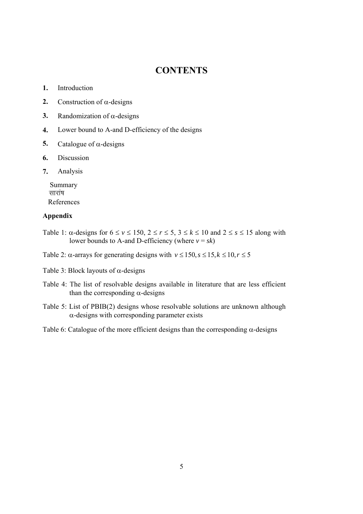# **CONTENTS**

- **1.** Introduction
- **2.** Construction of  $\alpha$ -designs
- **3.** Randomization of  $\alpha$ -designs
- **4.** Lower bound to A-and D-efficiency of the designs
- **5.** Catalogue of  $\alpha$ -designs
- **6.** Discussion
- **7.** Analysis

 Summary सारांष References

## **Appendix**

- Table 1:  $\alpha$ -designs for  $6 \le v \le 150$ ,  $2 \le r \le 5$ ,  $3 \le k \le 10$  and  $2 \le s \le 15$  along with lower bounds to A-and D-efficiency (where  $v = sk$ )
- Table 2:  $\alpha$ -arrays for generating designs with  $v \le 150$ ,  $s \le 15$ ,  $k \le 10$ ,  $r \le 5$
- Table 3: Block layouts of  $\alpha$ -designs
- Table 4: The list of resolvable designs available in literature that are less efficient than the corresponding  $\alpha$ -designs
- Table 5: List of PBIB(2) designs whose resolvable solutions are unknown although  $\alpha$ -designs with corresponding parameter exists

Table 6: Catalogue of the more efficient designs than the corresponding  $\alpha$ -designs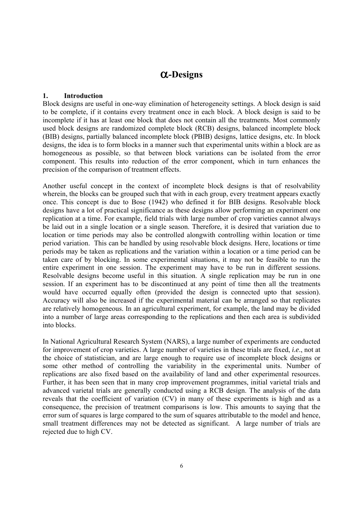# **-Designs**

## **1. Introduction**

Block designs are useful in one-way elimination of heterogeneity settings. A block design is said to be complete, if it contains every treatment once in each block. A block design is said to be incomplete if it has at least one block that does not contain all the treatments. Most commonly used block designs are randomized complete block (RCB) designs, balanced incomplete block (BIB) designs, partially balanced incomplete block (PBIB) designs, lattice designs, etc. In block designs, the idea is to form blocks in a manner such that experimental units within a block are as homogeneous as possible, so that between block variations can be isolated from the error component. This results into reduction of the error component, which in turn enhances the precision of the comparison of treatment effects.

Another useful concept in the context of incomplete block designs is that of resolvability wherein, the blocks can be grouped such that with in each group, every treatment appears exactly once. This concept is due to Bose (1942) who defined it for BIB designs. Resolvable block designs have a lot of practical significance as these designs allow performing an experiment one replication at a time. For example, field trials with large number of crop varieties cannot always be laid out in a single location or a single season. Therefore, it is desired that variation due to location or time periods may also be controlled alongwith controlling within location or time period variation. This can be handled by using resolvable block designs. Here, locations or time periods may be taken as replications and the variation within a location or a time period can be taken care of by blocking. In some experimental situations, it may not be feasible to run the entire experiment in one session. The experiment may have to be run in different sessions. Resolvable designs become useful in this situation. A single replication may be run in one session. If an experiment has to be discontinued at any point of time then all the treatments would have occurred equally often (provided the design is connected upto that session). Accuracy will also be increased if the experimental material can be arranged so that replicates are relatively homogeneous. In an agricultural experiment, for example, the land may be divided into a number of large areas corresponding to the replications and then each area is subdivided into blocks.

In National Agricultural Research System (NARS), a large number of experiments are conducted for improvement of crop varieties. A large number of varieties in these trials are fixed, *i.e*., not at the choice of statistician, and are large enough to require use of incomplete block designs or some other method of controlling the variability in the experimental units. Number of replications are also fixed based on the availability of land and other experimental resources. Further, it has been seen that in many crop improvement programmes, initial varietal trials and advanced varietal trials are generally conducted using a RCB design. The analysis of the data reveals that the coefficient of variation (CV) in many of these experiments is high and as a consequence, the precision of treatment comparisons is low. This amounts to saying that the error sum of squares is large compared to the sum of squares attributable to the model and hence, small treatment differences may not be detected as significant. A large number of trials are rejected due to high CV.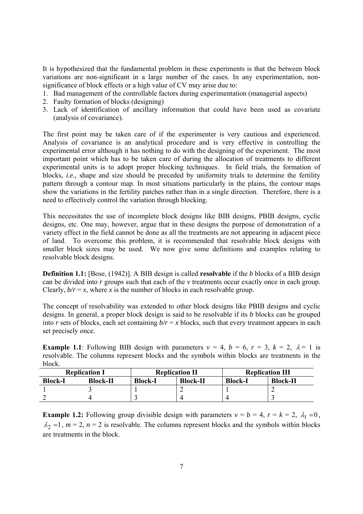It is hypothesized that the fundamental problem in these experiments is that the between block variations are non-significant in a large number of the cases. In any experimentation, nonsignificance of block effects or a high value of CV may arise due to:

- 1. Bad management of the controllable factors during experimentation (managerial aspects)
- 2. Faulty formation of blocks (designing)
- 3. Lack of identification of ancillary information that could have been used as covariate (analysis of covariance).

The first point may be taken care of if the experimenter is very cautious and experienced. Analysis of covariance is an analytical procedure and is very effective in controlling the experimental error although it has nothing to do with the designing of the experiment. The most important point which has to be taken care of during the allocation of treatments to different experimental units is to adopt proper blocking techniques. In field trials, the formation of blocks, *i.e.,* shape and size should be preceded by uniformity trials to determine the fertility pattern through a contour map. In most situations particularly in the plains, the contour maps show the variations in the fertility patches rather than in a single direction. Therefore, there is a need to effectively control the variation through blocking.

This necessitates the use of incomplete block designs like BIB designs, PBIB designs, cyclic designs, etc. One may, however, argue that in these designs the purpose of demonstration of a variety effect in the field cannot be done as all the treatments are not appearing in adjacent piece of land. To overcome this problem, it is recommended that resolvable block designs with smaller block sizes may be used. We now give some definitions and examples relating to resolvable block designs.

**Definition 1.1:** [Bose, (1942)]. A BIB design is called **resolvable** if the *b* blocks of a BIB design can be divided into *r* groups such that each of the *v* treatments occur exactly once in each group. Clearly,  $b/r = x$ , where *x* is the number of blocks in each resolvable group.

The concept of resolvability was extended to other block designs like PBIB designs and cyclic designs. In general, a proper block design is said to be resolvable if its *b* blocks can be grouped into *r* sets of blocks, each set containing  $b/r = x$  blocks, such that every treatment appears in each set precisely once.

**Example 1.1**: Following BIB design with parameters  $v = 4$ ,  $b = 6$ ,  $r = 3$ ,  $k = 2$ ,  $\lambda = 1$  is resolvable. The columns represent blocks and the symbols within blocks are treatments in the block.

|         | <b>Replication I</b> |                | <b>Replication II</b> | <b>Replication III</b> |                 |  |
|---------|----------------------|----------------|-----------------------|------------------------|-----------------|--|
| Block-I | <b>Block-II</b>      | <b>Block-I</b> | <b>Block-II</b>       | <b>Block-I</b>         | <b>Block-II</b> |  |
|         |                      |                |                       |                        |                 |  |
|         |                      |                |                       |                        |                 |  |

**Example 1.2:** Following group divisible design with parameters  $v = b = 4$ ,  $r = k = 2$ ,  $\lambda_1 = 0$ ,  $\lambda_2 = 1$ ,  $m = 2$ ,  $n = 2$  is resolvable. The columns represent blocks and the symbols within blocks are treatments in the block.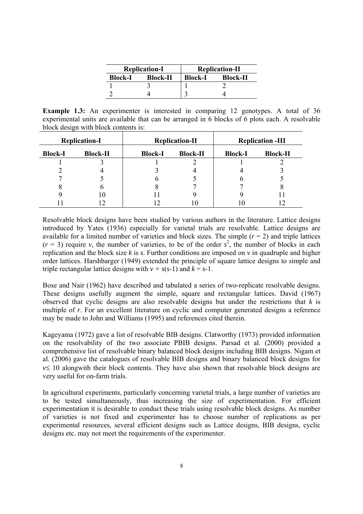|                | <b>Replication-I</b> | <b>Replication-II</b> |                 |  |  |
|----------------|----------------------|-----------------------|-----------------|--|--|
| <b>Block-I</b> | <b>Block-II</b>      | <b>Block-I</b>        | <b>Block-II</b> |  |  |
|                |                      |                       |                 |  |  |
|                |                      |                       |                 |  |  |

**Example 1.3:** An experimenter is interested in comparing 12 genotypes. A total of 36 experimental units are available that can be arranged in 6 blocks of 6 plots each. A resolvable block design with block contents is:

|                | <b>Replication-I</b> |                | <b>Replication-II</b> |                | <b>Replication -III</b> |
|----------------|----------------------|----------------|-----------------------|----------------|-------------------------|
| <b>Block-I</b> | <b>Block-II</b>      | <b>Block-I</b> | <b>Block-II</b>       | <b>Block-I</b> | <b>Block-II</b>         |
|                |                      |                |                       |                |                         |
|                |                      |                |                       |                |                         |
|                |                      |                |                       |                |                         |
|                |                      |                |                       |                |                         |
|                | l O                  |                |                       |                |                         |
|                |                      |                |                       |                |                         |

Resolvable block designs have been studied by various authors in the literature. Lattice designs introduced by Yates (1936) especially for varietal trials are resolvable. Lattice designs are available for a limited number of varieties and block sizes. The simple  $(r = 2)$  and triple lattices  $(r = 3)$  require *v*, the number of varieties, to be of the order  $s^2$ , the number of blocks in each replication and the block size *k* is *s*. Further conditions are imposed on *v* in quadruple and higher order lattices. Harshbarger (1949) extended the principle of square lattice designs to simple and triple rectangular lattice designs with  $v = s(s-1)$  and  $k = s-1$ .

Bose and Nair (1962) have described and tabulated a series of two-replicate resolvable designs. These designs usefully augment the simple, square and rectangular lattices. David (1967) observed that cyclic designs are also resolvable designs but under the restrictions that *k* is multiple of *r*. For an excellent literature on cyclic and computer generated designs a reference may be made to John and Williams (1995) and references cited therein.

Kageyama (1972) gave a list of resolvable BIB designs. Clatworthy (1973) provided information on the resolvability of the two associate PBIB designs. Parsad et al. (2000) provided a comprehensive list of resolvable binary balanced block designs including BIB designs. Nigam et al. (2006) gave the catalogues of resolvable BIB designs and binary balanced block designs for  $v \leq 10$  alongwith their block contents. They have also shown that resolvable block designs are very useful for on-farm trials.

In agricultural experiments, particularly concerning varietal trials, a large number of varieties are to be tested simultaneously, thus increasing the size of experimentation. For efficient experimentation it is desirable to conduct these trials using resolvable block designs. As number of varieties is not fixed and experimenter has to choose number of replications as per experimental resources, several efficient designs such as Lattice designs, BIB designs, cyclic designs etc. may not meet the requirements of the experimenter.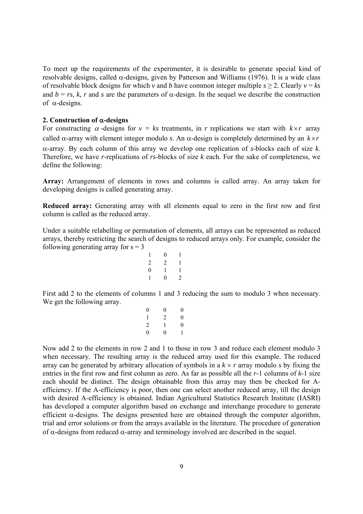To meet up the requirements of the experimenter, it is desirable to generate special kind of resolvable designs, called  $\alpha$ -designs, given by Patterson and Williams (1976). It is a wide class of resolvable block designs for which *v* and *b* have common integer multiple  $s \ge 2$ . Clearly  $v = ks$ and  $b = rs$ , *k, r* and *s* are the parameters of  $\alpha$ -design. In the sequel we describe the construction of  $\alpha$ -designs.

#### **2. Construction of -designs**

For constructing  $\alpha$ -designs for  $v = ks$  treatments, in *r* replications we start with  $k \times r$  array called  $\alpha$ -array with element integer modulo *s*. An  $\alpha$ -design is completely determined by an  $k \times r$ -array. By each column of this array we develop one replication of *s*-blocks each of size *k*. Therefore, we have *r*-replications of *rs*-blocks of size *k* each. For the sake of completeness, we define the following:

**Array:** Arrangement of elements in rows and columns is called array. An array taken for developing designs is called generating array.

**Reduced array:** Generating array with all elements equal to zero in the first row and first column is called as the reduced array.

Under a suitable relabelling or permutation of elements, all arrays can be represented as reduced arrays, thereby restricting the search of designs to reduced arrays only. For example, consider the following generating array for  $s = 3$ 

| 1              | $\overline{0}$ | 1 |
|----------------|----------------|---|
| $\overline{c}$ | $\overline{2}$ | 1 |
| $\overline{0}$ | 1              | 1 |
| 1              | 0              | 2 |

First add 2 to the elements of columns 1 and 3 reducing the sum to modulo 3 when necessary. We get the following array.

| $\theta$<br>0 |
|---------------|

Now add 2 to the elements in row 2 and 1 to those in row 3 and reduce each element modulo 3 when necessary. The resulting array is the reduced array used for this example. The reduced array can be generated by arbitrary allocation of symbols in a  $k \times r$  array modulo *s* by fixing the entries in the first row and first column as zero. As far as possible all the *r*-1 columns of *k*-1 size each should be distinct. The design obtainable from this array may then be checked for Aefficiency. If the A-efficiency is poor, then one can select another reduced array, till the design with desired A-efficiency is obtained. Indian Agricultural Statistics Research Institute (IASRI) has developed a computer algorithm based on exchange and interchange procedure to generate efficient  $\alpha$ -designs. The designs presented here are obtained through the computer algorithm, trial and error solutions or from the arrays available in the literature. The procedure of generation of  $\alpha$ -designs from reduced  $\alpha$ -array and terminology involved are described in the sequel.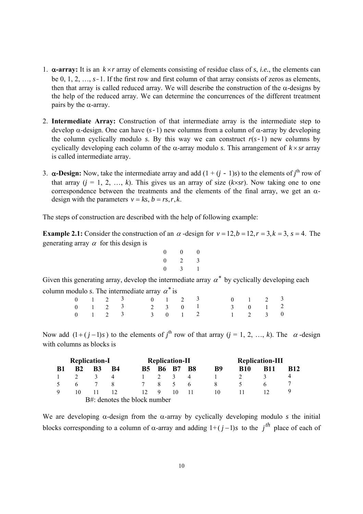- 1.  $\alpha$ -array: It is an  $k \times r$  array of elements consisting of residue class of *s*, *i.e.*, the elements can be 0, 1, 2, …, *s*-1. If the first row and first column of that array consists of zeros as elements, then that array is called reduced array. We will describe the construction of the  $\alpha$ -designs by the help of the reduced array. We can determine the concurrences of the different treatment pairs by the  $\alpha$ -array.
- 2. **Intermediate Array:** Construction of that intermediate array is the intermediate step to develop  $\alpha$ -design. One can have  $(s-1)$  new columns from a column of  $\alpha$ -array by developing the column cyclically modulo *s*. By this way we can construct  $r(s-1)$  new columns by cyclically developing each column of the  $\alpha$ -array modulo *s*. This arrangement of  $k \times sr$  array is called intermediate array.
- 3.  $\alpha$ -Design: Now, take the intermediate array and add  $(1 + (j 1)s)$  to the elements of *j*<sup>th</sup> row of that array  $(j = 1, 2, ..., k)$ . This gives us an array of size  $(k \times sr)$ . Now taking one to one correspondence between the treatments and the elements of the final array, we get an  $\alpha$ design with the parameters  $v = ks$ ,  $b = rs, r, k$ .

The steps of construction are described with the help of following example:

**Example 2.1:** Consider the construction of an  $\alpha$  -design for  $v = 12$ ,  $b = 12$ ,  $r = 3$ ,  $k = 3$ ,  $s = 4$ . The generating array  $\alpha$  for this design is

| $\boldsymbol{0}$ | 0 | 0 |
|------------------|---|---|
| $\boldsymbol{0}$ | 2 | 3 |
| $\boldsymbol{0}$ | 3 | 1 |

Given this generating array, develop the intermediate array  $\alpha^*$  by cyclically developing each column modulo *s*. The intermediate array  $\alpha^*$  is

|  | $0 \t 1 \t 2 \t 3 \t 0 \t 1 \t 2 \t 3 \t 0 \t 1 \t 2 \t 3$ |  |  |  |  |  |
|--|------------------------------------------------------------|--|--|--|--|--|
|  | $0 \t 1 \t 2 \t 3 \t 2 \t 3 \t 0 \t 1 \t 3 \t 0 \t 1 \t 2$ |  |  |  |  |  |
|  | 0 1 2 3 3 0 1 2 1 2 3 0                                    |  |  |  |  |  |

Now add  $(1 + (j-1)s)$  to the elements of *j*<sup>th</sup> row of that array  $(j = 1, 2, ..., k)$ . The  $\alpha$ -design with columns as blocks is

| <b>Replication-I</b> |                |                |                              | <b>Replication-II</b> |                |               | <b>Replication-III</b> |    |            |            |             |
|----------------------|----------------|----------------|------------------------------|-----------------------|----------------|---------------|------------------------|----|------------|------------|-------------|
| - B1                 | B <sub>2</sub> | B <sub>3</sub> | <b>B4</b>                    | <b>B5</b>             |                | <b>B6 B7</b>  | <b>B8</b>              | B9 | <b>B10</b> | <b>B11</b> | <b>B</b> 12 |
|                      |                |                |                              |                       |                | $\mathcal{R}$ | 4                      |    |            |            |             |
| $\sim$               |                |                | 8                            | $\overline{7}$        | 8 <sup>8</sup> |               | <sub>6</sub>           | 8  |            |            |             |
| Q                    | 10             |                | 12                           | 12 <sup>7</sup>       | -9             | 10            |                        | 10 |            |            |             |
|                      |                |                | B#: denotes the block number |                       |                |               |                        |    |            |            |             |

We are developing  $\alpha$ -design from the  $\alpha$ -array by cyclically developing modulo *s* the initial blocks corresponding to a column of  $\alpha$ -array and adding  $1+(j-1)s$  to the *j*<sup>th</sup> place of each of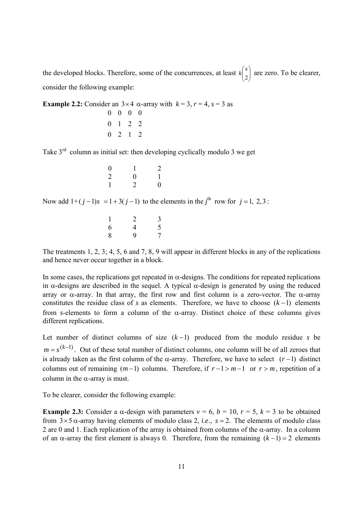the developed blocks. Therefore, some of the concurrences, at least  $k\begin{bmatrix} 3 \\ 2 \end{bmatrix}$ J  $\lambda$  $\parallel$ V ſ  $k\binom{s}{2}$  are zero. To be clearer, consider the following example:

**Example 2.2:** Consider an  $3 \times 4$   $\alpha$ -array with  $k = 3$ ,  $r = 4$ ,  $s = 3$  as  $0 \t2 \t1 \t2$ 0 1 2 2 0 0 0 0

Take  $3<sup>rd</sup>$  column as initial set: then developing cyclically modulo 3 we get

| $\overline{0}$ |                | $\overline{2}$   |
|----------------|----------------|------------------|
| $\overline{2}$ | $\overline{0}$ | $\mathbf{1}$     |
| 1              | 2              | $\boldsymbol{0}$ |

Now add  $1+(j-1)s = 1+3(j-1)$  to the elements in the *j*<sup>th</sup> row for  $j = 1, 2, 3$ :

| $\mathbf{1}$ | $\overline{2}$ | 3              |
|--------------|----------------|----------------|
| 6            | 4              | 5              |
| 8            | 9              | $\overline{7}$ |

The treatments 1, 2, 3; 4, 5, 6 and 7, 8, 9 will appear in different blocks in any of the replications and hence never occur together in a block.

In some cases, the replications get repeated in  $\alpha$ -designs. The conditions for repeated replications in  $\alpha$ -designs are described in the sequel. A typical  $\alpha$ -design is generated by using the reduced array or  $\alpha$ -array. In that array, the first row and first column is a zero-vector. The  $\alpha$ -array constitutes the residue class of *s* as elements. Therefore, we have to choose  $(k-1)$  elements from *s*-elements to form a column of the  $\alpha$ -array. Distinct choice of these columns gives different replications.

Let number of distinct columns of size  $(k-1)$  produced from the modulo residue *s* be  $m = s^{(k-1)}$ . Out of these total number of distinct columns, one column will be of all zeroes that is already taken as the first column of the  $\alpha$ -array. Therefore, we have to select  $(r-1)$  distinct columns out of remaining  $(m-1)$  columns. Therefore, if  $r-1 > m-1$  or  $r > m$ , repetition of a column in the  $\alpha$ -array is must.

To be clearer, consider the following example:

**Example 2.3:** Consider a  $\alpha$ -design with parameters  $v = 6$ ,  $b = 10$ ,  $r = 5$ ,  $k = 3$  to be obtained from  $3 \times 5$   $\alpha$ -array having elements of modulo class 2, *i.e.*,  $s = 2$ . The elements of modulo class 2 are 0 and 1. Each replication of the array is obtained from columns of the  $\alpha$ -array. In a column of an  $\alpha$ -array the first element is always 0. Therefore, from the remaining  $(k-1) = 2$  elements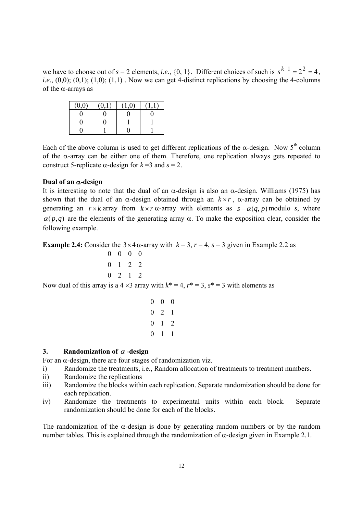we have to choose out of  $s = 2$  elements, *i.e.*, {0, 1}. Different choices of such is  $s^{k-1} = 2^2 = 4$ . *i.e.*,  $(0,0)$ ;  $(0,1)$ ;  $(1,0)$ ;  $(1,1)$ . Now we can get 4-distinct replications by choosing the 4-columns of the  $\alpha$ -arrays as

| (0,0) | (0,1) |  |
|-------|-------|--|
|       |       |  |
|       |       |  |
|       |       |  |

Each of the above column is used to get different replications of the  $\alpha$ -design. Now 5<sup>th</sup> column of the  $\alpha$ -array can be either one of them. Therefore, one replication always gets repeated to construct 5-replicate  $\alpha$ -design for  $k = 3$  and  $s = 2$ .

## **Dual of an -design**

It is interesting to note that the dual of an  $\alpha$ -design is also an  $\alpha$ -design. Williams (1975) has shown that the dual of an  $\alpha$ -design obtained through an  $k \times r$ ,  $\alpha$ -array can be obtained by generating an  $r \times k$  array from  $k \times r$   $\alpha$ -array with elements as  $s - \alpha(q, p)$  modulo *s*, where  $\alpha$ (*p*,*q*) are the elements of the generating array  $\alpha$ . To make the exposition clear, consider the following example.

**Example 2.4:** Consider the  $3 \times 4\alpha$ -array with  $k = 3$ ,  $r = 4$ ,  $s = 3$  given in Example 2.2 as

$$
\begin{array}{cccc}\n0 & 0 & 0 & 0 \\
0 & 1 & 2 & 2 \\
0 & 2 & 1 & 2\n\end{array}
$$

Now dual of this array is a  $4 \times 3$  array with  $k^* = 4$ ,  $r^* = 3$ ,  $s^* = 3$  with elements as

$$
\begin{array}{cccc}\n0 & 0 & 0 \\
0 & 2 & 1 \\
0 & 1 & 2 \\
0 & 1 & 1\n\end{array}
$$

## **3.** Randomization of  $\alpha$ -design

For an  $\alpha$ -design, there are four stages of randomization viz.

- i) Randomize the treatments, i.e., Random allocation of treatments to treatment numbers.
- ii) Randomize the replications
- iii) Randomize the blocks within each replication. Separate randomization should be done for each replication.
- iv) Randomize the treatments to experimental units within each block. Separate randomization should be done for each of the blocks.

The randomization of the  $\alpha$ -design is done by generating random numbers or by the random number tables. This is explained through the randomization of  $\alpha$ -design given in Example 2.1.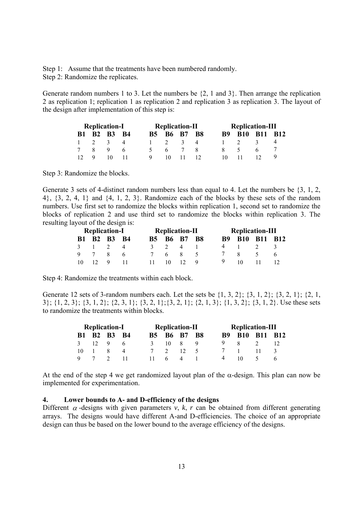Step 1: Assume that the treatments have been numbered randomly. Step 2: Randomize the replicates.

Generate random numbers 1 to 3. Let the numbers be {2, 1 and 3}. Then arrange the replication 2 as replication 1; replication 1 as replication 2 and replication 3 as replication 3. The layout of the design after implementation of this step is:

| <b>Replication-I</b> |  |             | <b>Replication-II</b> |   |    |             |  | <b>Replication-III</b> |                |  |  |
|----------------------|--|-------------|-----------------------|---|----|-------------|--|------------------------|----------------|--|--|
|                      |  | B1 B2 B3 B4 |                       |   |    | B5 B6 B7 B8 |  |                        | B9 B10 B11 B12 |  |  |
|                      |  |             |                       |   |    |             |  |                        |                |  |  |
|                      |  |             |                       |   |    |             |  |                        |                |  |  |
|                      |  |             |                       | Ч | 10 |             |  | 10                     |                |  |  |

Step 3: Randomize the blocks.

Generate 3 sets of 4-distinct random numbers less than equal to 4. Let the numbers be {3, 1, 2, 4}, {3, 2, 4, 1} and {4, 1, 2, 3}. Randomize each of the blocks by these sets of the random numbers. Use first set to randomize the blocks within replication 1, second set to randomize the blocks of replication 2 and use third set to randomize the blocks within replication 3. The resulting layout of the design is:

| <b>Replication-I</b> |  |             |  |  | <b>Replication-II</b> |                    | <b>Replication-III</b> |                |  |  |
|----------------------|--|-------------|--|--|-----------------------|--------------------|------------------------|----------------|--|--|
|                      |  | B1 B2 B3 B4 |  |  |                       | <b>B5 B6 B7 B8</b> |                        | B9 B10 B11 B12 |  |  |
|                      |  |             |  |  |                       |                    |                        |                |  |  |
|                      |  |             |  |  |                       |                    |                        |                |  |  |
|                      |  |             |  |  |                       |                    |                        |                |  |  |

Step 4: Randomize the treatments within each block.

Generate 12 sets of 3-random numbers each. Let the sets be  $\{1, 3, 2\}$ ;  $\{3, 1, 2\}$ ;  $\{3, 2, 1\}$ ;  $\{2, 1$ , 3}; {1, 2, 3}; {3, 1, 2}; {2, 3, 1}; {3, 2, 1};{3, 2, 1}; {2, 1, 3}; {1, 3, 2}; {3, 1, 2}. Use these sets to randomize the treatments within blocks.

| <b>Replication-I</b> |  |             |  |     | <b>Replication-II</b> |  | <b>Replication-III</b> |  |  |  |
|----------------------|--|-------------|--|-----|-----------------------|--|------------------------|--|--|--|
|                      |  | B1 B2 B3 B4 |  |     | B5 B6 B7 B8           |  | B9 B10 B11 B12         |  |  |  |
|                      |  |             |  | 10. | $\mathbf{x}$          |  |                        |  |  |  |
| 10                   |  |             |  |     |                       |  |                        |  |  |  |
|                      |  |             |  |     |                       |  |                        |  |  |  |

At the end of the step 4 we get randomized layout plan of the  $\alpha$ -design. This plan can now be implemented for experimentation.

## **4. Lower bounds to A- and D-efficiency of the designs**

Different  $\alpha$ -designs with given parameters  $\nu$ ,  $k$ ,  $r$  can be obtained from different generating arrays. The designs would have different A-and D-efficiencies. The choice of an appropriate design can thus be based on the lower bound to the average efficiency of the designs.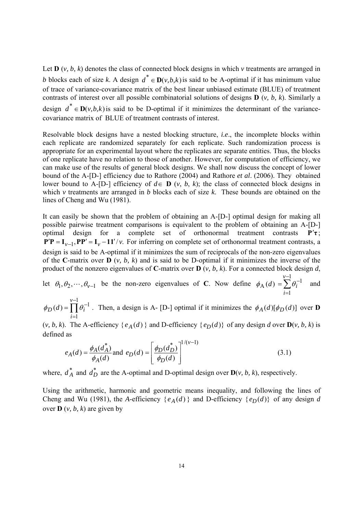Let  $\mathbf{D}$  (*v, b, k*) denotes the class of connected block designs in which *v* treatments are arranged in *b* blocks each of size *k*. A design  $d^* \in D(v, b, k)$  is said to be A-optimal if it has minimum value of trace of variance-covariance matrix of the best linear unbiased estimate (BLUE) of treatment contrasts of interest over all possible combinatorial solutions of designs **D** (*v, b, k*). Similarly a design  $d^* \in D(v, b, k)$  is said to be D-optimal if it minimizes the determinant of the variancecovariance matrix of BLUE of treatment contrasts of interest.

Resolvable block designs have a nested blocking structure, *i.e*., the incomplete blocks within each replicate are randomized separately for each replicate. Such randomization process is appropriate for an experimental layout where the replicates are separate entities. Thus, the blocks of one replicate have no relation to those of another. However, for computation of efficiency, we can make use of the results of general block designs. We shall now discuss the concept of lower bound of the A-[D-] efficiency due to Rathore (2004) and Rathore *et al*. (2006). They obtained lower bound to A-[D-] efficiency of  $d \in \mathbf{D}$  (*v*, *b*, *k*); the class of connected block designs in which *v* treatments are arranged in *b* blocks each of size *k*. These bounds are obtained on the lines of Cheng and Wu (1981).

It can easily be shown that the problem of obtaining an A-[D-] optimal design for making all possible pairwise treatment comparisons is equivalent to the problem of obtaining an A-[D-] optimal design for a complete set of orthonormal treatment contrasts **Pτ** ;  $P'P = I_{\nu-1}$ ,  $PP' = I_{\nu} - 11'/\nu$ . For inferring on complete set of orthonormal treatment contrasts, a design is said to be A-optimal if it minimizes the sum of reciprocals of the non-zero eigenvalues of the **C**-matrix over **D** ( $v$ ,  $b$ ,  $k$ ) and is said to be D-optimal if it minimizes the inverse of the product of the nonzero eigenvalues of **C**-matrix over **D** (*v, b, k*). For a connected block design *d*,

let  $\theta_1, \theta_2, \dots, \theta_{\nu-1}$  be the non-zero eigenvalues of **C**. Now define  $\phi_A(d)$ *v i*  $\sum \theta_i$  $\overline{a}$  $=$  $=\sum_{i=1}^{v-1}\theta_i^{-}$ 1  $\phi_{\rm A}(d) = \sum_{i=1}^{n} \theta_i^{-1}$  and

 $\prod$  $\overline{\phantom{0}}$  $=$  $=\prod_{i=1}^{v-1}\theta_i^{-i}$ 1  $(d) = \prod_{i=1}^{v-1} \theta_i^{-1}$ *i*  $\phi_D(d) = \prod_i \theta_i^{-1}$ . Then, a design is A- [D-] optimal if it minimizes the  $\phi_A(d)[\phi_D(d)]$  over **D** 

(*v, b, k*). The A-efficiency {  $e_A(d)$  } and D-efficiency {  $e_D(d)$ } of any design *d* over  $\mathbf{D}(v, b, k)$  is defined as

$$
e_A(d) = \frac{\phi_A(d_A^*)}{\phi_A(d)} \text{ and } e_D(d) = \left[\frac{\phi_D(d_D^*)}{\phi_D(d)}\right]^{1/(v-1)}
$$
(3.1)

where,  $d_A^*$  and  $d_D^*$  are the A-optimal and D-optimal design over  $D(v, b, k)$ , respectively.

Using the arithmetic, harmonic and geometric means inequality, and following the lines of Cheng and Wu (1981), the *A*-efficiency { $e_A(d)$ } and D-efficiency { $e_D(d)$ } of any design *d* over **D** (*v, b, k*) are given by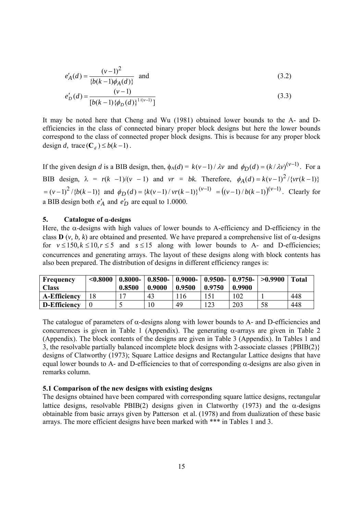$$
e'_{A}(d) = \frac{(v-1)^2}{\{b(k-1)\phi_A(d)\}} \quad \text{and} \tag{3.2}
$$

$$
e'_D(d) = \frac{(v-1)}{[b(k-1)\{\phi_D(d)\}}^{1/(v-1)}\tag{3.3}
$$

It may be noted here that Cheng and Wu (1981) obtained lower bounds to the A- and Defficiencies in the class of connected binary proper block designs but here the lower bounds correspond to the class of connected proper block designs. This is because for any proper block design *d*, trace  $(C_d) \leq b(k-1)$ .

If the given design *d* is a BIB design, then,  $\phi_A(d) = k(v-1) / \lambda v$  and  $\phi_D(d) = (k/\lambda v)^{(v-1)}$ . For a BIB design,  $\lambda = r(k -1)/(v -1)$  and  $vr = bk$ . Therefore,  $\phi_A(d) = k(v-1)^2 / \{vr(k-1)\}$  $=(v-1)^2/\{b(k-1)\}\$  and  $\phi_D(d) = \{k(v-1)/vr(k-1)\}^{(v-1)} = ((v-1)/b(k-1))^{(v-1)}$ . Clearly for a BIB design both  $e'_A$  and  $e'_D$  are equal to 1.0000.

#### 5. Catalogue of  $\alpha$ -designs

Here, the  $\alpha$ -designs with high values of lower bounds to A-efficiency and D-efficiency in the class **D**  $(v, b, k)$  are obtained and presented. We have prepared a comprehensive list of  $\alpha$ -designs for  $v \le 150$ ,  $k \le 10$ ,  $r \le 5$  and  $s \le 15$  along with lower bounds to A- and D-efficiencies; concurrences and generating arrays. The layout of these designs along with block contents has also been prepared. The distribution of designs in different efficiency ranges is:

| Frequency<br><b>Class</b> | < 0.8000 | $0.8000 -$<br>0.8500 | 0.9000 | 0.9500 | $\mid 0.8500 - \mid 0.9000 - \mid 0.9500 - \mid 0.9750 - \mid >0.9900$<br>0.9750 | 0.9900 |    | <b>Total</b> |
|---------------------------|----------|----------------------|--------|--------|----------------------------------------------------------------------------------|--------|----|--------------|
| <b>A-Efficiency</b>       |          |                      | 43     | .16    |                                                                                  | .02    |    | 448          |
| D-Efficiency              |          |                      | 10     | 49     | .23                                                                              | 203    | 58 | 448          |

The catalogue of parameters of  $\alpha$ -designs along with lower bounds to A- and D-efficiencies and concurrences is given in Table 1 (Appendix). The generating  $\alpha$ -arrays are given in Table 2 (Appendix). The block contents of the designs are given in Table 3 (Appendix). In Tables 1 and 3, the resolvable partially balanced incomplete block designs with 2-associate classes {PBIB(2)} designs of Clatworthy (1973); Square Lattice designs and Rectangular Lattice designs that have equal lower bounds to A- and D-efficiencies to that of corresponding  $\alpha$ -designs are also given in remarks column.

#### **5.1 Comparison of the new designs with existing designs**

The designs obtained have been compared with corresponding square lattice designs, rectangular lattice designs, resolvable PBIB(2) designs given in Clatworthy (1973) and the  $\alpha$ -designs obtainable from basic arrays given by Patterson et al. (1978) and from dualization of these basic arrays. The more efficient designs have been marked with \*\*\* in Tables 1 and 3.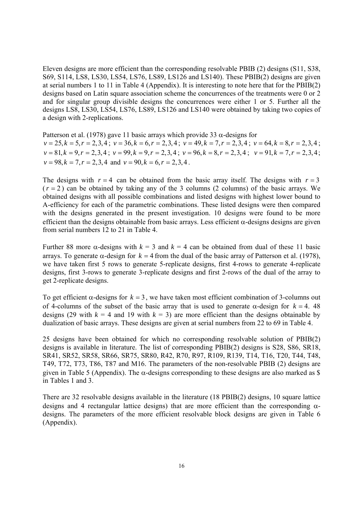Eleven designs are more efficient than the corresponding resolvable PBIB (2) designs (S11, S38, S69, S114, LS8, LS30, LS54, LS76, LS89, LS126 and LS140). These PBIB(2) designs are given at serial numbers 1 to 11 in Table 4 (Appendix). It is interesting to note here that for the PBIB(2) designs based on Latin square association scheme the concurrences of the treatments were 0 or 2 and for singular group divisible designs the concurrences were either 1 or 5. Further all the designs LS8, LS30, LS54, LS76, LS89, LS126 and LS140 were obtained by taking two copies of a design with 2-replications.

Patterson et al. (1978) gave 11 basic arrays which provide 33  $\alpha$ -designs for  $v = 25, k = 5, r = 2,3,4$ ;  $v = 36, k = 6, r = 2,3,4$ ;  $v = 49, k = 7, r = 2,3,4$ ;  $v = 64, k = 8, r = 2,3,4$ ;  $v = 81, k = 9, r = 2, 3, 4$ ;  $v = 99, k = 9, r = 2, 3, 4$ ;  $v = 96, k = 8, r = 2, 3, 4$ ;  $v = 91, k = 7, r = 2, 3, 4$ ;  $v = 98, k = 7, r = 2, 3, 4$  and  $v = 90, k = 6, r = 2, 3, 4$ .

The designs with  $r = 4$  can be obtained from the basic array itself. The designs with  $r = 3$  $(r = 2)$  can be obtained by taking any of the 3 columns (2 columns) of the basic arrays. We obtained designs with all possible combinations and listed designs with highest lower bound to A-efficiency for each of the parametric combinations. These listed designs were then compared with the designs generated in the present investigation. 10 designs were found to be more efficient than the designs obtainable from basic arrays. Less efficient  $\alpha$ -designs designs are given from serial numbers 12 to 21 in Table 4.

Further 88 more  $\alpha$ -designs with  $k = 3$  and  $k = 4$  can be obtained from dual of these 11 basic arrays. To generate  $\alpha$ -design for  $k = 4$  from the dual of the basic array of Patterson et al. (1978), we have taken first 5 rows to generate 5-replicate designs, first 4-rows to generate 4-replicate designs, first 3-rows to generate 3-replicate designs and first 2-rows of the dual of the array to get 2-replicate designs.

To get efficient  $\alpha$ -designs for  $k = 3$ , we have taken most efficient combination of 3-columns out of 4-columns of the subset of the basic array that is used to generate  $\alpha$ -design for  $k = 4$ . 48 designs (29 with  $k = 4$  and 19 with  $k = 3$ ) are more efficient than the designs obtainable by dualization of basic arrays. These designs are given at serial numbers from 22 to 69 in Table 4.

25 designs have been obtained for which no corresponding resolvable solution of PBIB(2) designs is available in literature. The list of corresponding PBIB(2) designs is S28, S86, SR18, SR41, SR52, SR58, SR66, SR75, SR80, R42, R70, R97, R109, R139, T14, T16, T20, T44, T48, T49, T72, T73, T86, T87 and M16. The parameters of the non-resolvable PBIB (2) designs are given in Table 5 (Appendix). The  $\alpha$ -designs corresponding to these designs are also marked as \$ in Tables 1 and 3.

There are 32 resolvable designs available in the literature (18 PBIB(2) designs, 10 square lattice designs and 4 rectangular lattice designs) that are more efficient than the corresponding  $\alpha$ designs. The parameters of the more efficient resolvable block designs are given in Table 6 (Appendix).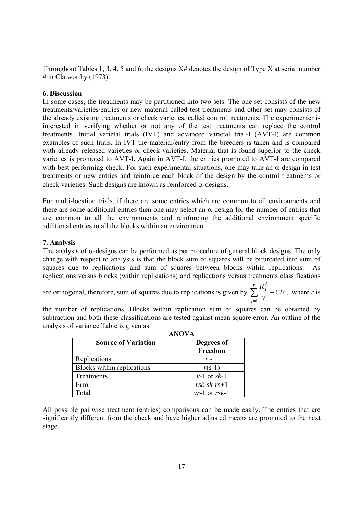Throughout Tables 1, 3, 4, 5 and 6, the designs  $X#$  denotes the design of Type X at serial number  $#$  in Clatworthy (1973).

## **6. Discussion**

In some cases, the treatments may be partitioned into two sets. The one set consists of the new treatments/varieties/entries or new material called test treatments and other set may consists of the already existing treatments or check varieties, called control treatments. The experimenter is interested in verifying whether or not any of the test treatments can replace the control treatments. Initial varietal trials (IVT) and advanced varietal trial-I (AVT-I) are common examples of such trials. In IVT the material/entry from the breeders is taken and is compared with already released varieties or check varieties. Material that is found superior to the check varieties is promoted to AVT-I. Again in AVT-I, the entries promoted to AVT-I are compared with best performing check. For such experimental situations, one may take an  $\alpha$ -design in test treatments or new entries and reinforce each block of the design by the control treatments or check varieties. Such designs are known as reinforced  $\alpha$ -designs.

For multi-location trials, if there are some entries which are common to all environments and there are some additional entries then one may select an  $\alpha$ -design for the number of entries that are common to all the environments and reinforcing the additional environment specific additional entries to all the blocks within an environment.

# **7. Analysis**

The analysis of  $\alpha$ -designs can be performed as per procedure of general block designs. The only change with respect to analysis is that the block sum of squares will be bifurcated into sum of squares due to replications and sum of squares between blocks within replications. As replications versus blocks (within replications) and replications versus treatments classifications

are orthogonal, therefore, sum of squares due to replications is given by  $\sum$  $=$  $\overline{\phantom{a}}$ *r j <sup>j</sup> CF v R* 1 2 , where *r* is

the number of replications. Blocks within replication sum of squares can be obtained by subtraction and both these classifications are tested against mean square error. An outline of the analysis of variance Table is given as **ANOVA** 

|                            | ANOVA                 |
|----------------------------|-----------------------|
| <b>Source of Variation</b> | Degrees of<br>Freedom |
| Replications               | $r - 1$               |
| Blocks within replications | $r(s-1)$              |
| Treatments                 | $v-1$ or sk-1         |
| Error                      | $r$ sk-sk- $rs+1$     |
| Total                      | $vr-1$ or $rsk-1$     |

All possible pairwise treatment (entries) comparisons can be made easily. The entries that are significantly different from the check and have higher adjusted means are promoted to the next stage.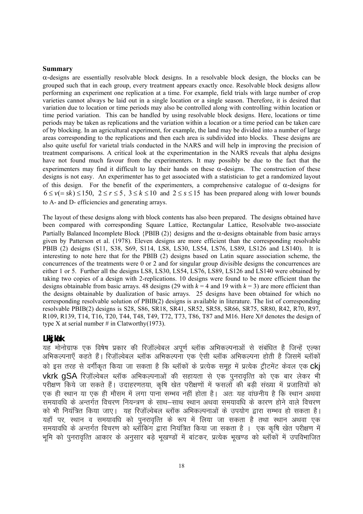#### **Summary**

 $\alpha$ -designs are essentially resolvable block designs. In a resolvable block design, the blocks can be grouped such that in each group, every treatment appears exactly once. Resolvable block designs allow performing an experiment one replication at a time. For example, field trials with large number of crop varieties cannot always be laid out in a single location or a single season. Therefore, it is desired that variation due to location or time periods may also be controlled along with controlling within location or time period variation. This can be handled by using resolvable block designs. Here, locations or time periods may be taken as replications and the variation within a location or a time period can be taken care of by blocking. In an agricultural experiment, for example, the land may be divided into a number of large areas corresponding to the replications and then each area is subdivided into blocks. These designs are also quite useful for varietal trials conducted in the NARS and will help in improving the precision of treatment comparisons. A critical look at the experimentation in the NARS reveals that alpha designs have not found much favour from the experimenters. It may possibly be due to the fact that the experimenters may find it difficult to lay their hands on these  $\alpha$ -designs. The construction of these designs is not easy. An experimenter has to get associated with a statistician to get a randomized layout of this design. For the benefit of the experimenters, a comprehensive catalogue of  $\alpha$ -designs for  $6 \le v (= sk) \le 150$ ,  $2 \le r \le 5$ ,  $3 \le k \le 10$  and  $2 \le s \le 15$  has been prepared along with lower bounds to A- and D- efficiencies and generating arrays.

The layout of these designs along with block contents has also been prepared. The designs obtained have been compared with corresponding Square Lattice, Rectangular Lattice, Resolvable two-associate Partially Balanced Incomplete Block  $\{PBIB (2)\}\$  designs and the  $\alpha$ -designs obtainable from basic arrays given by Patterson et al. (1978). Eleven designs are more efficient than the corresponding resolvable PBIB (2) designs (S11, S38, S69, S114, LS8, LS30, LS54, LS76, LS89, LS126 and LS140). It is interesting to note here that for the PBIB (2) designs based on Latin square association scheme, the concurrences of the treatments were 0 or 2 and for singular group divisible designs the concurrences are either 1 or 5. Further all the designs LS8, LS30, LS54, LS76, LS89, LS126 and LS140 were obtained by taking two copies of a design with 2-replications. 10 designs were found to be more efficient than the designs obtainable from basic arrays. 48 designs (29 with  $k = 4$  and 19 with  $k = 3$ ) are more efficient than the designs obtainable by dualization of basic arrays. 25 designs have been obtained for which no corresponding resolvable solution of PBIB(2) designs is available in literature. The list of corresponding resolvable PBIB(2) designs is S28, S86, SR18, SR41, SR52, SR58, SR66, SR75, SR80, R42, R70, R97, R109, R139, T14, T16, T20, T44, T48, T49, T72, T73, T86, T87 and M16. Here X# denotes the design of type X at serial number  $\#$  in Clatworthy(1973).

#### **Lkkjka'k**

यह मोनोग्राफ एक विषेष प्रकार की रिजॉल्वेबल अपर्ण ब्लॉक अभिकल्पनाओं से संबंधित है जिन्हें एल्फा अभिकल्पनाएँ कहते हैं। रिजॉल्वेबल ब्लॉक अभिकल्पना एक ऐसी ब्लॉक अभिकल्पना होती है जिसमें ब्लॉकों को इस तरह से वर्गीकृत किया जा सकता है कि ब्लॉकों के प्रत्येक समुह में प्रत्येक ट्रीटमेंट केवल एक Cki  $v$ krk  $a$ SA रिजॉल्वेबल ब्लॉक अभिकल्पनाओं की सहायता से एक पुनरावृत्ति को एक बार लेकर भी परीक्षण किये जा सकते हैं। उदाहरणतया, कृषि खेत परीक्षणों में फसलों की बड़ी संख्या में प्रजातियों को एक ही स्थान या एक ही मौसम में लगा पाना सम्भव नहीं होता है। अतः यह वांछनीय है कि स्थान अथवा समयावधि के अन्तर्गत विचरण नियन्त्रण के साथ–साथ स्थान अथवा समयावधि के कारण होने वाले विचरण को भी नियंत्रित किया जाए। यह रिज़ॉल्वेबल ब्लॉक अभिकल्पनाओं के उपयोग द्वारा सम्भव हो सकता है। यहाँ पर, स्थान व समयावधि को पुनरावृत्ति के रूप में लिया जा सकता है तथा स्थान अथवा एक समयावधि के अन्तर्गत विचरण को ब्लॉकिंग द्वारा नियंत्रित किया जा सकता है । एक कृषि खेत परीक्षण में भूमि को पुनरावृत्ति आकार के अनुसार बडे भूखण्डों में बांटकर, प्रत्येक भूखण्ड को ब्लॉकों में उपविभाजित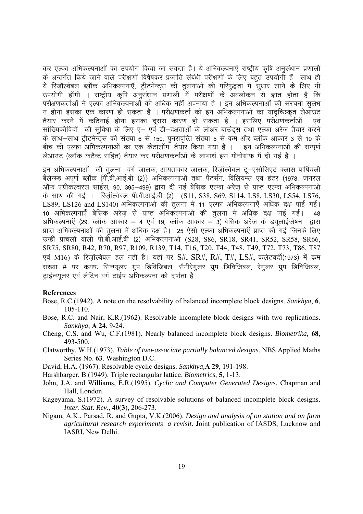कर एल्फा अभिकल्पनाओं का उपयोग किया जा सकता है। ये अभिकल्पनाएँ राष्ट्रीय कृषि अनुसंधान प्रणाली के अन्तर्गत किये जाने वाले परीक्षणों विषेषकर प्रजाति संबंधी परीक्षणों के लिए बहुत उपयोगी हैं साथ ही ये रिज़ॉल्वेबल ब्लॉक अभिकल्पनाएँ, ट्रीटमेन्ट्स की तुलनाओं की परिषुद्धता में सुधार लाने के लिए भी उपयोगी होंगी । राष्ट्रीय कृषि अनुसंधान प्रणाली में परीक्षणों के अवलोकन से ज्ञात होता है कि परीक्षणकर्ताओं ने एल्फा अभिकल्पनाओं को अधिक नहीं अपनाया है । इन अभिकल्पनाओं की संरचना सुलभ न होना इसका एक कारण हो सकता है । परीक्षणकर्ता को इन अभिकल्पनाओं का यादच्छिकृत लेआउट तैयार करने में कठिनाई होना इसका दसरा कारण हो सकता है । इसलिए परीक्षणकर्ताओं एवं सांख्यिकीविदों की सुविधा के लिए ए– एवं डी–दक्षताओं के लोअर बाउंड्स तथा एल्फा अरेज तैयार करने के साथ-साथ ट्रीटमेन्ट्स की संख्या 6 से 150, पुनरावृत्ति संख्या 5 से कम और ब्लॉक आकार 3 से 10 के बीच की एल्फा अभिकल्पनाओं का एक कैटालॉग तैयार किया गया है । जइन अभिकल्पनाओं की सम्पर्ण लेआउट (ब्लॉक कंटैन्ट सहित) तैयार कर परीक्षणकर्ताओं के लाभार्थ इस मोनोग्राफ में दी गई है ।

इन अभिकल्पनाओं की तुलना वर्ग जालक, आयताकार जालक, रिजॉल्वेबल टू–एसोसिएट क्लास पार्षियली बैलेन्स्ड अपूर्ण ब्लॉक {पी.बी.आई.बी (2)} अभिकल्पनाओं तथा पैटर्सन, विलियम्स एवं हटर (1978, जनरल ऑफ एग्रीकल्चरल साईंस, 90, 395–499) द्वारा दी गई बेसिक एल्फा अरेज से प्राप्त एल्फा अभिकल्पनाओं के साथ की गई । रिजॉल्वेबल पी.बी.आई.बी (2)  $(S11, S38, S69, S114, LSS, LSS0, LSS4, LST6,$ LS89, LS126 and LS140) अभिकल्पनाओं की तुलना में 11 एल्फा अभिकल्पनाएँ अधिक दक्ष पाई गई। 10 अभिकल्पनाएँ बेसिक अरेज़ से प्राप्त अभिकल्पनाओं की तुलना में अधिक दक्ष पाई गई। 48 अभिकल्पनाएँ (29, ब्लॉक आकार = 4 एवं 19, ब्लॉक आकार = 3) बेसिक अरेज़ के डयूलाईजेषन )द्वारा <u>प्राप्त अभिकल्पनाओं की तलना में अधिक दक्ष है। 25 ऐसी एल्फा अभिकल्पनाएँ प्राप्त की गई जिनके लिए</u> उन्हीं प्राचलों वाली पी.बी.आई.बी (2) अभिकल्पनाओं (S28, S86, SR18, SR41, SR52, SR58, SR66, SR75, SR80, R42, R70, R97, R109, R139, T14, T16, T20, T44, T48, T49, T72, T73, T86, T87 एवं M16) के रिजॉल्वेबल हल नहीं है। यहां पर S#, SR#, R#, T#, LS#, कलेटवर्दी(1973) में कम संख्या # पर कमषः सिन्ग्यूलर ग्रूप डिविजिबल, सैमीरेगुलर ग्रूप डिविजिबल, रेगुलर ग्रूप डिविजिबल, ट्राईन्ग्युलर एवं लैटिन वर्ग टाईप अभिकल्पना को दर्षाता है।

#### **References**

- Bose, R.C.(1942). A note on the resolvability of balanced incomplete block designs. *Sankhya*, **6**, 105-110.
- Bose, R.C. and Nair, K.R.(1962). Resolvable incomplete block designs with two replications. *Sankhya*, **A 24**, 9-24.
- Cheng, C.S. and Wu, C.F.(1981). Nearly balanced incomplete block designs. *Biometrika,* **68**, 493-500.
- Clatworthy, W.H.(1973). *Table of two-associate partially balanced designs*. NBS Applied Maths Series No. **63**. Washington D.C.

David, H.A. (1967). Resolvable cyclic designs. *Sankhya,***A 29**, 191-198.

Harshbarger, B.(1949). Triple rectangular lattice. *Biometrics*, **5**, 1-13.

- John, J.A. and Williams, E.R.(1995). *Cyclic and Computer Generated Designs*. Chapman and Hall, London.
- Kageyama, S.(1972). A survey of resolvable solutions of balanced incomplete block designs. *Inter*. *Stat*. *Rev*., **40**(**3**), 206-273.
- Nigam, A.K., Parsad, R. and Gupta, V.K.(2006). *Design and analysis of on station and on farm agricultural research experiments*: *a revisit*. Joint publication of IASDS, Lucknow and IASRI, New Delhi.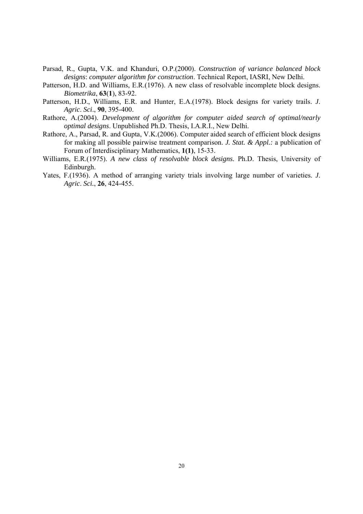- Parsad, R., Gupta, V.K. and Khanduri, O.P.(2000). *Construction of variance balanced block designs*: *computer algorithm for construction*. Technical Report, IASRI, New Delhi.
- Patterson, H.D. and Williams, E.R.(1976). A new class of resolvable incomplete block designs. *Biometrika*, **63**(**1**), 83-92.
- Patterson, H.D., Williams, E.R. and Hunter, E.A.(1978). Block designs for variety trails. *J*. *Agric*. *Sci*., **90**, 395-400.
- Rathore, A.(2004). *Development of algorithm for computer aided search of optimal/nearly optimal designs*. Unpublished Ph.D. Thesis, I.A.R.I., New Delhi.
- Rathore, A., Parsad, R. and Gupta, V.K.(2006). Computer aided search of efficient block designs for making all possible pairwise treatment comparison. *J. Stat. & Appl.:* a publication of Forum of Interdisciplinary Mathematics, **1(1)**, 15-33.
- Williams, E.R.(1975). *A new class of resolvable block designs.* Ph.D. Thesis, University of Edinburgh.
- Yates, F.(1936). A method of arranging variety trials involving large number of varieties. *J*. *Agric*. *Sci.*, **26**, 424-455.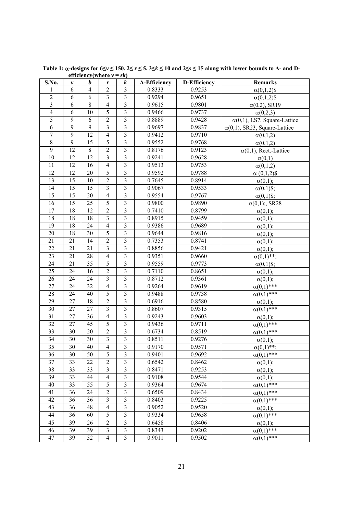| S.No.                   | v              | b              | r                                               | k                       | <b>A-Efficiency</b> | <b>D-Efficiency</b> | Remarks                              |
|-------------------------|----------------|----------------|-------------------------------------------------|-------------------------|---------------------|---------------------|--------------------------------------|
| 1                       | 6              | $\overline{4}$ | $\overline{2}$                                  | 3                       | 0.8333              | 0.9253              | $\alpha(0,1,2)$ \$                   |
| $\overline{2}$          | 6              | 6              | $\mathfrak{Z}$                                  | $\mathfrak{Z}$          | 0.9294              | 0.9651              | $\alpha(0,1,2)$ \$                   |
| $\overline{\mathbf{3}}$ | 6              | $\,8\,$        | $\overline{4}$                                  | $\overline{\mathbf{3}}$ | 0.9615              | 0.9801              | $\alpha(0,2)$ , SR19                 |
| $\overline{4}$          | 6              | 10             | 5                                               | $\overline{\mathbf{3}}$ | 0.9466              | 0.9737              | $\alpha(0,2,3)$                      |
| 5                       | 9              | 6              | $\overline{c}$                                  | 3                       | 0.8889              | 0.9428              | $\alpha(0,1)$ , LS7, Square-Lattice  |
| 6                       | $\overline{9}$ | $\overline{9}$ | $\overline{\mathbf{3}}$                         | $\overline{\mathbf{3}}$ | 0.9697              | 0.9837              | $\alpha(0,1)$ , SR23, Square-Lattice |
| $\boldsymbol{7}$        | 9              | 12             | $\overline{4}$                                  | $\mathfrak{Z}$          | 0.9412              | 0.9710              | $\alpha(0,1,2)$                      |
| $\overline{8}$          | $\overline{9}$ | 15             | $\overline{5}$                                  | $\overline{3}$          | 0.9552              | 0.9768              | $\alpha(0,1,2)$                      |
| 9                       | 12             | 8              | $\overline{c}$                                  | 3                       | 0.8176              | 0.9123              | $\alpha(0,1)$ , Rect.-Lattice        |
| 10                      | 12             | 12             | $\overline{3}$                                  | $\overline{\mathbf{3}}$ | 0.9241              | 0.9628              | $\alpha(0,1)$                        |
| 11                      | 12             | 16             | $\overline{4}$                                  | $\mathfrak{Z}$          | 0.9513              | 0.9753              | $\alpha(0,1,2)$                      |
| 12                      | 12             | 20             | $\overline{5}$                                  | $\overline{\mathbf{3}}$ | 0.9592              | 0.9788              | $\alpha$ (0,1,2)\$                   |
| 13                      | 15             | 10             | $\mathfrak{2}% \left( \mathfrak{2}\right) ^{2}$ | $\overline{\mathbf{3}}$ | 0.7645              | 0.8914              | $\alpha(0,1);$                       |
| 14                      | 15             | 15             | $\overline{\mathbf{3}}$                         | $\overline{3}$          | 0.9067              | 0.9533              | $\alpha(0,1)$ \$;                    |
| 15                      | 15             | 20             | $\overline{4}$                                  | $\mathfrak{Z}$          | 0.9554              | 0.9767              | $\alpha(0,1)$ \$;                    |
| 16                      | 15             | 25             | 5                                               | 3                       | 0.9800              | 0.9890              | $\alpha(0,1)$ ;, SR28                |
| 17                      | 18             | 12             | $\overline{2}$                                  | 3                       | 0.7410              | 0.8799              | $\alpha(0,1);$                       |
| 18                      | 18             | 18             | $\mathfrak{Z}$                                  | $\mathfrak{Z}$          | 0.8915              | 0.9459              | $\alpha(0,1);$                       |
| 19                      | 18             | 24             | $\overline{4}$                                  | $\overline{3}$          | 0.9386              | 0.9689              | $\alpha(0,1);$                       |
| 20                      | 18             | 30             | $\overline{5}$                                  | 3                       | 0.9644              | 0.9816              | $\alpha(0,1);$                       |
| 21                      | 21             | 14             | $\overline{2}$                                  | $\overline{\mathbf{3}}$ | 0.7353              | 0.8741              | $\alpha(0,1);$                       |
| 22                      | 21             | 21             | $\overline{\mathbf{3}}$                         | $\overline{\mathbf{3}}$ | 0.8856              | 0.9421              | $\alpha(0,1);$                       |
| 23                      | 21             | 28             | $\overline{4}$                                  | $\overline{3}$          | 0.9351              | 0.9660              | $\alpha(0,1)$ **;                    |
| 24                      | 21             | 35             | 5                                               | 3                       | 0.9559              | 0.9773              | $\alpha(0,1)$ \$;                    |
| 25                      | 24             | 16             | $\overline{2}$                                  | $\overline{\mathbf{3}}$ | 0.7110              | 0.8651              | $\alpha(0,1);$                       |
| 26                      | 24             | 24             | $\mathfrak{Z}$                                  | $\mathfrak{Z}$          | 0.8712              | 0.9361              | $\alpha(0,1);$                       |
| 27                      | 24             | 32             | $\overline{4}$                                  | $\mathfrak{Z}$          | 0.9264              | 0.9619              | $\alpha(0,1)$ ***                    |
| 28                      | 24             | 40             | $\overline{5}$                                  | $\overline{\mathbf{3}}$ | 0.9488              | 0.9738              | $\alpha(0,1)$ ***                    |
| 29                      | 27             | 18             | $\mathfrak{2}$                                  | $\mathfrak{Z}$          | 0.6916              | 0.8580              | $\alpha(0,1);$                       |
| 30                      | 27             | 27             | $\overline{\mathbf{3}}$                         | $\overline{\mathbf{3}}$ | 0.8607              | 0.9315              | $\alpha(0,1)$ ***                    |
| 31                      | 27             | 36             | 4                                               | $\mathfrak{Z}$          | 0.9243              | 0.9603              | $\alpha(0,1);$                       |
| 32                      | 27             | 45             | $\overline{5}$                                  | 3                       | 0.9436              | 0.9711              | $\alpha(0,1)$ ***                    |
| 33                      | 30             | 20             | $\sqrt{2}$                                      | $\overline{\mathbf{3}}$ | 0.6734              | 0.8519              | $\alpha(0,1)$ ***                    |
| 34                      | 30             | 30             | $\overline{3}$                                  | $\overline{\mathbf{3}}$ | 0.8511              | 0.9276              | $\alpha(0,1);$                       |
| 35                      | 30             | 40             | $\overline{4}$                                  | $\overline{3}$          | 0.9170              | 0.9571              | $\alpha(0,1)$ **:                    |
| 36                      | 30             | 50             | 5                                               | 3                       | 0.9401              | 0.9692              | $\alpha(0,1)$ ***                    |
| 37                      | 33             | 22             | $\overline{2}$                                  | $\overline{3}$          | 0.6542              | 0.8462              | $\alpha(0,1);$                       |
| 38                      | 33             | 33             | $\overline{\mathbf{3}}$                         | $\overline{\mathbf{3}}$ | 0.8471              | 0.9253              | $\alpha(0,1);$                       |
| 39                      | 33             | 44             | $\overline{4}$                                  | 3                       | 0.9108              | 0.9544              | $\alpha(0,1);$                       |
| 40                      | 33             | 55             | $\overline{5}$                                  | $\overline{\mathbf{3}}$ | 0.9364              | 0.9674              | $\alpha(0,1)$ ***                    |
| 41                      | 36             | 24             | $\sqrt{2}$                                      | $\mathfrak{Z}$          | 0.6509              | 0.8434              | $\alpha(0,1)$ ***                    |
| 42                      | 36             | 36             | $\mathfrak{Z}$                                  | 3                       | 0.8403              | 0.9225              | $\alpha(0,1)$ ***                    |
| 43                      | 36             | 48             | $\overline{4}$                                  | $\mathfrak{Z}$          | 0.9052              | 0.9520              | $\alpha(0,1);$                       |
| 44                      | 36             | 60             | 5                                               | $\mathfrak{Z}$          | 0.9334              | 0.9658              | $\alpha(0,1)$ ***                    |
| 45                      | 39             | 26             | $\overline{c}$                                  | $\mathfrak{Z}$          | 0.6458              | 0.8406              | $\alpha(0,1);$                       |
| 46                      | 39             | 39             | 3                                               | 3                       | 0.8343              | 0.9202              | $\alpha(0,1)$ ***                    |
| 47                      | 39             | 52             | $\overline{4}$                                  | $\mathfrak{Z}$          | 0.9011              | 0.9502              | $\alpha(0,1)$ ***                    |

Table 1:  $\alpha$ -designs for  $6\leq v \leq 150$ ,  $2\leq r \leq 5$ ,  $3\leq k \leq 10$  and  $2\leq s \leq 15$  along with lower bounds to A- and D**efficiency**(where  $v = sk$ )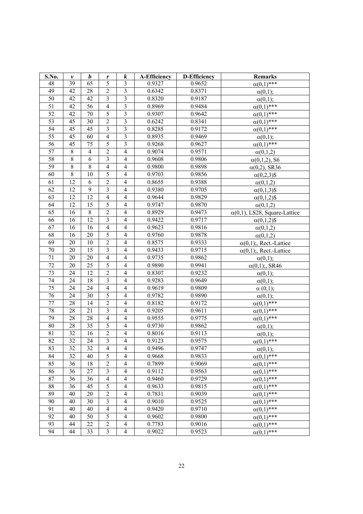| S.No.           | v       | $\boldsymbol{b}$ | r                       | $\boldsymbol{k}$         | <b>A-Efficiency</b> | <b>D-Efficiency</b> | <b>Remarks</b>                       |
|-----------------|---------|------------------|-------------------------|--------------------------|---------------------|---------------------|--------------------------------------|
| 48              | 39      | 65               | 5                       | 3                        | 0.9327              | 0.9652              | $\alpha(0,1)$ ***                    |
| 49              | 42      | 28               | $\overline{2}$          | $\overline{\mathbf{3}}$  | 0.6342              | 0.8371              | $\alpha(0,1);$                       |
| 50              | 42      | 42               | $\mathfrak{Z}$          | $\mathfrak{Z}$           | 0.8320              | 0.9187              | $\alpha(0,1);$                       |
| $\overline{51}$ | 42      | 56               | $\overline{4}$          | $\overline{\mathbf{3}}$  | 0.8969              | 0.9484              | $\alpha(0,1)$ ***                    |
| 52              | 42      | 70               | 5                       | $\mathfrak{Z}$           | 0.9307              | 0.9642              | $\alpha(0,1)$ ***                    |
| 53              | 45      | 30               | $\overline{2}$          | $\mathfrak{Z}$           | 0.6242              | 0.8341              | $\alpha(0,1)$ ***                    |
| 54              | 45      | 45               | $\mathfrak{Z}$          | $\mathfrak{Z}$           | 0.8285              | 0.9172              | $\alpha(0,1)$ ***                    |
| 55              | 45      | 60               | $\overline{4}$          | $\overline{\mathbf{3}}$  | 0.8935              | 0.9469              | $\alpha(0,1);$                       |
| 56              | 45      | 75               | 5                       | $\mathfrak{Z}$           | 0.9268              | 0.9627              | $\alpha(0,1)$ ***                    |
| 57              | $\,8\,$ | $\overline{4}$   | $\overline{2}$          | $\overline{\mathbf{4}}$  | 0.9074              | 0.9571              | $\alpha(0,1,2)$                      |
| 58              | 8       | 6                | $\mathfrak{Z}$          | $\overline{\mathbf{4}}$  | 0.9608              | 0.9806              | $\alpha(0,1,2)$ , S6                 |
| 59              | 8       | $\,8\,$          | $\overline{4}$          | $\overline{4}$           | 0.9800              | 0.9898              | $\alpha(0,2)$ , SR36                 |
| 60              | 8       | 10               | 5                       | $\overline{4}$           | 0.9703              | 0.9856              | $\alpha(0,2,3)$ \$                   |
| 61              | 12      | 6                | $\overline{c}$          | $\overline{4}$           | 0.8655              | 0.9388              | $\alpha(0,1,2)$                      |
| 62              | 12      | $\overline{9}$   | $\overline{\mathbf{3}}$ | $\overline{4}$           | 0.9380              | 0.9705              | $\alpha(0,1,3)$ \$                   |
| 63              | 12      | 12               | $\overline{4}$          | $\overline{4}$           | 0.9644              | 0.9829              | $\alpha(0,1,2)$ \$                   |
| 64              | 12      | 15               | $\overline{5}$          | $\overline{4}$           | 0.9747              | 0.9870              | $\alpha(0,1,2)$                      |
| 65              | 16      | 8                | $\mathbf 2$             | $\overline{4}$           | 0.8929              | 0.9473              | $\alpha(0,1)$ , LS28, Square-Lattice |
| 66              | 16      | 12               | $\overline{\mathbf{3}}$ | $\overline{4}$           | 0.9422              | 0.9717              | $\alpha(0,1,2)$ \$                   |
| 67              | 16      | 16               | $\overline{4}$          | $\overline{\mathcal{A}}$ | 0.9623              | 0.9816              | $\alpha(0,1,2)$                      |
| 68              | 16      | 20               | $\overline{5}$          | $\overline{4}$           | 0.9760              | 0.9878              | $\alpha(0,1,2)$                      |
| 69              | 20      | 10               | $\mathbf 2$             | $\overline{\mathcal{A}}$ | 0.8575              | 0.9333              | $\alpha(0,1)$ ;, Rect.-Lattice       |
| $70\,$          | 20      | 15               | $\overline{\mathbf{3}}$ | $\overline{4}$           | 0.9433              | 0.9715              | $\alpha(0,1)$ ;, Rect.-Lattice       |
| 71              | 20      | 20               | $\overline{4}$          | $\overline{4}$           | 0.9735              | 0.9862              | $\alpha(0,1);$                       |
| 72              | 20      | 25               | $\overline{5}$          | $\overline{\mathbf{4}}$  | 0.9890              | 0.9941              | $\alpha(0,1)$ ;, SR46                |
| 73              | 24      | $\overline{12}$  | $\overline{2}$          | $\overline{\mathbf{4}}$  | 0.8307              | 0.9232              | $\alpha(0,1);$                       |
| 74              | 24      | 18               | $\overline{\mathbf{3}}$ | $\overline{\mathbf{4}}$  | 0.9283              | 0.9649              | $\alpha(0,1);$                       |
| $\overline{75}$ | 24      | 24               | $\overline{4}$          | $\overline{4}$           | 0.9619              | 0.9809              | $\alpha$ (0,1);                      |
| 76              | 24      | 30               | 5                       | $\overline{4}$           | 0.9782              | 0.9890              | $\alpha(0,1);$                       |
| 77              | 28      | 14               | $\overline{2}$          | $\overline{4}$           | 0.8182              | 0.9172              | $\alpha(0,1)$ ***                    |
| 78              | 28      | 21               | $\overline{\mathbf{3}}$ | $\overline{4}$           | 0.9205              | 0.9611              | $\alpha(0,1)$ ***                    |
| 79              | 28      | 28               | $\overline{4}$          | $\overline{4}$           | 0.9555              | 0.9775              | $\alpha(0,1)$ ***                    |
| $80\,$          | 28      | 35               | 5                       | $\overline{4}$           | 0.9730              | 0.9862              | $\alpha(0,1);$                       |
| 81              | 32      | 16               | $\overline{2}$          | $\overline{4}$           | 0.8016              | 0.9113              | $\alpha(0,1);$                       |
| 82              | 32      | 24               | $\overline{3}$          | $\overline{4}$           | 0.9123              | 0.9575              | $\alpha(0,1)$ ***                    |
| 83              | 32      | 32               | 4                       | 4                        | 0.9496              | 0.9747              | $\alpha(0,1);$                       |
| 84              | 32      | 40               | 5                       | 4                        | 0.9668              | 0.9833              | $\alpha(0,1)$ ***                    |
| 85              | 36      | 18               | $\sqrt{2}$              | $\overline{\mathcal{L}}$ | 0.7899              | 0.9069              | $\alpha(0,1)$ ***                    |
| 86              | 36      | 27               | $\overline{3}$          | $\overline{\mathcal{L}}$ | 0.9112              | 0.9563              | $\alpha(0,1)$ ***                    |
| 87              | 36      | 36               | $\overline{4}$          | $\overline{4}$           | 0.9460              | $\overline{0.9729}$ | $\alpha(0,1)$ ***                    |
| 88              | 36      | 45               | $\overline{5}$          | 4                        | 0.9633              | 0.9815              | $\alpha(0,1)$ ***                    |
| 89              | 40      | 20               | $\mathbf 2$             | $\overline{4}$           | 0.7831              | 0.9039              | $\alpha(0,1)$ ***                    |
| 90              | 40      | 30               | $\overline{3}$          | $\overline{4}$           | 0.9010              | 0.9525              | $\alpha(0,1)$ ***                    |
| 91              | 40      | 40               | $\overline{4}$          | 4                        | 0.9420              | 0.9710              | $\alpha(0,1)$ ***                    |
| 92              | 40      | 50               | 5                       | $\overline{4}$           | 0.9602              | 0.9800              | $\alpha(0,1)$ ***                    |
| 93              | 44      | 22               | $\sqrt{2}$              | 4                        | 0.7783              | 0.9016              | $\alpha(0,1)$ ***                    |
| 94              | 44      | 33               | $\mathfrak{Z}$          | $\overline{4}$           | 0.9022              | 0.9523              | $\alpha(0,1)$ ***                    |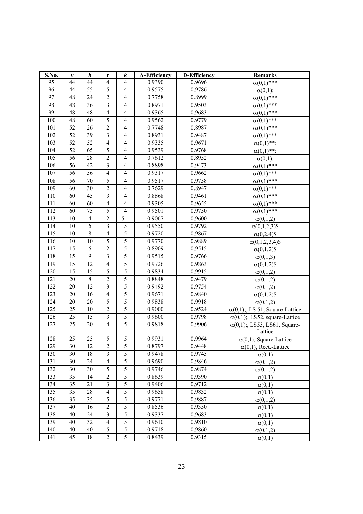| S.No. | v               | $\boldsymbol{b}$ | r                        | $\boldsymbol{k}$         | <b>A-Efficiency</b> | <b>D-Efficiency</b> | Remarks                                         |
|-------|-----------------|------------------|--------------------------|--------------------------|---------------------|---------------------|-------------------------------------------------|
| 95    | 44              | 44               | $\overline{4}$           | 4                        | 0.9390              | 0.9696              | $\alpha(0,1)$ ***                               |
| 96    | 44              | 55               | 5                        | $\overline{4}$           | 0.9575              | 0.9786              | $\alpha(0,1);$                                  |
| 97    | 48              | 24               | $\sqrt{2}$               | $\overline{4}$           | 0.7758              | 0.8999              | $\alpha(0,1)$ ***                               |
| 98    | 48              | 36               | $\overline{3}$           | $\overline{\mathcal{A}}$ | 0.8971              | 0.9503              | $\alpha(0,1)$ ***                               |
| 99    | 48              | 48               | $\overline{4}$           | 4                        | 0.9365              | 0.9683              | $\alpha(0,1)$ ***                               |
| 100   | 48              | 60               | 5                        | $\overline{\mathcal{A}}$ | 0.9562              | 0.9779              | $\alpha(0,1)$ ***                               |
| 101   | 52              | 26               | $\overline{2}$           | $\overline{4}$           | 0.7748              | 0.8987              | $\alpha(0,1)$ ***                               |
| 102   | 52              | 39               | $\overline{\mathbf{3}}$  | $\overline{4}$           | 0.8931              | 0.9487              | $\alpha(0,1)$ ***                               |
| 103   | 52              | 52               | $\overline{4}$           | $\overline{\mathcal{A}}$ | 0.9335              | 0.9671              | $\alpha(0,1)$ **:                               |
| 104   | 52              | 65               | 5                        | $\overline{4}$           | 0.9539              | 0.9768              | $\alpha(0,1)$ **;                               |
| 105   | 56              | 28               | $\overline{2}$           | $\overline{\mathcal{A}}$ | 0.7612              | 0.8952              | $\alpha(0,1);$                                  |
| 106   | 56              | 42               | $\overline{\mathbf{3}}$  | $\overline{4}$           | 0.8898              | 0.9473              | $\alpha(0,1)$ ***                               |
| 107   | 56              | $\overline{56}$  | $\overline{\mathcal{L}}$ | $\overline{4}$           | 0.9317              | 0.9662              | $\alpha(0,1)$ ***                               |
| 108   | 56              | 70               | $\overline{5}$           | $\overline{\mathcal{A}}$ | 0.9517              | 0.9758              | $\alpha(0,1)$ ***                               |
| 109   | 60              | 30               | $\overline{2}$           | $\overline{4}$           | 0.7629              | 0.8947              | $\alpha(0,1)$ ***                               |
| 110   | 60              | 45               | $\overline{3}$           | $\overline{4}$           | 0.8868              | 0.9461              | $\alpha(0,1)$ ***                               |
| 111   | 60              | 60               | $\overline{4}$           | $\overline{\mathcal{A}}$ | 0.9305              | 0.9655              | $\alpha(0,1)$ ***                               |
| 112   | 60              | 75               | 5                        | $\overline{4}$           | 0.9501              | 0.9750              | $\alpha(0,1)$ ***                               |
| 113   | 10              | $\overline{4}$   | $\overline{2}$           | 5                        | 0.9067              | 0.9600              | $\alpha(0,1,2)$                                 |
| 114   | 10              | 6                | 3                        | 5                        | 0.9550              | 0.9792              | $\alpha(0,1,2,3)$ \$                            |
| 115   | 10              | $\,$ 8 $\,$      | $\overline{4}$           | $\overline{5}$           | 0.9720              | 0.9867              | $\alpha(0,2,4)$ \$                              |
| 116   | 10              | 10               | $\overline{5}$           | 5                        | 0.9770              | 0.9889              | $\alpha(0,1,2,3,4)$ \$                          |
| 117   | 15              | 6                | $\overline{2}$           | $\overline{5}$           | 0.8909              | 0.9515              | $\alpha(0,1,2)$ \$                              |
| 118   | 15              | 9                | $\overline{3}$           | 5                        | 0.9515              | 0.9766              | $\alpha(0,1,3)$                                 |
| 119   | 15              | 12               | $\overline{4}$           | $\overline{5}$           | 0.9726              | 0.9863              | $\alpha(0,1,2)$ \$                              |
| 120   | $\overline{15}$ | $\overline{15}$  | 5                        | $\overline{5}$           | 0.9834              | 0.9915              | $\alpha(0,1,2)$                                 |
| 121   | 20              | $\,$ 8 $\,$      | $\overline{c}$           | 5                        | 0.8848              | 0.9479              | $\alpha(0,1,2)$                                 |
| 122   | 20              | 12               | $\overline{3}$           | $\overline{5}$           | 0.9492              | 0.9754              | $\alpha(0,1,2)$                                 |
| 123   | 20              | 16               | $\overline{4}$           | $\overline{5}$           | 0.9671              | 0.9840              | $\alpha(0,1,2)$ \$                              |
| 124   | 20              | 20               | $\overline{5}$           | $\overline{5}$           | 0.9838              | 0.9918              | $\alpha(0,1,2)$                                 |
| 125   | 25              | 10               | $\overline{c}$           | 5                        | 0.9000              | 0.9524              | $\alpha(0,1)$ ;, LS 51, Square-Lattice          |
| 126   | 25              | 15               | $\overline{\mathbf{3}}$  | $\overline{5}$           | 0.9600              | 0.9798              | $\alpha(0,1)$ ;, LS52, square-Lattice           |
| 127   | 25              | 20               | $\overline{4}$           | 5                        | 0.9818              | 0.9906              | $\alpha(0,1)$ ;, LS53, LS61, Square-<br>Lattice |
| 128   | 25              | 25               | 5                        | 5                        | 0.9931              | 0.9964              | $\alpha(0,1)$ , Square-Lattice                  |
| 129   | 30              | 12               | 2                        | 5                        | 0.8797              | 0.9448              | $\alpha(0,1)$ , Rect.-Lattice                   |
| 130   | 30              | 18               | $\overline{3}$           | 5                        | 0.9478              | 0.9745              | $\alpha(0,1)$                                   |
| 131   | 30              | 24               | 4                        | 5                        | 0.9690              | 0.9846              | $\alpha(0,1,2)$                                 |
| 132   | 30              | 30               | $\overline{5}$           | $\overline{5}$           | 0.9746              | 0.9874              | $\alpha(0,1,2)$                                 |
| 133   | 35              | 14               | $\mathbf 2$              | 5                        | 0.8639              | 0.9390              | $\alpha(0,1)$                                   |
| 134   | 35              | 21               | $\overline{3}$           | $\overline{5}$           | 0.9406              | 0.9712              | $\alpha(0,1)$                                   |
| 135   | 35              | 28               | $\overline{4}$           | $\overline{5}$           | 0.9658              | 0.9832              | $\alpha(0,1)$                                   |
| 136   | 35              | 35               | 5                        | $\overline{5}$           | 0.9771              | 0.9887              | $\alpha(0,1,2)$                                 |
| 137   | 40              | 16               | $\overline{2}$           | 5                        | 0.8536              | 0.9350              | $\alpha(0,1)$                                   |
| 138   | 40              | 24               | $\mathfrak{Z}$           | 5                        | 0.9337              | 0.9683              | $\alpha(0,1)$                                   |
| 139   | 40              | 32               | $\overline{4}$           | $\overline{5}$           | 0.9610              | 0.9810              | $\alpha(0,1)$                                   |
| 140   | 40              | 40               | 5                        | 5                        | 0.9718              | 0.9860              | $\alpha(0,1,2)$                                 |
| 141   | 45              | 18               | $\overline{2}$           | 5                        | 0.8439              | 0.9315              | $\alpha(0,1)$                                   |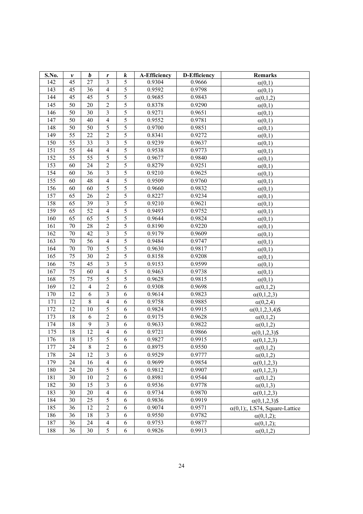| S.No. | $\pmb{\nu}$     | $\boldsymbol{b}$ | r                                               | $\boldsymbol{k}$ | <b>A-Efficiency</b> | <b>D-Efficiency</b> | <b>Remarks</b>                       |
|-------|-----------------|------------------|-------------------------------------------------|------------------|---------------------|---------------------|--------------------------------------|
| 142   | 45              | 27               | 3                                               | 5                | 0.9304              | 0.9666              | $\alpha(0,1)$                        |
| 143   | 45              | 36               | $\overline{4}$                                  | 5                | 0.9592              | 0.9798              | $\alpha(0,1)$                        |
| 144   | 45              | 45               | 5                                               | 5                | 0.9685              | 0.9843              | $\alpha(0,1,2)$                      |
| 145   | 50              | 20               | $\overline{2}$                                  | 5                | 0.8378              | 0.9290              | $\alpha(0,1)$                        |
| 146   | 50              | 30               | $\mathfrak{Z}$                                  | 5                | 0.9271              | 0.9651              | $\alpha(0,1)$                        |
| 147   | 50              | 40               | $\overline{4}$                                  | 5                | 0.9552              | 0.9781              | $\alpha(0,1)$                        |
| 148   | 50              | 50               | 5                                               | 5                | 0.9700              | 0.9851              | $\alpha(0,1)$                        |
| 149   | 55              | 22               | $\overline{2}$                                  | 5                | 0.8341              | 0.9272              | $\alpha(0,1)$                        |
| 150   | 55              | 33               | $\overline{\mathbf{3}}$                         | 5                | 0.9239              | 0.9637              | $\alpha(0,1)$                        |
| 151   | 55              | 44               | $\overline{4}$                                  | $\overline{5}$   | 0.9538              | 0.9773              | $\alpha(0,1)$                        |
| 152   | 55              | 55               | 5                                               | 5                | 0.9677              | 0.9840              | $\alpha(0,1)$                        |
| 153   | 60              | 24               | $\overline{2}$                                  | $\overline{5}$   | 0.8279              | 0.9251              | $\alpha(0,1)$                        |
| 154   | 60              | 36               | $\overline{3}$                                  | $\overline{5}$   | 0.9210              | 0.9625              | $\alpha(0,1)$                        |
| 155   | 60              | 48               | $\overline{4}$                                  | 5                | 0.9509              | 0.9760              | $\alpha(0,1)$                        |
| 156   | 60              | 60               | 5                                               | 5                | 0.9660              | 0.9832              | $\alpha(0,1)$                        |
| 157   | 65              | 26               | $\overline{c}$                                  | 5                | 0.8227              | 0.9234              | $\alpha(0,1)$                        |
| 158   | 65              | 39               | $\overline{3}$                                  | 5                | 0.9210              | 0.9621              | $\alpha(0,1)$                        |
| 159   | 65              | 52               | $\overline{4}$                                  | 5                | 0.9493              | 0.9752              | $\alpha(0,1)$                        |
| 160   | 65              | 65               | 5                                               | 5                | 0.9644              | 0.9824              | $\alpha(0,1)$                        |
| 161   | 70              | 28               | $\sqrt{2}$                                      | 5                | 0.8190              | 0.9220              | $\alpha(0,1)$                        |
| 162   | 70              | 42               | $\overline{\mathbf{3}}$                         | 5                | 0.9179              | 0.9609              | $\alpha(0,1)$                        |
| 163   | 70              | 56               | $\overline{4}$                                  | 5                | 0.9484              | 0.9747              | $\alpha(0,1)$                        |
| 164   | 70              | 70               | $\overline{5}$                                  | 5                | 0.9630              | 0.9817              | $\alpha(0,1)$                        |
| 165   | 75              | 30               | $\sqrt{2}$                                      | 5                | 0.8158              | 0.9208              | $\alpha(0,1)$                        |
| 166   | 75              | 45               | $\overline{\mathbf{3}}$                         | 5                | 0.9153              | 0.9599              | $\alpha(0,1)$                        |
| 167   | $\overline{75}$ | 60               | $\overline{4}$                                  | $\overline{5}$   | 0.9463              | 0.9738              | $\alpha(0,1)$                        |
| 168   | 75              | 75               | 5                                               | $\overline{5}$   | 0.9628              | 0.9815              | $\alpha(0,1)$                        |
| 169   | $\overline{12}$ | $\overline{4}$   | $\overline{2}$                                  | $\overline{6}$   | 0.9308              | 0.9698              | $\alpha(0,1,2)$                      |
| 170   | 12              | 6                | $\overline{\mathbf{3}}$                         | 6                | 0.9614              | 0.9823              | $\alpha(0,1,2,3)$                    |
| 171   | 12              | $\overline{8}$   | $\overline{4}$                                  | 6                | 0.9758              | 0.9885              | $\alpha(0,2,4)$                      |
| 172   | 12              | 10               | 5                                               | 6                | 0.9824              | 0.9915              | $\alpha(0,1,2,3,4)$ \$               |
| 173   | 18              | 6                | $\sqrt{2}$                                      | 6                | 0.9175              | 0.9628              | $\alpha(0,1,2)$                      |
| 174   | 18              | 9                | $\mathfrak{Z}$                                  | 6                | 0.9633              | 0.9822              | $\alpha(0,1,2)$                      |
| 175   | 18              | 12               | $\overline{4}$                                  | 6                | 0.9721              | 0.9866              | $\alpha(0,1,2,3)$ \$                 |
| 176   | 18              | 15               | 5                                               | 6                | 0.9827              | 0.9915              | $\alpha(0,1,2,3)$                    |
| 177   | 24              | 8                | $\overline{c}$                                  | 6                | 0.8975              | 0.9550              | $\alpha(0,1,2)$                      |
| 178   | 24              | 12               | $\overline{\mathbf{3}}$                         | 6                | 0.9529              | 0.9777              | $\alpha(0,1,2)$                      |
| 179   | 24              | 16               | $\overline{4}$                                  | 6                | 0.9699              | 0.9854              | $\alpha(0,1,2,3)$                    |
| 180   | 24              | 20               | 5                                               | 6                | 0.9812              | 0.9907              | $\alpha(0,1,2,3)$                    |
| 181   | 30              | 10               | $\mathfrak{2}% \left( \mathfrak{2}\right) ^{2}$ | 6                | 0.8981              | 0.9544              | $\alpha(0,1,2)$                      |
| 182   | 30              | 15               | $\overline{3}$                                  | 6                | 0.9536              | 0.9778              | $\alpha(0,1,3)$                      |
| 183   | 30              | 20               | $\overline{4}$                                  | 6                | 0.9734              | 0.9870              | $\alpha(0,1,2,3)$                    |
| 184   | 30              | 25               | 5                                               | 6                | 0.9836              | 0.9919              | $\alpha(0,1,2,3)$ \$                 |
| 185   | 36              | 12               | $\overline{2}$                                  | 6                | 0.9074              | 0.9571              | $\alpha(0,1)$ ; LS74, Square-Lattice |
| 186   | 36              | 18               | $\mathfrak{Z}$                                  | 6                | 0.9550              | 0.9782              | $\alpha(0,1,2);$                     |
| 187   | 36              | 24               | $\overline{4}$                                  | 6                | 0.9753              | 0.9877              | $\alpha(0,1,2);$                     |
| 188   | 36              | 30               | 5                                               | 6                | 0.9826              | 0.9913              | $\alpha(0,1,2)$                      |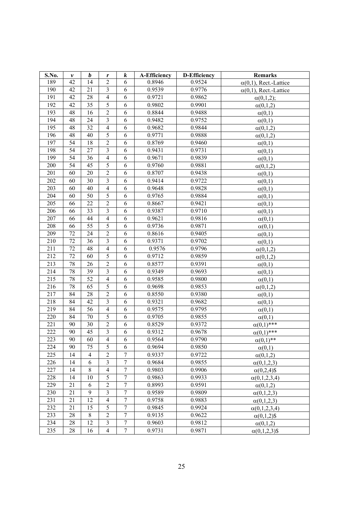| S.No. | v  | $\boldsymbol{b}$ | r                        | $\boldsymbol{k}$ | <b>A-Efficiency</b> | <b>D-Efficiency</b> | <b>Remarks</b>                |
|-------|----|------------------|--------------------------|------------------|---------------------|---------------------|-------------------------------|
| 189   | 42 | 14               | $\overline{c}$           | 6                | 0.8946              | 0.9524              | $\alpha(0,1)$ , Rect.-Lattice |
| 190   | 42 | 21               | $\mathfrak{Z}$           | 6                | 0.9539              | 0.9776              | $\alpha(0,1)$ , Rect.-Lattice |
| 191   | 42 | 28               | $\overline{\mathcal{A}}$ | 6                | 0.9721              | 0.9862              | $\alpha(0,1,2);$              |
| 192   | 42 | 35               | 5                        | 6                | 0.9802              | 0.9901              | $\alpha(0,1,2)$               |
| 193   | 48 | 16               | $\mathfrak{2}$           | 6                | 0.8844              | 0.9488              | $\alpha(0,1)$                 |
| 194   | 48 | 24               | $\overline{3}$           | 6                | 0.9482              | 0.9752              | $\alpha(0,1)$                 |
| 195   | 48 | 32               | $\overline{4}$           | 6                | 0.9682              | 0.9844              | $\alpha(0,1,2)$               |
| 196   | 48 | 40               | 5                        | 6                | 0.9771              | 0.9888              | $\alpha(0,1,2)$               |
| 197   | 54 | 18               | $\overline{c}$           | 6                | 0.8769              | 0.9460              | $\alpha(0,1)$                 |
| 198   | 54 | 27               | $\overline{\mathbf{3}}$  | 6                | 0.9431              | 0.9731              | $\alpha(0,1)$                 |
| 199   | 54 | 36               | $\overline{4}$           | 6                | 0.9671              | 0.9839              | $\alpha(0,1)$                 |
| 200   | 54 | 45               | 5                        | 6                | 0.9760              | 0.9881              | $\alpha(0,1,2)$               |
| 201   | 60 | 20               | $\overline{2}$           | 6                | 0.8707              | 0.9438              | $\alpha(0,1)$                 |
| 202   | 60 | 30               | $\overline{\mathbf{3}}$  | 6                | 0.9414              | 0.9722              | $\alpha(0,1)$                 |
| 203   | 60 | 40               | $\overline{4}$           | 6                | 0.9648              | 0.9828              | $\alpha(0,1)$                 |
| 204   | 60 | 50               | 5                        | 6                | 0.9765              | 0.9884              | $\alpha(0,1)$                 |
| 205   | 66 | 22               | $\overline{2}$           | 6                | 0.8667              | 0.9421              | $\alpha(0,1)$                 |
| 206   | 66 | 33               | $\mathfrak{Z}$           | 6                | 0.9387              | 0.9710              | $\alpha(0,1)$                 |
| 207   | 66 | 44               | $\overline{4}$           | 6                | 0.9621              | 0.9816              | $\alpha(0,1)$                 |
| 208   | 66 | 55               | 5                        | 6                | 0.9736              | 0.9871              | $\alpha(0,1)$                 |
| 209   | 72 | 24               | $\overline{2}$           | 6                | 0.8616              | 0.9405              | $\alpha(0,1)$                 |
| 210   | 72 | 36               | $\mathfrak{Z}$           | 6                | 0.9371              | 0.9702              | $\alpha(0,1)$                 |
| 211   | 72 | 48               | $\overline{4}$           | 6                | 0.9576              | 0.9796              | $\alpha(0,1,2)$               |
| 212   | 72 | 60               | 5                        | 6                | 0.9712              | 0.9859              | $\alpha(0,1,2)$               |
| 213   | 78 | 26               | $\overline{2}$           | 6                | 0.8577              | 0.9391              | $\alpha(0,1)$                 |
| 214   | 78 | 39               | $\overline{3}$           | 6                | 0.9349              | 0.9693              | $\alpha(0,1)$                 |
| 215   | 78 | 52               | $\overline{4}$           | 6                | 0.9585              | 0.9800              | $\alpha(0,1)$                 |
| 216   | 78 | 65               | $\overline{5}$           | 6                | 0.9698              | 0.9853              | $\alpha(0,1,2)$               |
| 217   | 84 | 28               | $\overline{2}$           | 6                | 0.8550              | 0.9380              | $\alpha(0,1)$                 |
| 218   | 84 | 42               | $\overline{\mathbf{3}}$  | 6                | 0.9321              | 0.9682              | $\alpha(0,1)$                 |
| 219   | 84 | 56               | $\overline{4}$           | 6                | 0.9575              | 0.9795              | $\alpha(0,1)$                 |
| 220   | 84 | 70               | 5                        | 6                | 0.9705              | 0.9855              | $\alpha(0,1)$                 |
| 221   | 90 | 30               | $\overline{2}$           | 6                | 0.8529              | 0.9372              | $\alpha(0,1)$ ***             |
| 222   | 90 | 45               | $\overline{3}$           | 6                | 0.9312              | 0.9678              | $\alpha(0,1)$ ***             |
| 223   | 90 | 60               | 4                        | 6                | 0.9564              | 0.9790              | $\alpha(0,1)$ **              |
| 224   | 90 | 75               | 5                        | 6                | 0.9694              | 0.9850              | $\alpha(0,1)$                 |
| 225   | 14 | $\overline{4}$   | $\overline{2}$           | $\overline{7}$   | 0.9337              | 0.9722              | $\alpha(0,1,2)$               |
| 226   | 14 | 6                | $\overline{3}$           | 7                | 0.9684              | 0.9855              | $\alpha(0,1,2,3)$             |
| 227   | 14 | 8                | $\overline{4}$           | $\boldsymbol{7}$ | 0.9803              | 0.9906              | $\alpha(0,2,4)$ \$            |
| 228   | 14 | 10               | 5                        | $\boldsymbol{7}$ | 0.9863              | 0.9933              | $\alpha(0,1,2,3,4)$           |
| 229   | 21 | 6                | $\overline{2}$           | $\overline{7}$   | 0.8993              | 0.9591              | $\alpha(0,1,2)$               |
| 230   | 21 | 9                | $\overline{3}$           | $\boldsymbol{7}$ | 0.9589              | 0.9809              | $\alpha(0,1,2,3)$             |
| 231   | 21 | 12               | $\overline{4}$           | $\overline{7}$   | 0.9758              | 0.9883              | $\alpha(0,1,2,3)$             |
| 232   | 21 | 15               | 5                        | $\overline{7}$   | 0.9845              | 0.9924              | $\alpha(0,1,2,3,4)$           |
| 233   | 28 | $\,8\,$          | $\overline{2}$           | $\boldsymbol{7}$ | 0.9135              | 0.9622              | $\alpha(0,1,2)$ \$            |
| 234   | 28 | 12               | $\mathfrak{Z}$           | $\boldsymbol{7}$ | 0.9603              | 0.9812              | $\alpha(0,1,2)$               |
| 235   | 28 | 16               | $\overline{4}$           | $\boldsymbol{7}$ | 0.9731              | 0.9871              | $\alpha(0,1,2,3)$ \$          |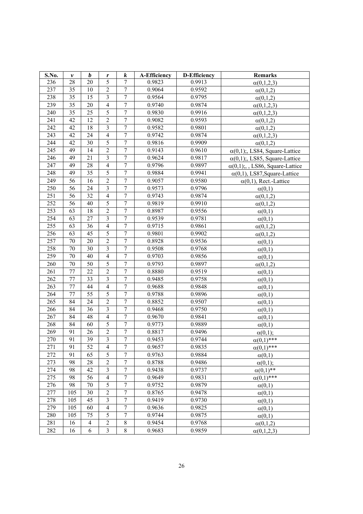| S.No. | v               | b               | r                       | $\boldsymbol{k}$ | <b>A-Efficiency</b> | <b>D-Efficiency</b> | <b>Remarks</b>                        |
|-------|-----------------|-----------------|-------------------------|------------------|---------------------|---------------------|---------------------------------------|
| 236   | 28              | 20              | 5                       | $\tau$           | 0.9823              | 0.9913              | $\alpha(0,1,2,3)$                     |
| 237   | 35              | 10              | $\sqrt{2}$              | $\tau$           | 0.9064              | 0.9592              | $\alpha(0,1,2)$                       |
| 238   | 35              | 15              | $\overline{\mathbf{3}}$ | $\overline{7}$   | 0.9564              | 0.9795              | $\alpha(0,1,2)$                       |
| 239   | 35              | 20              | $\overline{4}$          | $\boldsymbol{7}$ | 0.9740              | 0.9874              | $\alpha(0,1,2,3)$                     |
| 240   | 35              | 25              | 5                       | $\boldsymbol{7}$ | 0.9830              | 0.9916              | $\alpha(0,1,2,3)$                     |
| 241   | 42              | 12              | $\overline{2}$          | $\boldsymbol{7}$ | 0.9082              | 0.9593              | $\alpha(0,1,2)$                       |
| 242   | 42              | 18              | $\overline{3}$          | $\boldsymbol{7}$ | 0.9582              | 0.9801              | $\alpha(0,1,2)$                       |
| 243   | 42              | 24              | $\overline{4}$          | $\boldsymbol{7}$ | 0.9742              | 0.9874              | $\alpha(0,1,2,3)$                     |
| 244   | 42              | 30              | 5                       | $\boldsymbol{7}$ | 0.9816              | 0.9909              | $\alpha(0,1,2)$                       |
| 245   | 49              | 14              | $\overline{2}$          | $\boldsymbol{7}$ | 0.9143              | 0.9610              | $\alpha(0,1)$ ;, LS84, Square-Lattice |
| 246   | 49              | 21              | $\overline{\mathbf{3}}$ | $\overline{7}$   | 0.9624              | 0.9817              | $\alpha(0,1)$ ; LS85, Square-Lattice  |
| 247   | 49              | 28              | $\overline{4}$          | $\boldsymbol{7}$ | 0.9796              | 0.9897              | $\alpha(0,1)$ ;, LS86, Square-Lattice |
| 248   | 49              | 35              | 5                       | $\boldsymbol{7}$ | 0.9884              | 0.9941              | $\alpha(0,1)$ , LS87, Square-Lattice  |
| 249   | 56              | 16              | $\overline{2}$          | $\overline{7}$   | 0.9057              | 0.9580              | $\alpha(0,1)$ , Rect.-Lattice         |
| 250   | 56              | 24              | $\overline{\mathbf{3}}$ | $\overline{7}$   | 0.9573              | 0.9796              | $\alpha(0,1)$                         |
| 251   | 56              | 32              | $\overline{4}$          | $\overline{7}$   | 0.9743              | 0.9874              | $\alpha(0,1,2)$                       |
| 252   | 56              | 40              | 5                       | $\boldsymbol{7}$ | 0.9819              | 0.9910              | $\alpha(0,1,2)$                       |
| 253   | 63              | 18              | $\overline{2}$          | $\overline{7}$   | 0.8987              | 0.9556              | $\alpha(0,1)$                         |
| 254   | 63              | 27              | $\mathfrak{Z}$          | $\boldsymbol{7}$ | 0.9539              | 0.9781              | $\alpha(0,1)$                         |
| 255   | 63              | 36              | $\overline{4}$          | $\boldsymbol{7}$ | 0.9715              | 0.9861              | $\alpha(0,1,2)$                       |
| 256   | 63              | 45              | $\sqrt{5}$              | $\boldsymbol{7}$ | 0.9801              | 0.9902              | $\alpha(0,1,2)$                       |
| 257   | 70              | 20              | $\overline{2}$          | $\boldsymbol{7}$ | 0.8928              | 0.9536              | $\alpha(0,1)$                         |
| 258   | $70\,$          | 30              | $\mathfrak{Z}$          | $\boldsymbol{7}$ | 0.9508              | 0.9768              | $\alpha(0,1)$                         |
| 259   | 70              | 40              | $\overline{4}$          | $\boldsymbol{7}$ | 0.9703              | 0.9856              | $\alpha(0,1)$                         |
| 260   | 70              | 50              | 5                       | $\boldsymbol{7}$ | 0.9793              | 0.9897              | $\alpha(0,1,2)$                       |
| 261   | 77              | 22              | $\overline{2}$          | $\boldsymbol{7}$ | 0.8880              | 0.9519              | $\alpha(0,1)$                         |
| 262   | $\overline{77}$ | $\overline{33}$ | $\overline{\mathbf{3}}$ | $\overline{7}$   | 0.9485              | 0.9758              | $\alpha(0,1)$                         |
| 263   | 77              | 44              | $\overline{4}$          | $\boldsymbol{7}$ | 0.9688              | 0.9848              | $\alpha(0,1)$                         |
| 264   | 77              | 55              | $\overline{5}$          | $\overline{7}$   | 0.9788              | 0.9896              | $\alpha(0,1)$                         |
| 265   | 84              | 24              | $\overline{2}$          | $\overline{7}$   | 0.8852              | 0.9507              | $\alpha(0,1)$                         |
| 266   | 84              | 36              | $\overline{3}$          | $\overline{7}$   | 0.9468              | 0.9750              | $\alpha(0,1)$                         |
| 267   | 84              | 48              | $\overline{4}$          | $\boldsymbol{7}$ | 0.9670              | 0.9841              | $\alpha(0,1)$                         |
| 268   | 84              | 60              | $\overline{5}$          | $\boldsymbol{7}$ | 0.9773              | 0.9889              | $\alpha(0,1)$                         |
| 269   | 91              | 26              | $\overline{2}$          | $\boldsymbol{7}$ | 0.8817              | 0.9496              | $\alpha(0,1)$ ;                       |
| 270   | 91              | 39              | $\overline{3}$          | $\boldsymbol{7}$ | 0.9453              | 0.9744              | $\alpha(0,1)$ ***                     |
| 271   | 91              | 52              | 4                       | 7                | 0.9657              | 0.9835              | $\alpha(0,1)$ ***                     |
| 272   | 91              | 65              | $\overline{5}$          | $\overline{7}$   | 0.9763              | 0.9884              | $\alpha(0,1)$                         |
| 273   | 98              | 28              | $\overline{2}$          | $\boldsymbol{7}$ | 0.8788              | 0.9486              | $\alpha(0,1);$                        |
| 274   | 98              | 42              | $\mathfrak{Z}$          | $\boldsymbol{7}$ | 0.9438              | 0.9737              | $\alpha(0,1)$ **                      |
| 275   | 98              | 56              | $\overline{4}$          | $\overline{7}$   | 0.9649              | 0.9831              | $\alpha(0,1)$ ***                     |
| 276   | 98              | 70              | $\sqrt{5}$              | $\boldsymbol{7}$ | 0.9752              | 0.9879              | $\alpha(0,1)$                         |
| 277   | 105             | 30              | $\overline{2}$          | $\overline{7}$   | 0.8765              | 0.9478              | $\alpha(0,1)$                         |
| 278   | 105             | 45              | $\mathfrak{Z}$          | $\boldsymbol{7}$ | 0.9419              | 0.9730              | $\alpha(0,1)$                         |
| 279   | 105             | 60              | $\overline{4}$          | $\overline{7}$   | 0.9636              | 0.9825              | $\alpha(0,1)$                         |
| 280   | 105             | 75              | $\sqrt{5}$              | $\boldsymbol{7}$ | 0.9744              | 0.9875              | $\alpha(0,1)$                         |
| 281   | 16              | $\overline{4}$  | $\sqrt{2}$              | $\,8\,$          | 0.9454              | 0.9768              | $\alpha(0,1,2)$                       |
| 282   | 16              | 6               | $\overline{3}$          | $8\,$            | 0.9683              | 0.9859              | $\alpha(0,1,2,3)$                     |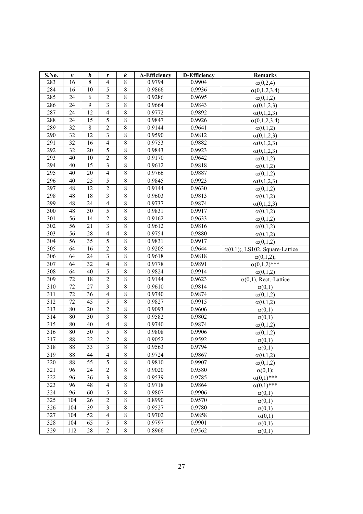| S.No. | v               | $\boldsymbol{b}$ | r                       | $\boldsymbol{k}$ | <b>A-Efficiency</b> | <b>D-Efficiency</b> | <b>Remarks</b>                         |
|-------|-----------------|------------------|-------------------------|------------------|---------------------|---------------------|----------------------------------------|
| 283   | 16              | $\overline{8}$   | $\overline{4}$          | 8                | 0.9794              | 0.9904              | $\alpha(0,2,4)$                        |
| 284   | 16              | 10               | 5                       | 8                | 0.9866              | 0.9936              | $\alpha(0,1,2,3,4)$                    |
| 285   | 24              | 6                | $\overline{2}$          | $\overline{8}$   | 0.9286              | 0.9695              | $\alpha(0,1,2)$                        |
| 286   | 24              | 9                | $\mathfrak{Z}$          | 8                | 0.9664              | 0.9843              | $\alpha(0,1,2,3)$                      |
| 287   | 24              | 12               | $\overline{4}$          | 8                | 0.9772              | 0.9892              | $\alpha(0,1,2,3)$                      |
| 288   | 24              | 15               | 5                       | $8\,$            | 0.9847              | 0.9926              | $\alpha(0,1,2,3,4)$                    |
| 289   | 32              | $8\,$            | $\overline{2}$          | $\,8\,$          | 0.9144              | 0.9641              | $\alpha(0,1,2)$                        |
| 290   | 32              | 12               | $\mathfrak{Z}$          | $\,$ 8 $\,$      | 0.9590              | 0.9812              | $\alpha(0,1,2,3)$                      |
| 291   | 32              | 16               | $\overline{4}$          | 8                | 0.9753              | 0.9882              | $\alpha(0,1,2,3)$                      |
| 292   | 32              | 20               | 5                       | 8                | 0.9843              | 0.9923              | $\alpha(0,1,2,3)$                      |
| 293   | 40              | 10               | $\overline{2}$          | 8                | 0.9170              | 0.9642              | $\alpha(0,1,2)$                        |
| 294   | 40              | 15               | $\overline{3}$          | 8                | 0.9612              | 0.9818              | $\alpha(0,1,2)$                        |
| 295   | 40              | 20               | $\overline{4}$          | 8                | 0.9766              | 0.9887              | $\alpha(0,1,2)$                        |
| 296   | 40              | 25               | 5                       | $\overline{8}$   | 0.9845              | 0.9923              | $\alpha(0,1,2,3)$                      |
| 297   | 48              | 12               | $\overline{2}$          | $\overline{8}$   | 0.9144              | 0.9630              | $\alpha(0,1,2)$                        |
| 298   | 48              | 18               | $\overline{3}$          | 8                | 0.9603              | 0.9813              | $\alpha(0,1,2)$                        |
| 299   | 48              | 24               | $\overline{4}$          | 8                | 0.9737              | 0.9874              | $\alpha(0,1,2,3)$                      |
| 300   | 48              | 30               | 5                       | $\overline{8}$   | 0.9831              | 0.9917              | $\alpha(0,1,2)$                        |
| 301   | 56              | 14               | $\sqrt{2}$              | 8                | 0.9162              | 0.9633              | $\alpha(0,1,2)$                        |
| 302   | 56              | 21               | $\mathfrak{Z}$          | 8                | 0.9612              | 0.9816              | $\alpha(0,1,2)$                        |
| 303   | 56              | 28               | $\overline{4}$          | $8\,$            | 0.9754              | 0.9880              | $\alpha(0,1,2)$                        |
| 304   | 56              | 35               | $\overline{5}$          | $\,8\,$          | 0.9831              | 0.9917              | $\alpha(0,1,2)$                        |
| 305   | 64              | 16               | $\boldsymbol{2}$        | 8                | 0.9205              | 0.9644              | $\alpha(0,1)$ ;, LS102, Square-Lattice |
| 306   | 64              | 24               | $\mathfrak{Z}$          | 8                | 0.9618              | 0.9818              | $\alpha(0,1,2);$                       |
| 307   | 64              | 32               | $\overline{4}$          | 8                | 0.9778              | 0.9891              | $\alpha(0,1,2)$ ***                    |
| 308   | 64              | 40               | 5                       | 8                | 0.9824              | 0.9914              | $\alpha(0,1,2)$                        |
| 309   | $\overline{72}$ | 18               | $\overline{2}$          | $\overline{8}$   | 0.9144              | 0.9623              | $\alpha(0,1)$ , Rect.-Lattice          |
| 310   | 72              | 27               | $\overline{3}$          | 8                | 0.9610              | 0.9814              | $\alpha(0,1)$                          |
| 311   | $\overline{72}$ | 36               | $\overline{4}$          | $\overline{8}$   | 0.9740              | 0.9874              | $\alpha(0,1,2)$                        |
| 312   | 72              | 45               | $\overline{5}$          | $\overline{8}$   | 0.9827              | 0.9915              | $\alpha(0,1,2)$                        |
| 313   | 80              | 20               | $\overline{2}$          | $\overline{8}$   | 0.9093              | 0.9606              | $\alpha(0,1)$                          |
| 314   | 80              | 30               | $\mathfrak{Z}$          | 8                | 0.9582              | 0.9802              | $\alpha(0,1)$                          |
| 315   | 80              | 40               | $\overline{4}$          | 8                | 0.9740              | 0.9874              | $\alpha(0,1,2)$                        |
| 316   | 80              | 50               | 5                       | 8                | 0.9808              | 0.9906              | $\alpha(0,1,2)$                        |
| 317   | 88              | 22               | $\overline{2}$          | 8                | 0.9052              | 0.9592              | $\alpha(0,1)$                          |
| 318   | 88              | 33               | 3                       | 8                | 0.9563              | 0.9794              | $\alpha(0,1)$                          |
| 319   | 88              | 44               | $\overline{4}$          | 8                | 0.9724              | 0.9867              | $\alpha(0,1,2)$                        |
| 320   | 88              | 55               | $\overline{5}$          | 8                | 0.9810              | 0.9907              | $\alpha(0,1,2)$                        |
| 321   | 96              | 24               | $\overline{2}$          | 8                | 0.9020              | 0.9580              | $\alpha(0,1);$                         |
| 322   | 96              | 36               | $\overline{3}$          | $\overline{8}$   | 0.9539              | 0.9785              | $\alpha(0,1)$ ***                      |
| 323   | 96              | 48               | $\overline{4}$          | 8                | 0.9718              | 0.9864              | $\alpha(0,1)$ ***                      |
| 324   | 96              | 60               | $\overline{5}$          | $\overline{8}$   | 0.9807              | 0.9906              | $\alpha(0,1)$                          |
| 325   | 104             | 26               | $\mathfrak{2}$          | 8                | 0.8990              | 0.9570              | $\alpha(0,1)$                          |
| 326   | 104             | 39               | $\overline{\mathbf{3}}$ | $\overline{8}$   | 0.9527              | 0.9780              | $\alpha(0,1)$                          |
| 327   | 104             | 52               | $\overline{4}$          | 8                | 0.9702              | 0.9858              | $\alpha(0,1)$                          |
| 328   | 104             | 65               | 5                       | 8                | 0.9797              | 0.9901              | $\alpha(0,1)$                          |
| 329   | 112             | 28               | $\overline{2}$          | 8                | 0.8966              | 0.9562              | $\alpha(0,1)$                          |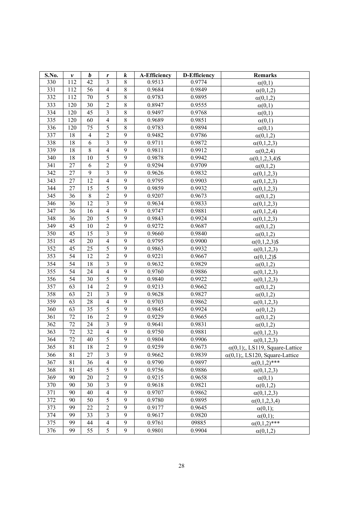| S.No. | $\boldsymbol{\nu}$ | $\boldsymbol{b}$ | $\pmb{r}$               | $\boldsymbol{k}$ | <b>A-Efficiency</b> | <b>D-Efficiency</b> | <b>Remarks</b>                         |
|-------|--------------------|------------------|-------------------------|------------------|---------------------|---------------------|----------------------------------------|
| 330   | 112                | 42               | 3                       | 8                | 0.9513              | 0.9774              | $\alpha(0,1)$                          |
| 331   | 112                | 56               | $\overline{4}$          | $8\,$            | 0.9684              | 0.9849              | $\alpha(0,1,2)$                        |
| 332   | 112                | 70               | $\sqrt{5}$              | $\,$ 8 $\,$      | 0.9783              | 0.9895              | $\alpha(0,1,2)$                        |
| 333   | 120                | 30               | $\overline{2}$          | $8\,$            | 0.8947              | 0.9555              | $\alpha(0,1)$                          |
| 334   | 120                | 45               | $\mathfrak{Z}$          | $\,$ 8 $\,$      | 0.9497              | 0.9768              | $\alpha(0,1)$                          |
| 335   | 120                | 60               | $\overline{4}$          | $8\,$            | 0.9689              | 0.9851              | $\alpha(0,1)$                          |
| 336   | 120                | 75               | $\overline{5}$          | $\,8\,$          | 0.9783              | 0.9894              | $\alpha(0,1)$                          |
| 337   | 18                 | $\overline{4}$   | $\overline{2}$          | 9                | 0.9482              | 0.9786              | $\alpha(0,1,2)$                        |
| 338   | 18                 | 6                | $\overline{3}$          | 9                | 0.9711              | 0.9872              | $\alpha(0,1,2,3)$                      |
| 339   | 18                 | 8                | $\overline{4}$          | 9                | 0.9811              | 0.9912              | $\alpha(0,2,4)$                        |
| 340   | 18                 | 10               | 5                       | 9                | 0.9878              | 0.9942              | $\alpha(0,1,2,3,4)$ \$                 |
| 341   | 27                 | 6                | $\overline{2}$          | 9                | 0.9294              | 0.9709              | $\alpha(0,1,2)$                        |
| 342   | 27                 | 9                | $\overline{3}$          | $\overline{9}$   | 0.9626              | 0.9832              | $\alpha(0,1,2,3)$                      |
| 343   | 27                 | 12               | $\overline{4}$          | 9                | 0.9795              | 0.9903              | $\alpha(0,1,2,3)$                      |
| 344   | 27                 | 15               | $\overline{5}$          | $\mathbf{9}$     | 0.9859              | 0.9932              | $\alpha(0,1,2,3)$                      |
| 345   | 36                 | 8                | $\sqrt{2}$              | 9                | 0.9207              | 0.9673              | $\alpha(0,1,2)$                        |
| 346   | 36                 | 12               | $\overline{3}$          | $\overline{9}$   | 0.9634              | 0.9833              | $\alpha(0,1,2,3)$                      |
| 347   | 36                 | 16               | $\overline{4}$          | 9                | 0.9747              | 0.9881              | $\alpha(0,1,2,4)$                      |
| 348   | 36                 | 20               | 5                       | $\overline{9}$   | 0.9843              | 0.9924              | $\alpha(0,1,2,3)$                      |
| 349   | 45                 | 10               | $\overline{2}$          | 9                | 0.9272              | 0.9687              | $\alpha(0,1,2)$                        |
| 350   | 45                 | 15               | $\mathfrak{Z}$          | 9                | 0.9660              | 0.9840              | $\alpha(0,1,2)$                        |
| 351   | 45                 | 20               | $\overline{4}$          | 9                | 0.9795              | 0.9900              | $\alpha(0,1,2,3)$ \$                   |
| 352   | 45                 | 25               | $\overline{5}$          | 9                | 0.9863              | 0.9932              | $\alpha(0,1,2,3)$                      |
| 353   | 54                 | 12               | $\overline{2}$          | 9                | 0.9221              | 0.9667              | $\alpha(0,1,2)$ \$                     |
| 354   | 54                 | 18               | $\overline{\mathbf{3}}$ | 9                | 0.9632              | 0.9829              | $\alpha(0,1,2)$                        |
| 355   | $\overline{54}$    | 24               | $\overline{4}$          | $\overline{9}$   | 0.9760              | 0.9886              | $\alpha(0,1,2,3)$                      |
| 356   | 54                 | 30               | 5                       | 9                | 0.9840              | 0.9922              | $\alpha(0,1,2,3)$                      |
| 357   | 63                 | 14               | $\overline{2}$          | $\overline{9}$   | 0.9213              | 0.9662              | $\alpha(0,1,2)$                        |
| 358   | 63                 | 21               | $\overline{\mathbf{3}}$ | $\overline{9}$   | 0.9628              | 0.9827              | $\alpha(0,1,2)$                        |
| 359   | 63                 | 28               | $\overline{4}$          | 9                | 0.9703              | 0.9862              | $\alpha(0,1,2,3)$                      |
| 360   | 63                 | 35               | 5                       | 9                | 0.9845              | 0.9924              | $\alpha(0,1,2)$                        |
| 361   | 72                 | 16               | $\sqrt{2}$              | 9                | 0.9229              | 0.9665              | $\alpha(0,1,2)$                        |
| 362   | 72                 | 24               | $\mathfrak{Z}$          | 9                | 0.9641              | 0.9831              | $\alpha(0,1,2)$                        |
| 363   | 72                 | 32               | $\overline{4}$          | 9                | 0.9750              | 0.9881              | $\alpha(0,1,2,3)$                      |
| 364   | 72                 | 40               | 5                       | 9                | 0.9804              | 0.9906              | $\alpha(0,1,2,3)$                      |
| 365   | 81                 | 18               | $\mathfrak{2}$          | 9                | 0.9259              | 0.9673              | $\alpha(0,1)$ ;, LS119, Square-Lattice |
| 366   | 81                 | 27               | $\overline{3}$          | 9                | 0.9662              | 0.9839              | $\alpha(0,1)$ ;, LS120, Square-Lattice |
| 367   | 81                 | 36               | $\overline{4}$          | 9                | 0.9790              | 0.9897              | $\alpha(0,1,2)$ ***                    |
| 368   | 81                 | 45               | 5                       | 9                | 0.9756              | 0.9886              | $\alpha(0,1,2,3)$                      |
| 369   | 90                 | 20               | $\overline{2}$          | 9                | 0.9215              | 0.9658              | $\alpha(0,1)$                          |
| 370   | 90                 | 30               | $\overline{\mathbf{3}}$ | $\overline{9}$   | 0.9618              | 0.9821              | $\alpha(0,1,2)$                        |
| 371   | 90                 | 40               | $\overline{4}$          | 9                | 0.9707              | 0.9862              | $\alpha(0,1,2,3)$                      |
| 372   | 90                 | 50               | $\overline{5}$          | $\overline{9}$   | 0.9780              | 0.9895              | $\alpha(0,1,2,3,4)$                    |
| 373   | 99                 | 22               | $\overline{2}$          | $\overline{9}$   | 0.9177              | 0.9645              | $\alpha(0,1);$                         |
| 374   | 99                 | 33               | $\mathfrak{Z}$          | 9                | 0.9617              | 0.9820              | $\alpha(0,1);$                         |
| 375   | 99                 | 44               | $\overline{4}$          | 9                | 0.9761              | 09885               | $\alpha(0,1,2)$ ***                    |
| 376   | 99                 | 55               | 5                       | $\mathbf{9}$     | 0.9801              | 0.9904              | $\alpha(0,1,2)$                        |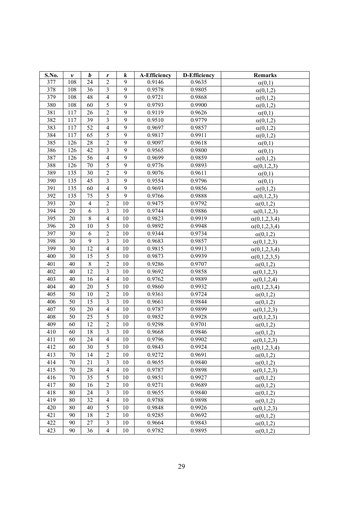| S.No. | $\pmb{\nu}$ | $\boldsymbol{b}$        | $\pmb{r}$               | $\boldsymbol{k}$ | <b>A-Efficiency</b> | <b>D-Efficiency</b> | <b>Remarks</b>      |
|-------|-------------|-------------------------|-------------------------|------------------|---------------------|---------------------|---------------------|
| 377   | 108         | 24                      | $\overline{c}$          | 9                | 0.9146              | 0.9635              | $\alpha(0,1)$       |
| 378   | 108         | 36                      | $\overline{3}$          | $\overline{9}$   | 0.9578              | 0.9805              | $\alpha(0,1,2)$     |
| 379   | 108         | 48                      | $\overline{4}$          | 9                | 0.9721              | 0.9868              | $\alpha(0,1,2)$     |
| 380   | 108         | 60                      | 5                       | $\overline{9}$   | 0.9793              | 0.9900              | $\alpha(0,1,2)$     |
| 381   | 117         | 26                      | $\overline{c}$          | 9                | 0.9119              | 0.9626              | $\alpha(0,1)$       |
| 382   | 117         | 39                      | $\overline{\mathbf{3}}$ | 9                | 0.9510              | 0.9779              | $\alpha(0,1,2)$     |
| 383   | 117         | 52                      | $\overline{4}$          | 9                | 0.9697              | 0.9857              | $\alpha(0,1,2)$     |
| 384   | 117         | 65                      | $\overline{5}$          | 9                | 0.9817              | 0.9911              | $\alpha(0,1,2)$     |
| 385   | 126         | 28                      | $\overline{2}$          | 9                | 0.9097              | 0.9618              | $\alpha(0,1)$       |
| 386   | 126         | 42                      | $\overline{\mathbf{3}}$ | 9                | 0.9565              | 0.9800              | $\alpha(0,1)$       |
| 387   | 126         | 56                      | $\overline{4}$          | 9                | 0.9699              | 0.9859              | $\alpha(0,1,2)$     |
| 388   | 126         | 70                      | 5                       | 9                | 0.9776              | 0.9893              | $\alpha(0,1,2,3)$   |
| 389   | 135         | 30                      | $\overline{2}$          | $\overline{9}$   | 0.9076              | 0.9611              | $\alpha(0,1)$       |
| 390   | 135         | 45                      | $\overline{3}$          | $\overline{9}$   | 0.9554              | 0.9796              | $\alpha(0,1)$       |
| 391   | 135         | 60                      | $\overline{4}$          | 9                | 0.9693              | 0.9856              | $\alpha(0,1,2)$     |
| 392   | 135         | 75                      | 5                       | 9                | 0.9766              | 0.9888              | $\alpha(0,1,2,3)$   |
| 393   | 20          | $\overline{\mathbf{4}}$ | $\overline{2}$          | 10               | 0.9475              | 0.9792              | $\alpha(0,1,2)$     |
| 394   | 20          | 6                       | $\mathfrak{Z}$          | 10               | 0.9744              | 0.9886              | $\alpha(0,1,2,3)$   |
| 395   | 20          | $\,8\,$                 | $\overline{4}$          | 10               | 0.9823              | 0.9919              | $\alpha(0,1,2,3,4)$ |
| 396   | 20          | 10                      | 5                       | 10               | 0.9892              | 0.9948              | $\alpha(0,1,2,3,4)$ |
| 397   | 30          | 6                       | $\overline{2}$          | 10               | 0.9344              | 0.9734              | $\alpha(0,1,2)$     |
| 398   | 30          | 9                       | $\mathfrak{Z}$          | 10               | 0.9683              | 0.9857              | $\alpha(0,1,2,3)$   |
| 399   | 30          | 12                      | $\overline{4}$          | 10               | 0.9815              | 0.9913              | $\alpha(0,1,2,3,4)$ |
| 400   | 30          | 15                      | 5                       | 10               | 0.9873              | 0.9939              | $\alpha(0,1,2,3,5)$ |
| 401   | 40          | 8                       | $\overline{2}$          | 10               | 0.9286              | 0.9707              | $\alpha(0,1,2)$     |
| 402   | 40          | $\overline{12}$         | $\overline{3}$          | 10               | 0.9692              | 0.9858              | $\alpha(0,1,2,3)$   |
| 403   | 40          | 16                      | $\overline{4}$          | 10               | 0.9762              | 0.9889              | $\alpha(0,1,2,4)$   |
| 404   | 40          | 20                      | 5                       | 10               | 0.9860              | 0.9932              | $\alpha(0,1,2,3,4)$ |
| 405   | 50          | 10                      | $\overline{2}$          | 10               | 0.9361              | 0.9724              | $\alpha(0,1,2)$     |
| 406   | 50          | 15                      | $\overline{3}$          | 10               | 0.9661              | 0.9844              | $\alpha(0,1,2)$     |
| 407   | 50          | 20                      | $\overline{4}$          | 10               | 0.9787              | 0.9899              | $\alpha(0,1,2,3)$   |
| 408   | 50          | 25                      | 5                       | 10               | 0.9852              | 0.9928              | $\alpha(0,1,2,3)$   |
| 409   | 60          | 12                      | $\mathfrak{2}$          | 10               | 0.9298              | 0.9701              | $\alpha(0,1,2)$     |
| 410   | 60          | 18                      | $\overline{3}$          | 10               | 0.9668              | 0.9846              | $\alpha(0,1,2)$     |
| 411   | 60          | 24                      | $\overline{4}$          | 10               | 0.9796              | 0.9902              | $\alpha(0,1,2,3)$   |
| 412   | 60          | 30                      | 5                       | 10               | 0.9843              | 0.9924              | $\alpha(0,1,2,3,4)$ |
| 413   | 70          | 14                      | $\overline{2}$          | 10               | 0.9272              | 0.9691              | $\alpha(0,1,2)$     |
| 414   | 70          | 21                      | $\mathfrak{Z}$          | 10               | 0.9655              | 0.9840              | $\alpha(0,1,2)$     |
| 415   | 70          | 28                      | $\overline{4}$          | 10               | 0.9787              | 0.9898              | $\alpha(0,1,2,3)$   |
| 416   | 70          | 35                      | 5                       | 10               | 0.9851              | 0.9927              | $\alpha(0,1,2)$     |
| 417   | 80          | 16                      | $\overline{2}$          | 10               | 0.9271              | 0.9689              | $\alpha(0,1,2)$     |
| 418   | 80          | 24                      | $\mathfrak{Z}$          | 10               | 0.9655              | 0.9840              | $\alpha(0,1,2)$     |
| 419   | 80          | 32                      | $\overline{4}$          | 10               | 0.9788              | 0.9898              | $\alpha(0,1,2)$     |
| 420   | 80          | 40                      | 5                       | 10               | 0.9848              | 0.9926              | $\alpha(0,1,2,3)$   |
| 421   | 90          | 18                      | $\sqrt{2}$              | 10               | 0.9285              | 0.9692              | $\alpha(0,1,2)$     |
| 422   | 90          | 27                      | 3                       | 10               | 0.9664              | 0.9843              | $\alpha(0,1,2)$     |
| 423   | 90          | 36                      | $\overline{4}$          | 10               | 0.9782              | 0.9895              | $\alpha(0,1,2)$     |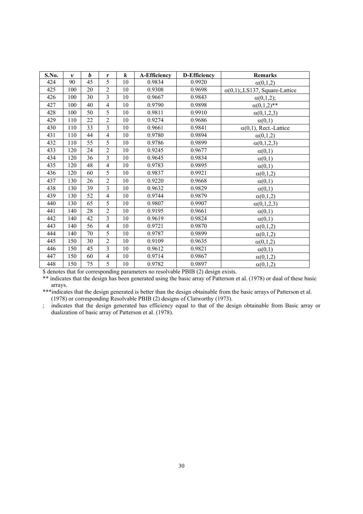| S.No. | $\boldsymbol{v}$ | $\bm{b}$ | $\boldsymbol{r}$        | $\boldsymbol{k}$ | <b>A-Efficiency</b> | <b>D-Efficiency</b> | <b>Remarks</b>                        |
|-------|------------------|----------|-------------------------|------------------|---------------------|---------------------|---------------------------------------|
| 424   | 90               | 45       | $\overline{5}$          | 10               | 0.9834              | 0.9920              | $\alpha(0,1,2)$                       |
| 425   | 100              | 20       | $\overline{2}$          | 10               | 0.9308              | 0.9698              | $\alpha(0,1)$ ; LS137, Square-Lattice |
| 426   | 100              | 30       | $\overline{3}$          | 10               | 0.9667              | 0.9843              | $\alpha(0,1,2);$                      |
| 427   | 100              | 40       | $\overline{4}$          | 10               | 0.9790              | 0.9898              | $\alpha(0,1,2)$ **                    |
| 428   | 100              | 50       | 5                       | 10               | 0.9811              | 0.9910              | $\alpha(0,1,2,3)$                     |
| 429   | 110              | 22       | $\overline{2}$          | 10               | 0.9274              | 0.9686              | $\alpha(0,1)$                         |
| 430   | 110              | 33       | 3                       | 10               | 0.9661              | 0.9841              | $\alpha(0,1)$ , Rect.-Lattice         |
| 431   | 110              | 44       | $\overline{4}$          | 10               | 0.9780              | 0.9894              | $\alpha(0,1,2)$                       |
| 432   | 110              | 55       | 5                       | 10               | 0.9786              | 0.9899              | $\alpha(0,1,2,3)$                     |
| 433   | 120              | 24       | $\overline{2}$          | 10               | 0.9245              | 0.9677              | $\alpha(0,1)$                         |
| 434   | 120              | 36       | $\overline{\mathbf{3}}$ | 10               | 0.9645              | 0.9834              | $\alpha(0,1)$                         |
| 435   | 120              | 48       | $\overline{4}$          | 10               | 0.9783              | 0.9895              | $\alpha(0,1)$                         |
| 436   | 120              | 60       | 5                       | 10               | 0.9837              | 0.9921              | $\alpha(0,1,2)$                       |
| 437   | 130              | 26       | $\overline{2}$          | 10               | 0.9220              | 0.9668              | $\alpha(0,1)$                         |
| 438   | 130              | 39       | $\overline{\mathbf{3}}$ | 10               | 0.9632              | 0.9829              | $\alpha(0,1)$                         |
| 439   | 130              | 52       | $\overline{4}$          | 10               | 0.9744              | 0.9879              | $\alpha(0,1,2)$                       |
| 440   | 130              | 65       | 5                       | 10               | 0.9807              | 0.9907              | $\alpha(0,1,2,3)$                     |
| 441   | 140              | 28       | $\overline{2}$          | 10               | 0.9195              | 0.9661              | $\alpha(0,1)$                         |
| 442   | 140              | 42       | $\overline{3}$          | 10               | 0.9619              | 0.9824              | $\alpha(0,1)$                         |
| 443   | 140              | 56       | $\overline{4}$          | 10               | 0.9721              | 0.9870              | $\alpha(0,1,2)$                       |
| 444   | 140              | 70       | 5                       | 10               | 0.9787              | 0.9899              | $\alpha(0,1,2)$                       |
| 445   | 150              | 30       | $\overline{2}$          | 10               | 0.9109              | 0.9635              | $\alpha(0,1,2)$                       |
| 446   | 150              | 45       | $\overline{3}$          | 10               | 0.9612              | 0.9821              | $\alpha(0,1)$                         |
| 447   | 150              | 60       | $\overline{4}$          | 10               | 0.9714              | 0.9867              | $\alpha(0,1,2)$                       |
| 448   | 150              | 75       | 5                       | 10               | 0.9782              | 0.9897              | $\alpha(0,1,2)$                       |

\$ denotes that for corresponding parameters no resolvable PBIB (2) design exists.

\*\* indicates that the design has been generated using the basic array of Patterson et al. (1978) or dual of these basic arrays.

\*\*\*indicates that the design generated is better than the design obtainable from the basic arrays of Patterson et al. (1978) or corresponding Resolvable PBIB (2) designs of Clatworthy (1973).

; indicates that the design generated has efficiency equal to that of the design obtainable from Basic array or dualization of basic array of Patterson et al. (1978).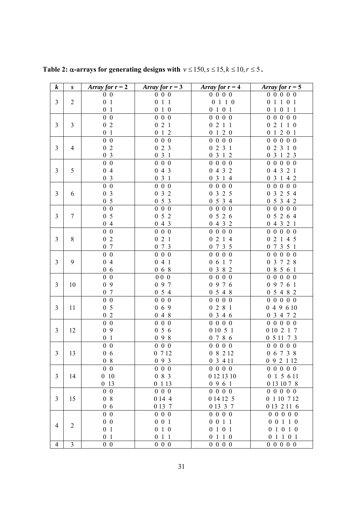| $\boldsymbol{k}$         | S                       | Array for $r = 2$ | Array for $r = 3$  | Array for $r = 4$                  | Array for $r = 5$            |
|--------------------------|-------------------------|-------------------|--------------------|------------------------------------|------------------------------|
|                          |                         | 0 <sub>0</sub>    | $0\ 0\ 0$          | $0\; 0\; 0\; 0$                    | 0 0 0 0 0                    |
| 3                        | $\overline{2}$          | 0 <sub>1</sub>    | 011                | 0 1 1 0                            | 0 1 1 0 1                    |
|                          |                         | 0 <sub>1</sub>    | 0 1 0              | 0101                               | 0 1 0 1 1                    |
|                          |                         | $0\quad 0$        | $0\ 0\ 0$          | 0 0 0 0                            | $0\quad 0\quad 0$<br>$0\,0$  |
| 3                        | $\overline{3}$          | 02                | 021                | 0211                               | 02110                        |
|                          |                         | 0 <sub>1</sub>    | 012                | 0120                               | 0 1 2 0 1                    |
|                          |                         | $0\quad 0$        | $0\quad 0\quad 0$  | 0 0 0 0                            | 0 0 0 0 0                    |
| $\mathfrak{Z}$           | 4                       | 0 <sub>2</sub>    | 023                | 023<br>- 1                         | 023<br>1 0                   |
|                          |                         | 0 <sub>3</sub>    | 031                | 031<br>$\overline{2}$              | 0 3 1 2 3                    |
|                          |                         | $0\,0$            | $0\ 0\ 0$          | 0 0 0 0                            | 0 0 0 0 0                    |
| 3                        | 5                       | 04                | 043                | 0 4 3 2                            | 0 4 3 2 1                    |
|                          |                         | 0 <sub>3</sub>    | 031                | 0 3 1 4                            | 0 3 1 4 2                    |
|                          |                         | $0\quad 0$        | $\overline{0}$ 0 0 | 0 0 0 0                            | 0 0 0 0 0                    |
| 3                        | 6                       | 0 <sub>3</sub>    | 032                | 0 3 2 5                            | 0 3 2 5 4                    |
|                          |                         | 0 <sub>5</sub>    | 053                | 0 5 3 4                            | 05342                        |
|                          |                         | $0\,0$            | $0\ 0\ 0$          | $\mathbf{0}$<br>$0\,0$<br>$\theta$ | $0\,0$<br>$0\,0$<br>$\theta$ |
| 3                        | $\overline{7}$          | 0 <sub>5</sub>    | 052                | 0526                               | 05264                        |
|                          |                         | 04                | 043                | 0432                               | 04321                        |
|                          |                         | $0\,0$            | $0\ 0\ 0$          | 0 0 0 0                            | 0 0 0 0 0                    |
| $\overline{3}$           | 8                       | 0 <sub>2</sub>    | 021                | 0214                               | 02145                        |
|                          |                         | 0 7               | 073                | 0735                               | 07351                        |
|                          |                         | $0\,0$            | $0\quad 0\quad 0$  | $0\,0$<br>0 <sub>0</sub>           | 0 0 0 0 0                    |
| 3                        | 9                       | 04                | 041                | $0\t0\t1$<br>-7                    | 0 3 7 2 8                    |
|                          |                         | 06                | 068                | 0 3 8 2                            | 0 8 5 6 1                    |
|                          |                         | $0\,0$            | 000                | 0 0 0 0                            | 0 0 0 0 0                    |
| 3                        | 10                      | 09                | 097                | 0976                               | 0 9 7 6 1                    |
|                          |                         | 0 7               | 054                | 0548                               | 0 5 4 8 2                    |
|                          |                         | $0\quad 0$        | $0\quad 0\quad 0$  | $0\quad 0$<br>$0\,0$               | 0 0 0 0 0                    |
| 3                        | 11                      | 0 <sub>5</sub>    | 069                | 0281                               | 049610                       |
|                          |                         | 0 <sub>2</sub>    | 048                | 0346                               | 0 3 4 7 2                    |
|                          |                         | $\overline{0}$ 0  | $0\ 0\ 0$          | 0 0 0 0                            | 0 0 0 0 0                    |
| 3                        | 12                      | 09                | 056                | 0 10 5 1                           | 0 10 2 1 7                   |
|                          |                         | 0 <sub>1</sub>    | 098                | 0 7 8 6                            | 0 5 11 7 3                   |
|                          |                         | $0\quad 0$        | $0\ 0\ 0$          | $0\ 0\ 0\ 0$                       | 0 0 0 0 0                    |
| $\mathfrak{Z}$           | 13                      | 06                | 0 7 1 2            | 0 8 2 12                           | 0 6 7 3 8                    |
|                          |                         | 08                | 093                | 0 3 4 1 1                          | 0 9 2 1 12                   |
|                          |                         | $0\,0$            | $0\quad 0\quad 0$  | 0 0 0 0                            | 0 0 0 0 0                    |
| 3                        | 14                      | 010               | 0 8 3              | 0 12 13 10                         | 0 1 5 6 11                   |
|                          |                         | 0 13              | 0 1 1 3            | 0961                               | 0 13 10 7 8                  |
|                          |                         | $0\,0$            | $0\ 0\ 0$          | $0\; 0\; 0\; 0$                    | 0 0 0 0 0                    |
| 3                        | 15                      | 08                | 0 14 4             | 0 14 12 5                          | 0 1 10 7 12                  |
|                          |                         | 06                | 0 13 7             | 0 13 3 7                           | 0 13 2 11 6                  |
|                          |                         | $0\quad 0$        | $0\ 0\ 0$          | 0 0 0 0                            | 0 0 0 0 0                    |
| 4                        | $\mathfrak{2}$          | $0\quad 0$        | $0\ 0\ 1$          | 0 0 1 1                            | 0 0 1 1 0                    |
|                          |                         | 0 <sub>1</sub>    | 010                | 0101                               | 0 1 0 1 0                    |
|                          |                         | 0 <sub>1</sub>    | $0\ 1\ 1$          | 0 1 1 0                            | 0 1 1 0 1                    |
| $\overline{\mathcal{A}}$ | $\overline{\mathbf{3}}$ | $0\quad 0$        | $0\ 0\ 0$          | 0 0 0 0                            | 0 0 0 0 0                    |

**Table 2:**  $\alpha$ -arrays for generating designs with  $v \le 150$ ,  $s \le 15$ ,  $k \le 10$ ,  $r \le 5$ .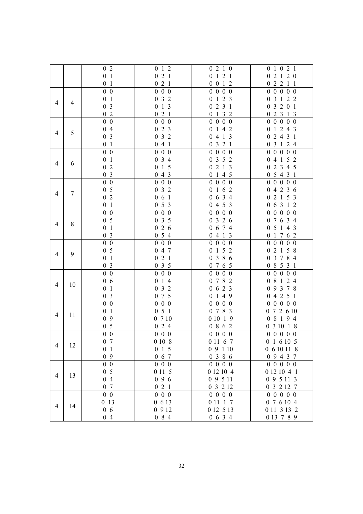|   |                | 0 <sub>2</sub>                              | 012                         | 0210                          | 0 1 0 2 1                        |
|---|----------------|---------------------------------------------|-----------------------------|-------------------------------|----------------------------------|
|   |                | 0 <sub>1</sub>                              | 021                         | 0 1 2 1                       | 0 2 1 2 0                        |
|   |                | $\mathbf{1}$<br>$\boldsymbol{0}$            | 021                         | 0 0 1 2                       | 02211                            |
|   |                | $0\quad 0$                                  | $0\ 0\ 0$                   | 0 0 0 0                       | 0 0 0 0 0                        |
|   |                | $\mathbf{1}$<br>$\boldsymbol{0}$            | 032                         | 1 2 3<br>$\boldsymbol{0}$     | 0 3 1 2 2                        |
| 4 | $\overline{4}$ | $\overline{\mathbf{3}}$<br>$\boldsymbol{0}$ | 013                         | 231<br>$\boldsymbol{0}$       | 0 3 2 0 1                        |
|   |                |                                             |                             |                               |                                  |
|   |                | 0 <sub>2</sub>                              | 021                         | 0132                          | 02313                            |
|   |                | $0\,0$                                      | $0\ 0\ 0$                   | 0 0 0 0                       | 0 0 0 0 0                        |
| 4 | 5              | 04                                          | 023                         | 0142                          | 0 1 2 4 3                        |
|   |                | 0 <sub>3</sub>                              | 032                         | 0413                          | 02431                            |
|   |                | 0 <sub>1</sub>                              | 041                         | 0321                          | 0 3 1 2 4                        |
|   |                | $0\,0$                                      | $0\ 0\ 0$                   | 0 0 0 0                       | 0 0 0 0 0                        |
|   |                | $\mathbf{1}$<br>$\boldsymbol{0}$            | 034                         | 0 3 5 2                       | 0 4 1 5 2                        |
| 4 | 6              | $\overline{c}$<br>$\boldsymbol{0}$          | 015                         | 0213                          | 0 2 3 4 5                        |
|   |                | $\overline{\mathbf{3}}$<br>$\boldsymbol{0}$ | 043                         | 0 1 4 5                       | 0 5 4 3 1                        |
|   |                | $\overline{0}$ 0                            | $0\hskip 4pt 0\hskip 4pt 0$ | 0 0 0 0                       | 0 0 0 0 0                        |
|   |                | 5<br>$\boldsymbol{0}$                       | 032                         |                               |                                  |
| 4 | $\tau$         |                                             |                             | 0 1 6 2                       | 04236                            |
|   |                | $\overline{c}$<br>$\boldsymbol{0}$          | 061                         | 6 3 4<br>$\boldsymbol{0}$     | 0 2 1 5 3                        |
|   |                | 0 <sub>1</sub>                              | 053                         | 0453                          | 0 6 3 1 2                        |
|   |                | $\boldsymbol{0}$<br>$\overline{0}$          | $0\ 0\ 0$                   | $0\ 0\ 0$<br>$\boldsymbol{0}$ | $\mathbf{0}$<br>$0\,0$<br>$0\,0$ |
| 4 | $8\,$          | 0 <sub>5</sub>                              | $0\,$ 3 $\,$ 5              | 0326                          | 0 7 6 3 4                        |
|   |                | $\mathbf{1}$<br>$\boldsymbol{0}$            | 026                         | 0 6 7 4                       | 0 5 1 4 3                        |
|   |                | 0 <sub>3</sub>                              | 054                         | 0413                          | 0 1 7 6 2                        |
|   |                | $0\,0$                                      | $0\ 0\ 0$                   | 0 0 0 0                       | 0 0 0 0 0                        |
|   |                | 0 <sub>5</sub>                              | 047                         | 152<br>$\boldsymbol{0}$       | 02158                            |
| 4 | 9              | $\mathbf{1}$<br>$\boldsymbol{0}$            | 021                         | 3 8 6<br>$\boldsymbol{0}$     | 3 7 8 4<br>$\boldsymbol{0}$      |
|   |                | 0 <sub>3</sub>                              | 035                         | 0 7 6 5                       | 0 8 5 3 1                        |
|   |                | $0\,0$                                      | $0\ 0\ 0$                   | 0 0 0 0                       | 0 0 0 0 0                        |
|   |                | 06                                          | 014                         | 0782                          | 0 8 1 2 4                        |
| 4 | 10             |                                             |                             |                               |                                  |
|   |                | $\mathbf{1}$<br>$\boldsymbol{0}$            | 032                         | 0623                          | 0 9 3 7 8                        |
|   |                | $\overline{3}$<br>$\boldsymbol{0}$          | 075                         | 149<br>$\theta$               | 04251                            |
|   |                | $0\quad 0$                                  | $0\ 0\ 0$                   | 0 0 0 0                       | 0 0 0 0 0                        |
| 4 | 11             | $\mathbf{1}$<br>$\boldsymbol{0}$            | 051                         | 0 7 8 3                       | 0 7 2 6 10                       |
|   |                | 9<br>$\boldsymbol{0}$                       | 0710                        | 0 10 1 9                      | 0 8 1 9 4                        |
|   |                | 0 <sub>5</sub>                              | 024                         | 0 8 6 2                       | 0 3 10 1 8                       |
|   |                | $0\,0$                                      | $0\quad 0\quad 0$           | 0 0 0 0                       | 0 0 0 0 0                        |
|   |                | 0 <sub>7</sub>                              | 0 10 8                      | 0 11 6 7                      | 0 1 6 10 5                       |
| 4 | 12             | 0 <sub>1</sub>                              | 015                         | 09110                         | 0 6 10 11 8                      |
|   |                | 09                                          | $0\,$ 6 $\,$ 7 $\,$         | 0386                          | 0 9 4 3 7                        |
|   |                | $0\,0$                                      | $0\ 0\ 0$                   | 0 0 0 0                       | 0 0 0 0 0                        |
|   |                | 0 <sub>5</sub>                              | 0 1 1 5                     | 0 12 10 4                     | 0 12 10 4 1                      |
| 4 | 13             | 04                                          | 096                         | 0 9 5 11                      | 0 9 5 11 3                       |
|   |                |                                             |                             |                               |                                  |
|   |                | 0 7                                         | 021                         | 0 3 2 1 2                     | 0 3 2 12 7                       |
|   |                | $0\,0$                                      | $0\ 0\ 0$                   | $0\; 0\; 0\; 0$               | 0 0 0 0 0                        |
| 4 | 14             | 0 13                                        | 0 6 13                      | 0 11 1 7                      | 0 7 6 10 4                       |
|   |                | $0\,6$                                      | 0 9 1 2                     | 0 12 5 13                     | 0 11 3 13 2                      |
|   |                | 04                                          | $0\,$ 8 $\,$ 4 $\,$         | 0634                          | 0 13 7 8 9                       |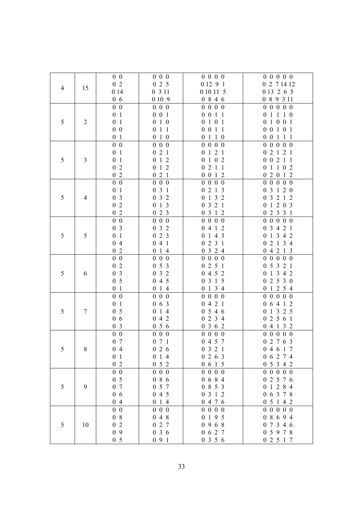|                |                         | $0\,0$                    | $0\,0\,0$                          | $0\; 0\; 0\; 0$                 | 0 0 0 0 0                   |
|----------------|-------------------------|---------------------------|------------------------------------|---------------------------------|-----------------------------|
| $\overline{4}$ |                         | 02                        | 025                                | 0 12 9 1                        | 0 2 7 14 12                 |
|                | 15                      | 0 14                      | 0 3 1 1                            | 0 10 11 5                       | 0 13 2 6 5                  |
|                |                         | 06                        | 0 10 9                             | 0846                            | 0 8 9 3 11                  |
|                |                         | $0\,0$                    | $0\,0\,0$                          | 0 0 0 0                         | 0 0 0 0 0                   |
|                |                         | 0 <sub>1</sub>            | $0\ 0\ 1$                          | 0 0 1 1                         | 0 1 1 1 0                   |
| 5              | $\overline{c}$          | 0 <sub>1</sub>            | 0 1 0                              | 0 1 0 1                         | 0 1 0 0 1                   |
|                |                         | $0\hskip 4pt 0\hskip 4pt$ | 011                                | 0 0 1 1                         | 0 0 1 0 1                   |
|                |                         | 0 <sub>1</sub>            | 0 1 0                              | 0110                            | 0 0 1 1 1                   |
|                |                         | $0\quad 0$                | $0\ 0\ 0$                          | 0 0 0 0                         | 0 0 0 0 0                   |
|                |                         | 0 <sub>1</sub>            | 021                                | 121<br>$\boldsymbol{0}$         | 0 2 1 2 1                   |
| 5              | $\overline{\mathbf{3}}$ | 0 <sub>1</sub>            | 012                                | $1 \t0 \t2$<br>$\boldsymbol{0}$ | 0 0 2 1 1                   |
|                |                         | 02                        | $1\,2$<br>$\boldsymbol{0}$         | 2 1 1<br>$\boldsymbol{0}$       | 0 1 1 0 2                   |
|                |                         | 02                        | 021                                | 0 0 1 2                         | 02012                       |
|                |                         | $0\,0$                    | $0\quad 0\quad 0$                  | 0 0 0 0                         | 0 0 0 0 0                   |
|                |                         | 0 <sub>1</sub>            | 3 <sub>1</sub><br>$\boldsymbol{0}$ | 2 1 3<br>$\boldsymbol{0}$       | 0 3 1 2 0                   |
| 5              | 4                       | 0 <sub>3</sub>            | 032                                | 132<br>$\boldsymbol{0}$         | 3 2 1 2<br>$\boldsymbol{0}$ |
|                |                         | $0\,2$                    | 1 <sub>3</sub><br>$\boldsymbol{0}$ | 3 2 1<br>$\boldsymbol{0}$       | 1 2 0 3<br>$\boldsymbol{0}$ |
|                |                         | 0 <sub>2</sub>            | 023                                | 0 3 1 2                         | 0 2 3 3 1                   |
|                |                         | $0\hskip 4pt 0\hskip 4pt$ | $0\ 0\ 0$                          | 0 0 0 0                         | 0 0 0 0 0                   |
|                |                         | 0 <sub>3</sub>            | 032                                | 0412                            | 0 3 4 2 1                   |
| 5              | 5                       | 0 <sub>1</sub>            | 023                                | 0143                            | 0 1 3 4 2                   |
|                |                         | 04                        | 041                                | 0231                            | 02134                       |
|                |                         | 02                        | 014                                | 0 3 2 4                         | 04213                       |
|                |                         | $0\,0$                    | $0\quad 0\quad 0$                  | $\boldsymbol{0}$<br>$0\,0\,0$   | 0 0 0 0 0                   |
|                |                         | $0\,2$                    | 053                                | 2 5 1<br>$\boldsymbol{0}$       | 0 5 3 2 1                   |
| 5              | 6                       | 0 <sub>3</sub>            | 032                                | 0452                            | 0 1 3 4 2                   |
|                |                         | 0 <sub>5</sub>            | 045                                | 0 3 1 5                         | 02530                       |
|                |                         | 0 <sub>1</sub>            | 014                                | 0 1 3 4                         | 0 1 2 5 4                   |
|                |                         | $0\hskip 4pt 0\hskip 4pt$ | $0\ 0\ 0$                          | 0 0 0 0                         | 0 0 0 0 0                   |
|                |                         | 0 <sub>1</sub>            | 063                                | 0421                            | 0 6 4 1 2                   |
| 5              | 7                       | 0 <sub>5</sub>            | 14<br>$\boldsymbol{0}$             | 0546                            | 1 3 2 5<br>$\boldsymbol{0}$ |
|                |                         | 06                        | 4 2<br>$\boldsymbol{0}$            | 2 3 4<br>$\boldsymbol{0}$       | 2 5 6 1<br>$\boldsymbol{0}$ |
|                |                         | 0 <sub>3</sub>            | 056                                | 0 3 6 2                         | 0 4 1 3 2                   |
|                |                         | $0\hskip 4pt 0\hskip 4pt$ | $0\,0\,0$                          | 0 0 0 0                         | 0 0 0 0 0                   |
|                |                         | 07                        | 071                                | 0 4 5 7                         | 0 2 7 6 3                   |
| 5              | 8                       | 04                        | 026                                | 0321                            | 0 4 6 1 7                   |
|                |                         | 0 <sub>1</sub>            | 014                                | 0263                            | 0 6 2 7 4                   |
|                |                         | 02                        | 052                                | 0 6 1 5                         | 0 5 3 4 2                   |
|                |                         | $0\quad 0$                | $0\quad 0\quad 0$                  | 0 0 0 0                         | 0 0 0 0 0                   |
|                |                         | 0 <sub>5</sub>            | 086                                | 0684                            | 0 2 5 7 6                   |
| 5              | 9                       | 0 7                       | 5 7<br>$\boldsymbol{0}$            | 0 8 5 3                         | 0 1 2 8 4                   |
|                |                         | 06                        | 045                                | 0 3 1 2                         | 0 6 3 7 8                   |
|                |                         | 04                        | 014                                | 0 4 7 6                         | 0 5 1 4 2                   |
|                |                         | $0\quad 0$                | $0\quad 0\quad 0$                  | 0 0 0 0                         | 0 0 0 0 0                   |
|                |                         | 08                        | 048                                | 0 1 9 5                         | 0 8 6 9 4                   |
| 5              | 10                      | 02                        | 027                                | 0968                            | 07346                       |
|                |                         | 09                        | 036                                | 0 6 2 7                         | 0 5 9 7 8                   |
|                |                         | 0 <sub>5</sub>            | 091                                | 0356                            | 0 2 5 1 7                   |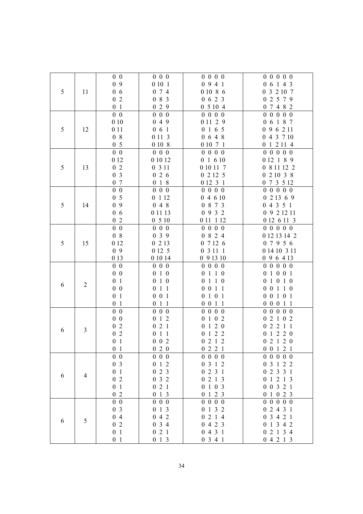|   |                | $0\,0$                           | $0\,0\,0$                          | 0 0 0 0            | 0 0 0 0 0              |
|---|----------------|----------------------------------|------------------------------------|--------------------|------------------------|
|   |                | 09                               | 0 10 1                             | 0941               | 0 6 1 4 3              |
| 5 | 11             | 06                               | 0 7 4                              | 0 10 8 6           | 0 3 2 10 7             |
|   |                | 02                               | 083                                | 0623               | 0 2 5 7 9              |
|   |                | 0 <sub>1</sub>                   | 029                                | 05104              | 0 7 4 8 2              |
|   |                | $0\,0$                           | $0\,0\,0$                          | 0 0 0 0            | 0 0 0 0 0              |
|   |                | 010                              | 049                                | 0 11 2 9           | 0 6 1 8 7              |
| 5 | 12             | 0 1 1                            | 061                                | 0165               | 0 9 6 2 11             |
|   |                | 08                               | 0 11 3                             | 0648               | 0 4 3 7 10             |
|   |                | 0 <sub>5</sub>                   | 0 10 8                             | 0 10 7 1           | 0 1 2 11 4             |
|   |                | $0\,0$                           | $0\ 0\ 0$                          | 0 0 0 0            | 0 0 0 0 0              |
|   |                | 0 12                             | 0 10 12                            | 0 1 6 10           | 0 12 1 8 9             |
| 5 | 13             | 02                               | 0 3 1 1                            | 0 10 11 7          | 0 8 11 12 2            |
|   |                | 0 <sub>3</sub>                   | 026                                | 02125              | 021038                 |
|   |                | 0 7                              | 018                                | 0 12 3 1           | 0 7 3 5 12             |
|   |                | $0\quad 0$                       | $0\,0\,0$                          | 0 0 0 0            | 0 0 0 0 0              |
|   |                | 0 <sub>5</sub>                   | 0 1 1 2                            | 04610              | 0 2 1 3 6 9            |
| 5 | 14             | 09                               | 048                                | 0 8 7 3            | 04351                  |
|   |                | 06                               | 0 1 1 1 3                          | 0 9 3 2            | 0 9 2 12 11            |
|   |                | 02                               | 0510                               | 0 11 1 12          | 0 12 6 11 3            |
|   |                | $0\quad 0$                       | $0\,0\,0$                          | 0 0 0 0            | 0 0 0 0 0              |
|   |                | 08                               | 039                                | 0 8 2 4            | 0 12 13 14 2           |
| 5 | 15             | 0 12                             | 0 2 1 3                            | 07126              | 0 7 9 5 6              |
|   |                | 09                               | 0 12 5                             | 0 3 11 1           | 0 14 10 3 11           |
|   |                | 0 1 3                            | 0 10 14                            | 0 9 13 10          | 0 9 6 4 13             |
|   |                | $0\,0$                           | $0\,0\,0$                          | 0 0 0 0            | 0 0 0 0 0              |
|   |                | $0\,0$                           | 0 1 0                              | 0 1 1 0            | 0 1 0 0 1              |
| 6 | $\overline{c}$ | 0 <sub>1</sub>                   | 0 1 0                              | 0 1 1 0            | 0 1 0 1 0              |
|   |                | $0\,0$                           | $0$ 1 1                            | 0 0 1 1            | 0 0 1 1 0              |
|   |                | 0 <sub>1</sub>                   | $0\ 0\ 1$                          | 0 1 0 1            | 0 0 1 0 1              |
|   |                | 0 <sub>1</sub>                   | 011                                | 0 0 1 1            | 0 0 0 1 1              |
|   |                | $0\,0$                           | $0\,0\,0$                          | $0\; 0\; 0\; 0$    | 0 0 0 0 0              |
|   |                | $0\,0$                           | $\boldsymbol{0}$<br>$1\,2$         | 0102               | 02102                  |
| 6 | 3              | 02                               | 021                                | 0 1 2 0            | 02211                  |
|   |                | 02                               | $0$ 1 1                            | 0122               | 0 1 2 2 0              |
|   |                | 0 <sub>1</sub>                   | $0 \t0 \t2$                        | 0212               | 0 2 1 2 0              |
|   |                | 0 <sub>1</sub>                   | 020                                | 0221               | $0 \t0 \t1 \t2 \t1$    |
|   |                | $0\,0$                           | $0\,0\,0$                          | $0\; 0\; 0\; 0$    | 0 0 0 0 0              |
|   |                | 0 <sub>3</sub>                   | $0\,$ 1 $\,2$                      | 0 3 1 2            | 03122                  |
| 6 | 4              | 0 <sub>1</sub>                   | $0\,$ 2 $\,$ 3 $\,$                | 0231               | 0 2 3 3 1              |
|   |                | 02                               | $0\,$ 3 $\,$ 2 $\,$                | 0213               | 0 1 2 1 3              |
|   |                | 0 <sub>1</sub>                   | 021                                | 0 1 0 3            | 0 0 3 2 1              |
|   |                | 02                               | 013                                | 0 1 2 3            | 0 1 0 2 3              |
|   |                | $0\quad 0$<br>0 <sub>3</sub>     | $0\hskip 4pt 0\hskip 4pt 0$<br>013 | 0 0 0 0<br>0 1 3 2 | 0 0 0 0 0<br>0 2 4 3 1 |
|   |                | 04                               | 042                                | 0214               | 0 3 4 2 1              |
| 6 | 5              |                                  |                                    |                    |                        |
|   |                |                                  |                                    |                    |                        |
|   |                | $0\,2$                           | 034                                | 0423               | 0 1 3 4 2              |
|   |                | 0 <sub>1</sub><br>0 <sub>1</sub> | $0\,$ 2 $\,$ 1<br>013              | 0431<br>0341       | 0 2 1 3 4<br>04213     |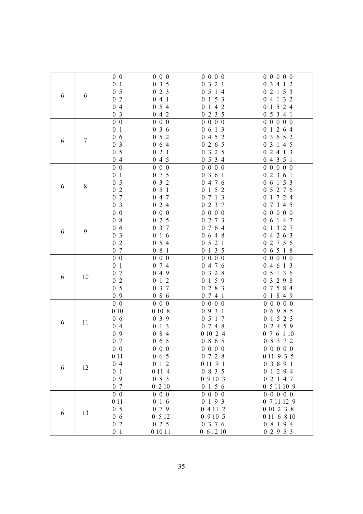|   |    | $0\,0$                                      | $0\,0\,0$                        | 0 0 0 0                       | 0 0 0 0 0                   |
|---|----|---------------------------------------------|----------------------------------|-------------------------------|-----------------------------|
|   |    | 0 <sub>1</sub>                              | 035                              | 3 2 1<br>$\boldsymbol{0}$     | 3 4 1 2<br>$\boldsymbol{0}$ |
| 6 |    | 0 <sub>5</sub>                              | 023                              | 0 5 1 4                       | 2 1 5 3<br>$\boldsymbol{0}$ |
|   | 6  | $0\,2$                                      | 041                              | 0 1 5 3                       | 0 4 1 3 2                   |
|   |    | 04                                          | 054                              | 1 4 2<br>$\boldsymbol{0}$     | 1 5 2 4<br>$\boldsymbol{0}$ |
|   |    | 0 <sub>3</sub>                              | 042                              | 0 2 3 5                       | 0 5 3 4 1                   |
|   |    | $0\quad 0$                                  | $0\ 0\ 0$                        | $\overline{0}$<br>$0\,0\,0$   | 0 0 0 0 0                   |
|   |    | 0 <sub>1</sub>                              | 036                              | 6 1 3<br>$\boldsymbol{0}$     | 0 1 2 6 4                   |
|   |    | 06                                          | 5 2<br>$\overline{0}$            | 4 5 2<br>$\boldsymbol{0}$     | 3 6 5 2<br>$\boldsymbol{0}$ |
| 6 | 7  | $\overline{\mathbf{3}}$<br>$\boldsymbol{0}$ | 064                              | 2 6 5<br>$\boldsymbol{0}$     | 3 1 4 5<br>$\overline{0}$   |
|   |    | 0 <sub>5</sub>                              | 2 1<br>$\boldsymbol{0}$          | 3 2 5<br>$\boldsymbol{0}$     | 2 4 1 3<br>$\overline{0}$   |
|   |    | 04                                          | 045                              | 0 5 3 4                       | 04351                       |
|   |    | $0\,0$                                      | $0\ 0\ 0$                        | 0 0 0 0                       | 0 0 0 0 0                   |
|   |    | 0 <sub>1</sub>                              | 0 7 5                            | 3 6 1<br>$\boldsymbol{0}$     | 2 3 6 1<br>$\overline{0}$   |
|   |    | 0 <sub>5</sub>                              | 032                              | 0 4 7 6                       | 0 6 1 5 3                   |
| 6 | 8  | $0\,2$                                      | 051                              | 152<br>$\boldsymbol{0}$       | 5 2 7 6<br>$\boldsymbol{0}$ |
|   |    | 0 7                                         | 4 7<br>$\overline{0}$            | 7 1 3<br>$\boldsymbol{0}$     | 1724<br>$\boldsymbol{0}$    |
|   |    | 0 <sub>3</sub>                              | 024                              | 2 3 7<br>$\boldsymbol{0}$     | 0 7 3 4 5                   |
|   |    | $\overline{0}$ 0                            | $0\ 0\ 0$                        | 0 0 0 0                       | $0\,0\,0$<br>0 <sub>0</sub> |
|   |    | 08                                          | 025                              | 0 2 7 3                       | 0 6 1 4 7                   |
|   |    | 06                                          | 0 3 7                            | 7 6 4<br>$\boldsymbol{0}$     | 1 3 2 7<br>$\boldsymbol{0}$ |
| 6 | 9  | 0 <sub>3</sub>                              | $1\text{ }6$<br>$\boldsymbol{0}$ | 0648                          | 04263                       |
|   |    | 02                                          | 054                              | 0521                          | 0 2 7 5 6                   |
|   |    | 07                                          | $0\,$ 8 $\,$ 1 $\,$              | 0135                          | 0 6 5 1 8                   |
|   |    | $0\,0$                                      | $\overline{0}$<br>$0\,0$         | $\boldsymbol{0}$<br>$0\,0\,0$ | 0 0 0 0 0                   |
|   |    | 0 <sub>1</sub>                              | 0 7 4                            | 0 4 7 6                       | 0 4 6 1 3                   |
|   | 10 | 0 7                                         | 049                              | 3 2 8<br>$\boldsymbol{0}$     | 05136                       |
| 6 |    | $0\,$ 2                                     | $1\,2$<br>$\boldsymbol{0}$       | 1 5 9<br>$\boldsymbol{0}$     | 0 3 2 9 8                   |
|   |    | 0 <sub>5</sub>                              | 3 7<br>$\boldsymbol{0}$          | 2 8 3                         | 0 7 5 8 4                   |
|   |    | 09                                          |                                  | $\boldsymbol{0}$<br>7 4 1     |                             |
|   |    |                                             | 086                              | $\boldsymbol{0}$              | 0 1 8 4 9                   |
|   |    | $0\quad 0$                                  | $0\,0\,0$                        | 0 0 0 0                       | 0 0 0 0 0                   |
|   |    | 010                                         | 0 10 8                           | 0931                          | 06985                       |
| 6 | 11 | 06                                          | 039                              | 0 5 1 7                       | 1 5 2 3<br>$\boldsymbol{0}$ |
|   |    | 04                                          | 1 3<br>$\boldsymbol{0}$          | 0 7 4 8                       | 2 4 5 9<br>$\boldsymbol{0}$ |
|   |    | 09                                          | 084                              | 0 10 2 4                      | 0 7 6 1 10                  |
|   |    | 0 7                                         | 065                              | 0 8 6 5                       | 0 8 3 7 2                   |
|   |    | $0\,0$                                      | $0\,0\,0$                        | 0 0 0 0                       | 0 0 0 0 0                   |
|   |    | 0 1 1                                       | $0\,6\,5$                        | 0 7 2 8                       | 0 11 9 3 5                  |
| 6 | 12 | 04                                          | $0 \t1 \t2$                      | 0 11 9 1                      | 0 3 8 9 1                   |
|   |    | 0 <sub>1</sub>                              | 0 1 1 4                          | 0 8 3 5                       | 01294                       |
|   |    | 09                                          | 0 8 3                            | 09103                         | 0 2 1 4 7                   |
|   |    | 0 7                                         | 0210                             | 0156                          | 0 5 11 10 9                 |
|   |    | $0\,0$                                      | $0\,0\,0$                        | $0\; 0\; 0\; 0$               | 0 0 0 0 0                   |
|   |    | 0 1 1                                       | 016                              | 0193                          | 0 7 11 12 9                 |
| 6 | 13 | 0 <sub>5</sub>                              | 079                              | 0 4 11 2                      | 0 10 2 3 8                  |
|   |    | 06                                          | 0 5 1 2                          | 09105                         | 0 11 6 8 10                 |
|   |    | 02                                          | 025                              | 0 3 7 6                       | 0 8 1 9 4                   |
|   |    | 0 <sub>1</sub>                              | 0 10 11                          | 061210                        | 02953                       |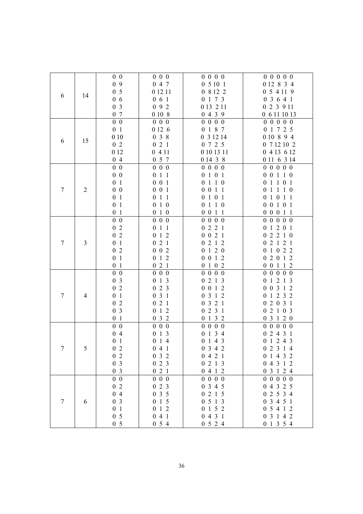|        |                | $0\,0$                    | $0\ 0\ 0$                     | 0 0 0 0                             | 0 0 0 0 0              |
|--------|----------------|---------------------------|-------------------------------|-------------------------------------|------------------------|
|        |                | 0 9                       | 0 4 7                         | 05101                               | 0 12 8 3 4             |
|        |                | 0 <sub>5</sub>            | 0 12 11                       | 0 8 12 2                            | 0 5 4 11 9             |
| 6      | 14             | 06                        | 061                           | 0 1 7 3                             | 0 3 6 4 1              |
|        |                | 0 <sub>3</sub>            | 092                           | 0 13 2 11                           | 0 2 3 9 11             |
|        |                | 0 7                       | 0 10 8                        | 0439                                | 0 6 11 10 13           |
|        |                | $0\quad 0$                | $0\ 0\ 0$                     | 0 0 0 0                             | 0 0 0 0 0              |
|        |                | 0 <sub>1</sub>            | 0 12 6                        | 0 1 8 7                             | 0 1 7 2 5              |
|        |                | 010                       | 038                           | 0 3 12 14                           | 0 10 8 9 4             |
| 6      | 15             | 02                        | 021                           | 0 7 2 5                             | 0 7 12 10 2            |
|        |                | 0 12                      | 0411                          | 0 10 13 11                          | 0 4 13 6 12            |
|        |                | 04                        | 0 5 7                         | 0 14 3 8                            | 0 11 6 3 14            |
|        |                | $0\quad 0$                | $0\ 0\ 0$                     | $0\; 0\; 0\; 0$                     | 0 0 0 0 0              |
|        |                | $0\quad 0$                | 011                           | 0 1 0 1                             | 0 0 1 1 0              |
|        |                | 0 <sub>1</sub>            | $0\ 0\ 1$                     | 0 1 1 0                             | 0 1 1 0 1              |
| $\tau$ | $\overline{c}$ | $0\,0$                    | $0\ 0\ 1$                     | 0 0 1 1                             | 0 1 1 1 0              |
|        |                | 0 <sub>1</sub>            | $1\quad1$<br>$\boldsymbol{0}$ | 0 1 0 1                             | 0 1 0 1 1              |
|        |                | 0 <sub>1</sub>            | $1\,0$<br>$\boldsymbol{0}$    | $1\quad1\quad0$<br>$\boldsymbol{0}$ | 0 0 1 0 1              |
|        |                | 0 <sub>1</sub>            | 0 1 0                         | 0 0 1 1                             | 0 0 0 1 1              |
|        |                | $0\quad 0$                | $0\ 0\ 0$                     | $0\; 0\; 0\; 0$                     | 0 0 0 0 0              |
|        |                | 02                        | $0$ 1 1                       | 0221                                | 0 1 2 0 1              |
|        |                | 0 <sub>2</sub>            | 012                           | 0 0 2 1                             | 02210                  |
| $\tau$ | 3              | 0 <sub>1</sub>            | 021                           | 2 1 2<br>$\boldsymbol{0}$           | 02121                  |
|        |                | 02                        | $0\ 0\ 2$                     | 120<br>$\boldsymbol{0}$             | 0 1 0 2 2              |
|        |                | 0 <sub>1</sub>            | $1\,2$<br>$\boldsymbol{0}$    | $0 \t1 \t2$<br>$\boldsymbol{0}$     | 02012                  |
|        |                | 0 <sub>1</sub>            | 021                           | 0102                                | 0 0 1 1 2              |
|        |                | $0\,0$                    | $0\ 0\ 0$                     | 0 0 0 0                             | 0 0 0 0 0              |
|        |                | 0 <sub>3</sub>            | 013                           | 0213                                | 0 1 2 1 3              |
|        |                | $0\,2$                    | 023                           | 0 0 1 2                             | 0 0 3 1 2              |
| $\tau$ | $\overline{4}$ | 0 <sub>1</sub>            | 031                           | 0 3 1 2                             | 0 1 2 3 2              |
|        |                | $0\,2$                    | 021                           | 0321                                | 0 2 0 3 1              |
|        |                | 0 <sub>3</sub>            | $1\,2$<br>$\boldsymbol{0}$    | 0231                                | 02103                  |
|        |                | 0 <sub>1</sub>            | 032                           | 0132                                | 03120                  |
|        |                | $0\quad 0$                | $0\ 0\ 0$                     | 0 0 0 0                             | 0 0 0 0 0              |
|        |                | 04                        | $0 \; 1 \; 3$                 | 0 1 3 4<br>0143                     | 02431<br>0 1 2 4 3     |
|        |                | 0 <sub>1</sub>            | 014                           |                                     |                        |
| 7      | 5              | 0 <sub>2</sub><br>$0\,$ 2 | 041<br>032                    | 0342<br>0421                        | 02314                  |
|        |                | 0 <sub>3</sub>            | 023                           | 0213                                | 0 1 4 3 2<br>0 4 3 1 2 |
|        |                | 0 <sub>3</sub>            | 021                           | 0412                                | 0 3 1 2 4              |
|        |                | $0\ 0$                    | $0\ 0\ 0$                     | 0 0 0 0                             | 0 0 0 0 0              |
|        |                | 02                        | 023                           | 0 3 4 5                             | 0 4 3 2 5              |
|        |                | 04                        | 035                           | 0215                                | 0 2 5 3 4              |
| $\tau$ | 6              | 0 <sub>3</sub>            | $0\,$ 1 $\,$ 5                | 0513                                | 0 3 4 5 1              |
|        |                | 0 <sub>1</sub>            | 012                           | 0152                                | 0 5 4 1 2              |
|        |                | 0 <sub>5</sub>            | 041                           | 0431                                | 0 3 1 4 2              |
|        |                | 0 <sub>5</sub>            | 054                           | 0524                                | 0 1 3 5 4              |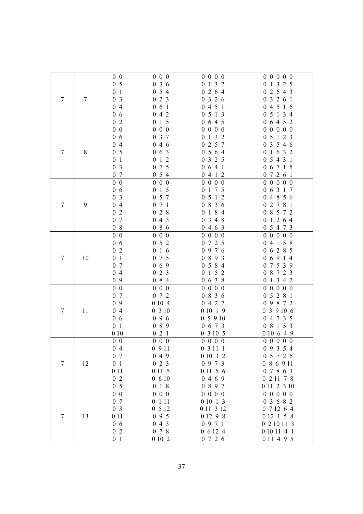|                  |    | $0\,0$         | $0\,0\,0$                  | 0 0 0 0                       | 0 0 0 0 0                   |
|------------------|----|----------------|----------------------------|-------------------------------|-----------------------------|
|                  |    | 0 <sub>5</sub> | 036                        | 1 3 2<br>$\boldsymbol{0}$     | 1 3 2 5<br>$\boldsymbol{0}$ |
|                  |    | 0 <sub>1</sub> | 054                        | 2 6 4<br>$\boldsymbol{0}$     | 2 6 4 3<br>$\boldsymbol{0}$ |
| $\tau$           | 7  | 0 <sub>3</sub> | 023                        | 0326                          | 0 3 2 6 1                   |
|                  |    | 04             | 061                        | 0451                          | 04516                       |
|                  |    | 06             | 042                        | 0513                          | 0 5 1 3 4                   |
|                  |    | 02             | 015                        | 0 6 4 5                       | 0 6 4 5 2                   |
|                  |    | $0\,0$         | $0\ 0\ 0$                  | $0\; 0\; 0\; 0$               | 0 0 0 0 0                   |
|                  |    | 06             | 0 3 7                      | 1 3 2<br>$\boldsymbol{0}$     | 0 5 1 2 3                   |
|                  |    | 04             | 046                        | 2 5 7<br>$\boldsymbol{0}$     | 3 5 4 6<br>$\mathbf{0}$     |
| 7                | 8  | 0 <sub>5</sub> | $0\t0\t0\t3$               | 0564                          | 0 1 6 3 2                   |
|                  |    | 0 <sub>1</sub> | 1 2<br>$\boldsymbol{0}$    | 3 2 5<br>$\boldsymbol{0}$     | 0 5 4 3 1                   |
|                  |    | 0 <sub>3</sub> | 7 5<br>$\boldsymbol{0}$    | 0641                          | 0 6 7 1 5                   |
|                  |    | 0 7            | 054                        | 0412                          | 0 7 2 6 1                   |
|                  |    | $0\quad 0$     | $0\ 0\ 0$                  | 0 0 0 0                       | 0 0 0 0 0                   |
|                  |    | 06             | $1\,5$<br>$\boldsymbol{0}$ | 1 7 5<br>$\boldsymbol{0}$     | 0 6 3 1 7                   |
|                  |    | 0 <sub>3</sub> | 0 5 7                      | 5 1 2<br>$\boldsymbol{0}$     | 0 4 8 5 6                   |
| $\boldsymbol{7}$ | 9  | 04             | 071                        | 8 3 6<br>$\boldsymbol{0}$     | 2 7 8 1<br>$\boldsymbol{0}$ |
|                  |    | $0\,2$         | 2 8<br>$\boldsymbol{0}$    | 1 8 4<br>$\boldsymbol{0}$     | 8 5 7 2<br>$\boldsymbol{0}$ |
|                  |    | 0 7            | 4 3<br>$\boldsymbol{0}$    | 3 4 8<br>$\boldsymbol{0}$     | 1 2 6 4<br>$\boldsymbol{0}$ |
|                  |    | 08             | 086                        | 0463                          | 0 5 4 7 3                   |
|                  |    | $0\,0$         | $0\,0\,0$                  | $0\; 0\; 0\; 0$               | 0 0 0 0 0                   |
|                  |    | 06             | 052                        | 7 2 5<br>$\boldsymbol{0}$     | 0 4 1 5 8                   |
|                  |    | 02             | $1\,6$<br>$\boldsymbol{0}$ | 9 7 6<br>$\boldsymbol{0}$     | 0 6 2 8 5                   |
| $\tau$           | 10 | 0 <sub>1</sub> | 7 5<br>$\mathbf{0}$        | 893<br>$\boldsymbol{0}$       | 06914                       |
|                  |    | 0 7            | 069                        | 5 8 4<br>$\boldsymbol{0}$     | 0 7 5 3 9                   |
|                  |    | 04             | 2 3<br>$\overline{0}$      | 152<br>$\boldsymbol{0}$       | 0 8 7 2 3                   |
|                  |    | 09             | 084                        | 0638                          | 0 1 3 4 2                   |
|                  |    | $0\quad 0$     | $0\quad 0\quad 0$          | $0\ 0\ 0$<br>$\boldsymbol{0}$ | 0 0 0 0 0                   |
|                  |    | 0 7            | 072                        | 0 8 3 6                       | 0 5 2 8 1                   |
|                  |    | 09             | 0 10 4                     | 0427                          | 0 9 8 7 2                   |
| 7                | 11 | 04             | 0310                       | 0 10 1 9                      | 0 3 9 10 6                  |
|                  |    | 06             | 096                        | 05910                         | 0 4 7 3 5                   |
|                  |    | 0 <sub>1</sub> | 089                        | 0 6 7 3                       | 0 8 1 5 3                   |
|                  |    | 010            | 021                        | 0 3 10 5                      | 0 10 6 4 9                  |
|                  |    | $0\,0$         | $0\ 0\ 0$                  | 0 0 0 0                       | 0 0 0 0 0                   |
|                  |    | 04             | 0911                       | 0 3 1 1 1                     | 0 9 3 5 4                   |
|                  |    | 0 7            | 049                        | 0 10 3 2                      | 0 5 7 2 6                   |
| $\overline{7}$   | 12 | 0 <sub>1</sub> | 023                        | 0 9 7 3                       | 0 8 6 9 11                  |
|                  |    | 0 1 1          | 0 11 5                     | 0 11 5 6                      | 0 7 8 6 3                   |
|                  |    | 02             | 0610                       | 0469                          | 0 2 11 7 8                  |
|                  |    | 0 <sub>5</sub> | 0 1 8                      | 0 8 9 7                       | 0 11 2 3 10                 |
|                  |    | $0\,0$         | $0\ 0\ 0$                  | 0 0 0 0                       | 0 0 0 0 0                   |
|                  |    | 0 7            | 0 1 1 1                    | 0 10 1 3                      | 0 3 6 8 2                   |
|                  |    | 0 <sub>3</sub> | 0512                       | 0 11 3 12                     | 0 7 12 6 4                  |
| $\boldsymbol{7}$ | 13 | 0 1 1          | 095                        | 0 12 9 8                      | 0 12 1 5 8                  |
|                  |    | 06             | 043                        | 0971                          | 0 2 10 11 3                 |
|                  |    | 02             | 0 7 8                      | 0 6 12 4                      | 0 10 11 4 1                 |
|                  |    | 0 <sub>1</sub> | 0102                       | 0726                          | 0 11 4 9 5                  |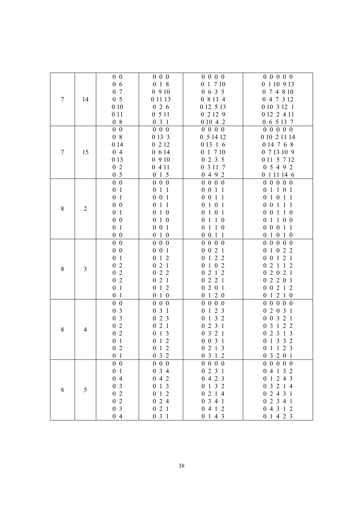|         |                  | $0\,0$                    | $0\,0\,0$                                   | $0\; 0\; 0\; 0$                      | 0 0 0 0 0                 |
|---------|------------------|---------------------------|---------------------------------------------|--------------------------------------|---------------------------|
|         |                  | 06                        | 0 1 8                                       | 0 1 7 10                             | 0 1 10 9 13               |
|         |                  | 0 7                       | 0910                                        | 0635                                 | 0 7 4 8 10                |
| $\tau$  | 14               | 0 <sub>5</sub>            | 0 11 13                                     | 0 8 13 4                             | 0 4 7 3 12                |
|         |                  | 010                       | 026                                         | 0 12 5 13                            | 0 10 3 12 1               |
|         |                  | 0 1 1                     | 0511                                        | 02129                                | 0 12 2 4 11               |
|         |                  | 08                        | 031                                         | 0 10 4 2                             | 0 6 5 13 7                |
|         |                  | $0\,0$                    | $0\,0\,0$                                   | 0 0 0 0                              | 00000                     |
|         |                  | 08                        | 0 13 3                                      | 0 5 14 12                            | 0 10 2 11 14              |
|         |                  | 0 14                      | 0 2 1 2                                     | 0 13 1 6                             | 0 14 7 6 8                |
| 7       | 15               | 04                        | 0 6 14                                      | 0 1 7 10                             | 0 7 13 10 9               |
|         |                  | 0 1 3                     | 0910                                        | 0235                                 | 0 11 5 7 12               |
|         |                  | 02                        | 0411                                        | 0 3 11 7                             | 0 5 4 9 2                 |
|         |                  | 0 <sub>5</sub>            | 015                                         | 0492                                 | 0 1 1 1 1 1 4 6           |
|         |                  | $0\quad 0$                | $0\ 0\ 0$                                   | 0 0 0 0                              | 0 0 0 0 0                 |
|         |                  | 0 <sub>1</sub>            | $\boldsymbol{0}$<br>$1\,1$                  | 0 0 1 1                              | 0 1 1 0 1                 |
|         |                  | 0 <sub>1</sub>            | $0\ 0\ 1$                                   | 0 0 1 1                              | 0 1 0 1 1                 |
|         |                  | $0\,0$                    | $1\quad1$<br>$\boldsymbol{0}$               | $1 \t0 \t1$<br>$\boldsymbol{0}$      | 0 0 1 1 1                 |
| $\,8\,$ | $\boldsymbol{2}$ | 0 <sub>1</sub>            | 0 1 0                                       | 0101                                 | 0 0 1 1 0                 |
|         |                  | $0\,0$                    | $1\,0$<br>$\boldsymbol{0}$                  | 0 1 1 0                              | 0 1 1 0 0                 |
|         |                  | 0 <sub>1</sub>            | $0\ 0\ 1$                                   | 0110                                 | 0 0 0 1 1                 |
|         |                  | $0\,0$                    | 0 1 0                                       | 0 0 1 1                              | 0 1 0 1 0                 |
|         |                  | $0\,0$                    | $0\,0\,0$                                   | $0\; 0\; 0\; 0$                      | 0 0 0 0 0                 |
|         |                  | $0\hskip 4pt 0\hskip 4pt$ | $0\ 0\ 1$                                   | 0 0 2 1                              | 0 1 0 2 2                 |
|         |                  | 0 <sub>1</sub>            | $1\,2$<br>$\boldsymbol{0}$                  | 122<br>$\boldsymbol{0}$              | 0 0 1 2 1                 |
| 8       | $\overline{3}$   | 02                        | 021                                         | $1 \t0 \t2$<br>$\boldsymbol{0}$      | 0 2 1 1 2                 |
|         |                  | $0\,$ 2                   | 022                                         | 2 1 2<br>$\boldsymbol{0}$            | 2 0 2 1<br>$\overline{0}$ |
|         |                  | $0\,2$                    | 021                                         | 221<br>$\boldsymbol{0}$              | 02201                     |
|         |                  | 0 <sub>1</sub>            | 012                                         | 0201                                 | 0 0 2 1 2                 |
|         |                  | 0 <sub>1</sub>            | 010                                         | 0120                                 | 0 1 2 1 0                 |
|         |                  | $0\,0$                    | $0\ 0\ 0$                                   | 0 0 0 0                              | 0 0 0 0 0                 |
|         |                  | 0 <sub>3</sub>            | 031                                         | 1 2 3<br>$\boldsymbol{0}$            | 02031                     |
|         |                  | 0 <sub>3</sub>            | 023                                         | 132<br>$\boldsymbol{0}$              | 0 0 3 2 1                 |
| $\,8\,$ | $\overline{4}$   | $0\,2$                    | 021                                         | 2 3 1<br>$\boldsymbol{0}$            | 0 3 1 2 2                 |
|         |                  | $0\,2$                    | $0 \t1 \t3$                                 | 0321                                 | 2 3 1 3<br>$\overline{0}$ |
|         |                  | 0 <sub>1</sub>            | 012                                         | 0 0 3 1                              | 0 1 3 3 2                 |
|         |                  | 0 <sub>2</sub>            | 0 1 2                                       | 0 2 1 3                              | 0 1 1 2 3                 |
|         |                  | 0 <sub>1</sub>            | 032                                         | 0 3 1 2                              | 0 3 2 0 1                 |
|         |                  | $0\quad 0$                | $0\ 0\ 0$                                   | 0 0 0 0                              | 0 0 0 0 0                 |
|         |                  | 0 <sub>1</sub>            | 0 3 4                                       | 0231                                 | 0 4 1 3 2                 |
|         |                  | 04                        | 042                                         | 0423                                 | 0 1 2 4 3                 |
| 8       | 5                | 0 <sub>3</sub><br>02      | 013<br>1 2                                  | 0 1 3 2<br>2 1 4<br>$\boldsymbol{0}$ | 0 3 2 1 4                 |
|         |                  | $0\,2$                    | $\boldsymbol{0}$<br>2 4<br>$\boldsymbol{0}$ | 0341                                 | 0 2 4 3 1<br>02341        |
|         |                  | 0 <sub>3</sub>            | $0\,$ 2 $\,$ 1                              | 0412                                 | 0 4 3 1 2                 |
|         |                  | 04                        | 031                                         | 0143                                 | 0 1 4 2 3                 |
|         |                  |                           |                                             |                                      |                           |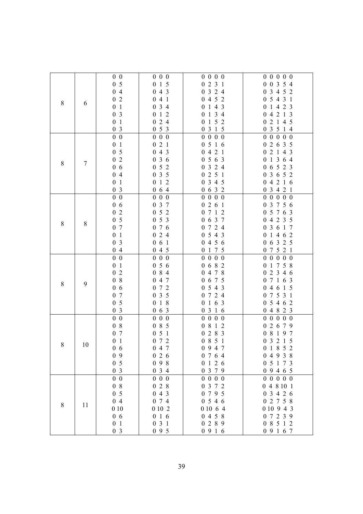|       |       | $0\,0$                             | $0\,0\,0$                                      | $0\; 0\; 0\; 0$               | 0 0 0 0 0                   |
|-------|-------|------------------------------------|------------------------------------------------|-------------------------------|-----------------------------|
|       |       | 0 <sub>5</sub>                     | $1\,5$<br>$\boldsymbol{0}$                     | 2 3 1<br>$\boldsymbol{0}$     | 0 0 3 5 4                   |
|       |       | 04                                 | 4 3<br>$\overline{0}$                          | 3 2 4<br>$\boldsymbol{0}$     | 3 4 5 2<br>$\boldsymbol{0}$ |
|       |       | 02                                 | 041                                            | 0452                          | 5 4 3 1<br>$\overline{0}$   |
| $8\,$ | 6     | 0 <sub>1</sub>                     | 034                                            | 0143                          | 1 4 2 3<br>$\boldsymbol{0}$ |
|       |       | 0 <sub>3</sub>                     | 012                                            | 0 1 3 4                       | 0 4 2 1 3                   |
|       |       | 0 <sub>1</sub>                     | 024                                            | 1 5 2<br>$\boldsymbol{0}$     | 0 2 1 4 5                   |
|       |       | 0 <sub>3</sub>                     | 053                                            | 0 3 1 5                       | 0 3 5 1 4                   |
|       |       | $0\,0$                             | $0\,0\,0$                                      | 0 0 0 0                       | 0 0 0 0 0                   |
|       |       | 0 <sub>1</sub>                     | 021                                            | 0516                          | 0 2 6 3 5                   |
|       |       | 0 <sub>5</sub>                     | 043                                            | 0421                          | 0 2 1 4 3                   |
|       |       | 02                                 | 036                                            | 0563                          | 0 1 3 6 4                   |
| 8     | 7     | 06                                 | 052                                            | 3 2 4<br>$\boldsymbol{0}$     | 0 6 5 2 3                   |
|       |       | 04                                 | 035                                            | 2 5 1<br>$\boldsymbol{0}$     | 0 3 6 5 2                   |
|       |       | 0 <sub>1</sub>                     |                                                | 3 4 5                         |                             |
|       |       |                                    | $1\,2$<br>$\boldsymbol{0}$                     | $\boldsymbol{0}$              | 04216                       |
|       |       | 0 <sub>3</sub>                     | 064                                            | 0632                          | 0 3 4 2 1                   |
|       |       | $0\,0$                             | $0\,0\,0$                                      | 0 0 0 0                       | 0 0 0 0 0                   |
|       |       | 06                                 | 3 7<br>$\boldsymbol{0}$                        | 2 6 1<br>$\boldsymbol{0}$     | 3 7 5 6<br>$\boldsymbol{0}$ |
|       |       | 02                                 | 052                                            | 7 1 2<br>$\boldsymbol{0}$     | 5 7 6 3<br>$\boldsymbol{0}$ |
| 8     | $8\,$ | 0 <sub>5</sub>                     | 053                                            | 0 6 3 7                       | 4 2 3 5<br>$\boldsymbol{0}$ |
|       |       | 0 7                                | $0\,$ 7 $\,$ 6                                 | 0724                          | 0 3 6 1 7                   |
|       |       | 0 <sub>1</sub>                     | 024                                            | 0543                          | 0 1 4 6 2                   |
|       |       | 0 <sub>3</sub>                     | 061                                            | 0456                          | 0 6 3 2 5                   |
|       |       | 04                                 | 045                                            | 0 1 7 5                       | 0 7 5 2 1                   |
|       |       | $0\,0$                             | $0\,0\,0$                                      | $\boldsymbol{0}$<br>$0\,0\,0$ | $0\,0$<br>$0\,0\,0$         |
|       |       | 0 <sub>1</sub>                     | 056                                            | 6 8 2<br>$\boldsymbol{0}$     | 0 1 7 5 8                   |
|       |       | $\overline{2}$<br>$\boldsymbol{0}$ | 8 4<br>$\boldsymbol{0}$                        | 4 7 8<br>$\boldsymbol{0}$     | 2 3 4 6<br>$\boldsymbol{0}$ |
| $8\,$ | 9     | 08                                 | 0 4 7                                          | 0 6 7 5                       | 0 7 1 6 3                   |
|       |       | 06                                 | 072                                            | 0543                          | 0 4 6 1 5                   |
|       |       | 0 7                                | 035                                            | 0724                          | 0 7 5 3 1                   |
|       |       | 0 <sub>5</sub>                     | 1 8<br>$\boldsymbol{0}$                        | 1 6 3<br>$\boldsymbol{0}$     | 0 5 4 6 2                   |
|       |       | 0 <sub>3</sub>                     | $0\t6\t3$                                      | 0316                          | 0 4 8 2 3                   |
|       |       | $0\,0$                             | $0\,0\,0$                                      | $\boldsymbol{0}$<br>$0\,0\,0$ | 0 0 0 0 0                   |
|       |       | 08                                 | 8 5<br>$\boldsymbol{0}$                        | 8 1 2<br>$\boldsymbol{0}$     | 2 6 7 9<br>$\boldsymbol{0}$ |
|       |       | 07                                 | $\sqrt{5}$<br>$\boldsymbol{0}$<br>$\mathbf{1}$ | 2 8 3<br>$\boldsymbol{0}$     | 0 8 1 9 7                   |
|       |       | 0 <sub>1</sub>                     | 072                                            | 0 8 5 1                       | 0 3 2 1 5                   |
| 8     | 10    | 06                                 | 0 4 7                                          | 0947                          | 0 1 8 5 2                   |
|       |       | 09                                 | 026                                            | 0 7 6 4                       | 0 4 9 3 8                   |
|       |       | 0 <sub>5</sub>                     | 098                                            | 0126                          | 0 5 1 7 3                   |
|       |       | 0 <sub>3</sub>                     | 034                                            | 0 3 7 9                       | 09465                       |
|       |       | $0\quad 0$                         | $0\ 0\ 0$                                      | 0 0 0 0                       | 0 0 0 0 0                   |
|       |       | 08                                 | 028                                            | 0 3 7 2                       | 0 4 8 10 1                  |
|       |       | 0 <sub>5</sub>                     | 043                                            | 0795                          | 03426                       |
|       |       | 04                                 | 074                                            | 0546                          | 0 2 7 5 8                   |
| $8\,$ | 11    | 010                                | 0 10 2                                         | 0 10 6 4                      | 0 10 9 4 3                  |
|       |       | 06                                 | 016                                            | 0 4 5 8                       | 0 7 2 3 9                   |
|       |       | 0 <sub>1</sub>                     | 031                                            | 0289                          | 0 8 5 1 2                   |
|       |       | 0 <sub>3</sub>                     | 095                                            | 0916                          | 0 9 1 6 7                   |
|       |       |                                    |                                                |                               |                             |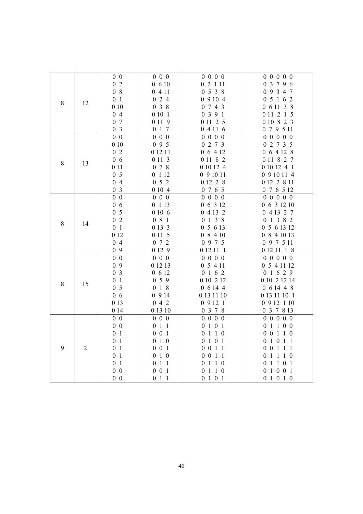|           |                                                                                                                                                                                                                                                                                                                                                                                                                                                                       | $0\,0$         | $0\ 0\ 0$                  | 0 0 0 0                                                                                                                                                                                                                                                                                                                                                                                                                                                                                                        | 0 0 0 0 0                                |
|-----------|-----------------------------------------------------------------------------------------------------------------------------------------------------------------------------------------------------------------------------------------------------------------------------------------------------------------------------------------------------------------------------------------------------------------------------------------------------------------------|----------------|----------------------------|----------------------------------------------------------------------------------------------------------------------------------------------------------------------------------------------------------------------------------------------------------------------------------------------------------------------------------------------------------------------------------------------------------------------------------------------------------------------------------------------------------------|------------------------------------------|
|           |                                                                                                                                                                                                                                                                                                                                                                                                                                                                       |                | $0\hskip 4pt$ 6 10         |                                                                                                                                                                                                                                                                                                                                                                                                                                                                                                                | 0 3 7 9 6                                |
|           |                                                                                                                                                                                                                                                                                                                                                                                                                                                                       |                | 0411                       |                                                                                                                                                                                                                                                                                                                                                                                                                                                                                                                | 0 9 3 4 7                                |
|           |                                                                                                                                                                                                                                                                                                                                                                                                                                                                       |                | 024                        |                                                                                                                                                                                                                                                                                                                                                                                                                                                                                                                | 0 5 1 6 2                                |
| $8\,$     |                                                                                                                                                                                                                                                                                                                                                                                                                                                                       | 010            | 038                        | 02111<br>0538<br>09104<br>0743<br>0 3 9 1<br>0 11 2 5<br>04116<br>0 0 0 0<br>0 2 7 3<br>0 6 4 12<br>0 11 8 2<br>0 10 12 4<br>0 9 10 11<br>0 12 2 8<br>0 7 6 5<br>0 0 0 0<br>0 6 3 12<br>0 4 13 2<br>0 1 3 8<br>0 5 6 13<br>08410<br>0 9 7 5<br>0 12 11 1<br>0 0 0 0<br>0 5 4 11<br>0 1 6 2<br>0 10 2 12<br>0 6 14 4<br>0 13 11 10<br>09121<br>0 3 7 8<br>0 0 0 0<br>0 1 0 1<br>0110<br>$1 \t0 \t1$<br>$\boldsymbol{0}$<br>0 0 1 1<br>$0 \t0 \t1 \t1$<br>$1\quad1\quad0$<br>$\boldsymbol{0}$<br>0 1 1 0<br>0101 | 0 6 11 3 8                               |
|           |                                                                                                                                                                                                                                                                                                                                                                                                                                                                       | 04             | 0101                       |                                                                                                                                                                                                                                                                                                                                                                                                                                                                                                                | 0 11 2 1 5                               |
|           |                                                                                                                                                                                                                                                                                                                                                                                                                                                                       | 0 7            | 0 11 9                     |                                                                                                                                                                                                                                                                                                                                                                                                                                                                                                                | 0 10 8 2 3                               |
|           |                                                                                                                                                                                                                                                                                                                                                                                                                                                                       | 0 <sub>3</sub> | 0 1 7                      |                                                                                                                                                                                                                                                                                                                                                                                                                                                                                                                | 0 7 9 5 11                               |
|           |                                                                                                                                                                                                                                                                                                                                                                                                                                                                       | $0\,0$         | $0\quad 0\quad 0$          |                                                                                                                                                                                                                                                                                                                                                                                                                                                                                                                | $0\quad 0$<br>$0\,0$<br>$\boldsymbol{0}$ |
|           |                                                                                                                                                                                                                                                                                                                                                                                                                                                                       | 010            | 095                        |                                                                                                                                                                                                                                                                                                                                                                                                                                                                                                                | 0 2 7 3 5                                |
|           |                                                                                                                                                                                                                                                                                                                                                                                                                                                                       | 02             | 0 12 11                    |                                                                                                                                                                                                                                                                                                                                                                                                                                                                                                                | 0 6 4 12 8                               |
| $\,8\,$   |                                                                                                                                                                                                                                                                                                                                                                                                                                                                       |                | 0 1 1 3                    |                                                                                                                                                                                                                                                                                                                                                                                                                                                                                                                | 0 11 8 2 7                               |
|           |                                                                                                                                                                                                                                                                                                                                                                                                                                                                       |                | 078                        |                                                                                                                                                                                                                                                                                                                                                                                                                                                                                                                | 0 10 12 4 1                              |
|           |                                                                                                                                                                                                                                                                                                                                                                                                                                                                       |                | 0 1 1 2                    |                                                                                                                                                                                                                                                                                                                                                                                                                                                                                                                | 0 9 10 11 4                              |
|           |                                                                                                                                                                                                                                                                                                                                                                                                                                                                       |                | 052                        |                                                                                                                                                                                                                                                                                                                                                                                                                                                                                                                | 0 12 2 8 11                              |
|           |                                                                                                                                                                                                                                                                                                                                                                                                                                                                       |                | 0 10 4                     |                                                                                                                                                                                                                                                                                                                                                                                                                                                                                                                | 0 7 6 5 12                               |
|           |                                                                                                                                                                                                                                                                                                                                                                                                                                                                       |                | $0\ 0\ 0$                  |                                                                                                                                                                                                                                                                                                                                                                                                                                                                                                                | 0 0 0 0 0                                |
|           |                                                                                                                                                                                                                                                                                                                                                                                                                                                                       |                | 0 1 1 3                    |                                                                                                                                                                                                                                                                                                                                                                                                                                                                                                                | 0 6 3 12 10                              |
|           | 02<br>08<br>0 <sub>1</sub><br>12<br>06<br>13<br>0 1 1<br>0 <sub>5</sub><br>04<br>0 <sub>3</sub><br>$0\,0$<br>06<br>0 <sub>5</sub><br>$0\,2$<br>14<br>0 <sub>1</sub><br>0 12<br>04<br>09<br>$0\quad 0$<br>0 9<br>0 <sub>3</sub><br>0 <sub>1</sub><br>15<br>0 <sub>5</sub><br>06<br>0 13<br>0 14<br>$0\,0$<br>$0\hskip 4pt 0\hskip 4pt$<br>0 <sub>1</sub><br>0 <sub>1</sub><br>$\mathfrak{2}$<br>0 <sub>1</sub><br>0 <sub>1</sub><br>0 <sub>1</sub><br>$0\,0$<br>$0\,0$ |                | 0 10 6                     |                                                                                                                                                                                                                                                                                                                                                                                                                                                                                                                | 0 4 13 2 7                               |
| 8         |                                                                                                                                                                                                                                                                                                                                                                                                                                                                       |                | $0\,$ 8 $\,$ 1 $\,$        |                                                                                                                                                                                                                                                                                                                                                                                                                                                                                                                | 0 1 3 8 2                                |
|           |                                                                                                                                                                                                                                                                                                                                                                                                                                                                       |                | 0 13 3                     |                                                                                                                                                                                                                                                                                                                                                                                                                                                                                                                | 0 5 6 13 12                              |
|           |                                                                                                                                                                                                                                                                                                                                                                                                                                                                       |                | 0 11 5                     |                                                                                                                                                                                                                                                                                                                                                                                                                                                                                                                | 0841013                                  |
|           |                                                                                                                                                                                                                                                                                                                                                                                                                                                                       |                | 0 7 2                      |                                                                                                                                                                                                                                                                                                                                                                                                                                                                                                                | 0 9 7 5 11                               |
|           |                                                                                                                                                                                                                                                                                                                                                                                                                                                                       |                | 0 12 9                     |                                                                                                                                                                                                                                                                                                                                                                                                                                                                                                                | 0121118                                  |
|           |                                                                                                                                                                                                                                                                                                                                                                                                                                                                       |                | $0\quad 0\quad 0$          |                                                                                                                                                                                                                                                                                                                                                                                                                                                                                                                | 0 0 0 0 0                                |
|           |                                                                                                                                                                                                                                                                                                                                                                                                                                                                       |                | 0 12 13                    |                                                                                                                                                                                                                                                                                                                                                                                                                                                                                                                | 0 5 4 11 12                              |
|           |                                                                                                                                                                                                                                                                                                                                                                                                                                                                       |                | 0 6 12                     |                                                                                                                                                                                                                                                                                                                                                                                                                                                                                                                | 0 1 6 2 9                                |
| $\,$ $\,$ |                                                                                                                                                                                                                                                                                                                                                                                                                                                                       |                | 059                        |                                                                                                                                                                                                                                                                                                                                                                                                                                                                                                                | 0 10 2 12 14                             |
|           |                                                                                                                                                                                                                                                                                                                                                                                                                                                                       |                | 018                        |                                                                                                                                                                                                                                                                                                                                                                                                                                                                                                                | 061448                                   |
|           |                                                                                                                                                                                                                                                                                                                                                                                                                                                                       |                | 0914                       |                                                                                                                                                                                                                                                                                                                                                                                                                                                                                                                | 0 13 11 10 1                             |
|           |                                                                                                                                                                                                                                                                                                                                                                                                                                                                       |                | 042                        |                                                                                                                                                                                                                                                                                                                                                                                                                                                                                                                | 0 9 12 1 10                              |
|           |                                                                                                                                                                                                                                                                                                                                                                                                                                                                       |                | 0 13 10                    |                                                                                                                                                                                                                                                                                                                                                                                                                                                                                                                | 0 3 7 8 13                               |
|           |                                                                                                                                                                                                                                                                                                                                                                                                                                                                       |                | $0\ 0\ 0$                  |                                                                                                                                                                                                                                                                                                                                                                                                                                                                                                                | 0 0 0 0 0                                |
|           |                                                                                                                                                                                                                                                                                                                                                                                                                                                                       |                | $0$ 1 1                    |                                                                                                                                                                                                                                                                                                                                                                                                                                                                                                                | 0 1 1 0 0                                |
|           |                                                                                                                                                                                                                                                                                                                                                                                                                                                                       |                | $0\ 0\ 1$                  |                                                                                                                                                                                                                                                                                                                                                                                                                                                                                                                | 0 0 1 1 0                                |
|           |                                                                                                                                                                                                                                                                                                                                                                                                                                                                       |                | 0 1 0                      |                                                                                                                                                                                                                                                                                                                                                                                                                                                                                                                | 0 1 0 1 1                                |
| 9         |                                                                                                                                                                                                                                                                                                                                                                                                                                                                       |                | $0\ 0\ 1$                  |                                                                                                                                                                                                                                                                                                                                                                                                                                                                                                                | 0 0 1 1 1                                |
|           |                                                                                                                                                                                                                                                                                                                                                                                                                                                                       |                | 010                        |                                                                                                                                                                                                                                                                                                                                                                                                                                                                                                                | 0 1 1 1 0                                |
|           |                                                                                                                                                                                                                                                                                                                                                                                                                                                                       |                | $1\,1$<br>$\boldsymbol{0}$ |                                                                                                                                                                                                                                                                                                                                                                                                                                                                                                                | 0 1 1 0 1                                |
|           |                                                                                                                                                                                                                                                                                                                                                                                                                                                                       |                | $0\ 0\ 1$                  |                                                                                                                                                                                                                                                                                                                                                                                                                                                                                                                | 0 1 0 0 1                                |
|           |                                                                                                                                                                                                                                                                                                                                                                                                                                                                       |                | 0 1 1                      |                                                                                                                                                                                                                                                                                                                                                                                                                                                                                                                | 0 1 0 1 0                                |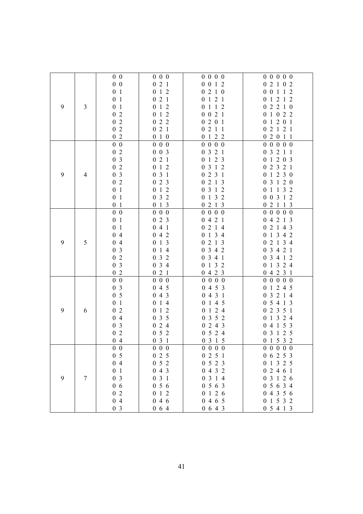|   |                | $0\,0$         | $0\,0\,0$                                          | $0\; 0\; 0\; 0$                 | 0 0 0 0 0                   |
|---|----------------|----------------|----------------------------------------------------|---------------------------------|-----------------------------|
|   |                | $0\,0$         | 021                                                | 0 0 1 2                         | 2 1 0 2<br>$\boldsymbol{0}$ |
|   |                | 0 <sub>1</sub> | $1\,2$<br>$\boldsymbol{0}$                         | 0210                            | 0 0 1 1 2                   |
|   |                | 0 <sub>1</sub> | 021                                                | 0 1 2 1                         | 0 1 2 1 2                   |
| 9 | 3              | 0 <sub>1</sub> | 012                                                | 0112                            | 0 2 2 1 0                   |
|   |                | 02             | 012                                                | 0 0 2 1                         | 0 1 0 2 2                   |
|   |                | 02             | 022                                                | 0201                            | 0 1 2 0 1                   |
|   |                | 02             | 021                                                | 0211                            | 0 2 1 2 1                   |
|   |                | 02             | 0 1 0                                              | 0 1 2 2                         | 02011                       |
|   |                | $0\,0$         | $0\ 0\ 0$                                          | $\boldsymbol{0}$<br>$0\,0\,0$   | 0 0 0 0 0                   |
|   |                | 02             | $0 \t0 \t3$                                        | 3 2 1<br>$\boldsymbol{0}$       | 0 3 2 1 1                   |
|   |                | 0 <sub>3</sub> | 2 1<br>$\boldsymbol{0}$                            | 123<br>$\boldsymbol{0}$         | 0 1 2 0 3                   |
|   |                | $0\,2$         | $1\,2$<br>$\boldsymbol{0}$                         | 3 1 2<br>$\boldsymbol{0}$       | 0 2 3 2 1                   |
| 9 | $\overline{4}$ | 0 <sub>3</sub> | 031                                                | 2 3 1<br>$\boldsymbol{0}$       | 0 1 2 3 0                   |
|   |                | 02             | 023                                                | 2 1 3<br>$\boldsymbol{0}$       | 0 3 1 2 0                   |
|   |                | 0 <sub>1</sub> | $1\,2$<br>$\boldsymbol{0}$                         | 3 1 2<br>$\boldsymbol{0}$       | 0 1 1 3 2                   |
|   |                | 0 <sub>1</sub> | 3 <sub>2</sub><br>$\boldsymbol{0}$                 | 132<br>$\boldsymbol{0}$         | 0 0 3 1 2                   |
|   |                | 0 <sub>1</sub> | 013                                                | 0213                            | 0 2 1 1 3                   |
|   |                | $0\,0$         | $0\ 0\ 0$                                          | 0 0 0 0                         | 0 0 0 0 0                   |
|   |                | 0 <sub>1</sub> | 023                                                | 4 2 1<br>$\boldsymbol{0}$       | 4 2 1 3<br>$\overline{0}$   |
|   |                | 0 <sub>1</sub> | 4 1<br>$\overline{0}$                              | 0214                            | 2 1 4 3<br>$\boldsymbol{0}$ |
|   |                | 04             | 042                                                | 0134                            | 0 1 3 4 2                   |
| 9 | 5              | 04             | 1 3<br>$\boldsymbol{0}$                            | 2 1 3<br>$\boldsymbol{0}$       | 0 2 1 3 4                   |
|   |                | 0 <sub>3</sub> | 14<br>$\boldsymbol{0}$                             | 3 4 2<br>$\boldsymbol{0}$       | 0 3 4 2 1                   |
|   |                | 02             | 032                                                | 3 4 1<br>$\boldsymbol{0}$       | 0 3 4 1 2                   |
|   |                | 0 <sub>3</sub> | 034                                                | 132<br>$\boldsymbol{0}$         | 0 1 3 2 4                   |
|   |                | 02             | 021                                                | 0423                            | 0 4 2 3 1                   |
|   |                | $0\,0$         | $0\ 0\ 0$                                          | 0 0 0 0                         | 0 0 0 0 0                   |
|   |                | 0 <sub>3</sub> | 045                                                | 0453                            | 0 1 2 4 5                   |
|   |                | 0 <sub>5</sub> | 043                                                | 0431                            | 3 2 1 4<br>$\boldsymbol{0}$ |
|   |                | 0 <sub>1</sub> | 14<br>$\boldsymbol{0}$                             | 1 4 5<br>$\boldsymbol{0}$       | 0 5 4 1 3                   |
| 9 | 6              | 02             | $\mathbf{1}$<br>$\overline{2}$<br>$\boldsymbol{0}$ | $1 \t2 \t4$<br>$\boldsymbol{0}$ | 2 3 5 1<br>$\boldsymbol{0}$ |
|   |                | 04             | 035                                                | 0 3 5 2                         | 1 3 2 4<br>$\boldsymbol{0}$ |
|   |                | 0 <sub>3</sub> | 024                                                | 0 2 4 3                         | 4 1 5 3<br>$\boldsymbol{0}$ |
|   |                | $0\,$ 2        | $0\,$ 5 $\,$ 2 $\,$                                | 0524                            | 3 1 2 5<br>$\boldsymbol{0}$ |
|   |                | 04             | 031                                                | 0315                            | 0 1 5 3 2                   |
|   |                | 0 <sub>0</sub> | $0\,0\,0$                                          | $0\; 0\; 0\; 0$                 | 0 0 0 0 0                   |
|   |                | 0 <sub>5</sub> | 025                                                | 0251                            | 0 6 2 5 3                   |
|   |                | 04             | 052                                                | 0523                            | 0 1 3 2 5                   |
|   |                | 0 <sub>1</sub> | 043                                                | 0432                            | 02461                       |
| 9 | $\overline{7}$ | 0 <sub>3</sub> | 031                                                | 0 3 1 4                         | 0 3 1 2 6                   |
|   |                | 06             | 056                                                | 0563                            | 0 5 6 3 4                   |
|   |                | 02             | 1 2<br>$\boldsymbol{0}$                            | 0 1 2 6                         | 04356                       |
|   |                | 04             | 046                                                | 0465                            | 0 1 5 3 2                   |
|   |                | 0 <sub>3</sub> | 064                                                | 0643                            | 0 5 4 1 3                   |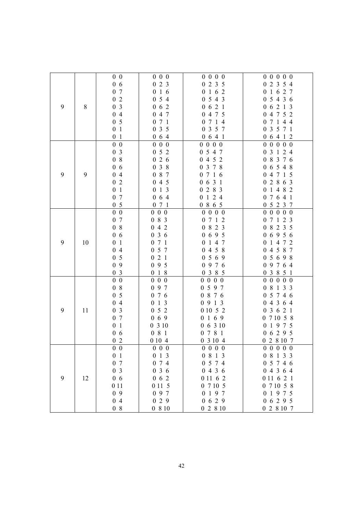|   |    | $0\,0$          | $0\ 0\ 0$                          | 0 0 0 0                          | 0 0 0 0 0                                  |
|---|----|-----------------|------------------------------------|----------------------------------|--------------------------------------------|
|   |    | 06              | 023                                | 0 2 3 5                          | 0 2 3 5 4                                  |
|   |    | 0 7             | 016                                | 0162                             | 0 1 6 2 7                                  |
|   |    | 02              | 054                                | 0 5 4 3                          | 0 5 4 3 6                                  |
| 9 | 8  | 0 <sub>3</sub>  | $0\t0\t0\t 2$                      | 0621                             | 0 6 2 1 3                                  |
|   |    | 04              | 047                                | 0 4 7 5                          | 4 7 5 2<br>$\overline{0}$                  |
|   |    | 0 <sub>5</sub>  | 071                                | 0714                             | 0 7 1 4 4                                  |
|   |    | 0 <sub>1</sub>  | $3\overline{5}$<br>$\mathbf{0}$    | 3 5 7<br>$\boldsymbol{0}$        | 3 5 7 1<br>$\boldsymbol{0}$                |
|   |    | 0 <sub>1</sub>  | 064                                | 0641                             | 0 6 4 1 2                                  |
|   |    | $0\,0$          | $0\ 0\ 0$                          | $0\,0$<br>$0\,0$                 | 0 <sub>0</sub><br>$0\,0$<br>$\overline{0}$ |
|   |    | 0 <sub>3</sub>  | 52<br>$\boldsymbol{0}$             | 0 5 4 7                          | 0 3 1 2 4                                  |
|   |    | 08              | 2 6<br>$\boldsymbol{0}$            | 0452                             | 0 8 3 7 6                                  |
|   |    | 06              | 3 8<br>$\boldsymbol{0}$            | 0 3 7 8                          | 0 6 5 4 8                                  |
| 9 | 9  | 04              | 0 8 7                              | 0716                             | 0 4 7 1 5                                  |
|   |    | 0 <sub>2</sub>  | 045                                | 0631                             | 0 2 8 6 3                                  |
|   |    | 0 <sub>1</sub>  | 1 <sub>3</sub><br>$\boldsymbol{0}$ | 0283                             | 0 <sub>1</sub><br>4 8 2                    |
|   |    | 0 7             | 6 4<br>$\boldsymbol{0}$            | 0124                             | 0 7 6 4 1                                  |
|   |    | 0 <sub>5</sub>  | 071                                | 0865                             | 0 5 2 3 7                                  |
|   |    | $0\ 0$          |                                    |                                  |                                            |
|   |    | 0 7             | $0\ 0\ 0$<br>083                   | $0\; 0\; 0\; 0$<br>0712          | 0 0 0 0 0<br>0 7 1 2 3                     |
|   |    | $0\hskip 4pt$ 8 | 042                                | 0 8 2 3                          | 8 2 3 5<br>$\boldsymbol{0}$                |
|   |    |                 |                                    | 0695                             | 06956                                      |
| 9 |    | 06              | 036<br>071                         |                                  |                                            |
|   | 10 | 0 <sub>1</sub>  |                                    | 147<br>$\boldsymbol{0}$<br>4 5 8 | 0 1 4 7 2                                  |
|   |    | 04              | 057                                | $\boldsymbol{0}$                 | 4 5 8 7<br>$\boldsymbol{0}$                |
|   |    | 0 <sub>5</sub>  | 021                                | 0569                             | 05698                                      |
|   |    | 09              | 095                                | 9 7 6<br>$\overline{0}$          | 0 9 7 6 4                                  |
|   |    | 0 <sub>3</sub>  | 0 1 8                              | 3 8 5<br>$\boldsymbol{0}$        | 0 3 8 5 1                                  |
|   |    | $0\ 0$          | $0\ 0\ 0$                          | $0\ 0\ 0$<br>$\overline{0}$      | $0\ 0\ 0$<br>$0\,0$                        |
|   |    | 08              | 097                                | 0597                             | 0 8 1 3 3                                  |
|   |    | 0 <sub>5</sub>  | 076                                | 0 8 7 6                          | 0 5 7 4 6                                  |
|   |    | 04              | 0 1 3                              | 0913                             | 0 4 3 6 4                                  |
| 9 | 11 | 0 <sub>3</sub>  | 052                                | 0 10 5 2                         | 3 6 2 1<br>$\boldsymbol{0}$                |
|   |    | 0 7             | 069                                | 0 1 6 9                          | 0 7 10 5 8                                 |
|   |    | 0 <sub>1</sub>  | 0310                               | 06310                            | 1975<br>$\boldsymbol{0}$                   |
|   |    | 06              | 081                                | 0781                             | 06295                                      |
|   |    | 02              | 0 10 4                             | 0 3 10 4                         | 0 2 8 10 7                                 |
|   |    | $0\,0$          | $0\,0\,0$                          | $0\; 0\; 0\; 0$                  | 0 0 0 0 0                                  |
|   |    | 0 <sub>1</sub>  | 013                                | 0 8 1 3                          | 0 8 1 3 3                                  |
|   |    | 0 7             | 0 7 4                              | 0 5 7 4                          | 0 5 7 4 6                                  |
|   |    | 0 <sub>3</sub>  | 036                                | 0436                             | 04364                                      |
| 9 | 12 | 06              | $0\,6\,2$                          | 0 11 6 2                         | 0 11 6 2 1                                 |
|   |    | 0 1 1           | 0 11 5                             | 0 7 10 5                         | 0 7 10 5 8                                 |
|   |    | 0 9             | 097                                | 0197                             | 0 1 9 7 5                                  |
|   |    | 04              | 029                                | 0629                             | 06295                                      |
|   |    | 08              | 0810                               | 02810                            | 0 2 8 10 7                                 |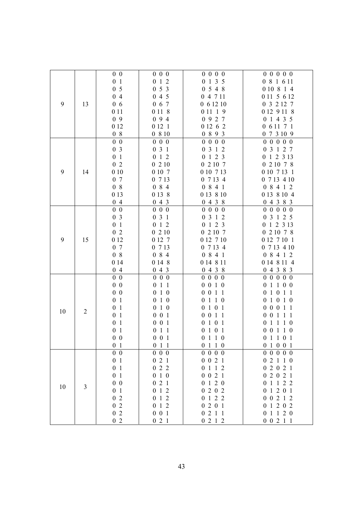|    |                                                                                                                                                                                                                                                                                                                                                                                                                                                                                                                                                                                 | $0\,0$         | $0\,0\,0$         | $0\; 0\; 0\; 0$                 | 0 0 0 0 0   |
|----|---------------------------------------------------------------------------------------------------------------------------------------------------------------------------------------------------------------------------------------------------------------------------------------------------------------------------------------------------------------------------------------------------------------------------------------------------------------------------------------------------------------------------------------------------------------------------------|----------------|-------------------|---------------------------------|-------------|
|    |                                                                                                                                                                                                                                                                                                                                                                                                                                                                                                                                                                                 |                | 012               | 0 1 3 5                         | 0 8 1 6 11  |
|    |                                                                                                                                                                                                                                                                                                                                                                                                                                                                                                                                                                                 |                | 053               | 0548                            | 0 10 8 1 4  |
|    |                                                                                                                                                                                                                                                                                                                                                                                                                                                                                                                                                                                 |                | 045               | 0 4 7 11                        | 0 11 5 6 12 |
| 9  |                                                                                                                                                                                                                                                                                                                                                                                                                                                                                                                                                                                 |                | 0 6 7             | 061210                          | 0 3 2 12 7  |
|    |                                                                                                                                                                                                                                                                                                                                                                                                                                                                                                                                                                                 |                | 0 1 1 8           | 0 11 1 9                        | 0 12 9 11 8 |
|    |                                                                                                                                                                                                                                                                                                                                                                                                                                                                                                                                                                                 |                | 094               | 0927                            | 0 1 4 3 5   |
|    |                                                                                                                                                                                                                                                                                                                                                                                                                                                                                                                                                                                 |                | 0 12 1            | 0 12 6 2                        | 0 6 11 7 1  |
|    |                                                                                                                                                                                                                                                                                                                                                                                                                                                                                                                                                                                 |                | 0 8 10            | 0893                            | 0 7 3 10 9  |
|    |                                                                                                                                                                                                                                                                                                                                                                                                                                                                                                                                                                                 |                | $0\ 0\ 0$         | 0 0 0 0                         | 0 0 0 0 0   |
|    |                                                                                                                                                                                                                                                                                                                                                                                                                                                                                                                                                                                 |                | 031               | 0 3 1 2                         | 0 3 1 2 7   |
|    |                                                                                                                                                                                                                                                                                                                                                                                                                                                                                                                                                                                 |                | 012               | 0 1 2 3                         | 0 1 2 3 13  |
|    |                                                                                                                                                                                                                                                                                                                                                                                                                                                                                                                                                                                 |                | 0210              | 0 2 10 7                        | 0 2 10 7 8  |
| 9  |                                                                                                                                                                                                                                                                                                                                                                                                                                                                                                                                                                                 |                | 0 10 7            | 0 10 7 13                       | 0 10 7 13 1 |
|    |                                                                                                                                                                                                                                                                                                                                                                                                                                                                                                                                                                                 |                | 0 7 13            | 0 7 13 4                        | 0 7 13 4 10 |
|    |                                                                                                                                                                                                                                                                                                                                                                                                                                                                                                                                                                                 |                | 084               | 0 8 4 1                         | 0 8 4 1 2   |
|    |                                                                                                                                                                                                                                                                                                                                                                                                                                                                                                                                                                                 |                | 0 13 8            | 0 13 8 10                       | 0 13 8 10 4 |
|    |                                                                                                                                                                                                                                                                                                                                                                                                                                                                                                                                                                                 |                | 043               | 0438                            | 0 4 3 8 3   |
|    |                                                                                                                                                                                                                                                                                                                                                                                                                                                                                                                                                                                 |                | $0\,0\,0$         | 0 0 0 0                         | 0 0 0 0 0   |
|    |                                                                                                                                                                                                                                                                                                                                                                                                                                                                                                                                                                                 |                | 031               | 0 3 1 2                         | 0 3 1 2 5   |
|    |                                                                                                                                                                                                                                                                                                                                                                                                                                                                                                                                                                                 |                | 012               | 0 1 2 3                         | 0 1 2 3 13  |
|    |                                                                                                                                                                                                                                                                                                                                                                                                                                                                                                                                                                                 |                |                   | 0 2 10 7                        | 0 2 10 7 8  |
| 9  | 0 <sub>1</sub><br>0 <sub>5</sub><br>04<br>06<br>13<br>0 1 1<br>09<br>0 12<br>08<br>$0\quad 0$<br>0 <sub>3</sub><br>0 <sub>1</sub><br>02<br>010<br>14<br>0 7<br>08<br>0 13<br>04<br>$0\,0$<br>0 <sub>3</sub><br>0 <sub>1</sub><br>02<br>0 12<br>15<br>0 7<br>08<br>0 14<br>04<br>$0\,0$<br>$0\quad 0$<br>$0\,0$<br>0 <sub>1</sub><br>0 <sub>1</sub><br>$\overline{2}$<br>0 <sub>1</sub><br>0 <sub>1</sub><br>0 <sub>1</sub><br>$0\,0$<br>0 <sub>1</sub><br>$0\,0$<br>0 <sub>1</sub><br>0 <sub>1</sub><br>0 <sub>1</sub><br>$0\,0$<br>3<br>0 <sub>1</sub><br>02<br>02<br>02<br>02 | 0210<br>0 12 7 | 0 12 7 10         |                                 |             |
|    |                                                                                                                                                                                                                                                                                                                                                                                                                                                                                                                                                                                 |                |                   |                                 | 0 12 7 10 1 |
|    |                                                                                                                                                                                                                                                                                                                                                                                                                                                                                                                                                                                 |                | 0 7 13            | 0 7 13 4                        | 0 7 13 4 10 |
|    |                                                                                                                                                                                                                                                                                                                                                                                                                                                                                                                                                                                 |                | 0 8 4             | 0 8 4 1                         | 0 8 4 1 2   |
|    |                                                                                                                                                                                                                                                                                                                                                                                                                                                                                                                                                                                 |                | 0 14 8<br>043     | 0 14 8 11<br>0438               | 0 14 8 11 4 |
|    |                                                                                                                                                                                                                                                                                                                                                                                                                                                                                                                                                                                 |                |                   |                                 | 04383       |
|    |                                                                                                                                                                                                                                                                                                                                                                                                                                                                                                                                                                                 |                | $0\ 0\ 0$         | 0 0 0 0                         | 0 0 0 0 0   |
|    |                                                                                                                                                                                                                                                                                                                                                                                                                                                                                                                                                                                 |                | 011               | 0 0 1 0                         | 01100       |
|    |                                                                                                                                                                                                                                                                                                                                                                                                                                                                                                                                                                                 |                | 0 1 0             | 0 0 1 1                         | 0 1 0 1 1   |
|    |                                                                                                                                                                                                                                                                                                                                                                                                                                                                                                                                                                                 |                | 0 1 0             | 0110                            | 0 1 0 1 0   |
| 10 |                                                                                                                                                                                                                                                                                                                                                                                                                                                                                                                                                                                 |                | 0 1 0             | 0 1 0 1                         | 0 0 0 1 1   |
|    |                                                                                                                                                                                                                                                                                                                                                                                                                                                                                                                                                                                 |                | $0\ 0\ 1$         | 0 0 1 1                         | 0 0 1 1 1   |
|    |                                                                                                                                                                                                                                                                                                                                                                                                                                                                                                                                                                                 |                | $0\ 0\ 1$         | $1 \t0 \t1$<br>$\boldsymbol{0}$ | 0 1 1 1 0   |
|    |                                                                                                                                                                                                                                                                                                                                                                                                                                                                                                                                                                                 |                | 011<br>$0\ 0\ 1$  | 0 1 0 1                         | 0 0 1 1 0   |
|    |                                                                                                                                                                                                                                                                                                                                                                                                                                                                                                                                                                                 |                |                   | 0110                            | 01101       |
|    |                                                                                                                                                                                                                                                                                                                                                                                                                                                                                                                                                                                 |                | 011               | 0 1 1 0                         | 0 1 0 0 1   |
|    |                                                                                                                                                                                                                                                                                                                                                                                                                                                                                                                                                                                 |                | $0\quad 0\quad 0$ | 0 0 0 0                         | 0 0 0 0 0   |
|    |                                                                                                                                                                                                                                                                                                                                                                                                                                                                                                                                                                                 |                | 021               | 0 0 2 1                         | 02110       |
|    |                                                                                                                                                                                                                                                                                                                                                                                                                                                                                                                                                                                 |                | 022               | 0 1 1 2<br>0 0 2 1              | 02021       |
|    |                                                                                                                                                                                                                                                                                                                                                                                                                                                                                                                                                                                 |                | 0 1 0             |                                 | 02021       |
| 10 |                                                                                                                                                                                                                                                                                                                                                                                                                                                                                                                                                                                 |                | 021               | 0 1 2 0                         | 0 1 1 2 2   |
|    |                                                                                                                                                                                                                                                                                                                                                                                                                                                                                                                                                                                 |                | 012               | 0202<br>0 1 2 2                 | 0 1 2 0 1   |
|    |                                                                                                                                                                                                                                                                                                                                                                                                                                                                                                                                                                                 |                | 012               |                                 | 0 0 2 1 2   |
|    |                                                                                                                                                                                                                                                                                                                                                                                                                                                                                                                                                                                 |                | 012               | 0201                            | 0 1 2 0 2   |
|    |                                                                                                                                                                                                                                                                                                                                                                                                                                                                                                                                                                                 |                | $0\ 0\ 1$         | 0211                            | 0 1 1 2 0   |
|    |                                                                                                                                                                                                                                                                                                                                                                                                                                                                                                                                                                                 |                | 021               | 0 2 1 2                         | 0 0 2 1 1   |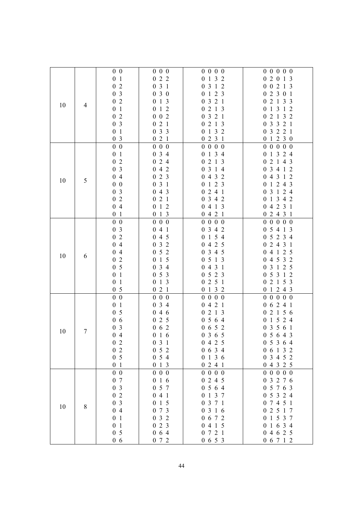|    |       | 0 <sub>0</sub> | $0\,0\,0$                          | $0\; 0\; 0\; 0$           | 0 0 0 0 0               |
|----|-------|----------------|------------------------------------|---------------------------|-------------------------|
|    |       | 0 <sub>1</sub> | 022                                | 0 1 3 2                   | 02013                   |
|    |       | 02             | 031                                | 0 3 1 2                   | 0 0 2 1 3               |
|    |       | 0 <sub>3</sub> | 030                                | 0 1 2 3                   | 02301                   |
|    |       | 02             | 013                                | 0321                      | 0 2 1 3 3               |
| 10 | 4     | 0 <sub>1</sub> | 012                                | 0213                      | 0 1 3 1 2               |
|    |       | 02             | $0\ 0\ 2$                          | 0321                      | 0 2 1 3 2               |
|    |       | 0 <sub>3</sub> | 021                                | 0213                      | 0 3 3 2 1               |
|    |       | 0 <sub>1</sub> | 033                                | 1 3 2<br>$\boldsymbol{0}$ | 0 3 2 2 1               |
|    |       | 0 <sub>3</sub> | 021                                | 0231                      | 0 1 2 3 0               |
|    |       | $0\,0$         | $0\quad 0\quad 0$                  | 0 0 0 0                   | 0 0 0 0 0               |
|    |       | 0 <sub>1</sub> | 0 3 4                              | 1 3 4<br>$\boldsymbol{0}$ | 0 1 3 2 4               |
|    |       | 02             | 024                                | 0213                      | 0 2 1 4 3               |
|    |       | 0 <sub>3</sub> | 042                                | 0 3 1 4                   | 0 3 4 1 2               |
|    |       | 04             | 023                                | 0432                      | 0 4 3 1 2               |
| 10 | 5     | $0\quad0$      | 031                                | 123<br>$\boldsymbol{0}$   | 0 1 2 4 3               |
|    |       | 0 <sub>3</sub> | 043                                | 2 4 1<br>$\boldsymbol{0}$ | 3 1 2 4<br>$\mathbf{0}$ |
|    |       | 02             | 021                                | 0 3 4 2                   | 0 1 3 4 2               |
|    |       | 04             | $1\,2$<br>$\boldsymbol{0}$         | 4 1 3<br>$\boldsymbol{0}$ | 0 4 2 3 1               |
|    |       | 0 <sub>1</sub> | 013                                | 0421                      | 02431                   |
|    |       | $0\,0$         |                                    |                           |                         |
|    |       | 0 <sub>3</sub> | $0\,0\,0$                          | 0 0 0 0<br>0 3 4 2        | 0 0 0 0 0<br>0 5 4 1 3  |
|    |       |                | 041                                |                           |                         |
|    |       | 0 <sub>2</sub> | 4 5<br>$\overline{0}$              | 1 5 4<br>$\boldsymbol{0}$ | 0 5 2 3 4               |
|    |       | 04             | 032                                | 0425                      | 02431                   |
| 10 | 6     | 04             | 052                                | 0345                      | 0 4 1 2 5               |
|    |       | 02             | $1\,5$<br>$\boldsymbol{0}$         | 0 5 1 3                   | 0 4 5 3 2               |
|    |       | 0 <sub>5</sub> | 034                                | 0431                      | 0 3 1 2 5               |
|    |       | 0 <sub>1</sub> | 053                                | 5 2 3<br>$\boldsymbol{0}$ | 0 5 3 1 2               |
|    |       | 0 <sub>1</sub> | 1 <sub>3</sub><br>$\boldsymbol{0}$ | 0251                      | 0 2 1 5 3               |
|    |       | 0 <sub>5</sub> | 021                                | 0 1 3 2                   | 0 1 2 4 3               |
|    |       | $0\quad 0$     | $0\,0\,0$                          | 0 0 0 0                   | 0 0 0 0 0               |
|    |       | 0 <sub>1</sub> | 034                                | 0421                      | 0 6 2 4 1               |
|    |       | 0 <sub>5</sub> | 046                                | 0213                      | 0 2 1 5 6               |
|    |       | 06             | 025                                | 0 5 6 4                   | 0 1 5 2 4               |
| 10 | 7     | 0 <sub>3</sub> | 062                                | 0 6 5 2                   | 0 3 5 6 1               |
|    |       | 04             | 016                                | 0365                      | 0 5 6 4 3               |
|    |       | 0 <sub>2</sub> | 031                                | 0 4 2 5                   | 0 5 3 6 4               |
|    |       | 02             | 052                                | 0634                      | 0 6 1 3 2               |
|    |       | 0 <sub>5</sub> | 054                                | 0136                      | 0 3 4 5 2               |
|    |       | 0 <sub>1</sub> | 013                                | 0241                      | 0 4 3 2 5               |
|    |       | $0\quad 0$     | $0\,0\,0$                          | $0\; 0\; 0\; 0$           | 0 0 0 0 0               |
|    |       | 0 7            | 016                                | 0245                      | 0 3 2 7 6               |
|    |       | 0 <sub>3</sub> | 0 5 7                              | 0 5 6 4                   | 0 5 7 6 3               |
|    |       | 02             | 041                                | 0137                      | 0 5 3 2 4               |
| 10 | $8\,$ | 0 <sub>3</sub> | 015                                | 0 3 7 1                   | 0 7 4 5 1               |
|    |       | 04             | 073                                | 0 3 1 6                   | 0 2 5 1 7               |
|    |       | 0 <sub>1</sub> | 032                                | 0 6 7 2                   | 0 1 5 3 7               |
|    |       | 0 <sub>1</sub> | 023                                | 0 4 1 5                   | 0 1 6 3 4               |
|    |       | 0 <sub>5</sub> | 064                                | 0721                      | 0 4 6 2 5               |
|    |       | 06             | 072                                | 0653                      | 0 6 7 1 2               |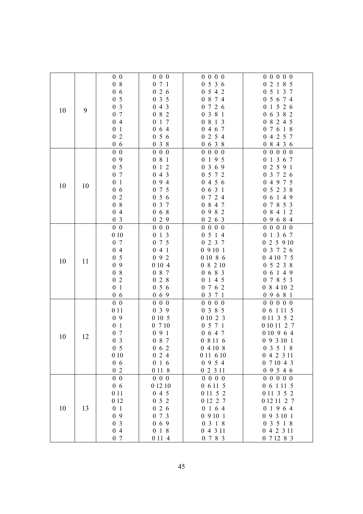|    |    | 0 <sub>0</sub> | $0\,0\,0$             | 0 0 0 0                   | 0 0 0 0 0               |
|----|----|----------------|-----------------------|---------------------------|-------------------------|
|    |    | 08             | 071                   | 0536                      | 0 2 1 8 5               |
|    |    | 06             | 026                   | 0 5 4 2                   | 0 <sub>5</sub><br>1 3 7 |
|    |    | 0 <sub>5</sub> | 035                   | 0 8 7 4                   | 0 5 6 7 4               |
|    |    | 0 <sub>3</sub> | 043                   | 0726                      | 0 1 5 2 6               |
| 10 | 9  | 0 7            | 082                   | 0 3 8 1                   | 0 6 3 8 2               |
|    |    | 04             | 0 1 7                 | 0 8 1 3                   | 0 8 2 4 5               |
|    |    | 0 <sub>1</sub> | 064                   | 0 4 6 7                   | 0 7 6 1 8               |
|    |    | 02             | 056                   | 0 2 5 4                   | 0 4 2 5 7               |
|    |    | 06             | 038                   | 0 6 3 8                   | 0 8 4 3 6               |
|    |    | $0\,0$         | $0\ 0\ 0$             | 0 0 0 0                   | 0 0 0 0 0               |
|    |    | 09             | 081                   | 0 1 9 5                   | 0 1 3 6 7               |
|    |    | 0 <sub>5</sub> | 1 2<br>$\overline{0}$ | 3 6 9<br>$\boldsymbol{0}$ | 02591                   |
|    |    | 0 7            | 043                   | 0 5 7 2                   | 0 3 7 2 6               |
|    |    | 0 <sub>1</sub> | 094                   | 0456                      | 0 4 9 7 5               |
| 10 | 10 | 06             | 0 7 5                 | 0631                      | 0 5 2 3 8               |
|    |    | 0 <sub>2</sub> | 056                   | 0724                      | 0 6 1 4 9               |
|    |    | 08             | 0 3 7                 | 0 8 4 7                   | 0 7 8 5 3               |
|    |    | 04             | 068                   | 0 9 8 2                   | 0 8 4 1 2               |
|    |    | 0 <sub>3</sub> | 029                   | 0263                      | 0 9 6 8 4               |
|    |    | $0\quad 0$     | $0\,0\,0$             | 0 0 0 0                   | 00000                   |
|    |    | 010            | $0 \t1 \t3$           | 0 5 1 4                   | 0 1 3 6 7               |
|    |    | 0 7            | 0 7 5                 | 0 2 3 7                   | 0 2 5 9 10              |
|    |    | 04             | 041                   | 09101                     | 0 3 7 2 6               |
| 10 |    | 0 <sub>5</sub> | 092                   | 0 10 8 6                  | 0 4 10 7 5              |
|    | 11 | 09             | 0 10 4                | 08210                     | 0 5 2 3 8               |
|    |    | 08             | 0 8 7                 | 0683                      | 0 6 1 4 9               |
|    |    | 02             | 028                   | 1 4 5<br>$\boldsymbol{0}$ | 0 7 8 5 3               |
|    |    | 0 <sub>1</sub> | 056                   | 7 6 2<br>$\boldsymbol{0}$ | 0 8 4 10 2              |
|    |    | 06             | 069                   | 0 3 7 1                   | 09681                   |
|    |    | $0\,0$         | $0\,0\,0$             | 0 0 0 0                   | 0 0 0 0 0               |
|    |    | 0 1 1          | 039                   | 0 3 8 5                   | 0 6 1 11 5              |
|    |    | 09             | 0 10 5                | 0 10 2 3                  | 0 11 3 5 2              |
|    |    | 0 <sub>1</sub> | 0710                  | 0 5 7 1                   | 0 10 11 2 7             |
| 10 | 12 | 0 7            | 091                   | 0 6 4 7                   | 0 10 9 6 4              |
|    |    | 0 <sub>3</sub> | 0 8 7                 | 0 8 11 6                  | 0 9 3 10 1              |
|    |    | 0 <sub>5</sub> | 062                   | 04108                     | 0 3 5 1 8               |
|    |    | 010            | 024                   | 0 11 6 10                 | 0 4 2 3 11              |
|    |    | 06             | 016                   | 0954                      | 0 7 10 4 3              |
|    |    | 02             | 0 11 8                | 0 2 3 11                  | 09546                   |
|    |    | $0\quad 0$     | $0\,0\,0$             | 0 0 0 0                   | 0 0 0 0 0               |
|    |    | 06             | 0 12 10               | 0 6 11 5                  | 0 6 1 11 5              |
|    |    | 0 1 1          | 045                   | 0 11 5 2                  | 0 11 3 5 2              |
|    |    | 0 12           | 052                   | 0 12 2 7                  | 0 12 11 2 7             |
| 10 | 13 | 0 <sub>1</sub> | 026                   | 0164                      | 0 1 9 6 4               |
|    |    | 09             | 0 7 3                 | 09101                     | 0 9 3 10 1              |
|    |    | 0 <sub>3</sub> | 069                   | 0 3 1 8                   | 0 3 5 1 8               |
|    |    | 04             | 018                   | 0 4 3 11                  | 0 4 2 3 11              |
|    |    | 0 7            | 0 1 1 4               | 0 7 8 3                   | 0 7 12 8 3              |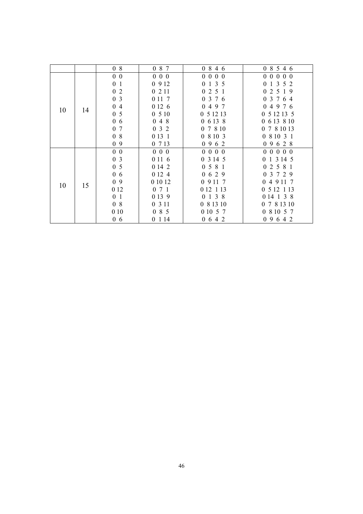|    |    | 08                               | 0 8 7     | 0846         | 0 8 5 4 6   |
|----|----|----------------------------------|-----------|--------------|-------------|
|    |    | $0\quad 0$                       | $0\ 0\ 0$ | 0 0 0 0      | 0 0 0 0 0   |
|    |    | 0 <sub>1</sub>                   | 0912      | 0135         | 0 1 3 5 2   |
|    |    | 0 <sub>2</sub>                   | 0211      | 0 2 5 1      | 02519       |
|    |    | 0 <sub>3</sub>                   | 0 11 7    | 0 3 7 6      | 0 3 7 6 4   |
|    |    | 04                               | 0 12 6    | 0497         | 04976       |
| 10 | 14 | 0 <sub>5</sub>                   | 0510      | 0 5 12 13    | 0 5 12 13 5 |
|    |    | 0 <sub>6</sub>                   | 048       | 06138        | 0 6 13 8 10 |
|    |    | $\overline{7}$<br>$\overline{0}$ | 032       | 0 7 8 10     | 0 7 8 10 13 |
|    |    | 08                               | 0 13 1    | 0 8 10 3     | 0 8 10 3 1  |
|    |    | 09                               | 0 7 13    | 0962         | 0 9 6 2 8   |
|    |    | $0\quad 0$                       | $0\ 0\ 0$ | 0 0 0 0      | 0 0 0 0 0   |
|    |    | 0 <sub>3</sub>                   | 0 11 6    | 0 3 14 5     | 0 1 3 14 5  |
|    |    | 0 <sub>5</sub>                   | 0 14 2    | 0581         | 02581       |
|    |    | 0 <sub>6</sub>                   | 0 12 4    | 0629         | 0 3 7 2 9   |
|    |    | 09                               | 0 10 12   | 0 9 11 7     | 0 4 9 11 7  |
| 10 | 15 | 0 12                             | 071       | 0 12 1 13    | 0 5 12 1 13 |
|    |    | 0 <sub>1</sub>                   | 0 13 9    | 0 1 3 8      | 0 14 1 3 8  |
|    |    | 08                               | 0 3 1 1   | 0 8 13 10    | 0 7 8 13 10 |
|    |    | 0 10                             | 085       | 0 10 5 7     | 0 8 10 5 7  |
|    |    | 06                               | 0 1 1 4   | $0\t6\t4\t2$ | 09642       |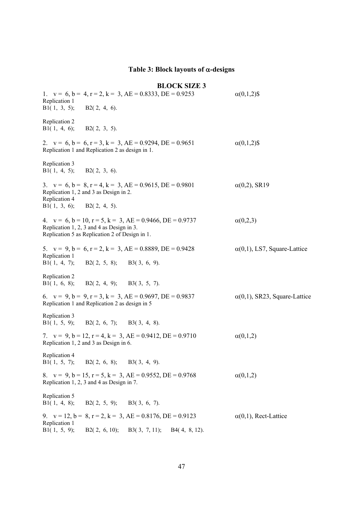## **Table 3: Block layouts of -designs**

## **BLOCK SIZE 3**

1.  $v = 6$ ,  $b = 4$ ,  $r = 2$ ,  $k = 3$ ,  $AE = 0.8333$ ,  $DE = 0.9253$  (0,1,2)\$ Replication 1 B1(1, 3, 5); B2(2, 4, 6). Replication 2 B1(1, 4, 6); B2(2, 3, 5). 2.  $v = 6$ ,  $b = 6$ ,  $r = 3$ ,  $k = 3$ ,  $AE = 0.9294$ ,  $DE = 0.9651$  (0,1,2)\$ Replication 1 and Replication 2 as design in 1. Replication 3 B1( 1, 4, 5); B2( 2, 3, 6). 3.  $v = 6$ ,  $b = 8$ ,  $r = 4$ ,  $k = 3$ ,  $AE = 0.9615$ ,  $DE = 0.9801$  (0,2), SR19 Replication 1, 2 and 3 as Design in 2. Replication 4  $B1(1, 3, 6); B2(2, 4, 5).$ 4.  $v = 6$ ,  $b = 10$ ,  $r = 5$ ,  $k = 3$ ,  $AE = 0.9466$ ,  $DE = 0.9737$   $\alpha(0,2,3)$ Replication 1, 2, 3 and 4 as Design in 3. Replication 5 as Replication 2 of Design in 1. 5.  $v = 9$ ,  $b = 6$ ,  $r = 2$ ,  $k = 3$ ,  $AE = 0.8889$ ,  $DE = 0.9428$   $\alpha(0,1)$ , LS7, Square-Lattice Replication 1 B1( 1, 4, 7); B2( 2, 5, 8); B3( 3, 6, 9). Replication 2 B1( 1, 6, 8); B2( 2, 4, 9); B3( 3, 5, 7). 6.  $v = 9$ ,  $b = 9$ ,  $r = 3$ ,  $k = 3$ ,  $AE = 0.9697$ ,  $DE = 0.9837$  (0,1), SR23, Square-Lattice Replication 1 and Replication 2 as design in 5 Replication 3 B1( 1, 5, 9); B2( 2, 6, 7); B3( 3, 4, 8). 7.  $v = 9$ ,  $b = 12$ ,  $r = 4$ ,  $k = 3$ ,  $AE = 0.9412$ ,  $DE = 0.9710$   $\alpha(0,1,2)$ Replication 1, 2 and 3 as Design in 6. Replication 4 B1(1, 5, 7); B2(2, 6, 8); B3(3, 4, 9). 8.  $v = 9$ ,  $b = 15$ ,  $r = 5$ ,  $k = 3$ ,  $AE = 0.9552$ ,  $DE = 0.9768$  (0,1,2) Replication 1, 2, 3 and 4 as Design in 7. Replication 5 B1( 1, 4, 8); B2( 2, 5, 9); B3( 3, 6, 7). 9.  $v = 12$ ,  $b = 8$ ,  $r = 2$ ,  $k = 3$ ,  $AE = 0.8176$ ,  $DE = 0.9123$   $\alpha(0,1)$ , Rect-Lattice Replication 1 B1( 1, 5, 9); B2( 2, 6, 10); B3( 3, 7, 11); B4( 4, 8, 12).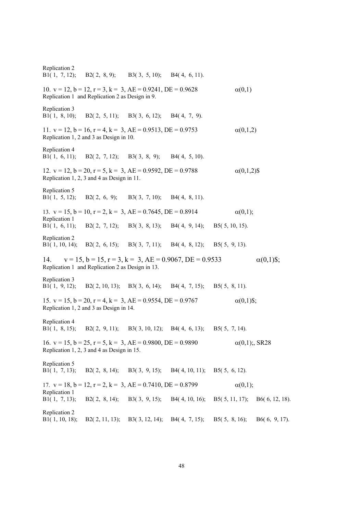Replication 2 B1( 1, 7, 12); B2( 2, 8, 9); B3( 3, 5, 10); B4( 4, 6, 11). 10.  $v = 12$ ,  $b = 12$ ,  $r = 3$ ,  $k = 3$ ,  $AE = 0.9241$ ,  $DE = 0.9628$   $\alpha(0,1)$ Replication 1 and Replication 2 as Design in 9. Replication 3 B1( 1, 8, 10); B2( 2, 5, 11); B3( 3, 6, 12); B4( 4, 7, 9). 11.  $v = 12$ ,  $b = 16$ ,  $r = 4$ ,  $k = 3$ ,  $AE = 0.9513$ ,  $DE = 0.9753$  (0,1,2) Replication 1, 2 and 3 as Design in 10. Replication 4 B1( 1, 6, 11); B2( 2, 7, 12); B3( 3, 8, 9); B4( 4, 5, 10). 12.  $v = 12$ ,  $b = 20$ ,  $r = 5$ ,  $k = 3$ ,  $AE = 0.9592$ ,  $DE = 0.9788$  (0,1,2)\$ Replication 1, 2, 3 and 4 as Design in 11. Replication 5 B1( 1, 5, 12); B2( 2, 6, 9); B3( 3, 7, 10); B4( 4, 8, 11). 13.  $v = 15$ ,  $b = 10$ ,  $r = 2$ ,  $k = 3$ ,  $AE = 0.7645$ ,  $DE = 0.8914$  (0,1); Replication 1 B1( 1, 6, 11); B2( 2, 7, 12); B3( 3, 8, 13); B4( 4, 9, 14); B5( 5, 10, 15). Replication 2 B1( 1, 10, 14); B2( 2, 6, 15); B3( 3, 7, 11); B4( 4, 8, 12); B5( 5, 9, 13). 14.  $v = 15$ ,  $b = 15$ ,  $r = 3$ ,  $k = 3$ ,  $AE = 0.9067$ ,  $DE = 0.9533$   $\alpha(0,1)\$ ; Replication 1 and Replication 2 as Design in 13. Replication 3 B1( 1, 9, 12); B2( 2, 10, 13); B3( 3, 6, 14); B4( 4, 7, 15); B5( 5, 8, 11). 15.  $v = 15$ ,  $b = 20$ ,  $r = 4$ ,  $k = 3$ ,  $AE = 0.9554$ ,  $DE = 0.9767$   $\alpha(0,1)\$ ; Replication 1, 2 and 3 as Design in 14. Replication 4 B1( 1, 8, 15); B2( 2, 9, 11); B3( 3, 10, 12); B4( 4, 6, 13); B5( 5, 7, 14). 16.  $v = 15$ ,  $b = 25$ ,  $r = 5$ ,  $k = 3$ ,  $AE = 0.9800$ ,  $DE = 0.9890$   $\alpha(0,1)$ ;, SR28 Replication 1, 2, 3 and 4 as Design in 15. Replication 5 B1( 1, 7, 13); B2( 2, 8, 14); B3( 3, 9, 15); B4( 4, 10, 11); B5( 5, 6, 12). 17.  $v = 18$ ,  $b = 12$ ,  $r = 2$ ,  $k = 3$ ,  $AE = 0.7410$ ,  $DE = 0.8799$   $\alpha(0,1)$ ; Replication 1 B1( 1, 7, 13); B2( 2, 8, 14); B3( 3, 9, 15); B4( 4, 10, 16); B5( 5, 11, 17); B6( 6, 12, 18). Replication 2 B1( 1, 10, 18); B2( 2, 11, 13); B3( 3, 12, 14); B4( 4, 7, 15); B5( 5, 8, 16); B6( 6, 9, 17).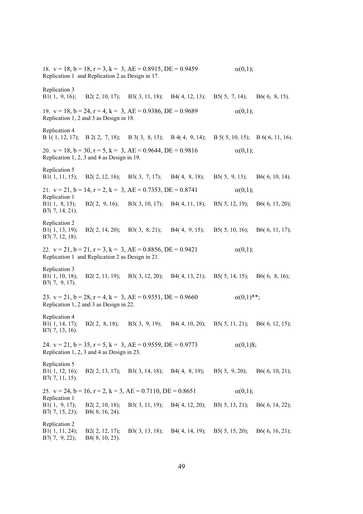18.  $v = 18$ ,  $b = 18$ ,  $r = 3$ ,  $k = 3$ ,  $AE = 0.8915$ ,  $DE = 0.9459$  (0,1); Replication 1 and Replication 2 as Design in 17. Replication 3 B1( 1, 9, 16); B2( 2, 10, 17); B3( 3, 11, 18); B4( 4, 12, 13); B5( 5, 7, 14); B6( 6, 8, 15). 19.  $v = 18$ ,  $b = 24$ ,  $r = 4$ ,  $k = 3$ ,  $AE = 0.9386$ ,  $DE = 0.9689$  (0,1); Replication 1, 2 and 3 as Design in 18. Replication 4 B 1( 1, 12, 17); B 2( 2, 7, 18); B 3( 3, 8, 13); B 4( 4, 9, 14); B 5( 5, 10, 15); B 6( 6, 11, 16). 20.  $v = 18$ ,  $b = 30$ ,  $r = 5$ ,  $k = 3$ ,  $AE = 0.9644$ ,  $DE = 0.9816$  (0,1); Replication 1, 2, 3 and 4 as Design in 19. Replication 5 B1( 1, 11, 15); B2( 2, 12, 16); B3( 3, 7, 17); B4( 4, 8, 18); B5( 5, 9, 13); B6( 6, 10, 14). 21.  $v = 21$ ,  $b = 14$ ,  $r = 2$ ,  $k = 3$ ,  $AE = 0.7353$ ,  $DE = 0.8741$  (a(0,1); Replication 1 B1( 1, 8, 15); B2( 2, 9, 16); B3( 3, 10, 17); B4( 4, 11, 18); B5( 5, 12, 19); B6( 6, 13, 20); B7( 7, 14, 21). Replication 2 B1( 1, 13, 19); B2( 2, 14, 20); B3( 3, 8, 21); B4( 4, 9, 15); B5( 5, 10, 16); B6( 6, 11, 17); B7( 7, 12, 18). 22.  $v = 21$ ,  $b = 21$ ,  $r = 3$ ,  $k = 3$ ,  $AE = 0.8856$ ,  $DE = 0.9421$  (0,1); Replication 1 and Replication 2 as Design in 21. Replication 3 B1( 1, 10, 18); B2( 2, 11, 19); B3( 3, 12, 20); B4( 4, 13, 21); B5( 5, 14, 15); B6( 6, 8, 16); B7( 7, 9, 17). 23.  $v = 21$ ,  $b = 28$ ,  $r = 4$ ,  $k = 3$ ,  $AE = 0.9351$ ,  $DE = 0.9660$   $\alpha(0,1)$ <sup>\*\*</sup>; Replication 1, 2 and 3 as Design in 22. Replication 4 B1( 1, 14, 17); B2( 2, 8, 18); B3( 3, 9, 19); B4( 4, 10, 20); B5( 5, 11, 21); B6( 6, 12, 15); B7( 7, 13, 16). 24.  $v = 21$ ,  $b = 35$ ,  $r = 5$ ,  $k = 3$ ,  $AE = 0.9559$ ,  $DE = 0.9773$   $\alpha(0,1)\$ ; Replication 1, 2, 3 and 4 as Design in 23. Replication 5 B1( 1, 12, 16); B2( 2, 13, 17); B3( 3, 14, 18); B4( 4, 8, 19); B5( 5, 9, 20); B6( 6, 10, 21); B7( 7, 11, 15). 25.  $v = 24$ ,  $b = 16$ ,  $r = 2$ ,  $k = 3$ ,  $AE = 0.7110$ ,  $DE = 0.8651$  (0,1); Replication 1 B1( 1, 9, 17); B2( 2, 10, 18); B3( 3, 11, 19); B4( 4, 12, 20); B5( 5, 13, 21); B6( 6, 14, 22); B7( 7, 15, 23); B8( 8, 16, 24). Replication 2 B1( 1, 11, 24); B2( 2, 12, 17); B3( 3, 13, 18); B4( 4, 14, 19); B5( 5, 15, 20); B6( 6, 16, 21); B7( 7, 9, 22); B8( 8, 10, 23).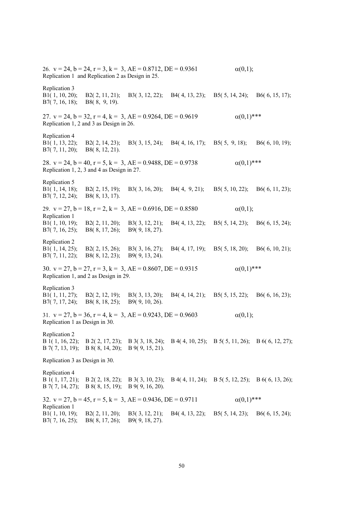26.  $v = 24$ ,  $b = 24$ ,  $r = 3$ ,  $k = 3$ ,  $AE = 0.8712$ ,  $DE = 0.9361$   $\alpha(0,1)$ ; Replication 1 and Replication 2 as Design in 25. Replication 3 B1( 1, 10, 20); B2( 2, 11, 21); B3( 3, 12, 22); B4( 4, 13, 23); B5( 5, 14, 24); B6( 6, 15, 17); B7( 7, 16, 18); B8( 8, 9, 19). 27.  $v = 24$ ,  $b = 32$ ,  $r = 4$ ,  $k = 3$ ,  $AE = 0.9264$ ,  $DE = 0.9619$   $\alpha(0,1)$ \*\*\* Replication 1, 2 and 3 as Design in 26. Replication 4 B1( 1, 13, 22); B2( 2, 14, 23); B3( 3, 15, 24); B4( 4, 16, 17); B5( 5, 9, 18); B6( 6, 10, 19); B7( 7, 11, 20); B8( 8, 12, 21). 28.  $v = 24$ ,  $b = 40$ ,  $r = 5$ ,  $k = 3$ ,  $AE = 0.9488$ ,  $DE = 0.9738$   $\alpha(0,1)$ \*\*\* Replication 1, 2, 3 and 4 as Design in 27. Replication 5 B1( 1, 14, 18); B2( 2, 15, 19); B3( 3, 16, 20); B4( 4, 9, 21); B5( 5, 10, 22); B6( 6, 11, 23); B7( 7, 12, 24); B8( 8, 13, 17). 29.  $v = 27$ ,  $b = 18$ ,  $r = 2$ ,  $k = 3$ ,  $AE = 0.6916$ ,  $DE = 0.8580$   $\alpha(0,1)$ ; Replication 1 B1( 1, 10, 19); B2( 2, 11, 20); B3( 3, 12, 21); B4( 4, 13, 22); B5( 5, 14, 23); B6( 6, 15, 24); B7( 7, 16, 25); B8( 8, 17, 26); B9( 9, 18, 27). Replication 2 B1( 1, 14, 25); B2( 2, 15, 26); B3( 3, 16, 27); B4( 4, 17, 19); B5( 5, 18, 20); B6( 6, 10, 21); B7( 7, 11, 22); B8( 8, 12, 23); B9( 9, 13, 24). 30.  $v = 27$ ,  $b = 27$ ,  $r = 3$ ,  $k = 3$ ,  $AE = 0.8607$ ,  $DE = 0.9315$   $\alpha(0,1)$ \*\*\* Replication 1, and 2 as Design in 29. Replication 3 B1( 1, 11, 27); B2( 2, 12, 19); B3( 3, 13, 20); B4( 4, 14, 21); B5( 5, 15, 22); B6( 6, 16, 23); B7( 7, 17, 24); B8( 8, 18, 25); B9( 9, 10, 26). 31.  $v = 27$ ,  $b = 36$ ,  $r = 4$ ,  $k = 3$ ,  $AE = 0.9243$ ,  $DE = 0.9603$  (0,1); Replication 1 as Design in 30. Replication 2 B 1( 1, 16, 22); B 2( 2, 17, 23); B 3( 3, 18, 24); B 4( 4, 10, 25); B 5( 5, 11, 26); B 6( 6, 12, 27); B 7( 7, 13, 19); B 8( 8, 14, 20); B 9( 9, 15, 21). Replication 3 as Design in 30. Replication 4 B 1( 1, 17, 21); B 2( 2, 18, 22); B 3( 3, 10, 23); B 4( 4, 11, 24); B 5( 5, 12, 25); B 6( 6, 13, 26); B 7( 7, 14, 27); B 8( 8, 15, 19); B 9( 9, 16, 20). 32.  $v = 27$ ,  $b = 45$ ,  $r = 5$ ,  $k = 3$ ,  $AE = 0.9436$ ,  $DE = 0.9711$   $\alpha(0,1)$ \*\*\* Replication 1 B1( 1, 10, 19); B2( 2, 11, 20); B3( 3, 12, 21); B4( 4, 13, 22); B5( 5, 14, 23); B6( 6, 15, 24); B7( 7, 16, 25); B8( 8, 17, 26); B9( 9, 18, 27).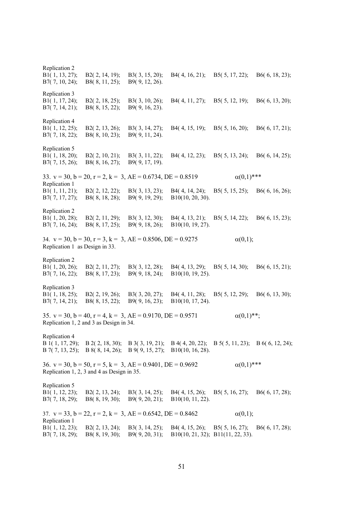Replication 2 B1( 1, 13, 27); B2( 2, 14, 19); B3( 3, 15, 20); B4( 4, 16, 21); B5( 5, 17, 22); B6( 6, 18, 23); B7( 7, 10, 24); B8( 8, 11, 25); B9( 9, 12, 26). Replication 3 B1( 1, 17, 24); B2( 2, 18, 25); B3( 3, 10, 26); B4( 4, 11, 27); B5( 5, 12, 19); B6( 6, 13, 20); B7( 7, 14, 21); B8( 8, 15, 22); B9( 9, 16, 23). Replication 4 B1( 1, 12, 25); B2( 2, 13, 26); B3( 3, 14, 27); B4( 4, 15, 19); B5( 5, 16, 20); B6( 6, 17, 21); B7( 7, 18, 22); B8( 8, 10, 23); B9( 9, 11, 24). Replication 5 B1( 1, 18, 20); B2( 2, 10, 21); B3( 3, 11, 22); B4( 4, 12, 23); B5( 5, 13, 24); B6( 6, 14, 25); B7( 7, 15, 26); B8( 8, 16, 27); B9( 9, 17, 19). 33.  $v = 30$ ,  $b = 20$ ,  $r = 2$ ,  $k = 3$ ,  $AE = 0.6734$ ,  $DE = 0.8519$   $\alpha(0,1)$ \*\*\* Replication 1 B1( 1, 11, 21); B2( 2, 12, 22); B3( 3, 13, 23); B4( 4, 14, 24); B5( 5, 15, 25); B6( 6, 16, 26); B7( 7, 17, 27); B8( 8, 18, 28); B9( 9, 19, 29); B10(10, 20, 30). Replication 2 B1( 1, 20, 28); B2( 2, 11, 29); B3( 3, 12, 30); B4( 4, 13, 21); B5( 5, 14, 22); B6( 6, 15, 23); B7( 7, 16, 24); B8( 8, 17, 25); B9( 9, 18, 26); B10(10, 19, 27). 34.  $v = 30$ ,  $b = 30$ ,  $r = 3$ ,  $k = 3$ ,  $AE = 0.8506$ ,  $DE = 0.9275$   $\alpha(0,1)$ ; Replication 1 as Design in 33. Replication 2 B1( 1, 20, 26); B2( 2, 11, 27); B3( 3, 12, 28); B4( 4, 13, 29); B5( 5, 14, 30); B6( 6, 15, 21); B7( 7, 16, 22); B8( 8, 17, 23); B9( 9, 18, 24); B10(10, 19, 25). Replication 3 B1( 1, 18, 25); B2( 2, 19, 26); B3( 3, 20, 27); B4( 4, 11, 28); B5( 5, 12, 29); B6( 6, 13, 30); B7( 7, 14, 21); B8( 8, 15, 22); B9( 9, 16, 23); B10(10, 17, 24). 35.  $v = 30$ ,  $b = 40$ ,  $r = 4$ ,  $k = 3$ ,  $AE = 0.9170$ ,  $DE = 0.9571$   $\alpha(0,1)^{**}$ ; Replication 1, 2 and 3 as Design in 34. Replication 4 B 1( 1, 17, 29); B 2( 2, 18, 30); B 3( 3, 19, 21); B 4( 4, 20, 22); B 5( 5, 11, 23); B 6( 6, 12, 24); B 7( 7, 13, 25); B 8( 8, 14, 26); B 9( 9, 15, 27); B10(10, 16, 28). 36.  $v = 30$ ,  $b = 50$ ,  $r = 5$ ,  $k = 3$ ,  $AE = 0.9401$ ,  $DE = 0.9692$   $\alpha(0,1)$ \*\*\* Replication 1, 2, 3 and 4 as Design in 35. Replication 5 B1( 1, 12, 23); B2( 2, 13, 24); B3( 3, 14, 25); B4( 4, 15, 26); B5( 5, 16, 27); B6( 6, 17, 28); B7( 7, 18, 29); B8( 8, 19, 30); B9( 9, 20, 21); B10(10, 11, 22). 37.  $v = 33$ ,  $b = 22$ ,  $r = 2$ ,  $k = 3$ ,  $AE = 0.6542$ ,  $DE = 0.8462$  (0,1); Replication 1 B1( 1, 12, 23); B2( 2, 13, 24); B3( 3, 14, 25); B4( 4, 15, 26); B5( 5, 16, 27); B6( 6, 17, 28); B7( 7, 18, 29); B8( 8, 19, 30); B9( 9, 20, 31); B10(10, 21, 32); B11(11, 22, 33).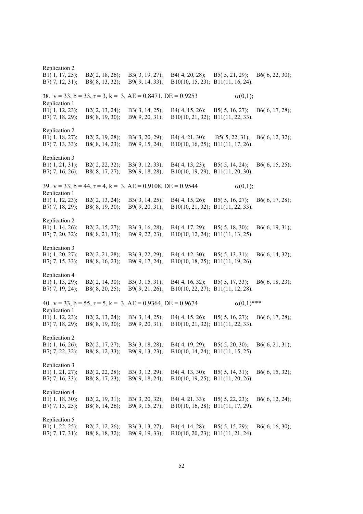Replication 2 B1( 1, 17, 25); B2( 2, 18, 26); B3( 3, 19, 27); B4( 4, 20, 28); B5( 5, 21, 29); B6( 6, 22, 30); B7( 7, 12, 31); B8( 8, 13, 32); B9( 9, 14, 33); B10(10, 15, 23); B11(11, 16, 24). 38.  $v = 33$ ,  $b = 33$ ,  $r = 3$ ,  $k = 3$ ,  $AE = 0.8471$ ,  $DE = 0.9253$  (0,1); Replication 1 B1( 1, 12, 23); B2( 2, 13, 24); B3( 3, 14, 25); B4( 4, 15, 26); B5( 5, 16, 27); B6( 6, 17, 28); B7( 7, 18, 29); B8( 8, 19, 30); B9( 9, 20, 31); B10(10, 21, 32); B11(11, 22, 33). Replication 2 B1( 1, 18, 27); B2( 2, 19, 28); B3( 3, 20, 29); B4( 4, 21, 30); B5( 5, 22, 31); B6( 6, 12, 32); B7( 7, 13, 33); B8( 8, 14, 23); B9( 9, 15, 24); B10(10, 16, 25); B11(11, 17, 26). Replication 3 B1( 1, 21, 31); B2( 2, 22, 32); B3( 3, 12, 33); B4( 4, 13, 23); B5( 5, 14, 24); B6( 6, 15, 25); B7( 7, 16, 26); B8( 8, 17, 27); B9( 9, 18, 28); B10(10, 19, 29); B11(11, 20, 30). 39.  $v = 33$ ,  $b = 44$ ,  $r = 4$ ,  $k = 3$ ,  $AE = 0.9108$ ,  $DE = 0.9544$  (0,1); Replication 1 B1( 1, 12, 23); B2( 2, 13, 24); B3( 3, 14, 25); B4( 4, 15, 26); B5( 5, 16, 27); B6( 6, 17, 28); B7( 7, 18, 29); B8( 8, 19, 30); B9( 9, 20, 31); B10(10, 21, 32); B11(11, 22, 33). Replication 2 B1( 1, 14, 26); B2( 2, 15, 27); B3( 3, 16, 28); B4( 4, 17, 29); B5( 5, 18, 30); B6( 6, 19, 31); B7( 7, 20, 32); B8( 8, 21, 33); B9( 9, 22, 23); B10(10, 12, 24); B11(11, 13, 25). Replication 3 B1( 1, 20, 27); B2( 2, 21, 28); B3( 3, 22, 29); B4( 4, 12, 30); B5( 5, 13, 31); B6( 6, 14, 32); B7( 7, 15, 33); B8( 8, 16, 23); B9( 9, 17, 24); B10(10, 18, 25); B11(11, 19, 26). Replication 4 B1( 1, 13, 29); B2( 2, 14, 30); B3( 3, 15, 31); B4( 4, 16, 32); B5( 5, 17, 33); B6( 6, 18, 23); B7( 7, 19, 24); B8( 8, 20, 25); B9( 9, 21, 26); B10(10, 22, 27); B11(11, 12, 28). 40.  $v = 33$ ,  $b = 55$ ,  $r = 5$ ,  $k = 3$ ,  $AE = 0.9364$ ,  $DE = 0.9674$   $\alpha(0,1)$ \*\*\* Replication 1 B1( 1, 12, 23); B2( 2, 13, 24); B3( 3, 14, 25); B4( 4, 15, 26); B5( 5, 16, 27); B6( 6, 17, 28); B7( 7, 18, 29); B8( 8, 19, 30); B9( 9, 20, 31); B10(10, 21, 32); B11(11, 22, 33). B8( 8, 19, 30); B9( 9, 20, 31); B10(10, 21, 32); B11(11, 22, 33). Replication 2 B1( 1, 16, 26); B2( 2, 17, 27); B3( 3, 18, 28); B4( 4, 19, 29); B5( 5, 20, 30); B6( 6, 21, 31); B7( 7, 22, 32); B8( 8, 12, 33); B9( 9, 13, 23); B10(10, 14, 24); B11(11, 15, 25). Replication 3 B1( 1, 21, 27); B2( 2, 22, 28); B3( 3, 12, 29); B4( 4, 13, 30); B5( 5, 14, 31); B6( 6, 15, 32); B7( 7, 16, 33); B8( 8, 17, 23); B9( 9, 18, 24); B10(10, 19, 25); B11(11, 20, 26). B8( 8, 17, 23); B9( 9, 18, 24); B10(10, 19, 25); B11(11, 20, 26). Replication 4 B1( 1, 18, 30); B2( 2, 19, 31); B3( 3, 20, 32); B4( 4, 21, 33); B5( 5, 22, 23); B6( 6, 12, 24); B7( 7, 13, 25); B8( 8, 14, 26); B9( 9, 15, 27); B10(10, 16, 28); B11(11, 17, 29). B7( 7, 13, 25); B8( 8, 14, 26); B9( 9, 15, 27); B10(10, 16, 28); B11(11, 17, 29). Replication 5 B1( 1, 22, 25); B2( 2, 12, 26); B3( 3, 13, 27); B4( 4, 14, 28); B5( 5, 15, 29); B6( 6, 16, 30); B7( 7, 17, 31); B8( 8, 18, 32); B9( 9, 19, 33); B10(10, 20, 23); B11(11, 21, 24).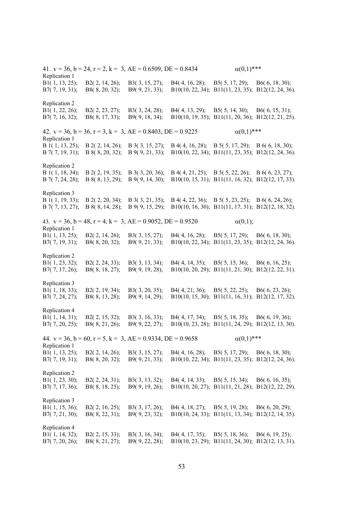41.  $v = 36$ ,  $b = 24$ ,  $r = 2$ ,  $k = 3$ ,  $AE = 0.6509$ ,  $DE = 0.8434$   $\alpha(0,1)$ \*\*\* Replication 1 B1( 1, 13, 25); B2( 2, 14, 26); B3( 3, 15, 27); B4( 4, 16, 28); B5( 5, 17, 29); B6( 6, 18, 30); B7( 7, 19, 31); B8( 8, 20, 32); B9( 9, 21, 33); B10(10, 22, 34); B11(11, 23, 35); B12(12, 24, 36). Replication 2 B1( 1, 22, 26); B2( 2, 23, 27); B3( 3, 24, 28); B4( 4, 13, 29); B5( 5, 14, 30); B6( 6, 15, 31); B7( 7, 16, 32); B8( 8, 17, 33); B9( 9, 18, 34); B10(10, 19, 35); B11(11, 20, 36); B12(12, 21, 25). 42.  $v = 36$ ,  $b = 36$ ,  $r = 3$ ,  $k = 3$ ,  $AE = 0.8403$ ,  $DE = 0.9225$   $\alpha(0,1)$ \*\*\* Replication 1 B 1( 1, 13, 25); B 2( 2, 14, 26); B 3( 3, 15, 27); B 4( 4, 16, 28); B 5( 5, 17, 29); B 6( 6, 18, 30); B 7( 7, 19, 31); B 8( 8, 20, 32); B 9( 9, 21, 33); B10(10, 22, 34); B11(11, 23, 35); B12(12, 24, 36). Replication 2 B 1( 1, 18, 34); B 2( 2, 19, 35); B 3( 3, 20, 36); B 4( 4, 21, 25); B 5( 5, 22, 26); B 6( 6, 23, 27); B 7( 7, 24, 28); B 8( 8, 13, 29); B 9( 9, 14, 30); B10(10, 15, 31); B11(11, 16, 32); B12(12, 17, 33). Replication 3 B 1( 1, 19, 33); B 2( 2, 20, 34); B 3( 3, 21, 35); B 4( 4, 22, 36); B 5( 5, 23, 25); B 6( 6, 24, 26); B 7( 7, 13, 27); B 8( 8, 14, 28); B 9( 9, 15, 29); B10(10, 16, 30); B11(11, 17, 31); B12(12, 18, 32). 43.  $v = 36$ ,  $b = 48$ ,  $r = 4$ ,  $k = 3$ ,  $AE = 0.9052$ ,  $DE = 0.9520$   $\alpha(0,1)$ ; Replication 1 B1( 1, 13, 25); B2( 2, 14, 26); B3( 3, 15, 27); B4( 4, 16, 28); B5( 5, 17, 29); B6( 6, 18, 30); B7( 7, 19, 31); B8( 8, 20, 32); B9( 9, 21, 33); B10(10, 22, 34); B11(11, 23, 35); B12(12, 24, 36). Replication 2 B1( 1, 23, 32); B2( 2, 24, 33); B3( 3, 13, 34); B4( 4, 14, 35); B5( 5, 15, 36); B6( 6, 16, 25); B7( 7, 17, 26); B8( 8, 18, 27); B9( 9, 19, 28); B10(10, 20, 29); B11(11, 21, 30); B12(12, 22, 31). Replication 3 B1( 1, 18, 33); B2( 2, 19, 34); B3( 3, 20, 35); B4( 4, 21, 36); B5( 5, 22, 25); B6( 6, 23, 26); B7( 7, 24, 27); B8( 8, 13, 28); B9( 9, 14, 29); B10(10, 15, 30); B11(11, 16, 31); B12(12, 17, 32). Replication 4 B1( 1, 14, 31); B2( 2, 15, 32); B3( 3, 16, 33); B4( 4, 17, 34); B5( 5, 18, 35); B6( 6, 19, 36); B7( 7, 20, 25); B8( 8, 21, 26); B9( 9, 22, 27); B10(10, 23, 28); B11(11, 24, 29); B12(12, 13, 30). 44.  $v = 36$ ,  $b = 60$ ,  $r = 5$ ,  $k = 3$ ,  $AE = 0.9334$ ,  $DE = 0.9658$   $\alpha(0,1)$ \*\*\* Replication 1 B1( 1, 13, 25); B2( 2, 14, 26); B3( 3, 15, 27); B4( 4, 16, 28); B5( 5, 17, 29); B6( 6, 18, 30); B7( 7, 19, 31); B8( 8, 20, 32); B9( 9, 21, 33); B10(10, 22, 34); B11(11, 23, 35); B12(12, 24, 36). Replication 2 B1( 1, 23, 30); B2( 2, 24, 31); B3( 3, 13, 32); B4( 4, 14, 33); B5( 5, 15, 34); B6( 6, 16, 35); B7( 7, 17, 36); B8( 8, 18, 25); B9( 9, 19, 26); B10(10, 20, 27); B11(11, 21, 28); B12(12, 22, 29). Replication 3 B1( 1, 15, 36); B2( 2, 16, 25); B3( 3, 17, 26); B4( 4, 18, 27); B5( 5, 19, 28); B6( 6, 20, 29); B7( 7, 21, 30); B8( 8, 22, 31); B9( 9, 23, 32); B10(10, 24, 33); B11(11, 13, 34); B12(12, 14, 35). Replication 4 B1( 1, 14, 32); B2( 2, 15, 33); B3( 3, 16, 34); B4( 4, 17, 35); B5( 5, 18, 36); B6( 6, 19, 25); B7( 7, 20, 26); B8( 8, 21, 27); B9( 9, 22, 28); B10(10, 23, 29); B11(11, 24, 30); B12(12, 13, 31).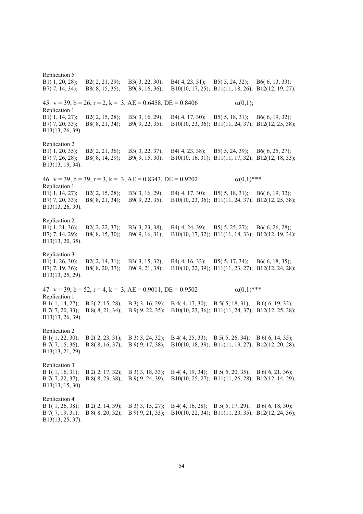Replication 5 B1( 1, 20, 28); B2( 2, 21, 29); B3( 3, 22, 30); B4( 4, 23, 31); B5( 5, 24, 32); B6( 6, 13, 33); B7( 7, 14, 34); B8( 8, 15, 35); B9( 9, 16, 36); B10(10, 17, 25); B11(11, 18, 26); B12(12, 19, 27). 45.  $v = 39$ ,  $b = 26$ ,  $r = 2$ ,  $k = 3$ ,  $AE = 0.6458$ ,  $DE = 0.8406$   $\alpha(0,1)$ ; Replication 1 B1( 1, 14, 27); B2( 2, 15, 28); B3( 3, 16, 29); B4( 4, 17, 30); B5( 5, 18, 31); B6( 6, 19, 32); B7( 7, 20, 33); B8( 8, 21, 34); B9( 9, 22, 35); B10(10, 23, 36); B11(11, 24, 37); B12(12, 25, 38); B13(13, 26, 39). Replication 2 B1( 1, 20, 35); B2( 2, 21, 36); B3( 3, 22, 37); B4( 4, 23, 38); B5( 5, 24, 39); B6( 6, 25, 27); B7( 7, 26, 28); B8( 8, 14, 29); B9( 9, 15, 30); B10(10, 16, 31); B11(11, 17, 32); B12(12, 18, 33); B13(13, 19, 34). 46.  $y = 39$ ,  $b = 39$ ,  $r = 3$ ,  $k = 3$ ,  $AE = 0.8343$ ,  $DE = 0.9202$  (0,1)\*\*\* Replication 1 B1( 1, 14, 27); B2( 2, 15, 28); B3( 3, 16, 29); B4( 4, 17, 30); B5( 5, 18, 31); B6( 6, 19, 32); B7( 7, 20, 33); B8( 8, 21, 34); B9( 9, 22, 35); B10(10, 23, 36); B11(11, 24, 37); B12(12, 25, 38); B13(13, 26, 39). Replication 2 B1( 1, 21, 36); B2( 2, 22, 37); B3( 3, 23, 38); B4( 4, 24, 39); B5( 5, 25, 27); B6( 6, 26, 28); B7( 7, 14, 29); B8( 8, 15, 30); B9( 9, 16, 31); B10(10, 17, 32); B11(11, 18, 33); B12(12, 19, 34); B13(13, 20, 35). Replication 3 B1( 1, 26, 30); B2( 2, 14, 31); B3( 3, 15, 32); B4( 4, 16, 33); B5( 5, 17, 34); B6( 6, 18, 35); B7( 7, 19, 36); B8( 8, 20, 37); B9( 9, 21, 38); B10(10, 22, 39); B11(11, 23, 27); B12(12, 24, 28); B13(13, 25, 29). 47.  $v = 39$ ,  $b = 52$ ,  $r = 4$ ,  $k = 3$ ,  $AE = 0.9011$ ,  $DE = 0.9502$   $\alpha(0,1)$ \*\*\* Replication 1 B 1( 1, 14, 27); B 2( 2, 15, 28); B 3( 3, 16, 29); B 4( 4, 17, 30); B 5( 5, 18, 31); B 6( 6, 19, 32); B 7( 7, 20, 33); B 8( 8, 21, 34); B 9( 9, 22, 35); B10(10, 23, 36); B11(11, 24, 37); B12(12, 25, 38); B13(13, 26, 39). Replication 2 B 1( 1, 22, 30); B 2( 2, 23, 31); B 3( 3, 24, 32); B 4( 4, 25, 33); B 5( 5, 26, 34); B 6( 6, 14, 35); B 7( 7, 15, 36); B 8( 8, 16, 37); B 9( 9, 17, 38); B10(10, 18, 39); B11(11, 19, 27); B12(12, 20, 28); B13(13, 21, 29). Replication 3 B 1( 1, 16, 31); B 2( 2, 17, 32); B 3( 3, 18, 33); B 4( 4, 19, 34); B 5( 5, 20, 35); B 6( 6, 21, 36); B 7( 7, 22, 37); B 8( 8, 23, 38); B 9( 9, 24, 39); B10(10, 25, 27); B11(11, 26, 28); B12(12, 14, 29); B13(13, 15, 30). Replication 4 B 1( 1, 26, 38); B 2( 2, 14, 39); B 3( 3, 15, 27); B 4( 4, 16, 28); B 5( 5, 17, 29); B 6( 6, 18, 30); B 7( 7, 19, 31); B 8( 8, 20, 32); B 9( 9, 21, 33); B10(10, 22, 34); B11(11, 23, 35); B12(12, 24, 36); B13(13, 25, 37).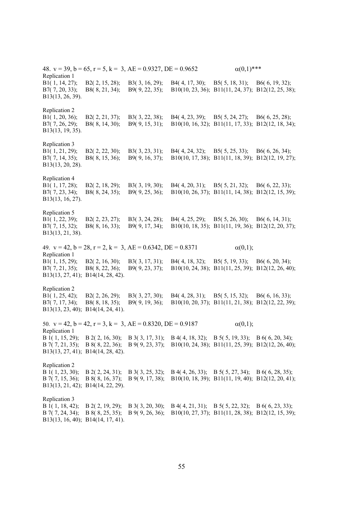48.  $v = 39$ ,  $b = 65$ ,  $r = 5$ ,  $k = 3$ ,  $AE = 0.9327$ ,  $DE = 0.9652$   $\alpha(0,1)$ \*\*\* Replication 1 B1( 1, 14, 27); B2( 2, 15, 28); B3( 3, 16, 29); B4( 4, 17, 30); B5( 5, 18, 31); B6( 6, 19, 32); B7( 7, 20, 33); B8( 8, 21, 34); B9( 9, 22, 35); B10(10, 23, 36); B11(11, 24, 37); B12(12, 25, 38); B13(13, 26, 39). Replication 2 B1( 1, 20, 36); B2( 2, 21, 37); B3( 3, 22, 38); B4( 4, 23, 39); B5( 5, 24, 27); B6( 6, 25, 28); B7( 7, 26, 29); B8( 8, 14, 30); B9( 9, 15, 31); B10(10, 16, 32); B11(11, 17, 33); B12(12, 18, 34); B13(13, 19, 35). Replication 3 B1( 1, 21, 29); B2( 2, 22, 30); B3( 3, 23, 31); B4( 4, 24, 32); B5( 5, 25, 33); B6( 6, 26, 34); B7( 7, 14, 35); B8( 8, 15, 36); B9( 9, 16, 37); B10(10, 17, 38); B11(11, 18, 39); B12(12, 19, 27); B13(13, 20, 28). Replication 4 B1( 1, 17, 28); B2( 2, 18, 29); B3( 3, 19, 30); B4( 4, 20, 31); B5( 5, 21, 32); B6( 6, 22, 33); B7( 7, 23, 34); B8( 8, 24, 35); B9( 9, 25, 36); B10(10, 26, 37); B11(11, 14, 38); B12(12, 15, 39); B13(13, 16, 27). Replication 5 B1( 1, 22, 39); B2( 2, 23, 27); B3( 3, 24, 28); B4( 4, 25, 29); B5( 5, 26, 30); B6( 6, 14, 31); B7( 7, 15, 32); B8( 8, 16, 33); B9( 9, 17, 34); B10(10, 18, 35); B11(11, 19, 36); B12(12, 20, 37); B13(13, 21, 38). 49.  $v = 42$ ,  $b = 28$ ,  $r = 2$ ,  $k = 3$ ,  $AE = 0.6342$ ,  $DE = 0.8371$   $\alpha(0,1)$ ; Replication 1 B1( 1, 15, 29); B2( 2, 16, 30); B3( 3, 17, 31); B4( 4, 18, 32); B5( 5, 19, 33); B6( 6, 20, 34); B7( 7, 21, 35); B8( 8, 22, 36); B9( 9, 23, 37); B10(10, 24, 38); B11(11, 25, 39); B12(12, 26, 40); B13(13, 27, 41); B14(14, 28, 42). Replication 2 B1( 1, 25, 42); B2( 2, 26, 29); B3( 3, 27, 30); B4( 4, 28, 31); B5( 5, 15, 32); B6( 6, 16, 33); B7( 7, 17, 34); B8( 8, 18, 35); B9( 9, 19, 36); B10(10, 20, 37); B11(11, 21, 38); B12(12, 22, 39); B13(13, 23, 40); B14(14, 24, 41). 50.  $v = 42$ ,  $b = 42$ ,  $r = 3$ ,  $k = 3$ ,  $AE = 0.8320$ ,  $DE = 0.9187$  (0,1); Replication 1 B 1( 1, 15, 29); B 2( 2, 16, 30); B 3( 3, 17, 31); B 4( 4, 18, 32); B 5( 5, 19, 33); B 6( 6, 20, 34); B 7( 7, 21, 35); B 8( 8, 22, 36); B 9( 9, 23, 37); B10(10, 24, 38); B11(11, 25, 39); B12(12, 26, 40); B13(13, 27, 41); B14(14, 28, 42). Replication 2 B 1( 1, 23, 30); B 2( 2, 24, 31); B 3( 3, 25, 32); B 4( 4, 26, 33); B 5( 5, 27, 34); B 6( 6, 28, 35); B 7( 7, 15, 36); B 8( 8, 16, 37); B 9( 9, 17, 38); B10(10, 18, 39); B11(11, 19, 40); B12(12, 20, 41); B13(13, 21, 42); B14(14, 22, 29). Replication 3 B 1( 1, 18, 42); B 2( 2, 19, 29); B 3( 3, 20, 30); B 4( 4, 21, 31); B 5( 5, 22, 32); B 6( 6, 23, 33); B 7( 7, 24, 34); B 8( 8, 25, 35); B 9( 9, 26, 36); B10(10, 27, 37); B11(11, 28, 38); B12(12, 15, 39); B13(13, 16, 40); B14(14, 17, 41).

55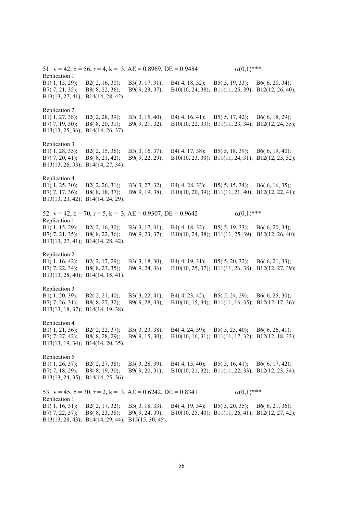51.  $v = 42$ ,  $b = 56$ ,  $r = 4$ ,  $k = 3$ ,  $AE = 0.8969$ ,  $DE = 0.9484$   $\alpha(0,1)$ \*\*\* Replication 1 B1( 1, 15, 29); B2( 2, 16, 30); B3( 3, 17, 31); B4( 4, 18, 32); B5( 5, 19, 33); B6( 6, 20, 34); B7( 7, 21, 35); B8( 8, 22, 36); B9( 9, 23, 37); B10(10, 24, 38); B11(11, 25, 39); B12(12, 26, 40); B13(13, 27, 41); B14(14, 28, 42). Replication 2 B1( 1, 27, 38); B2( 2, 28, 39); B3( 3, 15, 40); B4( 4, 16, 41); B5( 5, 17, 42); B6( 6, 18, 29); B7( 7, 19, 30); B8( 8, 20, 31); B9( 9, 21, 32); B10(10, 22, 33); B11(11, 23, 34); B12(12, 24, 35); B13(13, 25, 36); B14(14, 26, 37). Replication 3 B1( 1, 28, 35); B2( 2, 15, 36); B3( 3, 16, 37); B4( 4, 17, 38); B5( 5, 18, 39); B6( 6, 19, 40); B7( 7, 20, 41); B8( 8, 21, 42); B9( 9, 22, 29); B10(10, 23, 30); B11(11, 24, 31); B12(12, 25, 32); B13(13, 26, 33); B14(14, 27, 34). Replication 4<br>B1(1, 25, 30); B1( 1, 25, 30); B2( 2, 26, 31); B3( 3, 27, 32); B4( 4, 28, 33); B5( 5, 15, 34); B6( 6, 16, 35); B7( 7, 17, 36); B8( 8, 18, 37); B9( 9, 19, 38); B10(10, 20, 39); B11(11, 21, 40); B12(12, 22, 41); B13(13, 23, 42); B14(14, 24, 29). 52.  $v = 42$ ,  $b = 70$ ,  $r = 5$ ,  $k = 3$ ,  $AE = 0.9307$ ,  $DE = 0.9642$   $\alpha(0,1)$ \*\*\* Replication 1 B1( 1, 15, 29); B2( 2, 16, 30); B3( 3, 17, 31); B4( 4, 18, 32); B5( 5, 19, 33); B6( 6, 20, 34); B7( 7, 21, 35); B8( 8, 22, 36); B9( 9, 23, 37); B10(10, 24, 38); B11(11, 25, 39); B12(12, 26, 40); B13(13, 27, 41); B14(14, 28, 42). Replication 2 B1( 1, 16, 42); B2( 2, 17, 29); B3( 3, 18, 30); B4( 4, 19, 31); B5( 5, 20, 32); B6( 6, 21, 33); B7( 7, 22, 34); B8( 8, 23, 35); B9( 9, 24, 36); B10(10, 25, 37); B11(11, 26, 38); B12(12, 27, 39); B13(13, 28, 40); B14(14, 15, 41). Replication 3 B1( 1, 20, 39); B2( 2, 21, 40); B3( 3, 22, 41); B4( 4, 23, 42); B5( 5, 24, 29); B6( 6, 25, 30); B7( 7, 26, 31); B8( 8, 27, 32); B9( 9, 28, 33); B10(10, 15, 34); B11(11, 16, 35); B12(12, 17, 36); B13(13, 18, 37); B14(14, 19, 38). Replication 4 B1( 1, 21, 36); B2( 2, 22, 37); B3( 3, 23, 38); B4( 4, 24, 39); B5( 5, 25, 40); B6( 6, 26, 41); B7( 7, 27, 42); B8( 8, 28, 29); B9( 9, 15, 30); B10(10, 16, 31); B11(11, 17, 32); B12(12, 18, 33); B13(13, 19, 34); B14(14, 20, 35). Replication 5<br>B1(1, 26, 37); B1( 1, 26, 37); B2( 2, 27, 38); B3( 3, 28, 39); B4( 4, 15, 40); B5( 5, 16, 41); B6( 6, 17, 42); B7( 7, 18, 29); B8( 8, 19, 30); B9( 9, 20, 31); B10(10, 21, 32); B11(11, 22, 33); B12(12, 23, 34); B13(13, 24, 35); B14(14, 25, 36). 53.  $v = 45$ ,  $b = 30$ ,  $r = 2$ ,  $k = 3$ ,  $AE = 0.6242$ ,  $DE = 0.8341$   $\alpha(0,1)$ \*\*\* Replication 1 B1( 1, 16, 31); B2( 2, 17, 32); B3( 3, 18, 33); B4( 4, 19, 34); B5( 5, 20, 35); B6( 6, 21, 36); B7( 7, 22, 37); B8( 8, 23, 38); B9( 9, 24, 39); B10(10, 25, 40); B11(11, 26, 41); B12(12, 27, 42); B13(13, 28, 43); B14(14, 29, 44); B15(15, 30, 45).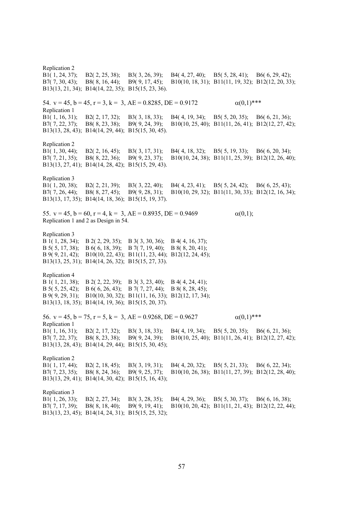Replication 2 B1( 1, 24, 37); B2( 2, 25, 38); B3( 3, 26, 39); B4( 4, 27, 40); B5( 5, 28, 41); B6( 6, 29, 42); B7( 7, 30, 43); B8( 8, 16, 44); B9( 9, 17, 45); B10(10, 18, 31); B11(11, 19, 32); B12(12, 20, 33); B13(13, 21, 34); B14(14, 22, 35); B15(15, 23, 36). 54.  $v = 45$ ,  $b = 45$ ,  $r = 3$ ,  $k = 3$ ,  $AE = 0.8285$ ,  $DE = 0.9172$   $\alpha(0,1)$ \*\*\* Replication 1 B1( 1, 16, 31); B2( 2, 17, 32); B3( 3, 18, 33); B4( 4, 19, 34); B5( 5, 20, 35); B6( 6, 21, 36); B7( 7, 22, 37); B8( 8, 23, 38); B9( 9, 24, 39); B10(10, 25, 40); B11(11, 26, 41); B12(12, 27, 42); B13(13, 28, 43); B14(14, 29, 44); B15(15, 30, 45). Replication 2 B1( 1, 30, 44); B2( 2, 16, 45); B3( 3, 17, 31); B4( 4, 18, 32); B5( 5, 19, 33); B6( 6, 20, 34); B7( 7, 21, 35); B8( 8, 22, 36); B9( 9, 23, 37); B10(10, 24, 38); B11(11, 25, 39); B12(12, 26, 40); B13(13, 27, 41); B14(14, 28, 42); B15(15, 29, 43). Replication 3 B1( 1, 20, 38); B2( 2, 21, 39); B3( 3, 22, 40); B4( 4, 23, 41); B5( 5, 24, 42); B6( 6, 25, 43); B7( 7, 26, 44); B8( 8, 27, 45); B9( 9, 28, 31); B10(10, 29, 32); B11(11, 30, 33); B12(12, 16, 34); B13(13, 17, 35); B14(14, 18, 36); B15(15, 19, 37). 55.  $v = 45$ ,  $b = 60$ ,  $r = 4$ ,  $k = 3$ ,  $AE = 0.8935$ ,  $DE = 0.9469$  (0,1); Replication 1 and 2 as Design in 54. Replication 3 B 1( 1, 28, 34); B 2( 2, 29, 35); B 3( 3, 30, 36); B 4( 4, 16, 37); B 5( 5, 17, 38); B 6( 6, 18, 39); B 7( 7, 19, 40); B 8( 8, 20, 41); B 9( 9, 21, 42); B10(10, 22, 43); B11(11, 23, 44); B12(12, 24, 45); B13(13, 25, 31); B14(14, 26, 32); B15(15, 27, 33). Replication 4 B 1( 1, 21, 38); B 2( 2, 22, 39); B 3( 3, 23, 40); B 4( 4, 24, 41); B 5( 5, 25, 42); B 6( 6, 26, 43); B 7( 7, 27, 44); B 8( 8, 28, 45); B 9( 9, 29, 31); B10(10, 30, 32); B11(11, 16, 33); B12(12, 17, 34); B13(13, 18, 35); B14(14, 19, 36); B15(15, 20, 37). 56.  $v = 45$ ,  $b = 75$ ,  $r = 5$ ,  $k = 3$ ,  $AE = 0.9268$ ,  $DE = 0.9627$   $\alpha(0,1)$ \*\*\* Replication 1 B1( 1, 16, 31); B2( 2, 17, 32); B3( 3, 18, 33); B4( 4, 19, 34); B5( 5, 20, 35); B6( 6, 21, 36); B7( 7, 22, 37); B8( 8, 23, 38); B9( 9, 24, 39); B10(10, 25, 40); B11(11, 26, 41); B12(12, 27, 42); B13(13, 28, 43); B14(14, 29, 44); B15(15, 30, 45); Replication 2 B1( 1, 17, 44); B2( 2, 18, 45); B3( 3, 19, 31); B4( 4, 20, 32); B5( 5, 21, 33); B6( 6, 22, 34); B7( 7, 23, 35); B8( 8, 24, 36); B9( 9, 25, 37); B10(10, 26, 38); B11(11, 27, 39); B12(12, 28, 40); B13(13, 29, 41); B14(14, 30, 42); B15(15, 16, 43); Replication 3 B1( 1, 26, 33); B2( 2, 27, 34); B3( 3, 28, 35); B4( 4, 29, 36); B5( 5, 30, 37); B6( 6, 16, 38); B7( 7, 17, 39); B8( 8, 18, 40); B9( 9, 19, 41); B10(10, 20, 42); B11(11, 21, 43); B12(12, 22, 44); B13(13, 23, 45); B14(14, 24, 31); B15(15, 25, 32);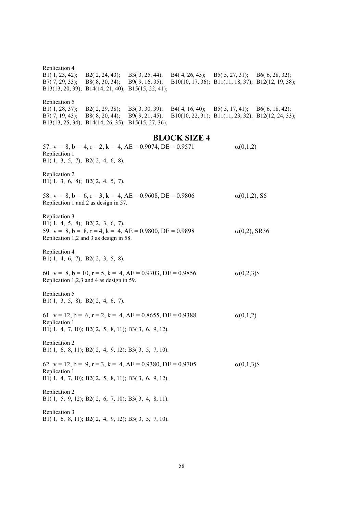| Replication 4<br>B1 $(1, 23, 42);$<br>B7(7, 29, 33); | B2(2, 24, 43); B3(3, 25, 44);<br>$B(8, 30, 34); \quad B9(9, 16, 35);$<br>B13(13, 20, 39); B14(14, 21, 40); B15(15, 22, 41);                                                    |  | B4(4, 26, 45); B5(5, 27, 31); B6(6, 28, 32);                                             | B10(10, 17, 36); B11(11, 18, 37); B12(12, 19, 38); |  |  |  |
|------------------------------------------------------|--------------------------------------------------------------------------------------------------------------------------------------------------------------------------------|--|------------------------------------------------------------------------------------------|----------------------------------------------------|--|--|--|
| Replication 5                                        | B7(7, 19, 43); B8(8, 20, 44); B9(9, 21, 45);<br>B13(13, 25, 34); B14(14, 26, 35); B15(15, 27, 36);                                                                             |  | B1(1,28, 37); B2(2, 29, 38); B3(3, 30, 39); B4(4, 16, 40); B5(5, 17, 41); B6(6, 18, 42); | B10(10, 22, 31); B11(11, 23, 32); B12(12, 24, 33); |  |  |  |
|                                                      |                                                                                                                                                                                |  | <b>BLOCK SIZE 4</b>                                                                      |                                                    |  |  |  |
| Replication 1<br>B1(1, 3, 5, 7); B2(2, 4, 6, 8).     | 57. $v = 8$ , $b = 4$ , $r = 2$ , $k = 4$ , $AE = 0.9074$ , $DE = 0.9571$                                                                                                      |  |                                                                                          | $\alpha(0,1,2)$                                    |  |  |  |
| Replication 2<br>B1(1, 3, 6, 8); B2(2, 4, 5, 7).     |                                                                                                                                                                                |  |                                                                                          |                                                    |  |  |  |
|                                                      | 58. $v = 8$ , $b = 6$ , $r = 3$ , $k = 4$ , $AE = 0.9608$ , $DE = 0.9806$<br>Replication 1 and 2 as design in 57.                                                              |  |                                                                                          | $\alpha(0,1,2)$ , S6                               |  |  |  |
| Replication 3                                        | B1(1, 4, 5, 8); B2(2, 3, 6, 7).<br>59. $v = 8$ , $b = 8$ , $r = 4$ , $k = 4$ , $AE = 0.9800$ , $DE = 0.9898$<br>$\alpha(0,2)$ , SR36<br>Replication 1,2 and 3 as design in 58. |  |                                                                                          |                                                    |  |  |  |
| Replication 4<br>B1(1, 4, 6, 7); B2(2, 3, 5, 8).     |                                                                                                                                                                                |  |                                                                                          |                                                    |  |  |  |
|                                                      | 60. $v = 8$ , $b = 10$ , $r = 5$ , $k = 4$ , $AE = 0.9703$ , $DE = 0.9856$<br>Replication 1,2,3 and 4 as design in 59.                                                         |  |                                                                                          | $\alpha(0,2,3)$ \$                                 |  |  |  |
| Replication 5<br>B1(1, 3, 5, 8); B2(2, 4, 6, 7).     |                                                                                                                                                                                |  |                                                                                          |                                                    |  |  |  |
| Replication 1                                        | 61. $v = 12$ , $b = 6$ , $r = 2$ , $k = 4$ , $AE = 0.8655$ , $DE = 0.9388$<br>B1(1, 4, 7, 10); B2(2, 5, 8, 11); B3(3, 6, 9, 12).                                               |  |                                                                                          | $\alpha(0,1,2)$                                    |  |  |  |
| Replication 2                                        | B1(1, 6, 8, 11); B2(2, 4, 9, 12); B3(3, 5, 7, 10).                                                                                                                             |  |                                                                                          |                                                    |  |  |  |
| Replication 1                                        | 62. $v = 12$ , $b = 9$ , $r = 3$ , $k = 4$ , $AE = 0.9380$ , $DE = 0.9705$<br>B1(1, 4, 7, 10); B2(2, 5, 8, 11); B3(3, 6, 9, 12).                                               |  |                                                                                          | $\alpha(0,1,3)$ \$                                 |  |  |  |
| Replication 2                                        | B1(1, 5, 9, 12); B2(2, 6, 7, 10); B3(3, 4, 8, 11).                                                                                                                             |  |                                                                                          |                                                    |  |  |  |
| Replication 3                                        | B1(1, 6, 8, 11); B2(2, 4, 9, 12); B3(3, 5, 7, 10).                                                                                                                             |  |                                                                                          |                                                    |  |  |  |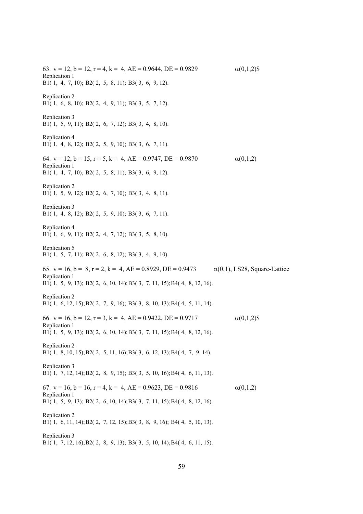63. v = 12, b = 12, r = 4, k = 4, AE = 0.9644, DE = 0.9829  $\alpha(0,1,2)$ \$ Replication 1 B1( 1, 4, 7, 10); B2( 2, 5, 8, 11); B3( 3, 6, 9, 12). Replication 2 B1( 1, 6, 8, 10); B2( 2, 4, 9, 11); B3( 3, 5, 7, 12). Replication 3 B1( 1, 5, 9, 11); B2( 2, 6, 7, 12); B3( 3, 4, 8, 10). Replication 4 B1( 1, 4, 8, 12); B2( 2, 5, 9, 10); B3( 3, 6, 7, 11). 64.  $v = 12$ ,  $b = 15$ ,  $r = 5$ ,  $k = 4$ ,  $AE = 0.9747$ ,  $DE = 0.9870$   $\alpha(0,1,2)$ Replication 1 B1( 1, 4, 7, 10); B2( 2, 5, 8, 11); B3( 3, 6, 9, 12). Replication 2 B1( 1, 5, 9, 12); B2( 2, 6, 7, 10); B3( 3, 4, 8, 11). Replication 3 B1( 1, 4, 8, 12); B2( 2, 5, 9, 10); B3( 3, 6, 7, 11). Replication 4 B1( 1, 6, 9, 11); B2( 2, 4, 7, 12); B3( 3, 5, 8, 10). Replication 5 B1( 1, 5, 7, 11); B2( 2, 6, 8, 12); B3( 3, 4, 9, 10). 65. v = 16, b = 8, r = 2, k = 4, AE = 0.8929, DE = 0.9473  $\alpha(0,1)$ , LS28, Square-Lattice Replication 1 B1( 1, 5, 9, 13); B2( 2, 6, 10, 14); B3( 3, 7, 11, 15); B4( 4, 8, 12, 16). Replication 2 B1( 1, 6, 12, 15); B2( 2, 7, 9, 16); B3( 3, 8, 10, 13); B4( 4, 5, 11, 14). 66.  $v = 16$ ,  $b = 12$ ,  $r = 3$ ,  $k = 4$ ,  $AE = 0.9422$ ,  $DE = 0.9717$   $\alpha(0.1,2)$ \$ Replication 1 B1( 1, 5, 9, 13); B2( 2, 6, 10, 14); B3( 3, 7, 11, 15); B4( 4, 8, 12, 16). Replication 2 B1( 1, 8, 10, 15); B2( 2, 5, 11, 16); B3( 3, 6, 12, 13); B4( 4, 7, 9, 14). Replication 3 B1( 1, 7, 12, 14); B2( 2, 8, 9, 15); B3( 3, 5, 10, 16); B4( 4, 6, 11, 13). 67.  $v = 16$ ,  $b = 16$ ,  $r = 4$ ,  $k = 4$ ,  $AE = 0.9623$ ,  $DE = 0.9816$  (0,1,2) Replication 1 B1( 1, 5, 9, 13); B2( 2, 6, 10, 14); B3( 3, 7, 11, 15); B4( 4, 8, 12, 16). Replication 2 B1( 1, 6, 11, 14); B2( 2, 7, 12, 15); B3( 3, 8, 9, 16); B4( 4, 5, 10, 13). Replication 3 B1( 1, 7, 12, 16); B2( 2, 8, 9, 13); B3( 3, 5, 10, 14); B4( 4, 6, 11, 15).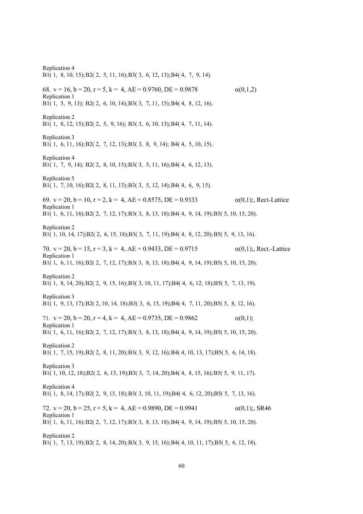Replication 4 B1( 1, 8, 10, 15); B2( 2, 5, 11, 16); B3( 3, 6, 12, 13); B4( 4, 7, 9, 14). 68.  $v = 16$ ,  $b = 20$ ,  $r = 5$ ,  $k = 4$ ,  $AE = 0.9760$ ,  $DE = 0.9878$  (0,1,2) Replication 1 B1( 1, 5, 9, 13); B2( 2, 6, 10, 14); B3( 3, 7, 11, 15); B4( 4, 8, 12, 16). Replication 2 B1( 1, 8, 12, 15); B2( 2, 5, 9, 16); B3( 3, 6, 10, 13); B4( 4, 7, 11, 14). Replication 3 B1( 1, 6, 11, 16); B2( 2, 7, 12, 13); B3( 3, 8, 9, 14); B4( 4, 5, 10, 15). Replication 4 B1( 1, 7, 9, 14); B2( 2, 8, 10, 15); B3( 3, 5, 11, 16); B4( 4, 6, 12, 13). Replication 5 B1( 1, 7, 10, 16); B2( 2, 8, 11, 13); B3( 3, 5, 12, 14); B4( 4, 6, 9, 15). 69.  $v = 20$ ,  $b = 10$ ,  $r = 2$ ,  $k = 4$ ,  $AE = 0.8575$ ,  $DE = 0.9333$   $\alpha(0,1)$ ; Rect-Lattice Replication 1 B1( 1, 6, 11, 16); B2( 2, 7, 12, 17); B3( 3, 8, 13, 18); B4( 4, 9, 14, 19); B5( 5, 10, 15, 20). Replication 2 B1( 1, 10, 14, 17);B2( 2, 6, 15, 18);B3( 3, 7, 11, 19); B4( 4, 8, 12, 20); B5( 5, 9, 13, 16). 70.  $v = 20$ ,  $b = 15$ ,  $r = 3$ ,  $k = 4$ ,  $AE = 0.9433$ ,  $DE = 0.9715$  (0,1);, Rect.-Lattice Replication 1 B1( 1, 6, 11, 16); B2( 2, 7, 12, 17); B3( 3, 8, 13, 18); B4( 4, 9, 14, 19); B5( 5, 10, 15, 20). Replication 2 B1( 1, 8, 14, 20); B2( 2, 9, 15, 16); B3( 3, 10, 11, 17);B4( 4, 6, 12, 18);B5( 5, 7, 13, 19). Replication 3 B1( 1, 9, 13, 17); B2( 2, 10, 14, 18);B3( 3, 6, 15, 19);B4( 4, 7, 11, 20); B5( 5, 8, 12, 16). 71.  $v = 20$ ,  $b = 20$ ,  $r = 4$ ,  $k = 4$ ,  $AE = 0.9735$ ,  $DE = 0.9862$   $\alpha(0,1)$ ; Replication 1 B1( 1, 6, 11, 16); B2( 2, 7, 12, 17); B3( 3, 8, 13, 18); B4( 4, 9, 14, 19); B5( 5, 10, 15, 20). Replication 2 B1( 1, 7, 15, 19); B2( 2, 8, 11, 20); B3( 3, 9, 12, 16); B4( 4, 10, 13, 17);B5( 5, 6, 14, 18). Replication 3 B1( 1, 10, 12, 18);B2( 2, 6, 13, 19);B3( 3, 7, 14, 20); B4( 4, 8, 15, 16); B5( 5, 9, 11, 17). Replication 4 B1( 1, 8, 14, 17); B2( 2, 9, 15, 18); B3( 3, 10, 11, 19);B4( 4, 6, 12, 20);B5( 5, 7, 13, 16). 72.  $v = 20$ ,  $b = 25$ ,  $r = 5$ ,  $k = 4$ ,  $AE = 0.9890$ ,  $DE = 0.9941$   $\alpha(0,1)$ ;, SR46 Replication 1 B1( 1, 6, 11, 16); B2( 2, 7, 12, 17); B3( 3, 8, 13, 18); B4( 4, 9, 14, 19); B5( 5, 10, 15, 20). Replication 2 B1( 1, 7, 13, 19); B2( 2, 8, 14, 20); B3( 3, 9, 15, 16); B4( 4, 10, 11, 17);B5( 5, 6, 12, 18).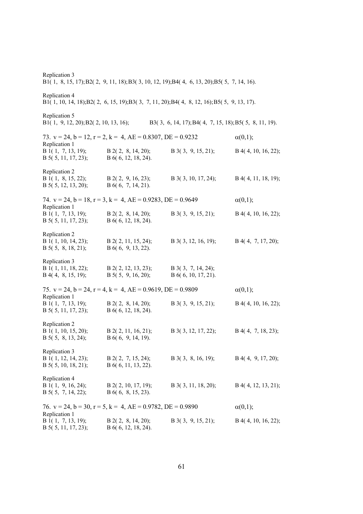| Replication 3<br>B1(1, 8, 15, 17); B2(2, 9, 11, 18); B3(3, 10, 12, 19); B4(4, 6, 13, 20); B5(5, 7, 14, 16). |                                                                             |                                                                                            |                       |  |
|-------------------------------------------------------------------------------------------------------------|-----------------------------------------------------------------------------|--------------------------------------------------------------------------------------------|-----------------------|--|
| Replication 4                                                                                               |                                                                             | B1(1, 10, 14, 18);B2(2, 6, 15, 19);B3(3, 7, 11, 20);B4(4, 8, 12, 16);B5(5, 9, 13, 17).     |                       |  |
| Replication 5                                                                                               |                                                                             | B1(1, 9, 12, 20); B2(2, 10, 13, 16); B3(3, 6, 14, 17); B4(4, 7, 15, 18); B5(5, 8, 11, 19). |                       |  |
|                                                                                                             | 73. $v = 24$ , $b = 12$ , $r = 2$ , $k = 4$ , $AE = 0.8307$ , $DE = 0.9232$ |                                                                                            | $\alpha(0,1);$        |  |
| Replication 1<br>B1(1, 7, 13, 19);<br>$B$ 5( 5, 11, 17, 23);                                                | $B$ 2(2, 8, 14, 20);<br>B $6(6, 12, 18, 24)$ .                              | $B$ 3(3, 9, 15, 21);                                                                       | $B$ 4(4, 10, 16, 22); |  |
| Replication 2<br>B 1(1, 8, 15, 22);<br>B 5(5, 12, 13, 20);                                                  | $B$ 2(2, 9, 16, 23);<br>$B\ 6(6, 7, 14, 21).$                               | B 3(3, 10, 17, 24);                                                                        | B 4(4, 11, 18, 19);   |  |
|                                                                                                             | 74. $v = 24$ , $b = 18$ , $r = 3$ , $k = 4$ , $AE = 0.9283$ , $DE = 0.9649$ |                                                                                            | $\alpha(0,1);$        |  |
| Replication 1<br>B 1(1, 7, 13, 19);<br>B 5(5, 11, 17, 23);                                                  | $B$ 2(2, 8, 14, 20);<br>B 6(6, 12, 18, 24).                                 | $B$ 3(3, 9, 15, 21);                                                                       | $B$ 4(4, 10, 16, 22); |  |
| Replication 2<br>B 1(1, 10, 14, 23);<br>$B$ 5( 5, 8, 18, 21);                                               | $B$ 2(2, 11, 15, 24);<br>$B\ 6(6, 9, 13, 22).$                              | B $3(3, 12, 16, 19)$ ;                                                                     | $B$ 4(4, 7, 17, 20);  |  |
| Replication 3<br>B 1(1, 11, 18, 22);<br>$B$ 4(4, 8, 15, 19);                                                | $B$ 2( 2, 12, 13, 23);<br>B $5(5, 9, 16, 20)$ ;                             | $B_3(3, 7, 14, 24);$<br>$B\ 6(6, 10, 17, 21).$                                             |                       |  |
|                                                                                                             | 75. $v = 24$ , $b = 24$ , $r = 4$ , $k = 4$ , $AE = 0.9619$ , $DE = 0.9809$ |                                                                                            | $\alpha(0,1);$        |  |
| Replication 1<br>B 1(1, 7, 13, 19);<br>$B$ 5( 5, 11, 17, 23);                                               | $B$ 2(2, 8, 14, 20);<br>$B\ 6(6, 12, 18, 24).$                              | $B$ 3(3, 9, 15, 21);                                                                       | $B$ 4(4, 10, 16, 22); |  |
| Replication 2<br>B 1(1, 10, 15, 20);<br>B 5(5, 8, 13, 24);                                                  | $B$ 2(2, 11, 16, 21);<br>$B\ 6(6, 9, 14, 19).$                              | B 3(3, 12, 17, 22);                                                                        | $B$ 4(4, 7, 18, 23);  |  |
| Replication 3<br>B 1(1, 12, 14, 23);<br>$B$ 5( 5, 10, 18, 21);                                              | $B$ 2(2, 7, 15, 24);<br>B 6(6, 11, 13, 22).                                 | $B$ 3(3, 8, 16, 19);                                                                       | $B$ 4(4, 9, 17, 20);  |  |
| Replication 4<br>B 1(1, 9, 16, 24);<br>$B$ 5( 5, 7, 14, 22);                                                | $B$ 2(2, 10, 17, 19);<br>$B\ 6(6, 8, 15, 23).$                              | B $3(3, 11, 18, 20)$ ;                                                                     | $B$ 4(4, 12, 13, 21); |  |
|                                                                                                             | 76. $v = 24$ , $b = 30$ , $r = 5$ , $k = 4$ , $AE = 0.9782$ , $DE = 0.9890$ |                                                                                            | $\alpha(0,1);$        |  |
| Replication 1<br>B1(1, 7, 13, 19);<br>B 5(5, 11, 17, 23);                                                   | $B$ 2(2, 8, 14, 20);<br>B 6(6, 12, 18, 24).                                 | $B$ 3(3, 9, 15, 21);                                                                       | $B$ 4(4, 10, 16, 22); |  |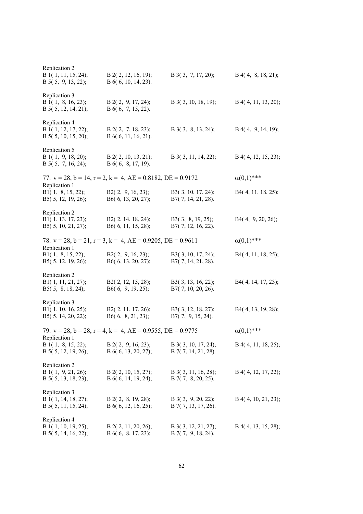| Replication 2<br>B 1(1, 11, 15, 24);<br>$B$ 5( 5, 9, 13, 22);     | B 2(2, 12, 16, 19);<br>$B\ 6(6, 10, 14, 23).$                               | B 3(3, 7, 17, 20);                            | $B$ 4(4, 8, 18, 21);  |
|-------------------------------------------------------------------|-----------------------------------------------------------------------------|-----------------------------------------------|-----------------------|
| Replication 3<br>B 1(1, 8, 16, 23);<br>B 5(5, 12, 14, 21);        | $B$ 2(2, 9, 17, 24);<br>B 6(6, 7, 15, 22).                                  | $B$ 3(3, 10, 18, 19);                         | B 4(4, 11, 13, 20);   |
| Replication 4<br>B 1(1, 12, 17, 22);<br>B 5(5, 10, 15, 20);       | $B$ 2(2, 7, 18, 23);<br>$B\ 6(6, 11, 16, 21).$                              | $B$ 3(3, 8, 13, 24);                          | $B$ 4(4, 9, 14, 19);  |
| Replication 5<br>B 1(1, 9, 18, 20);<br>B 5(5, 7, 16, 24);         | $B$ 2(2, 10, 13, 21);<br>$B\ 6(6, 8, 17, 19).$                              | B 3(3, 11, 14, 22);                           | B 4(4, 12, 15, 23);   |
|                                                                   | 77. $v = 28$ , $b = 14$ , $r = 2$ , $k = 4$ , $AE = 0.8182$ , $DE = 0.9172$ |                                               | $\alpha(0,1)$ ***     |
| Replication 1<br>B1 $(1, 8, 15, 22)$ ;<br>B5(5, 12, 19, 26);      | B2(2, 9, 16, 23);<br>B6(6, 13, 20, 27);                                     | B3(3, 10, 17, 24);<br>B7(7, 14, 21, 28).      | B4(4, 11, 18, 25);    |
| Replication 2<br>B1 $(1, 13, 17, 23)$ ;<br>B5 $(5, 10, 21, 27)$ ; | B2(2, 14, 18, 24);<br>B6 $(6, 11, 15, 28)$ ;                                | B3(3, 8, 19, 25);<br>B7(7, 12, 16, 22).       | B4(4, 9, 20, 26);     |
|                                                                   | 78. $v = 28$ , $b = 21$ , $r = 3$ , $k = 4$ , $AE = 0.9205$ , $DE = 0.9611$ |                                               | $\alpha(0,1)$ ***     |
| Replication 1<br>B1(1, 8, 15, 22);<br>B5 $(5, 12, 19, 26)$ ;      | B2(2, 9, 16, 23);<br>B6(6, 13, 20, 27);                                     | B3(3, 10, 17, 24);<br>B7(7, 14, 21, 28).      | B4(4, 11, 18, 25);    |
| Replication 2<br>B1(1, 11, 21, 27);<br>B5 $(5, 8, 18, 24)$ ;      | B2(2, 12, 15, 28);<br>B6 $(6, 9, 19, 25)$ ;                                 | B3(3, 13, 16, 22);<br>B7(7, 10, 20, 26).      | B4(4, 14, 17, 23);    |
| Replication 3<br>B1 $(1, 10, 16, 25);$<br>B5(5, 14, 20, 22);      | B2(2, 11, 17, 26);<br>B6(6, 8, 21, 23);                                     | B3(3, 12, 18, 27);<br>$B7(7, 9, 15, 24)$ .    | B4(4, 13, 19, 28);    |
|                                                                   | 79. $v = 28$ , $b = 28$ , $r = 4$ , $k = 4$ , $AE = 0.9555$ , $DE = 0.9775$ |                                               | $\alpha(0,1)$ ***     |
| Replication 1<br>B 1(1, 8, 15, 22);<br>B $5(5, 12, 19, 26)$ ;     | $B$ 2(2, 9, 16, 23);<br>$B\ 6(6, 13, 20, 27);$                              | B $3(3, 10, 17, 24)$ ;<br>B 7(7, 14, 21, 28). | $B$ 4(4, 11, 18, 25); |
| Replication 2<br>B 1(1, 9, 21, 26);<br>B 5(5, 13, 18, 23);        | B 2(2, 10, 15, 27);<br>B 6(6, 14, 19, 24);                                  | B 3(3, 11, 16, 28);<br>$B 7(7, 8, 20, 25)$ .  | B 4(4, 12, 17, 22);   |
| Replication 3<br>B 1(1, 14, 18, 27);<br>B $5(5, 11, 15, 24)$ ;    | $B$ 2(2, 8, 19, 28);<br>B 6( $6, 12, 16, 25$ );                             | $B$ 3(3, 9, 20, 22);<br>B 7(7, 13, 17, 26).   | B 4(4, 10, 21, 23);   |
| Replication 4<br>B 1(1, 10, 19, 25);<br>B 5(5, 14, 16, 22);       | $B$ 2(2, 11, 20, 26);<br>$B\ 6(6, 8, 17, 23);$                              | B 3(3, 12, 21, 27);<br>$B$ 7(7, 9, 18, 24).   | B 4(4, 13, 15, 28);   |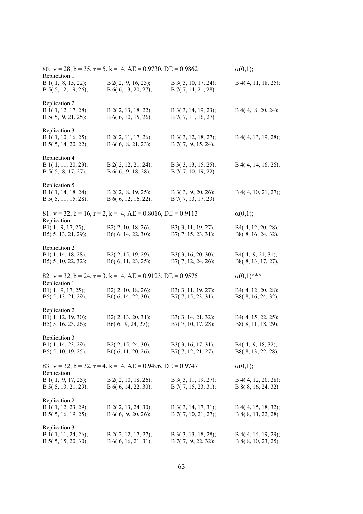| Replication 1                                                    | 80. $v = 28$ , $b = 35$ , $r = 5$ , $k = 4$ , $AE = 0.9730$ , $DE = 0.9862$ |                                              | $\alpha(0,1);$                               |
|------------------------------------------------------------------|-----------------------------------------------------------------------------|----------------------------------------------|----------------------------------------------|
| B 1(1, 8, 15, 22);<br>B 5(5, 12, 19, 26);                        | $B$ 2(2, 9, 16, 23);<br>B 6(6, 13, 20, 27);                                 | B 3(3, 10, 17, 24);<br>B 7(7, 14, 21, 28).   | $B$ 4(4, 11, 18, 25);                        |
| Replication 2<br>B 1(1, 12, 17, 28);<br>B 5(5, 9, 21, 25);       | B 2(2, 13, 18, 22);<br>B 6( $6, 10, 15, 26$ );                              | B 3(3, 14, 19, 23);<br>B 7(7, 11, 16, 27).   | $B$ 4(4, 8, 20, 24);                         |
| Replication 3<br>B 1(1, 10, 16, 25);<br>B 5(5, 14, 20, 22);      | B 2(2, 11, 17, 26);<br>$B\ 6(6, 8, 21, 23);$                                | B 3(3, 12, 18, 27);<br>$B 7(7, 9, 15, 24)$ . | B 4(4, 13, 19, 28);                          |
| Replication 4<br>B 1(1, 11, 20, 23);<br>B 5(5, 8, 17, 27);       | B 2(2, 12, 21, 24);<br>B 6(6, 9, 18, 28);                                   | B 3(3, 13, 15, 25);<br>$B$ 7(7, 10, 19, 22). | B 4(4, 14, 16, 26);                          |
| Replication 5<br>B 1(1, 14, 18, 24);<br>B 5(5, 11, 15, 28);      | $B$ 2(2, 8, 19, 25);<br>B 6(6, 12, 16, 22);                                 | $B$ 3(3, 9, 20, 26);<br>B 7(7, 13, 17, 23).  | B 4(4, 10, 21, 27);                          |
| Replication 1                                                    | 81. $v = 32$ , $b = 16$ , $r = 2$ , $k = 4$ , $AE = 0.8016$ , $DE = 0.9113$ |                                              | $\alpha(0,1);$                               |
| B1 $(1, 9, 17, 25)$ ;<br>B5(5, 13, 21, 29);                      | B2(2, 10, 18, 26);<br>B6(6, 14, 22, 30);                                    | B3(3, 11, 19, 27);<br>$B7(7, 15, 23, 31)$ ;  | B4(4, 12, 20, 28);<br>B8(8, 16, 24, 32).     |
| Replication 2<br>B1(1, 14, 18, 28);<br>B5(5, 10, 22, 32);        | B2(2, 15, 19, 29);<br>B6(6, 11, 23, 25);                                    | B3(3, 16, 20, 30);<br>B7(7, 12, 24, 26);     | B4(4, 9, 21, 31);<br>B8(8, 13, 17, 27).      |
|                                                                  | 82. $v = 32$ , $b = 24$ , $r = 3$ , $k = 4$ , $AE = 0.9123$ , $DE = 0.9575$ |                                              | $\alpha(0,1)$ ***                            |
| Replication 1<br>B1 $(1, 9, 17, 25)$ ;<br>B5 $(5, 13, 21, 29)$ ; | B2(2, 10, 18, 26);<br>B6(6, 14, 22, 30);                                    | B3(3, 11, 19, 27);<br>B7(7, 15, 23, 31);     | B4(4, 12, 20, 28);<br>B8(8, 16, 24, 32).     |
| Replication 2<br>B1(1, 12, 19, 30);<br>B5(5, 16, 23, 26);        | B2(2, 13, 20, 31);<br>B6(6, 9, 24, 27);                                     | B3(3, 14, 21, 32);<br>B7(7, 10, 17, 28);     | B4(4, 15, 22, 25);<br>B8(8, 11, 18, 29).     |
| Replication 3<br>B1(1, 14, 23, 29);<br>B5(5, 10, 19, 25);        | B2(2, 15, 24, 30);<br>B6(6, 11, 20, 26);                                    | B3(3, 16, 17, 31);<br>B7(7, 12, 21, 27);     | B4(4, 9, 18, 32);<br>B8(8, 13, 22, 28).      |
| Replication 1                                                    | 83. $v = 32$ , $b = 32$ , $r = 4$ , $k = 4$ , $AE = 0.9496$ , $DE = 0.9747$ |                                              | $\alpha(0,1);$                               |
| B 1(1, 9, 17, 25);<br>B $5(5, 13, 21, 29)$ ;                     | $B$ 2(2, 10, 18, 26);<br>B 6(6, 14, 22, 30);                                | B 3(3, 11, 19, 27);<br>B 7(7, 15, 23, 31);   | $B$ 4(4, 12, 20, 28);<br>B 8(8, 16, 24, 32). |
| Replication 2<br>B 1(1, 12, 23, 29);<br>B $5(5, 16, 19, 25)$ ;   | B 2(2, 13, 24, 30);<br>B 6(6, 9, 20, 26);                                   | B 3(3, 14, 17, 31);<br>B 7(7, 10, 21, 27);   | B 4(4, 15, 18, 32);<br>B 8(8, 11, 22, 28).   |
| Replication 3<br>B 1(1, 11, 24, 26);<br>B $5(5, 15, 20, 30)$ ;   | B 2(2, 12, 17, 27);<br>B 6(6, 16, 21, 31);                                  | B 3(3, 13, 18, 28);<br>B 7(7, 9, 22, 32);    | B 4(4, 14, 19, 29);<br>B 8(8, 10, 23, 25).   |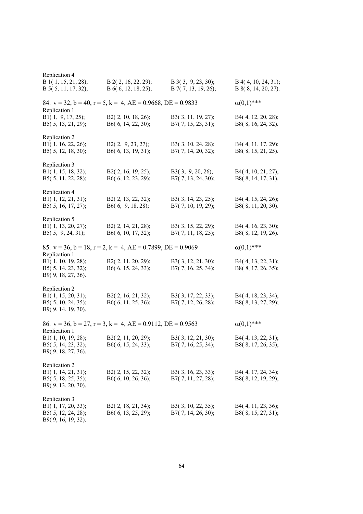| Replication 4                                                                       |                                                                             |                                             |                                            |
|-------------------------------------------------------------------------------------|-----------------------------------------------------------------------------|---------------------------------------------|--------------------------------------------|
| B 1(1, 15, 21, 28);<br>B 5(5, 11, 17, 32);                                          | B 2(2, 16, 22, 29);<br>B 6(6, 12, 18, 25);                                  | $B$ 3(3, 9, 23, 30);<br>B 7(7, 13, 19, 26); | B 4(4, 10, 24, 31);<br>B 8(8, 14, 20, 27). |
| Replication 1                                                                       | 84. $v = 32$ , $b = 40$ , $r = 5$ , $k = 4$ , $AE = 0.9668$ , $DE = 0.9833$ |                                             | $\alpha(0,1)$ ***                          |
| B1 $(1, 9, 17, 25)$ ;<br>B5(5, 13, 21, 29);                                         | B2(2, 10, 18, 26);<br>B6(6, 14, 22, 30);                                    | B3(3, 11, 19, 27);<br>$B7(7, 15, 23, 31)$ ; | B4(4, 12, 20, 28);<br>B8(8, 16, 24, 32).   |
| Replication 2<br>B1(1, 16, 22, 26);<br>B5(5, 12, 18, 30);                           | B2(2, 9, 23, 27);<br>B6(6, 13, 19, 31);                                     | B3(3, 10, 24, 28);<br>B7(7, 14, 20, 32);    | B4(4, 11, 17, 29);<br>B8(8, 15, 21, 25).   |
| Replication 3<br>B1(1, 15, 18, 32);<br>B5(5, 11, 22, 28);                           | B2(2, 16, 19, 25);<br>B6(6, 12, 23, 29);                                    | B3(3, 9, 20, 26);<br>B7(7, 13, 24, 30);     | B4(4, 10, 21, 27);<br>B8(8, 14, 17, 31).   |
| Replication 4<br>B1(1, 12, 21, 31);<br>B5(5, 16, 17, 27);                           | B2(2, 13, 22, 32);<br>B6(6, 9, 18, 28);                                     | B3(3, 14, 23, 25);<br>B7(7, 10, 19, 29);    | B4(4, 15, 24, 26);<br>B8(8, 11, 20, 30).   |
| Replication 5<br>B1(1, 13, 20, 27);<br>B5 $(5, 9, 24, 31)$ ;                        | B2(2, 14, 21, 28);<br>B6(6, 10, 17, 32);                                    | B3(3, 15, 22, 29);<br>B7(7, 11, 18, 25);    | B4(4, 16, 23, 30);<br>B8(8, 12, 19, 26).   |
| Replication 1                                                                       | 85. $v = 36$ , $b = 18$ , $r = 2$ , $k = 4$ , $AE = 0.7899$ , $DE = 0.9069$ |                                             | $\alpha(0,1)$ ***                          |
| B1(1, 10, 19, 28);<br>B5(5, 14, 23, 32);<br>B9(9, 18, 27, 36).                      | B2(2, 11, 20, 29);<br>B6(6, 15, 24, 33);                                    | B3(3, 12, 21, 30);<br>B7(7, 16, 25, 34);    | B4(4, 13, 22, 31);<br>B8(8, 17, 26, 35);   |
| Replication 2<br>B1(1, 15, 20, 31);<br>B5(5, 10, 24, 35);<br>B9(9, 14, 19, 30).     | B2(2, 16, 21, 32);<br>B6(6, 11, 25, 36);                                    | B3(3, 17, 22, 33);<br>B7(7, 12, 26, 28);    | B4(4, 18, 23, 34);<br>B8(8, 13, 27, 29);   |
| Replication 1                                                                       | 86. $v = 36$ , $b = 27$ , $r = 3$ , $k = 4$ , $AE = 0.9112$ , $DE = 0.9563$ |                                             | $\alpha(0,1)$ ***                          |
| B1(1, 10, 19, 28);<br>B5(5, 14, 23, 32);<br>B9(9, 18, 27, 36).                      | B2(2, 11, 20, 29);<br>B6(6, 15, 24, 33);                                    | B3(3, 12, 21, 30);<br>B7(7, 16, 25, 34);    | B4(4, 13, 22, 31);<br>B8(8, 17, 26, 35);   |
| Replication 2<br>B1 $(1, 14, 21, 31)$ ;<br>B5(5, 18, 25, 35);<br>B9(9, 13, 20, 30). | B2(2, 15, 22, 32);<br>B6 $(6, 10, 26, 36)$ ;                                | B3(3, 16, 23, 33);<br>$B7(7, 11, 27, 28)$ ; | B4(4, 17, 24, 34);<br>B8(8, 12, 19, 29);   |
| Replication 3<br>B1(1, 17, 20, 33);<br>B5(5, 12, 24, 28);<br>B9(9, 16, 19, 32).     | B2(2, 18, 21, 34);<br>B6(6, 13, 25, 29);                                    | B3(3, 10, 22, 35);<br>B7(7, 14, 26, 30);    | B4(4, 11, 23, 36);<br>B8(8, 15, 27, 31);   |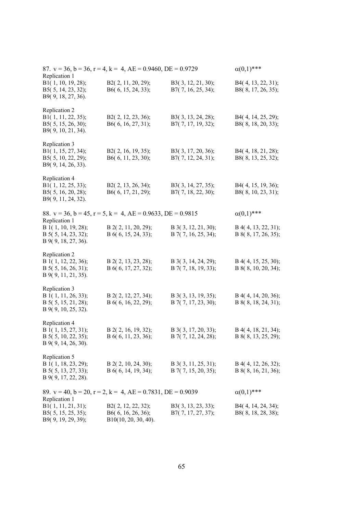| Replication 1                                                                         | 87. $v = 36$ , $b = 36$ , $r = 4$ , $k = 4$ , $AE = 0.9460$ , $DE = 0.9729$ |                                                | $\alpha(0,1)$ ***                            |
|---------------------------------------------------------------------------------------|-----------------------------------------------------------------------------|------------------------------------------------|----------------------------------------------|
| B1(1, 10, 19, 28);<br>B5(5, 14, 23, 32);<br>B9(9, 18, 27, 36).                        | B2(2, 11, 20, 29);<br>B6(6, 15, 24, 33);                                    | B3(3, 12, 21, 30);<br>B7(7, 16, 25, 34);       | B4(4, 13, 22, 31);<br>B8(8, 17, 26, 35);     |
| Replication 2<br>B1(1, 11, 22, 35);<br>B5(5, 15, 26, 30);<br>B9(9, 10, 21, 34).       | B2(2, 12, 23, 36);<br>B6(6, 16, 27, 31);                                    | B3(3, 13, 24, 28);<br>B7(7, 17, 19, 32);       | B4(4, 14, 25, 29);<br>B8(8, 18, 20, 33);     |
| Replication 3<br>B1(1, 15, 27, 34);<br>B5(5, 10, 22, 29);<br>B9(9, 14, 26, 33).       | B2(2, 16, 19, 35);<br>B6(6, 11, 23, 30);                                    | B3(3, 17, 20, 36);<br>B7(7, 12, 24, 31);       | B4(4, 18, 21, 28);<br>B8(8, 13, 25, 32);     |
| Replication 4<br>B1(1, 12, 25, 33);<br>B5(5, 16, 20, 28);<br>B9(9, 11, 24, 32).       | B2(2, 13, 26, 34);<br>B6(6, 17, 21, 29);                                    | B3(3, 14, 27, 35);<br>B7(7, 18, 22, 30);       | B4(4, 15, 19, 36);<br>B8(8, 10, 23, 31);     |
|                                                                                       | 88. $v = 36$ , $b = 45$ , $r = 5$ , $k = 4$ , $AE = 0.9633$ , $DE = 0.9815$ |                                                | $\alpha(0,1)$ ***                            |
| Replication 1<br>B 1(1, 10, 19, 28);<br>B 5(5, 14, 23, 32);<br>B 9(9, 18, 27, 36).    | B 2(2, 11, 20, 29);<br>B 6(6, 15, 24, 33);                                  | B 3(3, 12, 21, 30);<br>B 7(7, 16, 25, 34);     | B 4(4, 13, 22, 31);<br>B 8(8, 17, 26, 35);   |
| Replication 2<br>B 1(1, 12, 22, 36);<br>B 5(5, 16, 26, 31);<br>$B\,9(9, 11, 21, 35).$ | B 2(2, 13, 23, 28);<br>B 6(6, 17, 27, 32);                                  | B 3(3, 14, 24, 29);<br>B 7(7, 18, 19, 33);     | B 4(4, 15, 25, 30);<br>B 8(8, 10, 20, 34);   |
| Replication 3<br>B 1(1, 11, 26, 33);<br>B 5(5, 15, 21, 28);<br>B 9(9, 10, 25, 32).    | B 2(2, 12, 27, 34);<br>B 6(6, 16, 22, 29);                                  | B 3(3, 13, 19, 35);<br>B 7(7, 17, 23, 30);     | B 4(4, 14, 20, 36);<br>B 8(8, 18, 24, 31);   |
| Replication 4<br>B 1(1, 15, 27, 31);<br>B 5(5, 10, 22, 35);<br>B 9(9, 14, 26, 30).    | B 2(2, 16, 19, 32);<br>B 6(6, 11, 23, 36);                                  | B 3(3, 17, 20, 33);<br>B 7(7, 12, 24, 28);     | B 4(4, 18, 21, 34);<br>B 8(8, 13, 25, 29);   |
| Replication 5<br>B 1(1, 18, 23, 29);<br>B 5(5, 13, 27, 33);<br>B 9(9, 17, 22, 28).    | $B$ 2(2, 10, 24, 30);<br>B 6(6, 14, 19, 34);                                | $B$ 3(3, 11, 25, 31);<br>$B$ 7(7, 15, 20, 35); | $B$ 4(4, 12, 26, 32);<br>B 8(8, 16, 21, 36); |
|                                                                                       | 89. $v = 40$ , $b = 20$ , $r = 2$ , $k = 4$ , $AE = 0.7831$ , $DE = 0.9039$ |                                                | $\alpha(0,1)$ ***                            |
| Replication 1<br>B1(1, 11, 21, 31);<br>B5(5, 15, 25, 35);<br>B9(9, 19, 29, 39);       | B2(2, 12, 22, 32);<br>B6(6, 16, 26, 36);<br>$B10(10, 20, 30, 40)$ .         | B3(3, 13, 23, 33);<br>B7(7, 17, 27, 37);       | B4(4, 14, 24, 34);<br>B8(8, 18, 28, 38);     |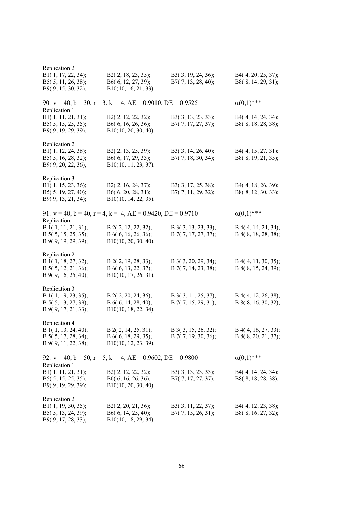| Replication 2                                                                      |                                                                             |                                            |                                              |
|------------------------------------------------------------------------------------|-----------------------------------------------------------------------------|--------------------------------------------|----------------------------------------------|
| B1(1, 17, 22, 34);<br>B5(5, 11, 26, 38);<br>B9(9, 15, 30, 32);                     | B2(2, 18, 23, 35);<br>B6(6, 12, 27, 39);<br>B10(10, 16, 21, 33).            | B3(3, 19, 24, 36);<br>B7(7, 13, 28, 40);   | B4(4, 20, 25, 37);<br>B8(8, 14, 29, 31);     |
| Replication 1                                                                      | 90. $v = 40$ , $b = 30$ , $r = 3$ , $k = 4$ , $AE = 0.9010$ , $DE = 0.9525$ |                                            | $\alpha(0,1)$ ***                            |
| B1(1, 11, 21, 31);<br>B5(5, 15, 25, 35);<br>B9(9, 19, 29, 39);                     | B2(2, 12, 22, 32);<br>B6(6, 16, 26, 36);<br>B10(10, 20, 30, 40).            | B3(3, 13, 23, 33);<br>B7(7, 17, 27, 37);   | B4(4, 14, 24, 34);<br>B8(8, 18, 28, 38);     |
| Replication 2<br>B1(1, 12, 24, 38);<br>B5(5, 16, 28, 32);<br>B9(9, 20, 22, 36);    | B2(2, 13, 25, 39);<br>B6(6, 17, 29, 33);<br>B10(10, 11, 23, 37).            | B3(3, 14, 26, 40);<br>B7(7, 18, 30, 34);   | B4(4, 15, 27, 31);<br>B8(8, 19, 21, 35);     |
| Replication 3<br>B1(1, 15, 23, 36);<br>B5(5, 19, 27, 40);<br>B9(9, 13, 21, 34);    | B2(2, 16, 24, 37);<br>B6(6, 20, 28, 31);<br>B10(10, 14, 22, 35).            | B3(3, 17, 25, 38);<br>B7(7, 11, 29, 32);   | B4(4, 18, 26, 39);<br>B8(8, 12, 30, 33);     |
| Replication 1                                                                      | 91. $v = 40$ , $b = 40$ , $r = 4$ , $k = 4$ , $AE = 0.9420$ , $DE = 0.9710$ |                                            | $\alpha(0,1)$ ***                            |
| B 1(1, 11, 21, 31);<br>B 5(5, 15, 25, 35);<br>B 9(9, 19, 29, 39);                  | B 2(2, 12, 22, 32);<br>B 6(6, 16, 26, 36);<br>$B10(10, 20, 30, 40)$ .       | B 3(3, 13, 23, 33);<br>B 7(7, 17, 27, 37); | B 4(4, 14, 24, 34);<br>B 8(8, 18, 28, 38);   |
| Replication 2<br>B 1(1, 18, 27, 32);<br>B 5(5, 12, 21, 36);<br>B 9(9, 16, 25, 40); | B 2(2, 19, 28, 33);<br>B 6(6, 13, 22, 37);<br>B10(10, 17, 26, 31).          | B 3(3, 20, 29, 34);<br>B 7(7, 14, 23, 38); | $B$ 4(4, 11, 30, 35);<br>B 8(8, 15, 24, 39); |
| Replication 3<br>B 1(1, 19, 23, 35);<br>B 5(5, 13, 27, 39);<br>B 9(9, 17, 21, 33); | B 2(2, 20, 24, 36);<br>B $6(6, 14, 28, 40)$ ;<br>B10(10, 18, 22, 34).       | B 3(3, 11, 25, 37);<br>B 7(7, 15, 29, 31); | B 4(4, 12, 26, 38);<br>B 8(8, 16, 30, 32);   |
| Replication 4<br>B 1(1, 13, 24, 40);<br>B 5(5, 17, 28, 34);<br>B 9(9, 11, 22, 38); | B 2(2, 14, 25, 31);<br>B 6(6, 18, 29, 35);<br>B10(10, 12, 23, 39).          | B 3(3, 15, 26, 32);<br>B 7(7, 19, 30, 36); | B 4(4, 16, 27, 33);<br>B 8(8, 20, 21, 37);   |
| Replication 1                                                                      | 92. $v = 40$ , $b = 50$ , $r = 5$ , $k = 4$ , $AE = 0.9602$ , $DE = 0.9800$ |                                            | $\alpha(0,1)$ ***                            |
| B1(1, 11, 21, 31);<br>B5 $(5, 15, 25, 35);$<br>B9(9, 19, 29, 39);                  | B2(2, 12, 22, 32);<br>B6(6, 16, 26, 36);<br>$B10(10, 20, 30, 40)$ .         | B3(3, 13, 23, 33);<br>B7(7, 17, 27, 37);   | B4(4, 14, 24, 34);<br>B8(8, 18, 28, 38);     |
| Replication 2<br>B1(1, 19, 30, 35);<br>B5(5, 13, 24, 39);<br>B9(9, 17, 28, 33);    | B2(2, 20, 21, 36);<br>B6(6, 14, 25, 40);<br>$B10(10, 18, 29, 34)$ .         | B3(3, 11, 22, 37);<br>B7(7, 15, 26, 31);   | B4(4, 12, 23, 38);<br>B8(8, 16, 27, 32);     |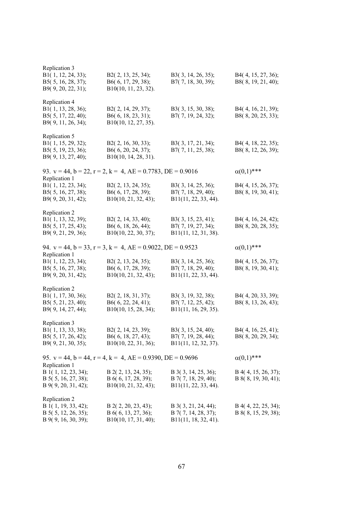| Replication 3<br>B1(1, 12, 24, 33);<br>B5(5, 16, 28, 37);<br>B9(9, 20, 22, 31);          | B2(2, 13, 25, 34);<br>B6(6, 17, 29, 38);<br>B10(10, 11, 23, 32).            | B3(3, 14, 26, 35);<br>B7(7, 18, 30, 39);                                 | B4(4, 15, 27, 36);<br>B8(8, 19, 21, 40);   |
|------------------------------------------------------------------------------------------|-----------------------------------------------------------------------------|--------------------------------------------------------------------------|--------------------------------------------|
| Replication 4<br>B1(1, 13, 28, 36);<br>B5(5, 17, 22, 40);<br>B9(9, 11, 26, 34);          | B2(2, 14, 29, 37);<br>B6(6, 18, 23, 31);<br>B10(10, 12, 27, 35).            | B3(3, 15, 30, 38);<br>B7(7, 19, 24, 32);                                 | B4(4, 16, 21, 39);<br>B8(8, 20, 25, 33);   |
| Replication 5<br>B1(1, 15, 29, 32);<br>B5(5, 19, 23, 36);<br>B9(9, 13, 27, 40);          | B2(2, 16, 30, 33);<br>B6(6, 20, 24, 37);<br>B10(10, 14, 28, 31).            | B3(3, 17, 21, 34);<br>B7(7, 11, 25, 38);                                 | B4(4, 18, 22, 35);<br>B8(8, 12, 26, 39);   |
|                                                                                          | 93. $v = 44$ , $b = 22$ , $r = 2$ , $k = 4$ , $AE = 0.7783$ , $DE = 0.9016$ |                                                                          | $\alpha(0,1)$ ***                          |
| Replication 1<br>B1(1, 12, 23, 34);<br>B5(5, 16, 27, 38);<br>B9(9, 20, 31, 42);          | B2(2, 13, 24, 35);<br>B6(6, 17, 28, 39);<br>B10(10, 21, 32, 43);            | B3(3, 14, 25, 36);<br>B7(7, 18, 29, 40);<br>$B11(11, 22, 33, 44)$ .      | B4(4, 15, 26, 37);<br>B8(8, 19, 30, 41);   |
| Replication 2<br>B1(1, 13, 32, 39);<br>B5(5, 17, 25, 43);<br>B9(9, 21, 29, 36);          | B2(2, 14, 33, 40);<br>B6(6, 18, 26, 44);<br>B10(10, 22, 30, 37);            | B3(3, 15, 23, 41);<br>B7(7, 19, 27, 34);<br>B11(11, 12, 31, 38).         | B4(4, 16, 24, 42);<br>B8(8, 20, 28, 35);   |
|                                                                                          |                                                                             |                                                                          |                                            |
|                                                                                          | 94. $v = 44$ , $b = 33$ , $r = 3$ , $k = 4$ , $AE = 0.9022$ , $DE = 0.9523$ |                                                                          | $\alpha(0,1)$ ***                          |
| Replication 1<br>B1(1, 12, 23, 34);<br>B5(5, 16, 27, 38);<br>B9(9, 20, 31, 42);          | B2(2, 13, 24, 35);<br>B6(6, 17, 28, 39);<br>$B10(10, 21, 32, 43)$ ;         | B3(3, 14, 25, 36);<br>B7(7, 18, 29, 40);<br>B11(11, 22, 33, 44).         | B4(4, 15, 26, 37);<br>B8(8, 19, 30, 41);   |
| Replication 2<br>B1(1, 17, 30, 36);<br>B5(5, 21, 23, 40);<br>B9(9, 14, 27, 44);          | B2(2, 18, 31, 37);<br>B6(6, 22, 24, 41);<br>B10(10, 15, 28, 34);            | B3(3, 19, 32, 38);<br>B7(7, 12, 25, 42);<br>B11(11, 16, 29, 35).         | B4(4, 20, 33, 39);<br>B8(8, 13, 26, 43);   |
| Replication 3<br>B1(1, 13, 33, 38);<br>B5(5, 17, 26, 42);<br>B9(9, 21, 30, 35);          | B2(2, 14, 23, 39);<br>B6(6, 18, 27, 43);<br>B10(10, 22, 31, 36);            | B3(3, 15, 24, 40);<br>B7(7, 19, 28, 44);<br>B11(11, 12, 32, 37).         | B4(4, 16, 25, 41);<br>B8(8, 20, 29, 34);   |
|                                                                                          | 95. $v = 44$ , $b = 44$ , $r = 4$ , $k = 4$ , $AE = 0.9390$ , $DE = 0.9696$ |                                                                          | $\alpha(0,1)$ ***                          |
| Replication 1<br>B 1(1, 12, 23, 34);<br>B $5(5, 16, 27, 38)$ ;<br>$B\,9(9, 20, 31, 42);$ | B 2(2, 13, 24, 35);<br>B $6(6, 17, 28, 39)$ ;<br>B10(10, 21, 32, 43);       | B 3(3, 14, 25, 36);<br>B $7(7, 18, 29, 40)$ ;<br>$B11(11, 22, 33, 44)$ . | B 4(4, 15, 26, 37);<br>B 8(8, 19, 30, 41); |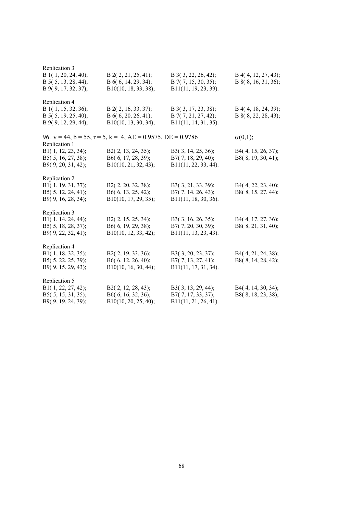| Replication 3<br>B 1(1, 20, 24, 40);<br>$B$ 5( 5, 13, 28, 44);<br>B 9(9, 17, 32, 37); | $B$ 2(2, 21, 25, 41);<br>B 6(6, 14, 29, 34);<br>B10(10, 18, 33, 38);        | B 3(3, 22, 26, 42);<br>$B$ 7(7, 15, 30, 35);<br>B11(11, 19, 23, 39). | B 4(4, 12, 27, 43);<br>B 8(8, 16, 31, 36); |
|---------------------------------------------------------------------------------------|-----------------------------------------------------------------------------|----------------------------------------------------------------------|--------------------------------------------|
| Replication 4<br>B 1(1, 15, 32, 36);<br>B 5(5, 19, 25, 40);<br>B 9(9, 12, 29, 44);    | B 2(2, 16, 33, 37);<br>B 6(6, 20, 26, 41);<br>B10(10, 13, 30, 34);          | B 3(3, 17, 23, 38);<br>B 7(7, 21, 27, 42);<br>B11(11, 14, 31, 35).   | B 4(4, 18, 24, 39);<br>B 8(8, 22, 28, 43); |
| Replication 1                                                                         | 96. $v = 44$ , $b = 55$ , $r = 5$ , $k = 4$ , $AE = 0.9575$ , $DE = 0.9786$ |                                                                      | $\alpha(0,1);$                             |
| B1(1, 12, 23, 34);<br>B5(5, 16, 27, 38);<br>B9(9, 20, 31, 42);                        | B2(2, 13, 24, 35);<br>B6(6, 17, 28, 39);<br>B10(10, 21, 32, 43);            | B3(3, 14, 25, 36);<br>B7(7, 18, 29, 40);<br>B11(11, 22, 33, 44).     | B4(4, 15, 26, 37);<br>B8(8, 19, 30, 41);   |
| Replication 2<br>B1(1, 19, 31, 37);<br>B5(5, 12, 24, 41);<br>B9(9, 16, 28, 34);       | B2(2, 20, 32, 38);<br>B6(6, 13, 25, 42);<br>$B10(10, 17, 29, 35)$ ;         | B3(3, 21, 33, 39);<br>B7(7, 14, 26, 43);<br>B11(11, 18, 30, 36).     | B4(4, 22, 23, 40);<br>B8(8, 15, 27, 44);   |
| Replication 3<br>B1(1, 14, 24, 44);<br>B5(5, 18, 28, 37);<br>B9(9, 22, 32, 41);       | B2(2, 15, 25, 34);<br>B6(6, 19, 29, 38);<br>B10(10, 12, 33, 42);            | B3(3, 16, 26, 35);<br>B7(7, 20, 30, 39);<br>$B11(11, 13, 23, 43)$ .  | B4(4, 17, 27, 36);<br>B8(8, 21, 31, 40);   |
| Replication 4<br>B1(1, 18, 32, 35);<br>B5(5, 22, 25, 39);<br>B9(9, 15, 29, 43);       | B2(2, 19, 33, 36);<br>B6(6, 12, 26, 40);<br>B10(10, 16, 30, 44);            | B3(3, 20, 23, 37);<br>B7(7, 13, 27, 41);<br>B11(11, 17, 31, 34).     | B4(4, 21, 24, 38);<br>B8(8, 14, 28, 42);   |
| Replication 5<br>B1(1, 22, 27, 42);<br>B5(5, 15, 31, 35);<br>B9(9, 19, 24, 39);       | B2(2, 12, 28, 43);<br>B6(6, 16, 32, 36);<br>B10(10, 20, 25, 40);            | B3(3, 13, 29, 44);<br>B7(7, 17, 33, 37);<br>B11(11, 21, 26, 41).     | B4(4, 14, 30, 34);<br>B8(8, 18, 23, 38);   |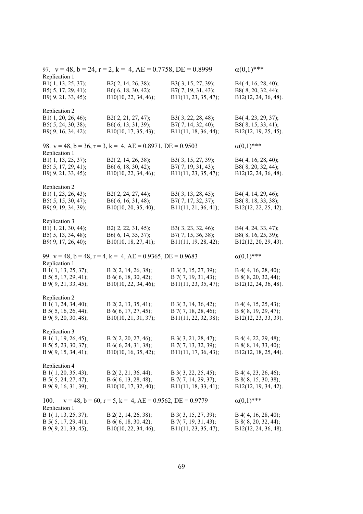| Replication 1                                                                      | 97. $v = 48$ , $b = 24$ , $r = 2$ , $k = 4$ , $AE = 0.7758$ , $DE = 0.8999$ |                                                                       | $\alpha(0,1)$ ***                                                        |
|------------------------------------------------------------------------------------|-----------------------------------------------------------------------------|-----------------------------------------------------------------------|--------------------------------------------------------------------------|
| B1(1, 13, 25, 37);<br>B5(5, 17, 29, 41);<br>B9(9, 21, 33, 45);                     | B2(2, 14, 26, 38);<br>B6(6, 18, 30, 42);<br>B10(10, 22, 34, 46);            | B3(3, 15, 27, 39);<br>B7(7, 19, 31, 43);<br>B11(11, 23, 35, 47);      | B4(4, 16, 28, 40);<br>B8(8, 20, 32, 44);<br>B12(12, 24, 36, 48).         |
| Replication 2<br>B1(1, 20, 26, 46);<br>B5(5, 24, 30, 38);<br>B9(9, 16, 34, 42);    | B2(2, 21, 27, 47);<br>B6(6, 13, 31, 39);<br>B10(10, 17, 35, 43);            | B3(3, 22, 28, 48);<br>B7(7, 14, 32, 40);<br>B11(11, 18, 36, 44);      | B4(4, 23, 29, 37);<br>B8(8, 15, 33, 41);<br>B12(12, 19, 25, 45).         |
| Replication 1                                                                      | 98. $v = 48$ , $b = 36$ , $r = 3$ , $k = 4$ , $AE = 0.8971$ , $DE = 0.9503$ |                                                                       | $\alpha(0,1)$ ***                                                        |
| B1(1, 13, 25, 37);<br>B5(5, 17, 29, 41);<br>B9(9, 21, 33, 45);                     | B2(2, 14, 26, 38);<br>B6(6, 18, 30, 42);<br>B10(10, 22, 34, 46);            | B3(3, 15, 27, 39);<br>B7(7, 19, 31, 43);<br>B11(11, 23, 35, 47);      | B4(4, 16, 28, 40);<br>B8(8, 20, 32, 44);<br>B12(12, 24, 36, 48).         |
| Replication 2<br>B1(1, 23, 26, 43);<br>B5(5, 15, 30, 47);<br>B9(9, 19, 34, 39);    | B2(2, 24, 27, 44);<br>B6(6, 16, 31, 48);<br>B10(10, 20, 35, 40);            | B3(3, 13, 28, 45);<br>B7(7, 17, 32, 37);<br>B11(11, 21, 36, 41);      | B4(4, 14, 29, 46);<br>B8(8, 18, 33, 38);<br>B12(12, 22, 25, 42).         |
| Replication 3<br>B1(1, 21, 30, 44);<br>B5(5, 13, 34, 48);<br>B9(9, 17, 26, 40);    | B2(2, 22, 31, 45);<br>B6(6, 14, 35, 37);<br>B10(10, 18, 27, 41);            | B3(3, 23, 32, 46);<br>B7(7, 15, 36, 38);<br>B11(11, 19, 28, 42);      | B4(4, 24, 33, 47);<br>B8(8, 16, 25, 39);<br>B12(12, 20, 29, 43).         |
| Replication 1                                                                      | 99. $v = 48$ , $b = 48$ , $r = 4$ , $k = 4$ , $AE = 0.9365$ , $DE = 0.9683$ |                                                                       | $\alpha(0,1)$ ***                                                        |
| B 1(1, 13, 25, 37);<br>$B$ 5( 5, 17, 29, 41);<br>B 9(9, 21, 33, 45);               | B 2(2, 14, 26, 38);<br>B 6(6, 18, 30, 42);<br>B10(10, 22, 34, 46);          | B 3(3, 15, 27, 39);<br>$B$ 7(7, 19, 31, 43);<br>B11(11, 23, 35, 47);  | B 4(4, 16, 28, 40);<br>B 8(8, 20, 32, 44);<br>B12(12, 24, 36, 48).       |
| Replication 2<br>B 1(1, 24, 34, 40);<br>B 5(5, 16, 26, 44);<br>B 9(9, 20, 30, 48); | B 2(2, 13, 35, 41);<br>B 6(6, 17, 27, 45);<br>B10(10, 21, 31, 37);          | B 3(3, 14, 36, 42);<br>B 7(7, 18, 28, 46);<br>B11(11, 22, 32, 38);    | B 4(4, 15, 25, 43);<br>B 8(8, 19, 29, 47);<br>B12(12, 23, 33, 39).       |
| Replication 3<br>B 1(1, 19, 26, 45);<br>B 5(5, 23, 30, 37);<br>B 9(9, 15, 34, 41); | B 2(2, 20, 27, 46);<br>B $6(6, 24, 31, 38)$ ;<br>B10(10, 16, 35, 42);       | B 3(3, 21, 28, 47);<br>$B$ 7(7, 13, 32, 39);<br>B11(11, 17, 36, 43);  | $B$ 4(4, 22, 29, 48);<br>B 8(8, 14, 33, 40);<br>B12(12, 18, 25, 44).     |
| Replication 4<br>B 1(1, 20, 35, 43);<br>B 5(5, 24, 27, 47);<br>B 9(9, 16, 31, 39); | $B$ 2(2, 21, 36, 44);<br>B 6(6, 13, 28, 48);<br>$B10(10, 17, 32, 40)$ ;     | B $3(3, 22, 25, 45)$ ;<br>B 7(7, 14, 29, 37);<br>B11(11, 18, 33, 41); | $B$ 4(4, 23, 26, 46);<br>B 8(8, 15, 30, 38);<br>B12(12, 19, 34, 42).     |
| 100.<br>Replication 1                                                              | $v = 48$ , $b = 60$ , $r = 5$ , $k = 4$ , $AE = 0.9562$ , $DE = 0.9779$     |                                                                       | $\alpha(0,1)$ ***                                                        |
| B 1(1, 13, 25, 37);<br>B $5(5, 17, 29, 41)$ ;<br>$B\,9(9, 21, 33, 45);$            | $B$ 2(2, 14, 26, 38);<br>B 6(6, 18, 30, 42);<br>B10(10, 22, 34, 46);        | B 3(3, 15, 27, 39);<br>$B$ 7(7, 19, 31, 43);<br>B11(11, 23, 35, 47);  | B 4(4, 16, 28, 40);<br>B $8(8, 20, 32, 44)$ ;<br>$B12(12, 24, 36, 48)$ . |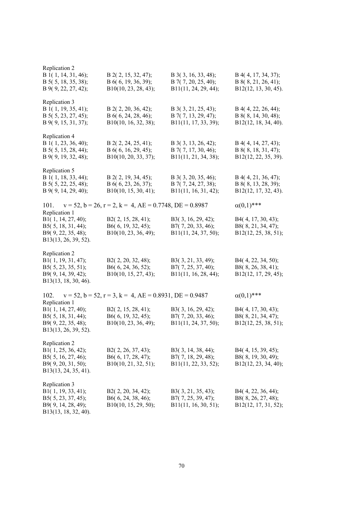| Replication 2                                                                                               |                                                                         |                                                                      |                                                                      |
|-------------------------------------------------------------------------------------------------------------|-------------------------------------------------------------------------|----------------------------------------------------------------------|----------------------------------------------------------------------|
| B 1(1, 14, 31, 46);<br>B 5(5, 18, 35, 38);<br>B 9(9, 22, 27, 42);                                           | B 2(2, 15, 32, 47);<br>B 6(6, 19, 36, 39);<br>$B10(10, 23, 28, 43)$ ;   | B 3(3, 16, 33, 48);<br>$B$ 7(7, 20, 25, 40);<br>B11(11, 24, 29, 44); | B 4(4, 17, 34, 37);<br>B 8(8, 21, 26, 41);<br>B12(12, 13, 30, 45).   |
| Replication 3<br>B 1(1, 19, 35, 41);<br>B 5(5, 23, 27, 45);<br>B 9(9, 15, 31, 37);                          | B 2(2, 20, 36, 42);<br>B 6(6, 24, 28, 46);<br>B10(10, 16, 32, 38);      | B 3(3, 21, 25, 43);<br>B 7(7, 13, 29, 47);<br>B11(11, 17, 33, 39);   | B 4(4, 22, 26, 44);<br>B 8(8, 14, 30, 48);<br>B12(12, 18, 34, 40).   |
| Replication 4<br>B 1(1, 23, 36, 40);<br>B 5(5, 15, 28, 44);<br>B 9(9, 19, 32, 48);                          | $B$ 2(2, 24, 25, 41);<br>B 6(6, 16, 29, 45);<br>B10(10, 20, 33, 37);    | B 3(3, 13, 26, 42);<br>B 7(7, 17, 30, 46);<br>B11(11, 21, 34, 38);   | $B$ 4(4, 14, 27, 43);<br>B 8(8, 18, 31, 47);<br>B12(12, 22, 35, 39). |
| Replication 5<br>B 1(1, 18, 33, 44);<br>B 5(5, 22, 25, 48);<br>B 9(9, 14, 29, 40);                          | $B$ 2(2, 19, 34, 45);<br>B 6(6, 23, 26, 37);<br>B10(10, 15, 30, 41);    | B 3(3, 20, 35, 46);<br>B 7(7, 24, 27, 38);<br>B11(11, 16, 31, 42);   | $B$ 4(4, 21, 36, 47);<br>B 8(8, 13, 28, 39);<br>B12(12, 17, 32, 43). |
| 101.                                                                                                        | $v = 52$ , $b = 26$ , $r = 2$ , $k = 4$ , $AE = 0.7748$ , $DE = 0.8987$ |                                                                      | $\alpha(0,1)$ ***                                                    |
| Replication 1<br>B1(1, 14, 27, 40);<br>B5(5, 18, 31, 44);<br>B9(9, 22, 35, 48);<br>B13(13, 26, 39, 52).     | B2(2, 15, 28, 41);<br>B6(6, 19, 32, 45);<br>B10(10, 23, 36, 49);        | B3(3, 16, 29, 42);<br>B7(7, 20, 33, 46);<br>B11(11, 24, 37, 50);     | B4(4, 17, 30, 43);<br>B8(8, 21, 34, 47);<br>B12(12, 25, 38, 51);     |
| Replication 2<br>B1(1, 19, 31, 47);<br>B5(5, 23, 35, 51);<br>B9(9, 14, 39, 42);<br>B13(13, 18, 30, 46).     | B2(2, 20, 32, 48);<br>B6(6, 24, 36, 52);<br>B10(10, 15, 27, 43);        | B3(3, 21, 33, 49);<br>B7(7, 25, 37, 40);<br>B11(11, 16, 28, 44);     | B4(4, 22, 34, 50);<br>B8(8, 26, 38, 41);<br>B12(12, 17, 29, 45);     |
| 102.                                                                                                        | $v = 52$ , $b = 52$ , $r = 3$ , $k = 4$ , $AE = 0.8931$ , $DE = 0.9487$ |                                                                      | $\alpha(0,1)$ ***                                                    |
| Replication 1<br>B1(1, 14, 27, 40);<br>B5(5, 18, 31, 44);<br>B9(9, 22, 35, 48);<br>B13(13, 26, 39, 52).     | B2(2, 15, 28, 41);<br>B6(6, 19, 32, 45);<br>B10(10, 23, 36, 49);        | B3(3, 16, 29, 42);<br>B7(7, 20, 33, 46);<br>B11(11, 24, 37, 50);     | B4(4, 17, 30, 43);<br>B8(8, 21, 34, 47);<br>B12(12, 25, 38, 51);     |
| Replication 2<br>B1(1, 25, 36, 42);<br>B5(5, 16, 27, 46);<br>B9(9, 20, 31, 50);<br>B13(13, 24, 35, 41).     | B2(2, 26, 37, 43);<br>B6(6, 17, 28, 47);<br>B10(10, 21, 32, 51);        | B3(3, 14, 38, 44);<br>B7(7, 18, 29, 48);<br>B11(11, 22, 33, 52);     | B4(4, 15, 39, 45);<br>B8(8, 19, 30, 49);<br>B12(12, 23, 34, 40);     |
| Replication 3<br>B1 $(1, 19, 33, 41)$ ;<br>B5(5, 23, 37, 45);<br>B9(9, 14, 28, 49);<br>B13(13, 18, 32, 40). | B2(2, 20, 34, 42);<br>B6(6, 24, 38, 46);<br>B10(10, 15, 29, 50);        | B3(3, 21, 35, 43);<br>B7(7, 25, 39, 47);<br>B11(11, 16, 30, 51);     | B4(4, 22, 36, 44);<br>B8(8, 26, 27, 48);<br>B12(12, 17, 31, 52);     |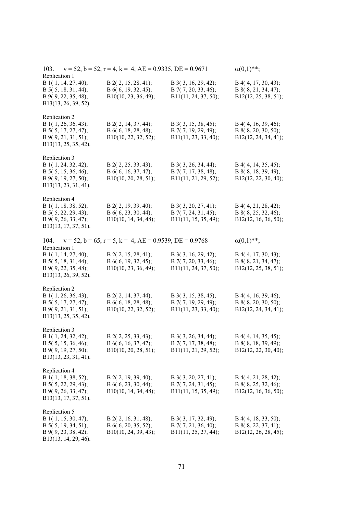| 103.<br>Replication 1                                                                                         | $v = 52$ , $b = 52$ , $r = 4$ , $k = 4$ , $AE = 0.9335$ , $DE = 0.9671$ |                                                                        | $\alpha(0,1)$ **;                                                  |
|---------------------------------------------------------------------------------------------------------------|-------------------------------------------------------------------------|------------------------------------------------------------------------|--------------------------------------------------------------------|
| B 1(1, 14, 27, 40);<br>B 5(5, 18, 31, 44);<br>B 9(9, 22, 35, 48);<br>B13(13, 26, 39, 52).                     | B 2(2, 15, 28, 41);<br>B 6(6, 19, 32, 45);<br>B10(10, 23, 36, 49);      | B 3(3, 16, 29, 42);<br>B 7(7, 20, 33, 46);<br>B11(11, 24, 37, 50);     | B 4(4, 17, 30, 43);<br>B 8(8, 21, 34, 47);<br>B12(12, 25, 38, 51); |
| Replication 2<br>B 1(1, 26, 36, 43);<br>B 5(5, 17, 27, 47);<br>B 9(9, 21, 31, 51);<br>B13(13, 25, 35, 42).    | B 2(2, 14, 37, 44);<br>B 6(6, 18, 28, 48);<br>B10(10, 22, 32, 52);      | B 3(3, 15, 38, 45);<br>$B$ 7(7, 19, 29, 49);<br>B11(11, 23, 33, 40);   | B 4(4, 16, 39, 46);<br>B 8(8, 20, 30, 50);<br>B12(12, 24, 34, 41); |
| Replication 3<br>B 1(1, 24, 32, 42);<br>B 5(5, 15, 36, 46);<br>B 9(9, 19, 27, 50);<br>B13(13, 23, 31, 41).    | B 2(2, 25, 33, 43);<br>B 6(6, 16, 37, 47);<br>$B10(10, 20, 28, 51)$ ;   | B 3(3, 26, 34, 44);<br>$B$ 7(7, 17, 38, 48);<br>B11(11, 21, 29, 52);   | B 4(4, 14, 35, 45);<br>B 8(8, 18, 39, 49);<br>B12(12, 22, 30, 40); |
| Replication 4<br>B 1(1, 18, 38, 52);<br>B $5(5, 22, 29, 43)$ ;<br>B 9(9, 26, 33, 47);<br>B13(13, 17, 37, 51). | B 2(2, 19, 39, 40);<br>B $6(6, 23, 30, 44)$ ;<br>B10(10, 14, 34, 48);   | B 3(3, 20, 27, 41);<br>$B$ 7(7, 24, 31, 45);<br>B11(11, 15, 35, 49);   | B 4(4, 21, 28, 42);<br>B 8(8, 25, 32, 46);<br>B12(12, 16, 36, 50); |
| 104.                                                                                                          | $v = 52$ , $b = 65$ , $r = 5$ , $k = 4$ , $AE = 0.9539$ , $DE = 0.9768$ |                                                                        | $\alpha(0,1)$ **;                                                  |
| Replication 1<br>B 1(1, 14, 27, 40);<br>B 5(5, 18, 31, 44);<br>B 9(9, 22, 35, 48);<br>B13(13, 26, 39, 52).    | $B$ 2(2, 15, 28, 41);<br>B 6(6, 19, 32, 45);<br>B10(10, 23, 36, 49);    | B 3(3, 16, 29, 42);<br>B 7(7, 20, 33, 46);<br>B11(11, 24, 37, 50);     | B 4(4, 17, 30, 43);<br>B 8(8, 21, 34, 47);<br>B12(12, 25, 38, 51); |
| Replication 2<br>B 1(1, 26, 36, 43);<br>B 5(5, 17, 27, 47);<br>B 9(9, 21, 31, 51);<br>B13(13, 25, 35, 42).    | B 2(2, 14, 37, 44);<br>B 6(6, 18, 28, 48);<br>B10(10, 22, 32, 52);      | B 3(3, 15, 38, 45);<br>B 7(7, 19, 29, 49);<br>B11(11, 23, 33, 40);     | B 4(4, 16, 39, 46);<br>B 8(8, 20, 30, 50);<br>B12(12, 24, 34, 41); |
| Replication 3<br>B 1(1, 24, 32, 42);<br>B $5(5, 15, 36, 46)$ ;<br>B 9(9, 19, 27, 50);<br>B13(13, 23, 31, 41). | B 2(2, 25, 33, 43);<br>B 6(6, 16, 37, 47);<br>$B10(10, 20, 28, 51)$ ;   | B 3(3, 26, 34, 44);<br>B 7(7, 17, 38, 48);<br>B11(11, 21, 29, 52);     | B 4(4, 14, 35, 45);<br>B 8(8, 18, 39, 49);<br>B12(12, 22, 30, 40); |
| Replication 4<br>B 1(1, 18, 38, 52);<br>B 5(5, 22, 29, 43);<br>B 9(9, 26, 33, 47);<br>B13(13, 17, 37, 51).    | $B$ 2(2, 19, 39, 40);<br>$B\ 6(6, 23, 30, 44);$<br>B10(10, 14, 34, 48); | $B$ 3(3, 20, 27, 41);<br>$B$ 7(7, 24, 31, 45);<br>B11(11, 15, 35, 49); | B 4(4, 21, 28, 42);<br>B 8(8, 25, 32, 46);<br>B12(12, 16, 36, 50); |
| Replication 5<br>B 1(1, 15, 30, 47);<br>B 5(5, 19, 34, 51);<br>B 9(9, 23, 38, 42);<br>B13(13, 14, 29, 46).    | $B$ 2(2, 16, 31, 48);<br>B 6(6, 20, 35, 52);<br>$B10(10, 24, 39, 43)$ ; | B 3(3, 17, 32, 49);<br>$B$ 7(7, 21, 36, 40);<br>B11(11, 25, 27, 44);   | B 4(4, 18, 33, 50);<br>B 8(8, 22, 37, 41);<br>B12(12, 26, 28, 45); |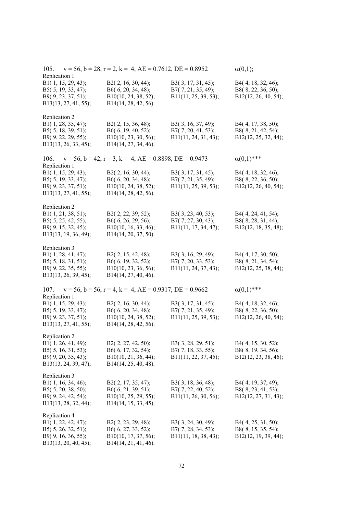| 105.<br>Replication 1                                                                                   | $v = 56$ , $b = 28$ , $r = 2$ , $k = 4$ , $AE = 0.7612$ , $DE = 0.8952$                      |                                                                  | $\alpha(0,1);$                                                   |
|---------------------------------------------------------------------------------------------------------|----------------------------------------------------------------------------------------------|------------------------------------------------------------------|------------------------------------------------------------------|
| B1(1, 15, 29, 43);<br>B5(5, 19, 33, 47);<br>B9(9, 23, 37, 51);<br>B13(13, 27, 41, 55);                  | B2(2, 16, 30, 44);<br>B6(6, 20, 34, 48);<br>B10(10, 24, 38, 52);<br>B14(14, 28, 42, 56).     | B3(3, 17, 31, 45);<br>B7(7, 21, 35, 49);<br>B11(11, 25, 39, 53); | B4(4, 18, 32, 46);<br>B8(8, 22, 36, 50);<br>B12(12, 26, 40, 54); |
| Replication 2<br>B1(1, 28, 35, 47);<br>B5(5, 18, 39, 51);<br>B9(9, 22, 29, 55);<br>B13(13, 26, 33, 45); | B2(2, 15, 36, 48);<br>B6(6, 19, 40, 52);<br>B10(10, 23, 30, 56);<br>B14(14, 27, 34, 46).     | B3(3, 16, 37, 49);<br>B7(7, 20, 41, 53);<br>B11(11, 24, 31, 43); | B4(4, 17, 38, 50);<br>B8(8, 21, 42, 54);<br>B12(12, 25, 32, 44); |
| 106.                                                                                                    | $v = 56$ , $b = 42$ , $r = 3$ , $k = 4$ , $AE = 0.8898$ , $DE = 0.9473$                      |                                                                  | $\alpha(0,1)$ ***                                                |
| Replication 1<br>B1(1, 15, 29, 43);<br>B5(5, 19, 33, 47);<br>B9(9, 23, 37, 51);<br>B13(13, 27, 41, 55); | B2(2, 16, 30, 44);<br>B6(6, 20, 34, 48);<br>B10(10, 24, 38, 52);<br>B14(14, 28, 42, 56).     | B3(3, 17, 31, 45);<br>B7(7, 21, 35, 49);<br>B11(11, 25, 39, 53); | B4(4, 18, 32, 46);<br>B8(8, 22, 36, 50);<br>B12(12, 26, 40, 54); |
| Replication 2<br>B1(1, 21, 38, 51);<br>B5(5, 25, 42, 55);<br>B9(9, 15, 32, 45);<br>B13(13, 19, 36, 49); | B2(2, 22, 39, 52);<br>B6(6, 26, 29, 56);<br>$B10(10, 16, 33, 46)$ ;<br>B14(14, 20, 37, 50).  | B3(3, 23, 40, 53);<br>B7(7, 27, 30, 43);<br>B11(11, 17, 34, 47); | B4(4, 24, 41, 54);<br>B8(8, 28, 31, 44);<br>B12(12, 18, 35, 48); |
| Replication 3<br>B1(1, 28, 41, 47);<br>B5(5, 18, 31, 51);<br>B9(9, 22, 35, 55);<br>B13(13, 26, 39, 45); | B2(2, 15, 42, 48);<br>B6(6, 19, 32, 52);<br>B10(10, 23, 36, 56);<br>B14(14, 27, 40, 46).     | B3(3, 16, 29, 49);<br>B7(7, 20, 33, 53);<br>B11(11, 24, 37, 43); | B4(4, 17, 30, 50);<br>B8(8, 21, 34, 54);<br>B12(12, 25, 38, 44); |
| 107.                                                                                                    | $v = 56$ , $b = 56$ , $r = 4$ , $k = 4$ , $AE = 0.9317$ , $DE = 0.9662$                      |                                                                  | $\alpha(0,1)$ ***                                                |
| Replication 1<br>B1(1, 15, 29, 43);<br>B5(5, 19, 33, 47);<br>B9(9, 23, 37, 51);<br>B13(13, 27, 41, 55); | B2(2, 16, 30, 44);<br>B6(6, 20, 34, 48);<br>B10(10, 24, 38, 52);<br>B14(14, 28, 42, 56).     | B3(3, 17, 31, 45);<br>B7(7, 21, 35, 49);<br>B11(11, 25, 39, 53); | B4(4, 18, 32, 46);<br>B8(8, 22, 36, 50);<br>B12(12, 26, 40, 54); |
| Replication 2<br>B1(1, 26, 41, 49);<br>B5(5, 16, 31, 53);<br>B9(9, 20, 35, 43);<br>B13(13, 24, 39, 47); | B2(2, 27, 42, 50);<br>B6(6, 17, 32, 54);<br>B10(10, 21, 36, 44);<br>B14(14, 25, 40, 48).     | B3(3, 28, 29, 51);<br>B7(7, 18, 33, 55);<br>B11(11, 22, 37, 45); | B4(4, 15, 30, 52);<br>B8(8, 19, 34, 56);<br>B12(12, 23, 38, 46); |
| Replication 3<br>B1(1, 16, 34, 46);<br>B5(5, 20, 38, 50);<br>B9(9, 24, 42, 54);<br>B13(13, 28, 32, 44); | B2(2, 17, 35, 47);<br>B6 $(6, 21, 39, 51)$ ;<br>B10(10, 25, 29, 55);<br>B14(14, 15, 33, 45). | B3(3, 18, 36, 48);<br>B7(7, 22, 40, 52);<br>B11(11, 26, 30, 56); | B4(4, 19, 37, 49);<br>B8(8, 23, 41, 53);<br>B12(12, 27, 31, 43); |
| Replication 4<br>B1(1, 22, 42, 47);<br>B5(5, 26, 32, 51);<br>B9(9, 16, 36, 55);<br>B13(13, 20, 40, 45); | B2(2, 23, 29, 48);<br>B6(6, 27, 33, 52);<br>B10(10, 17, 37, 56);<br>B14(14, 21, 41, 46).     | B3(3, 24, 30, 49);<br>B7(7, 28, 34, 53);<br>B11(11, 18, 38, 43); | B4(4, 25, 31, 50);<br>B8(8, 15, 35, 54);<br>B12(12, 19, 39, 44); |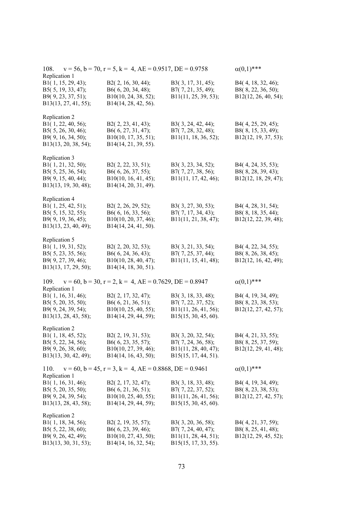| $v = 56$ , $b = 70$ , $r = 5$ , $k = 4$ , $AE = 0.9517$ , $DE = 0.9758$<br>108.<br>Replication 1        | $\alpha(0,1)$ ***                                                                           |                                                                                             |                                                                  |
|---------------------------------------------------------------------------------------------------------|---------------------------------------------------------------------------------------------|---------------------------------------------------------------------------------------------|------------------------------------------------------------------|
| B1(1, 15, 29, 43);<br>B5(5, 19, 33, 47);<br>B9(9, 23, 37, 51);<br>B13(13, 27, 41, 55);                  | B2(2, 16, 30, 44);<br>B6(6, 20, 34, 48);<br>B10(10, 24, 38, 52);<br>B14(14, 28, 42, 56).    | B3(3, 17, 31, 45);<br>B7(7, 21, 35, 49);<br>B11(11, 25, 39, 53);                            | B4(4, 18, 32, 46);<br>B8(8, 22, 36, 50);<br>B12(12, 26, 40, 54); |
| Replication 2<br>B1(1, 22, 40, 56);<br>B5(5, 26, 30, 46);<br>B9(9, 16, 34, 50);<br>B13(13, 20, 38, 54); | B2(2, 23, 41, 43);<br>B6(6, 27, 31, 47);<br>$B10(10, 17, 35, 51)$ ;<br>B14(14, 21, 39, 55). | B3(3, 24, 42, 44);<br>B7(7, 28, 32, 48);<br>B11(11, 18, 36, 52);                            | B4(4, 25, 29, 45);<br>B8(8, 15, 33, 49);<br>B12(12, 19, 37, 53); |
| Replication 3<br>B1(1, 21, 32, 50);<br>B5(5, 25, 36, 54);<br>B9(9, 15, 40, 44);<br>B13(13, 19, 30, 48); | B2(2, 22, 33, 51);<br>B6(6, 26, 37, 55);<br>$B10(10, 16, 41, 45)$ ;<br>B14(14, 20, 31, 49). | B3(3, 23, 34, 52);<br>B7(7, 27, 38, 56);<br>B11(11, 17, 42, 46);                            | B4(4, 24, 35, 53);<br>B8(8, 28, 39, 43);<br>B12(12, 18, 29, 47); |
| Replication 4<br>B1(1, 25, 42, 51);<br>B5(5, 15, 32, 55);<br>B9(9, 19, 36, 45);<br>B13(13, 23, 40, 49); | B2(2, 26, 29, 52);<br>B6(6, 16, 33, 56);<br>B10(10, 20, 37, 46);<br>B14(14, 24, 41, 50).    | B3(3, 27, 30, 53);<br>B7(7, 17, 34, 43);<br>B11(11, 21, 38, 47);                            | B4(4, 28, 31, 54);<br>B8(8, 18, 35, 44);<br>B12(12, 22, 39, 48); |
| Replication 5<br>B1(1, 19, 31, 52);<br>B5(5, 23, 35, 56);<br>B9(9, 27, 39, 46);<br>B13(13, 17, 29, 50); | B2(2, 20, 32, 53);<br>B6(6, 24, 36, 43);<br>B10(10, 28, 40, 47);<br>B14(14, 18, 30, 51).    | B3(3, 21, 33, 54);<br>B7(7, 25, 37, 44);<br>B11(11, 15, 41, 48);                            | B4(4, 22, 34, 55);<br>B8(8, 26, 38, 45);<br>B12(12, 16, 42, 49); |
| 109.                                                                                                    | $v = 60$ , $b = 30$ , $r = 2$ , $k = 4$ , $AE = 0.7629$ , $DE = 0.8947$                     |                                                                                             | $\alpha(0,1)$ ***                                                |
| Replication 1<br>B1(1, 16, 31, 46);<br>B5(5, 20, 35, 50);<br>B9(9, 24, 39, 54);<br>B13(13, 28, 43, 58); | B2(2, 17, 32, 47);<br>B6(6, 21, 36, 51);<br>$B10(10, 25, 40, 55)$ ;<br>B14(14, 29, 44, 59); | B3(3, 18, 33, 48);<br>B7(7, 22, 37, 52);<br>B11(11, 26, 41, 56);<br>B15(15, 30, 45, 60).    | B4(4, 19, 34, 49);<br>B8(8, 23, 38, 53);<br>B12(12, 27, 42, 57); |
| Replication 2<br>B1(1, 18, 45, 52);<br>B5(5, 22, 34, 56);<br>B9(9, 26, 38, 60);<br>B13(13, 30, 42, 49); | B2(2, 19, 31, 53);<br>B6(6, 23, 35, 57);<br>B10(10, 27, 39, 46);<br>B14(14, 16, 43, 50);    | B3(3, 20, 32, 54);<br>B7(7, 24, 36, 58);<br>B11(11, 28, 40, 47);<br>B15(15, 17, 44, 51).    | B4(4, 21, 33, 55);<br>B8(8, 25, 37, 59);<br>B12(12, 29, 41, 48); |
| 110.<br>Replication 1                                                                                   | $v = 60$ , $b = 45$ , $r = 3$ , $k = 4$ , $AE = 0.8868$ , $DE = 0.9461$                     |                                                                                             | $\alpha(0,1)$ ***                                                |
| B1(1, 16, 31, 46);<br>B5(5, 20, 35, 50);<br>B9(9, 24, 39, 54);<br>B13(13, 28, 43, 58);                  | B2(2, 17, 32, 47);<br>B6(6, 21, 36, 51);<br>B10(10, 25, 40, 55);<br>B14(14, 29, 44, 59);    | B3(3, 18, 33, 48);<br>B7(7, 22, 37, 52);<br>B11(11, 26, 41, 56);<br>$B15(15, 30, 45, 60)$ . | B4(4, 19, 34, 49);<br>B8(8, 23, 38, 53);<br>B12(12, 27, 42, 57); |
| Replication 2<br>B1(1, 18, 34, 56);<br>B5(5, 22, 38, 60);<br>B9(9, 26, 42, 49);<br>B13(13, 30, 31, 53); | B2(2, 19, 35, 57);<br>B6(6, 23, 39, 46);<br>B10(10, 27, 43, 50);<br>B14(14, 16, 32, 54);    | B3(3, 20, 36, 58);<br>B7(7, 24, 40, 47);<br>B11(11, 28, 44, 51);<br>B15(15, 17, 33, 55).    | B4(4, 21, 37, 59);<br>B8(8, 25, 41, 48);<br>B12(12, 29, 45, 52); |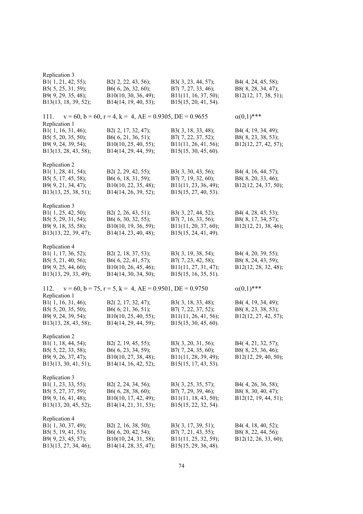| Replication 3<br>B1(1, 21, 42, 55);<br>B5(5, 25, 31, 59);<br>B9(9, 29, 35, 48);<br>B13(13, 18, 39, 52); | B2(2, 22, 43, 56);<br>B6(6, 26, 32, 60);<br>B10(10, 30, 36, 49);<br>B14(14, 19, 40, 53); | B3(3, 23, 44, 57);<br>B7(7, 27, 33, 46);<br>B11(11, 16, 37, 50);<br>B15(15, 20, 41, 54).    | B4(4, 24, 45, 58);<br>B8(8, 28, 34, 47);<br>B12(12, 17, 38, 51); |
|---------------------------------------------------------------------------------------------------------|------------------------------------------------------------------------------------------|---------------------------------------------------------------------------------------------|------------------------------------------------------------------|
| 111.                                                                                                    | $v = 60$ , $b = 60$ , $r = 4$ , $k = 4$ , $AE = 0.9305$ , $DE = 0.9655$                  |                                                                                             | $\alpha(0,1)$ ***                                                |
| Replication 1<br>B1(1, 16, 31, 46);<br>B5(5, 20, 35, 50);<br>B9(9, 24, 39, 54);<br>B13(13, 28, 43, 58); | B2(2, 17, 32, 47);<br>B6(6, 21, 36, 51);<br>B10(10, 25, 40, 55);<br>B14(14, 29, 44, 59); | B3(3, 18, 33, 48);<br>B7(7, 22, 37, 52);<br>B11(11, 26, 41, 56);<br>B15(15, 30, 45, 60).    | B4(4, 19, 34, 49);<br>B8(8, 23, 38, 53);<br>B12(12, 27, 42, 57); |
| Replication 2<br>B1(1, 28, 41, 54);<br>B5(5, 17, 45, 58);<br>B9(9, 21, 34, 47);<br>B13(13, 25, 38, 51); | B2(2, 29, 42, 55);<br>B6(6, 18, 31, 59);<br>B10(10, 22, 35, 48);<br>B14(14, 26, 39, 52); | B3(3, 30, 43, 56);<br>B7(7, 19, 32, 60);<br>B11(11, 23, 36, 49);<br>B15(15, 27, 40, 53).    | B4(4, 16, 44, 57);<br>B8(8, 20, 33, 46);<br>B12(12, 24, 37, 50); |
| Replication 3<br>B1(1, 25, 42, 50);<br>B5(5, 29, 31, 54);<br>B9(9, 18, 35, 58);<br>B13(13, 22, 39, 47); | B2(2, 26, 43, 51);<br>B6(6, 30, 32, 55);<br>B10(10, 19, 36, 59);<br>B14(14, 23, 40, 48); | B3(3, 27, 44, 52);<br>B7(7, 16, 33, 56);<br>B11(11, 20, 37, 60);<br>B15(15, 24, 41, 49).    | B4(4, 28, 45, 53);<br>B8(8, 17, 34, 57);<br>B12(12, 21, 38, 46); |
| Replication 4<br>B1(1, 17, 36, 52);<br>B5(5, 21, 40, 56);<br>B9(9, 25, 44, 60);<br>B13(13, 29, 33, 49); | B2(2, 18, 37, 53);<br>B6(6, 22, 41, 57);<br>B10(10, 26, 45, 46);<br>B14(14, 30, 34, 50); | B3(3, 19, 38, 54);<br>B7(7, 23, 42, 58);<br>B11(11, 27, 31, 47);<br>B15(15, 16, 35, 51).    | B4(4, 20, 39, 55);<br>B8(8, 24, 43, 59);<br>B12(12, 28, 32, 48); |
| 112.                                                                                                    | $v = 60$ , $b = 75$ , $r = 5$ , $k = 4$ , $AE = 0.9501$ , $DE = 0.9750$                  |                                                                                             | $\alpha(0,1)$ ***                                                |
| Replication 1<br>B1(1, 16, 31, 46);<br>B5(5, 20, 35, 50);<br>B9(9, 24, 39, 54);<br>B13(13, 28, 43, 58); | B2(2, 17, 32, 47);<br>B6(6, 21, 36, 51);<br>B10(10, 25, 40, 55);<br>B14(14, 29, 44, 59); | B3(3, 18, 33, 48);<br>B7(7, 22, 37, 52);<br>B11(11, 26, 41, 56);<br>$B15(15, 30, 45, 60)$ . | B4(4, 19, 34, 49);<br>B8(8, 23, 38, 53);<br>B12(12, 27, 42, 57); |
| Replication 2<br>B1(1, 18, 44, 54);<br>B5(5, 22, 33, 58);<br>B9(9, 26, 37, 47);<br>B13(13, 30, 41, 51); | B2(2, 19, 45, 55);<br>B6(6, 23, 34, 59);<br>B10(10, 27, 38, 48);<br>B14(14, 16, 42, 52); | B3(3, 20, 31, 56);<br>B7(7, 24, 35, 60);<br>B11(11, 28, 39, 49);<br>$B15(15, 17, 43, 53)$ . | B4(4, 21, 32, 57);<br>B8(8, 25, 36, 46);<br>B12(12, 29, 40, 50); |
| Replication 3<br>B1(1, 23, 33, 55);<br>B5(5, 27, 37, 59);<br>B9(9, 16, 41, 48);<br>B13(13, 20, 45, 52); | B2(2, 24, 34, 56);<br>B6(6, 28, 38, 60);<br>B10(10, 17, 42, 49);<br>B14(14, 21, 31, 53); | B3(3, 25, 35, 57);<br>B7(7, 29, 39, 46);<br>B11(11, 18, 43, 50);<br>B15(15, 22, 32, 54).    | B4(4, 26, 36, 58);<br>B8(8, 30, 40, 47);<br>B12(12, 19, 44, 51); |
| Replication 4<br>B1(1, 30, 37, 49);<br>B5(5, 19, 41, 53);<br>B9(9, 23, 45, 57);<br>B13(13, 27, 34, 46); | B2(2, 16, 38, 50);<br>B6(6, 20, 42, 54);<br>B10(10, 24, 31, 58);<br>B14(14, 28, 35, 47); | B3(3, 17, 39, 51);<br>B7(7, 21, 43, 55);<br>B11(11, 25, 32, 59);<br>B15(15, 29, 36, 48).    | B4(4, 18, 40, 52);<br>B8(8, 22, 44, 56);<br>B12(12, 26, 33, 60); |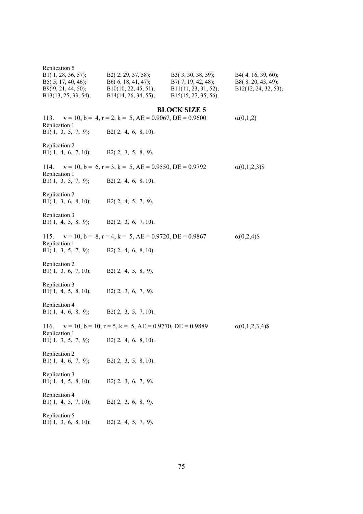| Replication 5<br>B1(1, 28, 36, 57);<br>B5 $(5, 17, 40, 46)$ ;<br>B9(9, 21, 44, 50);<br>B13(13, 25, 33, 54); | $B2(2, 29, 37, 58);$ $B3(3, 30, 38, 59);$<br>$B6(6, 18, 41, 47);$ $B7(7, 19, 42, 48);$<br>$B10(10, 22, 45, 51);$ $B11(11, 23, 31, 52);$<br>B14(14, 26, 34, 55); | B15(15, 27, 35, 56). | B4(4, 16, 39, 60);<br>B8(8, 20, 43, 49);<br>B12(12, 24, 32, 53); |
|-------------------------------------------------------------------------------------------------------------|-----------------------------------------------------------------------------------------------------------------------------------------------------------------|----------------------|------------------------------------------------------------------|
| Replication 1                                                                                               | 113. $v = 10$ , $b = 4$ , $r = 2$ , $k = 5$ , $AE = 0.9067$ , $DE = 0.9600$                                                                                     | <b>BLOCK SIZE 5</b>  | $\alpha(0,1,2)$                                                  |
| B1 $(1, 3, 5, 7, 9)$ ;                                                                                      | B2(2, 4, 6, 8, 10).                                                                                                                                             |                      |                                                                  |
| Replication 2<br>B1(1, 4, 6, 7, 10); B2(2, 3, 5, 8, 9).                                                     |                                                                                                                                                                 |                      |                                                                  |
| Replication 1                                                                                               | 114. $v = 10$ , $b = 6$ , $r = 3$ , $k = 5$ , $AE = 0.9550$ , $DE = 0.9792$                                                                                     |                      | $\alpha(0,1,2,3)$ \$                                             |
| B1 $(1, 3, 5, 7, 9)$ ;                                                                                      | $B2(2, 4, 6, 8, 10)$ .                                                                                                                                          |                      |                                                                  |
| Replication 2<br>B1(1, 3, 6, 8, 10);                                                                        | $B2(2, 4, 5, 7, 9)$ .                                                                                                                                           |                      |                                                                  |
| Replication 3<br>B1 $(1, 4, 5, 8, 9)$ ;                                                                     | $B2(2, 3, 6, 7, 10)$ .                                                                                                                                          |                      |                                                                  |
| Replication 1                                                                                               | 115. $v = 10$ , $b = 8$ , $r = 4$ , $k = 5$ , $AE = 0.9720$ , $DE = 0.9867$                                                                                     |                      | $\alpha(0,2,4)$ \$                                               |
| B1 $(1, 3, 5, 7, 9)$ ;                                                                                      | $B2(2, 4, 6, 8, 10)$ .                                                                                                                                          |                      |                                                                  |
| Replication 2<br>B1(1, 3, 6, 7, 10);                                                                        | $B2(2, 4, 5, 8, 9)$ .                                                                                                                                           |                      |                                                                  |
| Replication 3<br>B1(1, 4, 5, 8, 10); B2(2, 3, 6, 7, 9).                                                     |                                                                                                                                                                 |                      |                                                                  |
| Replication 4<br>B1(1, 4, 6, 8, 9); B2(2, 3, 5, 7, 10).                                                     |                                                                                                                                                                 |                      |                                                                  |
| 116.<br>Replication 1                                                                                       | $v = 10$ , $b = 10$ , $r = 5$ , $k = 5$ , $AE = 0.9770$ , $DE = 0.9889$                                                                                         |                      | $\alpha(0,1,2,3,4)$ \$                                           |
| B1(1, 3, 5, 7, 9); B2(2, 4, 6, 8, 10).                                                                      |                                                                                                                                                                 |                      |                                                                  |
| Replication 2<br>B1(1, 4, 6, 7, 9);                                                                         | $B2(2, 3, 5, 8, 10)$ .                                                                                                                                          |                      |                                                                  |
| Replication 3<br>B1 $(1, 4, 5, 8, 10)$ ;                                                                    | B2(2, 3, 6, 7, 9).                                                                                                                                              |                      |                                                                  |
| Replication 4<br>B1 $(1, 4, 5, 7, 10)$ ;                                                                    | $B2(2, 3, 6, 8, 9)$ .                                                                                                                                           |                      |                                                                  |
| Replication 5<br>B1 $(1, 3, 6, 8, 10)$ ;                                                                    | $B2(2, 4, 5, 7, 9)$ .                                                                                                                                           |                      |                                                                  |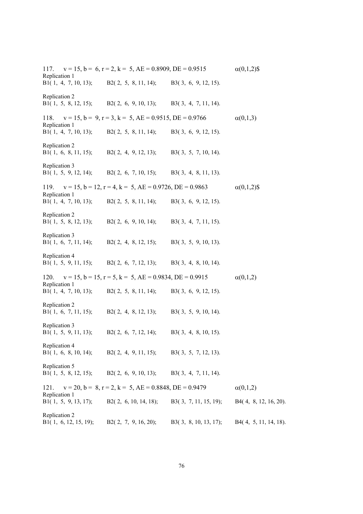117.  $v = 15$ ,  $b = 6$ ,  $r = 2$ ,  $k = 5$ ,  $AE = 0.8909$ ,  $DE = 0.9515$   $\alpha(0,1,2)$ \$ Replication 1 B1( 1, 4, 7, 10, 13); B2( 2, 5, 8, 11, 14); B3( 3, 6, 9, 12, 15). Replication 2 B1( 1, 5, 8, 12, 15); B2( 2, 6, 9, 10, 13); B3( 3, 4, 7, 11, 14). 118.  $v = 15$ ,  $b = 9$ ,  $r = 3$ ,  $k = 5$ ,  $AE = 0.9515$ ,  $DE = 0.9766$   $\alpha(0,1,3)$ Replication 1 B1( 1, 4, 7, 10, 13); B2( 2, 5, 8, 11, 14); B3( 3, 6, 9, 12, 15). Replication 2 B1( 1, 6, 8, 11, 15); B2( 2, 4, 9, 12, 13); B3( 3, 5, 7, 10, 14). Replication 3 B1( 1, 5, 9, 12, 14); B2( 2, 6, 7, 10, 15); B3( 3, 4, 8, 11, 13). 119.  $v = 15$ ,  $b = 12$ ,  $r = 4$ ,  $k = 5$ ,  $AE = 0.9726$ ,  $DE = 0.9863$   $\alpha(0,1,2)$ \$ Replication 1 B1( 1, 4, 7, 10, 13); B2( 2, 5, 8, 11, 14); B3( 3, 6, 9, 12, 15). Replication 2 B1( 1, 5, 8, 12, 13); B2( 2, 6, 9, 10, 14); B3( 3, 4, 7, 11, 15). Replication 3 B1( 1, 6, 7, 11, 14); B2( 2, 4, 8, 12, 15); B3( 3, 5, 9, 10, 13). Replication 4 B1( 1, 5, 9, 11, 15); B2( 2, 6, 7, 12, 13); B3( 3, 4, 8, 10, 14). 120.  $v = 15$ ,  $b = 15$ ,  $r = 5$ ,  $k = 5$ ,  $AE = 0.9834$ ,  $DE = 0.9915$  (0,1,2) Replication 1 B1( 1, 4, 7, 10, 13); B2( 2, 5, 8, 11, 14); B3( 3, 6, 9, 12, 15). Replication 2 B1( 1, 6, 7, 11, 15); B2( 2, 4, 8, 12, 13); B3( 3, 5, 9, 10, 14). Replication 3 B1( 1, 5, 9, 11, 13); B2( 2, 6, 7, 12, 14); B3( 3, 4, 8, 10, 15). Replication 4 B1( 1, 6, 8, 10, 14); B2( 2, 4, 9, 11, 15); B3( 3, 5, 7, 12, 13). Replication 5 B1( 1, 5, 8, 12, 15); B2( 2, 6, 9, 10, 13); B3( 3, 4, 7, 11, 14). 121.  $v = 20$ ,  $b = 8$ ,  $r = 2$ ,  $k = 5$ ,  $AE = 0.8848$ ,  $DE = 0.9479$   $\alpha(0,1,2)$ Replication 1 B1( 1, 5, 9, 13, 17); B2( 2, 6, 10, 14, 18); B3( 3, 7, 11, 15, 19); B4( 4, 8, 12, 16, 20). Replication 2 B1( 1, 6, 12, 15, 19); B2( 2, 7, 9, 16, 20); B3( 3, 8, 10, 13, 17); B4( 4, 5, 11, 14, 18).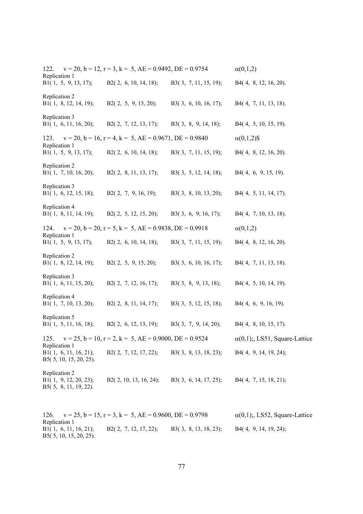122.  $v = 20$ ,  $b = 12$ ,  $r = 3$ ,  $k = 5$ ,  $AE = 0.9492$ ,  $DE = 0.9754$   $\alpha(0,1,2)$ Replication 1 B1( 1, 5, 9, 13, 17); B2( 2, 6, 10, 14, 18); B3( 3, 7, 11, 15, 19); B4( 4, 8, 12, 16, 20). Replication 2 B1( 1, 8, 12, 14, 19); B2( 2, 5, 9, 15, 20); B3( 3, 6, 10, 16, 17); B4( 4, 7, 11, 13, 18). Replication 3 B1( 1, 6, 11, 16, 20); B2( 2, 7, 12, 13, 17); B3( 3, 8, 9, 14, 18); B4( 4, 5, 10, 15, 19). 123.  $v = 20$ ,  $b = 16$ ,  $r = 4$ ,  $k = 5$ ,  $AE = 0.9671$ ,  $DE = 0.9840$   $\alpha(0,1,2)$ \$ Replication 1 B1( 1, 5, 9, 13, 17); B2( 2, 6, 10, 14, 18); B3( 3, 7, 11, 15, 19); B4( 4, 8, 12, 16, 20). Replication 2 B1( 1, 7, 10, 16, 20); B2( 2, 8, 11, 13, 17); B3( 3, 5, 12, 14, 18); B4( 4, 6, 9, 15, 19). Replication 3 B1( 1, 6, 12, 15, 18); B2( 2, 7, 9, 16, 19); B3( 3, 8, 10, 13, 20); B4( 4, 5, 11, 14, 17). Replication 4 B1( 1, 8, 11, 14, 19); B2( 2, 5, 12, 15, 20); B3( 3, 6, 9, 16, 17); B4( 4, 7, 10, 13, 18). 124.  $v = 20$ ,  $b = 20$ ,  $r = 5$ ,  $k = 5$ ,  $AE = 0.9838$ ,  $DE = 0.9918$   $\alpha(0,1,2)$ Replication 1 B1( 1, 5, 9, 13, 17); B2( 2, 6, 10, 14, 18); B3( 3, 7, 11, 15, 19); B4( 4, 8, 12, 16, 20). Replication 2 B1( 1, 8, 12, 14, 19); B2( 2, 5, 9, 15, 20); B3( 3, 6, 10, 16, 17); B4( 4, 7, 11, 13, 18). Replication 3 B1( 1, 6, 11, 15, 20); B2( 2, 7, 12, 16, 17); B3( 3, 8, 9, 13, 18); B4( 4, 5, 10, 14, 19). Replication 4 B1( 1, 7, 10, 13, 20); B2( 2, 8, 11, 14, 17); B3( 3, 5, 12, 15, 18); B4( 4, 6, 9, 16, 19). Replication 5 B1( 1, 5, 11, 16, 18); B2( 2, 6, 12, 13, 19); B3( 3, 7, 9, 14, 20); B4( 4, 8, 10, 15, 17). 125.  $v = 25$ ,  $b = 10$ ,  $r = 2$ ,  $k = 5$ ,  $AE = 0.9000$ ,  $DE = 0.9524$   $\alpha(0,1)$ ;, LS51, Square-Lattice Replication 1 B1( 1, 6, 11, 16, 21); B2( 2, 7, 12, 17, 22); B3( 3, 8, 13, 18, 23); B4( 4, 9, 14, 19, 24); B5( 5, 10, 15, 20, 25). Replication 2 B1( 1, 9, 12, 20, 23); B2( 2, 10, 13, 16, 24); B3( 3, 6, 14, 17, 25); B4( 4, 7, 15, 18, 21); B5( 5, 8, 11, 19, 22). 126.  $v = 25$ ,  $b = 15$ ,  $r = 3$ ,  $k = 5$ ,  $AE = 0.9600$ ,  $DE = 0.9798$   $\alpha(0,1)$ ; LS52, Square-Lattice Replication 1 B1( 1, 6, 11, 16, 21); B2( 2, 7, 12, 17, 22); B3( 3, 8, 13, 18, 23); B4( 4, 9, 14, 19, 24);

B5( 5, 10, 15, 20, 25).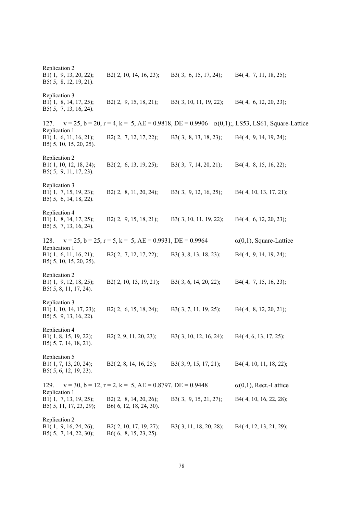Replication 2 B1( 1, 9, 13, 20, 22); B2( 2, 10, 14, 16, 23); B3( 3, 6, 15, 17, 24); B4( 4, 7, 11, 18, 25); B5( 5, 8, 12, 19, 21). Replication 3 B1( 1, 8, 14, 17, 25); B2( 2, 9, 15, 18, 21); B3( 3, 10, 11, 19, 22); B4( 4, 6, 12, 20, 23); B5( 5, 7, 13, 16, 24). 127.  $v = 25$ ,  $b = 20$ ,  $r = 4$ ,  $k = 5$ ,  $AE = 0.9818$ ,  $DE = 0.9906 \alpha(0,1)$ ;, LS53, LS61, Square-Lattice Replication 1 B1( 1, 6, 11, 16, 21); B2( 2, 7, 12, 17, 22); B3( 3, 8, 13, 18, 23); B4( 4, 9, 14, 19, 24); B5( 5, 10, 15, 20, 25). Replication 2 B1( 1, 10, 12, 18, 24); B2( 2, 6, 13, 19, 25); B3( 3, 7, 14, 20, 21); B4( 4, 8, 15, 16, 22); B5( 5, 9, 11, 17, 23). Replication 3 B1( 1, 7, 15, 19, 23); B2( 2, 8, 11, 20, 24); B3( 3, 9, 12, 16, 25); B4( 4, 10, 13, 17, 21); B5( 5, 6, 14, 18, 22). Replication 4 B1( 1, 8, 14, 17, 25); B2( 2, 9, 15, 18, 21); B3( 3, 10, 11, 19, 22); B4( 4, 6, 12, 20, 23); B5( 5, 7, 13, 16, 24). 128.  $v = 25$ ,  $b = 25$ ,  $r = 5$ ,  $k = 5$ ,  $AE = 0.9931$ ,  $DE = 0.9964$   $\alpha(0,1)$ , Square-Lattice Replication 1 B1( 1, 6, 11, 16, 21); B2( 2, 7, 12, 17, 22); B3( 3, 8, 13, 18, 23); B4( 4, 9, 14, 19, 24); B5( 5, 10, 15, 20, 25). Replication 2 B1( 1, 9, 12, 18, 25); B2( 2, 10, 13, 19, 21); B3( 3, 6, 14, 20, 22); B4( 4, 7, 15, 16, 23); B5( 5, 8, 11, 17, 24). Replication 3 B1( 1, 10, 14, 17, 23); B2( 2, 6, 15, 18, 24); B3( 3, 7, 11, 19, 25); B4( 4, 8, 12, 20, 21); B5( 5, 9, 13, 16, 22). Replication 4 B1( 1, 8, 15, 19, 22); B2( 2, 9, 11, 20, 23); B3( 3, 10, 12, 16, 24); B4( 4, 6, 13, 17, 25); B5( 5, 7, 14, 18, 21). Replication 5<br>B1(1, 7, 13, 20, 24); B2( 2, 8, 14, 16, 25); B3( 3, 9, 15, 17, 21); B4( 4, 10, 11, 18, 22); B5( 5, 6, 12, 19, 23). 129.  $v = 30$ ,  $b = 12$ ,  $r = 2$ ,  $k = 5$ ,  $AE = 0.8797$ ,  $DE = 0.9448$   $\alpha(0,1)$ , Rect.-Lattice Replication 1 B1( 1, 7, 13, 19, 25); B2( 2, 8, 14, 20, 26); B3( 3, 9, 15, 21, 27); B4( 4, 10, 16, 22, 28); B5( 5, 11, 17, 23, 29); B6( 6, 12, 18, 24, 30). Replication 2 B1( 1, 9, 16, 24, 26); B2( 2, 10, 17, 19, 27); B3( 3, 11, 18, 20, 28); B4( 4, 12, 13, 21, 29); B5( 5, 7, 14, 22, 30); B6( 6, 8, 15, 23, 25).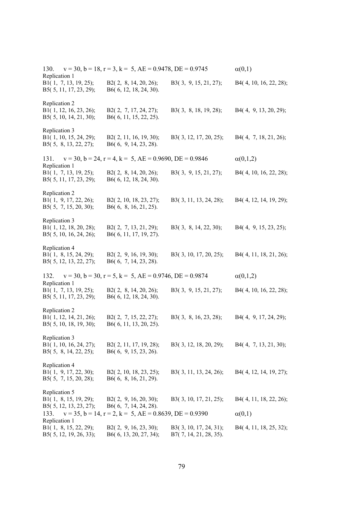130.  $v = 30$ ,  $b = 18$ ,  $r = 3$ ,  $k = 5$ ,  $AE = 0.9478$ ,  $DE = 0.9745$   $\alpha(0,1)$ Replication 1 B1( 1, 7, 13, 19, 25); B2( 2, 8, 14, 20, 26); B3( 3, 9, 15, 21, 27); B4( 4, 10, 16, 22, 28); B5( 5, 11, 17, 23, 29); B6( 6, 12, 18, 24, 30). Replication 2 B1( 1, 12, 16, 23, 26); B2( 2, 7, 17, 24, 27); B3( 3, 8, 18, 19, 28); B4( 4, 9, 13, 20, 29); B5( 5, 10, 14, 21, 30); B6( 6, 11, 15, 22, 25). Replication 3 B1( 1, 10, 15, 24, 29); B2( 2, 11, 16, 19, 30); B3( 3, 12, 17, 20, 25); B4( 4, 7, 18, 21, 26); B5( 5, 8, 13, 22, 27); B6( 6, 9, 14, 23, 28). 131.  $v = 30$ ,  $b = 24$ ,  $r = 4$ ,  $k = 5$ ,  $AE = 0.9690$ ,  $DE = 0.9846$   $\alpha(0,1,2)$ Replication 1 B1( 1, 7, 13, 19, 25); B2( 2, 8, 14, 20, 26); B3( 3, 9, 15, 21, 27); B4( 4, 10, 16, 22, 28); B5( 5, 11, 17, 23, 29); B6( 6, 12, 18, 24, 30). Replication 2 B1( 1, 9, 17, 22, 26); B2( 2, 10, 18, 23, 27); B3( 3, 11, 13, 24, 28); B4( 4, 12, 14, 19, 29); B5( 5, 7, 15, 20, 30); B6( 6, 8, 16, 21, 25). Replication 3 B1( 1, 12, 18, 20, 28); B2( 2, 7, 13, 21, 29); B3( 3, 8, 14, 22, 30); B4( 4, 9, 15, 23, 25); B5( 5, 10, 16, 24, 26); B6( 6, 11, 17, 19, 27). Replication 4 B1( 1, 8, 15, 24, 29); B2( 2, 9, 16, 19, 30); B3( 3, 10, 17, 20, 25); B4( 4, 11, 18, 21, 26); B5( 5, 12, 13, 22, 27); B6( 6, 7, 14, 23, 28). 132.  $v = 30$ ,  $b = 30$ ,  $r = 5$ ,  $k = 5$ ,  $AE = 0.9746$ ,  $DE = 0.9874$   $\alpha(0,1,2)$ Replication 1 B1( 1, 7, 13, 19, 25); B2( 2, 8, 14, 20, 26); B3( 3, 9, 15, 21, 27); B4( 4, 10, 16, 22, 28); B5( 5, 11, 17, 23, 29); B6( 6, 12, 18, 24, 30). Replication 2 B1( 1, 12, 14, 21, 26); B2( 2, 7, 15, 22, 27); B3( 3, 8, 16, 23, 28); B4( 4, 9, 17, 24, 29); B5( 5, 10, 18, 19, 30); B6( 6, 11, 13, 20, 25). Replication 3 B1( 1, 10, 16, 24, 27); B2( 2, 11, 17, 19, 28); B3( 3, 12, 18, 20, 29); B4( 4, 7, 13, 21, 30); B5( 5, 8, 14, 22, 25); B6( 6, 9, 15, 23, 26). Replication 4 B1( 1, 9, 17, 22, 30); B2( 2, 10, 18, 23, 25); B3( 3, 11, 13, 24, 26); B4( 4, 12, 14, 19, 27); B5( 5, 7, 15, 20, 28); B6( 6, 8, 16, 21, 29). Replication 5 B1( 1, 8, 15, 19, 29); B2( 2, 9, 16, 20, 30); B3( 3, 10, 17, 21, 25); B4( 4, 11, 18, 22, 26); B5( 5, 12, 13, 23, 27); B6( 6, 7, 14, 24, 28). 133.  $v = 35$ ,  $b = 14$ ,  $r = 2$ ,  $k = 5$ ,  $AE = 0.8639$ ,  $DE = 0.9390$   $\alpha(0,1)$ Replication 1 B1( 1, 8, 15, 22, 29); B2( 2, 9, 16, 23, 30); B3( 3, 10, 17, 24, 31); B4( 4, 11, 18, 25, 32); B5( 5, 12, 19, 26, 33); B6( 6, 13, 20, 27, 34); B7( 7, 14, 21, 28, 35).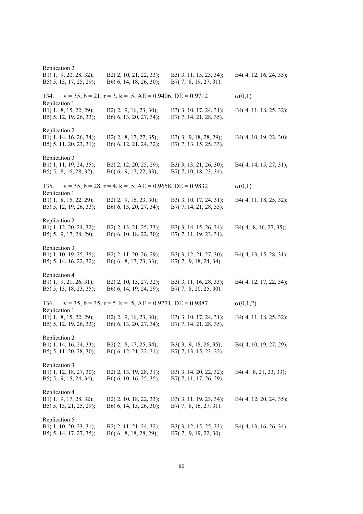Replication 2 B1( 1, 9, 20, 28, 32); B2( 2, 10, 21, 22, 33); B3( 3, 11, 15, 23, 34); B4( 4, 12, 16, 24, 35); B5( 5, 13, 17, 25, 29); B6( 6, 14, 18, 26, 30); B7( 7, 8, 19, 27, 31). 134.  $v = 35$ ,  $b = 21$ ,  $r = 3$ ,  $k = 5$ ,  $AE = 0.9406$ ,  $DE = 0.9712$   $\alpha(0,1)$ Replication 1 B1( 1, 8, 15, 22, 29); B2( 2, 9, 16, 23, 30); B3( 3, 10, 17, 24, 31); B4( 4, 11, 18, 25, 32); B5( 5, 12, 19, 26, 33); B6( 6, 13, 20, 27, 34); B7( 7, 14, 21, 28, 35). Replication 2 B1( 1, 14, 16, 26, 34); B2( 2, 8, 17, 27, 35); B3( 3, 9, 18, 28, 29); B4( 4, 10, 19, 22, 30); B5( 5, 11, 20, 23, 31); B6( 6, 12, 21, 24, 32); B7( 7, 13, 15, 25, 33). Replication 3 B1( 1, 11, 19, 24, 35); B2( 2, 12, 20, 25, 29); B3( 3, 13, 21, 26, 30); B4( 4, 14, 15, 27, 31); B5( 5, 8, 16, 28, 32); B6( 6, 9, 17, 22, 33); B7( 7, 10, 18, 23, 34). 135.  $v = 35$ ,  $b = 28$ ,  $r = 4$ ,  $k = 5$ ,  $AE = 0.9658$ ,  $DE = 0.9832$   $\alpha(0,1)$ Replication 1 B1( 1, 8, 15, 22, 29); B2( 2, 9, 16, 23, 30); B3( 3, 10, 17, 24, 31); B4( 4, 11, 18, 25, 32); B5( 5, 12, 19, 26, 33); B6( 6, 13, 20, 27, 34); B7( 7, 14, 21, 28, 35). Replication 2 B1( 1, 12, 20, 24, 32); B2( 2, 13, 21, 25, 33); B3( 3, 14, 15, 26, 34); B4( 4, 8, 16, 27, 35); B5( 5, 9, 17, 28, 29); B6( 6, 10, 18, 22, 30); B7( 7, 11, 19, 23, 31). Replication 3 B1( 1, 10, 19, 25, 35); B2( 2, 11, 20, 26, 29); B3( 3, 12, 21, 27, 30); B4( 4, 13, 15, 28, 31); B5( 5, 14, 16, 22, 32); B6( 6, 8, 17, 23, 33); B7( 7, 9, 18, 24, 34). Replication 4 B1( 1, 9, 21, 26, 31); B2( 2, 10, 15, 27, 32); B3( 3, 11, 16, 28, 33); B4( 4, 12, 17, 22, 34); B5( 5, 13, 18, 23, 35); B6( 6, 14, 19, 24, 29); B7( 7, 8, 20, 25, 30). 136.  $v = 35$ ,  $b = 35$ ,  $r = 5$ ,  $k = 5$ ,  $AE = 0.9771$ ,  $DE = 0.9887$  (0,1,2) Replication 1 B1( 1, 8, 15, 22, 29); B2( 2, 9, 16, 23, 30); B3( 3, 10, 17, 24, 31); B4( 4, 11, 18, 25, 32); B5( 5, 12, 19, 26, 33); B6( 6, 13, 20, 27, 34); B7( 7, 14, 21, 28, 35). Replication 2 B1( 1, 14, 16, 24, 33); B2( 2, 8, 17, 25, 34); B3( 3, 9, 18, 26, 35); B4( 4, 10, 19, 27, 29); B5( 5, 11, 20, 28, 30); B6( 6, 12, 21, 22, 31); B7( 7, 13, 15, 23, 32). Replication 3 B1( 1, 12, 18, 27, 30); B2( 2, 13, 19, 28, 31); B3( 3, 14, 20, 22, 32); B4( 4, 8, 21, 23, 33); B5( 5, 9, 15, 24, 34); B6( 6, 10, 16, 25, 35); B7( 7, 11, 17, 26, 29). Replication 4 B1( 1, 9, 17, 28, 32); B2( 2, 10, 18, 22, 33); B3( 3, 11, 19, 23, 34); B4( 4, 12, 20, 24, 35); B5( 5, 13, 21, 25, 29); B6( 6, 14, 15, 26, 30); B7( 7, 8, 16, 27, 31). Replication 5 B1( 1, 10, 20, 23, 31); B2( 2, 11, 21, 24, 32); B3( 3, 12, 15, 25, 33); B4( 4, 13, 16, 26, 34); B5( 5, 14, 17, 27, 35); B6( 6, 8, 18, 28, 29); B7( 7, 9, 19, 22, 30).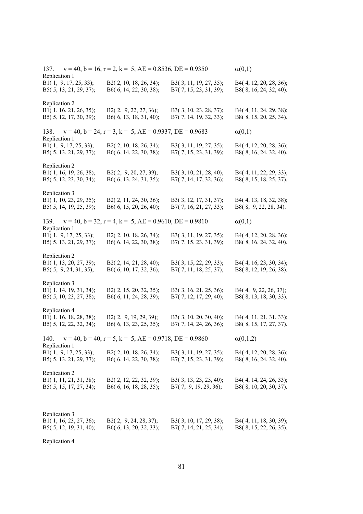137.  $v = 40$ ,  $b = 16$ ,  $r = 2$ ,  $k = 5$ ,  $AE = 0.8536$ ,  $DE = 0.9350$   $\alpha(0,1)$ Replication 1 B1( 1, 9, 17, 25, 33); B2( 2, 10, 18, 26, 34); B3( 3, 11, 19, 27, 35); B4( 4, 12, 20, 28, 36); B5( 5, 13, 21, 29, 37); B6( 6, 14, 22, 30, 38); B7( 7, 15, 23, 31, 39); B8( 8, 16, 24, 32, 40). Replication 2 B1( 1, 16, 21, 26, 35); B2( 2, 9, 22, 27, 36); B3( 3, 10, 23, 28, 37); B4( 4, 11, 24, 29, 38); B5( 5, 12, 17, 30, 39); B6( 6, 13, 18, 31, 40); B7( 7, 14, 19, 32, 33); B8( 8, 15, 20, 25, 34). 138.  $v = 40$ ,  $b = 24$ ,  $r = 3$ ,  $k = 5$ ,  $AE = 0.9337$ ,  $DE = 0.9683$  (0,1) Replication 1 B1( 1, 9, 17, 25, 33); B2( 2, 10, 18, 26, 34); B3( 3, 11, 19, 27, 35); B4( 4, 12, 20, 28, 36); B5( 5, 13, 21, 29, 37); B6( 6, 14, 22, 30, 38); B7( 7, 15, 23, 31, 39); B8( 8, 16, 24, 32, 40). Replication 2 B1( 1, 16, 19, 26, 38); B2( 2, 9, 20, 27, 39); B3( 3, 10, 21, 28, 40); B4( 4, 11, 22, 29, 33); B5( 5, 12, 23, 30, 34); B6( 6, 13, 24, 31, 35); B7( 7, 14, 17, 32, 36); B8( 8, 15, 18, 25, 37). Replication 3 B1( 1, 10, 23, 29, 35); B2( 2, 11, 24, 30, 36); B3( 3, 12, 17, 31, 37); B4( 4, 13, 18, 32, 38); B5( 5, 14, 19, 25, 39); B6( 6, 15, 20, 26, 40); B7( 7, 16, 21, 27, 33); B8( 8, 9, 22, 28, 34). 139.  $v = 40$ ,  $b = 32$ ,  $r = 4$ ,  $k = 5$ ,  $AE = 0.9610$ ,  $DE = 0.9810$   $\alpha(0,1)$ Replication 1 B1( 1, 9, 17, 25, 33); B2( 2, 10, 18, 26, 34); B3( 3, 11, 19, 27, 35); B4( 4, 12, 20, 28, 36); B5( 5, 13, 21, 29, 37); B6( 6, 14, 22, 30, 38); B7( 7, 15, 23, 31, 39); B8( 8, 16, 24, 32, 40). Replication 2 B1( 1, 13, 20, 27, 39); B2( 2, 14, 21, 28, 40); B3( 3, 15, 22, 29, 33); B4( 4, 16, 23, 30, 34); B5( 5, 9, 24, 31, 35); B6( 6, 10, 17, 32, 36); B7( 7, 11, 18, 25, 37); B8( 8, 12, 19, 26, 38). Replication 3 B1( 1, 14, 19, 31, 34); B2( 2, 15, 20, 32, 35); B3( 3, 16, 21, 25, 36); B4( 4, 9, 22, 26, 37); B5( 5, 10, 23, 27, 38); B6( 6, 11, 24, 28, 39); B7( 7, 12, 17, 29, 40); B8( 8, 13, 18, 30, 33). Replication 4 B1( 1, 16, 18, 28, 38); B2( 2, 9, 19, 29, 39); B3( 3, 10, 20, 30, 40); B4( 4, 11, 21, 31, 33); B5( 5, 12, 22, 32, 34); B6( 6, 13, 23, 25, 35); B7( 7, 14, 24, 26, 36); B8( 8, 15, 17, 27, 37). 140.  $v = 40$ ,  $b = 40$ ,  $r = 5$ ,  $k = 5$ ,  $AE = 0.9718$ ,  $DE = 0.9860$   $\alpha(0,1,2)$ Replication 1 B1( 1, 9, 17, 25, 33); B2( 2, 10, 18, 26, 34); B3( 3, 11, 19, 27, 35); B4( 4, 12, 20, 28, 36); B5( 5, 13, 21, 29, 37); B6( 6, 14, 22, 30, 38); B7( 7, 15, 23, 31, 39); B8( 8, 16, 24, 32, 40). Replication 2 B1( 1, 11, 21, 31, 38); B2( 2, 12, 22, 32, 39); B3( 3, 13, 23, 25, 40); B4( 4, 14, 24, 26, 33); B5( 5, 15, 17, 27, 34); B6( 6, 16, 18, 28, 35); B7( 7, 9, 19, 29, 36); B8( 8, 10, 20, 30, 37). Replication 3 B1( 1, 16, 23, 27, 36); B2( 2, 9, 24, 28, 37); B3( 3, 10, 17, 29, 38); B4( 4, 11, 18, 30, 39); B5( 5, 12, 19, 31, 40); B6( 6, 13, 20, 32, 33); B7( 7, 14, 21, 25, 34); B8( 8, 15, 22, 26, 35).

Replication 4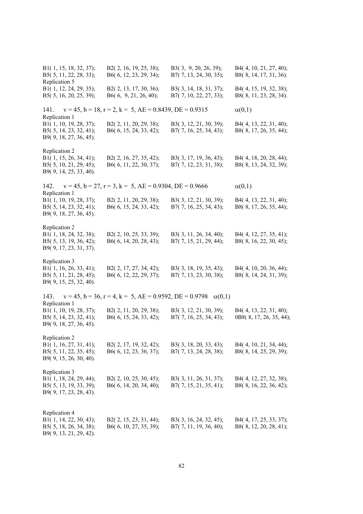B1( 1, 15, 18, 32, 37); B2( 2, 16, 19, 25, 38); B3( 3, 9, 20, 26, 39); B4( 4, 10, 21, 27, 40); B5( 5, 11, 22, 28, 33); B6( 6, 12, 23, 29, 34); B7( 7, 13, 24, 30, 35); B8( 8, 14, 17, 31, 36). Replication 5 B1( 1, 12, 24, 29, 35); B2( 2, 13, 17, 30, 36); B3( 3, 14, 18, 31, 37); B4( 4, 15, 19, 32, 38); B5( 5, 16, 20, 25, 39); B6( 6, 9, 21, 26, 40); B7( 7, 10, 22, 27, 33); B8( 8, 11, 23, 28, 34). 141.  $v = 45$ ,  $b = 18$ ,  $r = 2$ ,  $k = 5$ ,  $AE = 0.8439$ ,  $DE = 0.9315$   $\alpha(0,1)$ Replication 1 B1( 1, 10, 19, 28, 37); B2( 2, 11, 20, 29, 38); B3( 3, 12, 21, 30, 39); B4( 4, 13, 22, 31, 40); B5( 5, 14, 23, 32, 41); B6( 6, 15, 24, 33, 42); B7( 7, 16, 25, 34, 43); B8( 8, 17, 26, 35, 44); B9( 9, 18, 27, 36, 45). Replication 2 B1( 1, 15, 26, 34, 41); B2( 2, 16, 27, 35, 42); B3( 3, 17, 19, 36, 43); B4( 4, 18, 20, 28, 44); B5( 5, 10, 21, 29, 45); B6( 6, 11, 22, 30, 37); B7( 7, 12, 23, 31, 38); B8( 8, 13, 24, 32, 39); B9( 9, 14, 25, 33, 40). 142.  $v = 45$ ,  $b = 27$ ,  $r = 3$ ,  $k = 5$ ,  $AE = 0.9304$ ,  $DE = 0.9666$   $\alpha(0,1)$ Replication 1 B1( 1, 10, 19, 28, 37); B2( 2, 11, 20, 29, 38); B3( 3, 12, 21, 30, 39); B4( 4, 13, 22, 31, 40); B5( 5, 14, 23, 32, 41); B6( 6, 15, 24, 33, 42); B7( 7, 16, 25, 34, 43); B8( 8, 17, 26, 35, 44); B9( 9, 18, 27, 36, 45). Replication 2 B1( 1, 18, 24, 32, 38); B2( 2, 10, 25, 33, 39); B3( 3, 11, 26, 34, 40); B4( 4, 12, 27, 35, 41); B5( 5, 13, 19, 36, 42); B6( 6, 14, 20, 28, 43); B7( 7, 15, 21, 29, 44); B8( 8, 16, 22, 30, 45); B9( 9, 17, 23, 31, 37). Replication 3 B1( 1, 16, 26, 33, 41); B2( 2, 17, 27, 34, 42); B3( 3, 18, 19, 35, 43); B4( 4, 10, 20, 36, 44); B5( 5, 11, 21, 28, 45); B6( 6, 12, 22, 29, 37); B7( 7, 13, 23, 30, 38); B8( 8, 14, 24, 31, 39); B9( 9, 15, 25, 32, 40). 143.  $v = 45$ ,  $b = 36$ ,  $r = 4$ ,  $k = 5$ ,  $AE = 0.9592$ ,  $DE = 0.9798 \alpha(0,1)$ Replication 1<br>B1(1, 10, 19, 28, 37); B2( 2, 11, 20, 29, 38); B3( 3, 12, 21, 30, 39); B4( 4, 13, 22, 31, 40); B5( 5, 14, 23, 32, 41); B6( 6, 15, 24, 33, 42); B7( 7, 16, 25, 34, 43); 0B8( 8, 17, 26, 35, 44); B9( 9, 18, 27, 36, 45). Replication 2 B1( 1, 16, 27, 31, 41); B2( 2, 17, 19, 32, 42); B3( 3, 18, 20, 33, 43); B4( 4, 10, 21, 34, 44); B5( 5, 11, 22, 35, 45); B6( 6, 12, 23, 36, 37); B7( 7, 13, 24, 28, 38); B8( 8, 14, 25, 29, 39); B9( 9, 15, 26, 30, 40). Replication 3 B1( 1, 18, 24, 29, 44); B2( 2, 10, 25, 30, 45); B3( 3, 11, 26, 31, 37); B4( 4, 12, 27, 32, 38); B5( 5, 13, 19, 33, 39); B6( 6, 14, 20, 34, 40); B7( 7, 15, 21, 35, 41); B8( 8, 16, 22, 36, 42); B9( 9, 17, 23, 28, 43). Replication 4 B1( 1, 14, 22, 30, 43); B2( 2, 15, 23, 31, 44); B3( 3, 16, 24, 32, 45); B4( 4, 17, 25, 33, 37); B5( 5, 18, 26, 34, 38); B6( 6, 10, 27, 35, 39); B7( 7, 11, 19, 36, 40); B8( 8, 12, 20, 28, 41); B9( 9, 13, 21, 29, 42).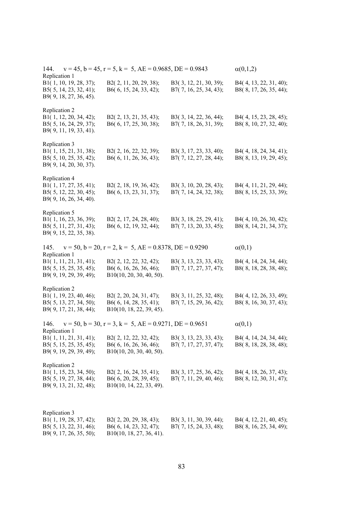| 144.<br>Replication 1                                                                       | $v = 45$ , $b = 45$ , $r = 5$ , $k = 5$ , $AE = 0.9685$ , $DE = 0.9843$         |                                                  | $\alpha(0,1,2)$                                  |
|---------------------------------------------------------------------------------------------|---------------------------------------------------------------------------------|--------------------------------------------------|--------------------------------------------------|
| B1(1, 10, 19, 28, 37);<br>B5(5, 14, 23, 32, 41);<br>B9(9, 18, 27, 36, 45).                  | B2(2, 11, 20, 29, 38);<br>B6(6, 15, 24, 33, 42);                                | B3(3, 12, 21, 30, 39);<br>B7(7, 16, 25, 34, 43); | B4(4, 13, 22, 31, 40);<br>B8(8, 17, 26, 35, 44); |
| Replication 2<br>B1(1, 12, 20, 34, 42);<br>B5(5, 16, 24, 29, 37);<br>B9(9, 11, 19, 33, 41). | B2(2, 13, 21, 35, 43);<br>B6(6, 17, 25, 30, 38);                                | B3(3, 14, 22, 36, 44);<br>B7(7, 18, 26, 31, 39); | B4(4, 15, 23, 28, 45);<br>B8(8, 10, 27, 32, 40); |
| Replication 3<br>B1(1, 15, 21, 31, 38);<br>B5(5, 10, 25, 35, 42);<br>B9(9, 14, 20, 30, 37). | B2(2, 16, 22, 32, 39);<br>B6(6, 11, 26, 36, 43);                                | B3(3, 17, 23, 33, 40);<br>B7(7, 12, 27, 28, 44); | B4(4, 18, 24, 34, 41);<br>B8(8, 13, 19, 29, 45); |
| Replication 4<br>B1(1, 17, 27, 35, 41);<br>B5(5, 12, 22, 30, 45);<br>B9(9, 16, 26, 34, 40). | B2(2, 18, 19, 36, 42);<br>B6(6, 13, 23, 31, 37);                                | B3(3, 10, 20, 28, 43);<br>B7(7, 14, 24, 32, 38); | B4(4, 11, 21, 29, 44);<br>B8(8, 15, 25, 33, 39); |
| Replication 5<br>B1(1, 16, 23, 36, 39);<br>B5(5, 11, 27, 31, 43);<br>B9(9, 15, 22, 35, 38). | B2(2, 17, 24, 28, 40);<br>B6(6, 12, 19, 32, 44);                                | B3(3, 18, 25, 29, 41);<br>B7(7, 13, 20, 33, 45); | B4(4, 10, 26, 30, 42);<br>B8(8, 14, 21, 34, 37); |
| 145.                                                                                        | $v = 50$ , $b = 20$ , $r = 2$ , $k = 5$ , $AE = 0.8378$ , $DE = 0.9290$         |                                                  | $\alpha(0,1)$                                    |
| Replication 1<br>B1(1, 11, 21, 31, 41);<br>B5(5, 15, 25, 35, 45);<br>B9(9, 19, 29, 39, 49); | B2(2, 12, 22, 32, 42);<br>B6(6, 16, 26, 36, 46);<br>B10(10, 20, 30, 40, 50).    | B3(3, 13, 23, 33, 43);<br>B7(7, 17, 27, 37, 47); | B4(4, 14, 24, 34, 44);<br>B8(8, 18, 28, 38, 48); |
| Replication 2<br>B1(1, 19, 23, 40, 46);<br>B5(5, 13, 27, 34, 50);<br>B9(9, 17, 21, 38, 44); | B2(2, 20, 24, 31, 47);<br>B6(6, 14, 28, 35, 41);<br>B10(10, 18, 22, 39, 45).    | B3(3, 11, 25, 32, 48);<br>B7(7, 15, 29, 36, 42); | B4(4, 12, 26, 33, 49);<br>B8(8, 16, 30, 37, 43); |
| 146.<br>Replication 1                                                                       | $v = 50$ , $b = 30$ , $r = 3$ , $k = 5$ , $AE = 0.9271$ , $DE = 0.9651$         |                                                  | $\alpha(0,1)$                                    |
| B1(1, 11, 21, 31, 41);<br>B5(5, 15, 25, 35, 45);<br>B9(9, 19, 29, 39, 49);                  | B2(2, 12, 22, 32, 42);<br>B6(6, 16, 26, 36, 46);<br>$B10(10, 20, 30, 40, 50)$ . | B3(3, 13, 23, 33, 43);<br>B7(7, 17, 27, 37, 47); | B4(4, 14, 24, 34, 44);<br>B8(8, 18, 28, 38, 48); |
| Replication 2<br>B1(1, 15, 23, 34, 50);<br>B5(5, 19, 27, 38, 44);<br>B9(9, 13, 21, 32, 48); | B2(2, 16, 24, 35, 41);<br>B6(6, 20, 28, 39, 45);<br>B10(10, 14, 22, 33, 49).    | B3(3, 17, 25, 36, 42);<br>B7(7, 11, 29, 40, 46); | B4(4, 18, 26, 37, 43);<br>B8(8, 12, 30, 31, 47); |
| Replication 3<br>B1(1, 19, 28, 37, 42);<br>B5(5, 13, 22, 31, 46);<br>B9(9, 17, 26, 35, 50); | B2(2, 20, 29, 38, 43);<br>B6(6, 14, 23, 32, 47);<br>B10(10, 18, 27, 36, 41).    | B3(3, 11, 30, 39, 44);<br>B7(7, 15, 24, 33, 48); | B4(4, 12, 21, 40, 45);<br>B8(8, 16, 25, 34, 49); |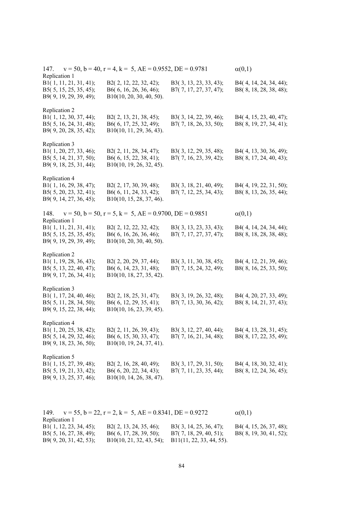| 147.<br>Replication 1                                                                       | $v = 50$ , $b = 40$ , $r = 4$ , $k = 5$ , $AE = 0.9552$ , $DE = 0.9781$      |                                                  | $\alpha(0,1)$                                    |
|---------------------------------------------------------------------------------------------|------------------------------------------------------------------------------|--------------------------------------------------|--------------------------------------------------|
| B1(1, 11, 21, 31, 41);<br>B5(5, 15, 25, 35, 45);<br>B9(9, 19, 29, 39, 49);                  | B2(2, 12, 22, 32, 42);<br>B6(6, 16, 26, 36, 46);<br>B10(10, 20, 30, 40, 50). | B3(3, 13, 23, 33, 43);<br>B7(7, 17, 27, 37, 47); | B4(4, 14, 24, 34, 44);<br>B8(8, 18, 28, 38, 48); |
| Replication 2<br>B1(1, 12, 30, 37, 44);<br>B5(5, 16, 24, 31, 48);<br>B9(9, 20, 28, 35, 42); | B2(2, 13, 21, 38, 45);<br>B6(6, 17, 25, 32, 49);<br>B10(10, 11, 29, 36, 43). | B3(3, 14, 22, 39, 46);<br>B7(7, 18, 26, 33, 50); | B4(4, 15, 23, 40, 47);<br>B8(8, 19, 27, 34, 41); |
| Replication 3<br>B1(1, 20, 27, 33, 46);<br>B5(5, 14, 21, 37, 50);<br>B9(9, 18, 25, 31, 44); | B2(2, 11, 28, 34, 47);<br>B6(6, 15, 22, 38, 41);<br>B10(10, 19, 26, 32, 45). | B3(3, 12, 29, 35, 48);<br>B7(7, 16, 23, 39, 42); | B4(4, 13, 30, 36, 49);<br>B8(8, 17, 24, 40, 43); |
| Replication 4<br>B1(1, 16, 29, 38, 47);<br>B5(5, 20, 23, 32, 41);<br>B9(9, 14, 27, 36, 45); | B2(2, 17, 30, 39, 48);<br>B6(6, 11, 24, 33, 42);<br>B10(10, 15, 28, 37, 46). | B3(3, 18, 21, 40, 49);<br>B7(7, 12, 25, 34, 43); | B4(4, 19, 22, 31, 50);<br>B8(8, 13, 26, 35, 44); |
| 148.                                                                                        | $v = 50$ , $b = 50$ , $r = 5$ , $k = 5$ , $AE = 0.9700$ , $DE = 0.9851$      |                                                  | $\alpha(0,1)$                                    |
| Replication 1<br>B1(1, 11, 21, 31, 41);<br>B5(5, 15, 25, 35, 45);<br>B9(9, 19, 29, 39, 49); | B2(2, 12, 22, 32, 42);<br>B6(6, 16, 26, 36, 46);<br>B10(10, 20, 30, 40, 50). | B3(3, 13, 23, 33, 43);<br>B7(7, 17, 27, 37, 47); | B4(4, 14, 24, 34, 44);<br>B8(8, 18, 28, 38, 48); |
| Replication 2<br>B1(1, 19, 28, 36, 43);<br>B5(5, 13, 22, 40, 47);<br>B9(9, 17, 26, 34, 41); | B2(2, 20, 29, 37, 44);<br>B6(6, 14, 23, 31, 48);<br>B10(10, 18, 27, 35, 42). | B3(3, 11, 30, 38, 45);<br>B7(7, 15, 24, 32, 49); | B4(4, 12, 21, 39, 46);<br>B8(8, 16, 25, 33, 50); |
| Replication 3<br>B1(1, 17, 24, 40, 46);<br>B5(5, 11, 28, 34, 50);<br>B9(9, 15, 22, 38, 44); | B2(2, 18, 25, 31, 47);<br>B6(6, 12, 29, 35, 41);<br>B10(10, 16, 23, 39, 45). | B3(3, 19, 26, 32, 48);<br>B7(7, 13, 30, 36, 42); | B4(4, 20, 27, 33, 49);<br>B8(8, 14, 21, 37, 43); |
| Replication 4<br>B1(1, 20, 25, 38, 42);<br>B5(5, 14, 29, 32, 46);<br>B9(9, 18, 23, 36, 50); | B2(2, 11, 26, 39, 43);<br>B6(6, 15, 30, 33, 47);<br>B10(10, 19, 24, 37, 41). | B3(3, 12, 27, 40, 44);<br>B7(7, 16, 21, 34, 48); | B4(4, 13, 28, 31, 45);<br>B8(8, 17, 22, 35, 49); |
| Replication 5<br>B1(1, 15, 27, 39, 48);<br>B5(5, 19, 21, 33, 42);<br>B9(9, 13, 25, 37, 46); | B2(2, 16, 28, 40, 49);<br>B6(6, 20, 22, 34, 43);<br>B10(10, 14, 26, 38, 47). | B3(3, 17, 29, 31, 50);<br>B7(7, 11, 23, 35, 44); | B4(4, 18, 30, 32, 41);<br>B8(8, 12, 24, 36, 45); |

|                           | 149. $v = 55$ , $b = 22$ , $r = 2$ , $k = 5$ , $AE = 0.8341$ , $DE = 0.9272$ |                           |                            |
|---------------------------|------------------------------------------------------------------------------|---------------------------|----------------------------|
| Replication 1             |                                                                              |                           |                            |
| B1(1, 12, 23, 34, 45);    | B2(2, 13, 24, 35, 46);                                                       | $B3(3, 14, 25, 36, 47)$ ; | $B4(4, 15, 26, 37, 48)$ ;  |
| $B5(5, 16, 27, 38, 49)$ ; | $B6(6, 17, 28, 39, 50)$ ;                                                    | $B7(7, 18, 29, 40, 51)$ ; | B8 $(8, 19, 30, 41, 52)$ ; |
| B9(9, 20, 31, 42, 53);    | $B10(10, 21, 32, 43, 54)$ ; $B11(11, 22, 33, 44, 55)$ .                      |                           |                            |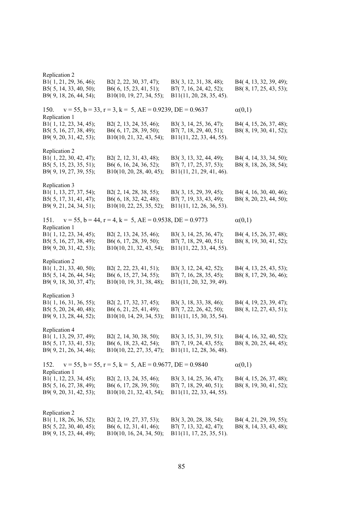| Replication 2                                                                               |                                                                              |                                                                                 |                                                  |
|---------------------------------------------------------------------------------------------|------------------------------------------------------------------------------|---------------------------------------------------------------------------------|--------------------------------------------------|
| B1(1, 21, 29, 36, 46);<br>B5(5, 14, 33, 40, 50);<br>B9(9, 18, 26, 44, 54);                  | B2(2, 22, 30, 37, 47);<br>B6(6, 15, 23, 41, 51);<br>B10(10, 19, 27, 34, 55); | B3(3, 12, 31, 38, 48);<br>B7(7, 16, 24, 42, 52);<br>B11(11, 20, 28, 35, 45).    | B4(4, 13, 32, 39, 49);<br>B8(8, 17, 25, 43, 53); |
| 150.<br>Replication 1                                                                       | $v = 55$ , $b = 33$ , $r = 3$ , $k = 5$ , $AE = 0.9239$ , $DE = 0.9637$      |                                                                                 | $\alpha(0,1)$                                    |
| B1(1, 12, 23, 34, 45);<br>B5(5, 16, 27, 38, 49);<br>B9(9, 20, 31, 42, 53);                  | B2(2, 13, 24, 35, 46);<br>B6(6, 17, 28, 39, 50);<br>B10(10, 21, 32, 43, 54); | B3(3, 14, 25, 36, 47);<br>B7(7, 18, 29, 40, 51);<br>B11(11, 22, 33, 44, 55).    | B4(4, 15, 26, 37, 48);<br>B8(8, 19, 30, 41, 52); |
| Replication 2<br>B1(1, 22, 30, 42, 47);<br>B5(5, 15, 23, 35, 51);<br>B9(9, 19, 27, 39, 55); | B2(2, 12, 31, 43, 48);<br>B6(6, 16, 24, 36, 52);<br>B10(10, 20, 28, 40, 45); | B3(3, 13, 32, 44, 49);<br>B7(7, 17, 25, 37, 53);<br>B11(11, 21, 29, 41, 46).    | B4(4, 14, 33, 34, 50);<br>B8(8, 18, 26, 38, 54); |
| Replication 3<br>B1(1, 13, 27, 37, 54);<br>B5(5, 17, 31, 41, 47);<br>B9(9, 21, 24, 34, 51); | B2(2, 14, 28, 38, 55);<br>B6(6, 18, 32, 42, 48);<br>B10(10, 22, 25, 35, 52); | B3(3, 15, 29, 39, 45);<br>B7(7, 19, 33, 43, 49);<br>B11(11, 12, 26, 36, 53).    | B4(4, 16, 30, 40, 46);<br>B8(8, 20, 23, 44, 50); |
| 151.<br>Replication 1                                                                       | $v = 55$ , $b = 44$ , $r = 4$ , $k = 5$ , $AE = 0.9538$ , $DE = 0.9773$      |                                                                                 | $\alpha(0,1)$                                    |
| B1(1, 12, 23, 34, 45);<br>B5(5, 16, 27, 38, 49);<br>B9(9, 20, 31, 42, 53);                  | B2(2, 13, 24, 35, 46);<br>B6(6, 17, 28, 39, 50);<br>B10(10, 21, 32, 43, 54); | B3(3, 14, 25, 36, 47);<br>B7(7, 18, 29, 40, 51);<br>B11(11, 22, 33, 44, 55).    | B4(4, 15, 26, 37, 48);<br>B8(8, 19, 30, 41, 52); |
| Replication 2<br>B1(1, 21, 33, 40, 50);<br>B5(5, 14, 26, 44, 54);<br>B9(9, 18, 30, 37, 47); | B2(2, 22, 23, 41, 51);<br>B6(6, 15, 27, 34, 55);<br>B10(10, 19, 31, 38, 48); | B3(3, 12, 24, 42, 52);<br>B7(7, 16, 28, 35, 45);<br>B11(11, 20, 32, 39, 49).    | B4(4, 13, 25, 43, 53);<br>B8(8, 17, 29, 36, 46); |
| Replication 3<br>B1(1, 16, 31, 36, 55);<br>B5(5, 20, 24, 40, 48);<br>B9(9, 13, 28, 44, 52); | B2(2, 17, 32, 37, 45);<br>B6(6, 21, 25, 41, 49);<br>B10(10, 14, 29, 34, 53); | B3(3, 18, 33, 38, 46);<br>B7(7, 22, 26, 42, 50);<br>B11(11, 15, 30, 35, 54).    | B4(4, 19, 23, 39, 47);<br>B8(8, 12, 27, 43, 51); |
| Replication 4<br>B1(1, 13, 29, 37, 49);<br>B5(5, 17, 33, 41, 53);<br>B9(9, 21, 26, 34, 46); | B2(2, 14, 30, 38, 50);<br>B6(6, 18, 23, 42, 54);<br>B10(10, 22, 27, 35, 47); | B3(3, 15, 31, 39, 51);<br>B7(7, 19, 24, 43, 55);<br>$B11(11, 12, 28, 36, 48)$ . | B4(4, 16, 32, 40, 52);<br>B8(8, 20, 25, 44, 45); |
| 152.                                                                                        | $v = 55$ , $b = 55$ , $r = 5$ , $k = 5$ , $AE = 0.9677$ , $DE = 0.9840$      |                                                                                 | $\alpha(0,1)$                                    |
| Replication 1<br>B1(1, 12, 23, 34, 45);<br>B5(5, 16, 27, 38, 49);<br>B9(9, 20, 31, 42, 53); | B2(2, 13, 24, 35, 46);<br>B6(6, 17, 28, 39, 50);<br>B10(10, 21, 32, 43, 54); | B3(3, 14, 25, 36, 47);<br>B7(7, 18, 29, 40, 51);<br>B11(11, 22, 33, 44, 55).    | B4(4, 15, 26, 37, 48);<br>B8(8, 19, 30, 41, 52); |
| Replication 2<br>B1(1, 18, 26, 36, 52);<br>B5(5, 22, 30, 40, 45);<br>B9(9, 15, 23, 44, 49); | B2(2, 19, 27, 37, 53);<br>B6(6, 12, 31, 41, 46);<br>B10(10, 16, 24, 34, 50); | B3(3, 20, 28, 38, 54);<br>B7(7, 13, 32, 42, 47);<br>B11(11, 17, 25, 35, 51).    | B4(4, 21, 29, 39, 55);<br>B8(8, 14, 33, 43, 48); |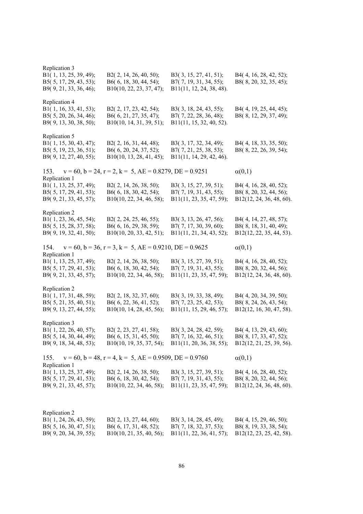| Replication 3<br>B1(1, 13, 25, 39, 49);<br>B5(5, 17, 29, 43, 53);<br>B9(9, 21, 33, 36, 46); | B2(2, 14, 26, 40, 50);<br>B6(6, 18, 30, 44, 54);<br>B10(10, 22, 23, 37, 47); | B3(3, 15, 27, 41, 51);<br>B7(7, 19, 31, 34, 55);<br>B11(11, 12, 24, 38, 48). | B4(4, 16, 28, 42, 52);<br>B8(8, 20, 32, 35, 45);                             |
|---------------------------------------------------------------------------------------------|------------------------------------------------------------------------------|------------------------------------------------------------------------------|------------------------------------------------------------------------------|
| Replication 4<br>B1(1, 16, 33, 41, 53);<br>B5(5, 20, 26, 34, 46);<br>B9(9, 13, 30, 38, 50); | B2(2, 17, 23, 42, 54);<br>B6(6, 21, 27, 35, 47);<br>B10(10, 14, 31, 39, 51); | B3(3, 18, 24, 43, 55);<br>B7(7, 22, 28, 36, 48);<br>B11(11, 15, 32, 40, 52). | B4(4, 19, 25, 44, 45);<br>B8(8, 12, 29, 37, 49);                             |
| Replication 5<br>B1(1, 15, 30, 43, 47);<br>B5(5, 19, 23, 36, 51);<br>B9(9, 12, 27, 40, 55); | B2(2, 16, 31, 44, 48);<br>B6(6, 20, 24, 37, 52);<br>B10(10, 13, 28, 41, 45); | B3(3, 17, 32, 34, 49);<br>B7(7, 21, 25, 38, 53);<br>B11(11, 14, 29, 42, 46). | B4(4, 18, 33, 35, 50);<br>B8(8, 22, 26, 39, 54);                             |
| 153.                                                                                        | $v = 60$ , $b = 24$ , $r = 2$ , $k = 5$ , $AE = 0.8279$ , $DE = 0.9251$      |                                                                              | $\alpha(0,1)$                                                                |
| Replication 1<br>B1(1, 13, 25, 37, 49);<br>B5(5, 17, 29, 41, 53);<br>B9(9, 21, 33, 45, 57); | B2(2, 14, 26, 38, 50);<br>B6(6, 18, 30, 42, 54);<br>B10(10, 22, 34, 46, 58); | B3(3, 15, 27, 39, 51);<br>B7(7, 19, 31, 43, 55);<br>B11(11, 23, 35, 47, 59); | B4(4, 16, 28, 40, 52);<br>B8(8, 20, 32, 44, 56);<br>B12(12, 24, 36, 48, 60). |
| Replication 2<br>B1(1, 23, 36, 45, 54);<br>B5(5, 15, 28, 37, 58);<br>B9(9, 19, 32, 41, 50); | B2(2, 24, 25, 46, 55);<br>B6(6, 16, 29, 38, 59);<br>B10(10, 20, 33, 42, 51); | B3(3, 13, 26, 47, 56);<br>B7(7, 17, 30, 39, 60);<br>B11(11, 21, 34, 43, 52); | B4(4, 14, 27, 48, 57);<br>B8(8, 18, 31, 40, 49);<br>B12(12, 22, 35, 44, 53). |
| 154.                                                                                        | $v = 60$ , $b = 36$ , $r = 3$ , $k = 5$ , $AE = 0.9210$ , $DE = 0.9625$      |                                                                              | $\alpha(0,1)$                                                                |
| Replication 1<br>B1(1, 13, 25, 37, 49);<br>B5(5, 17, 29, 41, 53);<br>B9(9, 21, 33, 45, 57); | B2(2, 14, 26, 38, 50);<br>B6(6, 18, 30, 42, 54);<br>B10(10, 22, 34, 46, 58); | B3(3, 15, 27, 39, 51);<br>B7(7, 19, 31, 43, 55);<br>B11(11, 23, 35, 47, 59); | B4(4, 16, 28, 40, 52);<br>B8(8, 20, 32, 44, 56);<br>B12(12, 24, 36, 48, 60). |
| Replication 2<br>B1(1, 17, 31, 48, 59);<br>B5(5, 21, 35, 40, 51);<br>B9(9, 13, 27, 44, 55); | B2(2, 18, 32, 37, 60);<br>B6(6, 22, 36, 41, 52);<br>B10(10, 14, 28, 45, 56); | B3(3, 19, 33, 38, 49);<br>B7(7, 23, 25, 42, 53);<br>B11(11, 15, 29, 46, 57); | B4(4, 20, 34, 39, 50);<br>B8(8, 24, 26, 43, 54);<br>B12(12, 16, 30, 47, 58). |
| Replication 3<br>B1(1, 22, 26, 40, 57);<br>B5(5, 14, 30, 44, 49);<br>B9(9, 18, 34, 48, 53); | B2(2, 23, 27, 41, 58);<br>B6(6, 15, 31, 45, 50);<br>B10(10, 19, 35, 37, 54); | B3(3, 24, 28, 42, 59);<br>B7(7, 16, 32, 46, 51);<br>B11(11, 20, 36, 38, 55); | B4(4, 13, 29, 43, 60);<br>B8(8, 17, 33, 47, 52);<br>B12(12, 21, 25, 39, 56). |
| 155.                                                                                        | $v = 60$ , $b = 48$ , $r = 4$ , $k = 5$ , $AE = 0.9509$ , $DE = 0.9760$      |                                                                              | $\alpha(0,1)$                                                                |
| Replication 1<br>B1(1, 13, 25, 37, 49);<br>B5(5, 17, 29, 41, 53);<br>B9(9, 21, 33, 45, 57); | B2(2, 14, 26, 38, 50);<br>B6(6, 18, 30, 42, 54);<br>B10(10, 22, 34, 46, 58); | B3(3, 15, 27, 39, 51);<br>B7(7, 19, 31, 43, 55);<br>B11(11, 23, 35, 47, 59); | B4(4, 16, 28, 40, 52);<br>B8(8, 20, 32, 44, 56);<br>B12(12, 24, 36, 48, 60). |
|                                                                                             |                                                                              |                                                                              |                                                                              |
| Replication 2<br>B1(1, 24, 26, 43, 59);<br>B5(5, 16, 30, 47, 51);<br>B9(9, 20, 34, 39, 55); | B2(2, 13, 27, 44, 60);<br>B6(6, 17, 31, 48, 52);<br>B10(10, 21, 35, 40, 56); | B3(3, 14, 28, 45, 49);<br>B7(7, 18, 32, 37, 53);<br>B11(11, 22, 36, 41, 57); | B4(4, 15, 29, 46, 50);<br>B8(8, 19, 33, 38, 54);<br>B12(12, 23, 25, 42, 58). |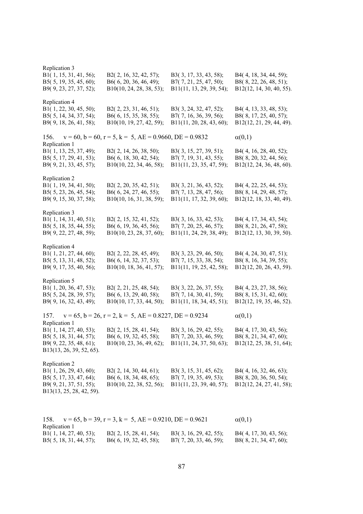| Replication 3                                      |                                                                         |                                                    |                                                    |
|----------------------------------------------------|-------------------------------------------------------------------------|----------------------------------------------------|----------------------------------------------------|
| B1(1, 15, 31, 41, 56);<br>B5(5, 19, 35, 45, 60);   | B2(2, 16, 32, 42, 57);<br>B6(6, 20, 36, 46, 49);                        | B3(3, 17, 33, 43, 58);<br>B7(7, 21, 25, 47, 50);   | B4(4, 18, 34, 44, 59);<br>B8(8, 22, 26, 48, 51);   |
| B9(9, 23, 27, 37, 52);                             | B10(10, 24, 28, 38, 53);                                                | B11(11, 13, 29, 39, 54);                           | B12(12, 14, 30, 40, 55).                           |
| Replication 4                                      |                                                                         |                                                    |                                                    |
| B1(1, 22, 30, 45, 50);                             | B2(2, 23, 31, 46, 51);                                                  | B3(3, 24, 32, 47, 52);                             | B4(4, 13, 33, 48, 53);                             |
| B5(5, 14, 34, 37, 54);<br>B9(9, 18, 26, 41, 58);   | B6(6, 15, 35, 38, 55);<br>B10(10, 19, 27, 42, 59);                      | B7(7, 16, 36, 39, 56);<br>B11(11, 20, 28, 43, 60); | B8(8, 17, 25, 40, 57);<br>B12(12, 21, 29, 44, 49). |
| 156.                                               | $v = 60$ , $b = 60$ , $r = 5$ , $k = 5$ , $AE = 0.9660$ , $DE = 0.9832$ |                                                    | $\alpha(0,1)$                                      |
| Replication 1                                      |                                                                         |                                                    |                                                    |
| B1(1, 13, 25, 37, 49);<br>B5(5, 17, 29, 41, 53);   | B2(2, 14, 26, 38, 50);<br>B6(6, 18, 30, 42, 54);                        | B3(3, 15, 27, 39, 51);<br>B7(7, 19, 31, 43, 55);   | B4(4, 16, 28, 40, 52);<br>B8(8, 20, 32, 44, 56);   |
| B9(9, 21, 33, 45, 57);                             | B10(10, 22, 34, 46, 58);                                                | B11(11, 23, 35, 47, 59);                           | B12(12, 24, 36, 48, 60).                           |
| Replication 2                                      |                                                                         |                                                    |                                                    |
| B1(1, 19, 34, 41, 50);                             | B2(2, 20, 35, 42, 51);                                                  | B3(3, 21, 36, 43, 52);                             | B4(4, 22, 25, 44, 53);                             |
| B5(5, 23, 26, 45, 54);                             | B6(6, 24, 27, 46, 55);                                                  | B7(7, 13, 28, 47, 56);                             | B8(8, 14, 29, 48, 57);                             |
| B9(9, 15, 30, 37, 58);                             | B10(10, 16, 31, 38, 59);                                                | B11(11, 17, 32, 39, 60);                           | B12(12, 18, 33, 40, 49).                           |
| Replication 3                                      |                                                                         |                                                    |                                                    |
| B1(1, 14, 31, 40, 51);                             | B2(2, 15, 32, 41, 52);                                                  | B3(3, 16, 33, 42, 53);                             | B4(4, 17, 34, 43, 54);                             |
| B5(5, 18, 35, 44, 55);                             | B6(6, 19, 36, 45, 56);                                                  | B7(7, 20, 25, 46, 57);                             | B8(8, 21, 26, 47, 58);                             |
| B9(9, 22, 27, 48, 59);                             | B10(10, 23, 28, 37, 60);                                                | B11(11, 24, 29, 38, 49);                           | B12(12, 13, 30, 39, 50).                           |
| Replication 4                                      |                                                                         |                                                    |                                                    |
| B1(1, 21, 27, 44, 60);                             | B2(2, 22, 28, 45, 49);                                                  | B3(3, 23, 29, 46, 50);                             | B4(4, 24, 30, 47, 51);                             |
| B5(5, 13, 31, 48, 52);                             | B6(6, 14, 32, 37, 53);                                                  | B7(7, 15, 33, 38, 54);                             | B8(8, 16, 34, 39, 55);                             |
| B9(9, 17, 35, 40, 56);                             | B10(10, 18, 36, 41, 57);                                                | B11(11, 19, 25, 42, 58);                           | B12(12, 20, 26, 43, 59).                           |
| Replication 5                                      |                                                                         |                                                    |                                                    |
| B1(1, 20, 36, 47, 53);                             | B2(2, 21, 25, 48, 54);                                                  | B3(3, 22, 26, 37, 55);                             | B4(4, 23, 27, 38, 56);                             |
| B5(5, 24, 28, 39, 57);<br>B9(9, 16, 32, 43, 49);   | B6(6, 13, 29, 40, 58);<br>B10(10, 17, 33, 44, 50);                      | B7(7, 14, 30, 41, 59);<br>B11(11, 18, 34, 45, 51); | B8(8, 15, 31, 42, 60);<br>B12(12, 19, 35, 46, 52). |
|                                                    |                                                                         |                                                    |                                                    |
| 157.<br>Replication 1                              | $v = 65$ , $b = 26$ , $r = 2$ , $k = 5$ , $AE = 0.8227$ , $DE = 0.9234$ |                                                    | $\alpha(0,1)$                                      |
| B1(1, 14, 27, 40, 53);                             | B2(2, 15, 28, 41, 54);                                                  | B3(3, 16, 29, 42, 55);                             | B4(4, 17, 30, 43, 56);                             |
| B5(5, 18, 31, 44, 57);                             | B6(6, 19, 32, 45, 58);                                                  | B7(7, 20, 33, 46, 59);                             | B8(8, 21, 34, 47, 60);                             |
| B9(9, 22, 35, 48, 61);                             | $B10(10, 23, 36, 49, 62)$ ;                                             | B11(11, 24, 37, 50, 63);                           | B12(12, 25, 38, 51, 64);                           |
| B13(13, 26, 39, 52, 65).                           |                                                                         |                                                    |                                                    |
| Replication 2                                      |                                                                         |                                                    |                                                    |
| B1(1, 26, 29, 43, 60);                             | B2 $(2, 14, 30, 44, 61);$                                               | B3(3, 15, 31, 45, 62);                             | B4(4, 16, 32, 46, 63);                             |
| B5(5, 17, 33, 47, 64);                             | B6(6, 18, 34, 48, 65);                                                  | B7(7, 19, 35, 49, 53);                             | B8(8, 20, 36, 50, 54);                             |
| B9(9, 21, 37, 51, 55);<br>B13(13, 25, 28, 42, 59). | B10(10, 22, 38, 52, 56);                                                | B11(11, 23, 39, 40, 57);                           | B12(12, 24, 27, 41, 58);                           |
|                                                    |                                                                         |                                                    |                                                    |
| 158.                                               | $v = 65$ , $b = 39$ , $r = 3$ , $k = 5$ , $AE = 0.9210$ , $DE = 0.9621$ |                                                    | $\alpha(0,1)$                                      |
| Replication 1                                      |                                                                         |                                                    |                                                    |
| B1(1, 14, 27, 40, 53);                             | B2 $(2, 15, 28, 41, 54)$ ;                                              | B3(3, 16, 29, 42, 55);                             | B4(4, 17, 30, 43, 56);                             |

B5( 5, 18, 31, 44, 57); B6( 6, 19, 32, 45, 58); B7( 7, 20, 33, 46, 59); B8( 8, 21, 34, 47, 60);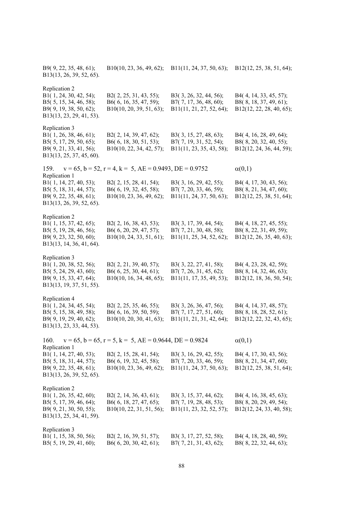| B9(9, 22, 35, 48, 61);<br>B13(13, 26, 39, 52, 65).                                                                      | B10(10, 23, 36, 49, 62);                                                        | B11(11, 24, 37, 50, 63);                                                     | B12(12, 25, 38, 51, 64);                                                     |
|-------------------------------------------------------------------------------------------------------------------------|---------------------------------------------------------------------------------|------------------------------------------------------------------------------|------------------------------------------------------------------------------|
| Replication 2<br>B1(1, 24, 30, 42, 54);<br>B5(5, 15, 34, 46, 58);<br>B9(9, 19, 38, 50, 62);<br>B13(13, 23, 29, 41, 53). | B2(2, 25, 31, 43, 55);<br>B6(6, 16, 35, 47, 59);<br>B10(10, 20, 39, 51, 63);    | B3(3, 26, 32, 44, 56);<br>B7(7, 17, 36, 48, 60);<br>B11(11, 21, 27, 52, 64); | B4(4, 14, 33, 45, 57);<br>B8(8, 18, 37, 49, 61);<br>B12(12, 22, 28, 40, 65); |
| Replication 3<br>B1(1, 26, 38, 46, 61);<br>B5(5, 17, 29, 50, 65);<br>B9(9, 21, 33, 41, 56);<br>B13(13, 25, 37, 45, 60). | B2(2, 14, 39, 47, 62);<br>B6(6, 18, 30, 51, 53);<br>B10(10, 22, 34, 42, 57);    | B3(3, 15, 27, 48, 63);<br>B7(7, 19, 31, 52, 54);<br>B11(11, 23, 35, 43, 58); | B4(4, 16, 28, 49, 64);<br>B8(8, 20, 32, 40, 55);<br>B12(12, 24, 36, 44, 59); |
| 159.                                                                                                                    | $v = 65$ , $b = 52$ , $r = 4$ , $k = 5$ , $AE = 0.9493$ , $DE = 0.9752$         |                                                                              | $\alpha(0,1)$                                                                |
| Replication 1<br>B1(1, 14, 27, 40, 53);<br>B5(5, 18, 31, 44, 57);<br>B9(9, 22, 35, 48, 61);<br>B13(13, 26, 39, 52, 65). | B2(2, 15, 28, 41, 54);<br>B6(6, 19, 32, 45, 58);<br>B10(10, 23, 36, 49, 62);    | B3(3, 16, 29, 42, 55);<br>B7(7, 20, 33, 46, 59);<br>B11(11, 24, 37, 50, 63); | B4(4, 17, 30, 43, 56);<br>B8(8, 21, 34, 47, 60);<br>B12(12, 25, 38, 51, 64); |
| Replication 2<br>B1(1, 15, 37, 42, 65);<br>B5(5, 19, 28, 46, 56);<br>B9(9, 23, 32, 50, 60);<br>B13(13, 14, 36, 41, 64). | B2(2, 16, 38, 43, 53);<br>B6(6, 20, 29, 47, 57);<br>B10(10, 24, 33, 51, 61);    | B3(3, 17, 39, 44, 54);<br>B7(7, 21, 30, 48, 58);<br>B11(11, 25, 34, 52, 62); | B4(4, 18, 27, 45, 55);<br>B8(8, 22, 31, 49, 59);<br>B12(12, 26, 35, 40, 63); |
| Replication 3<br>B1(1, 20, 38, 52, 56);<br>B5(5, 24, 29, 43, 60);<br>B9(9, 15, 33, 47, 64);<br>B13(13, 19, 37, 51, 55). | B2(2, 21, 39, 40, 57);<br>B6(6, 25, 30, 44, 61);<br>B10(10, 16, 34, 48, 65);    | B3(3, 22, 27, 41, 58);<br>B7(7, 26, 31, 45, 62);<br>B11(11, 17, 35, 49, 53); | B4(4, 23, 28, 42, 59);<br>B8(8, 14, 32, 46, 63);<br>B12(12, 18, 36, 50, 54); |
| Replication 4<br>B1(1, 24, 34, 45, 54);<br>B5(5, 15, 38, 49, 58);<br>B9(9, 19, 29, 40, 62);<br>B13(13, 23, 33, 44, 53). | B2(2, 25, 35, 46, 55);<br>B6(6, 16, 39, 50, 59);<br>B10(10, 20, 30, 41, 63);    | B3(3, 26, 36, 47, 56);<br>B7(7, 17, 27, 51, 60);<br>B11(11, 21, 31, 42, 64); | B4(4, 14, 37, 48, 57);<br>B8(8, 18, 28, 52, 61);<br>B12(12, 22, 32, 43, 65); |
| 160.                                                                                                                    | $v = 65$ , $b = 65$ , $r = 5$ , $k = 5$ , $AE = 0.9644$ , $DE = 0.9824$         |                                                                              | $\alpha(0,1)$                                                                |
| Replication 1<br>B1(1, 14, 27, 40, 53);<br>B5(5, 18, 31, 44, 57);<br>B9(9, 22, 35, 48, 61);<br>B13(13, 26, 39, 52, 65). | B2(2, 15, 28, 41, 54);<br>B6(6, 19, 32, 45, 58);<br>B10(10, 23, 36, 49, 62);    | B3(3, 16, 29, 42, 55);<br>B7(7, 20, 33, 46, 59);<br>B11(11, 24, 37, 50, 63); | B4(4, 17, 30, 43, 56);<br>B8(8, 21, 34, 47, 60);<br>B12(12, 25, 38, 51, 64); |
| Replication 2<br>B1(1, 26, 35, 42, 60);<br>B5(5, 17, 39, 46, 64);<br>B9(9, 21, 30, 50, 55);<br>B13(13, 25, 34, 41, 59). | B2 $(2, 14, 36, 43, 61);$<br>B6(6, 18, 27, 47, 65);<br>B10(10, 22, 31, 51, 56); | B3(3, 15, 37, 44, 62);<br>B7(7, 19, 28, 48, 53);<br>B11(11, 23, 32, 52, 57); | B4(4, 16, 38, 45, 63);<br>B8(8, 20, 29, 49, 54);<br>B12(12, 24, 33, 40, 58); |
| Replication 3<br>B1(1, 15, 38, 50, 56);<br>B5(5, 19, 29, 41, 60);                                                       | B2(2, 16, 39, 51, 57);<br>B6(6, 20, 30, 42, 61);                                | B3(3, 17, 27, 52, 58);<br>B7(7, 21, 31, 43, 62);                             | B4(4, 18, 28, 40, 59);<br>B8(8, 22, 32, 44, 63);                             |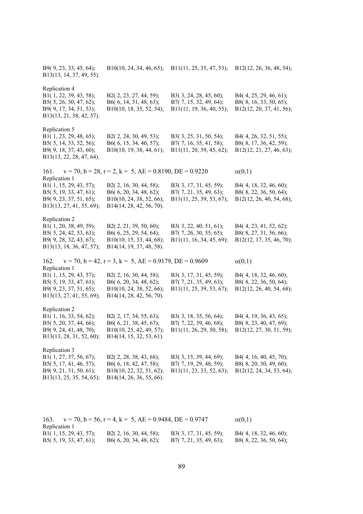| B9(9, 23, 33, 45, 64);<br>B13(13, 14, 37, 49, 55).                                                                      | B10(10, 24, 34, 46, 65);                                                                                 | B11(11, 25, 35, 47, 53);                                                     | B12(12, 26, 36, 48, 54);                                                     |
|-------------------------------------------------------------------------------------------------------------------------|----------------------------------------------------------------------------------------------------------|------------------------------------------------------------------------------|------------------------------------------------------------------------------|
| Replication 4<br>B1(1, 22, 39, 43, 58);<br>B5(5, 26, 30, 47, 62);<br>B9(9, 17, 34, 51, 53);<br>B13(13, 21, 38, 42, 57). | B2(2, 23, 27, 44, 59);<br>B6(6, 14, 31, 48, 63);<br>B10(10, 18, 35, 52, 54);                             | B3(3, 24, 28, 45, 60);<br>B7(7, 15, 32, 49, 64);<br>B11(11, 19, 36, 40, 55); | B4(4, 25, 29, 46, 61);<br>B8(8, 16, 33, 50, 65);<br>B12(12, 20, 37, 41, 56); |
| Replication 5<br>B1(1, 23, 29, 48, 65);<br>B5(5, 14, 33, 52, 56);<br>B9(9, 18, 37, 43, 60);<br>B13(13, 22, 28, 47, 64). | B2(2, 24, 30, 49, 53);<br>B6(6, 15, 34, 40, 57);<br>B10(10, 19, 38, 44, 61);                             | B3(3, 25, 31, 50, 54);<br>B7(7, 16, 35, 41, 58);<br>B11(11, 20, 39, 45, 62); | B4(4, 26, 32, 51, 55);<br>B8(8, 17, 36, 42, 59);<br>B12(12, 21, 27, 46, 63); |
| 161.                                                                                                                    | $v = 70$ , $b = 28$ , $r = 2$ , $k = 5$ , $AE = 0.8190$ , $DE = 0.9220$                                  |                                                                              | $\alpha(0,1)$                                                                |
| Replication 1<br>B1(1, 15, 29, 43, 57);<br>B5(5, 19, 33, 47, 61);<br>B9(9, 23, 37, 51, 65);<br>B13(13, 27, 41, 55, 69); | B2(2, 16, 30, 44, 58);<br>B6(6, 20, 34, 48, 62);<br>B10(10, 24, 38, 52, 66);<br>B14(14, 28, 42, 56, 70). | B3(3, 17, 31, 45, 59);<br>B7(7, 21, 35, 49, 63);<br>B11(11, 25, 39, 53, 67); | B4(4, 18, 32, 46, 60);<br>B8(8, 22, 36, 50, 64);<br>B12(12, 26, 40, 54, 68); |
| Replication 2<br>B1(1, 20, 38, 49, 59);<br>B5(5, 24, 42, 53, 63);<br>B9(9, 28, 32, 43, 67);<br>B13(13, 18, 36, 47, 57); | B2(2, 21, 39, 50, 60);<br>B6(6, 25, 29, 54, 64);<br>B10(10, 15, 33, 44, 68);<br>B14(14, 19, 37, 48, 58). | B3(3, 22, 40, 51, 61);<br>B7(7, 26, 30, 55, 65);<br>B11(11, 16, 34, 45, 69); | B4(4, 23, 41, 52, 62);<br>B8(8, 27, 31, 56, 66);<br>B12(12, 17, 35, 46, 70); |
| 162.<br>Replication 1                                                                                                   | $v = 70$ , $b = 42$ , $r = 3$ , $k = 5$ , $AE = 0.9179$ , $DE = 0.9609$                                  |                                                                              | $\alpha(0,1)$                                                                |
| B1(1, 15, 29, 43, 57);<br>B5(5, 19, 33, 47, 61);<br>B9(9, 23, 37, 51, 65);<br>B13(13, 27, 41, 55, 69);                  | B2(2, 16, 30, 44, 58);<br>B6(6, 20, 34, 48, 62);<br>B10(10, 24, 38, 52, 66);<br>B14(14, 28, 42, 56, 70). | B3(3, 17, 31, 45, 59);<br>B7(7, 21, 35, 49, 63);<br>B11(11, 25, 39, 53, 67); | B4(4, 18, 32, 46, 60);<br>B8(8, 22, 36, 50, 64);<br>B12(12, 26, 40, 54, 68); |
| Replication 2<br>B1(1, 16, 33, 54, 62);<br>B5(5, 20, 37, 44, 66);<br>B9(9, 24, 41, 48, 70);<br>B13(13, 28, 31, 52, 60); | B2(2, 17, 34, 55, 63);<br>B6(6, 21, 38, 45, 67);<br>B10(10, 25, 42, 49, 57);<br>B14(14, 15, 32, 53, 61). | B3(3, 18, 35, 56, 64);<br>B7(7, 22, 39, 46, 68);<br>B11(11, 26, 29, 50, 58); | B4(4, 19, 36, 43, 65);<br>B8(8, 23, 40, 47, 69);<br>B12(12, 27, 30, 51, 59); |
| Replication 3<br>B1(1, 27, 37, 56, 67);<br>B5(5, 17, 41, 46, 57);<br>B9(9, 21, 31, 50, 61);<br>B13(13, 25, 35, 54, 65); | B2(2, 28, 38, 43, 68);<br>B6(6, 18, 42, 47, 58);<br>B10(10, 22, 32, 51, 62);<br>B14(14, 26, 36, 55, 66). | B3(3, 15, 39, 44, 69);<br>B7(7, 19, 29, 48, 59);<br>B11(11, 23, 33, 52, 63); | B4(4, 16, 40, 45, 70);<br>B8(8, 20, 30, 49, 60);<br>B12(12, 24, 34, 53, 64); |

163.  $v = 70$ ,  $b = 56$ ,  $r = 4$ ,  $k = 5$ ,  $AE = 0.9484$ ,  $DE = 0.9747$   $\alpha(0,1)$ Replication 1<br>B1(1, 15, 29, 43, 57); B1( 1, 15, 29, 43, 57); B2( 2, 16, 30, 44, 58); B3( 3, 17, 31, 45, 59); B4( 4, 18, 32, 46, 60); B5( 5, 19, 33, 47, 61); B6( 6, 20, 34, 48, 62); B7( 7, 21, 35, 49, 63); B8( 8, 22, 36, 50, 64);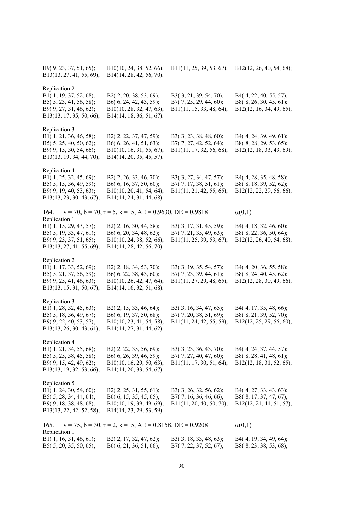| B9(9, 23, 37, 51, 65);<br>B13(13, 27, 41, 55, 69);                                                                      | B10(10, 24, 38, 52, 66);<br>B14(14, 28, 42, 56, 70).                                                        | B11(11, 25, 39, 53, 67);                                                     | B12(12, 26, 40, 54, 68);                                                     |
|-------------------------------------------------------------------------------------------------------------------------|-------------------------------------------------------------------------------------------------------------|------------------------------------------------------------------------------|------------------------------------------------------------------------------|
| Replication 2<br>B1(1, 19, 37, 52, 68);<br>B5(5, 23, 41, 56, 58);<br>B9(9, 27, 31, 46, 62);<br>B13(13, 17, 35, 50, 66); | B2(2, 20, 38, 53, 69);<br>B6(6, 24, 42, 43, 59);<br>B10(10, 28, 32, 47, 63);<br>B14(14, 18, 36, 51, 67).    | B3(3, 21, 39, 54, 70);<br>B7(7, 25, 29, 44, 60);<br>B11(11, 15, 33, 48, 64); | B4(4, 22, 40, 55, 57);<br>B8(8, 26, 30, 45, 61);<br>B12(12, 16, 34, 49, 65); |
| Replication 3<br>B1(1, 21, 36, 46, 58);<br>B5(5, 25, 40, 50, 62);<br>B9(9, 15, 30, 54, 66);<br>B13(13, 19, 34, 44, 70); | B2(2, 22, 37, 47, 59);<br>B6 $(6, 26, 41, 51, 63);$<br>B10(10, 16, 31, 55, 67);<br>B14(14, 20, 35, 45, 57). | B3(3, 23, 38, 48, 60);<br>B7(7, 27, 42, 52, 64);<br>B11(11, 17, 32, 56, 68); | B4(4, 24, 39, 49, 61);<br>B8(8, 28, 29, 53, 65);<br>B12(12, 18, 33, 43, 69); |
| Replication 4<br>B1(1, 25, 32, 45, 69);<br>B5(5, 15, 36, 49, 59);<br>B9(9, 19, 40, 53, 63);<br>B13(13, 23, 30, 43, 67); | B2(2, 26, 33, 46, 70);<br>B6(6, 16, 37, 50, 60);<br>B10(10, 20, 41, 54, 64);<br>B14(14, 24, 31, 44, 68).    | B3(3, 27, 34, 47, 57);<br>B7(7, 17, 38, 51, 61);<br>B11(11, 21, 42, 55, 65); | B4(4, 28, 35, 48, 58);<br>B8(8, 18, 39, 52, 62);<br>B12(12, 22, 29, 56, 66); |
| $v = 70$ , $b = 70$ , $r = 5$ , $k = 5$ , $AE = 0.9630$ , $DE = 0.9818$<br>164.                                         | $\alpha(0,1)$                                                                                               |                                                                              |                                                                              |
| Replication 1<br>B1(1, 15, 29, 43, 57);<br>B5(5, 19, 33, 47, 61);<br>B9(9, 23, 37, 51, 65);<br>B13(13, 27, 41, 55, 69); | B2(2, 16, 30, 44, 58);<br>B6(6, 20, 34, 48, 62);<br>B10(10, 24, 38, 52, 66);<br>B14(14, 28, 42, 56, 70).    | B3(3, 17, 31, 45, 59);<br>B7(7, 21, 35, 49, 63);<br>B11(11, 25, 39, 53, 67); | B4(4, 18, 32, 46, 60);<br>B8(8, 22, 36, 50, 64);<br>B12(12, 26, 40, 54, 68); |
| Replication 2<br>B1(1, 17, 33, 52, 69);<br>B5(5, 21, 37, 56, 59);<br>B9(9, 25, 41, 46, 63);<br>B13(13, 15, 31, 50, 67); | B2(2, 18, 34, 53, 70);<br>B6(6, 22, 38, 43, 60);<br>B10(10, 26, 42, 47, 64);<br>B14(14, 16, 32, 51, 68).    | B3(3, 19, 35, 54, 57);<br>B7(7, 23, 39, 44, 61);<br>B11(11, 27, 29, 48, 65); | B4(4, 20, 36, 55, 58);<br>B8(8, 24, 40, 45, 62);<br>B12(12, 28, 30, 49, 66); |
| Replication 3<br>B1(1, 28, 32, 45, 63);<br>B5(5, 18, 36, 49, 67);<br>B9(9, 22, 40, 53, 57);<br>B13(13, 26, 30, 43, 61); | B2(2, 15, 33, 46, 64);<br>B6(6, 19, 37, 50, 68);<br>B10(10, 23, 41, 54, 58);<br>B14(14, 27, 31, 44, 62).    | B3(3, 16, 34, 47, 65);<br>B7(7, 20, 38, 51, 69);<br>B11(11, 24, 42, 55, 59); | B4(4, 17, 35, 48, 66);<br>B8(8, 21, 39, 52, 70);<br>B12(12, 25, 29, 56, 60); |
| Replication 4<br>B1(1, 21, 34, 55, 68);<br>B5(5, 25, 38, 45, 58);<br>B9(9, 15, 42, 49, 62);<br>B13(13, 19, 32, 53, 66); | B2(2, 22, 35, 56, 69);<br>B6(6, 26, 39, 46, 59);<br>B10(10, 16, 29, 50, 63);<br>B14(14, 20, 33, 54, 67).    | B3(3, 23, 36, 43, 70);<br>B7(7, 27, 40, 47, 60);<br>B11(11, 17, 30, 51, 64); | B4(4, 24, 37, 44, 57);<br>B8(8, 28, 41, 48, 61);<br>B12(12, 18, 31, 52, 65); |
| Replication 5<br>B1(1, 24, 30, 54, 60);<br>B5(5, 28, 34, 44, 64);<br>B9(9, 18, 38, 48, 68);<br>B13(13, 22, 42, 52, 58); | B2(2, 25, 31, 55, 61);<br>B6(6, 15, 35, 45, 65);<br>B10(10, 19, 39, 49, 69);<br>B14(14, 23, 29, 53, 59).    | B3(3, 26, 32, 56, 62);<br>B7(7, 16, 36, 46, 66);<br>B11(11, 20, 40, 50, 70); | B4(4, 27, 33, 43, 63);<br>B8(8, 17, 37, 47, 67);<br>B12(12, 21, 41, 51, 57); |
| $v = 75$ , $b = 30$ , $r = 2$ , $k = 5$ , $AE = 0.8158$ , $DE = 0.9208$<br>165.                                         | $\alpha(0,1)$                                                                                               |                                                                              |                                                                              |
| Replication 1<br>B1(1, 16, 31, 46, 61);<br>B5(5, 20, 35, 50, 65);                                                       | B2(2, 17, 32, 47, 62);<br>B6(6, 21, 36, 51, 66);                                                            | B3(3, 18, 33, 48, 63);<br>B7(7, 22, 37, 52, 67);                             | B4(4, 19, 34, 49, 64);<br>B8(8, 23, 38, 53, 68);                             |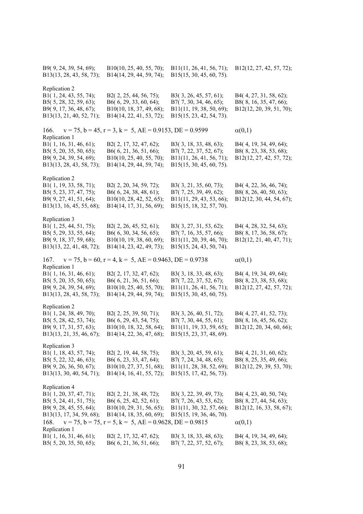| B9(9, 24, 39, 54, 69);<br>B13(13, 28, 43, 58, 73);                                                                              | B10(10, 25, 40, 55, 70);<br>B14(14, 29, 44, 59, 74);                                                                                                                                    | B11(11, 26, 41, 56, 71);<br>B15(15, 30, 45, 60, 75).                                                     | B12(12, 27, 42, 57, 72);                                                                      |
|---------------------------------------------------------------------------------------------------------------------------------|-----------------------------------------------------------------------------------------------------------------------------------------------------------------------------------------|----------------------------------------------------------------------------------------------------------|-----------------------------------------------------------------------------------------------|
| Replication 2<br>B1(1, 24, 43, 55, 74);<br>B5(5, 28, 32, 59, 63);<br>B9(9, 17, 36, 48, 67);<br>B13(13, 21, 40, 52, 71);         | B2(2, 25, 44, 56, 75);<br>B6(6, 29, 33, 60, 64);<br>B10(10, 18, 37, 49, 68);<br>B14(14, 22, 41, 53, 72);                                                                                | B3(3, 26, 45, 57, 61);<br>B7(7, 30, 34, 46, 65);<br>B11(11, 19, 38, 50, 69);<br>B15(15, 23, 42, 54, 73). | B4(4, 27, 31, 58, 62);<br>B8(8, 16, 35, 47, 66);<br>B12(12, 20, 39, 51, 70);                  |
| $v = 75$ , $b = 45$ , $r = 3$ , $k = 5$ , $AE = 0.9153$ , $DE = 0.9599$<br>166.                                                 | $\alpha(0,1)$                                                                                                                                                                           |                                                                                                          |                                                                                               |
| Replication 1<br>B1(1, 16, 31, 46, 61);<br>B5(5, 20, 35, 50, 65);<br>B9(9, 24, 39, 54, 69);<br>B13(13, 28, 43, 58, 73);         | B2(2, 17, 32, 47, 62);<br>B6(6, 21, 36, 51, 66);<br>B10(10, 25, 40, 55, 70);<br>B14(14, 29, 44, 59, 74);                                                                                | B3(3, 18, 33, 48, 63);<br>B7(7, 22, 37, 52, 67);<br>B11(11, 26, 41, 56, 71);<br>B15(15, 30, 45, 60, 75). | B4(4, 19, 34, 49, 64);<br>B8(8, 23, 38, 53, 68);<br>B12(12, 27, 42, 57, 72);                  |
| Replication 2<br>B1(1, 19, 33, 58, 71);<br>B5(5, 23, 37, 47, 75);<br>B9(9, 27, 41, 51, 64);<br>B13(13, 16, 45, 55, 68);         | B2(2, 20, 34, 59, 72);<br>B6(6, 24, 38, 48, 61);<br>B10(10, 28, 42, 52, 65);<br>B14(14, 17, 31, 56, 69);                                                                                | B3(3, 21, 35, 60, 73);<br>B7(7, 25, 39, 49, 62);<br>B11(11, 29, 43, 53, 66);<br>B15(15, 18, 32, 57, 70). | B4(4, 22, 36, 46, 74);<br>B8(8, 26, 40, 50, 63);<br>B12(12, 30, 44, 54, 67);                  |
| Replication 3<br>B1(1, 25, 44, 51, 75);<br>B5(5, 29, 33, 55, 64);<br>B9(9, 18, 37, 59, 68);<br>B13(13, 22, 41, 48, 72);         | B2(2, 26, 45, 52, 61);<br>B6(6, 30, 34, 56, 65);<br>B10(10, 19, 38, 60, 69);<br>B14(14, 23, 42, 49, 73);                                                                                | B3(3, 27, 31, 53, 62);<br>B7(7, 16, 35, 57, 66);<br>B11(11, 20, 39, 46, 70);<br>B15(15, 24, 43, 50, 74). | B4(4, 28, 32, 54, 63);<br>B8(8, 17, 36, 58, 67);<br>B12(12, 21, 40, 47, 71);                  |
| $v = 75$ , $b = 60$ , $r = 4$ , $k = 5$ , $AE = 0.9463$ , $DE = 0.9738$<br>167.<br>Replication 1                                | $\alpha(0,1)$                                                                                                                                                                           |                                                                                                          |                                                                                               |
| B1(1, 16, 31, 46, 61);<br>B5(5, 20, 35, 50, 65);<br>B9(9, 24, 39, 54, 69);<br>B13(13, 28, 43, 58, 73);                          | B2(2, 17, 32, 47, 62);<br>B6(6, 21, 36, 51, 66);<br>B10(10, 25, 40, 55, 70);<br>B14(14, 29, 44, 59, 74);                                                                                | B3(3, 18, 33, 48, 63);<br>B7(7, 22, 37, 52, 67);<br>B11(11, 26, 41, 56, 71);<br>B15(15, 30, 45, 60, 75). | B4(4, 19, 34, 49, 64);<br>B8(8, 23, 38, 53, 68);<br>B12(12, 27, 42, 57, 72);                  |
| Replication 2<br>B1(1, 24, 38, 49, 70);<br>B5(5, 28, 42, 53, 74);<br>B9(9, 17, 31, 57, 63);<br>B13(13, 21, 35, 46, 67);         | B2(2, 25, 39, 50, 71);<br>B6(6, 29, 43, 54, 75);<br>B10(10, 18, 32, 58, 64);<br>B14(14, 22, 36, 47, 68);                                                                                | B3(3, 26, 40, 51, 72);<br>B7(7, 30, 44, 55, 61);<br>B11(11, 19, 33, 59, 65);<br>B15(15, 23, 37, 48, 69). | B4(4, 27, 41, 52, 73);<br>B8(8, 16, 45, 56, 62);<br>B12(12, 20, 34, 60, 66);                  |
| Replication 3<br>B1(1, 18, 43, 57, 74);<br>B5(5, 22, 32, 46, 63);<br>B9(9, 26, 36, 50, 67);<br>B13(13, 30, 40, 54, 71);         | B2(2, 19, 44, 58, 75);<br>B6(6, 23, 33, 47, 64);<br>B10(10, 27, 37, 51, 68);<br>B14(14, 16, 41, 55, 72);                                                                                | B3(3, 20, 45, 59, 61);<br>B7(7, 24, 34, 48, 65);<br>B11(11, 28, 38, 52, 69);<br>B15(15, 17, 42, 56, 73). | B4(4, 21, 31, 60, 62);<br>B8(8, 25, 35, 49, 66);<br>B12(12, 29, 39, 53, 70);                  |
| Replication 4<br>B1(1, 20, 37, 47, 71);<br>B5(5, 24, 41, 51, 75);<br>B9(9, 28, 45, 55, 64);<br>B13(13, 17, 34, 59, 68);<br>168. | B2(2, 21, 38, 48, 72);<br>B6 $(6, 25, 42, 52, 61)$ ;<br>B10(10, 29, 31, 56, 65);<br>B14(14, 18, 35, 60, 69);<br>$v = 75$ , $b = 75$ , $r = 5$ , $k = 5$ , $AE = 0.9628$ , $DE = 0.9815$ | B3(3, 22, 39, 49, 73);<br>B7(7, 26, 43, 53, 62);<br>B11(11, 30, 32, 57, 66);<br>B15(15, 19, 36, 46, 70). | B4(4, 23, 40, 50, 74);<br>B8(8, 27, 44, 54, 63);<br>B12(12, 16, 33, 58, 67);<br>$\alpha(0,1)$ |
| Replication 1<br>B1(1, 16, 31, 46, 61);<br>B5 $(5, 20, 35, 50, 65);$                                                            | B2(2, 17, 32, 47, 62);<br>B6(6, 21, 36, 51, 66);                                                                                                                                        | B3(3, 18, 33, 48, 63);<br>B7(7, 22, 37, 52, 67);                                                         | B4(4, 19, 34, 49, 64);<br>B8(8, 23, 38, 53, 68);                                              |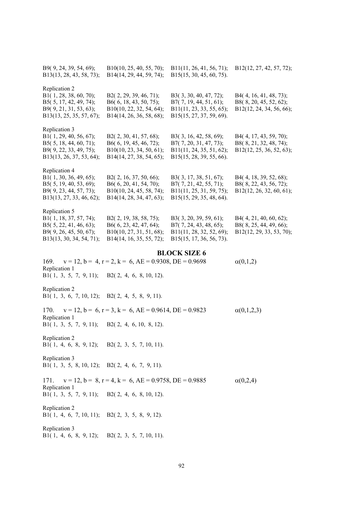| B9(9, 24, 39, 54, 69);<br>B13(13, 28, 43, 58, 73);                                                                      | B10(10, 25, 40, 55, 70);<br>B14(14, 29, 44, 59, 74);                                                     | B11(11, 26, 41, 56, 71);<br>B15(15, 30, 45, 60, 75).                                                     | B12(12, 27, 42, 57, 72);                                                     |
|-------------------------------------------------------------------------------------------------------------------------|----------------------------------------------------------------------------------------------------------|----------------------------------------------------------------------------------------------------------|------------------------------------------------------------------------------|
| Replication 2<br>B1(1, 28, 38, 60, 70);<br>B5(5, 17, 42, 49, 74);<br>B9(9, 21, 31, 53, 63);<br>B13(13, 25, 35, 57, 67); | B2(2, 29, 39, 46, 71);<br>B6(6, 18, 43, 50, 75);<br>B10(10, 22, 32, 54, 64);<br>B14(14, 26, 36, 58, 68); | B3(3, 30, 40, 47, 72);<br>B7(7, 19, 44, 51, 61);<br>B11(11, 23, 33, 55, 65);<br>B15(15, 27, 37, 59, 69). | B4(4, 16, 41, 48, 73);<br>B8(8, 20, 45, 52, 62);<br>B12(12, 24, 34, 56, 66); |
| Replication 3<br>B1(1, 29, 40, 56, 67);<br>B5(5, 18, 44, 60, 71);<br>B9(9, 22, 33, 49, 75);<br>B13(13, 26, 37, 53, 64); | B2(2, 30, 41, 57, 68);<br>B6(6, 19, 45, 46, 72);<br>B10(10, 23, 34, 50, 61);<br>B14(14, 27, 38, 54, 65); | B3(3, 16, 42, 58, 69);<br>B7(7, 20, 31, 47, 73);<br>B11(11, 24, 35, 51, 62);<br>B15(15, 28, 39, 55, 66). | B4(4, 17, 43, 59, 70);<br>B8(8, 21, 32, 48, 74);<br>B12(12, 25, 36, 52, 63); |
| Replication 4<br>B1(1, 30, 36, 49, 65);<br>B5(5, 19, 40, 53, 69);<br>B9(9, 23, 44, 57, 73);<br>B13(13, 27, 33, 46, 62); | B2(2, 16, 37, 50, 66);<br>B6(6, 20, 41, 54, 70);<br>B10(10, 24, 45, 58, 74);<br>B14(14, 28, 34, 47, 63); | B3(3, 17, 38, 51, 67);<br>B7(7, 21, 42, 55, 71);<br>B11(11, 25, 31, 59, 75);<br>B15(15, 29, 35, 48, 64). | B4(4, 18, 39, 52, 68);<br>B8(8, 22, 43, 56, 72);<br>B12(12, 26, 32, 60, 61); |
| Replication 5<br>B1(1, 18, 37, 57, 74);<br>B5(5, 22, 41, 46, 63);<br>B9(9, 26, 45, 50, 67);<br>B13(13, 30, 34, 54, 71); | B2(2, 19, 38, 58, 75);<br>B6(6, 23, 42, 47, 64);<br>B10(10, 27, 31, 51, 68);<br>B14(14, 16, 35, 55, 72); | B3(3, 20, 39, 59, 61);<br>B7(7, 24, 43, 48, 65);<br>B11(11, 28, 32, 52, 69);<br>B15(15, 17, 36, 56, 73). | B4(4, 21, 40, 60, 62);<br>B8(8, 25, 44, 49, 66);<br>B12(12, 29, 33, 53, 70); |
| $v = 12$ , $b = 4$ , $r = 2$ , $k = 6$ , $AE = 0.9308$ , $DE = 0.9698$<br>169.                                          | $\alpha(0,1,2)$                                                                                          |                                                                                                          |                                                                              |
| Replication 1<br>B1(1, 3, 5, 7, 9, 11);                                                                                 | B2(2, 4, 6, 8, 10, 12).                                                                                  |                                                                                                          |                                                                              |
| Replication 2<br>B1(1, 3, 6, 7, 10, 12); B2(2, 4, 5, 8, 9, 11).                                                         |                                                                                                          |                                                                                                          |                                                                              |
| 170.                                                                                                                    | $v = 12$ , $b = 6$ , $r = 3$ , $k = 6$ , $AE = 0.9614$ , $DE = 0.9823$                                   |                                                                                                          | $\alpha(0,1,2,3)$                                                            |
| Replication 1<br>B1(1, 3, 5, 7, 9, 11);                                                                                 | B2(2, 4, 6, 10, 8, 12).                                                                                  |                                                                                                          |                                                                              |
| Replication 2<br>B1(1, 4, 6, 8, 9, 12); B2(2, 3, 5, 7, 10, 11).                                                         |                                                                                                          |                                                                                                          |                                                                              |
| Replication 3<br>B1(1, 3, 5, 8, 10, 12); B2(2, 4, 6, 7, 9, 11).                                                         |                                                                                                          |                                                                                                          |                                                                              |
| 171.<br>Replication 1<br>B1(1, 3, 5, 7, 9, 11);                                                                         | $v = 12$ , $b = 8$ , $r = 4$ , $k = 6$ , $AE = 0.9758$ , $DE = 0.9885$<br>B2(2, 4, 6, 8, 10, 12).        |                                                                                                          | $\alpha(0,2,4)$                                                              |
| Replication 2                                                                                                           |                                                                                                          |                                                                                                          |                                                                              |
| B1(1, 4, 6, 7, 10, 11); B2(2, 3, 5, 8, 9, 12).<br>Replication 3<br>B1(1, 4, 6, 8, 9, 12); B2(2, 3, 5, 7, 10, 11).       |                                                                                                          |                                                                                                          |                                                                              |
|                                                                                                                         |                                                                                                          |                                                                                                          |                                                                              |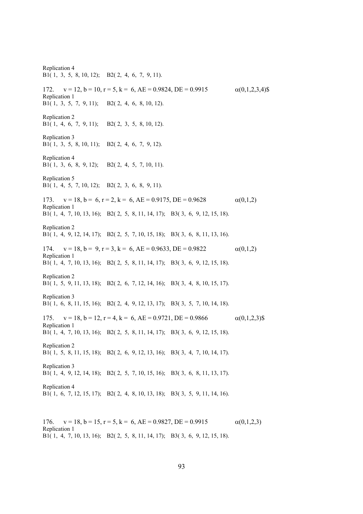Replication 4 B1( 1, 3, 5, 8, 10, 12); B2( 2, 4, 6, 7, 9, 11). 172.  $v = 12$ ,  $b = 10$ ,  $r = 5$ ,  $k = 6$ ,  $AE = 0.9824$ ,  $DE = 0.9915$   $\alpha(0,1,2,3,4)$ \$ Replication 1 B1( 1, 3, 5, 7, 9, 11); B2( 2, 4, 6, 8, 10, 12). Replication 2 B1( 1, 4, 6, 7, 9, 11); B2( 2, 3, 5, 8, 10, 12). Replication 3 B1( 1, 3, 5, 8, 10, 11); B2( 2, 4, 6, 7, 9, 12). Replication 4 B1( 1, 3, 6, 8, 9, 12); B2( 2, 4, 5, 7, 10, 11). Replication 5 B1( 1, 4, 5, 7, 10, 12); B2( 2, 3, 6, 8, 9, 11). 173.  $v = 18$ ,  $b = 6$ ,  $r = 2$ ,  $k = 6$ ,  $AE = 0.9175$ ,  $DE = 0.9628$   $\alpha(0,1,2)$ Replication 1 B1( 1, 4, 7, 10, 13, 16); B2( 2, 5, 8, 11, 14, 17); B3( 3, 6, 9, 12, 15, 18). Replication 2 B1( 1, 4, 9, 12, 14, 17); B2( 2, 5, 7, 10, 15, 18); B3( 3, 6, 8, 11, 13, 16). 174.  $v = 18$ ,  $b = 9$ ,  $r = 3$ ,  $k = 6$ ,  $AE = 0.9633$ ,  $DE = 0.9822$   $\alpha(0,1,2)$ Replication 1 B1( 1, 4, 7, 10, 13, 16); B2( 2, 5, 8, 11, 14, 17); B3( 3, 6, 9, 12, 15, 18). Replication 2 B1( 1, 5, 9, 11, 13, 18); B2( 2, 6, 7, 12, 14, 16); B3( 3, 4, 8, 10, 15, 17). Replication 3 B1( 1, 6, 8, 11, 15, 16); B2( 2, 4, 9, 12, 13, 17); B3( 3, 5, 7, 10, 14, 18). 175.  $v = 18$ ,  $b = 12$ ,  $r = 4$ ,  $k = 6$ ,  $AE = 0.9721$ ,  $DE = 0.9866$   $\alpha(0,1,2,3)$ Replication 1 B1( 1, 4, 7, 10, 13, 16); B2( 2, 5, 8, 11, 14, 17); B3( 3, 6, 9, 12, 15, 18). Replication 2 B1( 1, 5, 8, 11, 15, 18); B2( 2, 6, 9, 12, 13, 16); B3( 3, 4, 7, 10, 14, 17). Replication 3 B1( 1, 4, 9, 12, 14, 18); B2( 2, 5, 7, 10, 15, 16); B3( 3, 6, 8, 11, 13, 17). Replication 4 B1( 1, 6, 7, 12, 15, 17); B2( 2, 4, 8, 10, 13, 18); B3( 3, 5, 9, 11, 14, 16).

176.  $v = 18$ ,  $b = 15$ ,  $r = 5$ ,  $k = 6$ ,  $AE = 0.9827$ ,  $DE = 0.9915$   $\alpha(0,1,2,3)$ Replication 1 B1( 1, 4, 7, 10, 13, 16); B2( 2, 5, 8, 11, 14, 17); B3( 3, 6, 9, 12, 15, 18).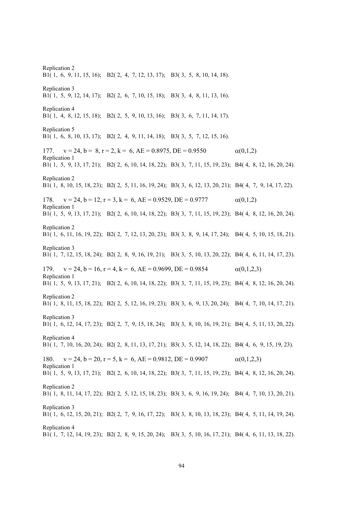Replication 2 B1( 1, 6, 9, 11, 15, 16); B2( 2, 4, 7, 12, 13, 17); B3( 3, 5, 8, 10, 14, 18). Replication 3 B1( 1, 5, 9, 12, 14, 17); B2( 2, 6, 7, 10, 15, 18); B3( 3, 4, 8, 11, 13, 16). Replication 4 B1( 1, 4, 8, 12, 15, 18); B2( 2, 5, 9, 10, 13, 16); B3( 3, 6, 7, 11, 14, 17). Replication 5 B1( 1, 6, 8, 10, 13, 17); B2( 2, 4, 9, 11, 14, 18); B3( 3, 5, 7, 12, 15, 16). 177.  $v = 24$ ,  $b = 8$ ,  $r = 2$ ,  $k = 6$ ,  $AE = 0.8975$ ,  $DE = 0.9550$   $\alpha(0,1,2)$ Replication 1 B1( 1, 5, 9, 13, 17, 21); B2( 2, 6, 10, 14, 18, 22); B3( 3, 7, 11, 15, 19, 23); B4( 4, 8, 12, 16, 20, 24). Replication 2 B1( 1, 8, 10, 15, 18, 23); B2( 2, 5, 11, 16, 19, 24); B3( 3, 6, 12, 13, 20, 21); B4( 4, 7, 9, 14, 17, 22). 178.  $v = 24$ ,  $b = 12$ ,  $r = 3$ ,  $k = 6$ ,  $AE = 0.9529$ ,  $DE = 0.9777$   $\alpha(0,1,2)$ Replication 1 B1( 1, 5, 9, 13, 17, 21); B2( 2, 6, 10, 14, 18, 22); B3( 3, 7, 11, 15, 19, 23); B4( 4, 8, 12, 16, 20, 24). Replication 2 B1( 1, 6, 11, 16, 19, 22); B2( 2, 7, 12, 13, 20, 23); B3( 3, 8, 9, 14, 17, 24); B4( 4, 5, 10, 15, 18, 21). Replication 3 B1( 1, 7, 12, 15, 18, 24); B2( 2, 8, 9, 16, 19, 21); B3( 3, 5, 10, 13, 20, 22); B4( 4, 6, 11, 14, 17, 23). 179.  $v = 24$ ,  $b = 16$ ,  $r = 4$ ,  $k = 6$ ,  $AE = 0.9699$ ,  $DE = 0.9854$   $\alpha(0,1,2,3)$ Replication 1 B1( 1, 5, 9, 13, 17, 21); B2( 2, 6, 10, 14, 18, 22); B3( 3, 7, 11, 15, 19, 23); B4( 4, 8, 12, 16, 20, 24). Replication 2 B1( 1, 8, 11, 15, 18, 22); B2( 2, 5, 12, 16, 19, 23); B3( 3, 6, 9, 13, 20, 24); B4( 4, 7, 10, 14, 17, 21). Replication 3 B1( 1, 6, 12, 14, 17, 23); B2( 2, 7, 9, 15, 18, 24); B3( 3, 8, 10, 16, 19, 21); B4( 4, 5, 11, 13, 20, 22). Replication 4 B1( 1, 7, 10, 16, 20, 24); B2( 2, 8, 11, 13, 17, 21); B3( 3, 5, 12, 14, 18, 22); B4( 4, 6, 9, 15, 19, 23). 180.  $v = 24$ ,  $b = 20$ ,  $r = 5$ ,  $k = 6$ ,  $AE = 0.9812$ ,  $DE = 0.9907$  (0,1,2,3) Replication 1 B1( 1, 5, 9, 13, 17, 21); B2( 2, 6, 10, 14, 18, 22); B3( 3, 7, 11, 15, 19, 23); B4( 4, 8, 12, 16, 20, 24). Replication 2 B1( 1, 8, 11, 14, 17, 22); B2( 2, 5, 12, 15, 18, 23); B3( 3, 6, 9, 16, 19, 24); B4( 4, 7, 10, 13, 20, 21). Replication 3 B1( 1, 6, 12, 15, 20, 21); B2( 2, 7, 9, 16, 17, 22); B3( 3, 8, 10, 13, 18, 23); B4( 4, 5, 11, 14, 19, 24). Replication 4 B1( 1, 7, 12, 14, 19, 23); B2( 2, 8, 9, 15, 20, 24); B3( 3, 5, 10, 16, 17, 21); B4( 4, 6, 11, 13, 18, 22).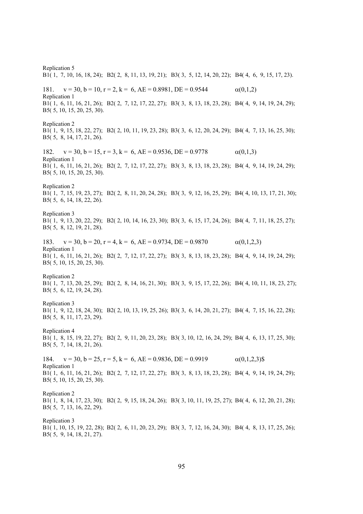Replication 5 B1( 1, 7, 10, 16, 18, 24); B2( 2, 8, 11, 13, 19, 21); B3( 3, 5, 12, 14, 20, 22); B4( 4, 6, 9, 15, 17, 23). 181.  $v = 30$ ,  $b = 10$ ,  $r = 2$ ,  $k = 6$ ,  $AE = 0.8981$ ,  $DE = 0.9544$   $\alpha(0,1,2)$ Replication 1 B1( 1, 6, 11, 16, 21, 26); B2( 2, 7, 12, 17, 22, 27); B3( 3, 8, 13, 18, 23, 28); B4( 4, 9, 14, 19, 24, 29); B5( 5, 10, 15, 20, 25, 30). Replication 2 B1( 1, 9, 15, 18, 22, 27); B2( 2, 10, 11, 19, 23, 28); B3( 3, 6, 12, 20, 24, 29); B4( 4, 7, 13, 16, 25, 30); B5( 5, 8, 14, 17, 21, 26). 182.  $v = 30$ ,  $b = 15$ ,  $r = 3$ ,  $k = 6$ ,  $AE = 0.9536$ ,  $DE = 0.9778$   $\alpha(0,1,3)$ Replication 1 B1( 1, 6, 11, 16, 21, 26); B2( 2, 7, 12, 17, 22, 27); B3( 3, 8, 13, 18, 23, 28); B4( 4, 9, 14, 19, 24, 29); B5( 5, 10, 15, 20, 25, 30). Replication 2 B1( 1, 7, 15, 19, 23, 27); B2( 2, 8, 11, 20, 24, 28); B3( 3, 9, 12, 16, 25, 29); B4( 4, 10, 13, 17, 21, 30); B5( 5, 6, 14, 18, 22, 26). Replication 3 B1( 1, 9, 13, 20, 22, 29); B2( 2, 10, 14, 16, 23, 30); B3( 3, 6, 15, 17, 24, 26); B4( 4, 7, 11, 18, 25, 27); B5( 5, 8, 12, 19, 21, 28). 183.  $v = 30$ ,  $b = 20$ ,  $r = 4$ ,  $k = 6$ ,  $AE = 0.9734$ ,  $DE = 0.9870$   $\alpha(0,1,2,3)$ Replication 1 B1( 1, 6, 11, 16, 21, 26); B2( 2, 7, 12, 17, 22, 27); B3( 3, 8, 13, 18, 23, 28); B4( 4, 9, 14, 19, 24, 29); B5( 5, 10, 15, 20, 25, 30). Replication 2 B1( 1, 7, 13, 20, 25, 29); B2( 2, 8, 14, 16, 21, 30); B3( 3, 9, 15, 17, 22, 26); B4( 4, 10, 11, 18, 23, 27); B5( 5, 6, 12, 19, 24, 28). Replication 3 B1( 1, 9, 12, 18, 24, 30); B2( 2, 10, 13, 19, 25, 26); B3( 3, 6, 14, 20, 21, 27); B4( 4, 7, 15, 16, 22, 28); B5( 5, 8, 11, 17, 23, 29). Replication 4 B1( 1, 8, 15, 19, 22, 27); B2( 2, 9, 11, 20, 23, 28); B3( 3, 10, 12, 16, 24, 29); B4( 4, 6, 13, 17, 25, 30); B5( 5, 7, 14, 18, 21, 26). 184.  $v = 30$ ,  $b = 25$ ,  $r = 5$ ,  $k = 6$ ,  $AE = 0.9836$ ,  $DE = 0.9919$   $\alpha(0.1,2,3)$ \$ Replication 1 B1( 1, 6, 11, 16, 21, 26); B2( 2, 7, 12, 17, 22, 27); B3( 3, 8, 13, 18, 23, 28); B4( 4, 9, 14, 19, 24, 29); B5( 5, 10, 15, 20, 25, 30). Replication 2 B1( 1, 8, 14, 17, 23, 30); B2( 2, 9, 15, 18, 24, 26); B3( 3, 10, 11, 19, 25, 27); B4( 4, 6, 12, 20, 21, 28); B5( 5, 7, 13, 16, 22, 29). Replication 3 B1( 1, 10, 15, 19, 22, 28); B2( 2, 6, 11, 20, 23, 29); B3( 3, 7, 12, 16, 24, 30); B4( 4, 8, 13, 17, 25, 26); B5( 5, 9, 14, 18, 21, 27).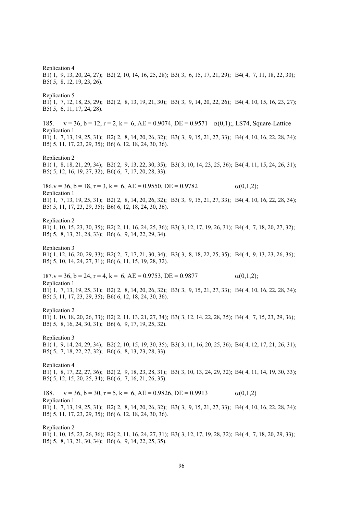Replication 4 B1( 1, 9, 13, 20, 24, 27); B2( 2, 10, 14, 16, 25, 28); B3( 3, 6, 15, 17, 21, 29); B4( 4, 7, 11, 18, 22, 30); B5( 5, 8, 12, 19, 23, 26). Replication 5 B1( 1, 7, 12, 18, 25, 29); B2( 2, 8, 13, 19, 21, 30); B3( 3, 9, 14, 20, 22, 26); B4( 4, 10, 15, 16, 23, 27); B5( 5, 6, 11, 17, 24, 28). 185.  $v = 36$ ,  $b = 12$ ,  $r = 2$ ,  $k = 6$ ,  $AE = 0.9074$ ,  $DE = 0.9571$   $\alpha(0,1)$ ; LS74, Square-Lattice Replication 1 B1( 1, 7, 13, 19, 25, 31); B2( 2, 8, 14, 20, 26, 32); B3( 3, 9, 15, 21, 27, 33); B4( 4, 10, 16, 22, 28, 34); B5( 5, 11, 17, 23, 29, 35); B6( 6, 12, 18, 24, 30, 36). Replication 2 B1( 1, 8, 18, 21, 29, 34); B2( 2, 9, 13, 22, 30, 35); B3( 3, 10, 14, 23, 25, 36); B4( 4, 11, 15, 24, 26, 31); B5( 5, 12, 16, 19, 27, 32); B6( 6, 7, 17, 20, 28, 33).  $186. \text{v} = 36. \text{b} = 18. \text{r} = 3. \text{k} = 6. \text{AE} = 0.9550, \text{DE} = 0.9782$  (0.1.2); Replication 1 B1( 1, 7, 13, 19, 25, 31); B2( 2, 8, 14, 20, 26, 32); B3( 3, 9, 15, 21, 27, 33); B4( 4, 10, 16, 22, 28, 34); B5( 5, 11, 17, 23, 29, 35); B6( 6, 12, 18, 24, 30, 36). Replication 2 B1( 1, 10, 15, 23, 30, 35); B2( 2, 11, 16, 24, 25, 36); B3( 3, 12, 17, 19, 26, 31); B4( 4, 7, 18, 20, 27, 32); B5( 5, 8, 13, 21, 28, 33); B6( 6, 9, 14, 22, 29, 34). Replication 3 B1( 1, 12, 16, 20, 29, 33); B2( 2, 7, 17, 21, 30, 34); B3( 3, 8, 18, 22, 25, 35); B4( 4, 9, 13, 23, 26, 36); B5( 5, 10, 14, 24, 27, 31); B6( 6, 11, 15, 19, 28, 32). 187.v = 36, b = 24, r = 4, k = 6, AE = 0.9753, DE = 0.9877  $\alpha(0,1,2)$ ; Replication 1 B1( 1, 7, 13, 19, 25, 31); B2( 2, 8, 14, 20, 26, 32); B3( 3, 9, 15, 21, 27, 33); B4( 4, 10, 16, 22, 28, 34); B5( 5, 11, 17, 23, 29, 35); B6( 6, 12, 18, 24, 30, 36). Replication 2 B1( 1, 10, 18, 20, 26, 33); B2( 2, 11, 13, 21, 27, 34); B3( 3, 12, 14, 22, 28, 35); B4( 4, 7, 15, 23, 29, 36); B5( 5, 8, 16, 24, 30, 31); B6( 6, 9, 17, 19, 25, 32). Replication 3 B1( 1, 9, 14, 24, 29, 34); B2( 2, 10, 15, 19, 30, 35); B3( 3, 11, 16, 20, 25, 36); B4( 4, 12, 17, 21, 26, 31); B5( 5, 7, 18, 22, 27, 32); B6( 6, 8, 13, 23, 28, 33). Replication 4 B1( 1, 8, 17, 22, 27, 36); B2( 2, 9, 18, 23, 28, 31); B3( 3, 10, 13, 24, 29, 32); B4( 4, 11, 14, 19, 30, 33); B5( 5, 12, 15, 20, 25, 34); B6( 6, 7, 16, 21, 26, 35). 188.  $v = 36$ ,  $b = 30$ ,  $r = 5$ ,  $k = 6$ ,  $AE = 0.9826$ ,  $DE = 0.9913$   $\alpha(0,1,2)$ Replication 1 B1( 1, 7, 13, 19, 25, 31); B2( 2, 8, 14, 20, 26, 32); B3( 3, 9, 15, 21, 27, 33); B4( 4, 10, 16, 22, 28, 34); B5( 5, 11, 17, 23, 29, 35); B6( 6, 12, 18, 24, 30, 36). Replication 2 B1( 1, 10, 15, 23, 26, 36); B2( 2, 11, 16, 24, 27, 31); B3( 3, 12, 17, 19, 28, 32); B4( 4, 7, 18, 20, 29, 33);

B5( 5, 8, 13, 21, 30, 34); B6( 6, 9, 14, 22, 25, 35).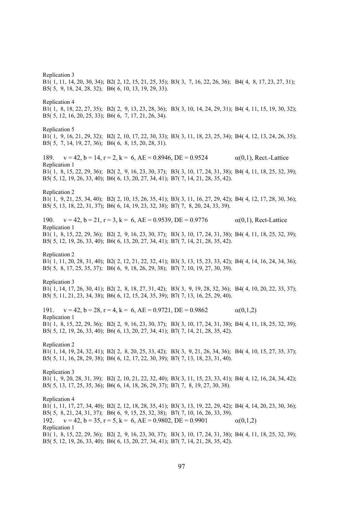Replication 3 B1( 1, 11, 14, 20, 30, 34); B2( 2, 12, 15, 21, 25, 35); B3( 3, 7, 16, 22, 26, 36); B4( 4, 8, 17, 23, 27, 31); B5( 5, 9, 18, 24, 28, 32); B6( 6, 10, 13, 19, 29, 33). Replication 4 B1( 1, 8, 18, 22, 27, 35); B2( 2, 9, 13, 23, 28, 36); B3( 3, 10, 14, 24, 29, 31); B4( 4, 11, 15, 19, 30, 32); B5( 5, 12, 16, 20, 25, 33); B6( 6, 7, 17, 21, 26, 34). Replication 5 B1( 1, 9, 16, 21, 29, 32); B2( 2, 10, 17, 22, 30, 33); B3( 3, 11, 18, 23, 25, 34); B4( 4, 12, 13, 24, 26, 35); B5( 5, 7, 14, 19, 27, 36); B6( 6, 8, 15, 20, 28, 31). 189.  $v = 42$ ,  $b = 14$ ,  $r = 2$ ,  $k = 6$ ,  $AE = 0.8946$ ,  $DE = 0.9524$   $\alpha(0,1)$ , Rect.-Lattice Replication 1 B1( 1, 8, 15, 22, 29, 36); B2( 2, 9, 16, 23, 30, 37); B3( 3, 10, 17, 24, 31, 38); B4( 4, 11, 18, 25, 32, 39); B5( 5, 12, 19, 26, 33, 40); B6( 6, 13, 20, 27, 34, 41); B7( 7, 14, 21, 28, 35, 42). Replication 2 B1( 1, 9, 21, 25, 34, 40); B2( 2, 10, 15, 26, 35, 41); B3( 3, 11, 16, 27, 29, 42); B4( 4, 12, 17, 28, 30, 36); B5( 5, 13, 18, 22, 31, 37); B6( 6, 14, 19, 23, 32, 38); B7( 7, 8, 20, 24, 33, 39). 190.  $v = 42$ ,  $b = 21$ ,  $r = 3$ ,  $k = 6$ ,  $AE = 0.9539$ ,  $DE = 0.9776$   $\alpha(0,1)$ , Rect-Lattice Replication 1 B1( 1, 8, 15, 22, 29, 36); B2( 2, 9, 16, 23, 30, 37); B3( 3, 10, 17, 24, 31, 38); B4( 4, 11, 18, 25, 32, 39); B5( 5, 12, 19, 26, 33, 40); B6( 6, 13, 20, 27, 34, 41); B7( 7, 14, 21, 28, 35, 42). Replication 2 B1( 1, 11, 20, 28, 31, 40); B2( 2, 12, 21, 22, 32, 41); B3( 3, 13, 15, 23, 33, 42); B4( 4, 14, 16, 24, 34, 36); B5( 5, 8, 17, 25, 35, 37); B6( 6, 9, 18, 26, 29, 38); B7( 7, 10, 19, 27, 30, 39). Replication 3 B1( 1, 14, 17, 26, 30, 41); B2( 2, 8, 18, 27, 31, 42); B3( 3, 9, 19, 28, 32, 36); B4( 4, 10, 20, 22, 33, 37); B5( 5, 11, 21, 23, 34, 38); B6( 6, 12, 15, 24, 35, 39); B7( 7, 13, 16, 25, 29, 40). 191.  $v = 42$ ,  $b = 28$ ,  $r = 4$ ,  $k = 6$ ,  $AE = 0.9721$ ,  $DE = 0.9862$   $\alpha(0,1,2)$ Replication 1 B1( 1, 8, 15, 22, 29, 36); B2( 2, 9, 16, 23, 30, 37); B3( 3, 10, 17, 24, 31, 38); B4( 4, 11, 18, 25, 32, 39); B5( 5, 12, 19, 26, 33, 40); B6( 6, 13, 20, 27, 34, 41); B7( 7, 14, 21, 28, 35, 42). Replication 2 B1( 1, 14, 19, 24, 32, 41); B2( 2, 8, 20, 25, 33, 42); B3( 3, 9, 21, 26, 34, 36); B4( 4, 10, 15, 27, 35, 37); B5( 5, 11, 16, 28, 29, 38); B6( 6, 12, 17, 22, 30, 39); B7( 7, 13, 18, 23, 31, 40). Replication 3 B1( 1, 9, 20, 28, 31, 39); B2( 2, 10, 21, 22, 32, 40); B3( 3, 11, 15, 23, 33, 41); B4( 4, 12, 16, 24, 34, 42); B5( 5, 13, 17, 25, 35, 36); B6( 6, 14, 18, 26, 29, 37); B7( 7, 8, 19, 27, 30, 38). Replication 4 B1( 1, 11, 17, 27, 34, 40); B2( 2, 12, 18, 28, 35, 41); B3( 3, 13, 19, 22, 29, 42); B4( 4, 14, 20, 23, 30, 36); B5( 5, 8, 21, 24, 31, 37); B6( 6, 9, 15, 25, 32, 38); B7( 7, 10, 16, 26, 33, 39). 192.  $v = 42$ ,  $b = 35$ ,  $r = 5$ ,  $k = 6$ ,  $AE = 0.9802$ ,  $DE = 0.9901$   $\alpha(0,1,2)$ Replication 1 B1( 1, 8, 15, 22, 29, 36); B2( 2, 9, 16, 23, 30, 37); B3( 3, 10, 17, 24, 31, 38); B4( 4, 11, 18, 25, 32, 39); B5( 5, 12, 19, 26, 33, 40); B6( 6, 13, 20, 27, 34, 41); B7( 7, 14, 21, 28, 35, 42).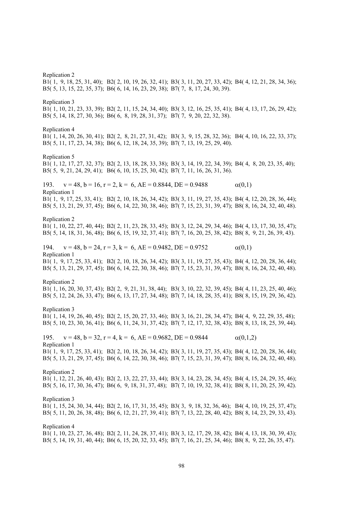Replication 2 B1( 1, 9, 18, 25, 31, 40); B2( 2, 10, 19, 26, 32, 41); B3( 3, 11, 20, 27, 33, 42); B4( 4, 12, 21, 28, 34, 36); B5( 5, 13, 15, 22, 35, 37); B6( 6, 14, 16, 23, 29, 38); B7( 7, 8, 17, 24, 30, 39). Replication 3 B1( 1, 10, 21, 23, 33, 39); B2( 2, 11, 15, 24, 34, 40); B3( 3, 12, 16, 25, 35, 41); B4( 4, 13, 17, 26, 29, 42); B5( 5, 14, 18, 27, 30, 36); B6( 6, 8, 19, 28, 31, 37); B7( 7, 9, 20, 22, 32, 38). Replication 4 B1( 1, 14, 20, 26, 30, 41); B2( 2, 8, 21, 27, 31, 42); B3( 3, 9, 15, 28, 32, 36); B4( 4, 10, 16, 22, 33, 37); B5( 5, 11, 17, 23, 34, 38); B6( 6, 12, 18, 24, 35, 39); B7( 7, 13, 19, 25, 29, 40). Replication 5 B1( 1, 12, 17, 27, 32, 37); B2( 2, 13, 18, 28, 33, 38); B3( 3, 14, 19, 22, 34, 39); B4( 4, 8, 20, 23, 35, 40); B5( 5, 9, 21, 24, 29, 41); B6( 6, 10, 15, 25, 30, 42); B7( 7, 11, 16, 26, 31, 36). 193.  $v = 48$ ,  $b = 16$ ,  $r = 2$ ,  $k = 6$ ,  $AE = 0.8844$ ,  $DE = 0.9488$  (0,1) Replication 1 B1( 1, 9, 17, 25, 33, 41); B2( 2, 10, 18, 26, 34, 42); B3( 3, 11, 19, 27, 35, 43); B4( 4, 12, 20, 28, 36, 44); B5( 5, 13, 21, 29, 37, 45); B6( 6, 14, 22, 30, 38, 46); B7( 7, 15, 23, 31, 39, 47); B8( 8, 16, 24, 32, 40, 48). Replication 2 B1( 1, 10, 22, 27, 40, 44); B2( 2, 11, 23, 28, 33, 45); B3( 3, 12, 24, 29, 34, 46); B4( 4, 13, 17, 30, 35, 47); B5( 5, 14, 18, 31, 36, 48); B6( 6, 15, 19, 32, 37, 41); B7( 7, 16, 20, 25, 38, 42); B8( 8, 9, 21, 26, 39, 43). 194.  $v = 48$ ,  $b = 24$ ,  $r = 3$ ,  $k = 6$ ,  $AE = 0.9482$ ,  $DE = 0.9752$   $\alpha(0,1)$ Replication 1 B1( 1, 9, 17, 25, 33, 41); B2( 2, 10, 18, 26, 34, 42); B3( 3, 11, 19, 27, 35, 43); B4( 4, 12, 20, 28, 36, 44); B5( 5, 13, 21, 29, 37, 45); B6( 6, 14, 22, 30, 38, 46); B7( 7, 15, 23, 31, 39, 47); B8( 8, 16, 24, 32, 40, 48). Replication 2 B1( 1, 16, 20, 30, 37, 43); B2( 2, 9, 21, 31, 38, 44); B3( 3, 10, 22, 32, 39, 45); B4( 4, 11, 23, 25, 40, 46); B5( 5, 12, 24, 26, 33, 47); B6( 6, 13, 17, 27, 34, 48); B7( 7, 14, 18, 28, 35, 41); B8( 8, 15, 19, 29, 36, 42). Replication 3 B1( 1, 14, 19, 26, 40, 45); B2( 2, 15, 20, 27, 33, 46); B3( 3, 16, 21, 28, 34, 47); B4( 4, 9, 22, 29, 35, 48); B5( 5, 10, 23, 30, 36, 41); B6( 6, 11, 24, 31, 37, 42); B7( 7, 12, 17, 32, 38, 43); B8( 8, 13, 18, 25, 39, 44). 195.  $v = 48$ ,  $b = 32$ ,  $r = 4$ ,  $k = 6$ ,  $AE = 0.9682$ ,  $DE = 0.9844$   $\alpha(0,1,2)$ Replication 1 B1( 1, 9, 17, 25, 33, 41); B2( 2, 10, 18, 26, 34, 42); B3( 3, 11, 19, 27, 35, 43); B4( 4, 12, 20, 28, 36, 44); B5( 5, 13, 21, 29, 37, 45); B6( 6, 14, 22, 30, 38, 46); B7( 7, 15, 23, 31, 39, 47); B8( 8, 16, 24, 32, 40, 48). Replication 2 B1( 1, 12, 21, 26, 40, 43); B2( 2, 13, 22, 27, 33, 44); B3( 3, 14, 23, 28, 34, 45); B4( 4, 15, 24, 29, 35, 46); B5( 5, 16, 17, 30, 36, 47); B6( 6, 9, 18, 31, 37, 48); B7( 7, 10, 19, 32, 38, 41); B8( 8, 11, 20, 25, 39, 42). Replication 3 B1( 1, 15, 24, 30, 34, 44); B2( 2, 16, 17, 31, 35, 45); B3( 3, 9, 18, 32, 36, 46); B4( 4, 10, 19, 25, 37, 47); B5( 5, 11, 20, 26, 38, 48); B6( 6, 12, 21, 27, 39, 41); B7( 7, 13, 22, 28, 40, 42); B8( 8, 14, 23, 29, 33, 43). Replication 4 B1( 1, 10, 23, 27, 36, 48); B2( 2, 11, 24, 28, 37, 41); B3( 3, 12, 17, 29, 38, 42); B4( 4, 13, 18, 30, 39, 43); B5( 5, 14, 19, 31, 40, 44); B6( 6, 15, 20, 32, 33, 45); B7( 7, 16, 21, 25, 34, 46); B8( 8, 9, 22, 26, 35, 47).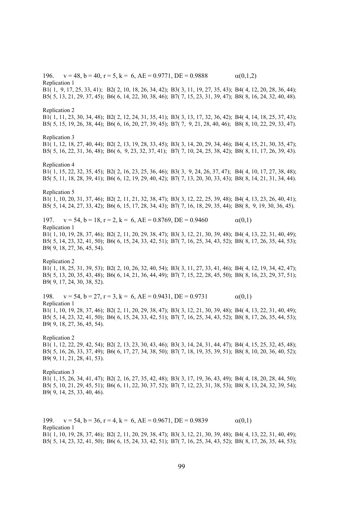196.  $v = 48$ ,  $b = 40$ ,  $r = 5$ ,  $k = 6$ ,  $AE = 0.9771$ ,  $DE = 0.9888$   $\alpha(0,1,2)$ Replication 1 B1( 1, 9, 17, 25, 33, 41); B2( 2, 10, 18, 26, 34, 42); B3( 3, 11, 19, 27, 35, 43); B4( 4, 12, 20, 28, 36, 44); B5( 5, 13, 21, 29, 37, 45); B6( 6, 14, 22, 30, 38, 46); B7( 7, 15, 23, 31, 39, 47); B8( 8, 16, 24, 32, 40, 48). Replication 2 B1( 1, 11, 23, 30, 34, 48); B2( 2, 12, 24, 31, 35, 41); B3( 3, 13, 17, 32, 36, 42); B4( 4, 14, 18, 25, 37, 43); B5( 5, 15, 19, 26, 38, 44); B6( 6, 16, 20, 27, 39, 45); B7( 7, 9, 21, 28, 40, 46); B8( 8, 10, 22, 29, 33, 47). Replication 3 B1( 1, 12, 18, 27, 40, 44); B2( 2, 13, 19, 28, 33, 45); B3( 3, 14, 20, 29, 34, 46); B4( 4, 15, 21, 30, 35, 47); B5( 5, 16, 22, 31, 36, 48); B6( 6, 9, 23, 32, 37, 41); B7( 7, 10, 24, 25, 38, 42); B8( 8, 11, 17, 26, 39, 43). Replication 4 B1( 1, 15, 22, 32, 35, 45); B2( 2, 16, 23, 25, 36, 46); B3( 3, 9, 24, 26, 37, 47); B4( 4, 10, 17, 27, 38, 48); B5( 5, 11, 18, 28, 39, 41); B6( 6, 12, 19, 29, 40, 42); B7( 7, 13, 20, 30, 33, 43); B8( 8, 14, 21, 31, 34, 44). Replication 5 B1( 1, 10, 20, 31, 37, 46); B2( 2, 11, 21, 32, 38, 47); B3( 3, 12, 22, 25, 39, 48); B4( 4, 13, 23, 26, 40, 41); B5( 5, 14, 24, 27, 33, 42); B6( 6, 15, 17, 28, 34, 43); B7( 7, 16, 18, 29, 35, 44); B8( 8, 9, 19, 30, 36, 45). 197.  $v = 54$ ,  $b = 18$ ,  $r = 2$ ,  $k = 6$ ,  $AE = 0.8769$ ,  $DE = 0.9460$  (0,1) Replication 1 B1( 1, 10, 19, 28, 37, 46); B2( 2, 11, 20, 29, 38, 47); B3( 3, 12, 21, 30, 39, 48); B4( 4, 13, 22, 31, 40, 49); B5( 5, 14, 23, 32, 41, 50); B6( 6, 15, 24, 33, 42, 51); B7( 7, 16, 25, 34, 43, 52); B8( 8, 17, 26, 35, 44, 53); B9( 9, 18, 27, 36, 45, 54). Replication 2 B1( 1, 18, 25, 31, 39, 53); B2( 2, 10, 26, 32, 40, 54); B3( 3, 11, 27, 33, 41, 46); B4( 4, 12, 19, 34, 42, 47); B5( 5, 13, 20, 35, 43, 48); B6( 6, 14, 21, 36, 44, 49); B7( 7, 15, 22, 28, 45, 50); B8( 8, 16, 23, 29, 37, 51); B9( 9, 17, 24, 30, 38, 52). 198.  $v = 54$ ,  $b = 27$ ,  $r = 3$ ,  $k = 6$ ,  $AE = 0.9431$ ,  $DE = 0.9731$  (0,1) Replication 1 B1( 1, 10, 19, 28, 37, 46); B2( 2, 11, 20, 29, 38, 47); B3( 3, 12, 21, 30, 39, 48); B4( 4, 13, 22, 31, 40, 49); B5( 5, 14, 23, 32, 41, 50); B6( 6, 15, 24, 33, 42, 51); B7( 7, 16, 25, 34, 43, 52); B8( 8, 17, 26, 35, 44, 53); B9( 9, 18, 27, 36, 45, 54). Replication 2 B1( 1, 12, 22, 29, 42, 54); B2( 2, 13, 23, 30, 43, 46); B3( 3, 14, 24, 31, 44, 47); B4( 4, 15, 25, 32, 45, 48); B5( 5, 16, 26, 33, 37, 49); B6( 6, 17, 27, 34, 38, 50); B7( 7, 18, 19, 35, 39, 51); B8( 8, 10, 20, 36, 40, 52); B9( 9, 11, 21, 28, 41, 53). Replication 3 B1( 1, 15, 26, 34, 41, 47); B2( 2, 16, 27, 35, 42, 48); B3( 3, 17, 19, 36, 43, 49); B4( 4, 18, 20, 28, 44, 50); B5( 5, 10, 21, 29, 45, 51); B6( 6, 11, 22, 30, 37, 52); B7( 7, 12, 23, 31, 38, 53); B8( 8, 13, 24, 32, 39, 54); B9( 9, 14, 25, 33, 40, 46).

199.  $v = 54$ ,  $b = 36$ ,  $r = 4$ ,  $k = 6$ ,  $AE = 0.9671$ ,  $DE = 0.9839$   $\alpha(0,1)$ Replication 1 B1( 1, 10, 19, 28, 37, 46); B2( 2, 11, 20, 29, 38, 47); B3( 3, 12, 21, 30, 39, 48); B4( 4, 13, 22, 31, 40, 49); B5( 5, 14, 23, 32, 41, 50); B6( 6, 15, 24, 33, 42, 51); B7( 7, 16, 25, 34, 43, 52); B8( 8, 17, 26, 35, 44, 53);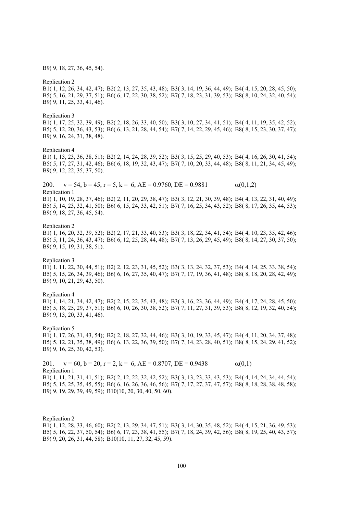B9( 9, 18, 27, 36, 45, 54).

Replication 2 B1( 1, 12, 26, 34, 42, 47); B2( 2, 13, 27, 35, 43, 48); B3( 3, 14, 19, 36, 44, 49); B4( 4, 15, 20, 28, 45, 50); B5( 5, 16, 21, 29, 37, 51); B6( 6, 17, 22, 30, 38, 52); B7( 7, 18, 23, 31, 39, 53); B8( 8, 10, 24, 32, 40, 54); B9( 9, 11, 25, 33, 41, 46). Replication 3 B1( 1, 17, 25, 32, 39, 49); B2( 2, 18, 26, 33, 40, 50); B3( 3, 10, 27, 34, 41, 51); B4( 4, 11, 19, 35, 42, 52); B5( 5, 12, 20, 36, 43, 53); B6( 6, 13, 21, 28, 44, 54); B7( 7, 14, 22, 29, 45, 46); B8( 8, 15, 23, 30, 37, 47); B9( 9, 16, 24, 31, 38, 48). Replication 4 B1( 1, 13, 23, 36, 38, 51); B2( 2, 14, 24, 28, 39, 52); B3( 3, 15, 25, 29, 40, 53); B4( 4, 16, 26, 30, 41, 54); B5( 5, 17, 27, 31, 42, 46); B6( 6, 18, 19, 32, 43, 47); B7( 7, 10, 20, 33, 44, 48); B8( 8, 11, 21, 34, 45, 49); B9( 9, 12, 22, 35, 37, 50). 200.  $v = 54$ ,  $b = 45$ ,  $r = 5$ ,  $k = 6$ ,  $AE = 0.9760$ ,  $DE = 0.9881$   $\alpha(0,1,2)$ Replication 1 B1( 1, 10, 19, 28, 37, 46); B2( 2, 11, 20, 29, 38, 47); B3( 3, 12, 21, 30, 39, 48); B4( 4, 13, 22, 31, 40, 49); B5( 5, 14, 23, 32, 41, 50); B6( 6, 15, 24, 33, 42, 51); B7( 7, 16, 25, 34, 43, 52); B8( 8, 17, 26, 35, 44, 53); B9( 9, 18, 27, 36, 45, 54). Replication 2 B1( 1, 16, 20, 32, 39, 52); B2( 2, 17, 21, 33, 40, 53); B3( 3, 18, 22, 34, 41, 54); B4( 4, 10, 23, 35, 42, 46); B5( 5, 11, 24, 36, 43, 47); B6( 6, 12, 25, 28, 44, 48); B7( 7, 13, 26, 29, 45, 49); B8( 8, 14, 27, 30, 37, 50); B9( 9, 15, 19, 31, 38, 51). Replication 3 B1( 1, 11, 22, 30, 44, 51); B2( 2, 12, 23, 31, 45, 52); B3( 3, 13, 24, 32, 37, 53); B4( 4, 14, 25, 33, 38, 54); B5( 5, 15, 26, 34, 39, 46); B6( 6, 16, 27, 35, 40, 47); B7( 7, 17, 19, 36, 41, 48); B8( 8, 18, 20, 28, 42, 49); B9( 9, 10, 21, 29, 43, 50). Replication 4 B1( 1, 14, 21, 34, 42, 47); B2( 2, 15, 22, 35, 43, 48); B3( 3, 16, 23, 36, 44, 49); B4( 4, 17, 24, 28, 45, 50); B5( 5, 18, 25, 29, 37, 51); B6( 6, 10, 26, 30, 38, 52); B7( 7, 11, 27, 31, 39, 53); B8( 8, 12, 19, 32, 40, 54); B9( 9, 13, 20, 33, 41, 46). Replication 5 B1( 1, 17, 26, 31, 43, 54); B2( 2, 18, 27, 32, 44, 46); B3( 3, 10, 19, 33, 45, 47); B4( 4, 11, 20, 34, 37, 48); B5( 5, 12, 21, 35, 38, 49); B6( 6, 13, 22, 36, 39, 50); B7( 7, 14, 23, 28, 40, 51); B8( 8, 15, 24, 29, 41, 52); B9( 9, 16, 25, 30, 42, 53). 201.  $v = 60$ ,  $b = 20$ ,  $r = 2$ ,  $k = 6$ ,  $AE = 0.8707$ ,  $DE = 0.9438$   $\alpha(0,1)$ Replication 1 B1( 1, 11, 21, 31, 41, 51); B2( 2, 12, 22, 32, 42, 52); B3( 3, 13, 23, 33, 43, 53); B4( 4, 14, 24, 34, 44, 54); B5( 5, 15, 25, 35, 45, 55); B6( 6, 16, 26, 36, 46, 56); B7( 7, 17, 27, 37, 47, 57); B8( 8, 18, 28, 38, 48, 58); B9( 9, 19, 29, 39, 49, 59); B10(10, 20, 30, 40, 50, 60).

Replication 2 B1( 1, 12, 28, 33, 46, 60); B2( 2, 13, 29, 34, 47, 51); B3( 3, 14, 30, 35, 48, 52); B4( 4, 15, 21, 36, 49, 53); B5( 5, 16, 22, 37, 50, 54); B6( 6, 17, 23, 38, 41, 55); B7( 7, 18, 24, 39, 42, 56); B8( 8, 19, 25, 40, 43, 57); B9( 9, 20, 26, 31, 44, 58); B10(10, 11, 27, 32, 45, 59).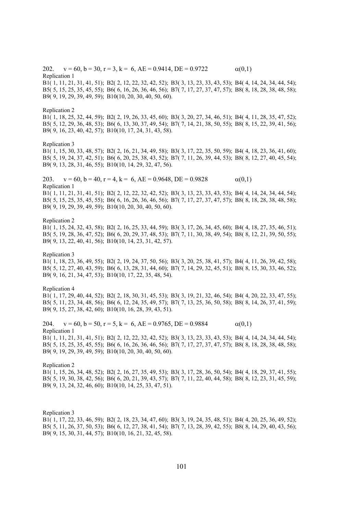202.  $v = 60$ ,  $b = 30$ ,  $r = 3$ ,  $k = 6$ ,  $AE = 0.9414$ ,  $DE = 0.9722$   $\alpha(0,1)$ Replication 1 B1( 1, 11, 21, 31, 41, 51); B2( 2, 12, 22, 32, 42, 52); B3( 3, 13, 23, 33, 43, 53); B4( 4, 14, 24, 34, 44, 54); B5( 5, 15, 25, 35, 45, 55); B6( 6, 16, 26, 36, 46, 56); B7( 7, 17, 27, 37, 47, 57); B8( 8, 18, 28, 38, 48, 58); B9( 9, 19, 29, 39, 49, 59); B10(10, 20, 30, 40, 50, 60). Replication 2 B1( 1, 18, 25, 32, 44, 59); B2( 2, 19, 26, 33, 45, 60); B3( 3, 20, 27, 34, 46, 51); B4( 4, 11, 28, 35, 47, 52); B5( 5, 12, 29, 36, 48, 53); B6( 6, 13, 30, 37, 49, 54); B7( 7, 14, 21, 38, 50, 55); B8( 8, 15, 22, 39, 41, 56); B9( 9, 16, 23, 40, 42, 57); B10(10, 17, 24, 31, 43, 58). Replication 3 B1( 1, 15, 30, 33, 48, 57); B2( 2, 16, 21, 34, 49, 58); B3( 3, 17, 22, 35, 50, 59); B4( 4, 18, 23, 36, 41, 60); B5( 5, 19, 24, 37, 42, 51); B6( 6, 20, 25, 38, 43, 52); B7( 7, 11, 26, 39, 44, 53); B8( 8, 12, 27, 40, 45, 54); B9( 9, 13, 28, 31, 46, 55); B10(10, 14, 29, 32, 47, 56). 203.  $v = 60$ ,  $b = 40$ ,  $r = 4$ ,  $k = 6$ ,  $AE = 0.9648$ ,  $DE = 0.9828$  (0,1) Replication 1 B1( 1, 11, 21, 31, 41, 51); B2( 2, 12, 22, 32, 42, 52); B3( 3, 13, 23, 33, 43, 53); B4( 4, 14, 24, 34, 44, 54); B5( 5, 15, 25, 35, 45, 55); B6( 6, 16, 26, 36, 46, 56); B7( 7, 17, 27, 37, 47, 57); B8( 8, 18, 28, 38, 48, 58); B9( 9, 19, 29, 39, 49, 59); B10(10, 20, 30, 40, 50, 60). Replication 2 B1( 1, 15, 24, 32, 43, 58); B2( 2, 16, 25, 33, 44, 59); B3( 3, 17, 26, 34, 45, 60); B4( 4, 18, 27, 35, 46, 51); B5( 5, 19, 28, 36, 47, 52); B6( 6, 20, 29, 37, 48, 53); B7( 7, 11, 30, 38, 49, 54); B8( 8, 12, 21, 39, 50, 55); B9( 9, 13, 22, 40, 41, 56); B10(10, 14, 23, 31, 42, 57). Replication 3 B1( 1, 18, 23, 36, 49, 55); B2( 2, 19, 24, 37, 50, 56); B3( 3, 20, 25, 38, 41, 57); B4( 4, 11, 26, 39, 42, 58); B5( 5, 12, 27, 40, 43, 59); B6( 6, 13, 28, 31, 44, 60); B7( 7, 14, 29, 32, 45, 51); B8( 8, 15, 30, 33, 46, 52); B9( 9, 16, 21, 34, 47, 53); B10(10, 17, 22, 35, 48, 54). Replication 4 B1( 1, 17, 29, 40, 44, 52); B2( 2, 18, 30, 31, 45, 53); B3( 3, 19, 21, 32, 46, 54); B4( 4, 20, 22, 33, 47, 55); B5( 5, 11, 23, 34, 48, 56); B6( 6, 12, 24, 35, 49, 57); B7( 7, 13, 25, 36, 50, 58); B8( 8, 14, 26, 37, 41, 59); B9( 9, 15, 27, 38, 42, 60); B10(10, 16, 28, 39, 43, 51). 204.  $v = 60$ ,  $b = 50$ ,  $r = 5$ ,  $k = 6$ ,  $AE = 0.9765$ ,  $DE = 0.9884$   $\alpha(0,1)$ Replication 1 B1( 1, 11, 21, 31, 41, 51); B2( 2, 12, 22, 32, 42, 52); B3( 3, 13, 23, 33, 43, 53); B4( 4, 14, 24, 34, 44, 54); B5( 5, 15, 25, 35, 45, 55); B6( 6, 16, 26, 36, 46, 56); B7( 7, 17, 27, 37, 47, 57); B8( 8, 18, 28, 38, 48, 58); B9( 9, 19, 29, 39, 49, 59); B10(10, 20, 30, 40, 50, 60). Replication 2 B1( 1, 15, 26, 34, 48, 52); B2( 2, 16, 27, 35, 49, 53); B3( 3, 17, 28, 36, 50, 54); B4( 4, 18, 29, 37, 41, 55); B5( 5, 19, 30, 38, 42, 56); B6( 6, 20, 21, 39, 43, 57); B7( 7, 11, 22, 40, 44, 58); B8( 8, 12, 23, 31, 45, 59); B9( 9, 13, 24, 32, 46, 60); B10(10, 14, 25, 33, 47, 51).

Replication 3 B1( 1, 17, 22, 33, 46, 59); B2( 2, 18, 23, 34, 47, 60); B3( 3, 19, 24, 35, 48, 51); B4( 4, 20, 25, 36, 49, 52); B5( 5, 11, 26, 37, 50, 53); B6( 6, 12, 27, 38, 41, 54); B7( 7, 13, 28, 39, 42, 55); B8( 8, 14, 29, 40, 43, 56); B9( 9, 15, 30, 31, 44, 57); B10(10, 16, 21, 32, 45, 58).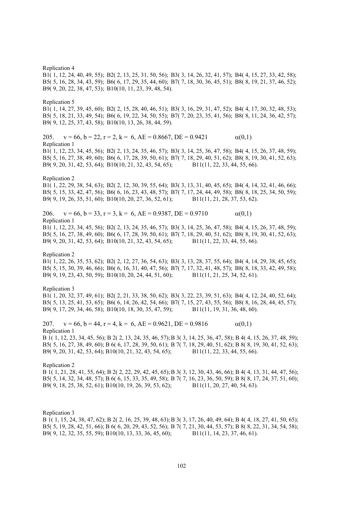Replication 4 B1( 1, 12, 24, 40, 49, 55); B2( 2, 13, 25, 31, 50, 56); B3( 3, 14, 26, 32, 41, 57); B4( 4, 15, 27, 33, 42, 58); B5( 5, 16, 28, 34, 43, 59); B6( 6, 17, 29, 35, 44, 60); B7( 7, 18, 30, 36, 45, 51); B8( 8, 19, 21, 37, 46, 52); B9( 9, 20, 22, 38, 47, 53); B10(10, 11, 23, 39, 48, 54). Replication 5 B1( 1, 14, 27, 39, 45, 60); B2( 2, 15, 28, 40, 46, 51); B3( 3, 16, 29, 31, 47, 52); B4( 4, 17, 30, 32, 48, 53); B5( 5, 18, 21, 33, 49, 54); B6( 6, 19, 22, 34, 50, 55); B7( 7, 20, 23, 35, 41, 56); B8( 8, 11, 24, 36, 42, 57); B9( 9, 12, 25, 37, 43, 58); B10(10, 13, 26, 38, 44, 59). 205.  $v = 66$ ,  $b = 22$ ,  $r = 2$ ,  $k = 6$ ,  $AE = 0.8667$ ,  $DE = 0.9421$   $\alpha(0,1)$ Replication 1 B1( 1, 12, 23, 34, 45, 56); B2( 2, 13, 24, 35, 46, 57); B3( 3, 14, 25, 36, 47, 58); B4( 4, 15, 26, 37, 48, 59); B5( 5, 16, 27, 38, 49, 60); B6( 6, 17, 28, 39, 50, 61); B7( 7, 18, 29, 40, 51, 62); B8( 8, 19, 30, 41, 52, 63); B9( 9, 20, 31, 42, 53, 64); B10(10, 21, 32, 43, 54, 65); B11(11, 22, 33, 44, 55, 66). Replication 2 B1( 1, 22, 29, 38, 54, 63); B2( 2, 12, 30, 39, 55, 64); B3( 3, 13, 31, 40, 45, 65); B4( 4, 14, 32, 41, 46, 66); B5( 5, 15, 33, 42, 47, 56); B6( 6, 16, 23, 43, 48, 57); B7( 7, 17, 24, 44, 49, 58); B8( 8, 18, 25, 34, 50, 59); B9( 9, 19, 26, 35, 51, 60); B10(10, 20, 27, 36, 52, 61); B11(11, 21, 28, 37, 53, 62). 206.  $v = 66$ ,  $b = 33$ ,  $r = 3$ ,  $k = 6$ ,  $AE = 0.9387$ ,  $DE = 0.9710$  (0,1) Replication 1 B1( 1, 12, 23, 34, 45, 56); B2( 2, 13, 24, 35, 46, 57); B3( 3, 14, 25, 36, 47, 58); B4( 4, 15, 26, 37, 48, 59); B5( 5, 16, 27, 38, 49, 60); B6( 6, 17, 28, 39, 50, 61); B7( 7, 18, 29, 40, 51, 62); B8( 8, 19, 30, 41, 52, 63); B9( 9, 20, 31, 42, 53, 64); B10(10, 21, 32, 43, 54, 65); B11(11, 22, 33, 44, 55, 66). Replication 2 B1( 1, 22, 26, 35, 53, 62); B2( 2, 12, 27, 36, 54, 63); B3( 3, 13, 28, 37, 55, 64); B4( 4, 14, 29, 38, 45, 65); B5( 5, 15, 30, 39, 46, 66); B6( 6, 16, 31, 40, 47, 56); B7( 7, 17, 32, 41, 48, 57); B8( 8, 18, 33, 42, 49, 58); B9( 9, 19, 23, 43, 50, 59); B10(10, 20, 24, 44, 51, 60); B11(11, 21, 25, 34, 52, 61). Replication 3 B1( 1, 20, 32, 37, 49, 61); B2( 2, 21, 33, 38, 50, 62); B3( 3, 22, 23, 39, 51, 63); B4( 4, 12, 24, 40, 52, 64); B5( 5, 13, 25, 41, 53, 65); B6( 6, 14, 26, 42, 54, 66); B7( 7, 15, 27, 43, 55, 56); B8( 8, 16, 28, 44, 45, 57); B9( 9, 17, 29, 34, 46, 58); B10(10, 18, 30, 35, 47, 59); B11(11, 19, 31, 36, 48, 60). 207.  $v = 66$ ,  $b = 44$ ,  $r = 4$ ,  $k = 6$ ,  $AE = 0.9621$ ,  $DE = 0.9816$   $\alpha(0,1)$ Replication 1 B 1( 1, 12, 23, 34, 45, 56); B 2( 2, 13, 24, 35, 46, 57); B 3( 3, 14, 25, 36, 47, 58); B 4( 4, 15, 26, 37, 48, 59); B5( 5, 16, 27, 38, 49, 60); B 6( 6, 17, 28, 39, 50, 61); B 7( 7, 18, 29, 40, 51, 62); B 8( 8, 19, 30, 41, 52, 63); B9( 9, 20, 31, 42, 53, 64); B10(10, 21, 32, 43, 54, 65); B11(11, 22, 33, 44, 55, 66). Replication 2 B 1( 1, 21, 28, 41, 55, 64); B 2( 2, 22, 29, 42, 45, 65); B 3( 3, 12, 30, 43, 46, 66); B 4( 4, 13, 31, 44, 47, 56); B5( 5, 14, 32, 34, 48, 57); B 6( 6, 15, 33, 35, 49, 58); B 7( 7, 16, 23, 36, 50, 59); B 8( 8, 17, 24, 37, 51, 60); B9( 9, 18, 25, 38, 52, 61); B10(10, 19, 26, 39, 53, 62); B11(11, 20, 27, 40, 54, 63).

Replication 3 B 1( 1, 15, 24, 38, 47, 62); B 2( 2, 16, 25, 39, 48, 63); B 3( 3, 17, 26, 40, 49, 64); B 4( 4, 18, 27, 41, 50, 65); B5( 5, 19, 28, 42, 51, 66); B 6( 6, 20, 29, 43, 52, 56); B 7( 7, 21, 30, 44, 53, 57); B 8( 8, 22, 31, 34, 54, 58); B9( 9, 12, 32, 35, 55, 59); B10(10, 13, 33, 36, 45, 60); B11(11, 14, 23, 37, 46, 61).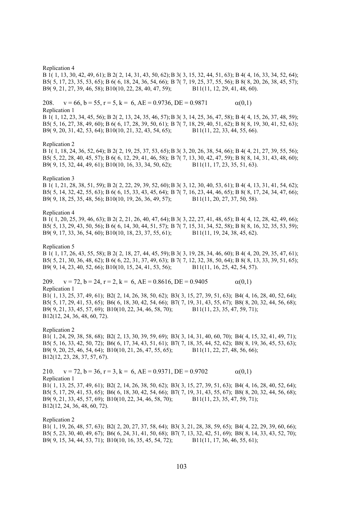Replication 4

B 1( 1, 13, 30, 42, 49, 61); B 2( 2, 14, 31, 43, 50, 62); B 3( 3, 15, 32, 44, 51, 63); B 4( 4, 16, 33, 34, 52, 64); B5( 5, 17, 23, 35, 53, 65); B 6( 6, 18, 24, 36, 54, 66); B 7( 7, 19, 25, 37, 55, 56); B 8( 8, 20, 26, 38, 45, 57); B9( 9, 21, 27, 39, 46, 58); B10(10, 22, 28, 40, 47, 59); B11(11, 12, 29, 41, 48, 60).

208.  $v = 66$ ,  $b = 55$ ,  $r = 5$ ,  $k = 6$ ,  $AE = 0.9736$ ,  $DE = 0.9871$   $\alpha(0,1)$ Replication 1

B 1( 1, 12, 23, 34, 45, 56); B 2( 2, 13, 24, 35, 46, 57); B 3( 3, 14, 25, 36, 47, 58); B 4( 4, 15, 26, 37, 48, 59); B5( 5, 16, 27, 38, 49, 60); B 6( 6, 17, 28, 39, 50, 61); B 7( 7, 18, 29, 40, 51, 62); B 8( 8, 19, 30, 41, 52, 63); B9( 9, 20, 31, 42, 53, 64); B10(10, 21, 32, 43, 54, 65); B11(11, 22, 33, 44, 55, 66).

## Replication 2

B 1( 1, 18, 24, 36, 52, 64); B 2( 2, 19, 25, 37, 53, 65); B 3( 3, 20, 26, 38, 54, 66); B 4( 4, 21, 27, 39, 55, 56); B5( 5, 22, 28, 40, 45, 57); B 6( 6, 12, 29, 41, 46, 58); B 7( 7, 13, 30, 42, 47, 59); B 8( 8, 14, 31, 43, 48, 60); B9( 9, 15, 32, 44, 49, 61); B10(10, 16, 33, 34, 50, 62); B11(11, 17, 23, 35, 51, 63).

## Replication 3

B 1( 1, 21, 28, 38, 51, 59); B 2( 2, 22, 29, 39, 52, 60); B 3( 3, 12, 30, 40, 53, 61); B 4( 4, 13, 31, 41, 54, 62); B5( 5, 14, 32, 42, 55, 63); B 6( 6, 15, 33, 43, 45, 64); B 7( 7, 16, 23, 44, 46, 65); B 8( 8, 17, 24, 34, 47, 66); B9( 9, 18, 25, 35, 48, 56); B10(10, 19, 26, 36, 49, 57); B11(11, 20, 27, 37, 50, 58).

Replication 4

B 1( 1, 20, 25, 39, 46, 63); B 2( 2, 21, 26, 40, 47, 64); B 3( 3, 22, 27, 41, 48, 65); B 4( 4, 12, 28, 42, 49, 66); B5( 5, 13, 29, 43, 50, 56); B 6( 6, 14, 30, 44, 51, 57); B 7( 7, 15, 31, 34, 52, 58); B 8( 8, 16, 32, 35, 53, 59); B9( 9, 17, 33, 36, 54, 60); B10(10, 18, 23, 37, 55, 61); B11(11, 19, 24, 38, 45, 62).

Replication 5

B 1( 1, 17, 26, 43, 55, 58); B 2( 2, 18, 27, 44, 45, 59); B 3( 3, 19, 28, 34, 46, 60); B 4( 4, 20, 29, 35, 47, 61); B5( 5, 21, 30, 36, 48, 62); B 6( 6, 22, 31, 37, 49, 63); B 7( 7, 12, 32, 38, 50, 64); B 8( 8, 13, 33, 39, 51, 65); B9( 9, 14, 23, 40, 52, 66); B10(10, 15, 24, 41, 53, 56); B11(11, 16, 25, 42, 54, 57).

209.  $v = 72$ ,  $b = 24$ ,  $r = 2$ ,  $k = 6$ ,  $AE = 0.8616$ ,  $DE = 0.9405$   $\alpha(0,1)$ Replication 1 B1( 1, 13, 25, 37, 49, 61); B2( 2, 14, 26, 38, 50, 62); B3( 3, 15, 27, 39, 51, 63); B4( 4, 16, 28, 40, 52, 64); B5( 5, 17, 29, 41, 53, 65); B6( 6, 18, 30, 42, 54, 66); B7( 7, 19, 31, 43, 55, 67); B8( 8, 20, 32, 44, 56, 68); B9( 9, 21, 33, 45, 57, 69); B10(10, 22, 34, 46, 58, 70); B11(11, 23, 35, 47, 59, 71);

B12(12, 24, 36, 48, 60, 72).

Replication 2 B1( 1, 24, 29, 38, 58, 68); B2( 2, 13, 30, 39, 59, 69); B3( 3, 14, 31, 40, 60, 70); B4( 4, 15, 32, 41, 49, 71); B5( 5, 16, 33, 42, 50, 72); B6( 6, 17, 34, 43, 51, 61); B7( 7, 18, 35, 44, 52, 62); B8( 8, 19, 36, 45, 53, 63); B9( 9, 20, 25, 46, 54, 64); B10(10, 21, 26, 47, 55, 65); B11(11, 22, 27, 48, 56, 66); B12(12, 23, 28, 37, 57, 67).

210.  $v = 72$ ,  $b = 36$ ,  $r = 3$ ,  $k = 6$ ,  $AE = 0.9371$ ,  $DE = 0.9702$   $\alpha(0,1)$ Replication 1 B1( 1, 13, 25, 37, 49, 61); B2( 2, 14, 26, 38, 50, 62); B3( 3, 15, 27, 39, 51, 63); B4( 4, 16, 28, 40, 52, 64); B5( 5, 17, 29, 41, 53, 65); B6( 6, 18, 30, 42, 54, 66); B7( 7, 19, 31, 43, 55, 67); B8( 8, 20, 32, 44, 56, 68); B9( 9, 21, 33, 45, 57, 69); B10(10, 22, 34, 46, 58, 70); B11(11, 23, 35, 47, 59, 71); B12(12, 24, 36, 48, 60, 72).

Replication 2 B1( 1, 19, 26, 48, 57, 63); B2( 2, 20, 27, 37, 58, 64); B3( 3, 21, 28, 38, 59, 65); B4( 4, 22, 29, 39, 60, 66); B5( 5, 23, 30, 40, 49, 67); B6( 6, 24, 31, 41, 50, 68); B7( 7, 13, 32, 42, 51, 69); B8( 8, 14, 33, 43, 52, 70); B9( 9, 15, 34, 44, 53, 71); B10(10, 16, 35, 45, 54, 72); B11(11, 17, 36, 46, 55, 61);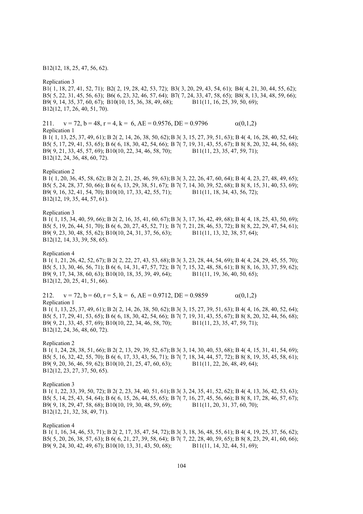B12(12, 18, 25, 47, 56, 62).

Replication 3

B1( 1, 18, 27, 41, 52, 71); B2( 2, 19, 28, 42, 53, 72); B3( 3, 20, 29, 43, 54, 61); B4( 4, 21, 30, 44, 55, 62); B5( 5, 22, 31, 45, 56, 63); B6( 6, 23, 32, 46, 57, 64); B7( 7, 24, 33, 47, 58, 65); B8( 8, 13, 34, 48, 59, 66); B9( 9, 14, 35, 37, 60, 67); B10(10, 15, 36, 38, 49, 68); B11(11, 16, 25, 39, 50, 69); B12(12, 17, 26, 40, 51, 70).

211.  $v = 72$ ,  $b = 48$ ,  $r = 4$ ,  $k = 6$ ,  $AE = 0.9576$ ,  $DE = 0.9796$   $\alpha(0,1,2)$ 

Replication 1

B 1( 1, 13, 25, 37, 49, 61); B 2( 2, 14, 26, 38, 50, 62); B 3( 3, 15, 27, 39, 51, 63); B 4( 4, 16, 28, 40, 52, 64); B5( 5, 17, 29, 41, 53, 65); B 6( 6, 18, 30, 42, 54, 66); B 7( 7, 19, 31, 43, 55, 67); B 8( 8, 20, 32, 44, 56, 68); B9( 9, 21, 33, 45, 57, 69); B10(10, 22, 34, 46, 58, 70); B11(11, 23, 35, 47, 59, 71); B12(12, 24, 36, 48, 60, 72).

Replication 2

B 1( 1, 20, 36, 45, 58, 62); B 2( 2, 21, 25, 46, 59, 63); B 3( 3, 22, 26, 47, 60, 64); B 4( 4, 23, 27, 48, 49, 65); B5( 5, 24, 28, 37, 50, 66); B 6( 6, 13, 29, 38, 51, 67); B 7( 7, 14, 30, 39, 52, 68); B 8( 8, 15, 31, 40, 53, 69); B9( 9, 16, 32, 41, 54, 70); B10(10, 17, 33, 42, 55, 71); B11(11, 18, 34, 43, 56, 72); B12(12, 19, 35, 44, 57, 61).

Replication 3

B 1( 1, 15, 34, 40, 59, 66); B 2( 2, 16, 35, 41, 60, 67); B 3( 3, 17, 36, 42, 49, 68); B 4( 4, 18, 25, 43, 50, 69); B5( 5, 19, 26, 44, 51, 70); B 6( 6, 20, 27, 45, 52, 71); B 7( 7, 21, 28, 46, 53, 72); B 8( 8, 22, 29, 47, 54, 61); B9( 9, 23, 30, 48, 55, 62); B10(10, 24, 31, 37, 56, 63); B11(11, 13, 32, 38, 57, 64); B12(12, 14, 33, 39, 58, 65).

Replication 4

B 1( 1, 21, 26, 42, 52, 67); B 2( 2, 22, 27, 43, 53, 68); B 3( 3, 23, 28, 44, 54, 69); B 4( 4, 24, 29, 45, 55, 70); B5( 5, 13, 30, 46, 56, 71); B 6( 6, 14, 31, 47, 57, 72); B 7( 7, 15, 32, 48, 58, 61); B 8( 8, 16, 33, 37, 59, 62); B9( 9, 17, 34, 38, 60, 63); B10(10, 18, 35, 39, 49, 64); B11(11, 19, 36, 40, 50, 65); B12(12, 20, 25, 41, 51, 66).

212.  $v = 72$ ,  $b = 60$ ,  $r = 5$ ,  $k = 6$ ,  $AE = 0.9712$ ,  $DE = 0.9859$   $\alpha(0,1,2)$ Replication 1 B 1( 1, 13, 25, 37, 49, 61); B 2( 2, 14, 26, 38, 50, 62); B 3( 3, 15, 27, 39, 51, 63); B 4( 4, 16, 28, 40, 52, 64); B5( 5, 17, 29, 41, 53, 65); B 6( 6, 18, 30, 42, 54, 66); B 7( 7, 19, 31, 43, 55, 67); B 8( 8, 20, 32, 44, 56, 68); B9( 9, 21, 33, 45, 57, 69); B10(10, 22, 34, 46, 58, 70); B11(11, 23, 35, 47, 59, 71); B12(12, 24, 36, 48, 60, 72).

Replication 2

B 1( 1, 24, 28, 38, 51, 66); B 2( 2, 13, 29, 39, 52, 67); B 3( 3, 14, 30, 40, 53, 68); B 4( 4, 15, 31, 41, 54, 69); B5( 5, 16, 32, 42, 55, 70); B 6( 6, 17, 33, 43, 56, 71); B 7( 7, 18, 34, 44, 57, 72); B 8( 8, 19, 35, 45, 58, 61); B9( 9, 20, 36, 46, 59, 62); B10(10, 21, 25, 47, 60, 63); B11(11, 22, 26, 48, 49, 64); B12(12, 23, 27, 37, 50, 65).

Replication 3

B 1( 1, 22, 33, 39, 50, 72); B 2( 2, 23, 34, 40, 51, 61); B 3( 3, 24, 35, 41, 52, 62); B 4( 4, 13, 36, 42, 53, 63); B5( 5, 14, 25, 43, 54, 64); B 6( 6, 15, 26, 44, 55, 65); B 7( 7, 16, 27, 45, 56, 66); B 8( 8, 17, 28, 46, 57, 67); B9( 9, 18, 29, 47, 58, 68); B10(10, 19, 30, 48, 59, 69); B11(11, 20, 31, 37, 60, 70); B12(12, 21, 32, 38, 49, 71).

Replication 4

B 1( 1, 16, 34, 46, 53, 71); B 2( 2, 17, 35, 47, 54, 72); B 3( 3, 18, 36, 48, 55, 61); B 4( 4, 19, 25, 37, 56, 62); B5( 5, 20, 26, 38, 57, 63); B 6( 6, 21, 27, 39, 58, 64); B 7( 7, 22, 28, 40, 59, 65); B 8( 8, 23, 29, 41, 60, 66); B9( 9, 24, 30, 42, 49, 67); B10(10, 13, 31, 43, 50, 68); B11(11, 14, 32, 44, 51, 69);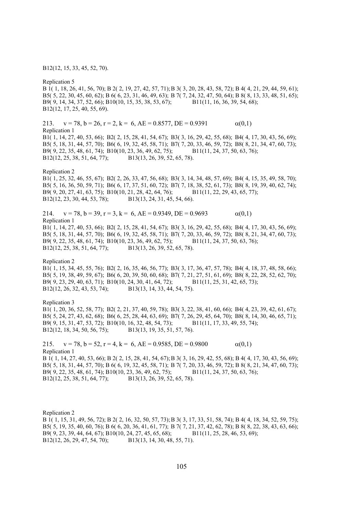B12(12, 15, 33, 45, 52, 70).

Replication 5

B 1( 1, 18, 26, 41, 56, 70); B 2( 2, 19, 27, 42, 57, 71); B 3( 3, 20, 28, 43, 58, 72); B 4( 4, 21, 29, 44, 59, 61); B5( 5, 22, 30, 45, 60, 62); B 6( 6, 23, 31, 46, 49, 63); B 7( 7, 24, 32, 47, 50, 64); B 8( 8, 13, 33, 48, 51, 65); B9( 9, 14, 34, 37, 52, 66); B10(10, 15, 35, 38, 53, 67); B11(11, 16, 36, 39, 54, 68); B12(12, 17, 25, 40, 55, 69).

213.  $v = 78$ ,  $b = 26$ ,  $r = 2$ ,  $k = 6$ ,  $AE = 0.8577$ ,  $DE = 0.9391$   $\alpha(0,1)$ Replication 1 B1( 1, 14, 27, 40, 53, 66); B2( 2, 15, 28, 41, 54, 67); B3( 3, 16, 29, 42, 55, 68); B4( 4, 17, 30, 43, 56, 69); B5( 5, 18, 31, 44, 57, 70); B6( 6, 19, 32, 45, 58, 71); B7( 7, 20, 33, 46, 59, 72); B8( 8, 21, 34, 47, 60, 73); B9( 9, 22, 35, 48, 61, 74); B10(10, 23, 36, 49, 62, 75); B11(11, 24, 37, 50, 63, 76); B12(12, 25, 38, 51, 64, 77); B13(13, 26, 39, 52, 65, 78).

Replication 2

B1( 1, 25, 32, 46, 55, 67); B2( 2, 26, 33, 47, 56, 68); B3( 3, 14, 34, 48, 57, 69); B4( 4, 15, 35, 49, 58, 70); B5( 5, 16, 36, 50, 59, 71); B6( 6, 17, 37, 51, 60, 72); B7( 7, 18, 38, 52, 61, 73); B8( 8, 19, 39, 40, 62, 74); B9( 9, 20, 27, 41, 63, 75); B10(10, 21, 28, 42, 64, 76); B11(11, 22, 29, 43, 65, 77); B12(12, 23, 30, 44, 53, 78); B13(13, 24, 31, 45, 54, 66).

214.  $v = 78$ ,  $b = 39$ ,  $r = 3$ ,  $k = 6$ ,  $AE = 0.9349$ ,  $DE = 0.9693$  (0,1) Replication 1 B1( 1, 14, 27, 40, 53, 66); B2( 2, 15, 28, 41, 54, 67); B3( 3, 16, 29, 42, 55, 68); B4( 4, 17, 30, 43, 56, 69); B5( 5, 18, 31, 44, 57, 70); B6( 6, 19, 32, 45, 58, 71); B7( 7, 20, 33, 46, 59, 72); B8( 8, 21, 34, 47, 60, 73); B9( 9, 22, 35, 48, 61, 74); B10(10, 23, 36, 49, 62, 75); B11(11, 24, 37, 50, 63, 76); B12(12, 25, 38, 51, 64, 77); B13(13, 26, 39, 52, 65, 78).

Replication 2

B1( 1, 15, 34, 45, 55, 76); B2( 2, 16, 35, 46, 56, 77); B3( 3, 17, 36, 47, 57, 78); B4( 4, 18, 37, 48, 58, 66); B5( 5, 19, 38, 49, 59, 67); B6( 6, 20, 39, 50, 60, 68); B7( 7, 21, 27, 51, 61, 69); B8( 8, 22, 28, 52, 62, 70); B9( 9, 23, 29, 40, 63, 71); B10(10, 24, 30, 41, 64, 72); B11(11, 25, 31, 42, 65, 73); B12(12, 26, 32, 43, 53, 74); B13(13, 14, 33, 44, 54, 75).

Replication 3

B1( 1, 20, 36, 52, 58, 77); B2( 2, 21, 37, 40, 59, 78); B3( 3, 22, 38, 41, 60, 66); B4( 4, 23, 39, 42, 61, 67); B5( 5, 24, 27, 43, 62, 68); B6( 6, 25, 28, 44, 63, 69); B7( 7, 26, 29, 45, 64, 70); B8( 8, 14, 30, 46, 65, 71); B9( 9, 15, 31, 47, 53, 72); B10(10, 16, 32, 48, 54, 73); B11(11, 17, 33, 49, 55, 74); B12(12, 18, 34, 50, 56, 75); B13(13, 19, 35, 51, 57, 76).

215.  $v = 78$ ,  $b = 52$ ,  $r = 4$ ,  $k = 6$ ,  $AE = 0.9585$ ,  $DE = 0.9800$   $\alpha(0,1)$ Replication 1 B 1( 1, 14, 27, 40, 53, 66); B 2( 2, 15, 28, 41, 54, 67); B 3( 3, 16, 29, 42, 55, 68); B 4( 4, 17, 30, 43, 56, 69); B5( 5, 18, 31, 44, 57, 70); B 6( 6, 19, 32, 45, 58, 71); B 7( 7, 20, 33, 46, 59, 72); B 8( 8, 21, 34, 47, 60, 73); B9( 9, 22, 35, 48, 61, 74); B10(10, 23, 36, 49, 62, 75); B11(11, 24, 37, 50, 63, 76); B12(12, 25, 38, 51, 64, 77); B13(13, 26, 39, 52, 65, 78).

Replication 2 B 1( 1, 15, 31, 49, 56, 72); B 2( 2, 16, 32, 50, 57, 73); B 3( 3, 17, 33, 51, 58, 74); B 4( 4, 18, 34, 52, 59, 75); B5( 5, 19, 35, 40, 60, 76); B 6( 6, 20, 36, 41, 61, 77); B 7( 7, 21, 37, 42, 62, 78); B 8( 8, 22, 38, 43, 63, 66); B9( 9, 23, 39, 44, 64, 67); B10(10, 24, 27, 45, 65, 68); B11(11, 25, 28, 46, 53, 69); B12(12, 26, 29, 47, 54, 70); B13(13, 14, 30, 48, 55, 71).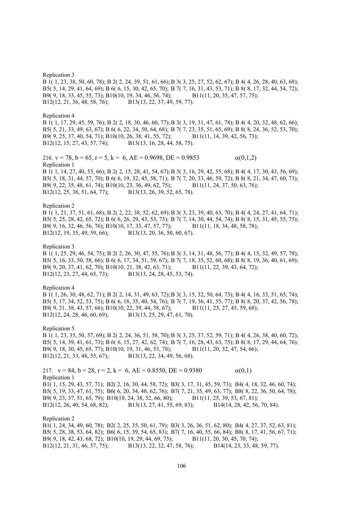Replication 3

B 1( 1, 23, 38, 50, 60, 78); B 2( 2, 24, 39, 51, 61, 66); B 3( 3, 25, 27, 52, 62, 67); B 4( 4, 26, 28, 40, 63, 68); B5( 5, 14, 29, 41, 64, 69); B 6( 6, 15, 30, 42, 65, 70); B 7( 7, 16, 31, 43, 53, 71); B 8( 8, 17, 32, 44, 54, 72); B9( 9, 18, 33, 45, 55, 73); B10(10, 19, 34, 46, 56, 74); B11(11, 20, 35, 47, 57, 75); B12(12, 21, 36, 48, 58, 76); B13(13, 22, 37, 49, 59, 77).

Replication 4 B 1( 1, 17, 29, 45, 59, 76); B 2( 2, 18, 30, 46, 60, 77); B 3( 3, 19, 31, 47, 61, 78); B 4( 4, 20, 32, 48, 62, 66); B5( 5, 21, 33, 49, 63, 67); B 6( 6, 22, 34, 50, 64, 68); B 7( 7, 23, 35, 51, 65, 69); B 8( 8, 24, 36, 52, 53, 70); B9( 9, 25, 37, 40, 54, 71); B10(10, 26, 38, 41, 55, 72); B11(11, 14, 39, 42, 56, 73); B12(12, 15, 27, 43, 57, 74); B13(13, 16, 28, 44, 58, 75).

216.  $v = 78$ ,  $b = 65$ ,  $r = 5$ ,  $k = 6$ ,  $AE = 0.9698$ ,  $DE = 0.9853$  (0,1,2) Replication 1 B 1( 1, 14, 27, 40, 53, 66); B 2( 2, 15, 28, 41, 54, 67); B 3( 3, 16, 29, 42, 55, 68); B 4( 4, 17, 30, 43, 56, 69); B5( 5, 18, 31, 44, 57, 70); B 6( 6, 19, 32, 45, 58, 71); B 7( 7, 20, 33, 46, 59, 72); B 8( 8, 21, 34, 47, 60, 73); B9( 9, 22, 35, 48, 61, 74); B10(10, 23, 36, 49, 62, 75); B11(11, 24, 37, 50, 63, 76); B12(12, 25, 38, 51, 64, 77); B13(13, 26, 39, 52, 65, 78).

Replication 2

B 1( 1, 21, 37, 51, 61, 68); B 2( 2, 22, 38, 52, 62, 69); B 3( 3, 23, 39, 40, 63, 70); B 4( 4, 24, 27, 41, 64, 71); B5( 5, 25, 28, 42, 65, 72); B 6( 6, 26, 29, 43, 53, 73); B 7( 7, 14, 30, 44, 54, 74); B 8( 8, 15, 31, 45, 55, 75); B9( 9, 16, 32, 46, 56, 76); B10(10, 17, 33, 47, 57, 77); B11(11, 18, 34, 48, 58, 78); B12(12, 19, 35, 49, 59, 66); B13(13, 20, 36, 50, 60, 67).

Replication 3

B 1( 1, 25, 29, 46, 54, 75); B 2( 2, 26, 30, 47, 55, 76); B 3( 3, 14, 31, 48, 56, 77); B 4( 4, 15, 32, 49, 57, 78); B5( 5, 16, 33, 50, 58, 66); B 6( 6, 17, 34, 51, 59, 67); B 7( 7, 18, 35, 52, 60, 68); B 8( 8, 19, 36, 40, 61, 69); B9( 9, 20, 37, 41, 62, 70); B10(10, 21, 38, 42, 63, 71); B11(11, 22, 39, 43, 64, 72); B12(12, 23, 27, 44, 65, 73); B13(13, 24, 28, 45, 53, 74).

Replication 4

B 1( 1, 26, 30, 48, 62, 71); B 2( 2, 14, 31, 49, 63, 72); B 3( 3, 15, 32, 50, 64, 73); B 4( 4, 16, 33, 51, 65, 74); B5( 5, 17, 34, 52, 53, 75); B 6( 6, 18, 35, 40, 54, 76); B 7( 7, 19, 36, 41, 55, 77); B 8( 8, 20, 37, 42, 56, 78); B9( 9, 21, 38, 43, 57, 66); B10(10, 22, 39, 44, 58, 67); B11(11, 23, 27, 45, 59, 68); B12(12, 24, 28, 46, 60, 69); B13(13, 25, 29, 47, 61, 70).

Replication 5 B 1( 1, 23, 35, 50, 57, 69); B 2( 2, 24, 36, 51, 58, 70); B 3( 3, 25, 37, 52, 59, 71); B 4( 4, 26, 38, 40, 60, 72); B5( 5, 14, 39, 41, 61, 73); B 6( 6, 15, 27, 42, 62, 74); B 7( 7, 16, 28, 43, 63, 75); B 8( 8, 17, 29, 44, 64, 76); B9( 9, 18, 30, 45, 65, 77); B10(10, 19, 31, 46, 53, 78); B11(11, 20, 32, 47, 54, 66); B12(12, 21, 33, 48, 55, 67); B13(13, 22, 34, 49, 56, 68).

217.  $v = 84$ ,  $b = 28$ ,  $r = 2$ ,  $k = 6$ ,  $AE = 0.8550$ ,  $DE = 0.9380$   $\alpha(0,1)$ Replication 1 B1( 1, 15, 29, 43, 57, 71); B2( 2, 16, 30, 44, 58, 72); B3( 3, 17, 31, 45, 59, 73); B4( 4, 18, 32, 46, 60, 74); B5( 5, 19, 33, 47, 61, 75); B6( 6, 20, 34, 48, 62, 76); B7( 7, 21, 35, 49, 63, 77); B8( 8, 22, 36, 50, 64, 78); B9( 9, 23, 37, 51, 65, 79); B10(10, 24, 38, 52, 66, 80); B11(11, 25, 39, 53, 67, 81); B12(12, 26, 40, 54, 68, 82); B13(13, 27, 41, 55, 69, 83); B14(14, 28, 42, 56, 70, 84).

Replication 2 B1( 1, 24, 34, 49, 60, 78); B2( 2, 25, 35, 50, 61, 79); B3( 3, 26, 36, 51, 62, 80); B4( 4, 27, 37, 52, 63, 81); B5( 5, 28, 38, 53, 64, 82); B6( 6, 15, 39, 54, 65, 83); B7( 7, 16, 40, 55, 66, 84); B8( 8, 17, 41, 56, 67, 71); B9( 9, 18, 42, 43, 68, 72); B10(10, 19, 29, 44, 69, 73); B11(11, 20, 30, 45, 70, 74); B12(12, 21, 31, 46, 57, 75); B13(13, 22, 32, 47, 58, 76); B14(14, 23, 33, 48, 59, 77).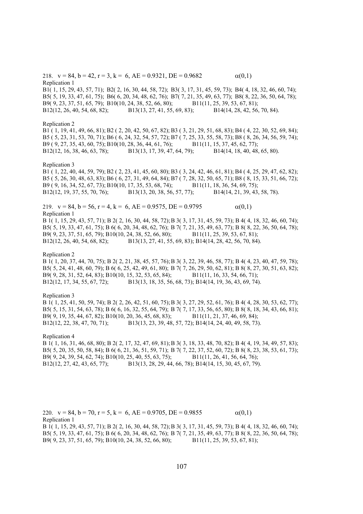218.  $v = 84$ ,  $b = 42$ ,  $r = 3$ ,  $k = 6$ ,  $AE = 0.9321$ ,  $DE = 0.9682$   $\alpha(0,1)$ Replication 1 B1( 1, 15, 29, 43, 57, 71); B2( 2, 16, 30, 44, 58, 72); B3( 3, 17, 31, 45, 59, 73); B4( 4, 18, 32, 46, 60, 74); B5( 5, 19, 33, 47, 61, 75); B6( 6, 20, 34, 48, 62, 76); B7( 7, 21, 35, 49, 63, 77); B8( 8, 22, 36, 50, 64, 78); B9( 9, 23, 37, 51, 65, 79); B10(10, 24, 38, 52, 66, 80); B11(11, 25, 39, 53, 67, 81); B12(12, 26, 40, 54, 68, 82); B13(13, 27, 41, 55, 69, 83); B14(14, 28, 42, 56, 70, 84).

### Replication 2

B1 ( 1, 19, 41, 49, 66, 81); B2 ( 2, 20, 42, 50, 67, 82); B3 ( 3, 21, 29, 51, 68, 83); B4 ( 4, 22, 30, 52, 69, 84); B5 ( 5, 23, 31, 53, 70, 71); B6 ( 6, 24, 32, 54, 57, 72); B7 ( 7, 25, 33, 55, 58, 73); B8 ( 8, 26, 34, 56, 59, 74); B9 ( 9, 27, 35, 43, 60, 75); B10(10, 28, 36, 44, 61, 76); B11(11, 15, 37, 45, 62, 77); B12(12, 16, 38, 46, 63, 78); B13(13, 17, 39, 47, 64, 79); B14(14, 18, 40, 48, 65, 80).

# Replication 3

B1 ( 1, 22, 40, 44, 59, 79); B2 ( 2, 23, 41, 45, 60, 80); B3 ( 3, 24, 42, 46, 61, 81); B4 ( 4, 25, 29, 47, 62, 82); B5 ( 5, 26, 30, 48, 63, 83); B6 ( 6, 27, 31, 49, 64, 84); B7 ( 7, 28, 32, 50, 65, 71); B8 ( 8, 15, 33, 51, 66, 72); B9 ( 9, 16, 34, 52, 67, 73); B10(10, 17, 35, 53, 68, 74); B11(11, 18, 36, 54, 69, 75); B12(12, 19, 37, 55, 70, 76); B13(13, 20, 38, 56, 57, 77); B14(14, 21, 39, 43, 58, 78).

219.  $v = 84$ ,  $b = 56$ ,  $r = 4$ ,  $k = 6$ ,  $AE = 0.9575$ ,  $DE = 0.9795$  (0,1) Replication 1

B 1( 1, 15, 29, 43, 57, 71); B 2( 2, 16, 30, 44, 58, 72); B 3( 3, 17, 31, 45, 59, 73); B 4( 4, 18, 32, 46, 60, 74); B5( 5, 19, 33, 47, 61, 75); B 6( 6, 20, 34, 48, 62, 76); B 7( 7, 21, 35, 49, 63, 77); B 8( 8, 22, 36, 50, 64, 78); B9( 9, 23, 37, 51, 65, 79); B10(10, 24, 38, 52, 66, 80); B11(11, 25, 39, 53, 67, 81); B12(12, 26, 40, 54, 68, 82); B13(13, 27, 41, 55, 69, 83); B14(14, 28, 42, 56, 70, 84).

# Replication 2

B 1( 1, 20, 37, 44, 70, 75); B 2( 2, 21, 38, 45, 57, 76); B 3( 3, 22, 39, 46, 58, 77); B 4( 4, 23, 40, 47, 59, 78); B5( 5, 24, 41, 48, 60, 79); B 6( 6, 25, 42, 49, 61, 80); B 7( 7, 26, 29, 50, 62, 81); B 8( 8, 27, 30, 51, 63, 82); B9( 9, 28, 31, 52, 64, 83); B10(10, 15, 32, 53, 65, 84); B11(11, 16, 33, 54, 66, 71); B12(12, 17, 34, 55, 67, 72); B13(13, 18, 35, 56, 68, 73); B14(14, 19, 36, 43, 69, 74).

### Replication 3

B 1( 1, 25, 41, 50, 59, 74); B 2( 2, 26, 42, 51, 60, 75); B 3( 3, 27, 29, 52, 61, 76); B 4( 4, 28, 30, 53, 62, 77); B5( 5, 15, 31, 54, 63, 78); B 6( 6, 16, 32, 55, 64, 79); B 7( 7, 17, 33, 56, 65, 80); B 8( 8, 18, 34, 43, 66, 81); B9( 9, 19, 35, 44, 67, 82); B10(10, 20, 36, 45, 68, 83); B11(11, 21, 37, 46, 69, 84); B12(12, 22, 38, 47, 70, 71); B13(13, 23, 39, 48, 57, 72); B14(14, 24, 40, 49, 58, 73).

### Replication 4

B 1( 1, 16, 31, 46, 68, 80); B 2( 2, 17, 32, 47, 69, 81); B 3( 3, 18, 33, 48, 70, 82); B 4( 4, 19, 34, 49, 57, 83); B5( 5, 20, 35, 50, 58, 84); B 6( 6, 21, 36, 51, 59, 71); B 7( 7, 22, 37, 52, 60, 72); B 8( 8, 23, 38, 53, 61, 73); B9( 9, 24, 39, 54, 62, 74); B10(10, 25, 40, 55, 63, 75); B11(11, 26, 41, 56, 64, 76);<br>B12(12, 27, 42, 43, 65, 77); B13(13, 28, 29, 44, 66, 78); B14(14, 15, 30, 45, 67, 79) B13(13, 28, 29, 44, 66, 78); B14(14, 15, 30, 45, 67, 79).

220.  $v = 84$ ,  $b = 70$ ,  $r = 5$ ,  $k = 6$ ,  $AE = 0.9705$ ,  $DE = 0.9855$  (d(0,1)) Replication 1

B 1( 1, 15, 29, 43, 57, 71); B 2( 2, 16, 30, 44, 58, 72); B 3( 3, 17, 31, 45, 59, 73); B 4( 4, 18, 32, 46, 60, 74); B5( 5, 19, 33, 47, 61, 75); B 6( 6, 20, 34, 48, 62, 76); B 7( 7, 21, 35, 49, 63, 77); B 8( 8, 22, 36, 50, 64, 78); B9( 9, 23, 37, 51, 65, 79); B10(10, 24, 38, 52, 66, 80); B11(11, 25, 39, 53, 67, 81);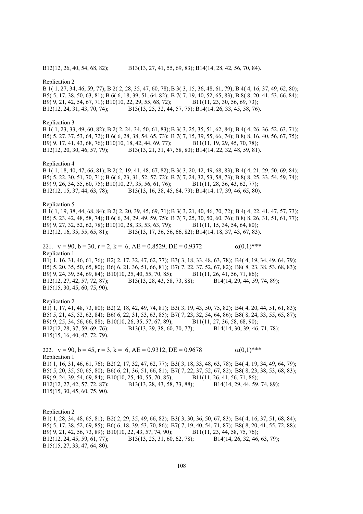Replication 2

B 1( 1, 27, 34, 46, 59, 77); B 2( 2, 28, 35, 47, 60, 78); B 3( 3, 15, 36, 48, 61, 79); B 4( 4, 16, 37, 49, 62, 80); B5( 5, 17, 38, 50, 63, 81); B 6( 6, 18, 39, 51, 64, 82); B 7( 7, 19, 40, 52, 65, 83); B 8( 8, 20, 41, 53, 66, 84); B9( 9, 21, 42, 54, 67, 71); B10(10, 22, 29, 55, 68, 72); B11(11, 23, 30, 56, 69, 73); B12(12, 24, 31, 43, 70, 74); B13(13, 25, 32, 44, 57, 75); B14(14, 26, 33, 45, 58, 76).

### Replication 3

B 1( 1, 23, 33, 49, 60, 82); B 2( 2, 24, 34, 50, 61, 83); B 3( 3, 25, 35, 51, 62, 84); B 4( 4, 26, 36, 52, 63, 71); B5( 5, 27, 37, 53, 64, 72); B 6( 6, 28, 38, 54, 65, 73); B 7( 7, 15, 39, 55, 66, 74); B 8( 8, 16, 40, 56, 67, 75); B9( 9, 17, 41, 43, 68, 76); B10(10, 18, 42, 44, 69, 77); B11(11, 19, 29, 45, 70, 78); B12(12, 20, 30, 46, 57, 79); B13(13, 21, 31, 47, 58, 80); B14(14, 22, 32, 48, 59, 81).

# Replication 4

B 1( 1, 18, 40, 47, 66, 81); B 2( 2, 19, 41, 48, 67, 82); B 3( 3, 20, 42, 49, 68, 83); B 4( 4, 21, 29, 50, 69, 84); B5( 5, 22, 30, 51, 70, 71); B 6( 6, 23, 31, 52, 57, 72); B 7( 7, 24, 32, 53, 58, 73); B 8( 8, 25, 33, 54, 59, 74); B9( 9, 26, 34, 55, 60, 75); B10(10, 27, 35, 56, 61, 76); B11(11, 28, 36, 43, 62, 77); B12(12, 15, 37, 44, 63, 78); B13(13, 16, 38, 45, 64, 79); B14(14, 17, 39, 46, 65, 80).

# Replication 5

B 1( 1, 19, 38, 44, 68, 84); B 2( 2, 20, 39, 45, 69, 71); B 3( 3, 21, 40, 46, 70, 72); B 4( 4, 22, 41, 47, 57, 73); B5( 5, 23, 42, 48, 58, 74); B 6( 6, 24, 29, 49, 59, 75); B 7( 7, 25, 30, 50, 60, 76); B 8( 8, 26, 31, 51, 61, 77); B9( 9, 27, 32, 52, 62, 78); B10(10, 28, 33, 53, 63, 79); B11(11, 15, 34, 54, 64, 80); B12(12, 16, 35, 55, 65, 81); B13(13, 17, 36, 56, 66, 82); B14(14, 18, 37, 43, 67, 83).

221.  $v = 90$ ,  $b = 30$ ,  $r = 2$ ,  $k = 6$ ,  $AE = 0.8529$ ,  $DE = 0.9372$   $\alpha(0,1)$ \*\*\* Replication 1

B1( 1, 16, 31, 46, 61, 76); B2( 2, 17, 32, 47, 62, 77); B3( 3, 18, 33, 48, 63, 78); B4( 4, 19, 34, 49, 64, 79); B5( 5, 20, 35, 50, 65, 80); B6( 6, 21, 36, 51, 66, 81); B7( 7, 22, 37, 52, 67, 82); B8( 8, 23, 38, 53, 68, 83); B9( 9, 24, 39, 54, 69, 84); B10(10, 25, 40, 55, 70, 85); B11(11, 26, 41, 56, 71, 86); B12(12, 27, 42, 57, 72, 87); B13(13, 28, 43, 58, 73, 88); B14(14, 29, 44, 59, 74, 89); B15(15, 30, 45, 60, 75, 90).

#### Replication 2

B1( 1, 17, 41, 48, 73, 80); B2( 2, 18, 42, 49, 74, 81); B3( 3, 19, 43, 50, 75, 82); B4( 4, 20, 44, 51, 61, 83); B5( 5, 21, 45, 52, 62, 84); B6( 6, 22, 31, 53, 63, 85); B7( 7, 23, 32, 54, 64, 86); B8( 8, 24, 33, 55, 65, 87); B9( 9, 25, 34, 56, 66, 88); B10(10, 26, 35, 57, 67, 89); B11(11, 27, 36, 58, 68, 90); B12(12, 28, 37, 59, 69, 76); B13(13, 29, 38, 60, 70, 77); B14(14, 30, 39, 46, 71, 78); B15(15, 16, 40, 47, 72, 79).

222.  $y = 90$ ,  $b = 45$ ,  $r = 3$ ,  $k = 6$ ,  $AE = 0.9312$ ,  $DE = 0.9678$  (0,1)\*\*\* Replication 1 B1( 1, 16, 31, 46, 61, 76); B2( 2, 17, 32, 47, 62, 77); B3( 3, 18, 33, 48, 63, 78); B4( 4, 19, 34, 49, 64, 79); B5( 5, 20, 35, 50, 65, 80); B6( 6, 21, 36, 51, 66, 81); B7( 7, 22, 37, 52, 67, 82); B8( 8, 23, 38, 53, 68, 83); B9( 9, 24, 39, 54, 69, 84); B10(10, 25, 40, 55, 70, 85); B11(11, 26, 41, 56, 71, 86); B12(12, 27, 42, 57, 72, 87); B13(13, 28, 43, 58, 73, 88); B14(14, 29, 44, 59, 74, 89); B15(15, 30, 45, 60, 75, 90).

Replication 2 B1( 1, 28, 34, 48, 65, 81); B2( 2, 29, 35, 49, 66, 82); B3( 3, 30, 36, 50, 67, 83); B4( 4, 16, 37, 51, 68, 84); B5( 5, 17, 38, 52, 69, 85); B6( 6, 18, 39, 53, 70, 86); B7( 7, 19, 40, 54, 71, 87); B8( 8, 20, 41, 55, 72, 88); B9( 9, 21, 42, 56, 73, 89); B10(10, 22, 43, 57, 74, 90); B11(11, 23, 44, 58, 75, 76); B12(12, 24, 45, 59, 61, 77); B13(13, 25, 31, 60, 62, 78); B14(14, 26, 32, 46, 63, 79); B15(15, 27, 33, 47, 64, 80).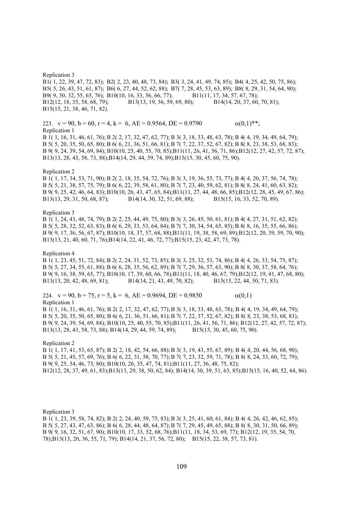Replication 3 B1( 1, 22, 39, 47, 72, 83); B2( 2, 23, 40, 48, 73, 84); B3( 3, 24, 41, 49, 74, 85); B4( 4, 25, 42, 50, 75, 86); B5( 5, 26, 43, 51, 61, 87); B6( 6, 27, 44, 52, 62, 88); B7( 7, 28, 45, 53, 63, 89); B8( 8, 29, 31, 54, 64, 90); B9( 9, 30, 32, 55, 65, 76); B10(10, 16, 33, 56, 66, 77); B11(11, 17, 34, 57, 67, 78); B12(12, 18, 35, 58, 68, 79); B13(13, 19, 36, 59, 69, 80); B14(14, 20, 37, 60, 70, 81); B15(15, 21, 38, 46, 71, 82).

223.  $v = 90$ ,  $b = 60$ ,  $r = 4$ ,  $k = 6$ ,  $AE = 0.9564$ ,  $DE = 0.9790$   $\alpha(0.1)$ \*\*; Replication 1

B 1( 1, 16, 31, 46, 61, 76); B 2( 2, 17, 32, 47, 62, 77); B 3( 3, 18, 33, 48, 63, 78); B 4( 4, 19, 34, 49, 64, 79); B 5( 5, 20, 35, 50, 65, 80); B 6( 6, 21, 36, 51, 66, 81); B 7( 7, 22, 37, 52, 67, 82); B 8( 8, 23, 38, 53, 68, 83); B 9( 9, 24, 39, 54, 69, 84); B10(10, 25, 40, 55, 70, 85);B11(11, 26, 41, 56, 71, 86);B12(12, 27, 42, 57, 72, 87); B13(13, 28, 43, 58, 73, 88);B14(14, 29, 44, 59, 74, 89);B15(15, 30, 45, 60, 75, 90).

#### Replication 2

B 1( 1, 17, 34, 53, 71, 90); B 2( 2, 18, 35, 54, 72, 76); B 3( 3, 19, 36, 55, 73, 77); B 4( 4, 20, 37, 56, 74, 78); B 5( 5, 21, 38, 57, 75, 79); B 6( 6, 22, 39, 58, 61, 80); B 7( 7, 23, 40, 59, 62, 81); B 8( 8, 24, 41, 60, 63, 82); B 9( 9, 25, 42, 46, 64, 83); B10(10, 26, 43, 47, 65, 84);B11(11, 27, 44, 48, 66, 85);B12(12, 28, 45, 49, 67, 86); B13(13, 29, 31, 50, 68, 87); B14(14, 30, 32, 51, 69, 88); B15(15, 16, 33, 52, 70, 89).

# Replication 3

B 1( 1, 24, 43, 48, 74, 79); B 2( 2, 25, 44, 49, 75, 80); B 3( 3, 26, 45, 50, 61, 81); B 4( 4, 27, 31, 51, 62, 82); B 5( 5, 28, 32, 52, 63, 83); B 6( 6, 29, 33, 53, 64, 84); B 7( 7, 30, 34, 54, 65, 85); B 8( 8, 16, 35, 55, 66, 86); B 9( 9, 17, 36, 56, 67, 87); B10(10, 18, 37, 57, 68, 88);B11(11, 19, 38, 58, 69, 89);B12(12, 20, 39, 59, 70, 90); B13(13, 21, 40, 60, 71, 76);B14(14, 22, 41, 46, 72, 77);B15(15, 23, 42, 47, 73, 78).

# Replication 4

B 1( 1, 23, 45, 51, 72, 84); B 2( 2, 24, 31, 52, 73, 85); B 3( 3, 25, 32, 53, 74, 86); B 4( 4, 26, 33, 54, 75, 87); B 5( 5, 27, 34, 55, 61, 88); B 6( 6, 28, 35, 56, 62, 89); B 7( 7, 29, 36, 57, 63, 90); B 8( 8, 30, 37, 58, 64, 76); B 9( 9, 16, 38, 59, 65, 77); B10(10, 17, 39, 60, 66, 78);B11(11, 18, 40, 46, 67, 79);B12(12, 19, 41, 47, 68, 80); B13(13, 20, 42, 48, 69, 81); B14(14, 21, 43, 49, 70, 82); B15(15, 22, 44, 50, 71, 83).

224.  $v = 90$ ,  $b = 75$ ,  $r = 5$ ,  $k = 6$ ,  $AE = 0.9694$ ,  $DE = 0.9850$   $\alpha(0,1)$ Replication 1

B 1( 1, 16, 31, 46, 61, 76); B 2( 2, 17, 32, 47, 62, 77); B 3( 3, 18, 33, 48, 63, 78); B 4( 4, 19, 34, 49, 64, 79); B 5( 5, 20, 35, 50, 65, 80); B 6( 6, 21, 36, 51, 66, 81); B 7( 7, 22, 37, 52, 67, 82); B 8( 8, 23, 38, 53, 68, 83); B 9( 9, 24, 39, 54, 69, 84); B10(10, 25, 40, 55, 70, 85);B11(11, 26, 41, 56, 71, 86); B12(12, 27, 42, 57, 72, 87); B13(13, 28, 43, 58, 73, 88); B14(14, 29, 44, 59, 74, 89); B15(15, 30, 45, 60, 75, 90).

Replication 2

B 1( 1, 17, 41, 53, 65, 87); B 2( 2, 18, 42, 54, 66, 88); B 3( 3, 19, 43, 55, 67, 89); B 4( 4, 20, 44, 56, 68, 90); B 5( 5, 21, 45, 57, 69, 76); B 6( 6, 22, 31, 58, 70, 77); B 7( 7, 23, 32, 59, 71, 78); B 8( 8, 24, 33, 60, 72, 79); B 9( 9, 25, 34, 46, 73, 80); B10(10, 26, 35, 47, 74, 81);B11(11, 27, 36, 48, 75, 82); B12(12, 28, 37, 49, 61, 83);B13(13, 29, 38, 50, 62, 84); B14(14, 30, 39, 51, 63, 85);B15(15, 16, 40, 52, 64, 86).

Replication 3

B 1( 1, 23, 39, 58, 74, 82); B 2( 2, 24, 40, 59, 75, 83); B 3( 3, 25, 41, 60, 61, 84); B 4( 4, 26, 42, 46, 62, 85); B 5( 5, 27, 43, 47, 63, 86); B 6( 6, 28, 44, 48, 64, 87); B 7( 7, 29, 45, 49, 65, 88); B 8( 8, 30, 31, 50, 66, 89); B 9( 9, 16, 32, 51, 67, 90); B10(10, 17, 33, 52, 68, 76);B11(11, 18, 34, 53, 69, 77); B12(12, 19, 35, 54, 70, 78);B13(13, 20, 36, 55, 71, 79); B14(14, 21, 37, 56, 72, 80); B15(15, 22, 38, 57, 73, 81).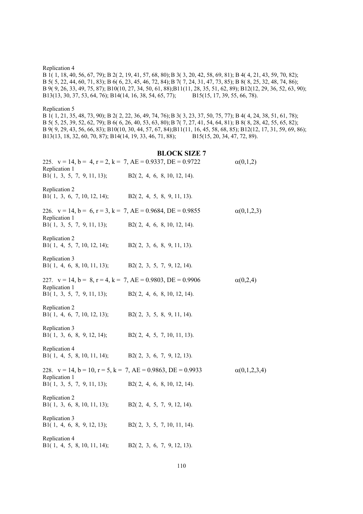Replication 4

B 1( 1, 18, 40, 56, 67, 79); B 2( 2, 19, 41, 57, 68, 80); B 3( 3, 20, 42, 58, 69, 81); B 4( 4, 21, 43, 59, 70, 82); B 5( 5, 22, 44, 60, 71, 83); B 6( 6, 23, 45, 46, 72, 84); B 7( 7, 24, 31, 47, 73, 85); B 8( 8, 25, 32, 48, 74, 86); B 9( 9, 26, 33, 49, 75, 87); B10(10, 27, 34, 50, 61, 88);B11(11, 28, 35, 51, 62, 89); B12(12, 29, 36, 52, 63, 90); B13(13, 30, 37, 53, 64, 76); B14(14, 16, 38, 54, 65, 77); B15(15, 17, 39, 55, 66, 78).

Replication 5

B 1( 1, 21, 35, 48, 73, 90); B 2( 2, 22, 36, 49, 74, 76); B 3( 3, 23, 37, 50, 75, 77); B 4( 4, 24, 38, 51, 61, 78); B 5( 5, 25, 39, 52, 62, 79); B 6( 6, 26, 40, 53, 63, 80); B 7( 7, 27, 41, 54, 64, 81); B 8( 8, 28, 42, 55, 65, 82); B 9( 9, 29, 43, 56, 66, 83); B10(10, 30, 44, 57, 67, 84);B11(11, 16, 45, 58, 68, 85); B12(12, 17, 31, 59, 69, 86); B13(13, 18, 32, 60, 70, 87); B14(14, 19, 33, 46, 71, 88); B15(15, 20, 34, 47, 72, 89).

# **BLOCK SIZE 7**

| 225. $v = 14$ , $b = 4$ , $r = 2$ , $k = 7$ , $AE = 0.9337$ , $DE = 0.9722$<br>Replication 1 |                               | $\alpha(0,1,2)$     |
|----------------------------------------------------------------------------------------------|-------------------------------|---------------------|
| B1 $(1, 3, 5, 7, 9, 11, 13)$ ;                                                               | B2(2, 4, 6, 8, 10, 12, 14).   |                     |
| Replication 2<br>B1 $(1, 3, 6, 7, 10, 12, 14)$ ;                                             | B2(2, 4, 5, 8, 9, 11, 13).    |                     |
| 226. $v = 14$ , $b = 6$ , $r = 3$ , $k = 7$ , $AE = 0.9684$ , $DE = 0.9855$                  |                               | $\alpha(0,1,2,3)$   |
| Replication 1<br>B1(1, 3, 5, 7, 9, 11, 13);                                                  | B2(2, 4, 6, 8, 10, 12, 14).   |                     |
| Replication 2<br>B1 $(1, 4, 5, 7, 10, 12, 14)$ ;                                             | B2(2, 3, 6, 8, 9, 11, 13).    |                     |
| Replication 3<br>B1(1, 4, 6, 8, 10, 11, 13);                                                 | $B2(2, 3, 5, 7, 9, 12, 14)$ . |                     |
| 227. $v = 14$ , $b = 8$ , $r = 4$ , $k = 7$ , $AE = 0.9803$ , $DE = 0.9906$                  |                               | $\alpha(0,2,4)$     |
| Replication 1<br>B1 $(1, 3, 5, 7, 9, 11, 13)$ ;                                              | B2(2, 4, 6, 8, 10, 12, 14).   |                     |
| Replication 2<br>B1(1, 4, 6, 7, 10, 12, 13);                                                 | $B2(2, 3, 5, 8, 9, 11, 14)$ . |                     |
| Replication 3<br>B1(1, 3, 6, 8, 9, 12, 14);                                                  | B2(2, 4, 5, 7, 10, 11, 13).   |                     |
| Replication 4<br>B1(1, 4, 5, 8, 10, 11, 14);                                                 | B2(2, 3, 6, 7, 9, 12, 13).    |                     |
| 228. $v = 14$ , $b = 10$ , $r = 5$ , $k = 7$ , $AE = 0.9863$ , $DE = 0.9933$                 |                               | $\alpha(0,1,2,3,4)$ |
| Replication 1<br>B1(1, 3, 5, 7, 9, 11, 13);                                                  | B2(2, 4, 6, 8, 10, 12, 14).   |                     |
| Replication 2<br>B1 $(1, 3, 6, 8, 10, 11, 13)$ ;                                             | $B2(2, 4, 5, 7, 9, 12, 14)$ . |                     |
| Replication 3<br>B1(1, 4, 6, 8, 9, 12, 13);                                                  | B2(2, 3, 5, 7, 10, 11, 14).   |                     |
| Replication 4<br>B1(1, 4, 5, 8, 10, 11, 14);                                                 | B2(2, 3, 6, 7, 9, 12, 13).    |                     |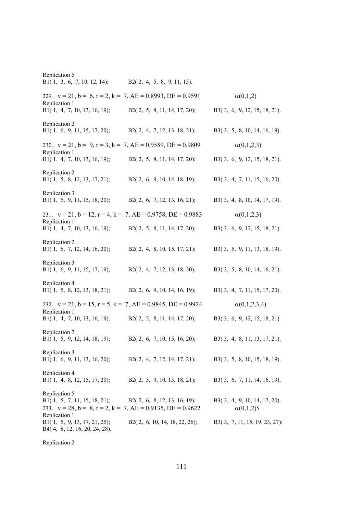| Replication 5<br>B1(1, 3, 6, 7, 10, 12, 14);                                   | B2(2, 4, 5, 8, 9, 11, 13).                                                   |                                                    |
|--------------------------------------------------------------------------------|------------------------------------------------------------------------------|----------------------------------------------------|
|                                                                                | 229. $v = 21$ , $b = 6$ , $r = 2$ , $k = 7$ , $AE = 0.8993$ , $DE = 0.9591$  | $\alpha(0,1,2)$                                    |
| Replication 1<br>B1(1, 4, 7, 10, 13, 16, 19);                                  | B2(2, 5, 8, 11, 14, 17, 20);                                                 | B3(3, 6, 9, 12, 15, 18, 21).                       |
| Replication 2<br>B1(1, 6, 9, 11, 15, 17, 20); B2(2, 4, 7, 12, 13, 18, 21);     |                                                                              | B3(3, 5, 8, 10, 14, 16, 19).                       |
|                                                                                | 230. $v = 21$ , $b = 9$ , $r = 3$ , $k = 7$ , $AE = 0.9589$ , $DE = 0.9809$  | $\alpha(0,1,2,3)$                                  |
| Replication 1<br>B1(1, 4, 7, 10, 13, 16, 19);                                  | B2(2, 5, 8, 11, 14, 17, 20);                                                 | B3(3, 6, 9, 12, 15, 18, 21).                       |
| Replication 2<br>B1(1, 5, 8, 12, 13, 17, 21);                                  | B2 $(2, 6, 9, 10, 14, 18, 19)$ ;                                             | B3(3, 4, 7, 11, 15, 16, 20).                       |
| Replication 3<br>B1(1, 5, 9, 11, 15, 18, 20);                                  | B2(2, 6, 7, 12, 13, 16, 21);                                                 | B3(3, 4, 8, 10, 14, 17, 19).                       |
|                                                                                | 231. $v = 21$ , $b = 12$ , $r = 4$ , $k = 7$ , $AE = 0.9758$ , $DE = 0.9883$ | $\alpha(0,1,2,3)$                                  |
| Replication 1<br>B1(1, 4, 7, 10, 13, 16, 19);                                  | B2 $(2, 5, 8, 11, 14, 17, 20)$ ;                                             | B3(3, 6, 9, 12, 15, 18, 21).                       |
| Replication 2<br>B1(1, 6, 7, 12, 14, 16, 20);                                  | $B2(2, 4, 8, 10, 15, 17, 21)$ ;                                              | B3(3, 5, 9, 11, 13, 18, 19).                       |
| Replication 3<br>B1(1, 6, 9, 11, 15, 17, 19);                                  | B2 $(2, 4, 7, 12, 13, 18, 20)$ ;                                             | $B3(3, 5, 8, 10, 14, 16, 21)$ .                    |
| Replication 4<br>B1(1, 5, 8, 12, 13, 18, 21);                                  | B2(2, 6, 9, 10, 14, 16, 19);                                                 | B3(3, 4, 7, 11, 15, 17, 20).                       |
|                                                                                | 232. $v = 21$ , $b = 15$ , $r = 5$ , $k = 7$ , $AE = 0.9845$ , $DE = 0.9924$ | $\alpha(0,1,2,3,4)$                                |
| Replication 1<br>B1(1, 4, 7, 10, 13, 16, 19);                                  | B2(2, 5, 8, 11, 14, 17, 20);                                                 | B3(3, 6, 9, 12, 15, 18, 21).                       |
| Replication 2<br>B1(1, 5, 9, 12, 14, 18, 19);                                  | B2 $(2, 6, 7, 10, 15, 16, 20)$ ;                                             | $B3(3, 4, 8, 11, 13, 17, 21)$ .                    |
| Replication 3<br>B1(1, 6, 9, 11, 13, 16, 20);                                  | B2(2, 4, 7, 12, 14, 17, 21);                                                 | B3(3, 5, 8, 10, 15, 18, 19).                       |
| Replication 4<br>B1(1, 4, 8, 12, 15, 17, 20);                                  | B2(2, 5, 9, 10, 13, 18, 21);                                                 | B3(3, 6, 7, 11, 14, 16, 19).                       |
| Replication 5<br>B1(1, 5, 7, 11, 15, 18, 21); B2(2, 6, 8, 12, 13, 16, 19);     | 233. $v = 28$ , $b = 8$ , $r = 2$ , $k = 7$ , $AE = 0.9135$ , $DE = 0.9622$  | B3(3, 4, 9, 10, 14, 17, 20).<br>$\alpha(0,1,2)$ \$ |
| Replication 1<br>B1(1, 5, 9, 13, 17, 21, 25);<br>B4(4, 8, 12, 16, 20, 24, 28). | B2 $(2, 6, 10, 14, 18, 22, 26)$ ;                                            | B3(3, 7, 11, 15, 19, 23, 27);                      |

Replication 2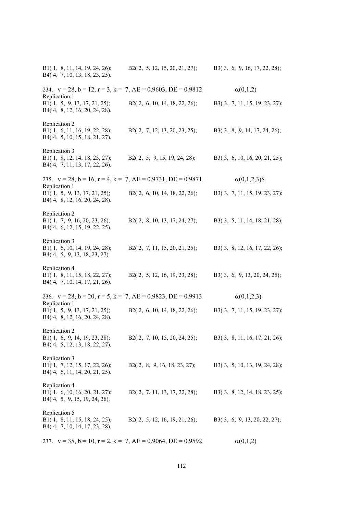| B1(1, 8, 11, 14, 19, 24, 26);<br>B4(4, 7, 10, 13, 18, 23, 25).                  | B2 $(2, 5, 12, 15, 20, 21, 27)$ ; | B3(3, 6, 9, 16, 17, 22, 28);  |
|---------------------------------------------------------------------------------|-----------------------------------|-------------------------------|
| 234. $v = 28$ , $b = 12$ , $r = 3$ , $k = 7$ , $AE = 0.9603$ , $DE = 0.9812$    |                                   | $\alpha(0,1,2)$               |
| Replication 1<br>B1(1, 5, 9, 13, 17, 21, 25);<br>B4(4, 8, 12, 16, 20, 24, 28).  | B2(2, 6, 10, 14, 18, 22, 26);     | B3(3, 7, 11, 15, 19, 23, 27); |
| Replication 2<br>B1(1, 6, 11, 16, 19, 22, 28);<br>B4(4, 5, 10, 15, 18, 21, 27). | B2(2, 7, 12, 13, 20, 23, 25);     | B3(3, 8, 9, 14, 17, 24, 26);  |
| Replication 3<br>B1(1, 8, 12, 14, 18, 23, 27);<br>B4(4, 7, 11, 13, 17, 22, 26). | B2 $(2, 5, 9, 15, 19, 24, 28)$ ;  | B3(3, 6, 10, 16, 20, 21, 25); |
| 235. $v = 28$ , $b = 16$ , $r = 4$ , $k = 7$ , $AE = 0.9731$ , $DE = 0.9871$    |                                   | $\alpha(0,1,2,3)$ \$          |
| Replication 1<br>B1(1, 5, 9, 13, 17, 21, 25);<br>B4(4, 8, 12, 16, 20, 24, 28).  | B2 $(2, 6, 10, 14, 18, 22, 26)$ ; | B3(3, 7, 11, 15, 19, 23, 27); |
| Replication 2<br>B1(1, 7, 9, 16, 20, 23, 26);<br>B4(4, 6, 12, 15, 19, 22, 25).  | B2(2, 8, 10, 13, 17, 24, 27);     | B3(3, 5, 11, 14, 18, 21, 28); |
| Replication 3<br>B1(1, 6, 10, 14, 19, 24, 28);<br>B4(4, 5, 9, 13, 18, 23, 27).  | B2(2, 7, 11, 15, 20, 21, 25);     | B3(3, 8, 12, 16, 17, 22, 26); |
| Replication 4<br>B1(1, 8, 11, 15, 18, 22, 27);<br>B4(4, 7, 10, 14, 17, 21, 26). | B2 $(2, 5, 12, 16, 19, 23, 28)$ ; | B3(3, 6, 9, 13, 20, 24, 25);  |
| 236. $v = 28$ , $b = 20$ , $r = 5$ , $k = 7$ , $AE = 0.9823$ , $DE = 0.9913$    |                                   | $\alpha(0,1,2,3)$             |
| Replication 1<br>B1(1, 5, 9, 13, 17, 21, 25);<br>B4(4, 8, 12, 16, 20, 24, 28).  | B2 $(2, 6, 10, 14, 18, 22, 26)$ ; | B3(3, 7, 11, 15, 19, 23, 27); |
| Replication 2<br>B1(1, 6, 9, 14, 19, 23, 28);<br>B4(4, 5, 12, 13, 18, 22, 27).  | B2(2, 7, 10, 15, 20, 24, 25);     | B3(3, 8, 11, 16, 17, 21, 26); |
| Replication 3<br>B1(1, 7, 12, 15, 17, 22, 26);<br>B4(4, 6, 11, 14, 20, 21, 25). | B2(2, 8, 9, 16, 18, 23, 27);      | B3(3, 5, 10, 13, 19, 24, 28); |
| Replication 4<br>B1(1, 6, 10, 16, 20, 21, 27);<br>B4(4, 5, 9, 15, 19, 24, 26).  | B2(2, 7, 11, 13, 17, 22, 28);     | B3(3, 8, 12, 14, 18, 23, 25); |
| Replication 5<br>B1(1, 8, 11, 15, 18, 24, 25);<br>B4(4, 7, 10, 14, 17, 23, 28). | B2 $(2, 5, 12, 16, 19, 21, 26)$ ; | B3(3, 6, 9, 13, 20, 22, 27);  |
| 237. $v = 35$ , $b = 10$ , $r = 2$ , $k = 7$ , $AE = 0.9064$ , $DE = 0.9592$    |                                   | $\alpha(0,1,2)$               |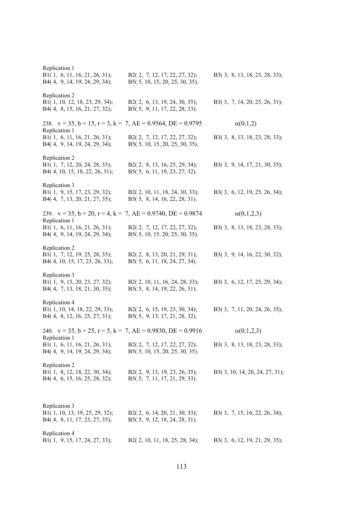| Replication 1<br>B1(1, 6, 11, 16, 21, 26, 31);<br>B4(4, 9, 14, 19, 24, 29, 34);               | B2(2, 7, 12, 17, 22, 27, 32);<br>B5(5, 10, 15, 20, 25, 30, 35).    | B3(3, 8, 13, 18, 23, 28, 33);  |
|-----------------------------------------------------------------------------------------------|--------------------------------------------------------------------|--------------------------------|
| Replication 2<br>B1(1, 10, 12, 18, 23, 29, 34);<br>B4(4, 8, 15, 16, 21, 27, 32);              | B2 $(2, 6, 13, 19, 24, 30, 35)$ ;<br>B5(5, 9, 11, 17, 22, 28, 33). | B3(3, 7, 14, 20, 25, 26, 31);  |
| 238. $v = 35$ , $b = 15$ , $r = 3$ , $k = 7$ , $AE = 0.9564$ , $DE = 0.9795$<br>Replication 1 |                                                                    | $\alpha(0,1,2)$                |
| B1(1, 6, 11, 16, 21, 26, 31);<br>B4(4, 9, 14, 19, 24, 29, 34);                                | B2(2, 7, 12, 17, 22, 27, 32);<br>B5(5, 10, 15, 20, 25, 30, 35).    | B3(3, 8, 13, 18, 23, 28, 33);  |
| Replication 2<br>B1(1, 7, 12, 20, 24, 28, 33);<br>B4(4, 10, 15, 18, 22, 26, 31);              | B2(2, 8, 13, 16, 25, 29, 34);<br>B5(5, 6, 11, 19, 23, 27, 32).     | B3(3, 9, 14, 17, 21, 30, 35);  |
| Replication 3<br>B1(1, 9, 15, 17, 23, 29, 32);<br>B4(4, 7, 13, 20, 21, 27, 35);               | B2(2, 10, 11, 18, 24, 30, 33);<br>B5(5, 8, 14, 16, 22, 28, 31).    | B3(3, 6, 12, 19, 25, 26, 34);  |
| 239. $v = 35$ , $b = 20$ , $r = 4$ , $k = 7$ , $AE = 0.9740$ , $DE = 0.9874$<br>Replication 1 |                                                                    | $\alpha(0,1,2,3)$              |
| B1(1, 6, 11, 16, 21, 26, 31);<br>B4(4, 9, 14, 19, 24, 29, 34);                                | B2(2, 7, 12, 17, 22, 27, 32);<br>B5(5, 10, 15, 20, 25, 30, 35).    | B3(3, 8, 13, 18, 23, 28, 33);  |
| Replication 2<br>B1(1, 7, 12, 19, 25, 28, 35);<br>B4(4, 10, 15, 17, 23, 26, 33);              | B2(2, 8, 13, 20, 21, 29, 31);<br>B5(5, 6, 11, 18, 24, 27, 34).     | B3(3, 9, 14, 16, 22, 30, 32);  |
| Replication 3                                                                                 |                                                                    |                                |
| B1(1, 9, 15, 20, 23, 27, 32);<br>B4(4, 7, 13, 18, 21, 30, 35);                                | B2(2, 10, 11, 16, 24, 28, 33);<br>B5(5, 8, 14, 19, 22, 26, 31).    | B3(3, 6, 12, 17, 25, 29, 34);  |
| Replication 4<br>B1(1, 10, 14, 18, 22, 29, 33);<br>B4(4, 8, 12, 16, 25, 27, 31);              | B2 $(2, 6, 15, 19, 23, 30, 34)$ ;<br>B5(5, 9, 13, 17, 21, 28, 32). | B3(3, 7, 11, 20, 24, 26, 35);  |
| 240. $v = 35$ , $b = 25$ , $r = 5$ , $k = 7$ , $AE = 0.9830$ , $DE = 0.9916$                  |                                                                    | $\alpha(0,1,2,3)$              |
| Replication 1<br>B1(1, 6, 11, 16, 21, 26, 31);<br>B4(4, 9, 14, 19, 24, 29, 34);               | B2(2, 7, 12, 17, 22, 27, 32);<br>B5(5, 10, 15, 20, 25, 30, 35).    | B3(3, 8, 13, 18, 23, 28, 33);  |
| Replication 2<br>B1(1, 8, 12, 18, 22, 30, 34);<br>B4(4, 6, 15, 16, 25, 28, 32);               | B2(2, 9, 13, 19, 23, 26, 35);<br>B5(5, 7, 11, 17, 21, 29, 33).     | B3(3, 10, 14, 20, 24, 27, 31); |
| Replication 3<br>B1(1, 10, 13, 19, 25, 29, 32);<br>B4(4, 8, 11, 17, 23, 27, 35);              | B2(2, 6, 14, 20, 21, 30, 33);<br>B5(5, 9, 12, 18, 24, 28, 31).     | B3(3, 7, 15, 16, 22, 26, 34);  |
| Replication 4<br>B1(1, 9, 15, 17, 24, 27, 33);                                                | B2(2, 10, 11, 18, 25, 28, 34);                                     | B3(3, 6, 12, 19, 21, 29, 35);  |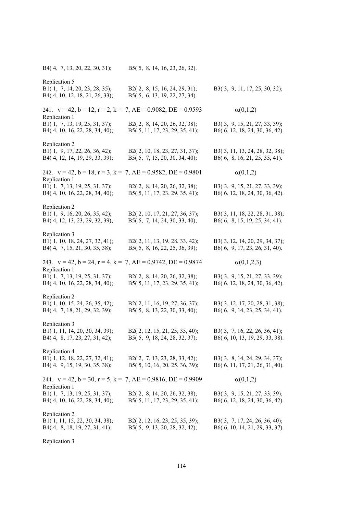B4( 4, 7, 13, 20, 22, 30, 31); B5( 5, 8, 14, 16, 23, 26, 32). Replication 5 B1( 1, 7, 14, 20, 23, 28, 35); B2( 2, 8, 15, 16, 24, 29, 31); B3( 3, 9, 11, 17, 25, 30, 32); B4( 4, 10, 12, 18, 21, 26, 33); B5( 5, 6, 13, 19, 22, 27, 34). 241.  $v = 42$ ,  $b = 12$ ,  $r = 2$ ,  $k = 7$ ,  $AE = 0.9082$ ,  $DE = 0.9593$   $\alpha(0,1,2)$ Replication 1 B1( 1, 7, 13, 19, 25, 31, 37); B2( 2, 8, 14, 20, 26, 32, 38); B3( 3, 9, 15, 21, 27, 33, 39); B4( 4, 10, 16, 22, 28, 34, 40); B5( 5, 11, 17, 23, 29, 35, 41); B6( 6, 12, 18, 24, 30, 36, 42). Replication 2 B1( 1, 9, 17, 22, 26, 36, 42); B2( 2, 10, 18, 23, 27, 31, 37); B3( 3, 11, 13, 24, 28, 32, 38); B4( 4, 12, 14, 19, 29, 33, 39); B5( 5, 7, 15, 20, 30, 34, 40); B6( 6, 8, 16, 21, 25, 35, 41). 242.  $v = 42$ ,  $b = 18$ ,  $r = 3$ ,  $k = 7$ ,  $AE = 0.9582$ ,  $DE = 0.9801$   $\alpha(0,1,2)$ Replication 1 B1( 1, 7, 13, 19, 25, 31, 37); B2( 2, 8, 14, 20, 26, 32, 38); B3( 3, 9, 15, 21, 27, 33, 39); B4( 4, 10, 16, 22, 28, 34, 40); B5( 5, 11, 17, 23, 29, 35, 41); B6( 6, 12, 18, 24, 30, 36, 42). Replication 2 B1( 1, 9, 16, 20, 26, 35, 42); B2( 2, 10, 17, 21, 27, 36, 37); B3( 3, 11, 18, 22, 28, 31, 38); B4( 4, 12, 13, 23, 29, 32, 39); B5( 5, 7, 14, 24, 30, 33, 40); B6( 6, 8, 15, 19, 25, 34, 41). Replication 3 B1( 1, 10, 18, 24, 27, 32, 41); B2( 2, 11, 13, 19, 28, 33, 42); B3( 3, 12, 14, 20, 29, 34, 37); B4( 4, 7, 15, 21, 30, 35, 38); B5( 5, 8, 16, 22, 25, 36, 39); B6( 6, 9, 17, 23, 26, 31, 40). 243.  $v = 42$ ,  $b = 24$ ,  $r = 4$ ,  $k = 7$ ,  $AE = 0.9742$ ,  $DE = 0.9874$   $\alpha(0,1,2,3)$ Replication 1 B1( 1, 7, 13, 19, 25, 31, 37); B2( 2, 8, 14, 20, 26, 32, 38); B3( 3, 9, 15, 21, 27, 33, 39); B4( 4, 10, 16, 22, 28, 34, 40); B5( 5, 11, 17, 23, 29, 35, 41); B6( 6, 12, 18, 24, 30, 36, 42). Replication 2 B1( 1, 10, 15, 24, 26, 35, 42); B2( 2, 11, 16, 19, 27, 36, 37); B3( 3, 12, 17, 20, 28, 31, 38); B4( 4, 7, 18, 21, 29, 32, 39); B5( 5, 8, 13, 22, 30, 33, 40); B6( 6, 9, 14, 23, 25, 34, 41). Replication 3 B1( 1, 11, 14, 20, 30, 34, 39); B2( 2, 12, 15, 21, 25, 35, 40); B3( 3, 7, 16, 22, 26, 36, 41); B4( 4, 8, 17, 23, 27, 31, 42); B5( 5, 9, 18, 24, 28, 32, 37); B6( 6, 10, 13, 19, 29, 33, 38). Replication 4 B1( 1, 12, 18, 22, 27, 32, 41); B2( 2, 7, 13, 23, 28, 33, 42); B3( 3, 8, 14, 24, 29, 34, 37); B4( 4, 9, 15, 19, 30, 35, 38); B5( 5, 10, 16, 20, 25, 36, 39); B6( 6, 11, 17, 21, 26, 31, 40). 244.  $v = 42$ ,  $b = 30$ ,  $r = 5$ ,  $k = 7$ ,  $AE = 0.9816$ ,  $DE = 0.9909$   $\alpha(0,1,2)$ Replication 1 B1( 1, 7, 13, 19, 25, 31, 37); B2( 2, 8, 14, 20, 26, 32, 38); B3( 3, 9, 15, 21, 27, 33, 39); B4( 4, 10, 16, 22, 28, 34, 40); B5( 5, 11, 17, 23, 29, 35, 41); B6( 6, 12, 18, 24, 30, 36, 42). Replication 2 B1( 1, 11, 15, 22, 30, 34, 38); B2( 2, 12, 16, 23, 25, 35, 39); B3( 3, 7, 17, 24, 26, 36, 40); B4( 4, 8, 18, 19, 27, 31, 41); B5( 5, 9, 13, 20, 28, 32, 42); B6( 6, 10, 14, 21, 29, 33, 37).

Replication 3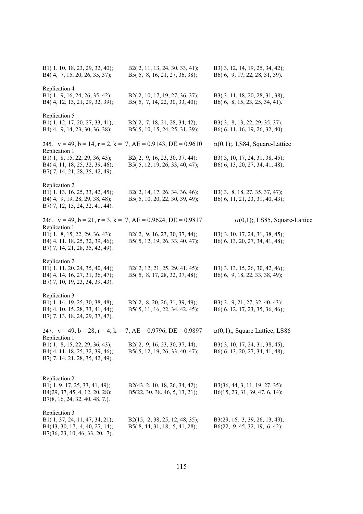| B1(1, 10, 18, 23, 29, 32, 40);<br>B4(4, 7, 15, 20, 26, 35, 37);                                                      | B2(2, 11, 13, 24, 30, 33, 41);<br>B5(5, 8, 16, 21, 27, 36, 38);  | B3(3, 12, 14, 19, 25, 34, 42);<br>B6(6, 9, 17, 22, 28, 31, 39).  |
|----------------------------------------------------------------------------------------------------------------------|------------------------------------------------------------------|------------------------------------------------------------------|
| Replication 4<br>B1(1, 9, 16, 24, 26, 35, 42);<br>B4(4, 12, 13, 21, 29, 32, 39);                                     | B2(2, 10, 17, 19, 27, 36, 37);<br>B5(5, 7, 14, 22, 30, 33, 40);  | B3(3, 11, 18, 20, 28, 31, 38);<br>B6(6, 8, 15, 23, 25, 34, 41).  |
| Replication 5<br>B1(1, 12, 17, 20, 27, 33, 41);<br>B4(4, 9, 14, 23, 30, 36, 38);                                     | B2(2, 7, 18, 21, 28, 34, 42);<br>B5(5, 10, 15, 24, 25, 31, 39);  | B3(3, 8, 13, 22, 29, 35, 37);<br>B6(6, 11, 16, 19, 26, 32, 40).  |
| 245. $v = 49$ , $b = 14$ , $r = 2$ , $k = 7$ , $AE = 0.9143$ , $DE = 0.9610$<br>Replication 1                        |                                                                  | $\alpha(0,1)$ ;, LS84, Square-Lattice                            |
| B1(1, 8, 15, 22, 29, 36, 43);<br>B4(4, 11, 18, 25, 32, 39, 46);<br>B7(7, 14, 21, 28, 35, 42, 49).                    | B2(2, 9, 16, 23, 30, 37, 44);<br>B5(5, 12, 19, 26, 33, 40, 47);  | B3(3, 10, 17, 24, 31, 38, 45);<br>B6(6, 13, 20, 27, 34, 41, 48); |
| Replication 2<br>B1(1, 13, 16, 25, 33, 42, 45);<br>B4(4, 9, 19, 28, 29, 38, 48);<br>B7(7, 12, 15, 24, 32, 41, 44).   | B2(2, 14, 17, 26, 34, 36, 46);<br>B5(5, 10, 20, 22, 30, 39, 49); | B3(3, 8, 18, 27, 35, 37, 47);<br>B6(6, 11, 21, 23, 31, 40, 43);  |
| 246. $v = 49$ , $b = 21$ , $r = 3$ , $k = 7$ , $AE = 0.9624$ , $DE = 0.9817$<br>Replication 1                        |                                                                  | $\alpha(0,1)$ ;, LS85, Square-Lattice                            |
| B1(1, 8, 15, 22, 29, 36, 43);<br>B4(4, 11, 18, 25, 32, 39, 46);<br>B7(7, 14, 21, 28, 35, 42, 49).                    | B2(2, 9, 16, 23, 30, 37, 44);<br>B5(5, 12, 19, 26, 33, 40, 47);  | B3(3, 10, 17, 24, 31, 38, 45);<br>B6(6, 13, 20, 27, 34, 41, 48); |
| Replication 2<br>B1(1, 11, 20, 24, 35, 40, 44);<br>B4(4, 14, 16, 27, 31, 36, 47);<br>B7(7, 10, 19, 23, 34, 39, 43).  | B2(2, 12, 21, 25, 29, 41, 45);<br>B5(5, 8, 17, 28, 32, 37, 48);  | B3(3, 13, 15, 26, 30, 42, 46);<br>B6(6, 9, 18, 22, 33, 38, 49);  |
| Replication 3<br>B1(1, 14, 19, 25, 30, 38, 48);<br>B4(4, 10, 15, 28, 33, 41, 44);<br>B7(7, 13, 18, 24, 29, 37, 47).  | B2(2, 8, 20, 26, 31, 39, 49);<br>B5(5, 11, 16, 22, 34, 42, 45);  | B3(3, 9, 21, 27, 32, 40, 43);<br>B6(6, 12, 17, 23, 35, 36, 46);  |
| 247. $v = 49$ , $b = 28$ , $r = 4$ , $k = 7$ , $AE = 0.9796$ , $DE = 0.9897$<br>Replication 1                        |                                                                  | $\alpha(0,1)$ ;, Square Lattice, LS86                            |
| B1(1, 8, 15, 22, 29, 36, 43);<br>B4(4, 11, 18, 25, 32, 39, 46);<br>B7(7, 14, 21, 28, 35, 42, 49).                    | B2(2, 9, 16, 23, 30, 37, 44);<br>B5(5, 12, 19, 26, 33, 40, 47);  | B3(3, 10, 17, 24, 31, 38, 45);<br>B6(6, 13, 20, 27, 34, 41, 48); |
| Replication 2<br>B1(1, 9, 17, 25, 33, 41, 49);<br>B4(29, 37, 45, 4, 12, 20, 28);<br>$B7(8, 16, 24, 32, 40, 48, 7)$ . | B2(43, 2, 10, 18, 26, 34, 42);<br>B5(22, 30, 38, 46, 5, 13, 21); | B3(36, 44, 3, 11, 19, 27, 35);<br>B6(15, 23, 31, 39, 47, 6, 14); |
| Replication 3<br>B1(1, 37, 24, 11, 47, 34, 21);<br>B4(43, 30, 17, 4, 40, 27, 14);<br>B7(36, 23, 10, 46, 33, 20, 7).  | B2(15, 2, 38, 25, 12, 48, 35);<br>B5(8, 44, 31, 18, 5, 41, 28);  | B3(29, 16, 3, 39, 26, 13, 49);<br>B6(22, 9, 45, 32, 19, 6, 42);  |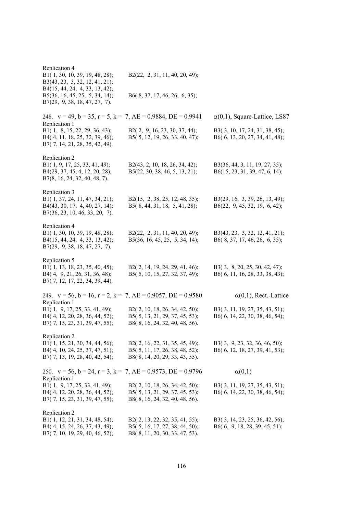| Replication 4<br>B1(1, 30, 10, 39, 19, 48, 28);<br>B3(43, 23, 3, 32, 12, 41, 21);<br>B4(15, 44, 24, 4, 33, 13, 42); | B2(22, 2, 31, 11, 40, 20, 49);                                   |                                                                  |
|---------------------------------------------------------------------------------------------------------------------|------------------------------------------------------------------|------------------------------------------------------------------|
| B5(36, 16, 45, 25, 5, 34, 14);<br>B7(29, 9, 38, 18, 47, 27, 7).                                                     | B6(8, 37, 17, 46, 26, 6, 35);                                    |                                                                  |
| 248. $v = 49$ , $b = 35$ , $r = 5$ , $k = 7$ , $AE = 0.9884$ , $DE = 0.9941$<br>Replication 1                       |                                                                  | $\alpha(0,1)$ , Square-Lattice, LS87                             |
| B1(1, 8, 15, 22, 29, 36, 43);<br>B4(4, 11, 18, 25, 32, 39, 46);<br>B7(7, 14, 21, 28, 35, 42, 49).                   | B2(2, 9, 16, 23, 30, 37, 44);<br>B5(5, 12, 19, 26, 33, 40, 47);  | B3(3, 10, 17, 24, 31, 38, 45);<br>B6(6, 13, 20, 27, 34, 41, 48); |
| Replication 2<br>B1(1, 9, 17, 25, 33, 41, 49);                                                                      |                                                                  |                                                                  |
| B4(29, 37, 45, 4, 12, 20, 28);<br>B7(8, 16, 24, 32, 40, 48, 7).                                                     | B2(43, 2, 10, 18, 26, 34, 42);<br>B5(22, 30, 38, 46, 5, 13, 21); | B3(36, 44, 3, 11, 19, 27, 35);<br>B6(15, 23, 31, 39, 47, 6, 14); |
| Replication 3                                                                                                       |                                                                  |                                                                  |
| B1(1, 37, 24, 11, 47, 34, 21);<br>B4(43, 30, 17, 4, 40, 27, 14);<br>B7(36, 23, 10, 46, 33, 20, 7).                  | B2(15, 2, 38, 25, 12, 48, 35);<br>B5(8, 44, 31, 18, 5, 41, 28);  | B3(29, 16, 3, 39, 26, 13, 49);<br>B6(22, 9, 45, 32, 19, 6, 42);  |
| Replication 4<br>B1(1, 30, 10, 39, 19, 48, 28);                                                                     | B2(22, 2, 31, 11, 40, 20, 49);                                   | B3(43, 23, 3, 32, 12, 41, 21);                                   |
| B4(15, 44, 24, 4, 33, 13, 42);<br>$B7(29, 9, 38, 18, 47, 27, 7)$ .                                                  | B5(36, 16, 45, 25, 5, 34, 14);                                   | B6(8, 37, 17, 46, 26, 6, 35);                                    |
| Replication 5                                                                                                       |                                                                  |                                                                  |
| B1(1, 13, 18, 23, 35, 40, 45);<br>B4(4, 9, 21, 26, 31, 36, 48);<br>B7(7, 12, 17, 22, 34, 39, 44).                   | B2(2, 14, 19, 24, 29, 41, 46);<br>B5(5, 10, 15, 27, 32, 37, 49); | B3(3, 8, 20, 25, 30, 42, 47);<br>B6(6, 11, 16, 28, 33, 38, 43);  |
| 249. $v = 56$ , $b = 16$ , $r = 2$ , $k = 7$ , $AE = 0.9057$ , $DE = 0.9580$                                        |                                                                  | $\alpha(0,1)$ , Rect.-Lattice                                    |
| Replication 1<br>B1(1, 9, 17, 25, 33, 41, 49);                                                                      | B2(2, 10, 18, 26, 34, 42, 50);                                   | B3(3, 11, 19, 27, 35, 43, 51);                                   |
| B4(4, 12, 20, 28, 36, 44, 52);<br>B7(7, 15, 23, 31, 39, 47, 55);                                                    | B5(5, 13, 21, 29, 37, 45, 53);<br>B8(8, 16, 24, 32, 40, 48, 56). | B6(6, 14, 22, 30, 38, 46, 54);                                   |
| Replication 2                                                                                                       |                                                                  | B3(3, 9, 23, 32, 36, 46, 50);                                    |
| B1(1, 15, 21, 30, 34, 44, 56);<br>B4(4, 10, 24, 25, 37, 47, 51);                                                    | B2(2, 16, 22, 31, 35, 45, 49);<br>B5(5, 11, 17, 26, 38, 48, 52); | B6(6, 12, 18, 27, 39, 41, 53);                                   |
| B7(7, 13, 19, 28, 40, 42, 54);                                                                                      | B8(8, 14, 20, 29, 33, 43, 55).                                   |                                                                  |
| 250. $v = 56$ , $b = 24$ , $r = 3$ , $k = 7$ , $AE = 0.9573$ , $DE = 0.9796$<br>Replication 1                       |                                                                  | $\alpha(0,1)$                                                    |
| B1(1, 9, 17, 25, 33, 41, 49);                                                                                       | B2(2, 10, 18, 26, 34, 42, 50);                                   | B3(3, 11, 19, 27, 35, 43, 51);                                   |
| B4(4, 12, 20, 28, 36, 44, 52);<br>B7(7, 15, 23, 31, 39, 47, 55);                                                    | B5(5, 13, 21, 29, 37, 45, 53);<br>B8(8, 16, 24, 32, 40, 48, 56). | B6(6, 14, 22, 30, 38, 46, 54);                                   |
| Replication 2                                                                                                       |                                                                  |                                                                  |
| B1(1, 12, 21, 31, 34, 48, 54);<br>B4(4, 15, 24, 26, 37, 43, 49);                                                    | B2(2, 13, 22, 32, 35, 41, 55);<br>B5(5, 16, 17, 27, 38, 44, 50); | B3(3, 14, 23, 25, 36, 42, 56);<br>B6(6, 9, 18, 28, 39, 45, 51);  |
| B7(7, 10, 19, 29, 40, 46, 52);                                                                                      | B8(8, 11, 20, 30, 33, 47, 53).                                   |                                                                  |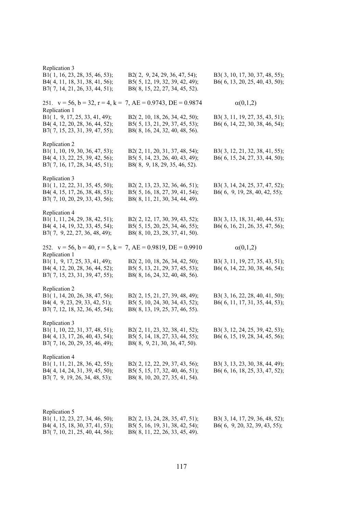| Replication 3<br>B1(1, 16, 23, 28, 35, 46, 53);<br>B4(4, 11, 18, 31, 38, 41, 56);<br>B7(7, 14, 21, 26, 33, 44, 51); | B2(2, 9, 24, 29, 36, 47, 54);<br>B5(5, 12, 19, 32, 39, 42, 49);<br>B8(8, 15, 22, 27, 34, 45, 52).  | B3(3, 10, 17, 30, 37, 48, 55);<br>B6(6, 13, 20, 25, 40, 43, 50); |
|---------------------------------------------------------------------------------------------------------------------|----------------------------------------------------------------------------------------------------|------------------------------------------------------------------|
| 251. $v = 56$ , $b = 32$ , $r = 4$ , $k = 7$ , $AE = 0.9743$ , $DE = 0.9874$                                        |                                                                                                    | $\alpha(0,1,2)$                                                  |
| Replication 1<br>B1(1, 9, 17, 25, 33, 41, 49);<br>B4(4, 12, 20, 28, 36, 44, 52);<br>B7(7, 15, 23, 31, 39, 47, 55);  | B2(2, 10, 18, 26, 34, 42, 50);<br>B5(5, 13, 21, 29, 37, 45, 53);<br>B8(8, 16, 24, 32, 40, 48, 56). | B3(3, 11, 19, 27, 35, 43, 51);<br>B6(6, 14, 22, 30, 38, 46, 54); |
| Replication 2<br>B1(1, 10, 19, 30, 36, 47, 53);<br>B4(4, 13, 22, 25, 39, 42, 56);<br>B7(7, 16, 17, 28, 34, 45, 51); | B2(2, 11, 20, 31, 37, 48, 54);<br>B5(5, 14, 23, 26, 40, 43, 49);<br>B8(8, 9, 18, 29, 35, 46, 52).  | B3(3, 12, 21, 32, 38, 41, 55);<br>B6(6, 15, 24, 27, 33, 44, 50); |
| Replication 3<br>B1(1, 12, 22, 31, 35, 45, 50);<br>B4(4, 15, 17, 26, 38, 48, 53);<br>B7(7, 10, 20, 29, 33, 43, 56); | B2(2, 13, 23, 32, 36, 46, 51);<br>B5(5, 16, 18, 27, 39, 41, 54);<br>B8(8, 11, 21, 30, 34, 44, 49). | B3(3, 14, 24, 25, 37, 47, 52);<br>B6(6, 9, 19, 28, 40, 42, 55);  |
| Replication 4<br>B1(1, 11, 24, 29, 38, 42, 51);<br>B4(4, 14, 19, 32, 33, 45, 54);<br>B7(7, 9, 22, 27, 36, 48, 49);  | B2(2, 12, 17, 30, 39, 43, 52);<br>B5(5, 15, 20, 25, 34, 46, 55);<br>B8(8, 10, 23, 28, 37, 41, 50). | B3(3, 13, 18, 31, 40, 44, 53);<br>B6(6, 16, 21, 26, 35, 47, 56); |
| 252. $v = 56$ , $b = 40$ , $r = 5$ , $k = 7$ , $AE = 0.9819$ , $DE = 0.9910$<br>Replication 1                       |                                                                                                    | $\alpha(0,1,2)$                                                  |
| B1(1, 9, 17, 25, 33, 41, 49);<br>B4(4, 12, 20, 28, 36, 44, 52);<br>B7(7, 15, 23, 31, 39, 47, 55);                   | B2(2, 10, 18, 26, 34, 42, 50);<br>B5(5, 13, 21, 29, 37, 45, 53);<br>B8(8, 16, 24, 32, 40, 48, 56). | B3(3, 11, 19, 27, 35, 43, 51);<br>B6(6, 14, 22, 30, 38, 46, 54); |
| Replication 2<br>B1(1, 14, 20, 26, 38, 47, 56);<br>B4(4, 9, 23, 29, 33, 42, 51);<br>B7(7, 12, 18, 32, 36, 45, 54);  | B2(2, 15, 21, 27, 39, 48, 49);<br>B5(5, 10, 24, 30, 34, 43, 52);<br>B8(8, 13, 19, 25, 37, 46, 55). | B3(3, 16, 22, 28, 40, 41, 50);<br>B6(6, 11, 17, 31, 35, 44, 53); |
| Replication 3<br>B1(1, 10, 22, 31, 37, 48, 51);<br>B4(4, 13, 17, 26, 40, 43, 54);<br>B7(7, 16, 20, 29, 35, 46, 49); | B2(2, 11, 23, 32, 38, 41, 52);<br>B5(5, 14, 18, 27, 33, 44, 55);<br>B8(8, 9, 21, 30, 36, 47, 50).  | B3(3, 12, 24, 25, 39, 42, 53);<br>B6(6, 15, 19, 28, 34, 45, 56); |
| Replication 4<br>B1(1, 11, 21, 28, 36, 42, 55);<br>B4(4, 14, 24, 31, 39, 45, 50);<br>B7(7, 9, 19, 26, 34, 48, 53);  | B2(2, 12, 22, 29, 37, 43, 56);<br>B5(5, 15, 17, 32, 40, 46, 51);<br>B8(8, 10, 20, 27, 35, 41, 54). | B3(3, 13, 23, 30, 38, 44, 49);<br>B6(6, 16, 18, 25, 33, 47, 52); |
| Replication 5<br>B1(1, 12, 23, 27, 34, 46, 50);<br>B4(4, 15, 18, 30, 37, 41, 53);<br>B7(7, 10, 21, 25, 40, 44, 56); | B2(2, 13, 24, 28, 35, 47, 51);<br>B5(5, 16, 19, 31, 38, 42, 54);<br>B8(8, 11, 22, 26, 33, 45, 49). | B3(3, 14, 17, 29, 36, 48, 52);<br>B6(6, 9, 20, 32, 39, 43, 55);  |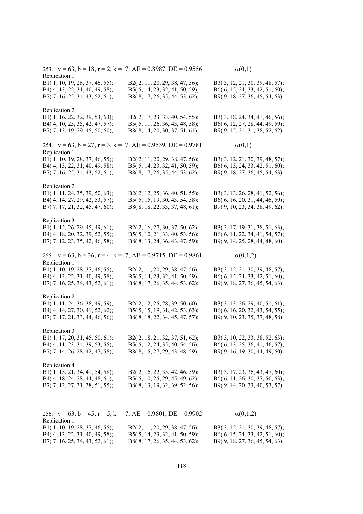| 253. $v = 63$ , $b = 18$ , $r = 2$ , $k = 7$ , $AE = 0.8987$ , $DE = 0.9556$ |                                | $\alpha(0,1)$                  |
|------------------------------------------------------------------------------|--------------------------------|--------------------------------|
| Replication 1                                                                |                                |                                |
| B1(1, 10, 19, 28, 37, 46, 55);                                               | B2(2, 11, 20, 29, 38, 47, 56); | B3(3, 12, 21, 30, 39, 48, 57); |
| B4(4, 13, 22, 31, 40, 49, 58);                                               | B5(5, 14, 23, 32, 41, 50, 59); | B6(6, 15, 24, 33, 42, 51, 60); |
| B7(7, 16, 25, 34, 43, 52, 61);                                               | B8(8, 17, 26, 35, 44, 53, 62); | B9(9, 18, 27, 36, 45, 54, 63). |
|                                                                              |                                |                                |
| Replication 2                                                                |                                |                                |
| B1(1, 16, 22, 32, 39, 53, 63);                                               | B2(2, 17, 23, 33, 40, 54, 55); | B3(3, 18, 24, 34, 41, 46, 56); |
| B4(4, 10, 25, 35, 42, 47, 57);                                               | B5(5, 11, 26, 36, 43, 48, 58); | B6(6, 12, 27, 28, 44, 49, 59); |
| B7(7, 13, 19, 29, 45, 50, 60);                                               | B8(8, 14, 20, 30, 37, 51, 61); | B9(9, 15, 21, 31, 38, 52, 62). |
|                                                                              |                                |                                |
| 254. $v = 63$ , $b = 27$ , $r = 3$ , $k = 7$ , $AE = 0.9539$ , $DE = 0.9781$ |                                | $\alpha(0,1)$                  |
| Replication 1                                                                |                                |                                |
| B1(1, 10, 19, 28, 37, 46, 55);                                               | B2(2, 11, 20, 29, 38, 47, 56); | B3(3, 12, 21, 30, 39, 48, 57); |
| B4(4, 13, 22, 31, 40, 49, 58);                                               | B5(5, 14, 23, 32, 41, 50, 59); | B6(6, 15, 24, 33, 42, 51, 60); |
| B7(7, 16, 25, 34, 43, 52, 61);                                               | B8(8, 17, 26, 35, 44, 53, 62); | B9(9, 18, 27, 36, 45, 54, 63). |
|                                                                              |                                |                                |
| Replication 2                                                                |                                |                                |
|                                                                              | B2(2, 12, 25, 36, 40, 51, 55); |                                |
| B1(1, 11, 24, 35, 39, 50, 63);                                               |                                | B3(3, 13, 26, 28, 41, 52, 56); |
| B4(4, 14, 27, 29, 42, 53, 57);                                               | B5(5, 15, 19, 30, 43, 54, 58); | B6(6, 16, 20, 31, 44, 46, 59); |
| B7(7, 17, 21, 32, 45, 47, 60);                                               | B8(8, 18, 22, 33, 37, 48, 61); | B9(9, 10, 23, 34, 38, 49, 62). |
|                                                                              |                                |                                |
| Replication 3                                                                |                                |                                |
| B1(1, 15, 26, 29, 45, 49, 61);                                               | B2(2, 16, 27, 30, 37, 50, 62); | B3(3, 17, 19, 31, 38, 51, 63); |
| B4(4, 18, 20, 32, 39, 52, 55);                                               | B5(5, 10, 21, 33, 40, 53, 56); | B6(6, 11, 22, 34, 41, 54, 57); |
| B7(7, 12, 23, 35, 42, 46, 58);                                               | B8(8, 13, 24, 36, 43, 47, 59); | B9(9, 14, 25, 28, 44, 48, 60). |
|                                                                              |                                |                                |
| 255. $v = 63$ , $b = 36$ , $r = 4$ , $k = 7$ , $AE = 0.9715$ , $DE = 0.9861$ |                                | $\alpha(0,1,2)$                |
| Replication 1                                                                |                                |                                |
| B1(1, 10, 19, 28, 37, 46, 55);                                               | B2(2, 11, 20, 29, 38, 47, 56); | B3(3, 12, 21, 30, 39, 48, 57); |
| B4(4, 13, 22, 31, 40, 49, 58);                                               | B5(5, 14, 23, 32, 41, 50, 59); | B6(6, 15, 24, 33, 42, 51, 60); |
| B7(7, 16, 25, 34, 43, 52, 61);                                               | B8(8, 17, 26, 35, 44, 53, 62); | B9(9, 18, 27, 36, 45, 54, 63). |
|                                                                              |                                |                                |
| Replication 2                                                                |                                |                                |
| B1(1, 11, 24, 36, 38, 49, 59);                                               | B2(2, 12, 25, 28, 39, 50, 60); | B3(3, 13, 26, 29, 40, 51, 61); |
|                                                                              |                                |                                |
| B4(4, 14, 27, 30, 41, 52, 62);                                               | B5(5, 15, 19, 31, 42, 53, 63); | B6(6, 16, 20, 32, 43, 54, 55); |
| B7(7, 17, 21, 33, 44, 46, 56);                                               | B8(8, 18, 22, 34, 45, 47, 57); | B9(9, 10, 23, 35, 37, 48, 58). |
|                                                                              |                                |                                |
| Replication 3                                                                |                                |                                |
| B1(1, 17, 20, 31, 45, 50, 61);                                               | B2(2, 18, 21, 32, 37, 51, 62); | B3(3, 10, 22, 33, 38, 52, 63); |
| B4(4, 11, 23, 34, 39, 53, 55);                                               | B5(5, 12, 24, 35, 40, 54, 56); | B6(6, 13, 25, 36, 41, 46, 57); |
| B7(7, 14, 26, 28, 42, 47, 58);                                               | B8(8, 15, 27, 29, 43, 48, 59); | B9(9, 16, 19, 30, 44, 49, 60). |
|                                                                              |                                |                                |
| Replication 4                                                                |                                |                                |
| B1(1, 15, 21, 34, 41, 54, 58);                                               | B2(2, 16, 22, 35, 42, 46, 59); | B3(3, 17, 23, 36, 43, 47, 60); |
| B4(4, 18, 24, 28, 44, 48, 61);                                               | B5(5, 10, 25, 29, 45, 49, 62); | B6(6, 11, 26, 30, 37, 50, 63); |
| B7(7, 12, 27, 31, 38, 51, 55);                                               | B8(8, 13, 19, 32, 39, 52, 56); | B9(9, 14, 20, 33, 40, 53, 57). |
|                                                                              |                                |                                |
|                                                                              |                                |                                |
|                                                                              |                                |                                |
| 256. $v = 63$ , $b = 45$ , $r = 5$ , $k = 7$ , $AE = 0.9801$ , $DE = 0.9902$ |                                | $\alpha(0,1,2)$                |
| Replication 1                                                                |                                |                                |
| B1(1, 10, 19, 28, 37, 46, 55);                                               | B2(2, 11, 20, 29, 38, 47, 56); | B3(3, 12, 21, 30, 39, 48, 57); |
| B4(4, 13, 22, 31, 40, 49, 58);                                               | B5(5, 14, 23, 32, 41, 50, 59); | B6(6, 15, 24, 33, 42, 51, 60); |
|                                                                              | B8(8, 17, 26, 35, 44, 53, 62); | B9(9, 18, 27, 36, 45, 54, 63). |
| B7(7, 16, 25, 34, 43, 52, 61);                                               |                                |                                |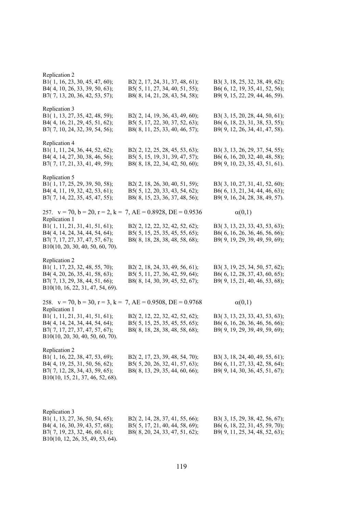| Replication 2<br>B1(1, 16, 23, 30, 45, 47, 60);<br>B4(4, 10, 26, 33, 39, 50, 63);<br>B7(7, 13, 20, 36, 42, 53, 57);                                     | B2(2, 17, 24, 31, 37, 48, 61);<br>B5(5, 11, 27, 34, 40, 51, 55);<br>B8(8, 14, 21, 28, 43, 54, 58); | B3(3, 18, 25, 32, 38, 49, 62);<br>B6(6, 12, 19, 35, 41, 52, 56);<br>B9(9, 15, 22, 29, 44, 46, 59). |
|---------------------------------------------------------------------------------------------------------------------------------------------------------|----------------------------------------------------------------------------------------------------|----------------------------------------------------------------------------------------------------|
| Replication 3<br>B1(1, 13, 27, 35, 42, 48, 59);<br>B4(4, 16, 21, 29, 45, 51, 62);<br>B7(7, 10, 24, 32, 39, 54, 56);                                     | B2(2, 14, 19, 36, 43, 49, 60);<br>B5(5, 17, 22, 30, 37, 52, 63);<br>B8(8, 11, 25, 33, 40, 46, 57); | B3(3, 15, 20, 28, 44, 50, 61);<br>B6(6, 18, 23, 31, 38, 53, 55);<br>B9(9, 12, 26, 34, 41, 47, 58). |
| Replication 4<br>B1(1, 11, 24, 36, 44, 52, 62);<br>B4(4, 14, 27, 30, 38, 46, 56);<br>B7(7, 17, 21, 33, 41, 49, 59);                                     | B2(2, 12, 25, 28, 45, 53, 63);<br>B5(5, 15, 19, 31, 39, 47, 57);<br>B8(8, 18, 22, 34, 42, 50, 60); | B3(3, 13, 26, 29, 37, 54, 55);<br>B6(6, 16, 20, 32, 40, 48, 58);<br>B9(9, 10, 23, 35, 43, 51, 61). |
| Replication 5<br>B1(1, 17, 25, 29, 39, 50, 58);<br>B4(4, 11, 19, 32, 42, 53, 61);<br>B7(7, 14, 22, 35, 45, 47, 55);                                     | B2(2, 18, 26, 30, 40, 51, 59);<br>B5(5, 12, 20, 33, 43, 54, 62);<br>B8(8, 15, 23, 36, 37, 48, 56); | B3(3, 10, 27, 31, 41, 52, 60);<br>B6(6, 13, 21, 34, 44, 46, 63);<br>B9(9, 16, 24, 28, 38, 49, 57). |
| 257. $v = 70$ , $b = 20$ , $r = 2$ , $k = 7$ , $AE = 0.8928$ , $DE = 0.9536$                                                                            |                                                                                                    | $\alpha(0,1)$                                                                                      |
| Replication 1<br>B1(1, 11, 21, 31, 41, 51, 61);<br>B4(4, 14, 24, 34, 44, 54, 64);<br>B7(7, 17, 27, 37, 47, 57, 67);<br>B10(10, 20, 30, 40, 50, 60, 70). | B2(2, 12, 22, 32, 42, 52, 62);<br>B5(5, 15, 25, 35, 45, 55, 65);<br>B8(8, 18, 28, 38, 48, 58, 68); | B3(3, 13, 23, 33, 43, 53, 63);<br>B6(6, 16, 26, 36, 46, 56, 66);<br>B9(9, 19, 29, 39, 49, 59, 69); |
| Replication 2<br>B1(1, 17, 23, 32, 48, 55, 70);<br>B4(4, 20, 26, 35, 41, 58, 63);<br>B7(7, 13, 29, 38, 44, 51, 66);<br>B10(10, 16, 22, 31, 47, 54, 69). | B2(2, 18, 24, 33, 49, 56, 61);<br>B5(5, 11, 27, 36, 42, 59, 64);<br>B8(8, 14, 30, 39, 45, 52, 67); | B3(3, 19, 25, 34, 50, 57, 62);<br>B6(6, 12, 28, 37, 43, 60, 65);<br>B9(9, 15, 21, 40, 46, 53, 68); |
| 258. $v = 70$ , $b = 30$ , $r = 3$ , $k = 7$ , $AE = 0.9508$ , $DE = 0.9768$<br>Replication 1                                                           |                                                                                                    | $\alpha(0,1)$                                                                                      |
| B1(1, 11, 21, 31, 41, 51, 61);<br>B4(4, 14, 24, 34, 44, 54, 64);<br>B7(7, 17, 27, 37, 47, 57, 67);<br>B10(10, 20, 30, 40, 50, 60, 70).                  | B2(2, 12, 22, 32, 42, 52, 62);<br>B5(5, 15, 25, 35, 45, 55, 65);<br>B8(8, 18, 28, 38, 48, 58, 68); | B3(3, 13, 23, 33, 43, 53, 63);<br>B6(6, 16, 26, 36, 46, 56, 66);<br>B9(9, 19, 29, 39, 49, 59, 69); |
| Replication 2<br>B1(1, 16, 22, 38, 47, 53, 69);<br>B4(4, 19, 25, 31, 50, 56, 62);<br>B7(7, 12, 28, 34, 43, 59, 65);<br>B10(10, 15, 21, 37, 46, 52, 68). | B2(2, 17, 23, 39, 48, 54, 70);<br>B5(5, 20, 26, 32, 41, 57, 63);<br>B8(8, 13, 29, 35, 44, 60, 66); | B3(3, 18, 24, 40, 49, 55, 61);<br>B6(6, 11, 27, 33, 42, 58, 64);<br>B9(9, 14, 30, 36, 45, 51, 67); |
| Replication 3<br>B1(1, 13, 27, 36, 50, 54, 65);<br>B4(4, 16, 30, 39, 43, 57, 68);<br>B7(7, 19, 23, 32, 46, 60, 61);<br>B10(10, 12, 26, 35, 49, 53, 64). | B2(2, 14, 28, 37, 41, 55, 66);<br>B5(5, 17, 21, 40, 44, 58, 69);<br>B8(8, 20, 24, 33, 47, 51, 62); | B3(3, 15, 29, 38, 42, 56, 67);<br>B6(6, 18, 22, 31, 45, 59, 70);<br>B9(9, 11, 25, 34, 48, 52, 63); |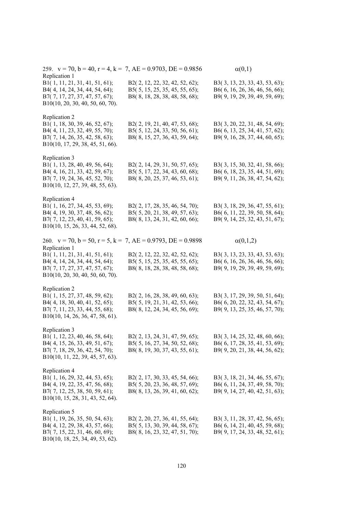| 259. $v = 70$ , $b = 40$ , $r = 4$ , $k = 7$ , $AE = 0.9703$ , $DE = 0.9856$<br>Replication 1                                                                                                                                           |                                                                                                    | $\alpha(0,1)$                                                                                                         |
|-----------------------------------------------------------------------------------------------------------------------------------------------------------------------------------------------------------------------------------------|----------------------------------------------------------------------------------------------------|-----------------------------------------------------------------------------------------------------------------------|
| B1(1, 11, 21, 31, 41, 51, 61);<br>B4(4, 14, 24, 34, 44, 54, 64);<br>B7(7, 17, 27, 37, 47, 57, 67);<br>B10(10, 20, 30, 40, 50, 60, 70).                                                                                                  | B2(2, 12, 22, 32, 42, 52, 62);<br>B5(5, 15, 25, 35, 45, 55, 65);<br>B8(8, 18, 28, 38, 48, 58, 68); | B3(3, 13, 23, 33, 43, 53, 63);<br>B6(6, 16, 26, 36, 46, 56, 66);<br>B9(9, 19, 29, 39, 49, 59, 69);                    |
| Replication 2<br>B1(1, 18, 30, 39, 46, 52, 67);<br>B4(4, 11, 23, 32, 49, 55, 70);<br>B7(7, 14, 26, 35, 42, 58, 63);<br>B10(10, 17, 29, 38, 45, 51, 66).                                                                                 | B2(2, 19, 21, 40, 47, 53, 68);<br>B5(5, 12, 24, 33, 50, 56, 61);<br>B8(8, 15, 27, 36, 43, 59, 64); | B3(3, 20, 22, 31, 48, 54, 69);<br>B6(6, 13, 25, 34, 41, 57, 62);<br>B9(9, 16, 28, 37, 44, 60, 65);                    |
| Replication 3<br>B1(1, 13, 28, 40, 49, 56, 64);<br>B4(4, 16, 21, 33, 42, 59, 67);<br>B7(7, 19, 24, 36, 45, 52, 70);<br>B10(10, 12, 27, 39, 48, 55, 63).                                                                                 | B2(2, 14, 29, 31, 50, 57, 65);<br>B5(5, 17, 22, 34, 43, 60, 68);<br>B8(8, 20, 25, 37, 46, 53, 61); | B3(3, 15, 30, 32, 41, 58, 66);<br>B6(6, 18, 23, 35, 44, 51, 69);<br>B9(9, 11, 26, 38, 47, 54, 62);                    |
| Replication 4<br>B1(1, 16, 27, 34, 45, 53, 69);<br>B4(4, 19, 30, 37, 48, 56, 62);<br>B7(7, 12, 23, 40, 41, 59, 65);<br>B10(10, 15, 26, 33, 44, 52, 68).                                                                                 | B2(2, 17, 28, 35, 46, 54, 70);<br>B5(5, 20, 21, 38, 49, 57, 63);<br>B8(8, 13, 24, 31, 42, 60, 66); | B3(3, 18, 29, 36, 47, 55, 61);<br>B6(6, 11, 22, 39, 50, 58, 64);<br>B9(9, 14, 25, 32, 43, 51, 67);                    |
| 260. $v = 70$ , $b = 50$ , $r = 5$ , $k = 7$ , $AE = 0.9793$ , $DE = 0.9898$<br>Replication 1<br>B1(1, 11, 21, 31, 41, 51, 61);<br>B4(4, 14, 24, 34, 44, 54, 64);<br>B7(7, 17, 27, 37, 47, 57, 67);<br>B10(10, 20, 30, 40, 50, 60, 70). | B2(2, 12, 22, 32, 42, 52, 62);<br>B5(5, 15, 25, 35, 45, 55, 65);<br>B8(8, 18, 28, 38, 48, 58, 68); | $\alpha(0,1,2)$<br>B3(3, 13, 23, 33, 43, 53, 63);<br>B6(6, 16, 26, 36, 46, 56, 66);<br>B9(9, 19, 29, 39, 49, 59, 69); |
| Replication 2<br>B1(1, 15, 27, 37, 48, 59, 62);<br>B4(4, 18, 30, 40, 41, 52, 65);<br>B7(7, 11, 23, 33, 44, 55, 68);<br>B10(10, 14, 26, 36, 47, 58, 61).                                                                                 | B2(2, 16, 28, 38, 49, 60, 63);<br>B5(5, 19, 21, 31, 42, 53, 66);<br>B8(8, 12, 24, 34, 45, 56, 69); | B3(3, 17, 29, 39, 50, 51, 64);<br>B6(6, 20, 22, 32, 43, 54, 67);<br>B9(9, 13, 25, 35, 46, 57, 70);                    |
| Replication 3<br>B1(1, 12, 23, 40, 46, 58, 64);<br>B4(4, 15, 26, 33, 49, 51, 67);<br>B7(7, 18, 29, 36, 42, 54, 70);<br>B10(10, 11, 22, 39, 45, 57, 63).                                                                                 | B2(2, 13, 24, 31, 47, 59, 65);<br>B5(5, 16, 27, 34, 50, 52, 68);<br>B8(8, 19, 30, 37, 43, 55, 61); | B3(3, 14, 25, 32, 48, 60, 66);<br>B6(6, 17, 28, 35, 41, 53, 69);<br>B9(9, 20, 21, 38, 44, 56, 62);                    |
| Replication 4<br>B1(1, 16, 29, 32, 44, 53, 65);<br>B4(4, 19, 22, 35, 47, 56, 68);<br>B7(7, 12, 25, 38, 50, 59, 61);<br>B10(10, 15, 28, 31, 43, 52, 64).                                                                                 | B2(2, 17, 30, 33, 45, 54, 66);<br>B5(5, 20, 23, 36, 48, 57, 69);<br>B8(8, 13, 26, 39, 41, 60, 62); | B3(3, 18, 21, 34, 46, 55, 67);<br>B6(6, 11, 24, 37, 49, 58, 70);<br>B9(9, 14, 27, 40, 42, 51, 63);                    |
| Replication 5<br>B1(1, 19, 26, 35, 50, 54, 63);<br>B4(4, 12, 29, 38, 43, 57, 66);<br>B7(7, 15, 22, 31, 46, 60, 69);<br>B10(10, 18, 25, 34, 49, 53, 62).                                                                                 | B2(2, 20, 27, 36, 41, 55, 64);<br>B5(5, 13, 30, 39, 44, 58, 67);<br>B8(8, 16, 23, 32, 47, 51, 70); | B3(3, 11, 28, 37, 42, 56, 65);<br>B6(6, 14, 21, 40, 45, 59, 68);<br>B9(9, 17, 24, 33, 48, 52, 61);                    |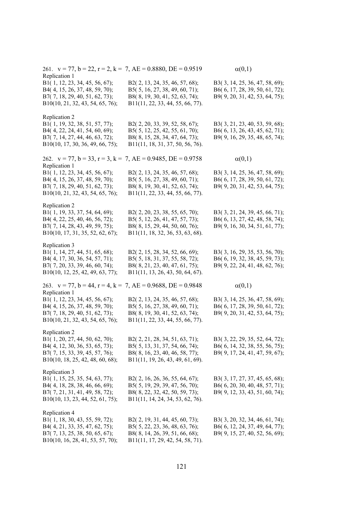| 261. $v = 77$ , $b = 22$ , $r = 2$ , $k = 7$ , $AE = 0.8880$ , $DE = 0.9519$<br>Replication 1 |                                                                  | $\alpha(0,1)$                                                    |
|-----------------------------------------------------------------------------------------------|------------------------------------------------------------------|------------------------------------------------------------------|
| B1(1, 12, 23, 34, 45, 56, 67);                                                                | B2(2, 13, 24, 35, 46, 57, 68);                                   | B3(3, 14, 25, 36, 47, 58, 69);                                   |
| B4(4, 15, 26, 37, 48, 59, 70);                                                                | B5(5, 16, 27, 38, 49, 60, 71);                                   | B6(6, 17, 28, 39, 50, 61, 72);                                   |
| B7(7, 18, 29, 40, 51, 62, 73);                                                                | B8(8, 19, 30, 41, 52, 63, 74);                                   | B9(9, 20, 31, 42, 53, 64, 75);                                   |
| B10(10, 21, 32, 43, 54, 65, 76);                                                              | B11(11, 22, 33, 44, 55, 66, 77).                                 |                                                                  |
|                                                                                               |                                                                  |                                                                  |
| Replication 2                                                                                 |                                                                  |                                                                  |
| B1(1, 19, 32, 38, 51, 57, 77);                                                                | B2(2, 20, 33, 39, 52, 58, 67);                                   | B3(3, 21, 23, 40, 53, 59, 68);                                   |
| B4(4, 22, 24, 41, 54, 60, 69);                                                                | B5(5, 12, 25, 42, 55, 61, 70);<br>B8(8, 15, 28, 34, 47, 64, 73); | B6(6, 13, 26, 43, 45, 62, 71);<br>B9(9, 16, 29, 35, 48, 65, 74); |
| B7(7, 14, 27, 44, 46, 63, 72);<br>B10(10, 17, 30, 36, 49, 66, 75);                            | B11(11, 18, 31, 37, 50, 56, 76).                                 |                                                                  |
|                                                                                               |                                                                  |                                                                  |
| 262. $v = 77$ , $b = 33$ , $r = 3$ , $k = 7$ , $AE = 0.9485$ , $DE = 0.9758$                  |                                                                  | $\alpha(0,1)$                                                    |
| Replication 1                                                                                 |                                                                  |                                                                  |
| B1(1, 12, 23, 34, 45, 56, 67);                                                                | B2(2, 13, 24, 35, 46, 57, 68);                                   | B3(3, 14, 25, 36, 47, 58, 69);                                   |
| B4(4, 15, 26, 37, 48, 59, 70);                                                                | B5(5, 16, 27, 38, 49, 60, 71);                                   | B6(6, 17, 28, 39, 50, 61, 72);                                   |
| B7(7, 18, 29, 40, 51, 62, 73);                                                                | B8(8, 19, 30, 41, 52, 63, 74);                                   | B9(9, 20, 31, 42, 53, 64, 75);                                   |
| B10(10, 21, 32, 43, 54, 65, 76);                                                              | B11(11, 22, 33, 44, 55, 66, 77).                                 |                                                                  |
| Replication 2                                                                                 |                                                                  |                                                                  |
| B1(1, 19, 33, 37, 54, 64, 69);                                                                | B2(2, 20, 23, 38, 55, 65, 70);                                   | B3(3, 21, 24, 39, 45, 66, 71);                                   |
| B4(4, 22, 25, 40, 46, 56, 72);                                                                | B5(5, 12, 26, 41, 47, 57, 73);                                   | B6(6, 13, 27, 42, 48, 58, 74);                                   |
| B7(7, 14, 28, 43, 49, 59, 75);                                                                | B8(8, 15, 29, 44, 50, 60, 76);                                   | B9(9, 16, 30, 34, 51, 61, 77);                                   |
| B10(10, 17, 31, 35, 52, 62, 67);                                                              | B11(11, 18, 32, 36, 53, 63, 68).                                 |                                                                  |
|                                                                                               |                                                                  |                                                                  |
| Replication 3                                                                                 |                                                                  |                                                                  |
| B1(1, 14, 27, 44, 51, 65, 68);                                                                | B2(2, 15, 28, 34, 52, 66, 69);                                   | B3(3, 16, 29, 35, 53, 56, 70);                                   |
| B4(4, 17, 30, 36, 54, 57, 71);                                                                | B5(5, 18, 31, 37, 55, 58, 72);                                   | B6(6, 19, 32, 38, 45, 59, 73);                                   |
| B7(7, 20, 33, 39, 46, 60, 74);                                                                | B8(8, 21, 23, 40, 47, 61, 75);                                   | B9(9, 22, 24, 41, 48, 62, 76);                                   |
| B10(10, 12, 25, 42, 49, 63, 77);                                                              | B11(11, 13, 26, 43, 50, 64, 67).                                 |                                                                  |
| 263. $v = 77$ , $b = 44$ , $r = 4$ , $k = 7$ , $AE = 0.9688$ , $DE = 0.9848$                  |                                                                  | $\alpha(0,1)$                                                    |
| Replication 1                                                                                 |                                                                  |                                                                  |
| B1(1, 12, 23, 34, 45, 56, 67);                                                                | B2(2, 13, 24, 35, 46, 57, 68);                                   | B3(3, 14, 25, 36, 47, 58, 69);                                   |
| B4(4, 15, 26, 37, 48, 59, 70);                                                                | B5(5, 16, 27, 38, 49, 60, 71);                                   | B6(6, 17, 28, 39, 50, 61, 72);                                   |
| B7(7, 18, 29, 40, 51, 62, 73);                                                                | B8(8, 19, 30, 41, 52, 63, 74);                                   | B9(9, 20, 31, 42, 53, 64, 75);                                   |
| B10(10, 21, 32, 43, 54, 65, 76);                                                              | B11(11, 22, 33, 44, 55, 66, 77).                                 |                                                                  |
| Replication 2                                                                                 |                                                                  |                                                                  |
| B1(1, 20, 27, 44, 50, 62, 70);                                                                | B2(2, 21, 28, 34, 51, 63, 71);                                   | B3(3, 22, 29, 35, 52, 64, 72);                                   |
| B4(4, 12, 30, 36, 53, 65, 73);                                                                | B5(5, 13, 31, 37, 54, 66, 74);                                   | B6(6, 14, 32, 38, 55, 56, 75);                                   |
| B7(7, 15, 33, 39, 45, 57, 76);                                                                | B8(8, 16, 23, 40, 46, 58, 77);                                   | B9(9, 17, 24, 41, 47, 59, 67);                                   |
| B10(10, 18, 25, 42, 48, 60, 68);                                                              | B11(11, 19, 26, 43, 49, 61, 69).                                 |                                                                  |
|                                                                                               |                                                                  |                                                                  |
| Replication 3                                                                                 |                                                                  |                                                                  |
| B1(1, 15, 25, 35, 54, 63, 77);                                                                | B2 $(2, 16, 26, 36, 55, 64, 67);$                                | B3(3, 17, 27, 37, 45, 65, 68);                                   |
| B4(4, 18, 28, 38, 46, 66, 69);                                                                | B5(5, 19, 29, 39, 47, 56, 70);                                   | B6(6, 20, 30, 40, 48, 57, 71);                                   |
| B7(7, 21, 31, 41, 49, 58, 72);                                                                | B8(8, 22, 32, 42, 50, 59, 73);                                   | B9(9, 12, 33, 43, 51, 60, 74);                                   |
| B10(10, 13, 23, 44, 52, 61, 75);                                                              | B11(11, 14, 24, 34, 53, 62, 76).                                 |                                                                  |
| Replication 4                                                                                 |                                                                  |                                                                  |
| B1(1, 18, 30, 43, 55, 59, 72);                                                                | B2(2, 19, 31, 44, 45, 60, 73);                                   | B3(3, 20, 32, 34, 46, 61, 74);                                   |
| B4(4, 21, 33, 35, 47, 62, 75);                                                                | B5(5, 22, 23, 36, 48, 63, 76);                                   | B6(6, 12, 24, 37, 49, 64, 77);                                   |
| B7(7, 13, 25, 38, 50, 65, 67);                                                                | B8(8, 14, 26, 39, 51, 66, 68);                                   | B9(9, 15, 27, 40, 52, 56, 69);                                   |
| B10(10, 16, 28, 41, 53, 57, 70);                                                              | B11(11, 17, 29, 42, 54, 58, 71).                                 |                                                                  |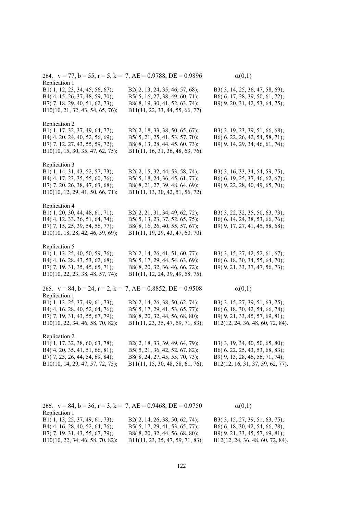| 264. $v = 77$ , $b = 55$ , $r = 5$ , $k = 7$ , $AE = 0.9788$ , $DE = 0.9896$                                                                            |                                                                                                                                        | $\alpha(0,1)$                                                                                                                          |
|---------------------------------------------------------------------------------------------------------------------------------------------------------|----------------------------------------------------------------------------------------------------------------------------------------|----------------------------------------------------------------------------------------------------------------------------------------|
| Replication 1<br>B1(1, 12, 23, 34, 45, 56, 67);<br>B4(4, 15, 26, 37, 48, 59, 70);<br>B7(7, 18, 29, 40, 51, 62, 73);<br>B10(10, 21, 32, 43, 54, 65, 76); | B2(2, 13, 24, 35, 46, 57, 68);<br>B5(5, 16, 27, 38, 49, 60, 71);<br>B8(8, 19, 30, 41, 52, 63, 74);<br>B11(11, 22, 33, 44, 55, 66, 77). | B3(3, 14, 25, 36, 47, 58, 69);<br>B6(6, 17, 28, 39, 50, 61, 72);<br>B9(9, 20, 31, 42, 53, 64, 75);                                     |
| Replication 2<br>B1(1, 17, 32, 37, 49, 64, 77);<br>B4(4, 20, 24, 40, 52, 56, 69);<br>B7(7, 12, 27, 43, 55, 59, 72);<br>B10(10, 15, 30, 35, 47, 62, 75); | B2(2, 18, 33, 38, 50, 65, 67);<br>B5(5, 21, 25, 41, 53, 57, 70);<br>B8(8, 13, 28, 44, 45, 60, 73);<br>B11(11, 16, 31, 36, 48, 63, 76). | B3(3, 19, 23, 39, 51, 66, 68);<br>B6(6, 22, 26, 42, 54, 58, 71);<br>B9(9, 14, 29, 34, 46, 61, 74);                                     |
| Replication 3<br>B1(1, 14, 31, 43, 52, 57, 73);<br>B4(4, 17, 23, 35, 55, 60, 76);<br>B7(7, 20, 26, 38, 47, 63, 68);<br>B10(10, 12, 29, 41, 50, 66, 71); | B2(2, 15, 32, 44, 53, 58, 74);<br>B5(5, 18, 24, 36, 45, 61, 77);<br>B8(8, 21, 27, 39, 48, 64, 69);<br>B11(11, 13, 30, 42, 51, 56, 72). | B3(3, 16, 33, 34, 54, 59, 75);<br>B6(6, 19, 25, 37, 46, 62, 67);<br>B9(9, 22, 28, 40, 49, 65, 70);                                     |
| Replication 4<br>B1(1, 20, 30, 44, 48, 61, 71);<br>B4(4, 12, 33, 36, 51, 64, 74);<br>B7(7, 15, 25, 39, 54, 56, 77);<br>B10(10, 18, 28, 42, 46, 59, 69); | B2(2, 21, 31, 34, 49, 62, 72);<br>B5(5, 13, 23, 37, 52, 65, 75);<br>B8(8, 16, 26, 40, 55, 57, 67);<br>B11(11, 19, 29, 43, 47, 60, 70). | B3(3, 22, 32, 35, 50, 63, 73);<br>B6(6, 14, 24, 38, 53, 66, 76);<br>B9(9, 17, 27, 41, 45, 58, 68);                                     |
| Replication 5<br>B1(1, 13, 25, 40, 50, 59, 76);<br>B4(4, 16, 28, 43, 53, 62, 68);<br>B7(7, 19, 31, 35, 45, 65, 71);<br>B10(10, 22, 23, 38, 48, 57, 74); | B2(2, 14, 26, 41, 51, 60, 77);<br>B5(5, 17, 29, 44, 54, 63, 69);<br>B8(8, 20, 32, 36, 46, 66, 72);<br>B11(11, 12, 24, 39, 49, 58, 75). | B3(3, 15, 27, 42, 52, 61, 67);<br>B6(6, 18, 30, 34, 55, 64, 70);<br>B9(9, 21, 33, 37, 47, 56, 73);                                     |
| 265. $v = 84$ , $b = 24$ , $r = 2$ , $k = 7$ , $AE = 0.8852$ , $DE = 0.9508$<br>Replication 1                                                           |                                                                                                                                        | $\alpha(0,1)$                                                                                                                          |
| B1(1, 13, 25, 37, 49, 61, 73);<br>B4(4, 16, 28, 40, 52, 64, 76);<br>B7(7, 19, 31, 43, 55, 67, 79);<br>B10(10, 22, 34, 46, 58, 70, 82);                  | B2(2, 14, 26, 38, 50, 62, 74);<br>B5(5, 17, 29, 41, 53, 65, 77);<br>B8(8, 20, 32, 44, 56, 68, 80);<br>B11(11, 23, 35, 47, 59, 71, 83); | B3(3, 15, 27, 39, 51, 63, 75);<br>B6(6, 18, 30, 42, 54, 66, 78);<br>B9(9, 21, 33, 45, 57, 69, 81);<br>B12(12, 24, 36, 48, 60, 72, 84). |
| Replication 2<br>B1(1, 17, 32, 38, 60, 63, 78);<br>B4(4, 20, 35, 41, 51, 66, 81);<br>B7(7, 23, 26, 44, 54, 69, 84);<br>B10(10, 14, 29, 47, 57, 72, 75); | B2(2, 18, 33, 39, 49, 64, 79);<br>B5(5, 21, 36, 42, 52, 67, 82);<br>B8(8, 24, 27, 45, 55, 70, 73);<br>B11(11, 15, 30, 48, 58, 61, 76); | B3(3, 19, 34, 40, 50, 65, 80);<br>B6(6, 22, 25, 43, 53, 68, 83);<br>B9(9, 13, 28, 46, 56, 71, 74);<br>B12(12, 16, 31, 37, 59, 62, 77). |
|                                                                                                                                                         |                                                                                                                                        |                                                                                                                                        |

| 266. $v = 84$ , $b = 36$ , $r = 3$ , $k = 7$ , $AE = 0.9468$ , $DE = 0.9750$ |                                    | $\alpha(0,1)$                     |
|------------------------------------------------------------------------------|------------------------------------|-----------------------------------|
| Replication 1                                                                |                                    |                                   |
| B1(1, 13, 25, 37, 49, 61, 73);                                               | B2(2, 14, 26, 38, 50, 62, 74);     | B3(3, 15, 27, 39, 51, 63, 75);    |
| B4(4, 16, 28, 40, 52, 64, 76);                                               | B5 $(5, 17, 29, 41, 53, 65, 77)$ ; | $B6(6, 18, 30, 42, 54, 66, 78)$ ; |
| B7(7, 19, 31, 43, 55, 67, 79);                                               | B8(8, 20, 32, 44, 56, 68, 80);     | B9(9, 21, 33, 45, 57, 69, 81);    |
| B10(10, 22, 34, 46, 58, 70, 82);                                             | B11(11, 23, 35, 47, 59, 71, 83);   | B12(12, 24, 36, 48, 60, 72, 84).  |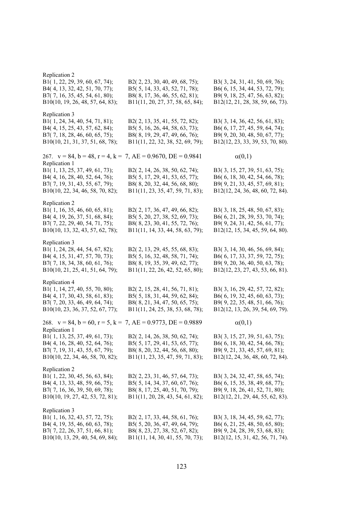| Replication 2<br>B1(1, 22, 29, 39, 60, 67, 74);<br>B4(4, 13, 32, 42, 51, 70, 77);<br>B7(7, 16, 35, 45, 54, 61, 80);<br>B10(10, 19, 26, 48, 57, 64, 83); | B2(2, 23, 30, 40, 49, 68, 75);<br>B5(5, 14, 33, 43, 52, 71, 78);<br>B8(8, 17, 36, 46, 55, 62, 81);<br>B11(11, 20, 27, 37, 58, 65, 84); | B3(3, 24, 31, 41, 50, 69, 76);<br>B6(6, 15, 34, 44, 53, 72, 79);<br>B9(9, 18, 25, 47, 56, 63, 82);<br>B12(12, 21, 28, 38, 59, 66, 73). |
|---------------------------------------------------------------------------------------------------------------------------------------------------------|----------------------------------------------------------------------------------------------------------------------------------------|----------------------------------------------------------------------------------------------------------------------------------------|
| Replication 3<br>B1(1, 24, 34, 40, 54, 71, 81);<br>B4(4, 15, 25, 43, 57, 62, 84);<br>B7(7, 18, 28, 46, 60, 65, 75);<br>B10(10, 21, 31, 37, 51, 68, 78); | B2(2, 13, 35, 41, 55, 72, 82);<br>B5(5, 16, 26, 44, 58, 63, 73);<br>B8(8, 19, 29, 47, 49, 66, 76);<br>B11(11, 22, 32, 38, 52, 69, 79); | B3(3, 14, 36, 42, 56, 61, 83);<br>B6(6, 17, 27, 45, 59, 64, 74);<br>B9(9, 20, 30, 48, 50, 67, 77);<br>B12(12, 23, 33, 39, 53, 70, 80). |
| 267. $v = 84$ , $b = 48$ , $r = 4$ , $k = 7$ , $AE = 0.9670$ , $DE = 0.9841$                                                                            |                                                                                                                                        | $\alpha(0,1)$                                                                                                                          |
| Replication 1<br>B1(1, 13, 25, 37, 49, 61, 73);<br>B4(4, 16, 28, 40, 52, 64, 76);<br>B7(7, 19, 31, 43, 55, 67, 79);<br>B10(10, 22, 34, 46, 58, 70, 82); | B2(2, 14, 26, 38, 50, 62, 74);<br>B5(5, 17, 29, 41, 53, 65, 77);<br>B8(8, 20, 32, 44, 56, 68, 80);<br>B11(11, 23, 35, 47, 59, 71, 83); | B3(3, 15, 27, 39, 51, 63, 75);<br>B6(6, 18, 30, 42, 54, 66, 78);<br>B9(9, 21, 33, 45, 57, 69, 81);<br>B12(12, 24, 36, 48, 60, 72, 84). |
| Replication 2<br>B1(1, 16, 35, 46, 60, 65, 81);<br>B4(4, 19, 26, 37, 51, 68, 84);<br>B7(7, 22, 29, 40, 54, 71, 75);<br>B10(10, 13, 32, 43, 57, 62, 78); | B2(2, 17, 36, 47, 49, 66, 82);<br>B5(5, 20, 27, 38, 52, 69, 73);<br>B8(8, 23, 30, 41, 55, 72, 76);<br>B11(11, 14, 33, 44, 58, 63, 79); | B3(3, 18, 25, 48, 50, 67, 83);<br>B6(6, 21, 28, 39, 53, 70, 74);<br>B9(9, 24, 31, 42, 56, 61, 77);<br>B12(12, 15, 34, 45, 59, 64, 80). |
| Replication 3<br>B1(1, 24, 28, 44, 54, 67, 82);<br>B4(4, 15, 31, 47, 57, 70, 73);<br>B7(7, 18, 34, 38, 60, 61, 76);<br>B10(10, 21, 25, 41, 51, 64, 79); | B2(2, 13, 29, 45, 55, 68, 83);<br>B5(5, 16, 32, 48, 58, 71, 74);<br>B8(8, 19, 35, 39, 49, 62, 77);<br>B11(11, 22, 26, 42, 52, 65, 80); | B3(3, 14, 30, 46, 56, 69, 84);<br>B6(6, 17, 33, 37, 59, 72, 75);<br>B9(9, 20, 36, 40, 50, 63, 78);<br>B12(12, 23, 27, 43, 53, 66, 81). |
| Replication 4<br>B1(1, 14, 27, 40, 55, 70, 80);<br>B4(4, 17, 30, 43, 58, 61, 83);<br>B7(7, 20, 33, 46, 49, 64, 74);<br>B10(10, 23, 36, 37, 52, 67, 77); | B2(2, 15, 28, 41, 56, 71, 81);<br>B5(5, 18, 31, 44, 59, 62, 84);<br>B8(8, 21, 34, 47, 50, 65, 75);<br>B11(11, 24, 25, 38, 53, 68, 78); | B3(3, 16, 29, 42, 57, 72, 82);<br>B6(6, 19, 32, 45, 60, 63, 73);<br>B9(9, 22, 35, 48, 51, 66, 76);<br>B12(12, 13, 26, 39, 54, 69, 79). |
| 268. $v = 84$ , $b = 60$ , $r = 5$ , $k = 7$ , $AE = 0.9773$ , $DE = 0.9889$                                                                            |                                                                                                                                        | $\alpha(0,1)$                                                                                                                          |
| Replication 1<br>B1(1, 13, 25, 37, 49, 61, 73);<br>B4(4, 16, 28, 40, 52, 64, 76);<br>B7(7, 19, 31, 43, 55, 67, 79);<br>B10(10, 22, 34, 46, 58, 70, 82); | B2(2, 14, 26, 38, 50, 62, 74);<br>B5(5, 17, 29, 41, 53, 65, 77);<br>B8(8, 20, 32, 44, 56, 68, 80);<br>B11(11, 23, 35, 47, 59, 71, 83); | B3(3, 15, 27, 39, 51, 63, 75);<br>B6(6, 18, 30, 42, 54, 66, 78);<br>B9(9, 21, 33, 45, 57, 69, 81);<br>B12(12, 24, 36, 48, 60, 72, 84). |
| Replication 2<br>B1(1, 22, 30, 45, 56, 63, 84);<br>B4(4, 13, 33, 48, 59, 66, 75);<br>B7(7, 16, 36, 39, 50, 69, 78);<br>B10(10, 19, 27, 42, 53, 72, 81); | B2(2, 23, 31, 46, 57, 64, 73);<br>B5(5, 14, 34, 37, 60, 67, 76);<br>B8(8, 17, 25, 40, 51, 70, 79);<br>B11(11, 20, 28, 43, 54, 61, 82); | B3(3, 24, 32, 47, 58, 65, 74);<br>B6(6, 15, 35, 38, 49, 68, 77);<br>B9(9, 18, 26, 41, 52, 71, 80);<br>B12(12, 21, 29, 44, 55, 62, 83). |
| Replication 3<br>B1(1, 16, 32, 43, 57, 72, 75);<br>B4(4, 19, 35, 46, 60, 63, 78);<br>B7(7, 22, 26, 37, 51, 66, 81);<br>B10(10, 13, 29, 40, 54, 69, 84); | B2(2, 17, 33, 44, 58, 61, 76);<br>B5(5, 20, 36, 47, 49, 64, 79);<br>B8(8, 23, 27, 38, 52, 67, 82);<br>B11(11, 14, 30, 41, 55, 70, 73); | B3(3, 18, 34, 45, 59, 62, 77);<br>B6(6, 21, 25, 48, 50, 65, 80);<br>B9(9, 24, 28, 39, 53, 68, 83);<br>B12(12, 15, 31, 42, 56, 71, 74). |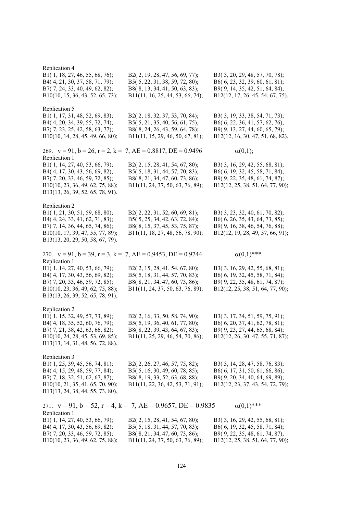| Replication 4<br>B1(1, 18, 27, 46, 55, 68, 76);<br>B4(4, 21, 30, 37, 58, 71, 79);<br>B7(7, 24, 33, 40, 49, 62, 82);<br>B10(10, 15, 36, 43, 52, 65, 73);                    | B2(2, 19, 28, 47, 56, 69, 77);<br>B5(5, 22, 31, 38, 59, 72, 80);<br>B8(8, 13, 34, 41, 50, 63, 83);<br>B11(11, 16, 25, 44, 53, 66, 74); | B3(3, 20, 29, 48, 57, 70, 78);<br>B6(6, 23, 32, 39, 60, 61, 81);<br>B9(9, 14, 35, 42, 51, 64, 84);<br>B12(12, 17, 26, 45, 54, 67, 75). |
|----------------------------------------------------------------------------------------------------------------------------------------------------------------------------|----------------------------------------------------------------------------------------------------------------------------------------|----------------------------------------------------------------------------------------------------------------------------------------|
| Replication 5<br>B1(1, 17, 31, 48, 52, 69, 83);<br>B4(4, 20, 34, 39, 55, 72, 74);<br>B7(7, 23, 25, 42, 58, 63, 77);<br>B10(10, 14, 28, 45, 49, 66, 80);                    | B2(2, 18, 32, 37, 53, 70, 84);<br>B5(5, 21, 35, 40, 56, 61, 75);<br>B8(8, 24, 26, 43, 59, 64, 78);<br>B11(11, 15, 29, 46, 50, 67, 81); | B3(3, 19, 33, 38, 54, 71, 73);<br>B6(6, 22, 36, 41, 57, 62, 76);<br>B9(9, 13, 27, 44, 60, 65, 79);<br>B12(12, 16, 30, 47, 51, 68, 82). |
| 269. $v = 91$ , $b = 26$ , $r = 2$ , $k = 7$ , $AE = 0.8817$ , $DE = 0.9496$<br>Replication 1                                                                              |                                                                                                                                        | $\alpha(0,1);$                                                                                                                         |
| B1(1, 14, 27, 40, 53, 66, 79);<br>B4(4, 17, 30, 43, 56, 69, 82);<br>B7(7, 20, 33, 46, 59, 72, 85);<br>B10(10, 23, 36, 49, 62, 75, 88);<br>B13(13, 26, 39, 52, 65, 78, 91). | B2(2, 15, 28, 41, 54, 67, 80);<br>B5(5, 18, 31, 44, 57, 70, 83);<br>B8(8, 21, 34, 47, 60, 73, 86);<br>B11(11, 24, 37, 50, 63, 76, 89); | B3(3, 16, 29, 42, 55, 68, 81);<br>B6(6, 19, 32, 45, 58, 71, 84);<br>B9(9, 22, 35, 48, 61, 74, 87);<br>B12(12, 25, 38, 51, 64, 77, 90); |
| Replication 2<br>B1(1, 21, 30, 51, 59, 68, 80);                                                                                                                            | B2(2, 22, 31, 52, 60, 69, 81);                                                                                                         | B3(3, 23, 32, 40, 61, 70, 82);<br>B6(6, 26, 35, 43, 64, 73, 85);                                                                       |
| B4(4, 24, 33, 41, 62, 71, 83);<br>B7(7, 14, 36, 44, 65, 74, 86);<br>B10(10, 17, 39, 47, 55, 77, 89);<br>B13(13, 20, 29, 50, 58, 67, 79).                                   | B5(5, 25, 34, 42, 63, 72, 84);<br>B8(8, 15, 37, 45, 53, 75, 87);<br>B11(11, 18, 27, 48, 56, 78, 90);                                   | B9(9, 16, 38, 46, 54, 76, 88);<br>B12(12, 19, 28, 49, 57, 66, 91);                                                                     |
| 270. $v = 91$ , $b = 39$ , $r = 3$ , $k = 7$ , $AE = 0.9453$ , $DE = 0.9744$<br>Replication 1                                                                              |                                                                                                                                        | $\alpha(0,1)$ ***                                                                                                                      |
| B1(1, 14, 27, 40, 53, 66, 79);<br>B4(4, 17, 30, 43, 56, 69, 82);<br>B7(7, 20, 33, 46, 59, 72, 85);<br>B10(10, 23, 36, 49, 62, 75, 88);<br>B13(13, 26, 39, 52, 65, 78, 91). | B2(2, 15, 28, 41, 54, 67, 80);<br>B5(5, 18, 31, 44, 57, 70, 83);<br>B8(8, 21, 34, 47, 60, 73, 86);<br>B11(11, 24, 37, 50, 63, 76, 89); | B3(3, 16, 29, 42, 55, 68, 81);<br>B6(6, 19, 32, 45, 58, 71, 84);<br>B9(9, 22, 35, 48, 61, 74, 87);<br>B12(12, 25, 38, 51, 64, 77, 90); |
| Replication 2<br>B1(1, 15, 32, 49, 57, 73, 89);                                                                                                                            | B2(2, 16, 33, 50, 58, 74, 90);                                                                                                         | B3(3, 17, 34, 51, 59, 75, 91);                                                                                                         |
| B4(4, 18, 35, 52, 60, 76, 79);<br>B7(7, 21, 38, 42, 63, 66, 82);<br>B10(10, 24, 28, 45, 53, 69, 85);<br>B13(13, 14, 31, 48, 56, 72, 88).                                   | B5(5, 19, 36, 40, 61, 77, 80);<br>B8(8, 22, 39, 43, 64, 67, 83);<br>B11(11, 25, 29, 46, 54, 70, 86);                                   | B6(6, 20, 37, 41, 62, 78, 81);<br>B9(9, 23, 27, 44, 65, 68, 84);<br>B12(12, 26, 30, 47, 55, 71, 87);                                   |
| Replication 3<br>B1(1, 25, 39, 45, 56, 74, 81);                                                                                                                            | B2(2, 26, 27, 46, 57, 75, 82);                                                                                                         | B3(3, 14, 28, 47, 58, 76, 83);                                                                                                         |
| B4(4, 15, 29, 48, 59, 77, 84);<br>B7(7, 18, 32, 51, 62, 67, 87);                                                                                                           | B5(5, 16, 30, 49, 60, 78, 85);<br>B8(8, 19, 33, 52, 63, 68, 88);                                                                       | B6(6, 17, 31, 50, 61, 66, 86);<br>B9(9, 20, 34, 40, 64, 69, 89);                                                                       |
| B10(10, 21, 35, 41, 65, 70, 90);<br>B13(13, 24, 38, 44, 55, 73, 80).                                                                                                       | B11(11, 22, 36, 42, 53, 71, 91);                                                                                                       | B12(12, 23, 37, 43, 54, 72, 79);                                                                                                       |
| Replication 1                                                                                                                                                              | 271. $v = 91$ , $b = 52$ , $r = 4$ , $k = 7$ , $AE = 0.9657$ , $DE = 0.9835$                                                           | $\alpha(0,1)$ ***                                                                                                                      |
| B1(1, 14, 27, 40, 53, 66, 79);                                                                                                                                             | B2(2, 15, 28, 41, 54, 67, 80);                                                                                                         | B3(3, 16, 29, 42, 55, 68, 81);                                                                                                         |
| B4(4, 17, 30, 43, 56, 69, 82);<br>B7(7, 20, 33, 46, 59, 72, 85);                                                                                                           | B5(5, 18, 31, 44, 57, 70, 83);<br>B8(8, 21, 34, 47, 60, 73, 86);                                                                       | B6(6, 19, 32, 45, 58, 71, 84);<br>B9(9, 22, 35, 48, 61, 74, 87);                                                                       |
| B10(10, 23, 36, 49, 62, 75, 88);                                                                                                                                           | B11(11, 24, 37, 50, 63, 76, 89);                                                                                                       | B12(12, 25, 38, 51, 64, 77, 90);                                                                                                       |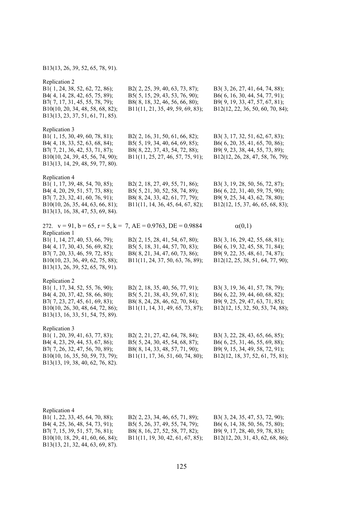#### B13(13, 26, 39, 52, 65, 78, 91).

Replication 2 B1( 1, 24, 38, 52, 62, 72, 86); B2( 2, 25, 39, 40, 63, 73, 87); B3( 3, 26, 27, 41, 64, 74, 88); B4( 4, 14, 28, 42, 65, 75, 89); B5( 5, 15, 29, 43, 53, 76, 90); B6( 6, 16, 30, 44, 54, 77, 91); B7( 7, 17, 31, 45, 55, 78, 79); B8( 8, 18, 32, 46, 56, 66, 80); B9( 9, 19, 33, 47, 57, 67, 81); B10(10, 20, 34, 48, 58, 68, 82); B11(11, 21, 35, 49, 59, 69, 83); B12(12, 22, 36, 50, 60, 70, 84); B13(13, 23, 37, 51, 61, 71, 85). Replication 3 B1( 1, 15, 30, 49, 60, 78, 81); B2( 2, 16, 31, 50, 61, 66, 82); B3( 3, 17, 32, 51, 62, 67, 83); B4( 4, 18, 33, 52, 63, 68, 84); B5( 5, 19, 34, 40, 64, 69, 85); B6( 6, 20, 35, 41, 65, 70, 86); B7( 7, 21, 36, 42, 53, 71, 87); B8( 8, 22, 37, 43, 54, 72, 88); B9( 9, 23, 38, 44, 55, 73, 89); B10(10, 24, 39, 45, 56, 74, 90); B11(11, 25, 27, 46, 57, 75, 91); B12(12, 26, 28, 47, 58, 76, 79); B13(13, 14, 29, 48, 59, 77, 80). Replication 4<br>B1(1, 17, 39, 48, 54, 70, 85); B2( 2, 18, 27, 49, 55, 71, 86); B3( 3, 19, 28, 50, 56, 72, 87); B4( 4, 20, 29, 51, 57, 73, 88); B5( 5, 21, 30, 52, 58, 74, 89); B6( 6, 22, 31, 40, 59, 75, 90); B7( 7, 23, 32, 41, 60, 76, 91); B8( 8, 24, 33, 42, 61, 77, 79); B9( 9, 25, 34, 43, 62, 78, 80); B10(10, 26, 35, 44, 63, 66, 81); B11(11, 14, 36, 45, 64, 67, 82); B12(12, 15, 37, 46, 65, 68, 83); B13(13, 16, 38, 47, 53, 69, 84). 272.  $v = 91$ ,  $b = 65$ ,  $r = 5$ ,  $k = 7$ ,  $AE = 0.9763$ ,  $DE = 0.9884$  (0,1) Replication 1 B1( 1, 14, 27, 40, 53, 66, 79); B2( 2, 15, 28, 41, 54, 67, 80); B3( 3, 16, 29, 42, 55, 68, 81); B4( 4, 17, 30, 43, 56, 69, 82); B5( 5, 18, 31, 44, 57, 70, 83); B6( 6, 19, 32, 45, 58, 71, 84); B7( 7, 20, 33, 46, 59, 72, 85); B8( 8, 21, 34, 47, 60, 73, 86); B9( 9, 22, 35, 48, 61, 74, 87); B10(10, 23, 36, 49, 62, 75, 88); B11(11, 24, 37, 50, 63, 76, 89); B12(12, 25, 38, 51, 64, 77, 90); B13(13, 26, 39, 52, 65, 78, 91). Replication 2 B1( 1, 17, 34, 52, 55, 76, 90); B2( 2, 18, 35, 40, 56, 77, 91); B3( 3, 19, 36, 41, 57, 78, 79); B4( 4, 20, 37, 42, 58, 66, 80); B5( 5, 21, 38, 43, 59, 67, 81); B6( 6, 22, 39, 44, 60, 68, 82); B7( 7, 23, 27, 45, 61, 69, 83); B8( 8, 24, 28, 46, 62, 70, 84); B9( 9, 25, 29, 47, 63, 71, 85); B10(10, 26, 30, 48, 64, 72, 86); B11(11, 14, 31, 49, 65, 73, 87); B12(12, 15, 32, 50, 53, 74, 88); B13(13, 16, 33, 51, 54, 75, 89). Replication 3 B1( 1, 20, 39, 41, 63, 77, 83); B2( 2, 21, 27, 42, 64, 78, 84); B3( 3, 22, 28, 43, 65, 66, 85); B4( 4, 23, 29, 44, 53, 67, 86); B5( 5, 24, 30, 45, 54, 68, 87); B6( 6, 25, 31, 46, 55, 69, 88); B7( 7, 26, 32, 47, 56, 70, 89); B8( 8, 14, 33, 48, 57, 71, 90); B9( 9, 15, 34, 49, 58, 72, 91); B10(10, 16, 35, 50, 59, 73, 79); B11(11, 17, 36, 51, 60, 74, 80); B12(12, 18, 37, 52, 61, 75, 81); B13(13, 19, 38, 40, 62, 76, 82).

| Replication 4                    |                                   |                                  |
|----------------------------------|-----------------------------------|----------------------------------|
| B1(1, 22, 33, 45, 64, 70, 88);   | $B2(2, 23, 34, 46, 65, 71, 89)$ ; | B3(3, 24, 35, 47, 53, 72, 90);   |
| B4(4, 25, 36, 48, 54, 73, 91);   | $B5(5, 26, 37, 49, 55, 74, 79)$ ; | B6(6, 14, 38, 50, 56, 75, 80);   |
| B7(7, 15, 39, 51, 57, 76, 81);   | B8(8, 16, 27, 52, 58, 77, 82);    | B9(9, 17, 28, 40, 59, 78, 83);   |
| B10(10, 18, 29, 41, 60, 66, 84); | B11(11, 19, 30, 42, 61, 67, 85);  | B12(12, 20, 31, 43, 62, 68, 86); |
| B13(13, 21, 32, 44, 63, 69, 87). |                                   |                                  |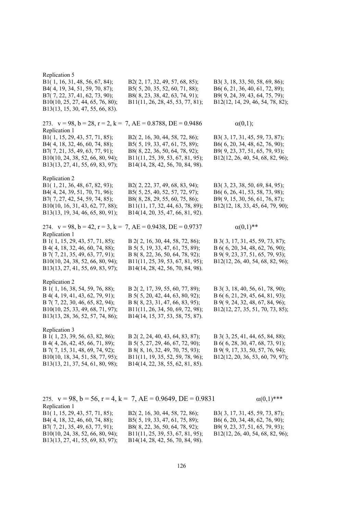| Replication 5<br>B1(1, 16, 31, 48, 56, 67, 84);<br>B4(4, 19, 34, 51, 59, 70, 87);<br>B7(7, 22, 37, 41, 62, 73, 90);<br>B10(10, 25, 27, 44, 65, 76, 80);<br>B13(13, 15, 30, 47, 55, 66, 83).    | B2(2, 17, 32, 49, 57, 68, 85);<br>B5(5, 20, 35, 52, 60, 71, 88);<br>B8(8, 23, 38, 42, 63, 74, 91);<br>B11(11, 26, 28, 45, 53, 77, 81);                                        | B3(3, 18, 33, 50, 58, 69, 86);<br>B6(6, 21, 36, 40, 61, 72, 89);<br>B9(9, 24, 39, 43, 64, 75, 79);<br>B12(12, 14, 29, 46, 54, 78, 82);    |
|------------------------------------------------------------------------------------------------------------------------------------------------------------------------------------------------|-------------------------------------------------------------------------------------------------------------------------------------------------------------------------------|-------------------------------------------------------------------------------------------------------------------------------------------|
| 273. $v = 98$ , $b = 28$ , $r = 2$ , $k = 7$ , $AE = 0.8788$ , $DE = 0.9486$<br>Replication 1                                                                                                  |                                                                                                                                                                               | $\alpha(0,1);$                                                                                                                            |
| B1(1, 15, 29, 43, 57, 71, 85);<br>B4(4, 18, 32, 46, 60, 74, 88);<br>B7(7, 21, 35, 49, 63, 77, 91);<br>B10(10, 24, 38, 52, 66, 80, 94);<br>B13(13, 27, 41, 55, 69, 83, 97);                     | B2(2, 16, 30, 44, 58, 72, 86);<br>B5(5, 19, 33, 47, 61, 75, 89);<br>B8(8, 22, 36, 50, 64, 78, 92);<br>B11(11, 25, 39, 53, 67, 81, 95);<br>B14(14, 28, 42, 56, 70, 84, 98).    | B3(3, 17, 31, 45, 59, 73, 87);<br>B6(6, 20, 34, 48, 62, 76, 90);<br>B9(9, 23, 37, 51, 65, 79, 93);<br>B12(12, 26, 40, 54, 68, 82, 96);    |
| Replication 2<br>B1(1, 21, 36, 48, 67, 82, 93);<br>B4(4, 24, 39, 51, 70, 71, 96);<br>B7(7, 27, 42, 54, 59, 74, 85);<br>B10(10, 16, 31, 43, 62, 77, 88);<br>B13(13, 19, 34, 46, 65, 80, 91);    | B2(2, 22, 37, 49, 68, 83, 94);<br>B5(5, 25, 40, 52, 57, 72, 97);<br>B8(8, 28, 29, 55, 60, 75, 86);<br>B11(11, 17, 32, 44, 63, 78, 89);<br>B14(14, 20, 35, 47, 66, 81, 92).    | B3(3, 23, 38, 50, 69, 84, 95);<br>B6(6, 26, 41, 53, 58, 73, 98);<br>B9(9, 15, 30, 56, 61, 76, 87);<br>B12(12, 18, 33, 45, 64, 79, 90);    |
| 274. $v = 98$ , $b = 42$ , $r = 3$ , $k = 7$ , $AE = 0.9438$ , $DE = 0.9737$<br>Replication 1                                                                                                  |                                                                                                                                                                               | $\alpha(0,1)$ **                                                                                                                          |
|                                                                                                                                                                                                |                                                                                                                                                                               |                                                                                                                                           |
| B 1(1, 15, 29, 43, 57, 71, 85);<br>B 4(4, 18, 32, 46, 60, 74, 88);<br>B 7(7, 21, 35, 49, 63, 77, 91);<br>B10(10, 24, 38, 52, 66, 80, 94);<br>B13(13, 27, 41, 55, 69, 83, 97);                  | B 2(2, 16, 30, 44, 58, 72, 86);<br>B 5(5, 19, 33, 47, 61, 75, 89);<br>B 8(8, 22, 36, 50, 64, 78, 92);<br>B11(11, 25, 39, 53, 67, 81, 95);<br>B14(14, 28, 42, 56, 70, 84, 98). | B 3(3, 17, 31, 45, 59, 73, 87);<br>B 6(6, 20, 34, 48, 62, 76, 90);<br>B 9(9, 23, 37, 51, 65, 79, 93);<br>B12(12, 26, 40, 54, 68, 82, 96); |
| Replication 2<br>B 1(1, 16, 38, 54, 59, 76, 88);<br>B 4(4, 19, 41, 43, 62, 79, 91);<br>B 7(7, 22, 30, 46, 65, 82, 94);<br>B10(10, 25, 33, 49, 68, 71, 97);<br>B13(13, 28, 36, 52, 57, 74, 86); | B 2(2, 17, 39, 55, 60, 77, 89);<br>B 5(5, 20, 42, 44, 63, 80, 92);<br>B 8(8, 23, 31, 47, 66, 83, 95);<br>B11(11, 26, 34, 50, 69, 72, 98);<br>B14(14, 15, 37, 53, 58, 75, 87). | B 3(3, 18, 40, 56, 61, 78, 90);<br>B 6(6, 21, 29, 45, 64, 81, 93);<br>B 9(9, 24, 32, 48, 67, 84, 96);<br>B12(12, 27, 35, 51, 70, 73, 85); |

|                                  | 275. $v = 98$ , $b = 56$ , $r = 4$ , $k = 7$ , $AE = 0.9649$ , $DE = 0.9831$ | $\alpha(0,1)$ ***                |
|----------------------------------|------------------------------------------------------------------------------|----------------------------------|
| Replication 1                    |                                                                              |                                  |
| B1(1, 15, 29, 43, 57, 71, 85);   | B2(2, 16, 30, 44, 58, 72, 86);                                               | B3(3, 17, 31, 45, 59, 73, 87);   |
| B4(4, 18, 32, 46, 60, 74, 88);   | B5( $5, 19, 33, 47, 61, 75, 89$ );                                           | B6(6, 20, 34, 48, 62, 76, 90);   |
| B7(7, 21, 35, 49, 63, 77, 91);   | B8(8, 22, 36, 50, 64, 78, 92);                                               | B9(9, 23, 37, 51, 65, 79, 93);   |
| B10(10, 24, 38, 52, 66, 80, 94); | B11(11, 25, 39, 53, 67, 81, 95);                                             | B12(12, 26, 40, 54, 68, 82, 96); |
| B13(13, 27, 41, 55, 69, 83, 97); | B14(14, 28, 42, 56, 70, 84, 98).                                             |                                  |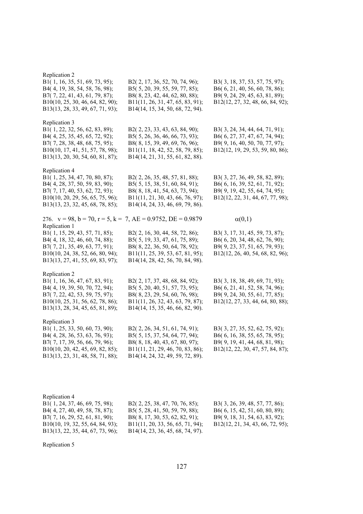| Replication 2<br>B1(1, 16, 35, 51, 69, 73, 95);<br>B4(4, 19, 38, 54, 58, 76, 98);<br>B7(7, 22, 41, 43, 61, 79, 87);<br>B10(10, 25, 30, 46, 64, 82, 90);<br>B13(13, 28, 33, 49, 67, 71, 93); | B2(2, 17, 36, 52, 70, 74, 96);<br>B5(5, 20, 39, 55, 59, 77, 85);<br>B8(8, 23, 42, 44, 62, 80, 88);<br>B11(11, 26, 31, 47, 65, 83, 91);<br>B14(14, 15, 34, 50, 68, 72, 94). | B3(3, 18, 37, 53, 57, 75, 97);<br>B6(6, 21, 40, 56, 60, 78, 86);<br>B9(9, 24, 29, 45, 63, 81, 89);<br>B12(12, 27, 32, 48, 66, 84, 92); |
|---------------------------------------------------------------------------------------------------------------------------------------------------------------------------------------------|----------------------------------------------------------------------------------------------------------------------------------------------------------------------------|----------------------------------------------------------------------------------------------------------------------------------------|
| Replication 3<br>B1(1, 22, 32, 56, 62, 83, 89);<br>B4(4, 25, 35, 45, 65, 72, 92);<br>B7(7, 28, 38, 48, 68, 75, 95);<br>B10(10, 17, 41, 51, 57, 78, 98);<br>B13(13, 20, 30, 54, 60, 81, 87); | B2(2, 23, 33, 43, 63, 84, 90);<br>B5(5, 26, 36, 46, 66, 73, 93);<br>B8(8, 15, 39, 49, 69, 76, 96);<br>B11(11, 18, 42, 52, 58, 79, 85);<br>B14(14, 21, 31, 55, 61, 82, 88). | B3(3, 24, 34, 44, 64, 71, 91);<br>B6(6, 27, 37, 47, 67, 74, 94);<br>B9(9, 16, 40, 50, 70, 77, 97);<br>B12(12, 19, 29, 53, 59, 80, 86); |
| Replication 4<br>B1(1, 25, 34, 47, 70, 80, 87);<br>B4(4, 28, 37, 50, 59, 83, 90);<br>B7(7, 17, 40, 53, 62, 72, 93);<br>B10(10, 20, 29, 56, 65, 75, 96);<br>B13(13, 23, 32, 45, 68, 78, 85); | B2(2, 26, 35, 48, 57, 81, 88);<br>B5(5, 15, 38, 51, 60, 84, 91);<br>B8(8, 18, 41, 54, 63, 73, 94);<br>B11(11, 21, 30, 43, 66, 76, 97);<br>B14(14, 24, 33, 46, 69, 79, 86). | B3(3, 27, 36, 49, 58, 82, 89);<br>B6(6, 16, 39, 52, 61, 71, 92);<br>B9(9, 19, 42, 55, 64, 74, 95);<br>B12(12, 22, 31, 44, 67, 77, 98); |
| 276. $v = 98$ , $b = 70$ , $r = 5$ , $k = 7$ , $AE = 0.9752$ , $DE = 0.9879$                                                                                                                |                                                                                                                                                                            | $\alpha(0,1)$                                                                                                                          |
| Replication 1<br>B1(1, 15, 29, 43, 57, 71, 85);<br>B4(4, 18, 32, 46, 60, 74, 88);<br>B7(7, 21, 35, 49, 63, 77, 91);<br>B10(10, 24, 38, 52, 66, 80, 94);<br>B13(13, 27, 41, 55, 69, 83, 97); | B2(2, 16, 30, 44, 58, 72, 86);<br>B5(5, 19, 33, 47, 61, 75, 89);<br>B8(8, 22, 36, 50, 64, 78, 92);<br>B11(11, 25, 39, 53, 67, 81, 95);<br>B14(14, 28, 42, 56, 70, 84, 98). | B3(3, 17, 31, 45, 59, 73, 87);<br>B6(6, 20, 34, 48, 62, 76, 90);<br>B9(9, 23, 37, 51, 65, 79, 93);<br>B12(12, 26, 40, 54, 68, 82, 96); |
| Replication 2<br>B1(1, 16, 36, 47, 67, 83, 91);<br>B4(4, 19, 39, 50, 70, 72, 94);<br>B7(7, 22, 42, 53, 59, 75, 97);<br>B10(10, 25, 31, 56, 62, 78, 86);<br>B13(13, 28, 34, 45, 65, 81, 89); | B2(2, 17, 37, 48, 68, 84, 92);<br>B5(5, 20, 40, 51, 57, 73, 95);<br>B8(8, 23, 29, 54, 60, 76, 98);<br>B11(11, 26, 32, 43, 63, 79, 87);<br>B14(14, 15, 35, 46, 66, 82, 90). | B3(3, 18, 38, 49, 69, 71, 93);<br>B6(6, 21, 41, 52, 58, 74, 96);<br>B9(9, 24, 30, 55, 61, 77, 85);<br>B12(12, 27, 33, 44, 64, 80, 88); |
| Replication 3<br>B1(1, 25, 33, 50, 60, 73, 90);<br>B4(4, 28, 36, 53, 63, 76, 93);<br>B7(7, 17, 39, 56, 66, 79, 96);<br>B10(10, 20, 42, 45, 69, 82, 85);<br>B13(13, 23, 31, 48, 58, 71, 88); | B2(2, 26, 34, 51, 61, 74, 91);<br>B5(5, 15, 37, 54, 64, 77, 94);<br>B8(8, 18, 40, 43, 67, 80, 97);<br>B11(11, 21, 29, 46, 70, 83, 86);<br>B14(14, 24, 32, 49, 59, 72, 89). | B3(3, 27, 35, 52, 62, 75, 92);<br>B6(6, 16, 38, 55, 65, 78, 95);<br>B9(9, 19, 41, 44, 68, 81, 98);<br>B12(12, 22, 30, 47, 57, 84, 87); |
|                                                                                                                                                                                             |                                                                                                                                                                            |                                                                                                                                        |

| Replication 4                     |                                    |                                  |
|-----------------------------------|------------------------------------|----------------------------------|
| B1(1, 24, 37, 46, 69, 75, 98);    | B2(2, 25, 38, 47, 70, 76, 85);     | B3(3, 26, 39, 48, 57, 77, 86);   |
| B4(4, 27, 40, 49, 58, 78, 87);    | B5( $5, 28, 41, 50, 59, 79, 88$ ); | B6(6, 15, 42, 51, 60, 80, 89);   |
| $B7(7, 16, 29, 52, 61, 81, 90)$ ; | B8(8, 17, 30, 53, 62, 82, 91);     | B9(9, 18, 31, 54, 63, 83, 92);   |
| B10(10, 19, 32, 55, 64, 84, 93);  | B11(11, 20, 33, 56, 65, 71, 94);   | B12(12, 21, 34, 43, 66, 72, 95); |
| B13(13, 22, 35, 44, 67, 73, 96);  | B14(14, 23, 36, 45, 68, 74, 97).   |                                  |

Replication 5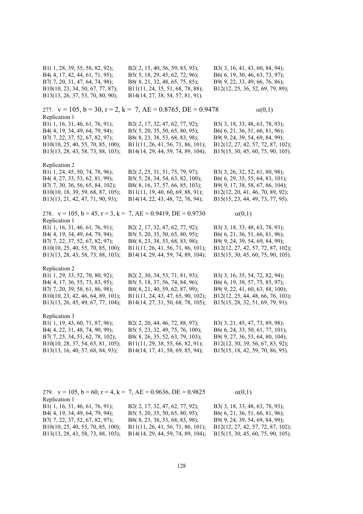| B2(2, 15, 40, 56, 59, 83, 93);<br>B5(5, 18, 29, 45, 62, 72, 96);<br>B8(8, 21, 32, 48, 65, 75, 85);<br>B11(11, 24, 35, 51, 68, 78, 88);<br>B14(14, 27, 38, 54, 57, 81, 91). | B3(3, 16, 41, 43, 60, 84, 94);<br>B6(6, 19, 30, 46, 63, 73, 97);<br>B9(9, 22, 33, 49, 66, 76, 86);<br>B12(12, 25, 36, 52, 69, 79, 89); |
|----------------------------------------------------------------------------------------------------------------------------------------------------------------------------|----------------------------------------------------------------------------------------------------------------------------------------|
| 277. $v = 105$ , $b = 30$ , $r = 2$ , $k = 7$ , $AE = 0.8765$ , $DE = 0.9478$                                                                                              | $\alpha(0,1)$                                                                                                                          |
| B2(2, 17, 32, 47, 62, 77, 92);                                                                                                                                             | B3(3, 18, 33, 48, 63, 78, 93);                                                                                                         |
| B5(5, 20, 35, 50, 65, 80, 95);                                                                                                                                             | B6(6, 21, 36, 51, 66, 81, 96);                                                                                                         |
| B8(8, 23, 38, 53, 68, 83, 98);                                                                                                                                             | B9(9, 24, 39, 54, 69, 84, 99);                                                                                                         |
| B11(11, 26, 41, 56, 71, 86, 101);                                                                                                                                          | B12(12, 27, 42, 57, 72, 87, 102);                                                                                                      |
| B14(14, 29, 44, 59, 74, 89, 104);                                                                                                                                          | B15(15, 30, 45, 60, 75, 90, 105).                                                                                                      |
| B2(2, 25, 31, 51, 75, 79, 97);                                                                                                                                             | B3(3, 26, 32, 52, 61, 80, 98);                                                                                                         |
| B5(5, 28, 34, 54, 63, 82, 100);                                                                                                                                            | B6(6, 29, 35, 55, 64, 83, 101);                                                                                                        |
| B8(8, 16, 37, 57, 66, 85, 103);                                                                                                                                            | B9(9, 17, 38, 58, 67, 86, 104);                                                                                                        |
| B11(11, 19, 40, 60, 69, 88, 91);                                                                                                                                           | B12(12, 20, 41, 46, 70, 89, 92);                                                                                                       |
| B14(14, 22, 43, 48, 72, 76, 94);                                                                                                                                           | B15(15, 23, 44, 49, 73, 77, 95).                                                                                                       |
| 278. $v = 105$ , $b = 45$ , $r = 3$ , $k = 7$ , $AE = 0.9419$ , $DE = 0.9730$                                                                                              | $\alpha(0,1)$                                                                                                                          |
| B2(2, 17, 32, 47, 62, 77, 92);                                                                                                                                             | B3(3, 18, 33, 48, 63, 78, 93);                                                                                                         |
| B5(5, 20, 35, 50, 65, 80, 95);                                                                                                                                             | B6(6, 21, 36, 51, 66, 81, 96);                                                                                                         |
| B8(8, 23, 38, 53, 68, 83, 98);                                                                                                                                             | B9(9, 24, 39, 54, 69, 84, 99);                                                                                                         |
| B11(11, 26, 41, 56, 71, 86, 101);                                                                                                                                          | B12(12, 27, 42, 57, 72, 87, 102);                                                                                                      |
| B14(14, 29, 44, 59, 74, 89, 104);                                                                                                                                          | B15(15, 30, 45, 60, 75, 90, 105).                                                                                                      |
| B2(2, 30, 34, 53, 71, 81, 93);                                                                                                                                             | B3(3, 16, 35, 54, 72, 82, 94);                                                                                                         |
| B5(5, 18, 37, 56, 74, 84, 96);                                                                                                                                             | B6(6, 19, 38, 57, 75, 85, 97);                                                                                                         |
| B8(8, 21, 40, 59, 62, 87, 99);                                                                                                                                             | B9(9, 22, 41, 60, 63, 88, 100);                                                                                                        |
| B11(11, 24, 43, 47, 65, 90, 102);                                                                                                                                          | B12(12, 25, 44, 48, 66, 76, 103);                                                                                                      |
| B14(14, 27, 31, 50, 68, 78, 105);                                                                                                                                          | B15(15, 28, 32, 51, 69, 79, 91).                                                                                                       |
| B2(2, 20, 44, 46, 72, 88, 97);                                                                                                                                             | B3(3, 21, 45, 47, 73, 89, 98);                                                                                                         |
| B5(5, 23, 32, 49, 75, 76, 100);                                                                                                                                            | B6(6, 24, 33, 50, 61, 77, 101);                                                                                                        |
| B8(8, 26, 35, 52, 63, 79, 103);                                                                                                                                            | B9(9, 27, 36, 53, 64, 80, 104);                                                                                                        |
| B11(11, 29, 38, 55, 66, 82, 91);                                                                                                                                           | B12(12, 30, 39, 56, 67, 83, 92);                                                                                                       |
| B14(14, 17, 41, 58, 69, 85, 94);                                                                                                                                           | B15(15, 18, 42, 59, 70, 86, 95).                                                                                                       |
|                                                                                                                                                                            |                                                                                                                                        |

| 279. $v = 105$ , $b = 60$ , $r = 4$ , $k = 7$ , $AE = 0.9636$ , $DE = 0.9825$ | $\alpha(0,1)$                     |
|-------------------------------------------------------------------------------|-----------------------------------|
|                                                                               |                                   |
| B2(2, 17, 32, 47, 62, 77, 92);                                                | B3(3, 18, 33, 48, 63, 78, 93);    |
| B5( $5, 20, 35, 50, 65, 80, 95$ );                                            | B6(6, 21, 36, 51, 66, 81, 96);    |
| B8(8, 23, 38, 53, 68, 83, 98);                                                | B9(9, 24, 39, 54, 69, 84, 99);    |
| B11(11, 26, 41, 56, 71, 86, 101);                                             | B12(12, 27, 42, 57, 72, 87, 102); |
| B14(14, 29, 44, 59, 74, 89, 104);                                             | B15(15, 30, 45, 60, 75, 90, 105). |
|                                                                               |                                   |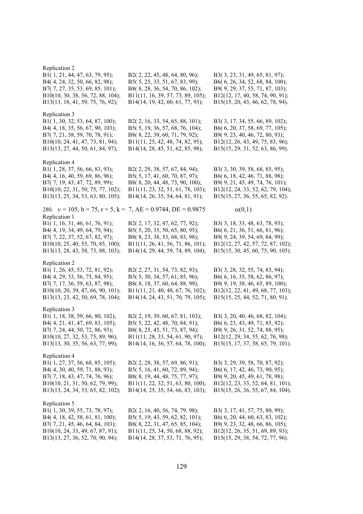Replication 2 B1( 1, 21, 44, 47, 63, 79, 95); B2( 2, 22, 45, 48, 64, 80, 96); B3( 3, 23, 31, 49, 65, 81, 97); B4( 4, 24, 32, 50, 66, 82, 98); B5( 5, 25, 33, 51, 67, 83, 99); B6( 6, 26, 34, 52, 68, 84, 100); B7( 7, 27, 35, 53, 69, 85, 101); B8( 8, 28, 36, 54, 70, 86, 102); B9( 9, 29, 37, 55, 71, 87, 103); B10(10, 30, 38, 56, 72, 88, 104); B11(11, 16, 39, 57, 73, 89, 105); B12(12, 17, 40, 58, 74, 90, 91); B13(13, 18, 41, 59, 75, 76, 92); B14(14, 19, 42, 60, 61, 77, 93); B15(15, 20, 43, 46, 62, 78, 94). Replication 3 B1( 1, 30, 32, 53, 64, 87, 100); B2( 2, 16, 33, 54, 65, 88, 101); B3( 3, 17, 34, 55, 66, 89, 102); B4( 4, 18, 35, 56, 67, 90, 103); B5( 5, 19, 36, 57, 68, 76, 104); B6( 6, 20, 37, 58, 69, 77, 105); B7( 7, 21, 38, 59, 70, 78, 91); B8( 8, 22, 39, 60, 71, 79, 92); B9( 9, 23, 40, 46, 72, 80, 93); B10(10, 24, 41, 47, 73, 81, 94); B11(11, 25, 42, 48, 74, 82, 95); B12(12, 26, 43, 49, 75, 83, 96); B13(13, 27, 44, 50, 61, 84, 97); B14(14, 28, 45, 51, 62, 85, 98); B15(15, 29, 31, 52, 63, 86, 99). Replication 4 B1( 1, 28, 37, 56, 66, 83, 93); B2( 2, 29, 38, 57, 67, 84, 94); B3( 3, 30, 39, 58, 68, 85, 95); B4( 4, 16, 40, 59, 69, 86, 96); B5( 5, 17, 41, 60, 70, 87, 97); B6( 6, 18, 42, 46, 71, 88, 98); B7( 7, 19, 43, 47, 72, 89, 99); B8( 8, 20, 44, 48, 73, 90, 100); B9( 9, 21, 45, 49, 74, 76, 101); B10(10, 22, 31, 50, 75, 77, 102); B11(11, 23, 32, 51, 61, 78, 103); B12(12, 24, 33, 52, 62, 79, 104); B13(13, 25, 34, 53, 63, 80, 105); B14(14, 26, 35, 54, 64, 81, 91); B15(15, 27, 36, 55, 65, 82, 92). 280.  $v = 105$ ,  $b = 75$ ,  $r = 5$ ,  $k = 7$ ,  $AE = 0.9744$ ,  $DE = 0.9875$   $\alpha(0,1)$ Replication 1 B1( 1, 16, 31, 46, 61, 76, 91); B2( 2, 17, 32, 47, 62, 77, 92); B3( 3, 18, 33, 48, 63, 78, 93); B4( 4, 19, 34, 49, 64, 79, 94); B5( 5, 20, 35, 50, 65, 80, 95); B6( 6, 21, 36, 51, 66, 81, 96); B7( 7, 22, 37, 52, 67, 82, 97); B8( 8, 23, 38, 53, 68, 83, 98); B9( 9, 24, 39, 54, 69, 84, 99); B10(10, 25, 40, 55, 70, 85, 100); B11(11, 26, 41, 56, 71, 86, 101); B12(12, 27, 42, 57, 72, 87, 102); B13(13, 28, 43, 58, 73, 88, 103); B14(14, 29, 44, 59, 74, 89, 104); B15(15, 30, 45, 60, 75, 90, 105). Replication 2 B1( 1, 26, 45, 53, 72, 81, 92); B2( 2, 27, 31, 54, 73, 82, 93); B3( 3, 28, 32, 55, 74, 83, 94); B4( 4, 29, 33, 56, 75, 84, 95); B5( 5, 30, 34, 57, 61, 85, 96); B6( 6, 16, 35, 58, 62, 86, 97); B7( 7, 17, 36, 59, 63, 87, 98); B8( 8, 18, 37, 60, 64, 88, 99); B9( 9, 19, 38, 46, 65, 89, 100); B10(10, 20, 39, 47, 66, 90, 101); B11(11, 21, 40, 48, 67, 76, 102); B12(12, 22, 41, 49, 68, 77, 103); B13(13, 23, 42, 50, 69, 78, 104); B14(14, 24, 43, 51, 70, 79, 105); B15(15, 25, 44, 52, 71, 80, 91). Replication 3 B1( 1, 18, 38, 59, 66, 80, 102); B2( 2, 19, 39, 60, 67, 81, 103); B3( 3, 20, 40, 46, 68, 82, 104); B4( 4, 21, 41, 47, 69, 83, 105); B5( 5, 22, 42, 48, 70, 84, 91); B6( 6, 23, 43, 49, 71, 85, 92); B7( 7, 24, 44, 50, 72, 86, 93); B8( 8, 25, 45, 51, 73, 87, 94); B9( 9, 26, 31, 52, 74, 88, 95); B10(10, 27, 32, 53, 75, 89, 96); B11(11, 28, 33, 54, 61, 90, 97); B12(12, 29, 34, 55, 62, 76, 98); B13(13, 30, 35, 56, 63, 77, 99); B14(14, 16, 36, 57, 64, 78, 100); B15(15, 17, 37, 58, 65, 79, 101). Replication 4 B1( 1, 27, 37, 56, 68, 85, 105); B2( 2, 28, 38, 57, 69, 86, 91); B3( 3, 29, 39, 58, 70, 87, 92); B4( 4, 30, 40, 59, 71, 88, 93); B5( 5, 16, 41, 60, 72, 89, 94); B6( 6, 17, 42, 46, 73, 90, 95); B7( 7, 18, 43, 47, 74, 76, 96); B8( 8, 19, 44, 48, 75, 77, 97); B9( 9, 20, 45, 49, 61, 78, 98); B10(10, 21, 31, 50, 62, 79, 99); B11(11, 22, 32, 51, 63, 80, 100); B12(12, 23, 33, 52, 64, 81, 101); B13(13, 24, 34, 53, 65, 82, 102); B14(14, 25, 35, 54, 66, 83, 103); B15(15, 26, 36, 55, 67, 84, 104). Replication 5 B1( 1, 30, 39, 55, 73, 78, 97); B2( 2, 16, 40, 56, 74, 79, 98); B3( 3, 17, 41, 57, 75, 80, 99); B4( 4, 18, 42, 58, 61, 81, 100); B5( 5, 19, 43, 59, 62, 82, 101); B6( 6, 20, 44, 60, 63, 83, 102); B7( 7, 21, 45, 46, 64, 84, 103); B8( 8, 22, 31, 47, 65, 85, 104); B9( 9, 23, 32, 48, 66, 86, 105); B10(10, 24, 33, 49, 67, 87, 91); B11(11, 25, 34, 50, 68, 88, 92); B12(12, 26, 35, 51, 69, 89, 93); B13(13, 27, 36, 52, 70, 90, 94); B14(14, 28, 37, 53, 71, 76, 95); B15(15, 29, 38, 54, 72, 77, 96).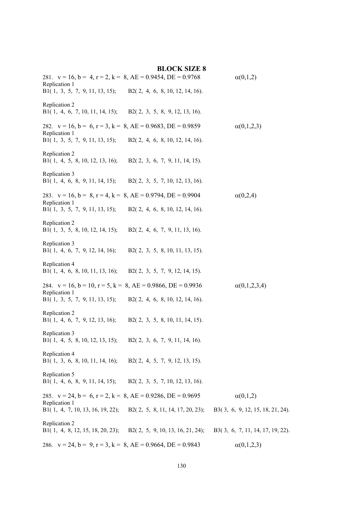| 281. $v = 16$ , $b = 4$ , $r = 2$ , $k = 8$ , $AE = 0.9454$ , $DE = 0.9768$<br>Replication 1<br>B1(1, 3, 5, 7, 9, 11, 13, 15); B2(2, 4, 6, 8, 10, 12, 14, 16).  |                                                                                                    | $\alpha(0,1,2)$                                     |
|-----------------------------------------------------------------------------------------------------------------------------------------------------------------|----------------------------------------------------------------------------------------------------|-----------------------------------------------------|
| Replication 2<br>B1(1, 4, 6, 7, 10, 11, 14, 15); B2(2, 3, 5, 8, 9, 12, 13, 16).                                                                                 |                                                                                                    |                                                     |
| 282. $v = 16$ , $b = 6$ , $r = 3$ , $k = 8$ , $AE = 0.9683$ , $DE = 0.9859$<br>Replication 1<br>B1(1, 3, 5, 7, 9, 11, 13, 15); B2(2, 4, 6, 8, 10, 12, 14, 16).  |                                                                                                    | $\alpha(0,1,2,3)$                                   |
| Replication 2<br>B1(1, 4, 5, 8, 10, 12, 13, 16);                                                                                                                | B2(2, 3, 6, 7, 9, 11, 14, 15).                                                                     |                                                     |
| Replication 3<br>B1(1, 4, 6, 8, 9, 11, 14, 15); B2(2, 3, 5, 7, 10, 12, 13, 16).                                                                                 |                                                                                                    |                                                     |
| 283. $v = 16$ , $b = 8$ , $r = 4$ , $k = 8$ , $AE = 0.9794$ , $DE = 0.9904$<br>Replication 1<br>B1(1, 3, 5, 7, 9, 11, 13, 15); B2(2, 4, 6, 8, 10, 12, 14, 16).  |                                                                                                    | $\alpha(0,2,4)$                                     |
| Replication 2<br>B1(1, 3, 5, 8, 10, 12, 14, 15); B2(2, 4, 6, 7, 9, 11, 13, 16).                                                                                 |                                                                                                    |                                                     |
| Replication 3<br>B1(1, 4, 6, 7, 9, 12, 14, 16); B2(2, 3, 5, 8, 10, 11, 13, 15).                                                                                 |                                                                                                    |                                                     |
| Replication 4<br>B1(1, 4, 6, 8, 10, 11, 13, 16); B2(2, 3, 5, 7, 9, 12, 14, 15).                                                                                 |                                                                                                    |                                                     |
| 284. $v = 16$ , $b = 10$ , $r = 5$ , $k = 8$ , $AE = 0.9866$ , $DE = 0.9936$<br>Replication 1<br>B1(1, 3, 5, 7, 9, 11, 13, 15); B2(2, 4, 6, 8, 10, 12, 14, 16). |                                                                                                    | $\alpha(0,1,2,3,4)$                                 |
| Replication 2<br>B1(1, 4, 6, 7, 9, 12, 13, 16); B2(2, 3, 5, 8, 10, 11, 14, 15).                                                                                 |                                                                                                    |                                                     |
| Replication 3<br>B1(1, 4, 5, 8, 10, 12, 13, 15);                                                                                                                | B2(2, 3, 6, 7, 9, 11, 14, 16).                                                                     |                                                     |
| Replication 4<br>B1(1, 3, 6, 8, 10, 11, 14, 16);                                                                                                                | B2(2, 4, 5, 7, 9, 12, 13, 15).                                                                     |                                                     |
| Replication 5<br>B1(1, 4, 6, 8, 9, 11, 14, 15); B2(2, 3, 5, 7, 10, 12, 13, 16).                                                                                 |                                                                                                    |                                                     |
| 285. $v = 24$ , $b = 6$ , $r = 2$ , $k = 8$ , $AE = 0.9286$ , $DE = 0.9695$<br>Replication 1<br>B1(1, 4, 7, 10, 13, 16, 19, 22);                                | B2(2, 5, 8, 11, 14, 17, 20, 23);                                                                   | $\alpha(0,1,2)$<br>B3(3, 6, 9, 12, 15, 18, 21, 24). |
| Replication 2                                                                                                                                                   | B1(1, 4, 8, 12, 15, 18, 20, 23); B2(2, 5, 9, 10, 13, 16, 21, 24); B3(3, 6, 7, 11, 14, 17, 19, 22). |                                                     |
| 286. $v = 24$ , $b = 9$ , $r = 3$ , $k = 8$ , $AE = 0.9664$ , $DE = 0.9843$                                                                                     |                                                                                                    | $\alpha(0,1,2,3)$                                   |

# **BLOCK SIZE 8**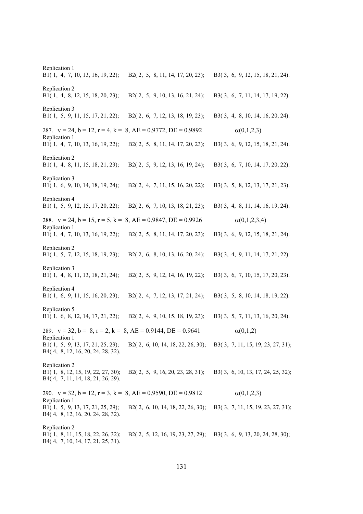Replication 1 B1( 1, 4, 7, 10, 13, 16, 19, 22); B2( 2, 5, 8, 11, 14, 17, 20, 23); B3( 3, 6, 9, 12, 15, 18, 21, 24). Replication 2 B1( 1, 4, 8, 12, 15, 18, 20, 23); B2( 2, 5, 9, 10, 13, 16, 21, 24); B3( 3, 6, 7, 11, 14, 17, 19, 22). Replication 3 B1( 1, 5, 9, 11, 15, 17, 21, 22); B2( 2, 6, 7, 12, 13, 18, 19, 23); B3( 3, 4, 8, 10, 14, 16, 20, 24). 287.  $v = 24$ ,  $b = 12$ ,  $r = 4$ ,  $k = 8$ ,  $AE = 0.9772$ ,  $DE = 0.9892$   $\alpha(0,1,2,3)$ Replication 1 B1( 1, 4, 7, 10, 13, 16, 19, 22); B2( 2, 5, 8, 11, 14, 17, 20, 23); B3( 3, 6, 9, 12, 15, 18, 21, 24). Replication 2 B1( 1, 4, 8, 11, 15, 18, 21, 23); B2( 2, 5, 9, 12, 13, 16, 19, 24); B3( 3, 6, 7, 10, 14, 17, 20, 22). Replication 3 B1( 1, 6, 9, 10, 14, 18, 19, 24); B2( 2, 4, 7, 11, 15, 16, 20, 22); B3( 3, 5, 8, 12, 13, 17, 21, 23). Replication 4 B1( 1, 5, 9, 12, 15, 17, 20, 22); B2( 2, 6, 7, 10, 13, 18, 21, 23); B3( 3, 4, 8, 11, 14, 16, 19, 24). 288.  $v = 24$ ,  $b = 15$ ,  $r = 5$ ,  $k = 8$ ,  $AE = 0.9847$ ,  $DE = 0.9926$   $\alpha(0,1,2,3,4)$ Replication 1 B1( 1, 4, 7, 10, 13, 16, 19, 22); B2( 2, 5, 8, 11, 14, 17, 20, 23); B3( 3, 6, 9, 12, 15, 18, 21, 24). Replication 2 B1( 1, 5, 7, 12, 15, 18, 19, 23); B2( 2, 6, 8, 10, 13, 16, 20, 24); B3( 3, 4, 9, 11, 14, 17, 21, 22). Replication 3 B1( 1, 4, 8, 11, 13, 18, 21, 24); B2( 2, 5, 9, 12, 14, 16, 19, 22); B3( 3, 6, 7, 10, 15, 17, 20, 23). Replication 4 B1( 1, 6, 9, 11, 15, 16, 20, 23); B2( 2, 4, 7, 12, 13, 17, 21, 24); B3( 3, 5, 8, 10, 14, 18, 19, 22). Replication 5 B1( 1, 6, 8, 12, 14, 17, 21, 22); B2( 2, 4, 9, 10, 15, 18, 19, 23); B3( 3, 5, 7, 11, 13, 16, 20, 24). 289.  $v = 32$ ,  $b = 8$ ,  $r = 2$ ,  $k = 8$ ,  $AE = 0.9144$ ,  $DE = 0.9641$  (0,1,2) Replication 1 B1( 1, 5, 9, 13, 17, 21, 25, 29); B2( 2, 6, 10, 14, 18, 22, 26, 30); B3( 3, 7, 11, 15, 19, 23, 27, 31); B4( 4, 8, 12, 16, 20, 24, 28, 32). Replication 2 B1( 1, 8, 12, 15, 19, 22, 27, 30); B2( 2, 5, 9, 16, 20, 23, 28, 31); B3( 3, 6, 10, 13, 17, 24, 25, 32); B4( 4, 7, 11, 14, 18, 21, 26, 29). 290.  $v = 32$ ,  $b = 12$ ,  $r = 3$ ,  $k = 8$ ,  $AE = 0.9590$ ,  $DE = 0.9812$   $\alpha(0,1,2,3)$ Replication 1 B1( 1, 5, 9, 13, 17, 21, 25, 29); B2( 2, 6, 10, 14, 18, 22, 26, 30); B3( 3, 7, 11, 15, 19, 23, 27, 31); B4( 4, 8, 12, 16, 20, 24, 28, 32). Replication 2 B1( 1, 8, 11, 15, 18, 22, 26, 32); B2( 2, 5, 12, 16, 19, 23, 27, 29); B3( 3, 6, 9, 13, 20, 24, 28, 30); B4( 4, 7, 10, 14, 17, 21, 25, 31).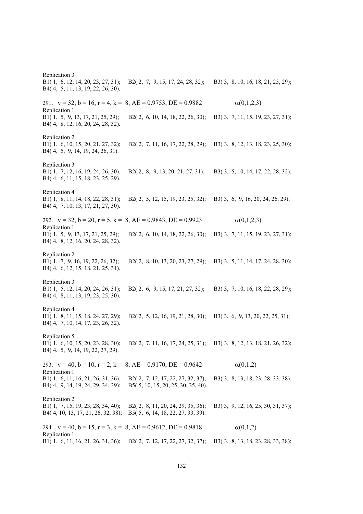Replication 3 B1( 1, 6, 12, 14, 20, 23, 27, 31); B2( 2, 7, 9, 15, 17, 24, 28, 32); B3( 3, 8, 10, 16, 18, 21, 25, 29); B4( 4, 5, 11, 13, 19, 22, 26, 30). 291.  $v = 32$ ,  $b = 16$ ,  $r = 4$ ,  $k = 8$ ,  $AE = 0.9753$ ,  $DE = 0.9882$   $\alpha(0,1,2,3)$ Replication 1 B1( 1, 5, 9, 13, 17, 21, 25, 29); B2( 2, 6, 10, 14, 18, 22, 26, 30); B3( 3, 7, 11, 15, 19, 23, 27, 31); B4( 4, 8, 12, 16, 20, 24, 28, 32). Replication 2 B1( 1, 6, 10, 15, 20, 21, 27, 32); B2( 2, 7, 11, 16, 17, 22, 28, 29); B3( 3, 8, 12, 13, 18, 23, 25, 30); B4( 4, 5, 9, 14, 19, 24, 26, 31). Replication 3 B1( 1, 7, 12, 16, 19, 24, 26, 30); B2( 2, 8, 9, 13, 20, 21, 27, 31); B3( 3, 5, 10, 14, 17, 22, 28, 32); B4( 4, 6, 11, 15, 18, 23, 25, 29). Replication 4 B1( 1, 8, 11, 14, 18, 22, 28, 31); B2( 2, 5, 12, 15, 19, 23, 25, 32); B3( 3, 6, 9, 16, 20, 24, 26, 29); B4( 4, 7, 10, 13, 17, 21, 27, 30). 292.  $v = 32$ ,  $b = 20$ ,  $r = 5$ ,  $k = 8$ ,  $AE = 0.9843$ ,  $DE = 0.9923$   $\alpha(0,1,2,3)$ Replication 1 B1( 1, 5, 9, 13, 17, 21, 25, 29); B2( 2, 6, 10, 14, 18, 22, 26, 30); B3( 3, 7, 11, 15, 19, 23, 27, 31); B4( 4, 8, 12, 16, 20, 24, 28, 32). Replication 2 B1( 1, 7, 9, 16, 19, 22, 26, 32); B2( 2, 8, 10, 13, 20, 23, 27, 29); B3( 3, 5, 11, 14, 17, 24, 28, 30); B4( 4, 6, 12, 15, 18, 21, 25, 31). Replication 3 B1( 1, 5, 12, 14, 20, 24, 26, 31); B2( 2, 6, 9, 15, 17, 21, 27, 32); B3( 3, 7, 10, 16, 18, 22, 28, 29); B4( 4, 8, 11, 13, 19, 23, 25, 30). Replication 4 B1( 1, 8, 11, 15, 18, 24, 27, 29); B2( 2, 5, 12, 16, 19, 21, 28, 30); B3( 3, 6, 9, 13, 20, 22, 25, 31); B4( 4, 7, 10, 14, 17, 23, 26, 32). Replication 5 B1( 1, 6, 10, 15, 20, 23, 28, 30); B2( 2, 7, 11, 16, 17, 24, 25, 31); B3( 3, 8, 12, 13, 18, 21, 26, 32); B4( 4, 5, 9, 14, 19, 22, 27, 29). 293.  $v = 40$ ,  $b = 10$ ,  $r = 2$ ,  $k = 8$ ,  $AE = 0.9170$ ,  $DE = 0.9642$   $\alpha(0,1,2)$ Replication 1 B1( 1, 6, 11, 16, 21, 26, 31, 36); B2( 2, 7, 12, 17, 22, 27, 32, 37); B3( 3, 8, 13, 18, 23, 28, 33, 38); B4( 4, 9, 14, 19, 24, 29, 34, 39); B5( 5, 10, 15, 20, 25, 30, 35, 40). Replication 2 B1( 1, 7, 15, 19, 23, 28, 34, 40); B2( 2, 8, 11, 20, 24, 29, 35, 36); B3( 3, 9, 12, 16, 25, 30, 31, 37); B4( 4, 10, 13, 17, 21, 26, 32, 38); B5( 5, 6, 14, 18, 22, 27, 33, 39). 294.  $v = 40$ ,  $b = 15$ ,  $r = 3$ ,  $k = 8$ ,  $AE = 0.9612$ ,  $DE = 0.9818$   $\alpha(0,1,2)$ Replication 1 B1( 1, 6, 11, 16, 21, 26, 31, 36); B2( 2, 7, 12, 17, 22, 27, 32, 37); B3( 3, 8, 13, 18, 23, 28, 33, 38);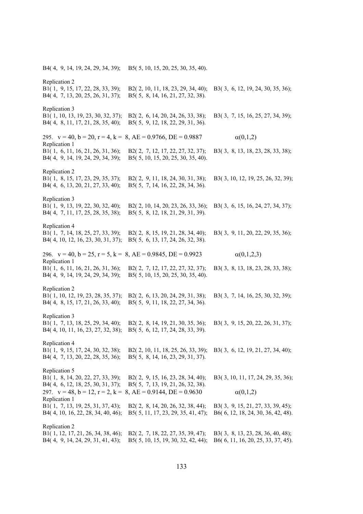B4( 4, 9, 14, 19, 24, 29, 34, 39); B5( 5, 10, 15, 20, 25, 30, 35, 40). Replication 2 B1( 1, 9, 15, 17, 22, 28, 33, 39); B2( 2, 10, 11, 18, 23, 29, 34, 40); B3( 3, 6, 12, 19, 24, 30, 35, 36); B4( 4, 7, 13, 20, 25, 26, 31, 37); B5( 5, 8, 14, 16, 21, 27, 32, 38). Replication 3 B1( 1, 10, 13, 19, 23, 30, 32, 37); B2( 2, 6, 14, 20, 24, 26, 33, 38); B3( 3, 7, 15, 16, 25, 27, 34, 39); B4( 4, 8, 11, 17, 21, 28, 35, 40); B5( 5, 9, 12, 18, 22, 29, 31, 36). 295.  $v = 40$ ,  $b = 20$ ,  $r = 4$ ,  $k = 8$ ,  $AE = 0.9766$ ,  $DE = 0.9887$  (0,1,2) Replication 1 B1( 1, 6, 11, 16, 21, 26, 31, 36); B2( 2, 7, 12, 17, 22, 27, 32, 37); B3( 3, 8, 13, 18, 23, 28, 33, 38); B4( 4, 9, 14, 19, 24, 29, 34, 39); B5( 5, 10, 15, 20, 25, 30, 35, 40). Replication 2 B1( 1, 8, 15, 17, 23, 29, 35, 37); B2( 2, 9, 11, 18, 24, 30, 31, 38); B3( 3, 10, 12, 19, 25, 26, 32, 39); B4( 4, 6, 13, 20, 21, 27, 33, 40); B5( 5, 7, 14, 16, 22, 28, 34, 36). Replication 3 B1( 1, 9, 13, 19, 22, 30, 32, 40); B2( 2, 10, 14, 20, 23, 26, 33, 36); B3( 3, 6, 15, 16, 24, 27, 34, 37); B4( 4, 7, 11, 17, 25, 28, 35, 38); B5( 5, 8, 12, 18, 21, 29, 31, 39). Replication 4 B1( 1, 7, 14, 18, 25, 27, 33, 39); B2( 2, 8, 15, 19, 21, 28, 34, 40); B3( 3, 9, 11, 20, 22, 29, 35, 36); B4( 4, 10, 12, 16, 23, 30, 31, 37); B5( 5, 6, 13, 17, 24, 26, 32, 38). 296.  $v = 40$ ,  $b = 25$ ,  $r = 5$ ,  $k = 8$ ,  $AE = 0.9845$ ,  $DE = 0.9923$   $\alpha(0,1,2,3)$ Replication 1 B1( 1, 6, 11, 16, 21, 26, 31, 36); B2( 2, 7, 12, 17, 22, 27, 32, 37); B3( 3, 8, 13, 18, 23, 28, 33, 38); B4( 4, 9, 14, 19, 24, 29, 34, 39); B5( 5, 10, 15, 20, 25, 30, 35, 40). Replication 2 B1( 1, 10, 12, 19, 23, 28, 35, 37); B2( 2, 6, 13, 20, 24, 29, 31, 38); B3( 3, 7, 14, 16, 25, 30, 32, 39); B4( 4, 8, 15, 17, 21, 26, 33, 40); B5( 5, 9, 11, 18, 22, 27, 34, 36). Replication 3 B1( 1, 7, 13, 18, 25, 29, 34, 40); B2( 2, 8, 14, 19, 21, 30, 35, 36); B3( 3, 9, 15, 20, 22, 26, 31, 37); B4( 4, 10, 11, 16, 23, 27, 32, 38); B5( 5, 6, 12, 17, 24, 28, 33, 39). Replication 4 B1( 1, 9, 15, 17, 24, 30, 32, 38); B2( 2, 10, 11, 18, 25, 26, 33, 39); B3( 3, 6, 12, 19, 21, 27, 34, 40); B4( 4, 7, 13, 20, 22, 28, 35, 36); B5( 5, 8, 14, 16, 23, 29, 31, 37). Replication 5 B1( 1, 8, 14, 20, 22, 27, 33, 39); B2( 2, 9, 15, 16, 23, 28, 34, 40); B3( 3, 10, 11, 17, 24, 29, 35, 36); B4( 4, 6, 12, 18, 25, 30, 31, 37); B5( 5, 7, 13, 19, 21, 26, 32, 38). 297.  $v = 48$ ,  $b = 12$ ,  $r = 2$ ,  $k = 8$ ,  $AE = 0.9144$ ,  $DE = 0.9630$   $\alpha(0,1,2)$ Replication 1 B1( 1, 7, 13, 19, 25, 31, 37, 43); B2( 2, 8, 14, 20, 26, 32, 38, 44); B3( 3, 9, 15, 21, 27, 33, 39, 45); B4( 4, 10, 16, 22, 28, 34, 40, 46); B5( 5, 11, 17, 23, 29, 35, 41, 47); B6( 6, 12, 18, 24, 30, 36, 42, 48). Replication 2 B1( 1, 12, 17, 21, 26, 34, 38, 46); B2( 2, 7, 18, 22, 27, 35, 39, 47); B3( 3, 8, 13, 23, 28, 36, 40, 48); B4( 4, 9, 14, 24, 29, 31, 41, 43); B5( 5, 10, 15, 19, 30, 32, 42, 44); B6( 6, 11, 16, 20, 25, 33, 37, 45).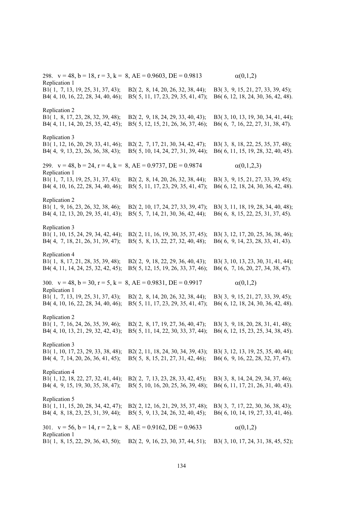298.  $v = 48$ ,  $b = 18$ ,  $r = 3$ ,  $k = 8$ ,  $AE = 0.9603$ ,  $DE = 0.9813$   $\alpha(0,1,2)$ Replication 1 B1( 1, 7, 13, 19, 25, 31, 37, 43); B2( 2, 8, 14, 20, 26, 32, 38, 44); B3( 3, 9, 15, 21, 27, 33, 39, 45); B4( 4, 10, 16, 22, 28, 34, 40, 46); B5( 5, 11, 17, 23, 29, 35, 41, 47); B6( 6, 12, 18, 24, 30, 36, 42, 48). Replication 2 B1( 1, 8, 17, 23, 28, 32, 39, 48); B2( 2, 9, 18, 24, 29, 33, 40, 43); B3( 3, 10, 13, 19, 30, 34, 41, 44); B4( 4, 11, 14, 20, 25, 35, 42, 45); B5( 5, 12, 15, 21, 26, 36, 37, 46); B6( 6, 7, 16, 22, 27, 31, 38, 47). Replication 3 B1( 1, 12, 16, 20, 29, 33, 41, 46); B2( 2, 7, 17, 21, 30, 34, 42, 47); B3( 3, 8, 18, 22, 25, 35, 37, 48); B4( 4, 9, 13, 23, 26, 36, 38, 43); B5( 5, 10, 14, 24, 27, 31, 39, 44); B6( 6, 11, 15, 19, 28, 32, 40, 45). 299.  $v = 48$ ,  $b = 24$ ,  $r = 4$ ,  $k = 8$ ,  $AE = 0.9737$ ,  $DE = 0.9874$   $\alpha(0,1,2,3)$ Replication 1 B1( 1, 7, 13, 19, 25, 31, 37, 43); B2( 2, 8, 14, 20, 26, 32, 38, 44); B3( 3, 9, 15, 21, 27, 33, 39, 45); B4( 4, 10, 16, 22, 28, 34, 40, 46); B5( 5, 11, 17, 23, 29, 35, 41, 47); B6( 6, 12, 18, 24, 30, 36, 42, 48). Replication 2 B1( 1, 9, 16, 23, 26, 32, 38, 46); B2( 2, 10, 17, 24, 27, 33, 39, 47); B3( 3, 11, 18, 19, 28, 34, 40, 48); B4( 4, 12, 13, 20, 29, 35, 41, 43); B5( 5, 7, 14, 21, 30, 36, 42, 44); B6( 6, 8, 15, 22, 25, 31, 37, 45). Replication 3 B1( 1, 10, 15, 24, 29, 34, 42, 44); B2( 2, 11, 16, 19, 30, 35, 37, 45); B3( 3, 12, 17, 20, 25, 36, 38, 46); B4( 4, 7, 18, 21, 26, 31, 39, 47); B5( 5, 8, 13, 22, 27, 32, 40, 48); B6( 6, 9, 14, 23, 28, 33, 41, 43). Replication 4 B1( 1, 8, 17, 21, 28, 35, 39, 48); B2( 2, 9, 18, 22, 29, 36, 40, 43); B3( 3, 10, 13, 23, 30, 31, 41, 44); B4( 4, 11, 14, 24, 25, 32, 42, 45); B5( 5, 12, 15, 19, 26, 33, 37, 46); B6( 6, 7, 16, 20, 27, 34, 38, 47). 300.  $v = 48$ ,  $b = 30$ ,  $r = 5$ ,  $k = 8$ ,  $AE = 0.9831$ ,  $DE = 0.9917$   $\alpha(0,1,2)$ Replication 1 B1( 1, 7, 13, 19, 25, 31, 37, 43); B2( 2, 8, 14, 20, 26, 32, 38, 44); B3( 3, 9, 15, 21, 27, 33, 39, 45); B4( 4, 10, 16, 22, 28, 34, 40, 46); B5( 5, 11, 17, 23, 29, 35, 41, 47); B6( 6, 12, 18, 24, 30, 36, 42, 48). Replication 2 B1( 1, 7, 16, 24, 26, 35, 39, 46); B2( 2, 8, 17, 19, 27, 36, 40, 47); B3( 3, 9, 18, 20, 28, 31, 41, 48); B4( 4, 10, 13, 21, 29, 32, 42, 43); B5( 5, 11, 14, 22, 30, 33, 37, 44); B6( 6, 12, 15, 23, 25, 34, 38, 45). Replication 3 B1( 1, 10, 17, 23, 29, 33, 38, 48); B2( 2, 11, 18, 24, 30, 34, 39, 43); B3( 3, 12, 13, 19, 25, 35, 40, 44); B4( 4, 7, 14, 20, 26, 36, 41, 45); B5( 5, 8, 15, 21, 27, 31, 42, 46); B6( 6, 9, 16, 22, 28, 32, 37, 47). Replication 4 B1( 1, 12, 18, 22, 27, 32, 41, 44); B2( 2, 7, 13, 23, 28, 33, 42, 45); B3( 3, 8, 14, 24, 29, 34, 37, 46); B4( 4, 9, 15, 19, 30, 35, 38, 47); B5( 5, 10, 16, 20, 25, 36, 39, 48); B6( 6, 11, 17, 21, 26, 31, 40, 43). Replication 5 B1( 1, 11, 15, 20, 28, 34, 42, 47); B2( 2, 12, 16, 21, 29, 35, 37, 48); B3( 3, 7, 17, 22, 30, 36, 38, 43); B4( 4, 8, 18, 23, 25, 31, 39, 44); B5( 5, 9, 13, 24, 26, 32, 40, 45); B6( 6, 10, 14, 19, 27, 33, 41, 46). 301.  $v = 56$ ,  $b = 14$ ,  $r = 2$ ,  $k = 8$ ,  $AE = 0.9162$ ,  $DE = 0.9633$  (0,1,2) Replication 1 B1( 1, 8, 15, 22, 29, 36, 43, 50); B2( 2, 9, 16, 23, 30, 37, 44, 51); B3( 3, 10, 17, 24, 31, 38, 45, 52);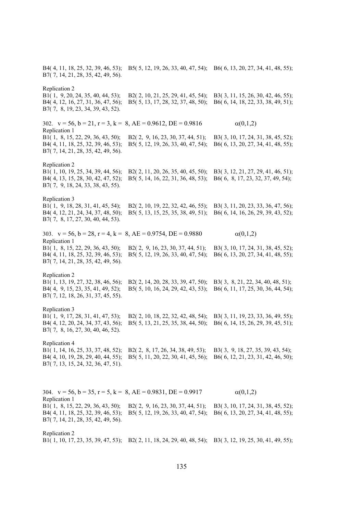B4( 4, 11, 18, 25, 32, 39, 46, 53); B5( 5, 12, 19, 26, 33, 40, 47, 54); B6( 6, 13, 20, 27, 34, 41, 48, 55); B7( 7, 14, 21, 28, 35, 42, 49, 56). Replication 2 B1( 1, 9, 20, 24, 35, 40, 44, 53); B2( 2, 10, 21, 25, 29, 41, 45, 54); B3( 3, 11, 15, 26, 30, 42, 46, 55); B4( 4, 12, 16, 27, 31, 36, 47, 56); B5( 5, 13, 17, 28, 32, 37, 48, 50); B6( 6, 14, 18, 22, 33, 38, 49, 51); B7( 7, 8, 19, 23, 34, 39, 43, 52). 302.  $v = 56$ ,  $b = 21$ ,  $r = 3$ ,  $k = 8$ ,  $AE = 0.9612$ ,  $DE = 0.9816$   $\alpha(0,1,2)$ Replication 1 B1( 1, 8, 15, 22, 29, 36, 43, 50); B2( 2, 9, 16, 23, 30, 37, 44, 51); B3( 3, 10, 17, 24, 31, 38, 45, 52); B4( 4, 11, 18, 25, 32, 39, 46, 53); B5( 5, 12, 19, 26, 33, 40, 47, 54); B6( 6, 13, 20, 27, 34, 41, 48, 55); B7( 7, 14, 21, 28, 35, 42, 49, 56). Replication 2 B1( 1, 10, 19, 25, 34, 39, 44, 56); B2( 2, 11, 20, 26, 35, 40, 45, 50); B3( 3, 12, 21, 27, 29, 41, 46, 51); B4( 4, 13, 15, 28, 30, 42, 47, 52); B5( 5, 14, 16, 22, 31, 36, 48, 53); B6( 6, 8, 17, 23, 32, 37, 49, 54); B7( 7, 9, 18, 24, 33, 38, 43, 55). Replication 3 B1( 1, 9, 18, 28, 31, 41, 45, 54); B2( 2, 10, 19, 22, 32, 42, 46, 55); B3( 3, 11, 20, 23, 33, 36, 47, 56); B4( 4, 12, 21, 24, 34, 37, 48, 50); B5( 5, 13, 15, 25, 35, 38, 49, 51); B6( 6, 14, 16, 26, 29, 39, 43, 52); B7( 7, 8, 17, 27, 30, 40, 44, 53). 303.  $v = 56$ ,  $b = 28$ ,  $r = 4$ ,  $k = 8$ ,  $AE = 0.9754$ ,  $DE = 0.9880$   $\alpha(0,1,2)$ Replication 1 B1( 1, 8, 15, 22, 29, 36, 43, 50); B2( 2, 9, 16, 23, 30, 37, 44, 51); B3( 3, 10, 17, 24, 31, 38, 45, 52); B4( 4, 11, 18, 25, 32, 39, 46, 53); B5( 5, 12, 19, 26, 33, 40, 47, 54); B6( 6, 13, 20, 27, 34, 41, 48, 55); B7( 7, 14, 21, 28, 35, 42, 49, 56). Replication 2 B1( 1, 13, 19, 27, 32, 38, 46, 56); B2( 2, 14, 20, 28, 33, 39, 47, 50); B3( 3, 8, 21, 22, 34, 40, 48, 51); B4( 4, 9, 15, 23, 35, 41, 49, 52); B5( 5, 10, 16, 24, 29, 42, 43, 53); B6( 6, 11, 17, 25, 30, 36, 44, 54); B7( 7, 12, 18, 26, 31, 37, 45, 55). Replication 3 B1( 1, 9, 17, 28, 31, 41, 47, 53); B2( 2, 10, 18, 22, 32, 42, 48, 54); B3( 3, 11, 19, 23, 33, 36, 49, 55); B4( 4, 12, 20, 24, 34, 37, 43, 56); B5( 5, 13, 21, 25, 35, 38, 44, 50); B6( 6, 14, 15, 26, 29, 39, 45, 51); B7( 7, 8, 16, 27, 30, 40, 46, 52). Replication 4 B1( 1, 14, 16, 25, 33, 37, 48, 52); B2( 2, 8, 17, 26, 34, 38, 49, 53); B3( 3, 9, 18, 27, 35, 39, 43, 54); B4( 4, 10, 19, 28, 29, 40, 44, 55); B5( 5, 11, 20, 22, 30, 41, 45, 56); B6( 6, 12, 21, 23, 31, 42, 46, 50); B7( 7, 13, 15, 24, 32, 36, 47, 51). 304.  $v = 56$ ,  $b = 35$ ,  $r = 5$ ,  $k = 8$ ,  $AE = 0.9831$ ,  $DE = 0.9917$   $\alpha(0,1,2)$ Replication 1 B1( 1, 8, 15, 22, 29, 36, 43, 50); B2( 2, 9, 16, 23, 30, 37, 44, 51); B3( 3, 10, 17, 24, 31, 38, 45, 52); B4( 4, 11, 18, 25, 32, 39, 46, 53); B5( 5, 12, 19, 26, 33, 40, 47, 54); B6( 6, 13, 20, 27, 34, 41, 48, 55); B7( 7, 14, 21, 28, 35, 42, 49, 56).

Replication 2

B1( 1, 10, 17, 23, 35, 39, 47, 53); B2( 2, 11, 18, 24, 29, 40, 48, 54); B3( 3, 12, 19, 25, 30, 41, 49, 55);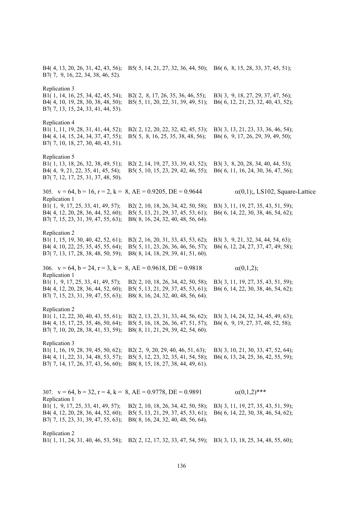B4( 4, 13, 20, 26, 31, 42, 43, 56); B5( 5, 14, 21, 27, 32, 36, 44, 50); B6( 6, 8, 15, 28, 33, 37, 45, 51); B7( 7, 9, 16, 22, 34, 38, 46, 52). Replication 3 B1( 1, 14, 16, 25, 34, 42, 45, 54); B2( 2, 8, 17, 26, 35, 36, 46, 55); B3( 3, 9, 18, 27, 29, 37, 47, 56); B4( 4, 10, 19, 28, 30, 38, 48, 50); B5( 5, 11, 20, 22, 31, 39, 49, 51); B6( 6, 12, 21, 23, 32, 40, 43, 52); B7( 7, 13, 15, 24, 33, 41, 44, 53). Replication 4 B1( 1, 11, 19, 28, 31, 41, 44, 52); B2( 2, 12, 20, 22, 32, 42, 45, 53); B3( 3, 13, 21, 23, 33, 36, 46, 54); B4( 4, 14, 15, 24, 34, 37, 47, 55); B5( 5, 8, 16, 25, 35, 38, 48, 56); B6( 6, 9, 17, 26, 29, 39, 49, 50); B7( 7, 10, 18, 27, 30, 40, 43, 51). Replication 5 B1( 1, 13, 18, 26, 32, 38, 49, 51); B2( 2, 14, 19, 27, 33, 39, 43, 52); B3( 3, 8, 20, 28, 34, 40, 44, 53); B4( 4, 9, 21, 22, 35, 41, 45, 54); B5( 5, 10, 15, 23, 29, 42, 46, 55); B6( 6, 11, 16, 24, 30, 36, 47, 56); B7( 7, 12, 17, 25, 31, 37, 48, 50). 305.  $v = 64$ ,  $b = 16$ ,  $r = 2$ ,  $k = 8$ ,  $AE = 0.9205$ ,  $DE = 0.9644$   $\alpha(0,1)$ ;, LS102, Square-Lattice Replication 1 B1( 1, 9, 17, 25, 33, 41, 49, 57); B2( 2, 10, 18, 26, 34, 42, 50, 58); B3( 3, 11, 19, 27, 35, 43, 51, 59); B4( 4, 12, 20, 28, 36, 44, 52, 60); B5( 5, 13, 21, 29, 37, 45, 53, 61); B6( 6, 14, 22, 30, 38, 46, 54, 62); B7( 7, 15, 23, 31, 39, 47, 55, 63); B8( 8, 16, 24, 32, 40, 48, 56, 64). Replication 2 B1( 1, 15, 19, 30, 40, 42, 52, 61); B2( 2, 16, 20, 31, 33, 43, 53, 62); B3( 3, 9, 21, 32, 34, 44, 54, 63); B4( 4, 10, 22, 25, 35, 45, 55, 64); B5( 5, 11, 23, 26, 36, 46, 56, 57); B6( 6, 12, 24, 27, 37, 47, 49, 58); B7( 7, 13, 17, 28, 38, 48, 50, 59); B8( 8, 14, 18, 29, 39, 41, 51, 60). 306.  $v = 64$ ,  $b = 24$ ,  $r = 3$ ,  $k = 8$ ,  $AE = 0.9618$ ,  $DE = 0.9818$  (0,1,2); Replication 1 B1( 1, 9, 17, 25, 33, 41, 49, 57); B2( 2, 10, 18, 26, 34, 42, 50, 58); B3( 3, 11, 19, 27, 35, 43, 51, 59); B4( 4, 12, 20, 28, 36, 44, 52, 60); B5( 5, 13, 21, 29, 37, 45, 53, 61); B6( 6, 14, 22, 30, 38, 46, 54, 62); B7( 7, 15, 23, 31, 39, 47, 55, 63); B8( 8, 16, 24, 32, 40, 48, 56, 64). Replication 2 B1( 1, 12, 22, 30, 40, 43, 55, 61); B2( 2, 13, 23, 31, 33, 44, 56, 62); B3( 3, 14, 24, 32, 34, 45, 49, 63); B4( 4, 15, 17, 25, 35, 46, 50, 64); B5( 5, 16, 18, 26, 36, 47, 51, 57); B6( 6, 9, 19, 27, 37, 48, 52, 58); B7( 7, 10, 20, 28, 38, 41, 53, 59); B8( 8, 11, 21, 29, 39, 42, 54, 60). Replication 3 B1( 1, 16, 19, 28, 39, 45, 50, 62); B2( 2, 9, 20, 29, 40, 46, 51, 63); B3( 3, 10, 21, 30, 33, 47, 52, 64); B4( 4, 11, 22, 31, 34, 48, 53, 57); B5( 5, 12, 23, 32, 35, 41, 54, 58); B6( 6, 13, 24, 25, 36, 42, 55, 59); B7( 7, 14, 17, 26, 37, 43, 56, 60); B8( 8, 15, 18, 27, 38, 44, 49, 61). 307.  $v = 64$ ,  $b = 32$ ,  $r = 4$ ,  $k = 8$ ,  $AE = 0.9778$ ,  $DE = 0.9891$  (0,1,2)\*\*\* Replication 1 B1( 1, 9, 17, 25, 33, 41, 49, 57); B2( 2, 10, 18, 26, 34, 42, 50, 58); B3( 3, 11, 19, 27, 35, 43, 51, 59); B4( 4, 12, 20, 28, 36, 44, 52, 60); B5( 5, 13, 21, 29, 37, 45, 53, 61); B6( 6, 14, 22, 30, 38, 46, 54, 62); B7( 7, 15, 23, 31, 39, 47, 55, 63); B8( 8, 16, 24, 32, 40, 48, 56, 64). Replication 2

B1( 1, 11, 24, 31, 40, 46, 53, 58); B2( 2, 12, 17, 32, 33, 47, 54, 59); B3( 3, 13, 18, 25, 34, 48, 55, 60);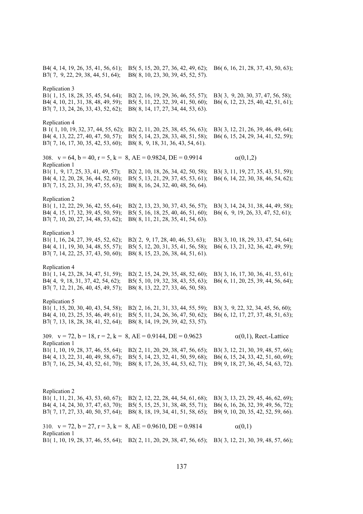B4( 4, 14, 19, 26, 35, 41, 56, 61); B5( 5, 15, 20, 27, 36, 42, 49, 62); B6( 6, 16, 21, 28, 37, 43, 50, 63); B7( 7, 9, 22, 29, 38, 44, 51, 64); B8( 8, 10, 23, 30, 39, 45, 52, 57). Replication 3 B1( 1, 15, 18, 28, 35, 45, 54, 64); B2( 2, 16, 19, 29, 36, 46, 55, 57); B3( 3, 9, 20, 30, 37, 47, 56, 58); B4( 4, 10, 21, 31, 38, 48, 49, 59); B5( 5, 11, 22, 32, 39, 41, 50, 60); B6( 6, 12, 23, 25, 40, 42, 51, 61); B7( 7, 13, 24, 26, 33, 43, 52, 62); B8( 8, 14, 17, 27, 34, 44, 53, 63). Replication 4 B 1( 1, 10, 19, 32, 37, 44, 55, 62); B2( 2, 11, 20, 25, 38, 45, 56, 63); B3( 3, 12, 21, 26, 39, 46, 49, 64); B4( 4, 13, 22, 27, 40, 47, 50, 57); B5( 5, 14, 23, 28, 33, 48, 51, 58); B6( 6, 15, 24, 29, 34, 41, 52, 59); B7( 7, 16, 17, 30, 35, 42, 53, 60); B8( 8, 9, 18, 31, 36, 43, 54, 61). 308.  $v = 64$ ,  $b = 40$ ,  $r = 5$ ,  $k = 8$ ,  $AE = 0.9824$ ,  $DE = 0.9914$   $\alpha(0,1,2)$ Replication 1 B1( 1, 9, 17, 25, 33, 41, 49, 57); B2( 2, 10, 18, 26, 34, 42, 50, 58); B3( 3, 11, 19, 27, 35, 43, 51, 59); B4( 4, 12, 20, 28, 36, 44, 52, 60); B5( 5, 13, 21, 29, 37, 45, 53, 61); B6( 6, 14, 22, 30, 38, 46, 54, 62); B7( 7, 15, 23, 31, 39, 47, 55, 63); B8( 8, 16, 24, 32, 40, 48, 56, 64). Replication 2 B1( 1, 12, 22, 29, 36, 42, 55, 64); B2( 2, 13, 23, 30, 37, 43, 56, 57); B3( 3, 14, 24, 31, 38, 44, 49, 58); B4( 4, 15, 17, 32, 39, 45, 50, 59); B5( 5, 16, 18, 25, 40, 46, 51, 60); B6( 6, 9, 19, 26, 33, 47, 52, 61); B7( 7, 10, 20, 27, 34, 48, 53, 62); B8( 8, 11, 21, 28, 35, 41, 54, 63). Replication 3 B1( 1, 16, 24, 27, 39, 45, 52, 62); B2( 2, 9, 17, 28, 40, 46, 53, 63); B3( 3, 10, 18, 29, 33, 47, 54, 64); B4( 4, 11, 19, 30, 34, 48, 55, 57); B5( 5, 12, 20, 31, 35, 41, 56, 58); B6( 6, 13, 21, 32, 36, 42, 49, 59); B7( 7, 14, 22, 25, 37, 43, 50, 60); B8( 8, 15, 23, 26, 38, 44, 51, 61). Replication 4 B1( 1, 14, 23, 28, 34, 47, 51, 59); B2( 2, 15, 24, 29, 35, 48, 52, 60); B3( 3, 16, 17, 30, 36, 41, 53, 61); B4( 4, 9, 18, 31, 37, 42, 54, 62); B5( 5, 10, 19, 32, 38, 43, 55, 63); B6( 6, 11, 20, 25, 39, 44, 56, 64); B7( 7, 12, 21, 26, 40, 45, 49, 57); B8( 8, 13, 22, 27, 33, 46, 50, 58). Replication 5 B1( 1, 15, 20, 30, 40, 43, 54, 58); B2( 2, 16, 21, 31, 33, 44, 55, 59); B3( 3, 9, 22, 32, 34, 45, 56, 60); B4( 4, 10, 23, 25, 35, 46, 49, 61); B5( 5, 11, 24, 26, 36, 47, 50, 62); B6( 6, 12, 17, 27, 37, 48, 51, 63); B7( 7, 13, 18, 28, 38, 41, 52, 64); B8( 8, 14, 19, 29, 39, 42, 53, 57). 309.  $v = 72$ ,  $b = 18$ ,  $r = 2$ ,  $k = 8$ ,  $AE = 0.9144$ ,  $DE = 0.9623$   $\alpha(0,1)$ , Rect.-Lattice Replication 1 B1( 1, 10, 19, 28, 37, 46, 55, 64); B2( 2, 11, 20, 29, 38, 47, 56, 65); B3( 3, 12, 21, 30, 39, 48, 57, 66); B4( 4, 13, 22, 31, 40, 49, 58, 67); B5( 5, 14, 23, 32, 41, 50, 59, 68); B6( 6, 15, 24, 33, 42, 51, 60, 69); B7( 7, 16, 25, 34, 43, 52, 61, 70); B8( 8, 17, 26, 35, 44, 53, 62, 71); B9( 9, 18, 27, 36, 45, 54, 63, 72). Replication 2 B1( 1, 11, 21, 36, 43, 53, 60, 67); B2( 2, 12, 22, 28, 44, 54, 61, 68); B3( 3, 13, 23, 29, 45, 46, 62, 69); B4( 4, 14, 24, 30, 37, 47, 63, 70); B5( 5, 15, 25, 31, 38, 48, 55, 71); B6( 6, 16, 26, 32, 39, 49, 56, 72); B7( 7, 17, 27, 33, 40, 50, 57, 64); B8( 8, 18, 19, 34, 41, 51, 58, 65); B9( 9, 10, 20, 35, 42, 52, 59, 66). 310.  $v = 72$ ,  $b = 27$ ,  $r = 3$ ,  $k = 8$ ,  $AE = 0.9610$ ,  $DE = 0.9814$  (0,1)

B1( 1, 10, 19, 28, 37, 46, 55, 64); B2( 2, 11, 20, 29, 38, 47, 56, 65); B3( 3, 12, 21, 30, 39, 48, 57, 66);

Replication 1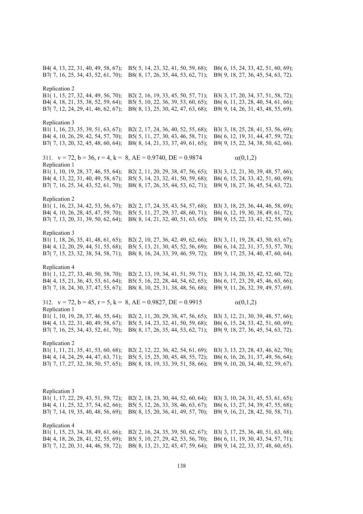B4( 4, 13, 22, 31, 40, 49, 58, 67); B5( 5, 14, 23, 32, 41, 50, 59, 68); B6( 6, 15, 24, 33, 42, 51, 60, 69); B7( 7, 16, 25, 34, 43, 52, 61, 70); B8( 8, 17, 26, 35, 44, 53, 62, 71); B9( 9, 18, 27, 36, 45, 54, 63, 72). Replication 2 B1( 1, 15, 27, 32, 44, 49, 56, 70); B2( 2, 16, 19, 33, 45, 50, 57, 71); B3( 3, 17, 20, 34, 37, 51, 58, 72); B4( 4, 18, 21, 35, 38, 52, 59, 64); B5( 5, 10, 22, 36, 39, 53, 60, 65); B6( 6, 11, 23, 28, 40, 54, 61, 66); B7( 7, 12, 24, 29, 41, 46, 62, 67); B8( 8, 13, 25, 30, 42, 47, 63, 68); B9( 9, 14, 26, 31, 43, 48, 55, 69). Replication 3 B1( 1, 16, 23, 35, 39, 51, 63, 67); B2( 2, 17, 24, 36, 40, 52, 55, 68); B3( 3, 18, 25, 28, 41, 53, 56, 69); B4( 4, 10, 26, 29, 42, 54, 57, 70); B5( 5, 11, 27, 30, 43, 46, 58, 71); B6( 6, 12, 19, 31, 44, 47, 59, 72); B7( 7, 13, 20, 32, 45, 48, 60, 64); B8( 8, 14, 21, 33, 37, 49, 61, 65); B9( 9, 15, 22, 34, 38, 50, 62, 66). 311.  $v = 72$ ,  $b = 36$ ,  $r = 4$ ,  $k = 8$ ,  $AE = 0.9740$ ,  $DE = 0.9874$   $\alpha(0,1,2)$ Replication 1 B1( 1, 10, 19, 28, 37, 46, 55, 64); B2( 2, 11, 20, 29, 38, 47, 56, 65); B3( 3, 12, 21, 30, 39, 48, 57, 66); B4( 4, 13, 22, 31, 40, 49, 58, 67); B5( 5, 14, 23, 32, 41, 50, 59, 68); B6( 6, 15, 24, 33, 42, 51, 60, 69); B7( 7, 16, 25, 34, 43, 52, 61, 70); B8( 8, 17, 26, 35, 44, 53, 62, 71); B9( 9, 18, 27, 36, 45, 54, 63, 72). Replication 2 B1( 1, 16, 23, 34, 42, 53, 56, 67); B2( 2, 17, 24, 35, 43, 54, 57, 68); B3( 3, 18, 25, 36, 44, 46, 58, 69); B4( 4, 10, 26, 28, 45, 47, 59, 70); B5( 5, 11, 27, 29, 37, 48, 60, 71); B6( 6, 12, 19, 30, 38, 49, 61, 72); B7( 7, 13, 20, 31, 39, 50, 62, 64); B8( 8, 14, 21, 32, 40, 51, 63, 65); B9( 9, 15, 22, 33, 41, 52, 55, 66). Replication 3 B1( 1, 18, 26, 35, 41, 48, 61, 65); B2( 2, 10, 27, 36, 42, 49, 62, 66); B3( 3, 11, 19, 28, 43, 50, 63, 67); B4( 4, 12, 20, 29, 44, 51, 55, 68); B5( 5, 13, 21, 30, 45, 52, 56, 69); B6( 6, 14, 22, 31, 37, 53, 57, 70); B7( 7, 15, 23, 32, 38, 54, 58, 71); B8( 8, 16, 24, 33, 39, 46, 59, 72); B9( 9, 17, 25, 34, 40, 47, 60, 64). Replication 4 B1( 1, 12, 27, 33, 40, 50, 58, 70); B2( 2, 13, 19, 34, 41, 51, 59, 71); B3( 3, 14, 20, 35, 42, 52, 60, 72); B4( 4, 15, 21, 36, 43, 53, 61, 64); B5( 5, 16, 22, 28, 44, 54, 62, 65); B6( 6, 17, 23, 29, 45, 46, 63, 66); B7( 7, 18, 24, 30, 37, 47, 55, 67); B8( 8, 10, 25, 31, 38, 48, 56, 68); B9( 9, 11, 26, 32, 39, 49, 57, 69). 312.  $v = 72$ ,  $b = 45$ ,  $r = 5$ ,  $k = 8$ ,  $AE = 0.9827$ ,  $DE = 0.9915$   $\alpha(0,1,2)$ Replication 1 B1( 1, 10, 19, 28, 37, 46, 55, 64); B2( 2, 11, 20, 29, 38, 47, 56, 65); B3( 3, 12, 21, 30, 39, 48, 57, 66); B4( 4, 13, 22, 31, 40, 49, 58, 67); B5( 5, 14, 23, 32, 41, 50, 59, 68); B6( 6, 15, 24, 33, 42, 51, 60, 69); B7( 7, 16, 25, 34, 43, 52, 61, 70); B8( 8, 17, 26, 35, 44, 53, 62, 71); B9( 9, 18, 27, 36, 45, 54, 63, 72). Replication 2 B1( 1, 11, 21, 35, 41, 53, 60, 68); B2( 2, 12, 22, 36, 42, 54, 61, 69); B3( 3, 13, 23, 28, 43, 46, 62, 70); B4( 4, 14, 24, 29, 44, 47, 63, 71); B5( 5, 15, 25, 30, 45, 48, 55, 72); B6( 6, 16, 26, 31, 37, 49, 56, 64); B7( 7, 17, 27, 32, 38, 50, 57, 65); B8( 8, 18, 19, 33, 39, 51, 58, 66); B9( 9, 10, 20, 34, 40, 52, 59, 67). Replication 3 B1( 1, 17, 22, 29, 43, 51, 59, 72); B2( 2, 18, 23, 30, 44, 52, 60, 64); B3( 3, 10, 24, 31, 45, 53, 61, 65); B4( 4, 11, 25, 32, 37, 54, 62, 66); B5( 5, 12, 26, 33, 38, 46, 63, 67); B6( 6, 13, 27, 34, 39, 47, 55, 68); B7( 7, 14, 19, 35, 40, 48, 56, 69); B8( 8, 15, 20, 36, 41, 49, 57, 70); B9( 9, 16, 21, 28, 42, 50, 58, 71). Replication 4 B1( 1, 15, 23, 34, 38, 49, 61, 66); B2( 2, 16, 24, 35, 39, 50, 62, 67); B3( 3, 17, 25, 36, 40, 51, 63, 68); B4( 4, 18, 26, 28, 41, 52, 55, 69); B5( 5, 10, 27, 29, 42, 53, 56, 70); B6( 6, 11, 19, 30, 43, 54, 57, 71);

B7( 7, 12, 20, 31, 44, 46, 58, 72); B8( 8, 13, 21, 32, 45, 47, 59, 64); B9( 9, 14, 22, 33, 37, 48, 60, 65).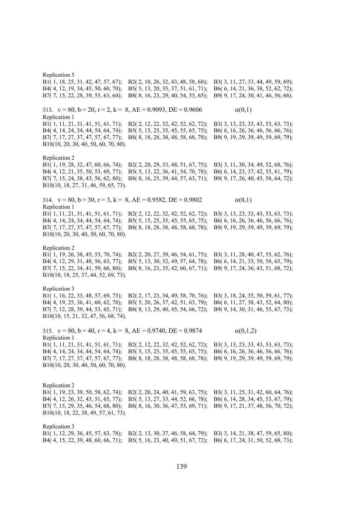Replication 5 B1( 1, 18, 25, 31, 42, 47, 57, 67); B2( 2, 10, 26, 32, 43, 48, 58, 68); B3( 3, 11, 27, 33, 44, 49, 59, 69); B4( 4, 12, 19, 34, 45, 50, 60, 70); B5( 5, 13, 20, 35, 37, 51, 61, 71); B6( 6, 14, 21, 36, 38, 52, 62, 72); B7( 7, 15, 22, 28, 39, 53, 63, 64); B8( 8, 16, 23, 29, 40, 54, 55, 65); B9( 9, 17, 24, 30, 41, 46, 56, 66). 313.  $v = 80$ ,  $b = 20$ ,  $r = 2$ ,  $k = 8$ ,  $AE = 0.9093$ ,  $DE = 0.9606$   $\alpha(0,1)$ Replication 1 B1( 1, 11, 21, 31, 41, 51, 61, 71); B2( 2, 12, 22, 32, 42, 52, 62, 72); B3( 3, 13, 23, 33, 43, 53, 63, 73); B4( 4, 14, 24, 34, 44, 54, 64, 74); B5( 5, 15, 25, 35, 45, 55, 65, 75); B6( 6, 16, 26, 36, 46, 56, 66, 76); B7( 7, 17, 27, 37, 47, 57, 67, 77); B8( 8, 18, 28, 38, 48, 58, 68, 78); B9( 9, 19, 29, 39, 49, 59, 69, 79); B10(10, 20, 30, 40, 50, 60, 70, 80). Replication 2 B1( 1, 19, 28, 32, 47, 60, 66, 74); B2( 2, 20, 29, 33, 48, 51, 67, 75); B3( 3, 11, 30, 34, 49, 52, 68, 76); B4( 4, 12, 21, 35, 50, 53, 69, 77); B5( 5, 13, 22, 36, 41, 54, 70, 78); B6( 6, 14, 23, 37, 42, 55, 61, 79); B7( 7, 15, 24, 38, 43, 56, 62, 80); B8( 8, 16, 25, 39, 44, 57, 63, 71); B9( 9, 17, 26, 40, 45, 58, 64, 72); B10(10, 18, 27, 31, 46, 59, 65, 73). 314.  $v = 80$ ,  $b = 30$ ,  $r = 3$ ,  $k = 8$ ,  $AE = 0.9582$ ,  $DE = 0.9802$   $\alpha(0,1)$ Replication 1 B1( 1, 11, 21, 31, 41, 51, 61, 71); B2( 2, 12, 22, 32, 42, 52, 62, 72); B3( 3, 13, 23, 33, 43, 53, 63, 73); B4( 4, 14, 24, 34, 44, 54, 64, 74); B5( 5, 15, 25, 35, 45, 55, 65, 75); B6( 6, 16, 26, 36, 46, 56, 66, 76); B7( 7, 17, 27, 37, 47, 57, 67, 77); B8( 8, 18, 28, 38, 48, 58, 68, 78); B9( 9, 19, 29, 39, 49, 59, 69, 79); B10(10, 20, 30, 40, 50, 60, 70, 80). Replication 2 B1( 1, 19, 26, 38, 45, 53, 70, 74); B2( 2, 20, 27, 39, 46, 54, 61, 75); B3( 3, 11, 28, 40, 47, 55, 62, 76); B4( 4, 12, 29, 31, 48, 56, 63, 77); B5( 5, 13, 30, 32, 49, 57, 64, 78); B6( 6, 14, 21, 33, 50, 58, 65, 79); B7( 7, 15, 22, 34, 41, 59, 66, 80); B8( 8, 16, 23, 35, 42, 60, 67, 71); B9( 9, 17, 24, 36, 43, 51, 68, 72); B10(10, 18, 25, 37, 44, 52, 69, 73). Replication 3 B1( 1, 16, 22, 33, 48, 57, 69, 75); B2( 2, 17, 23, 34, 49, 58, 70, 76); B3( 3, 18, 24, 35, 50, 59, 61, 77); B4( 4, 19, 25, 36, 41, 60, 62, 78); B5( 5, 20, 26, 37, 42, 51, 63, 79); B6( 6, 11, 27, 38, 43, 52, 64, 80); B7( 7, 12, 28, 39, 44, 53, 65, 71); B8( 8, 13, 29, 40, 45, 54, 66, 72); B9( 9, 14, 30, 31, 46, 55, 67, 73); B10(10, 15, 21, 32, 47, 56, 68, 74). 315.  $v = 80$ ,  $b = 40$ ,  $r = 4$ ,  $k = 8$ ,  $AE = 0.9740$ ,  $DE = 0.9874$   $\alpha(0,1,2)$ Replication 1 B1( 1, 11, 21, 31, 41, 51, 61, 71); B2( 2, 12, 22, 32, 42, 52, 62, 72); B3( 3, 13, 23, 33, 43, 53, 63, 73); B4( 4, 14, 24, 34, 44, 54, 64, 74); B5( 5, 15, 25, 35, 45, 55, 65, 75); B6( 6, 16, 26, 36, 46, 56, 66, 76); B7( 7, 17, 27, 37, 47, 57, 67, 77); B8( 8, 18, 28, 38, 48, 58, 68, 78); B9( 9, 19, 29, 39, 49, 59, 69, 79); B10(10, 20, 30, 40, 50, 60, 70, 80). Replication 2 B1( 1, 19, 23, 39, 50, 58, 62, 74); B2( 2, 20, 24, 40, 41, 59, 63, 75); B3( 3, 11, 25, 31, 42, 60, 64, 76); B4( 4, 12, 26, 32, 43, 51, 65, 77); B5( 5, 13, 27, 33, 44, 52, 66, 78); B6( 6, 14, 28, 34, 45, 53, 67, 79); B7( 7, 15, 29, 35, 46, 54, 68, 80); B8( 8, 16, 30, 36, 47, 55, 69, 71); B9( 9, 17, 21, 37, 48, 56, 70, 72); B10(10, 18, 22, 38, 49, 57, 61, 73).

Replication 3 B1( 1, 12, 29, 36, 45, 57, 63, 78); B2( 2, 13, 30, 37, 46, 58, 64, 79); B3( 3, 14, 21, 38, 47, 59, 65, 80); B4( 4, 15, 22, 39, 48, 60, 66, 71); B5( 5, 16, 23, 40, 49, 51, 67, 72); B6( 6, 17, 24, 31, 50, 52, 68, 73);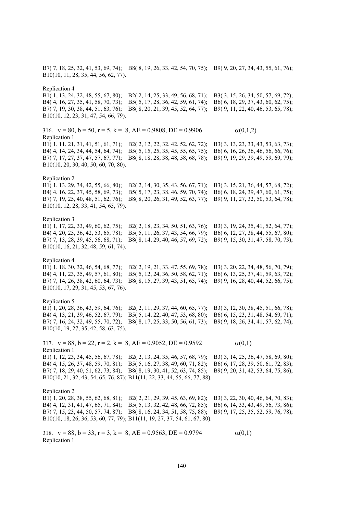B7( 7, 18, 25, 32, 41, 53, 69, 74); B8( 8, 19, 26, 33, 42, 54, 70, 75); B9( 9, 20, 27, 34, 43, 55, 61, 76); B10(10, 11, 28, 35, 44, 56, 62, 77).

#### Replication 4

B1( 1, 13, 24, 32, 48, 55, 67, 80); B2( 2, 14, 25, 33, 49, 56, 68, 71); B3( 3, 15, 26, 34, 50, 57, 69, 72); B4( 4, 16, 27, 35, 41, 58, 70, 73); B5( 5, 17, 28, 36, 42, 59, 61, 74); B6( 6, 18, 29, 37, 43, 60, 62, 75); B7( 7, 19, 30, 38, 44, 51, 63, 76); B8( 8, 20, 21, 39, 45, 52, 64, 77); B9( 9, 11, 22, 40, 46, 53, 65, 78); B10(10, 12, 23, 31, 47, 54, 66, 79).

316.  $v = 80$ ,  $b = 50$ ,  $r = 5$ ,  $k = 8$ ,  $AE = 0.9808$ ,  $DE = 0.9906$  (0,1,2) Replication 1 B1( 1, 11, 21, 31, 41, 51, 61, 71); B2( 2, 12, 22, 32, 42, 52, 62, 72); B3( 3, 13, 23, 33, 43, 53, 63, 73); B4( 4, 14, 24, 34, 44, 54, 64, 74); B5( 5, 15, 25, 35, 45, 55, 65, 75); B6( 6, 16, 26, 36, 46, 56, 66, 76); B7( 7, 17, 27, 37, 47, 57, 67, 77); B8( 8, 18, 28, 38, 48, 58, 68, 78); B9( 9, 19, 29, 39, 49, 59, 69, 79); B10(10, 20, 30, 40, 50, 60, 70, 80).

# Replication 2

B1( 1, 13, 29, 34, 42, 55, 66, 80); B2( 2, 14, 30, 35, 43, 56, 67, 71); B3( 3, 15, 21, 36, 44, 57, 68, 72); B4( 4, 16, 22, 37, 45, 58, 69, 73); B5( 5, 17, 23, 38, 46, 59, 70, 74); B6( 6, 18, 24, 39, 47, 60, 61, 75); B7( 7, 19, 25, 40, 48, 51, 62, 76); B8( 8, 20, 26, 31, 49, 52, 63, 77); B9( 9, 11, 27, 32, 50, 53, 64, 78); B10(10, 12, 28, 33, 41, 54, 65, 79).

Replication 3<br>B1(1, 17, 22, 33, 49, 60, 62, 75); B1( 1, 17, 22, 33, 49, 60, 62, 75); B2( 2, 18, 23, 34, 50, 51, 63, 76); B3( 3, 19, 24, 35, 41, 52, 64, 77);<br>B4( 4, 20, 25, 36, 42, 53, 65, 78); B5( 5, 11, 26, 37, 43, 54, 66, 79); B6( 6, 12, 27, 38, 44, 55, 67, 80); B5( 5, 11, 26, 37, 43, 54, 66, 79); B6( 6, 12, 27, 38, 44, 55, 67, 80); B7( 7, 13, 28, 39, 45, 56, 68, 71); B8( 8, 14, 29, 40, 46, 57, 69, 72); B9( 9, 15, 30, 31, 47, 58, 70, 73); B10(10, 16, 21, 32, 48, 59, 61, 74).

#### Replication 4

B1( 1, 18, 30, 32, 46, 54, 68, 77); B2( 2, 19, 21, 33, 47, 55, 69, 78); B3( 3, 20, 22, 34, 48, 56, 70, 79); B4( 4, 11, 23, 35, 49, 57, 61, 80); B5( 5, 12, 24, 36, 50, 58, 62, 71); B6( 6, 13, 25, 37, 41, 59, 63, 72); B7( 7, 14, 26, 38, 42, 60, 64, 73); B8( 8, 15, 27, 39, 43, 51, 65, 74); B9( 9, 16, 28, 40, 44, 52, 66, 75); B10(10, 17, 29, 31, 45, 53, 67, 76).

# Replication 5

B1( 1, 20, 28, 36, 43, 59, 64, 76); B2( 2, 11, 29, 37, 44, 60, 65, 77); B3( 3, 12, 30, 38, 45, 51, 66, 78); B4( 4, 13, 21, 39, 46, 52, 67, 79); B5( 5, 14, 22, 40, 47, 53, 68, 80); B6( 6, 15, 23, 31, 48, 54, 69, 71); B7( 7, 16, 24, 32, 49, 55, 70, 72); B8( 8, 17, 25, 33, 50, 56, 61, 73); B9( 9, 18, 26, 34, 41, 57, 62, 74); B10(10, 19, 27, 35, 42, 58, 63, 75).

317.  $v = 88$ ,  $b = 22$ ,  $r = 2$ ,  $k = 8$ ,  $AE = 0.9052$ ,  $DE = 0.9592$  (0,1) Replication 1 B1( 1, 12, 23, 34, 45, 56, 67, 78); B2( 2, 13, 24, 35, 46, 57, 68, 79); B3( 3, 14, 25, 36, 47, 58, 69, 80); B4( 4, 15, 26, 37, 48, 59, 70, 81); B5( 5, 16, 27, 38, 49, 60, 71, 82); B6( 6, 17, 28, 39, 50, 61, 72, 83); B7( 7, 18, 29, 40, 51, 62, 73, 84); B8( 8, 19, 30, 41, 52, 63, 74, 85); B9( 9, 20, 31, 42, 53, 64, 75, 86); B10(10, 21, 32, 43, 54, 65, 76, 87); B11(11, 22, 33, 44, 55, 66, 77, 88).

Replication 2

B1( 1, 20, 28, 38, 55, 62, 68, 81); B2( 2, 21, 29, 39, 45, 63, 69, 82); B3( 3, 22, 30, 40, 46, 64, 70, 83); B4( 4, 12, 31, 41, 47, 65, 71, 84); B5( 5, 13, 32, 42, 48, 66, 72, 85); B6( 6, 14, 33, 43, 49, 56, 73, 86); B7( 7, 15, 23, 44, 50, 57, 74, 87); B8( 8, 16, 24, 34, 51, 58, 75, 88); B9( 9, 17, 25, 35, 52, 59, 76, 78); B10(10, 18, 26, 36, 53, 60, 77, 79); B11(11, 19, 27, 37, 54, 61, 67, 80).

318.  $v = 88$ ,  $b = 33$ ,  $r = 3$ ,  $k = 8$ ,  $AE = 0.9563$ ,  $DE = 0.9794$  (0,1) Replication 1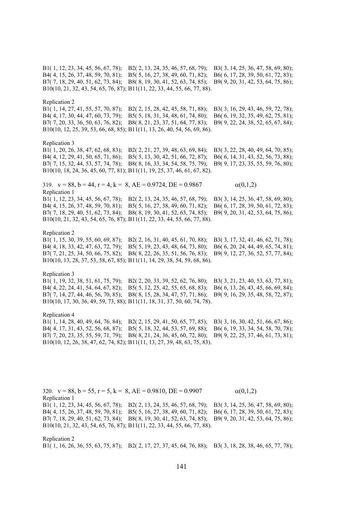B1( 1, 12, 23, 34, 45, 56, 67, 78); B2( 2, 13, 24, 35, 46, 57, 68, 79); B3( 3, 14, 25, 36, 47, 58, 69, 80); B4( 4, 15, 26, 37, 48, 59, 70, 81); B5( 5, 16, 27, 38, 49, 60, 71, 82); B6( 6, 17, 28, 39, 50, 61, 72, 83); B7( 7, 18, 29, 40, 51, 62, 73, 84); B8( 8, 19, 30, 41, 52, 63, 74, 85); B9( 9, 20, 31, 42, 53, 64, 75, 86); B10(10, 21, 32, 43, 54, 65, 76, 87); B11(11, 22, 33, 44, 55, 66, 77, 88).

Replication 2

B1( 1, 14, 27, 41, 55, 57, 70, 87); B2( 2, 15, 28, 42, 45, 58, 71, 88); B3( 3, 16, 29, 43, 46, 59, 72, 78); B4( 4, 17, 30, 44, 47, 60, 73, 79); B5( 5, 18, 31, 34, 48, 61, 74, 80); B6( 6, 19, 32, 35, 49, 62, 75, 81); B7( 7, 20, 33, 36, 50, 63, 76, 82); B8( 8, 21, 23, 37, 51, 64, 77, 83); B9( 9, 22, 24, 38, 52, 65, 67, 84); B10(10, 12, 25, 39, 53, 66, 68, 85); B11(11, 13, 26, 40, 54, 56, 69, 86).

# Replication 3

B1( 1, 20, 26, 38, 47, 62, 68, 83); B2( 2, 21, 27, 39, 48, 63, 69, 84); B3( 3, 22, 28, 40, 49, 64, 70, 85); B4( 4, 12, 29, 41, 50, 65, 71, 86); B5( 5, 13, 30, 42, 51, 66, 72, 87); B6( 6, 14, 31, 43, 52, 56, 73, 88); B7( 7, 15, 32, 44, 53, 57, 74, 78); B8( 8, 16, 33, 34, 54, 58, 75, 79); B9( 9, 17, 23, 35, 55, 59, 76, 80); B10(10, 18, 24, 36, 45, 60, 77, 81); B11(11, 19, 25, 37, 46, 61, 67, 82).

319.  $v = 88$ ,  $b = 44$ ,  $r = 4$ ,  $k = 8$ ,  $AE = 0.9724$ ,  $DE = 0.9867$   $\alpha(0,1,2)$ Replication 1

B1( 1, 12, 23, 34, 45, 56, 67, 78); B2( 2, 13, 24, 35, 46, 57, 68, 79); B3( 3, 14, 25, 36, 47, 58, 69, 80); B4( 4, 15, 26, 37, 48, 59, 70, 81); B5( 5, 16, 27, 38, 49, 60, 71, 82); B6( 6, 17, 28, 39, 50, 61, 72, 83); B7( 7, 18, 29, 40, 51, 62, 73, 84); B8( 8, 19, 30, 41, 52, 63, 74, 85); B9( 9, 20, 31, 42, 53, 64, 75, 86); B10(10, 21, 32, 43, 54, 65, 76, 87); B11(11, 22, 33, 44, 55, 66, 77, 88).

# Replication 2

B1( 1, 15, 30, 39, 55, 60, 69, 87); B2( 2, 16, 31, 40, 45, 61, 70, 88); B3( 3, 17, 32, 41, 46, 62, 71, 78); B4( 4, 18, 33, 42, 47, 63, 72, 79); B5( 5, 19, 23, 43, 48, 64, 73, 80); B6( 6, 20, 24, 44, 49, 65, 74, 81); B7( 7, 21, 25, 34, 50, 66, 75, 82); B8( 8, 22, 26, 35, 51, 56, 76, 83); B9( 9, 12, 27, 36, 52, 57, 77, 84); B10(10, 13, 28, 37, 53, 58, 67, 85); B11(11, 14, 29, 38, 54, 59, 68, 86).

#### Replication 3

B1( 1, 19, 32, 38, 51, 61, 75, 79); B2( 2, 20, 33, 39, 52, 62, 76, 80); B3( 3, 21, 23, 40, 53, 63, 77, 81); B4( 4, 22, 24, 41, 54, 64, 67, 82); B5( 5, 12, 25, 42, 55, 65, 68, 83); B6( 6, 13, 26, 43, 45, 66, 69, 84); B7( 7, 14, 27, 44, 46, 56, 70, 85); B8( 8, 15, 28, 34, 47, 57, 71, 86); B9( 9, 16, 29, 35, 48, 58, 72, 87); B10(10, 17, 30, 36, 49, 59, 73, 88); B11(11, 18, 31, 37, 50, 60, 74, 78).

Replication 4

B1( 1, 14, 28, 40, 49, 64, 76, 84); B2( 2, 15, 29, 41, 50, 65, 77, 85); B3( 3, 16, 30, 42, 51, 66, 67, 86); B4( 4, 17, 31, 43, 52, 56, 68, 87); B5( 5, 18, 32, 44, 53, 57, 69, 88); B6( 6, 19, 33, 34, 54, 58, 70, 78); B7( 7, 20, 23, 35, 55, 59, 71, 79); B8( 8, 21, 24, 36, 45, 60, 72, 80); B9( 9, 22, 25, 37, 46, 61, 73, 81); B10(10, 12, 26, 38, 47, 62, 74, 82); B11(11, 13, 27, 39, 48, 63, 75, 83).

320.  $v = 88$ ,  $b = 55$ ,  $r = 5$ ,  $k = 8$ ,  $AE = 0.9810$ ,  $DE = 0.9907$   $\alpha(0,1,2)$ Replication 1 B1( 1, 12, 23, 34, 45, 56, 67, 78); B2( 2, 13, 24, 35, 46, 57, 68, 79); B3( 3, 14, 25, 36, 47, 58, 69, 80); B4( 4, 15, 26, 37, 48, 59, 70, 81); B5( 5, 16, 27, 38, 49, 60, 71, 82); B6( 6, 17, 28, 39, 50, 61, 72, 83); B7( 7, 18, 29, 40, 51, 62, 73, 84); B8( 8, 19, 30, 41, 52, 63, 74, 85); B9( 9, 20, 31, 42, 53, 64, 75, 86); B10(10, 21, 32, 43, 54, 65, 76, 87); B11(11, 22, 33, 44, 55, 66, 77, 88).

Replication 2 B1( 1, 16, 26, 36, 55, 63, 75, 87); B2( 2, 17, 27, 37, 45, 64, 76, 88); B3( 3, 18, 28, 38, 46, 65, 77, 78);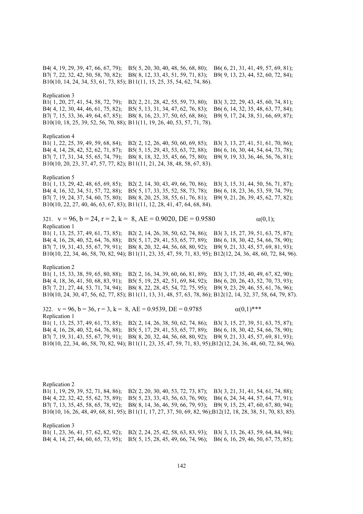B4( 4, 19, 29, 39, 47, 66, 67, 79); B5( 5, 20, 30, 40, 48, 56, 68, 80); B6( 6, 21, 31, 41, 49, 57, 69, 81); B7( 7, 22, 32, 42, 50, 58, 70, 82); B8( 8, 12, 33, 43, 51, 59, 71, 83); B9( 9, 13, 23, 44, 52, 60, 72, 84); B10(10, 14, 24, 34, 53, 61, 73, 85); B11(11, 15, 25, 35, 54, 62, 74, 86).

Replication 3

B1( 1, 20, 27, 41, 54, 58, 72, 79); B2( 2, 21, 28, 42, 55, 59, 73, 80); B3( 3, 22, 29, 43, 45, 60, 74, 81); B4( 4, 12, 30, 44, 46, 61, 75, 82); B5( 5, 13, 31, 34, 47, 62, 76, 83); B6( 6, 14, 32, 35, 48, 63, 77, 84); B7( 7, 15, 33, 36, 49, 64, 67, 85); B8( 8, 16, 23, 37, 50, 65, 68, 86); B9( 9, 17, 24, 38, 51, 66, 69, 87); B10(10, 18, 25, 39, 52, 56, 70, 88); B11(11, 19, 26, 40, 53, 57, 71, 78).

#### Replication 4

B1( 1, 22, 25, 39, 49, 59, 68, 84); B2( 2, 12, 26, 40, 50, 60, 69, 85); B3( 3, 13, 27, 41, 51, 61, 70, 86); B4( 4, 14, 28, 42, 52, 62, 71, 87); B5( 5, 15, 29, 43, 53, 63, 72, 88); B6( 6, 16, 30, 44, 54, 64, 73, 78); B7( 7, 17, 31, 34, 55, 65, 74, 79); B8( 8, 18, 32, 35, 45, 66, 75, 80); B9( 9, 19, 33, 36, 46, 56, 76, 81); B10(10, 20, 23, 37, 47, 57, 77, 82); B11(11, 21, 24, 38, 48, 58, 67, 83).

#### Replication 5

B1( 1, 13, 29, 42, 48, 65, 69, 85); B2( 2, 14, 30, 43, 49, 66, 70, 86); B3( 3, 15, 31, 44, 50, 56, 71, 87); B4( 4, 16, 32, 34, 51, 57, 72, 88); B5( 5, 17, 33, 35, 52, 58, 73, 78); B6( 6, 18, 23, 36, 53, 59, 74, 79); B7( 7, 19, 24, 37, 54, 60, 75, 80); B8( 8, 20, 25, 38, 55, 61, 76, 81); B9( 9, 21, 26, 39, 45, 62, 77, 82); B10(10, 22, 27, 40, 46, 63, 67, 83); B11(11, 12, 28, 41, 47, 64, 68, 84).

321.  $v = 96$ ,  $b = 24$ ,  $r = 2$ ,  $k = 8$ ,  $AE = 0.9020$ ,  $DE = 0.9580$  (0,1); Replication 1

B1( 1, 13, 25, 37, 49, 61, 73, 85); B2( 2, 14, 26, 38, 50, 62, 74, 86); B3( 3, 15, 27, 39, 51, 63, 75, 87); B4( 4, 16, 28, 40, 52, 64, 76, 88); B5( 5, 17, 29, 41, 53, 65, 77, 89); B6( 6, 18, 30, 42, 54, 66, 78, 90); B7( 7, 19, 31, 43, 55, 67, 79, 91); B8( 8, 20, 32, 44, 56, 68, 80, 92); B9( 9, 21, 33, 45, 57, 69, 81, 93); B10(10, 22, 34, 46, 58, 70, 82, 94); B11(11, 23, 35, 47, 59, 71, 83, 95); B12(12, 24, 36, 48, 60, 72, 84, 96).

Replication 2

B1( 1, 15, 33, 38, 59, 65, 80, 88); B2( 2, 16, 34, 39, 60, 66, 81, 89); B3( 3, 17, 35, 40, 49, 67, 82, 90); B4( 4, 18, 36, 41, 50, 68, 83, 91); B5( 5, 19, 25, 42, 51, 69, 84, 92); B6( 6, 20, 26, 43, 52, 70, 73, 93); B7( 7, 21, 27, 44, 53, 71, 74, 94); B8( 8, 22, 28, 45, 54, 72, 75, 95); B9( 9, 23, 29, 46, 55, 61, 76, 96); B10(10, 24, 30, 47, 56, 62, 77, 85); B11(11, 13, 31, 48, 57, 63, 78, 86); B12(12, 14, 32, 37, 58, 64, 79, 87).

322.  $v = 96$ ,  $b = 36$ ,  $r = 3$ ,  $k = 8$ ,  $AE = 0.9539$ ,  $DE = 0.9785$   $\alpha(0,1)$ \*\*\* Replication 1 B1( 1, 13, 25, 37, 49, 61, 73, 85); B2( 2, 14, 26, 38, 50, 62, 74, 86); B3( 3, 15, 27, 39, 51, 63, 75, 87); B4( 4, 16, 28, 40, 52, 64, 76, 88); B5( 5, 17, 29, 41, 53, 65, 77, 89); B6( 6, 18, 30, 42, 54, 66, 78, 90); B7( 7, 19, 31, 43, 55, 67, 79, 91); B8( 8, 20, 32, 44, 56, 68, 80, 92); B9( 9, 21, 33, 45, 57, 69, 81, 93); B10(10, 22, 34, 46, 58, 70, 82, 94); B11(11, 23, 35, 47, 59, 71, 83, 95);B12(12, 24, 36, 48, 60, 72, 84, 96).

Replication 2 B1( 1, 19, 29, 39, 52, 71, 84, 86); B2( 2, 20, 30, 40, 53, 72, 73, 87); B3( 3, 21, 31, 41, 54, 61, 74, 88); B4( 4, 22, 32, 42, 55, 62, 75, 89); B5( 5, 23, 33, 43, 56, 63, 76, 90); B6( 6, 24, 34, 44, 57, 64, 77, 91); B7( 7, 13, 35, 45, 58, 65, 78, 92); B8( 8, 14, 36, 46, 59, 66, 79, 93); B9( 9, 15, 25, 47, 60, 67, 80, 94); B10(10, 16, 26, 48, 49, 68, 81, 95); B11(11, 17, 27, 37, 50, 69, 82, 96);B12(12, 18, 28, 38, 51, 70, 83, 85).

Replication 3 B1( 1, 23, 36, 41, 57, 62, 82, 92); B2( 2, 24, 25, 42, 58, 63, 83, 93); B3( 3, 13, 26, 43, 59, 64, 84, 94); B4( 4, 14, 27, 44, 60, 65, 73, 95); B5( 5, 15, 28, 45, 49, 66, 74, 96); B6( 6, 16, 29, 46, 50, 67, 75, 85);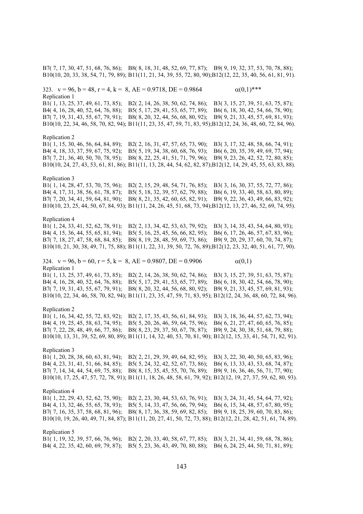B7( 7, 17, 30, 47, 51, 68, 76, 86); B8( 8, 18, 31, 48, 52, 69, 77, 87); B9( 9, 19, 32, 37, 53, 70, 78, 88); B10(10, 20, 33, 38, 54, 71, 79, 89); B11(11, 21, 34, 39, 55, 72, 80, 90);B12(12, 22, 35, 40, 56, 61, 81, 91).

323.  $v = 96$ ,  $b = 48$ ,  $r = 4$ ,  $k = 8$ ,  $AE = 0.9718$ ,  $DE = 0.9864$  (0,1)\*\*\* Replication 1

B1( 1, 13, 25, 37, 49, 61, 73, 85); B2( 2, 14, 26, 38, 50, 62, 74, 86); B3( 3, 15, 27, 39, 51, 63, 75, 87); B4( 4, 16, 28, 40, 52, 64, 76, 88); B5( 5, 17, 29, 41, 53, 65, 77, 89); B6( 6, 18, 30, 42, 54, 66, 78, 90); B7( 7, 19, 31, 43, 55, 67, 79, 91); B8( 8, 20, 32, 44, 56, 68, 80, 92); B9( 9, 21, 33, 45, 57, 69, 81, 93); B10(10, 22, 34, 46, 58, 70, 82, 94); B11(11, 23, 35, 47, 59, 71, 83, 95);B12(12, 24, 36, 48, 60, 72, 84, 96).

#### Replication 2

B1( 1, 15, 30, 46, 56, 64, 84, 89); B2( 2, 16, 31, 47, 57, 65, 73, 90); B3( 3, 17, 32, 48, 58, 66, 74, 91); B4( 4, 18, 33, 37, 59, 67, 75, 92); B5( 5, 19, 34, 38, 60, 68, 76, 93); B6( 6, 20, 35, 39, 49, 69, 77, 94); B7( 7, 21, 36, 40, 50, 70, 78, 95); B8( 8, 22, 25, 41, 51, 71, 79, 96); B9( 9, 23, 26, 42, 52, 72, 80, 85); B10(10, 24, 27, 43, 53, 61, 81, 86); B11(11, 13, 28, 44, 54, 62, 82, 87);B12(12, 14, 29, 45, 55, 63, 83, 88).

# Replication 3

B1( 1, 14, 28, 47, 53, 70, 75, 96); B2( 2, 15, 29, 48, 54, 71, 76, 85); B3( 3, 16, 30, 37, 55, 72, 77, 86); B4( 4, 17, 31, 38, 56, 61, 78, 87); B5( 5, 18, 32, 39, 57, 62, 79, 88); B6( 6, 19, 33, 40, 58, 63, 80, 89); B7( 7, 20, 34, 41, 59, 64, 81, 90); B8( 8, 21, 35, 42, 60, 65, 82, 91); B9( 9, 22, 36, 43, 49, 66, 83, 92); B10(10, 23, 25, 44, 50, 67, 84, 93); B11(11, 24, 26, 45, 51, 68, 73, 94);B12(12, 13, 27, 46, 52, 69, 74, 95).

# Replication 4

B1( 1, 24, 33, 41, 52, 62, 78, 91); B2( 2, 13, 34, 42, 53, 63, 79, 92); B3( 3, 14, 35, 43, 54, 64, 80, 93); B4( 4, 15, 36, 44, 55, 65, 81, 94); B5( 5, 16, 25, 45, 56, 66, 82, 95); B6( 6, 17, 26, 46, 57, 67, 83, 96); B7( 7, 18, 27, 47, 58, 68, 84, 85); B8( 8, 19, 28, 48, 59, 69, 73, 86); B9( 9, 20, 29, 37, 60, 70, 74, 87); B10(10, 21, 30, 38, 49, 71, 75, 88); B11(11, 22, 31, 39, 50, 72, 76, 89);B12(12, 23, 32, 40, 51, 61, 77, 90).

324.  $v = 96$ ,  $b = 60$ ,  $r = 5$ ,  $k = 8$ ,  $AE = 0.9807$ ,  $DE = 0.9906$   $\alpha(0,1)$ Replication 1

B1( 1, 13, 25, 37, 49, 61, 73, 85); B2( 2, 14, 26, 38, 50, 62, 74, 86); B3( 3, 15, 27, 39, 51, 63, 75, 87); B4( 4, 16, 28, 40, 52, 64, 76, 88); B5( 5, 17, 29, 41, 53, 65, 77, 89); B6( 6, 18, 30, 42, 54, 66, 78, 90); B7( 7, 19, 31, 43, 55, 67, 79, 91); B8( 8, 20, 32, 44, 56, 68, 80, 92); B9( 9, 21, 33, 45, 57, 69, 81, 93); B10(10, 22, 34, 46, 58, 70, 82, 94); B11(11, 23, 35, 47, 59, 71, 83, 95); B12(12, 24, 36, 48, 60, 72, 84, 96).

# Replication 2

B1( 1, 16, 34, 42, 55, 72, 83, 92); B2( 2, 17, 35, 43, 56, 61, 84, 93); B3( 3, 18, 36, 44, 57, 62, 73, 94); B4( 4, 19, 25, 45, 58, 63, 74, 95); B5( 5, 20, 26, 46, 59, 64, 75, 96); B6( 6, 21, 27, 47, 60, 65, 76, 85); B7( 7, 22, 28, 48, 49, 66, 77, 86); B8( 8, 23, 29, 37, 50, 67, 78, 87); B9( 9, 24, 30, 38, 51, 68, 79, 88); B10(10, 13, 31, 39, 52, 69, 80, 89); B11(11, 14, 32, 40, 53, 70, 81, 90); B12(12, 15, 33, 41, 54, 71, 82, 91).

# Replication 3

B1( 1, 20, 28, 38, 60, 63, 81, 94); B2( 2, 21, 29, 39, 49, 64, 82, 95); B3( 3, 22, 30, 40, 50, 65, 83, 96); B4( 4, 23, 31, 41, 51, 66, 84, 85); B5( 5, 24, 32, 42, 52, 67, 73, 86); B6( 6, 13, 33, 43, 53, 68, 74, 87); B7( 7, 14, 34, 44, 54, 69, 75, 88); B8( 8, 15, 35, 45, 55, 70, 76, 89); B9( 9, 16, 36, 46, 56, 71, 77, 90); B10(10, 17, 25, 47, 57, 72, 78, 91); B11(11, 18, 26, 48, 58, 61, 79, 92); B12(12, 19, 27, 37, 59, 62, 80, 93).

#### Replication 4

B1( 1, 22, 29, 43, 52, 62, 75, 90); B2( 2, 23, 30, 44, 53, 63, 76, 91); B3( 3, 24, 31, 45, 54, 64, 77, 92); B4( 4, 13, 32, 46, 55, 65, 78, 93); B5( 5, 14, 33, 47, 56, 66, 79, 94); B6( 6, 15, 34, 48, 57, 67, 80, 95); B7( 7, 16, 35, 37, 58, 68, 81, 96); B8( 8, 17, 36, 38, 59, 69, 82, 85); B9( 9, 18, 25, 39, 60, 70, 83, 86); B10(10, 19, 26, 40, 49, 71, 84, 87); B11(11, 20, 27, 41, 50, 72, 73, 88); B12(12, 21, 28, 42, 51, 61, 74, 89).

Replication 5

B1( 1, 19, 32, 39, 57, 66, 76, 96); B2( 2, 20, 33, 40, 58, 67, 77, 85); B3( 3, 21, 34, 41, 59, 68, 78, 86); B4( 4, 22, 35, 42, 60, 69, 79, 87); B5( 5, 23, 36, 43, 49, 70, 80, 88); B6( 6, 24, 25, 44, 50, 71, 81, 89);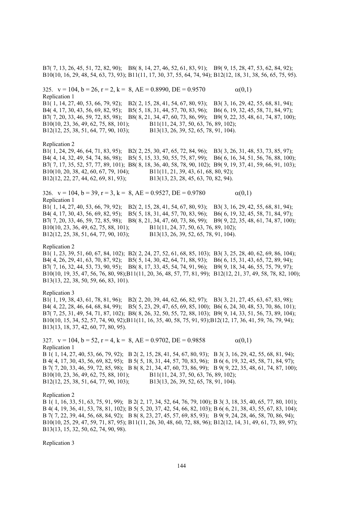B7( 7, 13, 26, 45, 51, 72, 82, 90); B8( 8, 14, 27, 46, 52, 61, 83, 91); B9( 9, 15, 28, 47, 53, 62, 84, 92); B10(10, 16, 29, 48, 54, 63, 73, 93); B11(11, 17, 30, 37, 55, 64, 74, 94); B12(12, 18, 31, 38, 56, 65, 75, 95). 325.  $v = 104$ ,  $b = 26$ ,  $r = 2$ ,  $k = 8$ ,  $AE = 0.8990$ ,  $DE = 0.9570$   $\alpha(0,1)$ Replication 1 B1( 1, 14, 27, 40, 53, 66, 79, 92); B2( 2, 15, 28, 41, 54, 67, 80, 93); B3( 3, 16, 29, 42, 55, 68, 81, 94); B4( 4, 17, 30, 43, 56, 69, 82, 95); B5( 5, 18, 31, 44, 57, 70, 83, 96); B6( 6, 19, 32, 45, 58, 71, 84, 97); B7( 7, 20, 33, 46, 59, 72, 85, 98); B8( 8, 21, 34, 47, 60, 73, 86, 99); B9( 9, 22, 35, 48, 61, 74, 87, 100);<br>B10(10, 23, 36, 49, 62, 75, 88, 101); B11(11, 24, 37, 50, 63, 76, 89, 102); B11(11, 24, 37, 50, 63, 76, 89, 102); B12(12, 25, 38, 51, 64, 77, 90, 103); B13(13, 26, 39, 52, 65, 78, 91, 104). Replication 2 B1( 1, 24, 29, 46, 64, 71, 83, 95); B2( 2, 25, 30, 47, 65, 72, 84, 96); B3( 3, 26, 31, 48, 53, 73, 85, 97); B4( 4, 14, 32, 49, 54, 74, 86, 98); B5( 5, 15, 33, 50, 55, 75, 87, 99); B6( 6, 16, 34, 51, 56, 76, 88, 100); B7( 7, 17, 35, 52, 57, 77, 89, 101); B8( 8, 18, 36, 40, 58, 78, 90, 102); B9( 9, 19, 37, 41, 59, 66, 91, 103); B10(10, 20, 38, 42, 60, 67, 79, 104); B11(11, 21, 39, 43, 61, 68, 80, 92); B12(12, 22, 27, 44, 62, 69, 81, 93); B13(13, 23, 28, 45, 63, 70, 82, 94). 326.  $v = 104$ ,  $b = 39$ ,  $r = 3$ ,  $k = 8$ ,  $AE = 0.9527$ ,  $DE = 0.9780$  (0,1) Replication 1 B1( 1, 14, 27, 40, 53, 66, 79, 92); B2( 2, 15, 28, 41, 54, 67, 80, 93); B3( 3, 16, 29, 42, 55, 68, 81, 94); B4( 4, 17, 30, 43, 56, 69, 82, 95); B5( 5, 18, 31, 44, 57, 70, 83, 96); B6( 6, 19, 32, 45, 58, 71, 84, 97); B7( 7, 20, 33, 46, 59, 72, 85, 98); B8( 8, 21, 34, 47, 60, 73, 86, 99); B9( 9, 22, 35, 48, 61, 74, 87, 100); B10(10, 23, 36, 49, 62, 75, 88, 101); B11(11, 24, 37, 50, 63, 76, 89, 102); B12(12, 25, 38, 51, 64, 77, 90, 103); B13(13, 26, 39, 52, 65, 78, 91, 104). Replication 2 B1( 1, 23, 39, 51, 60, 67, 84, 102); B2( 2, 24, 27, 52, 61, 68, 85, 103); B3( 3, 25, 28, 40, 62, 69, 86, 104); B4( 4, 26, 29, 41, 63, 70, 87, 92); B5( 5, 14, 30, 42, 64, 71, 88, 93); B6( 6, 15, 31, 43, 65, 72, 89, 94); B7( 7, 16, 32, 44, 53, 73, 90, 95); B8( 8, 17, 33, 45, 54, 74, 91, 96); B9( 9, 18, 34, 46, 55, 75, 79, 97); B10(10, 19, 35, 47, 56, 76, 80, 98);B11(11, 20, 36, 48, 57, 77, 81, 99); B12(12, 21, 37, 49, 58, 78, 82, 100); B13(13, 22, 38, 50, 59, 66, 83, 101). Replication 3 B1( 1, 19, 38, 43, 61, 78, 81, 96); B2( 2, 20, 39, 44, 62, 66, 82, 97); B3( 3, 21, 27, 45, 63, 67, 83, 98); B4( 4, 22, 28, 46, 64, 68, 84, 99); B5( 5, 23, 29, 47, 65, 69, 85, 100); B6( 6, 24, 30, 48, 53, 70, 86, 101); B7( 7, 25, 31, 49, 54, 71, 87, 102); B8( 8, 26, 32, 50, 55, 72, 88, 103); B9( 9, 14, 33, 51, 56, 73, 89, 104); B10(10, 15, 34, 52, 57, 74, 90, 92);B11(11, 16, 35, 40, 58, 75, 91, 93);B12(12, 17, 36, 41, 59, 76, 79, 94); B13(13, 18, 37, 42, 60, 77, 80, 95). 327.  $v = 104$ ,  $b = 52$ ,  $r = 4$ ,  $k = 8$ ,  $AE = 0.9702$ ,  $DE = 0.9858$   $\alpha(0,1)$ Replication 1 B 1( 1, 14, 27, 40, 53, 66, 79, 92); B 2( 2, 15, 28, 41, 54, 67, 80, 93); B 3( 3, 16, 29, 42, 55, 68, 81, 94); B 4( 4, 17, 30, 43, 56, 69, 82, 95); B 5( 5, 18, 31, 44, 57, 70, 83, 96); B 6( 6, 19, 32, 45, 58, 71, 84, 97); B 7( 7, 20, 33, 46, 59, 72, 85, 98); B 8( 8, 21, 34, 47, 60, 73, 86, 99); B 9( 9, 22, 35, 48, 61, 74, 87, 100); B10(10, 23, 36, 49, 62, 75, 88, 101); B11(11, 24, 37, 50, 63, 76, 89, 102); B12(12, 25, 38, 51, 64, 77, 90, 103); B13(13, 26, 39, 52, 65, 78, 91, 104). Replication 2 B 1( 1, 16, 33, 51, 63, 75, 91, 99); B 2( 2, 17, 34, 52, 64, 76, 79, 100); B 3( 3, 18, 35, 40, 65, 77, 80, 101); B 4( 4, 19, 36, 41, 53, 78, 81, 102); B 5( 5, 20, 37, 42, 54, 66, 82, 103); B 6( 6, 21, 38, 43, 55, 67, 83, 104); B 7( 7, 22, 39, 44, 56, 68, 84, 92); B 8( 8, 23, 27, 45, 57, 69, 85, 93); B 9( 9, 24, 28, 46, 58, 70, 86, 94);

B10(10, 25, 29, 47, 59, 71, 87, 95); B11(11, 26, 30, 48, 60, 72, 88, 96); B12(12, 14, 31, 49, 61, 73, 89, 97); B13(13, 15, 32, 50, 62, 74, 90, 98).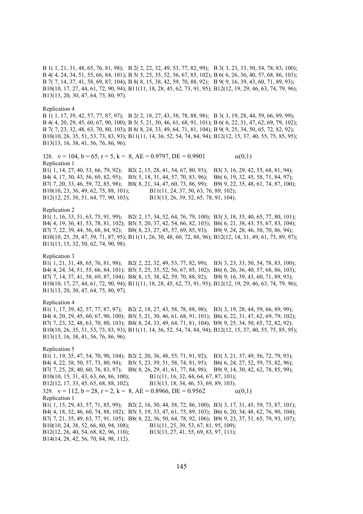B 1( 1, 21, 31, 48, 65, 76, 81, 98); B 2( 2, 22, 32, 49, 53, 77, 82, 99); B 3( 3, 23, 33, 50, 54, 78, 83, 100); B 4( 4, 24, 34, 51, 55, 66, 84, 101); B 5( 5, 25, 35, 52, 56, 67, 85, 102); B 6( 6, 26, 36, 40, 57, 68, 86, 103); B 7( 7, 14, 37, 41, 58, 69, 87, 104); B 8( 8, 15, 38, 42, 59, 70, 88, 92); B 9( 9, 16, 39, 43, 60, 71, 89, 93); B10(10, 17, 27, 44, 61, 72, 90, 94); B11(11, 18, 28, 45, 62, 73, 91, 95); B12(12, 19, 29, 46, 63, 74, 79, 96); B13(13, 20, 30, 47, 64, 75, 80, 97).

#### Replication 4

B 1( 1, 17, 39, 42, 57, 77, 87, 97); B 2( 2, 18, 27, 43, 58, 78, 88, 98); B 3( 3, 19, 28, 44, 59, 66, 89, 99); B 4( 4, 20, 29, 45, 60, 67, 90, 100); B 5( 5, 21, 30, 46, 61, 68, 91, 101); B 6( 6, 22, 31, 47, 62, 69, 79, 102); B 7( 7, 23, 32, 48, 63, 70, 80, 103); B 8( 8, 24, 33, 49, 64, 71, 81, 104); B 9( 9, 25, 34, 50, 65, 72, 82, 92); B10(10, 26, 35, 51, 53, 73, 83, 93); B11(11, 14, 36, 52, 54, 74, 84, 94); B12(12, 15, 37, 40, 55, 75, 85, 95); B13(13, 16, 38, 41, 56, 76, 86, 96).

328.  $v = 104$ ,  $b = 65$ ,  $r = 5$ ,  $k = 8$ ,  $AE = 0.9797$ ,  $DE = 0.9901$   $\alpha(0,1)$ Replication 1 B1( 1, 14, 27, 40, 53, 66, 79, 92); B2( 2, 15, 28, 41, 54, 67, 80, 93); B3( 3, 16, 29, 42, 55, 68, 81, 94); B4( 4, 17, 30, 43, 56, 69, 82, 95); B5( 5, 18, 31, 44, 57, 70, 83, 96); B6( 6, 19, 32, 45, 58, 71, 84, 97); B7( 7, 20, 33, 46, 59, 72, 85, 98); B8( 8, 21, 34, 47, 60, 73, 86, 99); B9( 9, 22, 35, 48, 61, 74, 87, 100);<br>B10(10, 23, 36, 49, 62, 75, 88, 101); B11(11, 24, 37, 50, 63, 76, 89, 102); B11(11, 24, 37, 50, 63, 76, 89, 102); B12(12, 25, 38, 51, 64, 77, 90, 103); B13(13, 26, 39, 52, 65, 78, 91, 104).

## Replication 2

B1( 1, 16, 33, 51, 63, 75, 91, 99); B2( 2, 17, 34, 52, 64, 76, 79, 100); B3( 3, 18, 35, 40, 65, 77, 80, 101); B4( 4, 19, 36, 41, 53, 78, 81, 102); B5( 5, 20, 37, 42, 54, 66, 82, 103); B6( 6, 21, 38, 43, 55, 67, 83, 104); B7( 7, 22, 39, 44, 56, 68, 84, 92); B8( 8, 23, 27, 45, 57, 69, 85, 93); B9( 9, 24, 28, 46, 58, 70, 86, 94); B10(10, 25, 29, 47, 59, 71, 87, 95); B11(11, 26, 30, 48, 60, 72, 88, 96); B12(12, 14, 31, 49, 61, 73, 89, 97); B13(13, 15, 32, 50, 62, 74, 90, 98).

## Replication 3

B1( 1, 21, 31, 48, 65, 76, 81, 98); B2( 2, 22, 32, 49, 53, 77, 82, 99); B3( 3, 23, 33, 50, 54, 78, 83, 100); B4( 4, 24, 34, 51, 55, 66, 84, 101); B5( 5, 25, 35, 52, 56, 67, 85, 102); B6( 6, 26, 36, 40, 57, 68, 86, 103); B7( 7, 14, 37, 41, 58, 69, 87, 104); B8( 8, 15, 38, 42, 59, 70, 88, 92); B9( 9, 16, 39, 43, 60, 71, 89, 93); B10(10, 17, 27, 44, 61, 72, 90, 94); B11(11, 18, 28, 45, 62, 73, 91, 95); B12(12, 19, 29, 46, 63, 74, 79, 96); B13(13, 20, 30, 47, 64, 75, 80, 97).

# Replication 4

B1( 1, 17, 39, 42, 57, 77, 87, 97); B2( 2, 18, 27, 43, 58, 78, 88, 98); B3( 3, 19, 28, 44, 59, 66, 89, 99); B4( 4, 20, 29, 45, 60, 67, 90, 100); B5( 5, 21, 30, 46, 61, 68, 91, 101); B6( 6, 22, 31, 47, 62, 69, 79, 102); B7( 7, 23, 32, 48, 63, 70, 80, 103); B8( 8, 24, 33, 49, 64, 71, 81, 104); B9( 9, 25, 34, 50, 65, 72, 82, 92); B10(10, 26, 35, 51, 53, 73, 83, 93); B11(11, 14, 36, 52, 54, 74, 84, 94); B12(12, 15, 37, 40, 55, 75, 85, 95); B13(13, 16, 38, 41, 56, 76, 86, 96).

Replication 5 B1( 1, 19, 35, 47, 54, 70, 90, 104); B2( 2, 20, 36, 48, 55, 71, 91, 92); B3( 3, 21, 37, 49, 56, 72, 79, 93); B4( 4, 22, 38, 50, 57, 73, 80, 94); B5( 5, 23, 39, 51, 58, 74, 81, 95); B6( 6, 24, 27, 52, 59, 75, 82, 96); B7( 7, 25, 28, 40, 60, 76, 83, 97); B8( 8, 26, 29, 41, 61, 77, 84, 98); B9( 9, 14, 30, 42, 62, 78, 85, 99); B10(10, 15, 31, 43, 63, 66, 86, 100); B11(11, 16, 32, 44, 64, 67, 87, 101); B12(12, 17, 33, 45, 65, 68, 88, 102); B13(13, 18, 34, 46, 53, 69, 89, 103). 329.  $v = 112$ ,  $b = 28$ ,  $r = 2$ ,  $k = 8$ ,  $AE = 0.8966$ ,  $DE = 0.9562$   $\alpha(0,1)$ Replication 1 B1( 1, 15, 29, 43, 57, 71, 85, 99); B2( 2, 16, 30, 44, 58, 72, 86, 100); B3( 3, 17, 31, 45, 59, 73, 87, 101); B4( 4, 18, 32, 46, 60, 74, 88, 102); B5( 5, 19, 33, 47, 61, 75, 89, 103); B6( 6, 20, 34, 48, 62, 76, 90, 104); B7( 7, 21, 35, 49, 63, 77, 91, 105); B8( 8, 22, 36, 50, 64, 78, 92, 106); B9( 9, 23, 37, 51, 65, 79, 93, 107); B10(10, 24, 38, 52, 66, 80, 94, 108); B11(11, 25, 39, 53, 67, 81, 95, 109); B12(12, 26, 40, 54, 68, 82, 96, 110); B13(13, 27, 41, 55, 69, 83, 97, 111); B14(14, 28, 42, 56, 70, 84, 98, 112).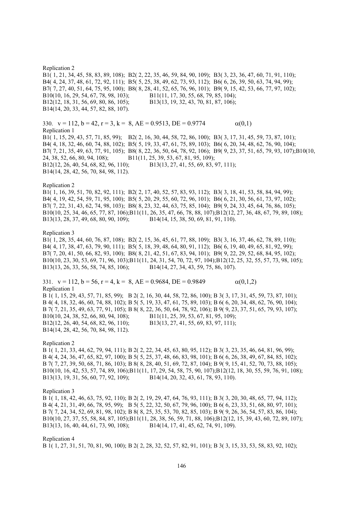Replication 2 B1( 1, 21, 34, 45, 58, 83, 89, 108); B2( 2, 22, 35, 46, 59, 84, 90, 109); B3( 3, 23, 36, 47, 60, 71, 91, 110); B4( 4, 24, 37, 48, 61, 72, 92, 111); B5( 5, 25, 38, 49, 62, 73, 93, 112); B6( 6, 26, 39, 50, 63, 74, 94, 99); B7( 7, 27, 40, 51, 64, 75, 95, 100); B8( 8, 28, 41, 52, 65, 76, 96, 101); B9( 9, 15, 42, 53, 66, 77, 97, 102); B10(10, 16, 29, 54, 67, 78, 98, 103); B11(11, 17, 30, 55, 68, 79, 85, 104); B12(12, 18, 31, 56, 69, 80, 86, 105); B13(13, 19, 32, 43, 70, 81, 87, 106); B14(14, 20, 33, 44, 57, 82, 88, 107). 330.  $v = 112$ ,  $b = 42$ ,  $r = 3$ ,  $k = 8$ ,  $AE = 0.9513$ ,  $DE = 0.9774$  (0,1) Replication 1 B1( 1, 15, 29, 43, 57, 71, 85, 99); B2( 2, 16, 30, 44, 58, 72, 86, 100); B3( 3, 17, 31, 45, 59, 73, 87, 101); B4( 4, 18, 32, 46, 60, 74, 88, 102); B5( 5, 19, 33, 47, 61, 75, 89, 103); B6( 6, 20, 34, 48, 62, 76, 90, 104); B7( 7, 21, 35, 49, 63, 77, 91, 105); B8( 8, 22, 36, 50, 64, 78, 92, 106); B9( 9, 23, 37, 51, 65, 79, 93, 107);B10(10, 24, 38, 52, 66, 80, 94, 108); B11(11, 25, 39, 53, 67, 81, 95, 109); B12(12, 26, 40, 54, 68, 82, 96, 110); B13(13, 27, 41, 55, 69, 83, 97, 111); B14(14, 28, 42, 56, 70, 84, 98, 112). Replication 2 B1( 1, 16, 39, 51, 70, 82, 92, 111); B2( 2, 17, 40, 52, 57, 83, 93, 112); B3( 3, 18, 41, 53, 58, 84, 94, 99); B4( 4, 19, 42, 54, 59, 71, 95, 100); B5( 5, 20, 29, 55, 60, 72, 96, 101); B6( 6, 21, 30, 56, 61, 73, 97, 102); B7( 7, 22, 31, 43, 62, 74, 98, 103); B8( 8, 23, 32, 44, 63, 75, 85, 104); B9( 9, 24, 33, 45, 64, 76, 86, 105); B10(10, 25, 34, 46, 65, 77, 87, 106);B11(11, 26, 35, 47, 66, 78, 88, 107);B12(12, 27, 36, 48, 67, 79, 89, 108); B13(13, 28, 37, 49, 68, 80, 90, 109); B14(14, 15, 38, 50, 69, 81, 91, 110). Replication 3 B1( 1, 28, 35, 44, 60, 76, 87, 108); B2( 2, 15, 36, 45, 61, 77, 88, 109); B3( 3, 16, 37, 46, 62, 78, 89, 110); B4( 4, 17, 38, 47, 63, 79, 90, 111); B5( 5, 18, 39, 48, 64, 80, 91, 112); B6( 6, 19, 40, 49, 65, 81, 92, 99); B7( 7, 20, 41, 50, 66, 82, 93, 100); B8( 8, 21, 42, 51, 67, 83, 94, 101); B9( 9, 22, 29, 52, 68, 84, 95, 102); B10(10, 23, 30, 53, 69, 71, 96, 103);B11(11, 24, 31, 54, 70, 72, 97, 104);B12(12, 25, 32, 55, 57, 73, 98, 105); B13(13, 26, 33, 56, 58, 74, 85, 106); B14(14, 27, 34, 43, 59, 75, 86, 107). 331.  $v = 112$ ,  $b = 56$ ,  $r = 4$ ,  $k = 8$ ,  $AE = 0.9684$ ,  $DE = 0.9849$   $\alpha(0,1,2)$ Replication 1 B 1( 1, 15, 29, 43, 57, 71, 85, 99); B 2( 2, 16, 30, 44, 58, 72, 86, 100); B 3( 3, 17, 31, 45, 59, 73, 87, 101); B 4( 4, 18, 32, 46, 60, 74, 88, 102); B 5( 5, 19, 33, 47, 61, 75, 89, 103); B 6( 6, 20, 34, 48, 62, 76, 90, 104); B 7( 7, 21, 35, 49, 63, 77, 91, 105); B 8( 8, 22, 36, 50, 64, 78, 92, 106); B 9( 9, 23, 37, 51, 65, 79, 93, 107); B10(10, 24, 38, 52, 66, 80, 94, 108); B11(11, 25, 39, 53, 67, 81, 95, 109); B12(12, 26, 40, 54, 68, 82, 96, 110); B13(13, 27, 41, 55, 69, 83, 97, 111); B14(14, 28, 42, 56, 70, 84, 98, 112). Replication 2 B 1( 1, 21, 33, 44, 62, 79, 94, 111); B 2( 2, 22, 34, 45, 63, 80, 95, 112); B 3( 3, 23, 35, 46, 64, 81, 96, 99); B 4( 4, 24, 36, 47, 65, 82, 97, 100); B 5( 5, 25, 37, 48, 66, 83, 98, 101); B 6( 6, 26, 38, 49, 67, 84, 85, 102); B 7( 7, 27, 39, 50, 68, 71, 86, 103); B 8( 8, 28, 40, 51, 69, 72, 87, 104); B 9( 9, 15, 41, 52, 70, 73, 88, 105); B10(10, 16, 42, 53, 57, 74, 89, 106);B11(11, 17, 29, 54, 58, 75, 90, 107);B12(12, 18, 30, 55, 59, 76, 91, 108); B13(13, 19, 31, 56, 60, 77, 92, 109); B14(14, 20, 32, 43, 61, 78, 93, 110). Replication 3 B 1( 1, 18, 42, 46, 63, 75, 92, 110); B 2( 2, 19, 29, 47, 64, 76, 93, 111); B 3( 3, 20, 30, 48, 65, 77, 94, 112); B 4( 4, 21, 31, 49, 66, 78, 95, 99); B 5( 5, 22, 32, 50, 67, 79, 96, 100); B 6( 6, 23, 33, 51, 68, 80, 97, 101); B 7( 7, 24, 34, 52, 69, 81, 98, 102); B 8( 8, 25, 35, 53, 70, 82, 85, 103); B 9( 9, 26, 36, 54, 57, 83, 86, 104); B10(10, 27, 37, 55, 58, 84, 87, 105);B11(11, 28, 38, 56, 59, 71, 88, 106);B12(12, 15, 39, 43, 60, 72, 89, 107); B13(13, 16, 40, 44, 61, 73, 90, 108); B14(14, 17, 41, 45, 62, 74, 91, 109).

Replication 4

B 1( 1, 27, 31, 51, 70, 81, 90, 100); B 2( 2, 28, 32, 52, 57, 82, 91, 101); B 3( 3, 15, 33, 53, 58, 83, 92, 102);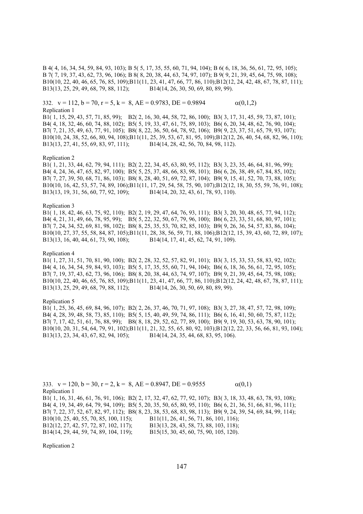B 4( 4, 16, 34, 54, 59, 84, 93, 103); B 5( 5, 17, 35, 55, 60, 71, 94, 104); B 6( 6, 18, 36, 56, 61, 72, 95, 105); B 7( 7, 19, 37, 43, 62, 73, 96, 106); B 8( 8, 20, 38, 44, 63, 74, 97, 107); B 9( 9, 21, 39, 45, 64, 75, 98, 108); B10(10, 22, 40, 46, 65, 76, 85, 109);B11(11, 23, 41, 47, 66, 77, 86, 110);B12(12, 24, 42, 48, 67, 78, 87, 111); B13(13, 25, 29, 49, 68, 79, 88, 112); B14(14, 26, 30, 50, 69, 80, 89, 99).

332.  $v = 112$ ,  $b = 70$ ,  $r = 5$ ,  $k = 8$ ,  $AE = 0.9783$ ,  $DE = 0.9894$   $\alpha(0,1,2)$ Replication 1

B1( 1, 15, 29, 43, 57, 71, 85, 99); B2( 2, 16, 30, 44, 58, 72, 86, 100); B3( 3, 17, 31, 45, 59, 73, 87, 101); B4( 4, 18, 32, 46, 60, 74, 88, 102); B5( 5, 19, 33, 47, 61, 75, 89, 103); B6( 6, 20, 34, 48, 62, 76, 90, 104); B7( 7, 21, 35, 49, 63, 77, 91, 105); B8( 8, 22, 36, 50, 64, 78, 92, 106); B9( 9, 23, 37, 51, 65, 79, 93, 107); B10(10, 24, 38, 52, 66, 80, 94, 108);B11(11, 25, 39, 53, 67, 81, 95, 109);B12(12, 26, 40, 54, 68, 82, 96, 110); B13(13, 27, 41, 55, 69, 83, 97, 111); B14(14, 28, 42, 56, 70, 84, 98, 112).

## Replication 2

B1( 1, 21, 33, 44, 62, 79, 94, 111); B2( 2, 22, 34, 45, 63, 80, 95, 112); B3( 3, 23, 35, 46, 64, 81, 96, 99); B4( 4, 24, 36, 47, 65, 82, 97, 100); B5( 5, 25, 37, 48, 66, 83, 98, 101); B6( 6, 26, 38, 49, 67, 84, 85, 102); B7( 7, 27, 39, 50, 68, 71, 86, 103); B8( 8, 28, 40, 51, 69, 72, 87, 104); B9( 9, 15, 41, 52, 70, 73, 88, 105); B10(10, 16, 42, 53, 57, 74, 89, 106);B11(11, 17, 29, 54, 58, 75, 90, 107);B12(12, 18, 30, 55, 59, 76, 91, 108); B13(13, 19, 31, 56, 60, 77, 92, 109); B14(14, 20, 32, 43, 61, 78, 93, 110).

## Replication 3

B1( 1, 18, 42, 46, 63, 75, 92, 110); B2( 2, 19, 29, 47, 64, 76, 93, 111); B3( 3, 20, 30, 48, 65, 77, 94, 112); B4( 4, 21, 31, 49, 66, 78, 95, 99); B5( 5, 22, 32, 50, 67, 79, 96, 100); B6( 6, 23, 33, 51, 68, 80, 97, 101); B7( 7, 24, 34, 52, 69, 81, 98, 102); B8( 8, 25, 35, 53, 70, 82, 85, 103); B9( 9, 26, 36, 54, 57, 83, 86, 104); B10(10, 27, 37, 55, 58, 84, 87, 105);B11(11, 28, 38, 56, 59, 71, 88, 106);B12(12, 15, 39, 43, 60, 72, 89, 107); B13(13, 16, 40, 44, 61, 73, 90, 108); B14(14, 17, 41, 45, 62, 74, 91, 109).

## Replication 4

B1( 1, 27, 31, 51, 70, 81, 90, 100); B2( 2, 28, 32, 52, 57, 82, 91, 101); B3( 3, 15, 33, 53, 58, 83, 92, 102); B4( 4, 16, 34, 54, 59, 84, 93, 103); B5( 5, 17, 35, 55, 60, 71, 94, 104); B6( 6, 18, 36, 56, 61, 72, 95, 105); B7( 7, 19, 37, 43, 62, 73, 96, 106); B8( 8, 20, 38, 44, 63, 74, 97, 107); B9( 9, 21, 39, 45, 64, 75, 98, 108); B10(10, 22, 40, 46, 65, 76, 85, 109);B11(11, 23, 41, 47, 66, 77, 86, 110);B12(12, 24, 42, 48, 67, 78, 87, 111); B13(13, 25, 29, 49, 68, 79, 88, 112); B14(14, 26, 30, 50, 69, 80, 89, 99).

## Replication 5

B1( 1, 25, 36, 45, 69, 84, 96, 107); B2( 2, 26, 37, 46, 70, 71, 97, 108); B3( 3, 27, 38, 47, 57, 72, 98, 109); B4( 4, 28, 39, 48, 58, 73, 85, 110); B5( 5, 15, 40, 49, 59, 74, 86, 111); B6( 6, 16, 41, 50, 60, 75, 87, 112); B7( 7, 17, 42, 51, 61, 76, 88, 99); B8( 8, 18, 29, 52, 62, 77, 89, 100); B9( 9, 19, 30, 53, 63, 78, 90, 101); B10(10, 20, 31, 54, 64, 79, 91, 102);B11(11, 21, 32, 55, 65, 80, 92, 103);B12(12, 22, 33, 56, 66, 81, 93, 104); B13(13, 23, 34, 43, 67, 82, 94, 105); B14(14, 24, 35, 44, 68, 83, 95, 106).

333.  $v = 120$ ,  $b = 30$ ,  $r = 2$ ,  $k = 8$ ,  $AE = 0.8947$ ,  $DE = 0.9555$  (a(0,1)) Replication 1 B1( 1, 16, 31, 46, 61, 76, 91, 106); B2( 2, 17, 32, 47, 62, 77, 92, 107); B3( 3, 18, 33, 48, 63, 78, 93, 108); B4( 4, 19, 34, 49, 64, 79, 94, 109); B5( 5, 20, 35, 50, 65, 80, 95, 110); B6( 6, 21, 36, 51, 66, 81, 96, 111); B7( 7, 22, 37, 52, 67, 82, 97, 112); B8( 8, 23, 38, 53, 68, 83, 98, 113); B9( 9, 24, 39, 54, 69, 84, 99, 114); B10(10, 25, 40, 55, 70, 85, 100, 115); B11(11, 26, 41, 56, 71, 86, 101, 116); B12(12, 27, 42, 57, 72, 87, 102, 117); B13(13, 28, 43, 58, 73, 88, 103, 118); B14(14, 29, 44, 59, 74, 89, 104, 119); B15(15, 30, 45, 60, 75, 90, 105, 120).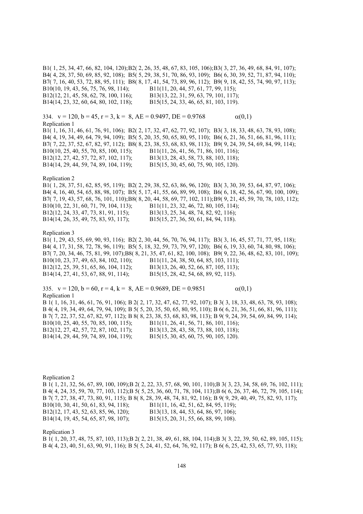B1( 1, 25, 34, 47, 66, 82, 104, 120); B2( 2, 26, 35, 48, 67, 83, 105, 106); B3( 3, 27, 36, 49, 68, 84, 91, 107); B4( 4, 28, 37, 50, 69, 85, 92, 108); B5( 5, 29, 38, 51, 70, 86, 93, 109); B6( 6, 30, 39, 52, 71, 87, 94, 110); B7( 7, 16, 40, 53, 72, 88, 95, 111); B8( 8, 17, 41, 54, 73, 89, 96, 112); B9( 9, 18, 42, 55, 74, 90, 97, 113); B10(10, 19, 43, 56, 75, 76, 98, 114); B11(11, 20, 44, 57, 61, 77, 99, 115); B12(12, 21, 45, 58, 62, 78, 100, 116); B13(13, 22, 31, 59, 63, 79, 101, 117); B14(14, 23, 32, 60, 64, 80, 102, 118); B15(15, 24, 33, 46, 65, 81, 103, 119). 334.  $v = 120$ ,  $b = 45$ ,  $r = 3$ ,  $k = 8$ ,  $AE = 0.9497$ ,  $DE = 0.9768$   $\alpha(0,1)$ Replication 1 B1( 1, 16, 31, 46, 61, 76, 91, 106); B2( 2, 17, 32, 47, 62, 77, 92, 107); B3( 3, 18, 33, 48, 63, 78, 93, 108); B4( 4, 19, 34, 49, 64, 79, 94, 109); B5( 5, 20, 35, 50, 65, 80, 95, 110); B6( 6, 21, 36, 51, 66, 81, 96, 111); B7( 7, 22, 37, 52, 67, 82, 97, 112); B8( 8, 23, 38, 53, 68, 83, 98, 113); B9( 9, 24, 39, 54, 69, 84, 99, 114); B10(10, 25, 40, 55, 70, 85, 100, 115); B11(11, 26, 41, 56, 71, 86, 101, 116); B12(12, 27, 42, 57, 72, 87, 102, 117); B13(13, 28, 43, 58, 73, 88, 103, 118); B14(14, 29, 44, 59, 74, 89, 104, 119); B15(15, 30, 45, 60, 75, 90, 105, 120). Replication 2 B1( 1, 28, 37, 51, 62, 85, 95, 119); B2( 2, 29, 38, 52, 63, 86, 96, 120); B3( 3, 30, 39, 53, 64, 87, 97, 106); B4( 4, 16, 40, 54, 65, 88, 98, 107); B5( 5, 17, 41, 55, 66, 89, 99, 108); B6( 6, 18, 42, 56, 67, 90, 100, 109); B7( 7, 19, 43, 57, 68, 76, 101, 110); B8( 8, 20, 44, 58, 69, 77, 102, 111); B9( 9, 21, 45, 59, 70, 78, 103, 112); B10(10, 22, 31, 60, 71, 79, 104, 113); B11(11, 23, 32, 46, 72, 80, 105, 114); B12(12, 24, 33, 47, 73, 81, 91, 115); B13(13, 25, 34, 48, 74, 82, 92, 116); B14(14, 26, 35, 49, 75, 83, 93, 117); B15(15, 27, 36, 50, 61, 84, 94, 118). Replication 3 B1( 1, 29, 43, 55, 69, 90, 93, 116); B2( 2, 30, 44, 56, 70, 76, 94, 117); B3( 3, 16, 45, 57, 71, 77, 95, 118); B4( 4, 17, 31, 58, 72, 78, 96, 119); B5( 5, 18, 32, 59, 73, 79, 97, 120); B6( 6, 19, 33, 60, 74, 80, 98, 106); B7( 7, 20, 34, 46, 75, 81, 99, 107);B8( 8, 21, 35, 47, 61, 82, 100, 108); B9( 9, 22, 36, 48, 62, 83, 101, 109); B10(10, 23, 37, 49, 63, 84, 102, 110); B11(11, 24, 38, 50, 64, 85, 103, 111); B12(12, 25, 39, 51, 65, 86, 104, 112); B13(13, 26, 40, 52, 66, 87, 105, 113); B14(14, 27, 41, 53, 67, 88, 91, 114); B15(15, 28, 42, 54, 68, 89, 92, 115). 335.  $v = 120$ ,  $b = 60$ ,  $r = 4$ ,  $k = 8$ ,  $AE = 0.9689$ ,  $DE = 0.9851$   $\alpha(0,1)$ Replication 1 B 1( 1, 16, 31, 46, 61, 76, 91, 106); B 2( 2, 17, 32, 47, 62, 77, 92, 107); B 3( 3, 18, 33, 48, 63, 78, 93, 108); B 4( 4, 19, 34, 49, 64, 79, 94, 109); B 5( 5, 20, 35, 50, 65, 80, 95, 110); B 6( 6, 21, 36, 51, 66, 81, 96, 111); B 7( 7, 22, 37, 52, 67, 82, 97, 112); B 8( 8, 23, 38, 53, 68, 83, 98, 113); B 9( 9, 24, 39, 54, 69, 84, 99, 114); B10(10, 25, 40, 55, 70, 85, 100, 115); B11(11, 26, 41, 56, 71, 86, 101, 116); B12(12, 27, 42, 57, 72, 87, 102, 117); B13(13, 28, 43, 58, 73, 88, 103, 118); B14(14, 29, 44, 59, 74, 89, 104, 119); B15(15, 30, 45, 60, 75, 90, 105, 120).

Replication 2 B 1( 1, 21, 32, 56, 67, 89, 100, 109);B 2( 2, 22, 33, 57, 68, 90, 101, 110);B 3( 3, 23, 34, 58, 69, 76, 102, 111); B 4( 4, 24, 35, 59, 70, 77, 103, 112);B 5( 5, 25, 36, 60, 71, 78, 104, 113);B 6( 6, 26, 37, 46, 72, 79, 105, 114); B 7( 7, 27, 38, 47, 73, 80, 91, 115); B 8( 8, 28, 39, 48, 74, 81, 92, 116); B 9( 9, 29, 40, 49, 75, 82, 93, 117); B10(10, 30, 41, 50, 61, 83, 94, 118); B11(11, 16, 42, 51, 62, 84, 95, 119); B12(12, 17, 43, 52, 63, 85, 96, 120); B13(13, 18, 44, 53, 64, 86, 97, 106); B14(14, 19, 45, 54, 65, 87, 98, 107); B15(15, 20, 31, 55, 66, 88, 99, 108).

Replication 3

B 1( 1, 20, 37, 48, 75, 87, 103, 113);B 2( 2, 21, 38, 49, 61, 88, 104, 114);B 3( 3, 22, 39, 50, 62, 89, 105, 115); B 4( 4, 23, 40, 51, 63, 90, 91, 116); B 5( 5, 24, 41, 52, 64, 76, 92, 117); B 6( 6, 25, 42, 53, 65, 77, 93, 118);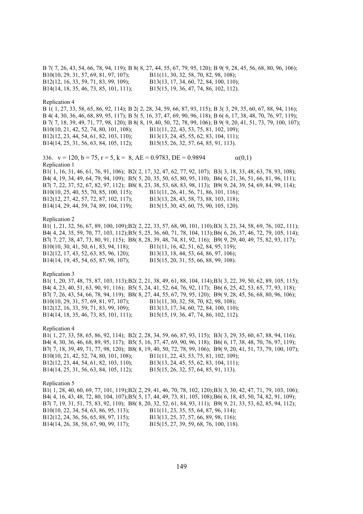B 7( 7, 26, 43, 54, 66, 78, 94, 119); B 8( 8, 27, 44, 55, 67, 79, 95, 120); B 9( 9, 28, 45, 56, 68, 80, 96, 106); B10(10, 29, 31, 57, 69, 81, 97, 107); B11(11, 30, 32, 58, 70, 82, 98, 108); B12(12, 16, 33, 59, 71, 83, 99, 109); B13(13, 17, 34, 60, 72, 84, 100, 110); B14(14, 18, 35, 46, 73, 85, 101, 111); B15(15, 19, 36, 47, 74, 86, 102, 112). Replication 4 B 1( 1, 27, 33, 58, 65, 86, 92, 114); B 2( 2, 28, 34, 59, 66, 87, 93, 115); B 3( 3, 29, 35, 60, 67, 88, 94, 116); B 4( 4, 30, 36, 46, 68, 89, 95, 117); B 5( 5, 16, 37, 47, 69, 90, 96, 118); B 6( 6, 17, 38, 48, 70, 76, 97, 119); B 7( 7, 18, 39, 49, 71, 77, 98, 120); B 8( 8, 19, 40, 50, 72, 78, 99, 106); B 9( 9, 20, 41, 51, 73, 79, 100, 107); B10(10, 21, 42, 52, 74, 80, 101, 108); B11(11, 22, 43, 53, 75, 81, 102, 109); B12(12, 23, 44, 54, 61, 82, 103, 110); B13(13, 24, 45, 55, 62, 83, 104, 111); B14(14, 25, 31, 56, 63, 84, 105, 112); B15(15, 26, 32, 57, 64, 85, 91, 113). 336.  $v = 120$ ,  $b = 75$ ,  $r = 5$ ,  $k = 8$ ,  $AE = 0.9783$ ,  $DE = 0.9894$   $\alpha(0,1)$ Replication 1 B1( 1, 16, 31, 46, 61, 76, 91, 106); B2( 2, 17, 32, 47, 62, 77, 92, 107); B3( 3, 18, 33, 48, 63, 78, 93, 108); B4( 4, 19, 34, 49, 64, 79, 94, 109); B5( 5, 20, 35, 50, 65, 80, 95, 110); B6( 6, 21, 36, 51, 66, 81, 96, 111); B7( 7, 22, 37, 52, 67, 82, 97, 112); B8( 8, 23, 38, 53, 68, 83, 98, 113); B9( 9, 24, 39, 54, 69, 84, 99, 114); B10(10, 25, 40, 55, 70, 85, 100, 115); B11(11, 26, 41, 56, 71, 86, 101, 116); B12(12, 27, 42, 57, 72, 87, 102, 117); B13(13, 28, 43, 58, 73, 88, 103, 118); B14(14, 29, 44, 59, 74, 89, 104, 119); B15(15, 30, 45, 60, 75, 90, 105, 120). Replication 2 B1( 1, 21, 32, 56, 67, 89, 100, 109); B2( 2, 22, 33, 57, 68, 90, 101, 110); B3( 3, 23, 34, 58, 69, 76, 102, 111); B4( 4, 24, 35, 59, 70, 77, 103, 112); B5( 5, 25, 36, 60, 71, 78, 104, 113); B6( 6, 26, 37, 46, 72, 79, 105, 114); B7( 7, 27, 38, 47, 73, 80, 91, 115); B8( 8, 28, 39, 48, 74, 81, 92, 116); B9( 9, 29, 40, 49, 75, 82, 93, 117); B10(10, 30, 41, 50, 61, 83, 94, 118); B11(11, 16, 42, 51, 62, 84, 95, 119); B12(12, 17, 43, 52, 63, 85, 96, 120); B13(13, 18, 44, 53, 64, 86, 97, 106); B14(14, 19, 45, 54, 65, 87, 98, 107); B15(15, 20, 31, 55, 66, 88, 99, 108). Replication 3 B1( 1, 20, 37, 48, 75, 87, 103, 113); B2( 2, 21, 38, 49, 61, 88, 104, 114); B3( 3, 22, 39, 50, 62, 89, 105, 115); B4( 4, 23, 40, 51, 63, 90, 91, 116); B5( 5, 24, 41, 52, 64, 76, 92, 117); B6( 6, 25, 42, 53, 65, 77, 93, 118); B7( 7, 26, 43, 54, 66, 78, 94, 119); B8( 8, 27, 44, 55, 67, 79, 95, 120); B9( 9, 28, 45, 56, 68, 80, 96, 106); B10(10, 29, 31, 57, 69, 81, 97, 107); B11(11, 30, 32, 58, 70, 82, 98, 108); B12(12, 16, 33, 59, 71, 83, 99, 109); B13(13, 17, 34, 60, 72, 84, 100, 110); B14(14, 18, 35, 46, 73, 85, 101, 111); B15(15, 19, 36, 47, 74, 86, 102, 112). Replication 4 B1( 1, 27, 33, 58, 65, 86, 92, 114); B2( 2, 28, 34, 59, 66, 87, 93, 115); B3( 3, 29, 35, 60, 67, 88, 94, 116); B4( 4, 30, 36, 46, 68, 89, 95, 117); B5( 5, 16, 37, 47, 69, 90, 96, 118); B6( 6, 17, 38, 48, 70, 76, 97, 119); B7( 7, 18, 39, 49, 71, 77, 98, 120); B8( 8, 19, 40, 50, 72, 78, 99, 106); B9( 9, 20, 41, 51, 73, 79, 100, 107); B10(10, 21, 42, 52, 74, 80, 101, 108); B11(11, 22, 43, 53, 75, 81, 102, 109); B12(12, 23, 44, 54, 61, 82, 103, 110); B13(13, 24, 45, 55, 62, 83, 104, 111); B14(14, 25, 31, 56, 63, 84, 105, 112); B15(15, 26, 32, 57, 64, 85, 91, 113). Replication 5 B1( 1, 28, 40, 60, 69, 77, 101, 119); B2( 2, 29, 41, 46, 70, 78, 102, 120); B3( 3, 30, 42, 47, 71, 79, 103, 106); B4( 4, 16, 43, 48, 72, 80, 104, 107); B5( 5, 17, 44, 49, 73, 81, 105, 108); B6( 6, 18, 45, 50, 74, 82, 91, 109); B7( 7, 19, 31, 51, 75, 83, 92, 110); B8( 8, 20, 32, 52, 61, 84, 93, 111); B9( 9, 21, 33, 53, 62, 85, 94, 112); B10(10, 22, 34, 54, 63, 86, 95, 113); B11(11, 23, 35, 55, 64, 87, 96, 114); B12(12, 24, 36, 56, 65, 88, 97, 115); B13(13, 25, 37, 57, 66, 89, 98, 116); B14(14, 26, 38, 58, 67, 90, 99, 117); B15(15, 27, 39, 59, 68, 76, 100, 118).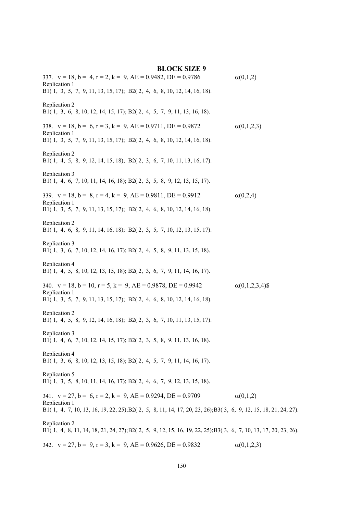| <b>BLOCK SIZE 9</b>                                                                                                                                                    |                        |
|------------------------------------------------------------------------------------------------------------------------------------------------------------------------|------------------------|
| 337. $v = 18$ , $b = 4$ , $r = 2$ , $k = 9$ , $AE = 0.9482$ , $DE = 0.9786$<br>Replication 1<br>B1(1, 3, 5, 7, 9, 11, 13, 15, 17); B2(2, 4, 6, 8, 10, 12, 14, 16, 18). | $\alpha(0,1,2)$        |
|                                                                                                                                                                        |                        |
| Replication 2<br>B1(1, 3, 6, 8, 10, 12, 14, 15, 17); B2(2, 4, 5, 7, 9, 11, 13, 16, 18).                                                                                |                        |
| 338. $v = 18$ , $b = 6$ , $r = 3$ , $k = 9$ , $AE = 0.9711$ , $DE = 0.9872$<br>Replication 1                                                                           | $\alpha(0,1,2,3)$      |
| B1(1, 3, 5, 7, 9, 11, 13, 15, 17); B2(2, 4, 6, 8, 10, 12, 14, 16, 18).                                                                                                 |                        |
| Replication 2<br>B1(1, 4, 5, 8, 9, 12, 14, 15, 18); B2(2, 3, 6, 7, 10, 11, 13, 16, 17).                                                                                |                        |
| Replication 3<br>B1(1, 4, 6, 7, 10, 11, 14, 16, 18); B2(2, 3, 5, 8, 9, 12, 13, 15, 17).                                                                                |                        |
| 339. $v = 18$ , $b = 8$ , $r = 4$ , $k = 9$ , $AE = 0.9811$ , $DE = 0.9912$                                                                                            | $\alpha(0,2,4)$        |
| Replication 1<br>B1(1, 3, 5, 7, 9, 11, 13, 15, 17); B2(2, 4, 6, 8, 10, 12, 14, 16, 18).                                                                                |                        |
| Replication 2<br>B1(1, 4, 6, 8, 9, 11, 14, 16, 18); B2(2, 3, 5, 7, 10, 12, 13, 15, 17).                                                                                |                        |
| Replication 3<br>B1(1, 3, 6, 7, 10, 12, 14, 16, 17); B2(2, 4, 5, 8, 9, 11, 13, 15, 18).                                                                                |                        |
| Replication 4<br>B1(1, 4, 5, 8, 10, 12, 13, 15, 18); B2(2, 3, 6, 7, 9, 11, 14, 16, 17).                                                                                |                        |
| 340. $v = 18$ , $b = 10$ , $r = 5$ , $k = 9$ , $AE = 0.9878$ , $DE = 0.9942$                                                                                           | $\alpha(0,1,2,3,4)$ \$ |
| Replication 1<br>B1(1, 3, 5, 7, 9, 11, 13, 15, 17); B2(2, 4, 6, 8, 10, 12, 14, 16, 18).                                                                                |                        |
| Replication 2<br>B1(1, 4, 5, 8, 9, 12, 14, 16, 18); B2(2, 3, 6, 7, 10, 11, 13, 15, 17).                                                                                |                        |
| Replication 3<br>B1(1, 4, 6, 7, 10, 12, 14, 15, 17); B2(2, 3, 5, 8, 9, 11, 13, 16, 18).                                                                                |                        |
| Replication 4<br>B1(1, 3, 6, 8, 10, 12, 13, 15, 18); B2(2, 4, 5, 7, 9, 11, 14, 16, 17).                                                                                |                        |
| Replication 5<br>B1(1, 3, 5, 8, 10, 11, 14, 16, 17); B2(2, 4, 6, 7, 9, 12, 13, 15, 18).                                                                                |                        |
| 341. $v = 27$ , $b = 6$ , $r = 2$ , $k = 9$ , $AE = 0.9294$ , $DE = 0.9709$                                                                                            | $\alpha(0,1,2)$        |
| Replication 1<br>B1(1, 4, 7, 10, 13, 16, 19, 22, 25); B2(2, 5, 8, 11, 14, 17, 20, 23, 26); B3(3, 6, 9, 12, 15, 18, 21, 24, 27).                                        |                        |
| Replication 2                                                                                                                                                          |                        |
| B1(1, 4, 8, 11, 14, 18, 21, 24, 27); B2(2, 5, 9, 12, 15, 16, 19, 22, 25); B3(3, 6, 7, 10, 13, 17, 20, 23, 26).                                                         |                        |
| 342. $v = 27$ , $b = 9$ , $r = 3$ , $k = 9$ , $AE = 0.9626$ , $DE = 0.9832$                                                                                            | $\alpha(0,1,2,3)$      |

150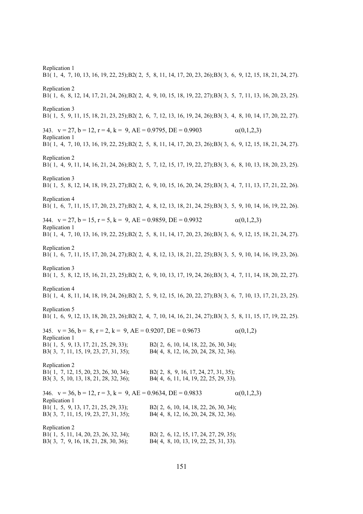Replication 1 B1( 1, 4, 7, 10, 13, 16, 19, 22, 25); B2( 2, 5, 8, 11, 14, 17, 20, 23, 26); B3( 3, 6, 9, 12, 15, 18, 21, 24, 27). Replication 2 B1( 1, 6, 8, 12, 14, 17, 21, 24, 26); B2( 2, 4, 9, 10, 15, 18, 19, 22, 27); B3( 3, 5, 7, 11, 13, 16, 20, 23, 25). Replication 3 B1( 1, 5, 9, 11, 15, 18, 21, 23, 25); B2( 2, 6, 7, 12, 13, 16, 19, 24, 26); B3( 3, 4, 8, 10, 14, 17, 20, 22, 27). 343.  $v = 27$ ,  $b = 12$ ,  $r = 4$ ,  $k = 9$ ,  $AE = 0.9795$ ,  $DE = 0.9903$  (0,1,2,3) Replication 1 B1( 1, 4, 7, 10, 13, 16, 19, 22, 25); B2( 2, 5, 8, 11, 14, 17, 20, 23, 26); B3( 3, 6, 9, 12, 15, 18, 21, 24, 27). Replication 2 B1( 1, 4, 9, 11, 14, 16, 21, 24, 26); B2( 2, 5, 7, 12, 15, 17, 19, 22, 27); B3( 3, 6, 8, 10, 13, 18, 20, 23, 25). Replication 3 B1( 1, 5, 8, 12, 14, 18, 19, 23, 27); B2( 2, 6, 9, 10, 15, 16, 20, 24, 25); B3( 3, 4, 7, 11, 13, 17, 21, 22, 26). Replication 4 B1( 1, 6, 7, 11, 15, 17, 20, 23, 27); B2( 2, 4, 8, 12, 13, 18, 21, 24, 25); B3( 3, 5, 9, 10, 14, 16, 19, 22, 26). 344.  $v = 27$ ,  $b = 15$ ,  $r = 5$ ,  $k = 9$ ,  $AE = 0.9859$ ,  $DE = 0.9932$   $\alpha(0,1,2,3)$ Replication 1 B1( 1, 4, 7, 10, 13, 16, 19, 22, 25); B2( 2, 5, 8, 11, 14, 17, 20, 23, 26); B3( 3, 6, 9, 12, 15, 18, 21, 24, 27). Replication 2 B1( 1, 6, 7, 11, 15, 17, 20, 24, 27); B2( 2, 4, 8, 12, 13, 18, 21, 22, 25); B3( 3, 5, 9, 10, 14, 16, 19, 23, 26). Replication 3 B1( 1, 5, 8, 12, 15, 16, 21, 23, 25); B2( 2, 6, 9, 10, 13, 17, 19, 24, 26); B3( 3, 4, 7, 11, 14, 18, 20, 22, 27). Replication 4 B1( 1, 4, 8, 11, 14, 18, 19, 24, 26); B2( 2, 5, 9, 12, 15, 16, 20, 22, 27); B3( 3, 6, 7, 10, 13, 17, 21, 23, 25). Replication 5 B1( 1, 6, 9, 12, 13, 18, 20, 23, 26); B2( 2, 4, 7, 10, 14, 16, 21, 24, 27); B3( 3, 5, 8, 11, 15, 17, 19, 22, 25). 345.  $v = 36$ ,  $b = 8$ ,  $r = 2$ ,  $k = 9$ ,  $AE = 0.9207$ ,  $DE = 0.9673$  (0,1,2) Replication 1 B1( 1, 5, 9, 13, 17, 21, 25, 29, 33); B2( 2, 6, 10, 14, 18, 22, 26, 30, 34); B3( 3, 7, 11, 15, 19, 23, 27, 31, 35); B4( 4, 8, 12, 16, 20, 24, 28, 32, 36). Replication 2 B1( 1, 7, 12, 15, 20, 23, 26, 30, 34); B2( 2, 8, 9, 16, 17, 24, 27, 31, 35); B3( 3, 5, 10, 13, 18, 21, 28, 32, 36); B4( 4, 6, 11, 14, 19, 22, 25, 29, 33). 346.  $v = 36$ ,  $b = 12$ ,  $r = 3$ ,  $k = 9$ ,  $AE = 0.9634$ ,  $DE = 0.9833$  (0,1,2,3) Replication 1 B1( 1, 5, 9, 13, 17, 21, 25, 29, 33); B2( 2, 6, 10, 14, 18, 22, 26, 30, 34); B3( 3, 7, 11, 15, 19, 23, 27, 31, 35); B4( 4, 8, 12, 16, 20, 24, 28, 32, 36). Replication 2 B1( 1, 5, 11, 14, 20, 23, 26, 32, 34); B2( 2, 6, 12, 15, 17, 24, 27, 29, 35); B3( 3, 7, 9, 16, 18, 21, 28, 30, 36); B4( 4, 8, 10, 13, 19, 22, 25, 31, 33).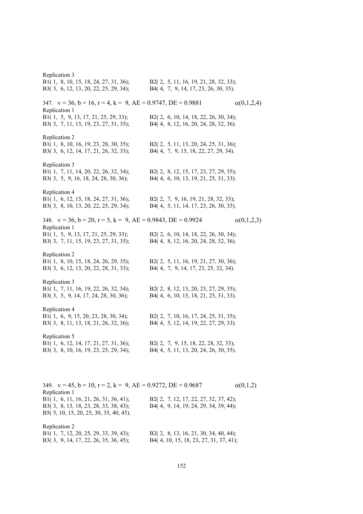Replication 3 B1( 1, 8, 10, 15, 18, 24, 27, 31, 36); B2( 2, 5, 11, 16, 19, 21, 28, 32, 33); B3( 3, 6, 12, 13, 20, 22, 25, 29, 34); B4( 4, 7, 9, 14, 17, 23, 26, 30, 35). 347.  $v = 36$ ,  $b = 16$ ,  $r = 4$ ,  $k = 9$ ,  $AE = 0.9747$ ,  $DE = 0.9881$   $\alpha(0,1,2,4)$ Replication 1 B1( 1, 5, 9, 13, 17, 21, 25, 29, 33); B2( 2, 6, 10, 14, 18, 22, 26, 30, 34); B3( 3, 7, 11, 15, 19, 23, 27, 31, 35); B4( 4, 8, 12, 16, 20, 24, 28, 32, 36). Replication 2 B1( 1, 8, 10, 16, 19, 23, 28, 30, 35); B2( 2, 5, 11, 13, 20, 24, 25, 31, 36); B3( 3, 6, 12, 14, 17, 21, 26, 32, 33); B4( 4, 7, 9, 15, 18, 22, 27, 29, 34). Replication 3 B1( 1, 7, 11, 14, 20, 22, 26, 32, 34); B2( 2, 8, 12, 15, 17, 23, 27, 29, 35); B3( 3, 5, 9, 16, 18, 24, 28, 30, 36); B4( 4, 6, 10, 13, 19, 21, 25, 31, 33). Replication 4 B1( 1, 6, 12, 15, 18, 24, 27, 31, 36); B2( 2, 7, 9, 16, 19, 21, 28, 32, 33); B3( 3, 8, 10, 13, 20, 22, 25, 29, 34); B4( 4, 5, 11, 14, 17, 23, 26, 30, 35). 348.  $v = 36$ ,  $b = 20$ ,  $r = 5$ ,  $k = 9$ ,  $AE = 0.9843$ ,  $DE = 0.9924$   $\alpha(0,1,2,3)$ Replication 1 B1( 1, 5, 9, 13, 17, 21, 25, 29, 33); B2( 2, 6, 10, 14, 18, 22, 26, 30, 34); B3( 3, 7, 11, 15, 19, 23, 27, 31, 35); B4( 4, 8, 12, 16, 20, 24, 28, 32, 36). Replication 2 B1( 1, 8, 10, 15, 18, 24, 26, 29, 35); B2( 2, 5, 11, 16, 19, 21, 27, 30, 36); B3( 3, 6, 12, 13, 20, 22, 28, 31, 33); B4( 4, 7, 9, 14, 17, 23, 25, 32, 34). Replication 3 B1( 1, 7, 11, 16, 19, 22, 26, 32, 34); B2( 2, 8, 12, 13, 20, 23, 27, 29, 35); B3( 3, 5, 9, 14, 17, 24, 28, 30, 36); B4( 4, 6, 10, 15, 18, 21, 25, 31, 33). Replication 4 B1( 1, 6, 9, 15, 20, 23, 28, 30, 34); B2( 2, 7, 10, 16, 17, 24, 25, 31, 35); B3( 3, 8, 11, 13, 18, 21, 26, 32, 36); B4( 4, 5, 12, 14, 19, 22, 27, 29, 33). Replication 5 B1( 1, 6, 12, 14, 17, 21, 27, 31, 36); B2( 2, 7, 9, 15, 18, 22, 28, 32, 33); B3( 3, 8, 10, 16, 19, 23, 25, 29, 34); B4( 4, 5, 11, 13, 20, 24, 26, 30, 35). 349.  $v = 45$ ,  $b = 10$ ,  $r = 2$ ,  $k = 9$ ,  $AE = 0.9272$ ,  $DE = 0.9687$   $\alpha(0,1,2)$ Replication 1 B1( 1, 6, 11, 16, 21, 26, 31, 36, 41); B2( 2, 7, 12, 17, 22, 27, 32, 37, 42); B3( 3, 8, 13, 18, 23, 28, 33, 38, 43); B4( 4, 9, 14, 19, 24, 29, 34, 39, 44); B5( 5, 10, 15, 20, 25, 30, 35, 40, 45).

| B1(1, 7, 12, 20, 25, 29, 33, 39, 43); | B2 $(2, 8, 13, 16, 21, 30, 34, 40, 44);$ |
|---------------------------------------|------------------------------------------|
| B3(3, 9, 14, 17, 22, 26, 35, 36, 45); | B4(4, 10, 15, 18, 23, 27, 31, 37, 41);   |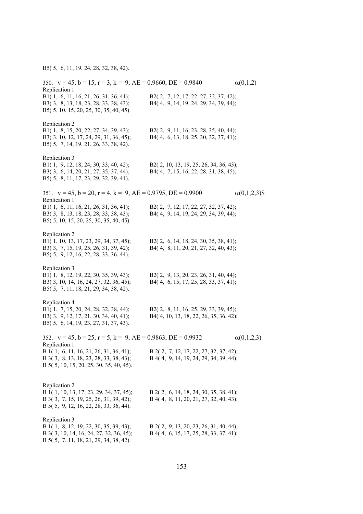B5( 5, 6, 11, 19, 24, 28, 32, 38, 42).

| 350. $v = 45$ , $b = 15$ , $r = 3$ , $k = 9$ , $AE = 0.9660$ , $DE = 0.9840$<br>Replication 1                                                |                                                                                  | $\alpha(0,1,2)$      |
|----------------------------------------------------------------------------------------------------------------------------------------------|----------------------------------------------------------------------------------|----------------------|
| B1(1, 6, 11, 16, 21, 26, 31, 36, 41);<br>B3(3, 8, 13, 18, 23, 28, 33, 38, 43);<br>B5(5, 10, 15, 20, 25, 30, 35, 40, 45).                     | B2(2, 7, 12, 17, 22, 27, 32, 37, 42);<br>B4(4, 9, 14, 19, 24, 29, 34, 39, 44);   |                      |
| Replication 2<br>B1(1, 8, 15, 20, 22, 27, 34, 39, 43);<br>B3(3, 10, 12, 17, 24, 29, 31, 36, 45);<br>B5(5, 7, 14, 19, 21, 26, 33, 38, 42).    | B2(2, 9, 11, 16, 23, 28, 35, 40, 44);<br>B4(4, 6, 13, 18, 25, 30, 32, 37, 41);   |                      |
| Replication 3<br>B1(1, 9, 12, 18, 24, 30, 33, 40, 42);<br>B3(3, 6, 14, 20, 21, 27, 35, 37, 44);<br>B5(5, 8, 11, 17, 23, 29, 32, 39, 41).     | B2(2, 10, 13, 19, 25, 26, 34, 36, 43);<br>B4(4, 7, 15, 16, 22, 28, 31, 38, 45);  |                      |
| 351. $v = 45$ , $b = 20$ , $r = 4$ , $k = 9$ , $AE = 0.9795$ , $DE = 0.9900$                                                                 |                                                                                  | $\alpha(0,1,2,3)$ \$ |
| Replication 1<br>B1(1, 6, 11, 16, 21, 26, 31, 36, 41);<br>B3(3, 8, 13, 18, 23, 28, 33, 38, 43);<br>B5(5, 10, 15, 20, 25, 30, 35, 40, 45).    | B2(2, 7, 12, 17, 22, 27, 32, 37, 42);<br>B4(4, 9, 14, 19, 24, 29, 34, 39, 44);   |                      |
| Replication 2<br>B1(1, 10, 13, 17, 23, 29, 34, 37, 45);<br>B3(3, 7, 15, 19, 25, 26, 31, 39, 42);<br>B5(5, 9, 12, 16, 22, 28, 33, 36, 44).    | B2(2, 6, 14, 18, 24, 30, 35, 38, 41);<br>B4(4, 8, 11, 20, 21, 27, 32, 40, 43);   |                      |
| Replication 3<br>B1(1, 8, 12, 19, 22, 30, 35, 39, 43);<br>B3(3, 10, 14, 16, 24, 27, 32, 36, 45);<br>B5(5, 7, 11, 18, 21, 29, 34, 38, 42).    | B2(2, 9, 13, 20, 23, 26, 31, 40, 44);<br>B4(4, 6, 15, 17, 25, 28, 33, 37, 41);   |                      |
| Replication 4<br>B1(1, 7, 15, 20, 24, 28, 32, 38, 44);<br>B3(3, 9, 12, 17, 21, 30, 34, 40, 41);<br>B5(5, 6, 14, 19, 23, 27, 31, 37, 43).     | B2(2, 8, 11, 16, 25, 29, 33, 39, 45);<br>B4(4, 10, 13, 18, 22, 26, 35, 36, 42);  |                      |
| 352. $v = 45$ , $b = 25$ , $r = 5$ , $k = 9$ , $AE = 0.9863$ , $DE = 0.9932$                                                                 |                                                                                  | $\alpha(0,1,2,3)$    |
| Replication 1<br>B 1(1, 6, 11, 16, 21, 26, 31, 36, 41);<br>B 3(3, 8, 13, 18, 23, 28, 33, 38, 43);<br>B 5(5, 10, 15, 20, 25, 30, 35, 40, 45). | B 2(2, 7, 12, 17, 22, 27, 32, 37, 42);<br>B 4(4, 9, 14, 19, 24, 29, 34, 39, 44); |                      |
| Replication 2<br>B 1(1, 10, 13, 17, 23, 29, 34, 37, 45);<br>B 3(3, 7, 15, 19, 25, 26, 31, 39, 42);<br>B 5(5, 9, 12, 16, 22, 28, 33, 36, 44). | B 2(2, 6, 14, 18, 24, 30, 35, 38, 41);<br>B 4(4, 8, 11, 20, 21, 27, 32, 40, 43); |                      |
| Replication 3<br>B 1(1, 8, 12, 19, 22, 30, 35, 39, 43);<br>B 3(3, 10, 14, 16, 24, 27, 32, 36, 45);<br>B 5(5, 7, 11, 18, 21, 29, 34, 38, 42). | B 2(2, 9, 13, 20, 23, 26, 31, 40, 44);<br>B 4(4, 6, 15, 17, 25, 28, 33, 37, 41); |                      |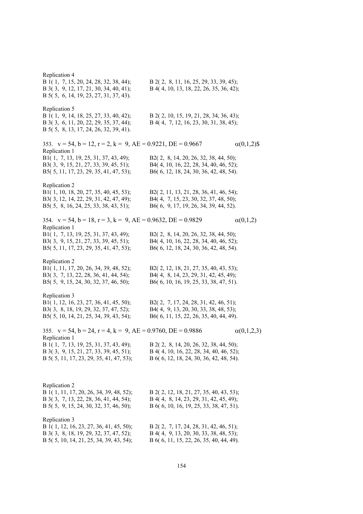Replication 4 B 1( 1, 7, 15, 20, 24, 28, 32, 38, 44); B 2( 2, 8, 11, 16, 25, 29, 33, 39, 45); B 3( 3, 9, 12, 17, 21, 30, 34, 40, 41); B 4( 4, 10, 13, 18, 22, 26, 35, 36, 42); B 5( 5, 6, 14, 19, 23, 27, 31, 37, 43). Replication 5 B 1( 1, 9, 14, 18, 25, 27, 33, 40, 42); B 2( 2, 10, 15, 19, 21, 28, 34, 36, 43); B 3( 3, 6, 11, 20, 22, 29, 35, 37, 44); B 4( 4, 7, 12, 16, 23, 30, 31, 38, 45); B 5( 5, 8, 13, 17, 24, 26, 32, 39, 41). 353.  $v = 54$ ,  $b = 12$ ,  $r = 2$ ,  $k = 9$ ,  $AE = 0.9221$ ,  $DE = 0.9667$  (0,1,2)\$ Replication 1 B1( 1, 7, 13, 19, 25, 31, 37, 43, 49); B2( 2, 8, 14, 20, 26, 32, 38, 44, 50); B3( 3, 9, 15, 21, 27, 33, 39, 45, 51); B4( 4, 10, 16, 22, 28, 34, 40, 46, 52); B5( 5, 11, 17, 23, 29, 35, 41, 47, 53); B6( 6, 12, 18, 24, 30, 36, 42, 48, 54). Replication 2 B1( 1, 10, 18, 20, 27, 35, 40, 45, 53); B2( 2, 11, 13, 21, 28, 36, 41, 46, 54); B3( 3, 12, 14, 22, 29, 31, 42, 47, 49); B4( 4, 7, 15, 23, 30, 32, 37, 48, 50); B5( 5, 8, 16, 24, 25, 33, 38, 43, 51); B6( 6, 9, 17, 19, 26, 34, 39, 44, 52). 354.  $v = 54$ ,  $b = 18$ ,  $r = 3$ ,  $k = 9$ ,  $AE = 0.9632$ ,  $DE = 0.9829$   $\alpha(0,1,2)$ Replication 1 B1( 1, 7, 13, 19, 25, 31, 37, 43, 49); B2( 2, 8, 14, 20, 26, 32, 38, 44, 50); B3( 3, 9, 15, 21, 27, 33, 39, 45, 51); B4( 4, 10, 16, 22, 28, 34, 40, 46, 52); B5( 5, 11, 17, 23, 29, 35, 41, 47, 53); B6( 6, 12, 18, 24, 30, 36, 42, 48, 54). Replication 2 B1( 1, 11, 17, 20, 26, 34, 39, 48, 52); B2( 2, 12, 18, 21, 27, 35, 40, 43, 53); B3( 3, 7, 13, 22, 28, 36, 41, 44, 54); B4( 4, 8, 14, 23, 29, 31, 42, 45, 49); B5( 5, 9, 15, 24, 30, 32, 37, 46, 50); B6( 6, 10, 16, 19, 25, 33, 38, 47, 51). Replication 3 B1( 1, 12, 16, 23, 27, 36, 41, 45, 50); B2( 2, 7, 17, 24, 28, 31, 42, 46, 51); B3( 3, 8, 18, 19, 29, 32, 37, 47, 52); B4( 4, 9, 13, 20, 30, 33, 38, 48, 53); B5( 5, 10, 14, 21, 25, 34, 39, 43, 54); B6( 6, 11, 15, 22, 26, 35, 40, 44, 49). 355.  $v = 54$ ,  $b = 24$ ,  $r = 4$ ,  $k = 9$ ,  $AE = 0.9760$ ,  $DE = 0.9886$   $\alpha(0,1,2,3)$ Replication 1 B 1( 1, 7, 13, 19, 25, 31, 37, 43, 49); B 2( 2, 8, 14, 20, 26, 32, 38, 44, 50); B 3( 3, 9, 15, 21, 27, 33, 39, 45, 51); B 4( 4, 10, 16, 22, 28, 34, 40, 46, 52); B 5( 5, 11, 17, 23, 29, 35, 41, 47, 53); B 6( 6, 12, 18, 24, 30, 36, 42, 48, 54). Replication 2 B 1( 1, 11, 17, 20, 26, 34, 39, 48, 52); B 2( 2, 12, 18, 21, 27, 35, 40, 43, 53); B 3( 3, 7, 13, 22, 28, 36, 41, 44, 54); B 4( 4, 8, 14, 23, 29, 31, 42, 45, 49); B 5( 5, 9, 15, 24, 30, 32, 37, 46, 50); B 6( 6, 10, 16, 19, 25, 33, 38, 47, 51). Replication 3 B 1( 1, 12, 16, 23, 27, 36, 41, 45, 50); B 2( 2, 7, 17, 24, 28, 31, 42, 46, 51); B 3( 3, 8, 18, 19, 29, 32, 37, 47, 52); B 4( 4, 9, 13, 20, 30, 33, 38, 48, 53); B 5( 5, 10, 14, 21, 25, 34, 39, 43, 54); B 6( 6, 11, 15, 22, 26, 35, 40, 44, 49).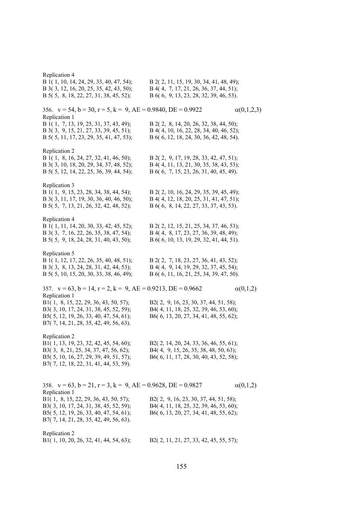Replication 4 B 1( 1, 10, 14, 24, 29, 33, 40, 47, 54); B 2( 2, 11, 15, 19, 30, 34, 41, 48, 49); B 3( 3, 12, 16, 20, 25, 35, 42, 43, 50); B 4( 4, 7, 17, 21, 26, 36, 37, 44, 51); B 5( 5, 8, 18, 22, 27, 31, 38, 45, 52); B 6( 6, 9, 13, 23, 28, 32, 39, 46, 53). 356.  $v = 54$ ,  $b = 30$ ,  $r = 5$ ,  $k = 9$ ,  $AE = 0.9840$ ,  $DE = 0.9922$   $\alpha(0,1,2,3)$ Replication 1 B 1( 1, 7, 13, 19, 25, 31, 37, 43, 49); B 2( 2, 8, 14, 20, 26, 32, 38, 44, 50); B 3( 3, 9, 15, 21, 27, 33, 39, 45, 51); B 4( 4, 10, 16, 22, 28, 34, 40, 46, 52); B 5( 5, 11, 17, 23, 29, 35, 41, 47, 53); B 6( 6, 12, 18, 24, 30, 36, 42, 48, 54). Replication 2 B 1( 1, 8, 16, 24, 27, 32, 41, 46, 50); B 2( 2, 9, 17, 19, 28, 33, 42, 47, 51); B 3( 3, 10, 18, 20, 29, 34, 37, 48, 52); B 4( 4, 11, 13, 21, 30, 35, 38, 43, 53); B 5( 5, 12, 14, 22, 25, 36, 39, 44, 54); B 6( 6, 7, 15, 23, 26, 31, 40, 45, 49). Replication 3 B 1( 1, 9, 15, 23, 28, 34, 38, 44, 54); B 2( 2, 10, 16, 24, 29, 35, 39, 45, 49); B 3( 3, 11, 17, 19, 30, 36, 40, 46, 50); B 4( 4, 12, 18, 20, 25, 31, 41, 47, 51); B 5( 5, 7, 13, 21, 26, 32, 42, 48, 52); B 6( 6, 8, 14, 22, 27, 33, 37, 43, 53). Replication 4 B 1( 1, 11, 14, 20, 30, 33, 42, 45, 52); B 2( 2, 12, 15, 21, 25, 34, 37, 46, 53); B 3( 3, 7, 16, 22, 26, 35, 38, 47, 54); B 4( 4, 8, 17, 23, 27, 36, 39, 48, 49); B 5( 5, 9, 18, 24, 28, 31, 40, 43, 50); B 6( 6, 10, 13, 19, 29, 32, 41, 44, 51). Replication 5 B 1( 1, 12, 17, 22, 26, 35, 40, 48, 51); B 2( 2, 7, 18, 23, 27, 36, 41, 43, 52); B 3( 3, 8, 13, 24, 28, 31, 42, 44, 53); B 4( 4, 9, 14, 19, 29, 32, 37, 45, 54); B 5( 5, 10, 15, 20, 30, 33, 38, 46, 49); B 6( 6, 11, 16, 21, 25, 34, 39, 47, 50). 357.  $v = 63$ ,  $b = 14$ ,  $r = 2$ ,  $k = 9$ ,  $AE = 0.9213$ ,  $DE = 0.9662$   $\alpha(0,1,2)$ Replication 1 B1( 1, 8, 15, 22, 29, 36, 43, 50, 57); B2( 2, 9, 16, 23, 30, 37, 44, 51, 58); B3( 3, 10, 17, 24, 31, 38, 45, 52, 59); B4( 4, 11, 18, 25, 32, 39, 46, 53, 60); B5( 5, 12, 19, 26, 33, 40, 47, 54, 61); B6( 6, 13, 20, 27, 34, 41, 48, 55, 62); B7( 7, 14, 21, 28, 35, 42, 49, 56, 63). Replication 2 B1( 1, 13, 19, 23, 32, 42, 45, 54, 60); B2( 2, 14, 20, 24, 33, 36, 46, 55, 61); B3( 3, 8, 21, 25, 34, 37, 47, 56, 62); B4( 4, 9, 15, 26, 35, 38, 48, 50, 63); B5( 5, 10, 16, 27, 29, 39, 49, 51, 57); B6( 6, 11, 17, 28, 30, 40, 43, 52, 58); B7( 7, 12, 18, 22, 31, 41, 44, 53, 59). 358.  $v = 63$ ,  $b = 21$ ,  $r = 3$ ,  $k = 9$ ,  $AE = 0.9628$ ,  $DE = 0.9827$   $\alpha(0,1,2)$ Replication 1 B1( 1, 8, 15, 22, 29, 36, 43, 50, 57); B2( 2, 9, 16, 23, 30, 37, 44, 51, 58); B3( 3, 10, 17, 24, 31, 38, 45, 52, 59); B4( 4, 11, 18, 25, 32, 39, 46, 53, 60); B5( 5, 12, 19, 26, 33, 40, 47, 54, 61); B6( 6, 13, 20, 27, 34, 41, 48, 55, 62); B7( 7, 14, 21, 28, 35, 42, 49, 56, 63). Replication 2 B1( 1, 10, 20, 26, 32, 41, 44, 54, 63); B2( 2, 11, 21, 27, 33, 42, 45, 55, 57);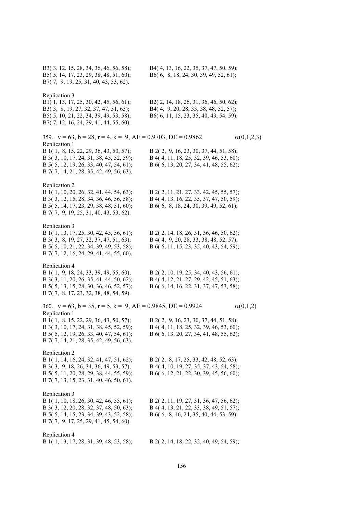| B3(3, 12, 15, 28, 34, 36, 46, 56, 58);<br>B5(5, 14, 17, 23, 29, 38, 48, 51, 60);<br>B7(7, 9, 19, 25, 31, 40, 43, 53, 62).                                                                                                                                                | B4(4, 13, 16, 22, 35, 37, 47, 50, 59);<br>B6(6, 8, 18, 24, 30, 39, 49, 52, 61);                                               |                   |
|--------------------------------------------------------------------------------------------------------------------------------------------------------------------------------------------------------------------------------------------------------------------------|-------------------------------------------------------------------------------------------------------------------------------|-------------------|
| Replication 3<br>B1(1, 13, 17, 25, 30, 42, 45, 56, 61);<br>B3(3, 8, 19, 27, 32, 37, 47, 51, 63);<br>B5(5, 10, 21, 22, 34, 39, 49, 53, 58);<br>B7(7, 12, 16, 24, 29, 41, 44, 55, 60).                                                                                     | B2(2, 14, 18, 26, 31, 36, 46, 50, 62);<br>B4(4, 9, 20, 28, 33, 38, 48, 52, 57);<br>B6(6, 11, 15, 23, 35, 40, 43, 54, 59);     |                   |
| 359. $v = 63$ , $b = 28$ , $r = 4$ , $k = 9$ , $AE = 0.9703$ , $DE = 0.9862$<br>Replication 1<br>B 1(1, 8, 15, 22, 29, 36, 43, 50, 57);<br>B 3(3, 10, 17, 24, 31, 38, 45, 52, 59);<br>B 5(5, 12, 19, 26, 33, 40, 47, 54, 61);<br>B 7(7, 14, 21, 28, 35, 42, 49, 56, 63). | B 2(2, 9, 16, 23, 30, 37, 44, 51, 58);<br>B 4(4, 11, 18, 25, 32, 39, 46, 53, 60);<br>B 6(6, 13, 20, 27, 34, 41, 48, 55, 62);  | $\alpha(0,1,2,3)$ |
| Replication 2<br>B 1(1, 10, 20, 26, 32, 41, 44, 54, 63);<br>B 3(3, 12, 15, 28, 34, 36, 46, 56, 58);<br>B 5(5, 14, 17, 23, 29, 38, 48, 51, 60);<br>B 7(7, 9, 19, 25, 31, 40, 43, 53, 62).                                                                                 | B 2(2, 11, 21, 27, 33, 42, 45, 55, 57);<br>B 4(4, 13, 16, 22, 35, 37, 47, 50, 59);<br>B 6(6, 8, 18, 24, 30, 39, 49, 52, 61);  |                   |
| Replication 3<br>B 1(1, 13, 17, 25, 30, 42, 45, 56, 61);<br>B 3(3, 8, 19, 27, 32, 37, 47, 51, 63);<br>B 5(5, 10, 21, 22, 34, 39, 49, 53, 58);<br>B 7(7, 12, 16, 24, 29, 41, 44, 55, 60).                                                                                 | B 2(2, 14, 18, 26, 31, 36, 46, 50, 62);<br>B 4(4, 9, 20, 28, 33, 38, 48, 52, 57);<br>B 6(6, 11, 15, 23, 35, 40, 43, 54, 59);  |                   |
| Replication 4<br>B 1(1, 9, 18, 24, 33, 39, 49, 55, 60);<br>B 3(3, 11, 20, 26, 35, 41, 44, 50, 62);<br>B 5(5, 13, 15, 28, 30, 36, 46, 52, 57);<br>B 7(7, 8, 17, 23, 32, 38, 48, 54, 59).                                                                                  | B 2(2, 10, 19, 25, 34, 40, 43, 56, 61);<br>B 4(4, 12, 21, 27, 29, 42, 45, 51, 63);<br>B 6(6, 14, 16, 22, 31, 37, 47, 53, 58); |                   |
| 360. $v = 63$ , $b = 35$ , $r = 5$ , $k = 9$ , $AE = 0.9845$ , $DE = 0.9924$<br>Replication 1<br>B 1(1, 8, 15, 22, 29, 36, 43, 50, 57);<br>B 3(3, 10, 17, 24, 31, 38, 45, 52, 59);<br>B 5(5, 12, 19, 26, 33, 40, 47, 54, 61);<br>B 7(7, 14, 21, 28, 35, 42, 49, 56, 63). | B 2(2, 9, 16, 23, 30, 37, 44, 51, 58);<br>B 4(4, 11, 18, 25, 32, 39, 46, 53, 60);<br>B 6(6, 13, 20, 27, 34, 41, 48, 55, 62);  | $\alpha(0,1,2)$   |
| Replication 2<br>B 1(1, 14, 16, 24, 32, 41, 47, 51, 62);<br>B 3(3, 9, 18, 26, 34, 36, 49, 53, 57);<br>B 5(5, 11, 20, 28, 29, 38, 44, 55, 59);<br>B 7(7, 13, 15, 23, 31, 40, 46, 50, 61).                                                                                 | B 2(2, 8, 17, 25, 33, 42, 48, 52, 63);<br>B 4(4, 10, 19, 27, 35, 37, 43, 54, 58);<br>B 6(6, 12, 21, 22, 30, 39, 45, 56, 60);  |                   |
| Replication 3<br>B 1(1, 10, 18, 26, 30, 42, 46, 55, 61);<br>B 3(3, 12, 20, 28, 32, 37, 48, 50, 63);<br>B 5(5, 14, 15, 23, 34, 39, 43, 52, 58);<br>B 7(7, 9, 17, 25, 29, 41, 45, 54, 60).                                                                                 | B 2(2, 11, 19, 27, 31, 36, 47, 56, 62);<br>B 4(4, 13, 21, 22, 33, 38, 49, 51, 57);<br>B 6(6, 8, 16, 24, 35, 40, 44, 53, 59);  |                   |
| Replication 4<br>B 1(1, 13, 17, 28, 31, 39, 48, 53, 58);                                                                                                                                                                                                                 | B 2(2, 14, 18, 22, 32, 40, 49, 54, 59);                                                                                       |                   |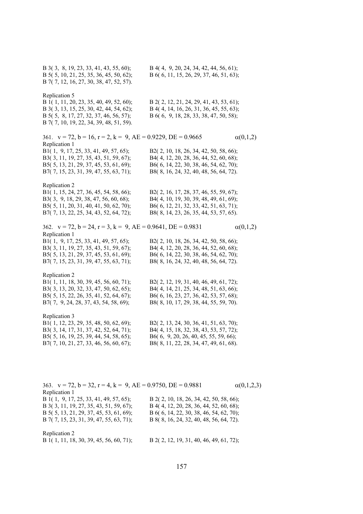B 3( 3, 8, 19, 23, 33, 41, 43, 55, 60); B 4( 4, 9, 20, 24, 34, 42, 44, 56, 61); B 5( 5, 10, 21, 25, 35, 36, 45, 50, 62); B 6( 6, 11, 15, 26, 29, 37, 46, 51, 63); B 7( 7, 12, 16, 27, 30, 38, 47, 52, 57). Replication 5 B 1( 1, 11, 20, 23, 35, 40, 49, 52, 60); B 2( 2, 12, 21, 24, 29, 41, 43, 53, 61); B 3( 3, 13, 15, 25, 30, 42, 44, 54, 62); B 4( 4, 14, 16, 26, 31, 36, 45, 55, 63); B 5( 5, 8, 17, 27, 32, 37, 46, 56, 57); B 6( 6, 9, 18, 28, 33, 38, 47, 50, 58); B 7( 7, 10, 19, 22, 34, 39, 48, 51, 59). 361.  $v = 72$ ,  $b = 16$ ,  $r = 2$ ,  $k = 9$ ,  $AE = 0.9229$ ,  $DE = 0.9665$  (0,1,2) Replication 1 B1( 1, 9, 17, 25, 33, 41, 49, 57, 65); B2( 2, 10, 18, 26, 34, 42, 50, 58, 66); B3( 3, 11, 19, 27, 35, 43, 51, 59, 67); B4( 4, 12, 20, 28, 36, 44, 52, 60, 68); B5( 5, 13, 21, 29, 37, 45, 53, 61, 69); B6( 6, 14, 22, 30, 38, 46, 54, 62, 70); B7( 7, 15, 23, 31, 39, 47, 55, 63, 71); B8( 8, 16, 24, 32, 40, 48, 56, 64, 72). Replication 2 B1( 1, 15, 24, 27, 36, 45, 54, 58, 66); B2( 2, 16, 17, 28, 37, 46, 55, 59, 67); B3( 3, 9, 18, 29, 38, 47, 56, 60, 68); B4( 4, 10, 19, 30, 39, 48, 49, 61, 69); B5( 5, 11, 20, 31, 40, 41, 50, 62, 70); B6( 6, 12, 21, 32, 33, 42, 51, 63, 71); B7( 7, 13, 22, 25, 34, 43, 52, 64, 72); B8( 8, 14, 23, 26, 35, 44, 53, 57, 65). 362.  $v = 72$ ,  $b = 24$ ,  $r = 3$ ,  $k = 9$ ,  $AE = 0.9641$ ,  $DE = 0.9831$   $\alpha(0,1,2)$ Replication 1 B1( 1, 9, 17, 25, 33, 41, 49, 57, 65); B2( 2, 10, 18, 26, 34, 42, 50, 58, 66); B3( 3, 11, 19, 27, 35, 43, 51, 59, 67); B4( 4, 12, 20, 28, 36, 44, 52, 60, 68); B5( 5, 13, 21, 29, 37, 45, 53, 61, 69); B6( 6, 14, 22, 30, 38, 46, 54, 62, 70); B7( 7, 15, 23, 31, 39, 47, 55, 63, 71); B8( 8, 16, 24, 32, 40, 48, 56, 64, 72). Replication 2 B1( 1, 11, 18, 30, 39, 45, 56, 60, 71); B2( 2, 12, 19, 31, 40, 46, 49, 61, 72); B3( 3, 13, 20, 32, 33, 47, 50, 62, 65); B4( 4, 14, 21, 25, 34, 48, 51, 63, 66); B5( 5, 15, 22, 26, 35, 41, 52, 64, 67); B6( 6, 16, 23, 27, 36, 42, 53, 57, 68); B7( 7, 9, 24, 28, 37, 43, 54, 58, 69); B8( 8, 10, 17, 29, 38, 44, 55, 59, 70). Replication 3 B1( 1, 12, 23, 29, 35, 48, 50, 62, 69); B2( 2, 13, 24, 30, 36, 41, 51, 63, 70); B3( 3, 14, 17, 31, 37, 42, 52, 64, 71); B4( 4, 15, 18, 32, 38, 43, 53, 57, 72); B5( 5, 16, 19, 25, 39, 44, 54, 58, 65); B6( 6, 9, 20, 26, 40, 45, 55, 59, 66); B7( 7, 10, 21, 27, 33, 46, 56, 60, 67); B8( 8, 11, 22, 28, 34, 47, 49, 61, 68).

| 363. $v = 72$ , $b = 32$ , $r = 4$ , $k = 9$ , $AE = 0.9750$ , $DE = 0.9881$ |                                          | $\alpha(0,1,2,3)$ |
|------------------------------------------------------------------------------|------------------------------------------|-------------------|
| Replication 1                                                                |                                          |                   |
| B 1(1, 9, 17, 25, 33, 41, 49, 57, 65);                                       | B 2(2, 10, 18, 26, 34, 42, 50, 58, 66);  |                   |
| B 3(3, 11, 19, 27, 35, 43, 51, 59, 67);                                      | B 4(4, 12, 20, 28, 36, 44, 52, 60, 68);  |                   |
| B 5(5, 13, 21, 29, 37, 45, 53, 61, 69);                                      | B 6( 6, 14, 22, 30, 38, 46, 54, 62, 70); |                   |
| B 7(7, 15, 23, 31, 39, 47, 55, 63, 71);                                      | B 8(8, 16, 24, 32, 40, 48, 56, 64, 72).  |                   |
| Replication 2<br><b>D</b> 1/1 11 10 00 00 15 56 60 51)                       | D 3/3 13 10 31 10 16 10 61 53)           |                   |

B 1( 1, 11, 18, 30, 39, 45, 56, 60, 71); B 2( 2, 12, 19, 31, 40, 46, 49, 61, 72);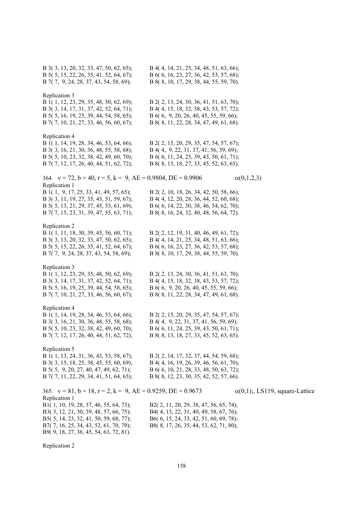| B 3(3, 13, 20, 32, 33, 47, 50, 62, 65);<br>B 5(5, 15, 22, 26, 35, 41, 52, 64, 67);<br>B 7(7, 9, 24, 28, 37, 43, 54, 58, 69);                                                                                                                                                                                    | B 4(4, 14, 21, 25, 34, 48, 51, 63, 66);<br>B 6(6, 16, 23, 27, 36, 42, 53, 57, 68);<br>B 8(8, 10, 17, 29, 38, 44, 55, 59, 70).                                                                                  |
|-----------------------------------------------------------------------------------------------------------------------------------------------------------------------------------------------------------------------------------------------------------------------------------------------------------------|----------------------------------------------------------------------------------------------------------------------------------------------------------------------------------------------------------------|
| Replication 3<br>B 1(1, 12, 23, 29, 35, 48, 50, 62, 69);<br>B 3(3, 14, 17, 31, 37, 42, 52, 64, 71);<br>B 5(5, 16, 19, 25, 39, 44, 54, 58, 65);<br>B 7(7, 10, 21, 27, 33, 46, 56, 60, 67);                                                                                                                       | B 2(2, 13, 24, 30, 36, 41, 51, 63, 70);<br>B 4(4, 15, 18, 32, 38, 43, 53, 57, 72);<br>B 6(6, 9, 20, 26, 40, 45, 55, 59, 66);<br>B 8(8, 11, 22, 28, 34, 47, 49, 61, 68).                                        |
| Replication 4<br>B 1(1, 14, 19, 28, 34, 46, 53, 64, 66);<br>B 3(3, 16, 21, 30, 36, 48, 55, 58, 68);<br>B 5(5, 10, 23, 32, 38, 42, 49, 60, 70);<br>B 7(7, 12, 17, 26, 40, 44, 51, 62, 72);                                                                                                                       | B 2(2, 15, 20, 29, 35, 47, 54, 57, 67);<br>B 4(4, 9, 22, 31, 37, 41, 56, 59, 69);<br>B 6(6, 11, 24, 25, 39, 43, 50, 61, 71);<br>B 8(8, 13, 18, 27, 33, 45, 52, 63, 65).                                        |
| 364. $v = 72$ , $b = 40$ , $r = 5$ , $k = 9$ , $AE = 0.9804$ , $DE = 0.9906$<br>Replication 1<br>B 1(1, 9, 17, 25, 33, 41, 49, 57, 65);<br>B 3(3, 11, 19, 27, 35, 43, 51, 59, 67);<br>B 5(5, 13, 21, 29, 37, 45, 53, 61, 69);<br>B 7(7, 15, 23, 31, 39, 47, 55, 63, 71);                                        | $\alpha(0,1,2,3)$<br>B 2(2, 10, 18, 26, 34, 42, 50, 58, 66);<br>B 4(4, 12, 20, 28, 36, 44, 52, 60, 68);<br>B 6(6, 14, 22, 30, 38, 46, 54, 62, 70);<br>B 8(8, 16, 24, 32, 40, 48, 56, 64, 72).                  |
| Replication 2<br>B 1(1, 11, 18, 30, 39, 45, 56, 60, 71);<br>B 3(3, 13, 20, 32, 33, 47, 50, 62, 65);<br>B 5(5, 15, 22, 26, 35, 41, 52, 64, 67);<br>B 7(7, 9, 24, 28, 37, 43, 54, 58, 69);                                                                                                                        | B 2(2, 12, 19, 31, 40, 46, 49, 61, 72);<br>B 4(4, 14, 21, 25, 34, 48, 51, 63, 66);<br>B 6(6, 16, 23, 27, 36, 42, 53, 57, 68);<br>B 8(8, 10, 17, 29, 38, 44, 55, 59, 70).                                       |
| Replication 3<br>B 1(1, 12, 23, 29, 35, 48, 50, 62, 69);<br>B 3(3, 14, 17, 31, 37, 42, 52, 64, 71);<br>B 5(5, 16, 19, 25, 39, 44, 54, 58, 65);<br>B 7(7, 10, 21, 27, 33, 46, 56, 60, 67);                                                                                                                       | B 2(2, 13, 24, 30, 36, 41, 51, 63, 70);<br>B 4(4, 15, 18, 32, 38, 43, 53, 57, 72);<br>B 6(6, 9, 20, 26, 40, 45, 55, 59, 66);<br>B 8(8, 11, 22, 28, 34, 47, 49, 61, 68).                                        |
| Replication 4<br>B 1(1, 14, 19, 28, 34, 46, 53, 64, 66);<br>B 3(3, 16, 21, 30, 36, 48, 55, 58, 68);<br>B 5(5, 10, 23, 32, 38, 42, 49, 60, 70);<br>B 7(7, 12, 17, 26, 40, 44, 51, 62, 72);                                                                                                                       | B 2(2, 15, 20, 29, 35, 47, 54, 57, 67);<br>B 4(4, 9, 22, 31, 37, 41, 56, 59, 69);<br>B 6(6, 11, 24, 25, 39, 43, 50, 61, 71);<br>B 8(8, 13, 18, 27, 33, 45, 52, 63, 65).                                        |
| Replication 5<br>B 1(1, 13, 24, 31, 36, 43, 53, 58, 67);<br>B 3(3, 15, 18, 25, 38, 45, 55, 60, 69);<br>B 5(5, 9, 20, 27, 40, 47, 49, 62, 71);<br>B 7(7, 11, 22, 29, 34, 41, 51, 64, 65);                                                                                                                        | B 2(2, 14, 17, 32, 37, 44, 54, 59, 68);<br>B 4(4, 16, 19, 26, 39, 46, 56, 61, 70);<br>B 6(6, 10, 21, 28, 33, 48, 50, 63, 72);<br>B 8(8, 12, 23, 30, 35, 42, 52, 57, 66).                                       |
| 365. $v = 81$ , $b = 18$ , $r = 2$ , $k = 9$ , $AE = 0.9259$ , $DE = 0.9673$<br>Replication 1<br>B1(1, 10, 19, 28, 37, 46, 55, 64, 73);<br>B3(3, 12, 21, 30, 39, 48, 57, 66, 75);<br>B5(5, 14, 23, 32, 41, 50, 59, 68, 77);<br>B7(7, 16, 25, 34, 43, 52, 61, 70, 79);<br>B9(9, 18, 27, 36, 45, 54, 63, 72, 81). | $\alpha(0,1)$ ;, LS119, square-Lattice<br>B2(2, 11, 20, 29, 38, 47, 56, 65, 74);<br>B4(4, 13, 22, 31, 40, 49, 58, 67, 76);<br>B6(6, 15, 24, 33, 42, 51, 60, 69, 78);<br>B8(8, 17, 26, 35, 44, 53, 62, 71, 80); |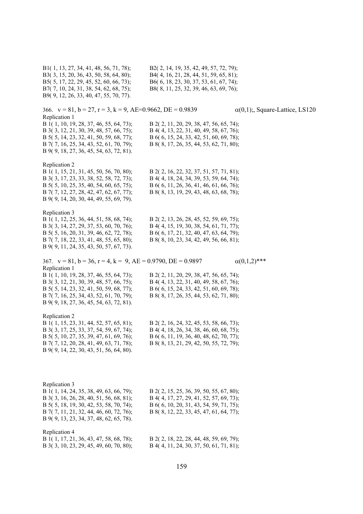B1( 1, 13, 27, 34, 41, 48, 56, 71, 78); B2( 2, 14, 19, 35, 42, 49, 57, 72, 79); B3( 3, 15, 20, 36, 43, 50, 58, 64, 80); B4( 4, 16, 21, 28, 44, 51, 59, 65, 81); B5( 5, 17, 22, 29, 45, 52, 60, 66, 73); B6( 6, 18, 23, 30, 37, 53, 61, 67, 74); B7( 7, 10, 24, 31, 38, 54, 62, 68, 75); B8( 8, 11, 25, 32, 39, 46, 63, 69, 76); B9( 9, 12, 26, 33, 40, 47, 55, 70, 77). 366.  $v = 81$ ,  $b = 27$ ,  $r = 3$ ,  $k = 9$ ,  $AE = 0.9662$ ,  $DE = 0.9839$   $\alpha(0,1)$ ;, Square-Lattice, LS120 Replication 1 B 1( 1, 10, 19, 28, 37, 46, 55, 64, 73); B 2( 2, 11, 20, 29, 38, 47, 56, 65, 74); B 3( 3, 12, 21, 30, 39, 48, 57, 66, 75); B 4( 4, 13, 22, 31, 40, 49, 58, 67, 76); B 5( 5, 14, 23, 32, 41, 50, 59, 68, 77); B 6( 6, 15, 24, 33, 42, 51, 60, 69, 78); B 7( 7, 16, 25, 34, 43, 52, 61, 70, 79); B 8( 8, 17, 26, 35, 44, 53, 62, 71, 80); B 9( 9, 18, 27, 36, 45, 54, 63, 72, 81). Replication 2 B 1( 1, 15, 21, 31, 45, 50, 56, 70, 80); B 2( 2, 16, 22, 32, 37, 51, 57, 71, 81); B 3( 3, 17, 23, 33, 38, 52, 58, 72, 73); B 4( 4, 18, 24, 34, 39, 53, 59, 64, 74); B 5( 5, 10, 25, 35, 40, 54, 60, 65, 75); B 6( 6, 11, 26, 36, 41, 46, 61, 66, 76); B 7( 7, 12, 27, 28, 42, 47, 62, 67, 77); B 8( 8, 13, 19, 29, 43, 48, 63, 68, 78); B 9( 9, 14, 20, 30, 44, 49, 55, 69, 79). Replication 3 B 1( 1, 12, 25, 36, 44, 51, 58, 68, 74); B 2( 2, 13, 26, 28, 45, 52, 59, 69, 75); B 3( 3, 14, 27, 29, 37, 53, 60, 70, 76); B 4( 4, 15, 19, 30, 38, 54, 61, 71, 77); B 5( 5, 16, 20, 31, 39, 46, 62, 72, 78); B 6( 6, 17, 21, 32, 40, 47, 63, 64, 79); B 7( 7, 18, 22, 33, 41, 48, 55, 65, 80); B 8( 8, 10, 23, 34, 42, 49, 56, 66, 81); B 9( 9, 11, 24, 35, 43, 50, 57, 67, 73). 367.  $v = 81$ ,  $b = 36$ ,  $r = 4$ ,  $k = 9$ ,  $AE = 0.9790$ ,  $DE = 0.9897$   $\alpha(0.1,2)$ \*\*\* Replication 1 B 1( 1, 10, 19, 28, 37, 46, 55, 64, 73); B 2( 2, 11, 20, 29, 38, 47, 56, 65, 74); B 3( 3, 12, 21, 30, 39, 48, 57, 66, 75); B 4( 4, 13, 22, 31, 40, 49, 58, 67, 76); B 5( 5, 14, 23, 32, 41, 50, 59, 68, 77); B 6( 6, 15, 24, 33, 42, 51, 60, 69, 78); B 7( 7, 16, 25, 34, 43, 52, 61, 70, 79); B 8( 8, 17, 26, 35, 44, 53, 62, 71, 80); B 9( 9, 18, 27, 36, 45, 54, 63, 72, 81). Replication 2 B 1( 1, 15, 23, 31, 44, 52, 57, 65, 81); B 2( 2, 16, 24, 32, 45, 53, 58, 66, 73); B 3( 3, 17, 25, 33, 37, 54, 59, 67, 74); B 4( 4, 18, 26, 34, 38, 46, 60, 68, 75); B 5( 5, 10, 27, 35, 39, 47, 61, 69, 76); B 6( 6, 11, 19, 36, 40, 48, 62, 70, 77); B 7( 7, 12, 20, 28, 41, 49, 63, 71, 78); B 8( 8, 13, 21, 29, 42, 50, 55, 72, 79); B 9( 9, 14, 22, 30, 43, 51, 56, 64, 80). Replication 3 B 1( 1, 14, 24, 35, 38, 49, 63, 66, 79); B 2( 2, 15, 25, 36, 39, 50, 55, 67, 80); B 3( 3, 16, 26, 28, 40, 51, 56, 68, 81); B 4( 4, 17, 27, 29, 41, 52, 57, 69, 73); B 5( 5, 18, 19, 30, 42, 53, 58, 70, 74); B 6( 6, 10, 20, 31, 43, 54, 59, 71, 75); B 7( 7, 11, 21, 32, 44, 46, 60, 72, 76); B 8( 8, 12, 22, 33, 45, 47, 61, 64, 77); B 9( 9, 13, 23, 34, 37, 48, 62, 65, 78). Replication 4 B 1( 1, 17, 21, 36, 43, 47, 58, 68, 78); B 2( 2, 18, 22, 28, 44, 48, 59, 69, 79); B 3( 3, 10, 23, 29, 45, 49, 60, 70, 80); B 4( 4, 11, 24, 30, 37, 50, 61, 71, 81);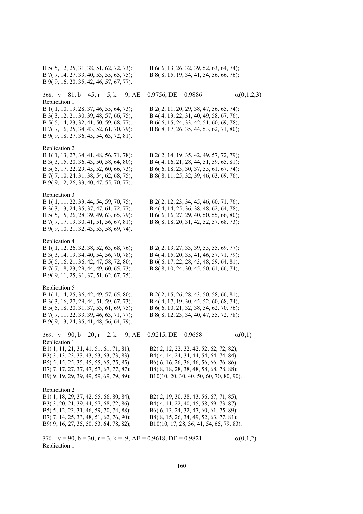B 5( 5, 12, 25, 31, 38, 51, 62, 72, 73); B 6( 6, 13, 26, 32, 39, 52, 63, 64, 74); B 7( 7, 14, 27, 33, 40, 53, 55, 65, 75); B 8( 8, 15, 19, 34, 41, 54, 56, 66, 76); B 9( 9, 16, 20, 35, 42, 46, 57, 67, 77). 368.  $v = 81$ ,  $b = 45$ ,  $r = 5$ ,  $k = 9$ ,  $AE = 0.9756$ ,  $DE = 0.9886$  (0,1,2,3) Replication 1 B 1( 1, 10, 19, 28, 37, 46, 55, 64, 73); B 2( 2, 11, 20, 29, 38, 47, 56, 65, 74); B 3( 3, 12, 21, 30, 39, 48, 57, 66, 75); B 4( 4, 13, 22, 31, 40, 49, 58, 67, 76); B 5( 5, 14, 23, 32, 41, 50, 59, 68, 77); B 6( 6, 15, 24, 33, 42, 51, 60, 69, 78); B 7( 7, 16, 25, 34, 43, 52, 61, 70, 79); B 8( 8, 17, 26, 35, 44, 53, 62, 71, 80); B 9( 9, 18, 27, 36, 45, 54, 63, 72, 81). Replication 2 B 1( 1, 13, 27, 34, 41, 48, 56, 71, 78); B 2( 2, 14, 19, 35, 42, 49, 57, 72, 79); B 3( 3, 15, 20, 36, 43, 50, 58, 64, 80); B 4( 4, 16, 21, 28, 44, 51, 59, 65, 81); B 5( 5, 17, 22, 29, 45, 52, 60, 66, 73); B 6( 6, 18, 23, 30, 37, 53, 61, 67, 74); B 7( 7, 10, 24, 31, 38, 54, 62, 68, 75); B 8( 8, 11, 25, 32, 39, 46, 63, 69, 76); B 9( 9, 12, 26, 33, 40, 47, 55, 70, 77). Replication 3 B 1( 1, 11, 22, 33, 44, 54, 59, 70, 75); B 2( 2, 12, 23, 34, 45, 46, 60, 71, 76); B 3( 3, 13, 24, 35, 37, 47, 61, 72, 77); B 4( 4, 14, 25, 36, 38, 48, 62, 64, 78); B 5( 5, 15, 26, 28, 39, 49, 63, 65, 79); B 6( 6, 16, 27, 29, 40, 50, 55, 66, 80); B 7( 7, 17, 19, 30, 41, 51, 56, 67, 81); B 8( 8, 18, 20, 31, 42, 52, 57, 68, 73); B 9( 9, 10, 21, 32, 43, 53, 58, 69, 74). Replication 4 B 1( 1, 12, 26, 32, 38, 52, 63, 68, 76); B 2( 2, 13, 27, 33, 39, 53, 55, 69, 77); B 3( 3, 14, 19, 34, 40, 54, 56, 70, 78); B 4( 4, 15, 20, 35, 41, 46, 57, 71, 79); B 5( 5, 16, 21, 36, 42, 47, 58, 72, 80); B 6( 6, 17, 22, 28, 43, 48, 59, 64, 81); B 7( 7, 18, 23, 29, 44, 49, 60, 65, 73); B 8( 8, 10, 24, 30, 45, 50, 61, 66, 74); B 9( 9, 11, 25, 31, 37, 51, 62, 67, 75). Replication 5 B 1( 1, 14, 25, 36, 42, 49, 57, 65, 80); B 2( 2, 15, 26, 28, 43, 50, 58, 66, 81); B 3( 3, 16, 27, 29, 44, 51, 59, 67, 73); B 4( 4, 17, 19, 30, 45, 52, 60, 68, 74); B 5( 5, 18, 20, 31, 37, 53, 61, 69, 75); B 6( 6, 10, 21, 32, 38, 54, 62, 70, 76); B 7( 7, 11, 22, 33, 39, 46, 63, 71, 77); B 8( 8, 12, 23, 34, 40, 47, 55, 72, 78); B 9( 9, 13, 24, 35, 41, 48, 56, 64, 79). 369.  $v = 90$ ,  $b = 20$ ,  $r = 2$ ,  $k = 9$ ,  $AE = 0.9215$ ,  $DE = 0.9658$  (0,1) Replication 1 B1( 1, 11, 21, 31, 41, 51, 61, 71, 81); B2( 2, 12, 22, 32, 42, 52, 62, 72, 82); B3( 3, 13, 23, 33, 43, 53, 63, 73, 83); B4( 4, 14, 24, 34, 44, 54, 64, 74, 84); B5( 5, 15, 25, 35, 45, 55, 65, 75, 85); B6( 6, 16, 26, 36, 46, 56, 66, 76, 86); B7( 7, 17, 27, 37, 47, 57, 67, 77, 87); B8( 8, 18, 28, 38, 48, 58, 68, 78, 88); B9( 9, 19, 29, 39, 49, 59, 69, 79, 89); B10(10, 20, 30, 40, 50, 60, 70, 80, 90). Replication 2 B1( 1, 18, 29, 37, 42, 55, 66, 80, 84); B2( 2, 19, 30, 38, 43, 56, 67, 71, 85); B3( 3, 20, 21, 39, 44, 57, 68, 72, 86); B4( 4, 11, 22, 40, 45, 58, 69, 73, 87); B5( 5, 12, 23, 31, 46, 59, 70, 74, 88); B6( 6, 13, 24, 32, 47, 60, 61, 75, 89); B7( 7, 14, 25, 33, 48, 51, 62, 76, 90); B8( 8, 15, 26, 34, 49, 52, 63, 77, 81); B9( 9, 16, 27, 35, 50, 53, 64, 78, 82); B10(10, 17, 28, 36, 41, 54, 65, 79, 83). 370.  $v = 90$ ,  $b = 30$ ,  $r = 3$ ,  $k = 9$ ,  $AE = 0.9618$ ,  $DE = 0.9821$   $\alpha(0,1,2)$ Replication 1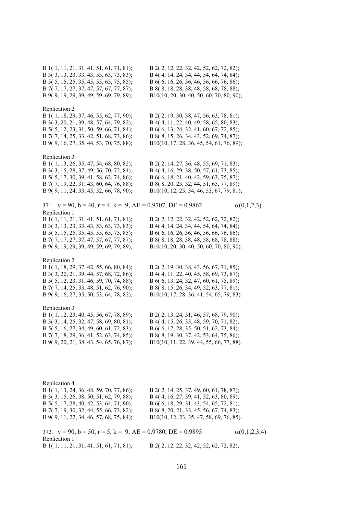B 1( 1, 11, 21, 31, 41, 51, 61, 71, 81); B 2( 2, 12, 22, 32, 42, 52, 62, 72, 82); B 3( 3, 13, 23, 33, 43, 53, 63, 73, 83); B 4( 4, 14, 24, 34, 44, 54, 64, 74, 84); B 5( 5, 15, 25, 35, 45, 55, 65, 75, 85); B 6( 6, 16, 26, 36, 46, 56, 66, 76, 86); B 7( 7, 17, 27, 37, 47, 57, 67, 77, 87); B 8( 8, 18, 28, 38, 48, 58, 68, 78, 88); B 9( 9, 19, 29, 39, 49, 59, 69, 79, 89); B10(10, 20, 30, 40, 50, 60, 70, 80, 90); Replication 2 B 1( 1, 18, 29, 37, 46, 55, 62, 77, 90); B 2( 2, 19, 30, 38, 47, 56, 63, 78, 81); B 3( 3, 20, 21, 39, 48, 57, 64, 79, 82); B 4( 4, 11, 22, 40, 49, 58, 65, 80, 83); B 5( 5, 12, 23, 31, 50, 59, 66, 71, 84); B 6( 6, 13, 24, 32, 41, 60, 67, 72, 85); B 7( 7, 14, 25, 33, 42, 51, 68, 73, 86); B 8( 8, 15, 26, 34, 43, 52, 69, 74, 87); B 9( 9, 16, 27, 35, 44, 53, 70, 75, 88); B10(10, 17, 28, 36, 45, 54, 61, 76, 89); Replication 3 B 1( 1, 13, 26, 35, 47, 54, 68, 80, 82); B 2( 2, 14, 27, 36, 48, 55, 69, 71, 83); B 3( 3, 15, 28, 37, 49, 56, 70, 72, 84); B 4( 4, 16, 29, 38, 50, 57, 61, 73, 85); B 5( 5, 17, 30, 39, 41, 58, 62, 74, 86); B 6( 6, 18, 21, 40, 42, 59, 63, 75, 87); B 7( 7, 19, 22, 31, 43, 60, 64, 76, 88); B 8( 8, 20, 23, 32, 44, 51, 65, 77, 89); B 9( 9, 11, 24, 33, 45, 52, 66, 78, 90); B10(10, 12, 25, 34, 46, 53, 67, 79, 81); 371.  $v = 90$ ,  $b = 40$ ,  $r = 4$ ,  $k = 9$ ,  $AE = 0.9707$ ,  $DE = 0.9862$  (0,1,2,3) Replication 1 B 1( 1, 11, 21, 31, 41, 51, 61, 71, 81); B 2( 2, 12, 22, 32, 42, 52, 62, 72, 82); B 3( 3, 13, 23, 33, 43, 53, 63, 73, 83);<br>B 4( 4, 14, 24, 34, 44, 54, 64, 74, 84);<br>B 5( 5, 15, 25, 35, 45, 55, 65, 75, 85);<br>B 6( 6, 16, 26, 36, 46, 56, 66, 76, 86); B 6( 6, 16, 26, 36, 46, 56, 66, 76, 86); B 7( 7, 17, 27, 37, 47, 57, 67, 77, 87); B 8( 8, 18, 28, 38, 48, 58, 68, 78, 88); B 9( 9, 19, 29, 39, 49, 59, 69, 79, 89); B10(10, 20, 30, 40, 50, 60, 70, 80, 90). Replication 2 B 1( 1, 18, 29, 37, 42, 55, 66, 80, 84); B 2( 2, 19, 30, 38, 43, 56, 67, 71, 85); B 3( 3, 20, 21, 39, 44, 57, 68, 72, 86); B 4( 4, 11, 22, 40, 45, 58, 69, 73, 87); B 5( 5, 12, 23, 31, 46, 59, 70, 74, 88); B 6( 6, 13, 24, 32, 47, 60, 61, 75, 89); B 7( 7, 14, 25, 33, 48, 51, 62, 76, 90); B 8( 8, 15, 26, 34, 49, 52, 63, 77, 81); B 9( 9, 16, 27, 35, 50, 53, 64, 78, 82); B10(10, 17, 28, 36, 41, 54, 65, 79, 83). Replication 3 B 1( 1, 12, 23, 40, 45, 56, 67, 78, 89); B 2( 2, 13, 24, 31, 46, 57, 68, 79, 90); B 3( 3, 14, 25, 32, 47, 58, 69, 80, 81); B 4( 4, 15, 26, 33, 48, 59, 70, 71, 82); B 5( 5, 16, 27, 34, 49, 60, 61, 72, 83); B 6( 6, 17, 28, 35, 50, 51, 62, 73, 84); B 7( 7, 18, 29, 36, 41, 52, 63, 74, 85); B 8( 8, 19, 30, 37, 42, 53, 64, 75, 86); B 9( 9, 20, 21, 38, 43, 54, 65, 76, 87); B10(10, 11, 22, 39, 44, 55, 66, 77, 88). Replication 4 B 1( 1, 13, 24, 36, 48, 59, 70, 77, 86); B 2( 2, 14, 25, 37, 49, 60, 61, 78, 87); B 3( 3, 15, 26, 38, 50, 51, 62, 79, 88); B 4( 4, 16, 27, 39, 41, 52, 63, 80, 89); B 5( 5, 17, 28, 40, 42, 53, 64, 71, 90); B 6( 6, 18, 29, 31, 43, 54, 65, 72, 81); B 7( 7, 19, 30, 32, 44, 55, 66, 73, 82); B 8( 8, 20, 21, 33, 45, 56, 67, 74, 83); B 9( 9, 11, 22, 34, 46, 57, 68, 75, 84); B10(10, 12, 23, 35, 47, 58, 69, 76, 85). 372.  $v = 90$ ,  $b = 50$ ,  $r = 5$ ,  $k = 9$ ,  $AE = 0.9780$ ,  $DE = 0.9895$  (0,1,2,3,4) Replication 1

B 1( 1, 11, 21, 31, 41, 51, 61, 71, 81); B 2( 2, 12, 22, 32, 42, 52, 62, 72, 82);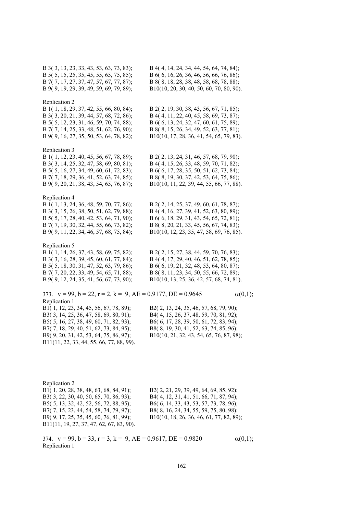B 3( 3, 13, 23, 33, 43, 53, 63, 73, 83); B 4( 4, 14, 24, 34, 44, 54, 64, 74, 84); B 5( 5, 15, 25, 35, 45, 55, 65, 75, 85); B 6( 6, 16, 26, 36, 46, 56, 66, 76, 86); B 7( 7, 17, 27, 37, 47, 57, 67, 77, 87); B 8( 8, 18, 28, 38, 48, 58, 68, 78, 88); B 9( 9, 19, 29, 39, 49, 59, 69, 79, 89); B10(10, 20, 30, 40, 50, 60, 70, 80, 90). Replication 2 B 1( 1, 18, 29, 37, 42, 55, 66, 80, 84); B 2( 2, 19, 30, 38, 43, 56, 67, 71, 85); B 3( 3, 20, 21, 39, 44, 57, 68, 72, 86); B 4( 4, 11, 22, 40, 45, 58, 69, 73, 87); B 5( 5, 12, 23, 31, 46, 59, 70, 74, 88); B 6( 6, 13, 24, 32, 47, 60, 61, 75, 89); B 7( 7, 14, 25, 33, 48, 51, 62, 76, 90); B 8( 8, 15, 26, 34, 49, 52, 63, 77, 81); B 9( 9, 16, 27, 35, 50, 53, 64, 78, 82); B10(10, 17, 28, 36, 41, 54, 65, 79, 83). Replication 3 B 1( 1, 12, 23, 40, 45, 56, 67, 78, 89); B 2( 2, 13, 24, 31, 46, 57, 68, 79, 90); B 3( 3, 14, 25, 32, 47, 58, 69, 80, 81); B 4( 4, 15, 26, 33, 48, 59, 70, 71, 82); B 5( 5, 16, 27, 34, 49, 60, 61, 72, 83); B 6( 6, 17, 28, 35, 50, 51, 62, 73, 84); B 7( 7, 18, 29, 36, 41, 52, 63, 74, 85); B 8( 8, 19, 30, 37, 42, 53, 64, 75, 86); B 9( 9, 20, 21, 38, 43, 54, 65, 76, 87); B10(10, 11, 22, 39, 44, 55, 66, 77, 88). Replication 4 B 1( 1, 13, 24, 36, 48, 59, 70, 77, 86); B 2( 2, 14, 25, 37, 49, 60, 61, 78, 87); B 3( 3, 15, 26, 38, 50, 51, 62, 79, 88); B 4( 4, 16, 27, 39, 41, 52, 63, 80, 89); B 5( 5, 17, 28, 40, 42, 53, 64, 71, 90); B 6( 6, 18, 29, 31, 43, 54, 65, 72, 81); B 7( 7, 19, 30, 32, 44, 55, 66, 73, 82); B 8( 8, 20, 21, 33, 45, 56, 67, 74, 83); B 9( 9, 11, 22, 34, 46, 57, 68, 75, 84); B10(10, 12, 23, 35, 47, 58, 69, 76, 85). Replication 5 B 1( 1, 14, 26, 37, 43, 58, 69, 75, 82); B 2( 2, 15, 27, 38, 44, 59, 70, 76, 83); B 3( 3, 16, 28, 39, 45, 60, 61, 77, 84); B 4( 4, 17, 29, 40, 46, 51, 62, 78, 85); B 5( 5, 18, 30, 31, 47, 52, 63, 79, 86); B 6( 6, 19, 21, 32, 48, 53, 64, 80, 87); B 7( 7, 20, 22, 33, 49, 54, 65, 71, 88); B 8( 8, 11, 23, 34, 50, 55, 66, 72, 89); B 9( 9, 12, 24, 35, 41, 56, 67, 73, 90); B10(10, 13, 25, 36, 42, 57, 68, 74, 81). 373.  $v = 99$ ,  $b = 22$ ,  $r = 2$ ,  $k = 9$ ,  $AE = 0.9177$ ,  $DE = 0.9645$  (0,1); Replication 1

B3( 3, 14, 25, 36, 47, 58, 69, 80, 91); B4( 4, 15, 26, 37, 48, 59, 70, 81, 92); B5( 5, 16, 27, 38, 49, 60, 71, 82, 93); B6( 6, 17, 28, 39, 50, 61, 72, 83, 94); B7( 7, 18, 29, 40, 51, 62, 73, 84, 95); B8( 8, 19, 30, 41, 52, 63, 74, 85, 96); B9( 9, 20, 31, 42, 53, 64, 75, 86, 97); B10(10, 21, 32, 43, 54, 65, 76, 87, 98); B11(11, 22, 33, 44, 55, 66, 77, 88, 99).

B1( 1, 12, 23, 34, 45, 56, 67, 78, 89); B2( 2, 13, 24, 35, 46, 57, 68, 79, 90);

Replication 2 B1( 1, 20, 28, 38, 48, 63, 68, 84, 91); B2( 2, 21, 29, 39, 49, 64, 69, 85, 92); B3( 3, 22, 30, 40, 50, 65, 70, 86, 93); B4( 4, 12, 31, 41, 51, 66, 71, 87, 94); B5( 5, 13, 32, 42, 52, 56, 72, 88, 95); B6( 6, 14, 33, 43, 53, 57, 73, 78, 96); B7( 7, 15, 23, 44, 54, 58, 74, 79, 97); B8( 8, 16, 24, 34, 55, 59, 75, 80, 98); B9( 9, 17, 25, 35, 45, 60, 76, 81, 99); B10(10, 18, 26, 36, 46, 61, 77, 82, 89); B11(11, 19, 27, 37, 47, 62, 67, 83, 90).

374.  $v = 99$ ,  $b = 33$ ,  $r = 3$ ,  $k = 9$ ,  $AE = 0.9617$ ,  $DE = 0.9820$   $\alpha(0,1)$ ; Replication 1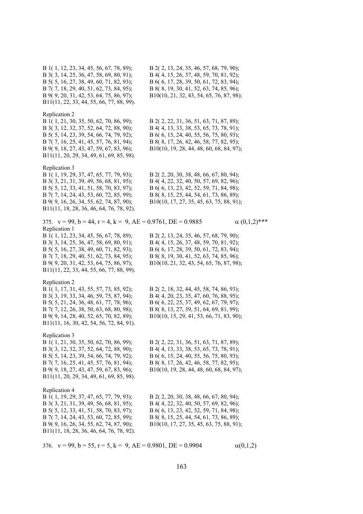B 1( 1, 12, 23, 34, 45, 56, 67, 78, 89); B 2( 2, 13, 24, 35, 46, 57, 68, 79, 90); B 3( 3, 14, 25, 36, 47, 58, 69, 80, 91); B 4( 4, 15, 26, 37, 48, 59, 70, 81, 92); B 5( 5, 16, 27, 38, 49, 60, 71, 82, 93); B 6( 6, 17, 28, 39, 50, 61, 72, 83, 94); B 7( 7, 18, 29, 40, 51, 62, 73, 84, 95); B 8( 8, 19, 30, 41, 52, 63, 74, 85, 96); B 9( 9, 20, 31, 42, 53, 64, 75, 86, 97); B10(10, 21, 32, 43, 54, 65, 76, 87, 98); B11(11, 22, 33, 44, 55, 66, 77, 88, 99). Replication 2 B 1( 1, 21, 30, 35, 50, 62, 70, 86, 99); B 2( 2, 22, 31, 36, 51, 63, 71, 87, 89); B 3( 3, 12, 32, 37, 52, 64, 72, 88, 90); B 4( 4, 13, 33, 38, 53, 65, 73, 78, 91); B 5( 5, 14, 23, 39, 54, 66, 74, 79, 92); B 6( 6, 15, 24, 40, 55, 56, 75, 80, 93); B 7( 7, 16, 25, 41, 45, 57, 76, 81, 94); B 8( 8, 17, 26, 42, 46, 58, 77, 82, 95); B 9( 9, 18, 27, 43, 47, 59, 67, 83, 96); B10(10, 19, 28, 44, 48, 60, 68, 84, 97); B11(11, 20, 29, 34, 49, 61, 69, 85, 98). Replication 3 B 1( 1, 19, 29, 37, 47, 65, 77, 79, 93); B 2( 2, 20, 30, 38, 48, 66, 67, 80, 94); B 3( 3, 21, 31, 39, 49, 56, 68, 81, 95); B 4( 4, 22, 32, 40, 50, 57, 69, 82, 96); B 5( 5, 12, 33, 41, 51, 58, 70, 83, 97); B 6( 6, 13, 23, 42, 52, 59, 71, 84, 98); B 7( 7, 14, 24, 43, 53, 60, 72, 85, 99); B 8( 8, 15, 25, 44, 54, 61, 73, 86, 89); B 9( 9, 16, 26, 34, 55, 62, 74, 87, 90); B10(10, 17, 27, 35, 45, 63, 75, 88, 91); B11(11, 18, 28, 36, 46, 64, 76, 78, 92). 375.  $v = 99$ ,  $b = 44$ ,  $r = 4$ ,  $k = 9$ ,  $AE = 0.9761$ ,  $DE = 0.9885$   $\alpha$  (0,1,2)\*\*\* Replication 1 B 1( 1, 12, 23, 34, 45, 56, 67, 78, 89); B 2( 2, 13, 24, 35, 46, 57, 68, 79, 90); B 3( 3, 14, 25, 36, 47, 58, 69, 80, 91); B 4( 4, 15, 26, 37, 48, 59, 70, 81, 92); B 5( 5, 16, 27, 38, 49, 60, 71, 82, 93); B 6( 6, 17, 28, 39, 50, 61, 72, 83, 94); B 7( 7, 18, 29, 40, 51, 62, 73, 84, 95); B 8( 8, 19, 30, 41, 52, 63, 74, 85, 96); B 9( 9, 20, 31, 42, 53, 64, 75, 86, 97); B10(10, 21, 32, 43, 54, 65, 76, 87, 98); B11(11, 22, 33, 44, 55, 66, 77, 88, 99). Replication 2 B 1( 1, 17, 31, 43, 55, 57, 73, 85, 92); B 2( 2, 18, 32, 44, 45, 58, 74, 86, 93); B 3( 3, 19, 33, 34, 46, 59, 75, 87, 94); B 4( 4, 20, 23, 35, 47, 60, 76, 88, 95); B 5( 5, 21, 24, 36, 48, 61, 77, 78, 96); B 6( 6, 22, 25, 37, 49, 62, 67, 79, 97); B 7( 7, 12, 26, 38, 50, 63, 68, 80, 98); B 8( 8, 13, 27, 39, 51, 64, 69, 81, 99); B 9( 9, 14, 28, 40, 52, 65, 70, 82, 89); B10(10, 15, 29, 41, 53, 66, 71, 83, 90); B11(11, 16, 30, 42, 54, 56, 72, 84, 91). Replication 3 B 1( 1, 21, 30, 35, 50, 62, 70, 86, 99); B 2( 2, 22, 31, 36, 51, 63, 71, 87, 89); B 3( 3, 12, 32, 37, 52, 64, 72, 88, 90); B 4( 4, 13, 33, 38, 53, 65, 73, 78, 91); B 5( 5, 14, 23, 39, 54, 66, 74, 79, 92); B 6( 6, 15, 24, 40, 55, 56, 75, 80, 93); B 7( 7, 16, 25, 41, 45, 57, 76, 81, 94); B 8( 8, 17, 26, 42, 46, 58, 77, 82, 95); B 9( 9, 18, 27, 43, 47, 59, 67, 83, 96); B10(10, 19, 28, 44, 48, 60, 68, 84, 97); B11(11, 20, 29, 34, 49, 61, 69, 85, 98). Replication 4 B 1( 1, 19, 29, 37, 47, 65, 77, 79, 93); B 2( 2, 20, 30, 38, 48, 66, 67, 80, 94); B 3( 3, 21, 31, 39, 49, 56, 68, 81, 95); B 4( 4, 22, 32, 40, 50, 57, 69, 82, 96); B 5( 5, 12, 33, 41, 51, 58, 70, 83, 97); B 6( 6, 13, 23, 42, 52, 59, 71, 84, 98); B 7( 7, 14, 24, 43, 53, 60, 72, 85, 99); B 8( 8, 15, 25, 44, 54, 61, 73, 86, 89); B 9( 9, 16, 26, 34, 55, 62, 74, 87, 90); B10(10, 17, 27, 35, 45, 63, 75, 88, 91); B11(11, 18, 28, 36, 46, 64, 76, 78, 92).

376. 
$$
v = 99
$$
,  $b = 55$ ,  $r = 5$ ,  $k = 9$ ,  $AE = 0.9801$ ,  $DE = 0.9904$   $\alpha(0,1,2)$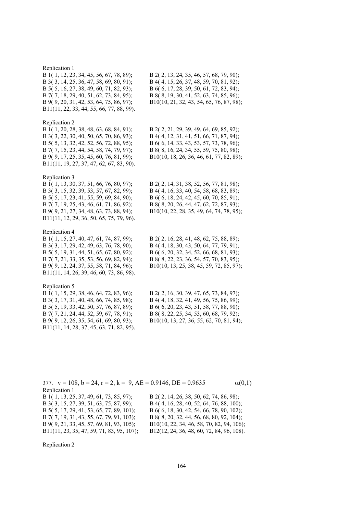## Replication 1

B 1( 1, 12, 23, 34, 45, 56, 67, 78, 89); B 2( 2, 13, 24, 35, 46, 57, 68, 79, 90); B 3( 3, 14, 25, 36, 47, 58, 69, 80, 91); B 4( 4, 15, 26, 37, 48, 59, 70, 81, 92); B 5( 5, 16, 27, 38, 49, 60, 71, 82, 93); B 6( 6, 17, 28, 39, 50, 61, 72, 83, 94); B 7( 7, 18, 29, 40, 51, 62, 73, 84, 95); B 8( 8, 19, 30, 41, 52, 63, 74, 85, 96); B 9( 9, 20, 31, 42, 53, 64, 75, 86, 97); B10(10, 21, 32, 43, 54, 65, 76, 87, 98); B11(11, 22, 33, 44, 55, 66, 77, 88, 99).

### Replication 2

B11(11, 19, 27, 37, 47, 62, 67, 83, 90).

Replication 3<br>B 1(1, 13, 30, 37, 51, 66, 76, 80, 97); B 3( 3, 15, 32, 39, 53, 57, 67, 82, 99); B 4( 4, 16, 33, 40, 54, 58, 68, 83, 89); B 5( 5, 17, 23, 41, 55, 59, 69, 84, 90); B 6( 6, 18, 24, 42, 45, 60, 70, 85, 91); B 7( 7, 19, 25, 43, 46, 61, 71, 86, 92); B 8( 8, 20, 26, 44, 47, 62, 72, 87, 93); B 9( 9, 21, 27, 34, 48, 63, 73, 88, 94); B10(10, 22, 28, 35, 49, 64, 74, 78, 95); B11(11, 12, 29, 36, 50, 65, 75, 79, 96).

### Replication 4

B 3( 3, 17, 29, 42, 49, 63, 76, 78, 90); B 4( 4, 18, 30, 43, 50, 64, 77, 79, 91); B 5( 5, 19, 31, 44, 51, 65, 67, 80, 92); B 6( 6, 20, 32, 34, 52, 66, 68, 81, 93); B 7( 7, 21, 33, 35, 53, 56, 69, 82, 94); B 8( 8, 22, 23, 36, 54, 57, 70, 83, 95); B11(11, 14, 26, 39, 46, 60, 73, 86, 98).

## Replication 5

B11(11, 14, 28, 37, 45, 63, 71, 82, 95).

B 1( 1, 20, 28, 38, 48, 63, 68, 84, 91); B 2( 2, 21, 29, 39, 49, 64, 69, 85, 92); B 3( 3, 22, 30, 40, 50, 65, 70, 86, 93); B 4( 4, 12, 31, 41, 51, 66, 71, 87, 94); B 5( 5, 13, 32, 42, 52, 56, 72, 88, 95); B 6( 6, 14, 33, 43, 53, 57, 73, 78, 96); B 7( 7, 15, 23, 44, 54, 58, 74, 79, 97); B 8( 8, 16, 24, 34, 55, 59, 75, 80, 98); B 9( 9, 17, 25, 35, 45, 60, 76, 81, 99); B10(10, 18, 26, 36, 46, 61, 77, 82, 89);

B 2( 2, 14, 31, 38, 52, 56, 77, 81, 98);

B 1( 1, 15, 27, 40, 47, 61, 74, 87, 99); B 2( 2, 16, 28, 41, 48, 62, 75, 88, 89); B 9( 9, 12, 24, 37, 55, 58, 71, 84, 96); B10(10, 13, 25, 38, 45, 59, 72, 85, 97);

B 1( 1, 15, 29, 38, 46, 64, 72, 83, 96); B 2( 2, 16, 30, 39, 47, 65, 73, 84, 97); B 3( 3, 17, 31, 40, 48, 66, 74, 85, 98); B 4( 4, 18, 32, 41, 49, 56, 75, 86, 99); B 5( 5, 19, 33, 42, 50, 57, 76, 87, 89); B 6( 6, 20, 23, 43, 51, 58, 77, 88, 90); B 7( 7, 21, 24, 44, 52, 59, 67, 78, 91); B 8( 8, 22, 25, 34, 53, 60, 68, 79, 92); B 9( 9, 12, 26, 35, 54, 61, 69, 80, 93); B10(10, 13, 27, 36, 55, 62, 70, 81, 94);

377.  $v = 108$ ,  $b = 24$ ,  $r = 2$ ,  $k = 9$ ,  $AE = 0.9146$ ,  $DE = 0.9635$   $\alpha(0,1)$ Replication 1 B 1( 1, 13, 25, 37, 49, 61, 73, 85, 97); B 2( 2, 14, 26, 38, 50, 62, 74, 86, 98); B 3( 3, 15, 27, 39, 51, 63, 75, 87, 99); B 4( 4, 16, 28, 40, 52, 64, 76, 88, 100); B 5( 5, 17, 29, 41, 53, 65, 77, 89, 101); B 6( 6, 18, 30, 42, 54, 66, 78, 90, 102); B 7( 7, 19, 31, 43, 55, 67, 79, 91, 103); B 8( 8, 20, 32, 44, 56, 68, 80, 92, 104); B 9( 9, 21, 33, 45, 57, 69, 81, 93, 105); B10(10, 22, 34, 46, 58, 70, 82, 94, 106); B11(11, 23, 35, 47, 59, 71, 83, 95, 107); B12(12, 24, 36, 48, 60, 72, 84, 96, 108).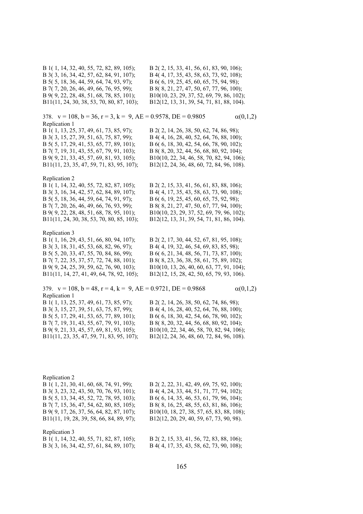B 1( 1, 14, 32, 40, 55, 72, 82, 89, 105); B 2( 2, 15, 33, 41, 56, 61, 83, 90, 106); B 3( 3, 16, 34, 42, 57, 62, 84, 91, 107); B 4( 4, 17, 35, 43, 58, 63, 73, 92, 108); B 5( 5, 18, 36, 44, 59, 64, 74, 93, 97); B 6( 6, 19, 25, 45, 60, 65, 75, 94, 98); B 7( 7, 20, 26, 46, 49, 66, 76, 95, 99); B 8( 8, 21, 27, 47, 50, 67, 77, 96, 100); B 9( 9, 22, 28, 48, 51, 68, 78, 85, 101); B10(10, 23, 29, 37, 52, 69, 79, 86, 102); B11(11, 24, 30, 38, 53, 70, 80, 87, 103); B12(12, 13, 31, 39, 54, 71, 81, 88, 104). 378.  $v = 108$ ,  $b = 36$ ,  $r = 3$ ,  $k = 9$ ,  $AE = 0.9578$ ,  $DE = 0.9805$   $\alpha(0,1,2)$ Replication 1 B 1( 1, 13, 25, 37, 49, 61, 73, 85, 97); B 2( 2, 14, 26, 38, 50, 62, 74, 86, 98); B 3( 3, 15, 27, 39, 51, 63, 75, 87, 99);<br>B 4( 4, 16, 28, 40, 52, 64, 76, 88, 100);<br>B 5( 5, 17, 29, 41, 53, 65, 77, 89, 101);<br>B 6( 6, 18, 30, 42, 54, 66, 78, 90, 102); B 6( 6, 18, 30, 42, 54, 66, 78, 90, 102); B 7( 7, 19, 31, 43, 55, 67, 79, 91, 103); B 8( 8, 20, 32, 44, 56, 68, 80, 92, 104); B 9( 9, 21, 33, 45, 57, 69, 81, 93, 105); B10(10, 22, 34, 46, 58, 70, 82, 94, 106); B11(11, 23, 35, 47, 59, 71, 83, 95, 107); B12(12, 24, 36, 48, 60, 72, 84, 96, 108). Replication 2 B 1( 1, 14, 32, 40, 55, 72, 82, 87, 105); B 2( 2, 15, 33, 41, 56, 61, 83, 88, 106); B 3( 3, 16, 34, 42, 57, 62, 84, 89, 107); B 4( 4, 17, 35, 43, 58, 63, 73, 90, 108); B 5( 5, 18, 36, 44, 59, 64, 74, 91, 97); B 6( 6, 19, 25, 45, 60, 65, 75, 92, 98); B 7( 7, 20, 26, 46, 49, 66, 76, 93, 99); B 8( 8, 21, 27, 47, 50, 67, 77, 94, 100); B 9( 9, 22, 28, 48, 51, 68, 78, 95, 101); B10(10, 23, 29, 37, 52, 69, 79, 96, 102); B11(11, 24, 30, 38, 53, 70, 80, 85, 103); B12(12, 13, 31, 39, 54, 71, 81, 86, 104). Replication 3 B 1( 1, 16, 29, 43, 51, 66, 80, 94, 107); B 2( 2, 17, 30, 44, 52, 67, 81, 95, 108); B 3( 3, 18, 31, 45, 53, 68, 82, 96, 97); B 4( 4, 19, 32, 46, 54, 69, 83, 85, 98); B 5( 5, 20, 33, 47, 55, 70, 84, 86, 99); B 6( 6, 21, 34, 48, 56, 71, 73, 87, 100); B 7( 7, 22, 35, 37, 57, 72, 74, 88, 101); B 8( 8, 23, 36, 38, 58, 61, 75, 89, 102); B 9( 9, 24, 25, 39, 59, 62, 76, 90, 103); B10(10, 13, 26, 40, 60, 63, 77, 91, 104); B11(11, 14, 27, 41, 49, 64, 78, 92, 105); B12(12, 15, 28, 42, 50, 65, 79, 93, 106). 379.  $v = 108$ ,  $b = 48$ ,  $r = 4$ ,  $k = 9$ ,  $AE = 0.9721$ ,  $DE = 0.9868$   $\alpha(0,1,2)$ Replication 1 B 1( 1, 13, 25, 37, 49, 61, 73, 85, 97); B 2( 2, 14, 26, 38, 50, 62, 74, 86, 98); B 3( 3, 15, 27, 39, 51, 63, 75, 87, 99); B 4( 4, 16, 28, 40, 52, 64, 76, 88, 100); B 5( 5, 17, 29, 41, 53, 65, 77, 89, 101); B 6( 6, 18, 30, 42, 54, 66, 78, 90, 102); B 7( 7, 19, 31, 43, 55, 67, 79, 91, 103); B 8( 8, 20, 32, 44, 56, 68, 80, 92, 104); B 9( 9, 21, 33, 45, 57, 69, 81, 93, 105); B10(10, 22, 34, 46, 58, 70, 82, 94, 106); B11(11, 23, 35, 47, 59, 71, 83, 95, 107); B12(12, 24, 36, 48, 60, 72, 84, 96, 108). Replication 2 B 1( 1, 21, 30, 41, 60, 68, 74, 91, 99); B 2( 2, 22, 31, 42, 49, 69, 75, 92, 100); B 3( 3, 23, 32, 43, 50, 70, 76, 93, 101); B 4( 4, 24, 33, 44, 51, 71, 77, 94, 102); B 5( 5, 13, 34, 45, 52, 72, 78, 95, 103); B 6( 6, 14, 35, 46, 53, 61, 79, 96, 104); B 7( 7, 15, 36, 47, 54, 62, 80, 85, 105); B 8( 8, 16, 25, 48, 55, 63, 81, 86, 106); B 9( 9, 17, 26, 37, 56, 64, 82, 87, 107); B10(10, 18, 27, 38, 57, 65, 83, 88, 108); B11(11, 19, 28, 39, 58, 66, 84, 89, 97); B12(12, 20, 29, 40, 59, 67, 73, 90, 98).

# Replication 3

B 3( 3, 16, 34, 42, 57, 61, 84, 89, 107); B 4( 4, 17, 35, 43, 58, 62, 73, 90, 108);

B 1( 1, 14, 32, 40, 55, 71, 82, 87, 105); B 2( 2, 15, 33, 41, 56, 72, 83, 88, 106);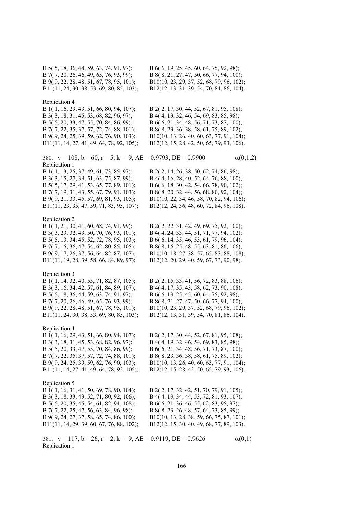B 5( 5, 18, 36, 44, 59, 63, 74, 91, 97); B 6( 6, 19, 25, 45, 60, 64, 75, 92, 98); B 7( 7, 20, 26, 46, 49, 65, 76, 93, 99); B 8( 8, 21, 27, 47, 50, 66, 77, 94, 100); B 9( 9, 22, 28, 48, 51, 67, 78, 95, 101); B10(10, 23, 29, 37, 52, 68, 79, 96, 102); B11(11, 24, 30, 38, 53, 69, 80, 85, 103); B12(12, 13, 31, 39, 54, 70, 81, 86, 104). Replication 4 B 1( 1, 16, 29, 43, 51, 66, 80, 94, 107); B 2( 2, 17, 30, 44, 52, 67, 81, 95, 108); B 3( 3, 18, 31, 45, 53, 68, 82, 96, 97); B 4( 4, 19, 32, 46, 54, 69, 83, 85, 98); B 5( 5, 20, 33, 47, 55, 70, 84, 86, 99); B 6( 6, 21, 34, 48, 56, 71, 73, 87, 100); B 7( 7, 22, 35, 37, 57, 72, 74, 88, 101); B 8( 8, 23, 36, 38, 58, 61, 75, 89, 102); B 9( 9, 24, 25, 39, 59, 62, 76, 90, 103); B10(10, 13, 26, 40, 60, 63, 77, 91, 104); B11(11, 14, 27, 41, 49, 64, 78, 92, 105); B12(12, 15, 28, 42, 50, 65, 79, 93, 106). 380.  $v = 108$ ,  $b = 60$ ,  $r = 5$ ,  $k = 9$ ,  $AE = 0.9793$ ,  $DE = 0.9900$   $\alpha(0,1,2)$ Replication 1 B 1( 1, 13, 25, 37, 49, 61, 73, 85, 97); B 2( 2, 14, 26, 38, 50, 62, 74, 86, 98); B 3( 3, 15, 27, 39, 51, 63, 75, 87, 99); B 4( 4, 16, 28, 40, 52, 64, 76, 88, 100); B 5( 5, 17, 29, 41, 53, 65, 77, 89, 101); B 6( 6, 18, 30, 42, 54, 66, 78, 90, 102); B 7( 7, 19, 31, 43, 55, 67, 79, 91, 103); B 8( 8, 20, 32, 44, 56, 68, 80, 92, 104); B 9( 9, 21, 33, 45, 57, 69, 81, 93, 105); B10(10, 22, 34, 46, 58, 70, 82, 94, 106); B11(11, 23, 35, 47, 59, 71, 83, 95, 107); B12(12, 24, 36, 48, 60, 72, 84, 96, 108). Replication 2 B 1( 1, 21, 30, 41, 60, 68, 74, 91, 99); B 2( 2, 22, 31, 42, 49, 69, 75, 92, 100); B 3( 3, 23, 32, 43, 50, 70, 76, 93, 101); B 4( 4, 24, 33, 44, 51, 71, 77, 94, 102); B 5( 5, 13, 34, 45, 52, 72, 78, 95, 103); B 6( 6, 14, 35, 46, 53, 61, 79, 96, 104); B 7( 7, 15, 36, 47, 54, 62, 80, 85, 105); B 8( 8, 16, 25, 48, 55, 63, 81, 86, 106); B 9( 9, 17, 26, 37, 56, 64, 82, 87, 107); B10(10, 18, 27, 38, 57, 65, 83, 88, 108); B11(11, 19, 28, 39, 58, 66, 84, 89, 97); B12(12, 20, 29, 40, 59, 67, 73, 90, 98). Replication 3 B 1( 1, 14, 32, 40, 55, 71, 82, 87, 105); B 2( 2, 15, 33, 41, 56, 72, 83, 88, 106); B 3( 3, 16, 34, 42, 57, 61, 84, 89, 107); B 4( 4, 17, 35, 43, 58, 62, 73, 90, 108); B 5( 5, 18, 36, 44, 59, 63, 74, 91, 97);<br>B 6( 6, 19, 25, 45, 60, 64, 75, 92, 98);<br>B 7( 7, 20, 26, 46, 49, 65, 76, 93, 99);<br>B 8( 8, 21, 27, 47, 50, 66, 77, 94, 100) B 8( 8, 21, 27, 47, 50, 66, 77, 94, 100); B 9( 9, 22, 28, 48, 51, 67, 78, 95, 101); B10(10, 23, 29, 37, 52, 68, 79, 96, 102); B11(11, 24, 30, 38, 53, 69, 80, 85, 103); B12(12, 13, 31, 39, 54, 70, 81, 86, 104). Replication 4 B 1( 1, 16, 29, 43, 51, 66, 80, 94, 107); B 2( 2, 17, 30, 44, 52, 67, 81, 95, 108); B 3( 3, 18, 31, 45, 53, 68, 82, 96, 97); B 4( 4, 19, 32, 46, 54, 69, 83, 85, 98); B 5( 5, 20, 33, 47, 55, 70, 84, 86, 99); B 6( 6, 21, 34, 48, 56, 71, 73, 87, 100); B 7( 7, 22, 35, 37, 57, 72, 74, 88, 101); B 8( 8, 23, 36, 38, 58, 61, 75, 89, 102); B 9( 9, 24, 25, 39, 59, 62, 76, 90, 103); B10(10, 13, 26, 40, 60, 63, 77, 91, 104); B11(11, 14, 27, 41, 49, 64, 78, 92, 105); B12(12, 15, 28, 42, 50, 65, 79, 93, 106). Replication 5 B 1( 1, 16, 31, 41, 50, 69, 78, 90, 104); B 2( 2, 17, 32, 42, 51, 70, 79, 91, 105); B 3( 3, 18, 33, 43, 52, 71, 80, 92, 106); B 4( 4, 19, 34, 44, 53, 72, 81, 93, 107); B 5( 5, 20, 35, 45, 54, 61, 82, 94, 108); B 6( 6, 21, 36, 46, 55, 62, 83, 95, 97); B 7( 7, 22, 25, 47, 56, 63, 84, 96, 98); B 8( 8, 23, 26, 48, 57, 64, 73, 85, 99); B 9( 9, 24, 27, 37, 58, 65, 74, 86, 100); B10(10, 13, 28, 38, 59, 66, 75, 87, 101); B11(11, 14, 29, 39, 60, 67, 76, 88, 102); B12(12, 15, 30, 40, 49, 68, 77, 89, 103).

381.  $v = 117$ ,  $b = 26$ ,  $r = 2$ ,  $k = 9$ ,  $AE = 0.9119$ ,  $DE = 0.9626$   $\alpha(0,1)$ Replication 1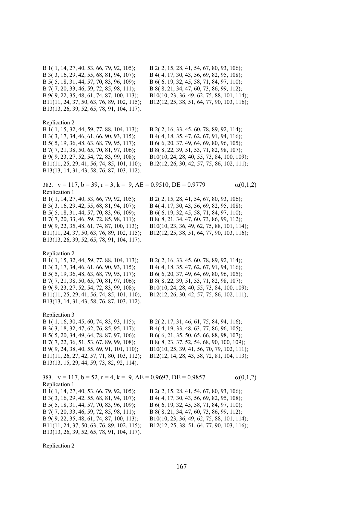B 1( 1, 14, 27, 40, 53, 66, 79, 92, 105); B 2( 2, 15, 28, 41, 54, 67, 80, 93, 106); B 3( 3, 16, 29, 42, 55, 68, 81, 94, 107); B 4( 4, 17, 30, 43, 56, 69, 82, 95, 108); B 5( 5, 18, 31, 44, 57, 70, 83, 96, 109); B 6( 6, 19, 32, 45, 58, 71, 84, 97, 110); B 7( 7, 20, 33, 46, 59, 72, 85, 98, 111); B 8( 8, 21, 34, 47, 60, 73, 86, 99, 112); B 9( 9, 22, 35, 48, 61, 74, 87, 100, 113); B10(10, 23, 36, 49, 62, 75, 88, 101, 114); B11(11, 24, 37, 50, 63, 76, 89, 102, 115); B12(12, 25, 38, 51, 64, 77, 90, 103, 116); B13(13, 26, 39, 52, 65, 78, 91, 104, 117). Replication 2 B 1( 1, 15, 32, 44, 59, 77, 88, 104, 113); B 2( 2, 16, 33, 45, 60, 78, 89, 92, 114); B 3( 3, 17, 34, 46, 61, 66, 90, 93, 115); B 4( 4, 18, 35, 47, 62, 67, 91, 94, 116); B 5( 5, 19, 36, 48, 63, 68, 79, 95, 117); B 6( 6, 20, 37, 49, 64, 69, 80, 96, 105); B 7( 7, 21, 38, 50, 65, 70, 81, 97, 106); B 8( 8, 22, 39, 51, 53, 71, 82, 98, 107); B 9( 9, 23, 27, 52, 54, 72, 83, 99, 108); B10(10, 24, 28, 40, 55, 73, 84, 100, 109); B11(11, 25, 29, 41, 56, 74, 85, 101, 110); B12(12, 26, 30, 42, 57, 75, 86, 102, 111); B13(13, 14, 31, 43, 58, 76, 87, 103, 112). 382.  $v = 117$ ,  $b = 39$ ,  $r = 3$ ,  $k = 9$ ,  $AE = 0.9510$ ,  $DE = 0.9779$   $\alpha(0,1,2)$ Replication 1 B 1( 1, 14, 27, 40, 53, 66, 79, 92, 105); B 2( 2, 15, 28, 41, 54, 67, 80, 93, 106); B 3( 3, 16, 29, 42, 55, 68, 81, 94, 107); B 4( 4, 17, 30, 43, 56, 69, 82, 95, 108); B 5( 5, 18, 31, 44, 57, 70, 83, 96, 109); B 6( 6, 19, 32, 45, 58, 71, 84, 97, 110); B 7( 7, 20, 33, 46, 59, 72, 85, 98, 111); B 8( 8, 21, 34, 47, 60, 73, 86, 99, 112); B 9( 9, 22, 35, 48, 61, 74, 87, 100, 113); B10(10, 23, 36, 49, 62, 75, 88, 101, 114); B11(11, 24, 37, 50, 63, 76, 89, 102, 115); B12(12, 25, 38, 51, 64, 77, 90, 103, 116); B13(13, 26, 39, 52, 65, 78, 91, 104, 117). Replication 2 B 1( 1, 15, 32, 44, 59, 77, 88, 104, 113); B 2( 2, 16, 33, 45, 60, 78, 89, 92, 114); B 3( 3, 17, 34, 46, 61, 66, 90, 93, 115); B 4( 4, 18, 35, 47, 62, 67, 91, 94, 116); B 5( 5, 19, 36, 48, 63, 68, 79, 95, 117); B 6( 6, 20, 37, 49, 64, 69, 80, 96, 105); B 7( 7, 21, 38, 50, 65, 70, 81, 97, 106); B 8( 8, 22, 39, 51, 53, 71, 82, 98, 107); B 9( 9, 23, 27, 52, 54, 72, 83, 99, 108); B10(10, 24, 28, 40, 55, 73, 84, 100, 109); B11(11, 25, 29, 41, 56, 74, 85, 101, 110); B12(12, 26, 30, 42, 57, 75, 86, 102, 111); B13(13, 14, 31, 43, 58, 76, 87, 103, 112). Replication 3 B 1( 1, 16, 30, 45, 60, 74, 83, 93, 115); B 2( 2, 17, 31, 46, 61, 75, 84, 94, 116); B 3( 3, 18, 32, 47, 62, 76, 85, 95, 117); B 4( 4, 19, 33, 48, 63, 77, 86, 96, 105); B 5( 5, 20, 34, 49, 64, 78, 87, 97, 106); B 6( 6, 21, 35, 50, 65, 66, 88, 98, 107); B 7( 7, 22, 36, 51, 53, 67, 89, 99, 108); B 8( 8, 23, 37, 52, 54, 68, 90, 100, 109); B 9( 9, 24, 38, 40, 55, 69, 91, 101, 110); B10(10, 25, 39, 41, 56, 70, 79, 102, 111); B11(11, 26, 27, 42, 57, 71, 80, 103, 112); B12(12, 14, 28, 43, 58, 72, 81, 104, 113); B13(13, 15, 29, 44, 59, 73, 82, 92, 114). 383.  $v = 117$ ,  $b = 52$ ,  $r = 4$ ,  $k = 9$ ,  $AE = 0.9697$ ,  $DE = 0.9857$   $\alpha(0,1,2)$ Replication 1 B 1( 1, 14, 27, 40, 53, 66, 79, 92, 105); B 2( 2, 15, 28, 41, 54, 67, 80, 93, 106); B 3( 3, 16, 29, 42, 55, 68, 81, 94, 107); B 4( 4, 17, 30, 43, 56, 69, 82, 95, 108); B 5( 5, 18, 31, 44, 57, 70, 83, 96, 109); B 6( 6, 19, 32, 45, 58, 71, 84, 97, 110); B 7( 7, 20, 33, 46, 59, 72, 85, 98, 111); B 8( 8, 21, 34, 47, 60, 73, 86, 99, 112); B 9( 9, 22, 35, 48, 61, 74, 87, 100, 113); B10(10, 23, 36, 49, 62, 75, 88, 101, 114); B11(11, 24, 37, 50, 63, 76, 89, 102, 115); B12(12, 25, 38, 51, 64, 77, 90, 103, 116); B13(13, 26, 39, 52, 65, 78, 91, 104, 117).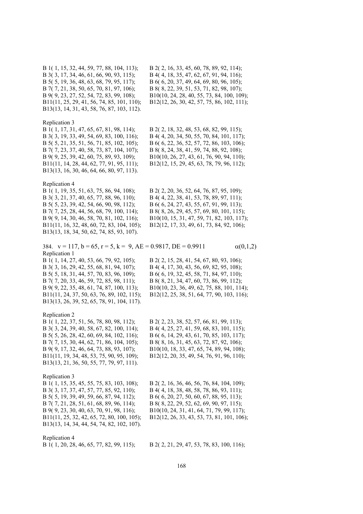B 1( 1, 15, 32, 44, 59, 77, 88, 104, 113); B 2( 2, 16, 33, 45, 60, 78, 89, 92, 114); B 3( 3, 17, 34, 46, 61, 66, 90, 93, 115); B 4( 4, 18, 35, 47, 62, 67, 91, 94, 116); B 5( 5, 19, 36, 48, 63, 68, 79, 95, 117); B 6( 6, 20, 37, 49, 64, 69, 80, 96, 105); B 7( 7, 21, 38, 50, 65, 70, 81, 97, 106); B 8( 8, 22, 39, 51, 53, 71, 82, 98, 107); B 9( 9, 23, 27, 52, 54, 72, 83, 99, 108); B10(10, 24, 28, 40, 55, 73, 84, 100, 109); B11(11, 25, 29, 41, 56, 74, 85, 101, 110); B12(12, 26, 30, 42, 57, 75, 86, 102, 111); B13(13, 14, 31, 43, 58, 76, 87, 103, 112).

#### Replication 3

B 3( 3, 19, 33, 49, 54, 69, 83, 100, 116); B 4( 4, 20, 34, 50, 55, 70, 84, 101, 117); B 5( 5, 21, 35, 51, 56, 71, 85, 102, 105); B 6( 6, 22, 36, 52, 57, 72, 86, 103, 106); B 7( 7, 23, 37, 40, 58, 73, 87, 104, 107); B 8( 8, 24, 38, 41, 59, 74, 88, 92, 108); B 9( 9, 25, 39, 42, 60, 75, 89, 93, 109); B10(10, 26, 27, 43, 61, 76, 90, 94, 110); B11(11, 14, 28, 44, 62, 77, 91, 95, 111); B12(12, 15, 29, 45, 63, 78, 79, 96, 112); B13(13, 16, 30, 46, 64, 66, 80, 97, 113).

## Replication 4

B 3( 3, 21, 37, 40, 65, 77, 88, 96, 110); B 4( 4, 22, 38, 41, 53, 78, 89, 97, 111); B 5( 5, 23, 39, 42, 54, 66, 90, 98, 112); B 6( 6, 24, 27, 43, 55, 67, 91, 99, 113); B 7( 7, 25, 28, 44, 56, 68, 79, 100, 114); B 8( 8, 26, 29, 45, 57, 69, 80, 101, 115); B 9( 9, 14, 30, 46, 58, 70, 81, 102, 116); B10(10, 15, 31, 47, 59, 71, 82, 103, 117); B11(11, 16, 32, 48, 60, 72, 83, 104, 105); B12(12, 17, 33, 49, 61, 73, 84, 92, 106); B13(13, 18, 34, 50, 62, 74, 85, 93, 107).

B 1( 1, 17, 31, 47, 65, 67, 81, 98, 114); B 2( 2, 18, 32, 48, 53, 68, 82, 99, 115);

B 1( 1, 19, 35, 51, 63, 75, 86, 94, 108); B 2( 2, 20, 36, 52, 64, 76, 87, 95, 109);

384.  $v = 117$ ,  $b = 65$ ,  $r = 5$ ,  $k = 9$ ,  $AE = 0.9817$ ,  $DE = 0.9911$   $\alpha(0,1,2)$ Replication 1 B 1( 1, 14, 27, 40, 53, 66, 79, 92, 105); B 2( 2, 15, 28, 41, 54, 67, 80, 93, 106); B 3( 3, 16, 29, 42, 55, 68, 81, 94, 107); B 4( 4, 17, 30, 43, 56, 69, 82, 95, 108); B 5( 5, 18, 31, 44, 57, 70, 83, 96, 109); B 6( 6, 19, 32, 45, 58, 71, 84, 97, 110); B 7( 7, 20, 33, 46, 59, 72, 85, 98, 111); B 8( 8, 21, 34, 47, 60, 73, 86, 99, 112); B 9( 9, 22, 35, 48, 61, 74, 87, 100, 113); B10(10, 23, 36, 49, 62, 75, 88, 101, 114); B11(11, 24, 37, 50, 63, 76, 89, 102, 115); B12(12, 25, 38, 51, 64, 77, 90, 103, 116); B13(13, 26, 39, 52, 65, 78, 91, 104, 117). Replication 2 B 1( 1, 22, 37, 51, 56, 78, 80, 98, 112); B 2( 2, 23, 38, 52, 57, 66, 81, 99, 113); B 3( 3, 24, 39, 40, 58, 67, 82, 100, 114); B 4( 4, 25, 27, 41, 59, 68, 83, 101, 115); B 5( 5, 26, 28, 42, 60, 69, 84, 102, 116); B 6( 6, 14, 29, 43, 61, 70, 85, 103, 117); B 7( 7, 15, 30, 44, 62, 71, 86, 104, 105); B 8( 8, 16, 31, 45, 63, 72, 87, 92, 106); B 9( 9, 17, 32, 46, 64, 73, 88, 93, 107); B10(10, 18, 33, 47, 65, 74, 89, 94, 108); B11(11, 19, 34, 48, 53, 75, 90, 95, 109); B12(12, 20, 35, 49, 54, 76, 91, 96, 110); B13(13, 21, 36, 50, 55, 77, 79, 97, 111). Replication 3

B 1( 1, 15, 35, 45, 55, 75, 83, 103, 108); B 2( 2, 16, 36, 46, 56, 76, 84, 104, 109); B 3( 3, 17, 37, 47, 57, 77, 85, 92, 110); B 4( 4, 18, 38, 48, 58, 78, 86, 93, 111); B 5( 5, 19, 39, 49, 59, 66, 87, 94, 112); B 6( 6, 20, 27, 50, 60, 67, 88, 95, 113); B 7( 7, 21, 28, 51, 61, 68, 89, 96, 114); B 8( 8, 22, 29, 52, 62, 69, 90, 97, 115); B 9( 9, 23, 30, 40, 63, 70, 91, 98, 116); B10(10, 24, 31, 41, 64, 71, 79, 99, 117); B11(11, 25, 32, 42, 65, 72, 80, 100, 105); B12(12, 26, 33, 43, 53, 73, 81, 101, 106); B13(13, 14, 34, 44, 54, 74, 82, 102, 107).

### Replication 4

B 1( 1, 20, 28, 46, 65, 77, 82, 99, 115); B 2( 2, 21, 29, 47, 53, 78, 83, 100, 116);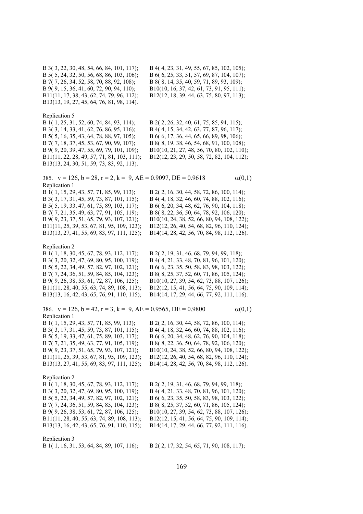B 3( 3, 22, 30, 48, 54, 66, 84, 101, 117); B 4( 4, 23, 31, 49, 55, 67, 85, 102, 105); B 5( 5, 24, 32, 50, 56, 68, 86, 103, 106); B 6( 6, 25, 33, 51, 57, 69, 87, 104, 107); B 7( 7, 26, 34, 52, 58, 70, 88, 92, 108); B 8( 8, 14, 35, 40, 59, 71, 89, 93, 109); B 9( 9, 15, 36, 41, 60, 72, 90, 94, 110); B10(10, 16, 37, 42, 61, 73, 91, 95, 111); B11(11, 17, 38, 43, 62, 74, 79, 96, 112); B12(12, 18, 39, 44, 63, 75, 80, 97, 113); B13(13, 19, 27, 45, 64, 76, 81, 98, 114).

# Replication 5

B 3( 3, 14, 33, 41, 62, 76, 86, 95, 116); B 4( 4, 15, 34, 42, 63, 77, 87, 96, 117); B 5( 5, 16, 35, 43, 64, 78, 88, 97, 105); B 6( 6, 17, 36, 44, 65, 66, 89, 98, 106); B13(13, 24, 30, 51, 59, 73, 83, 92, 113).

B 1( 1, 25, 31, 52, 60, 74, 84, 93, 114); B 2( 2, 26, 32, 40, 61, 75, 85, 94, 115);

B 7( 7, 18, 37, 45, 53, 67, 90, 99, 107); B 8( 8, 19, 38, 46, 54, 68, 91, 100, 108); B 9( 9, 20, 39, 47, 55, 69, 79, 101, 109); B10(10, 21, 27, 48, 56, 70, 80, 102, 110); B11(11, 22, 28, 49, 57, 71, 81, 103, 111); B12(12, 23, 29, 50, 58, 72, 82, 104, 112);

385.  $v = 126$ ,  $b = 28$ ,  $r = 2$ ,  $k = 9$ ,  $AE = 0.9097$ ,  $DE = 0.9618$  (0,1) Replication 1

B 1( 1, 15, 29, 43, 57, 71, 85, 99, 113); B 2( 2, 16, 30, 44, 58, 72, 86, 100, 114); B 3( 3, 17, 31, 45, 59, 73, 87, 101, 115); B 4( 4, 18, 32, 46, 60, 74, 88, 102, 116); B 5( 5, 19, 33, 47, 61, 75, 89, 103, 117); B 6( 6, 20, 34, 48, 62, 76, 90, 104, 118); B 7( 7, 21, 35, 49, 63, 77, 91, 105, 119); B 8( 8, 22, 36, 50, 64, 78, 92, 106, 120); B 9( 9, 23, 37, 51, 65, 79, 93, 107, 121); B10(10, 24, 38, 52, 66, 80, 94, 108, 122); B11(11, 25, 39, 53, 67, 81, 95, 109, 123); B12(12, 26, 40, 54, 68, 82, 96, 110, 124); B13(13, 27, 41, 55, 69, 83, 97, 111, 125); B14(14, 28, 42, 56, 70, 84, 98, 112, 126).

Replication 2

B 1( 1, 18, 30, 45, 67, 78, 93, 112, 117); B 2( 2, 19, 31, 46, 68, 79, 94, 99, 118); B 3( 3, 20, 32, 47, 69, 80, 95, 100, 119); B 4( 4, 21, 33, 48, 70, 81, 96, 101, 120); B 5( 5, 22, 34, 49, 57, 82, 97, 102, 121); B 6( 6, 23, 35, 50, 58, 83, 98, 103, 122); B 7( 7, 24, 36, 51, 59, 84, 85, 104, 123); B 8( 8, 25, 37, 52, 60, 71, 86, 105, 124); B 9( 9, 26, 38, 53, 61, 72, 87, 106, 125); B10(10, 27, 39, 54, 62, 73, 88, 107, 126); B11(11, 28, 40, 55, 63, 74, 89, 108, 113); B12(12, 15, 41, 56, 64, 75, 90, 109, 114); B13(13, 16, 42, 43, 65, 76, 91, 110, 115); B14(14, 17, 29, 44, 66, 77, 92, 111, 116).

386.  $v = 126$ ,  $b = 42$ ,  $r = 3$ ,  $k = 9$ ,  $AE = 0.9565$ ,  $DE = 0.9800$   $\alpha(0,1)$ Replication 1 B 1( 1, 15, 29, 43, 57, 71, 85, 99, 113); B 2( 2, 16, 30, 44, 58, 72, 86, 100, 114); B 3( 3, 17, 31, 45, 59, 73, 87, 101, 115); B 4( 4, 18, 32, 46, 60, 74, 88, 102, 116); B 5( 5, 19, 33, 47, 61, 75, 89, 103, 117); B 6( 6, 20, 34, 48, 62, 76, 90, 104, 118); B 7( 7, 21, 35, 49, 63, 77, 91, 105, 119); B 8( 8, 22, 36, 50, 64, 78, 92, 106, 120); B 9( 9, 23, 37, 51, 65, 79, 93, 107, 121); B10(10, 24, 38, 52, 66, 80, 94, 108, 122); B11(11, 25, 39, 53, 67, 81, 95, 109, 123); B12(12, 26, 40, 54, 68, 82, 96, 110, 124); B13(13, 27, 41, 55, 69, 83, 97, 111, 125); B14(14, 28, 42, 56, 70, 84, 98, 112, 126). Replication 2

B 1( 1, 18, 30, 45, 67, 78, 93, 112, 117); B 2( 2, 19, 31, 46, 68, 79, 94, 99, 118); B 3( 3, 20, 32, 47, 69, 80, 95, 100, 119); B 4( 4, 21, 33, 48, 70, 81, 96, 101, 120); B 5( 5, 22, 34, 49, 57, 82, 97, 102, 121); B 6( 6, 23, 35, 50, 58, 83, 98, 103, 122); B 7( 7, 24, 36, 51, 59, 84, 85, 104, 123); B 8( 8, 25, 37, 52, 60, 71, 86, 105, 124); B 9( 9, 26, 38, 53, 61, 72, 87, 106, 125); B10(10, 27, 39, 54, 62, 73, 88, 107, 126); B11(11, 28, 40, 55, 63, 74, 89, 108, 113); B12(12, 15, 41, 56, 64, 75, 90, 109, 114); B13(13, 16, 42, 43, 65, 76, 91, 110, 115); B14(14, 17, 29, 44, 66, 77, 92, 111, 116).

Replication 3

B 1( 1, 16, 31, 53, 64, 84, 89, 107, 116); B 2( 2, 17, 32, 54, 65, 71, 90, 108, 117);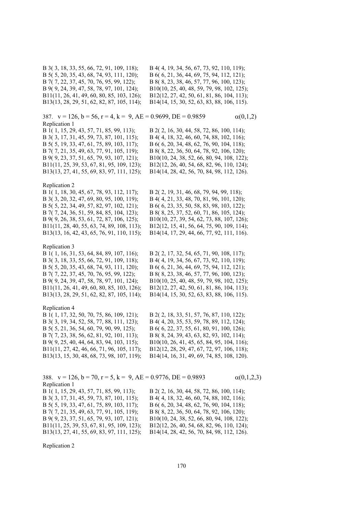B 3( 3, 18, 33, 55, 66, 72, 91, 109, 118); B 4( 4, 19, 34, 56, 67, 73, 92, 110, 119); B 5( 5, 20, 35, 43, 68, 74, 93, 111, 120); B 6( 6, 21, 36, 44, 69, 75, 94, 112, 121); B 7( 7, 22, 37, 45, 70, 76, 95, 99, 122); B 8( 8, 23, 38, 46, 57, 77, 96, 100, 123); B 9( 9, 24, 39, 47, 58, 78, 97, 101, 124); B10(10, 25, 40, 48, 59, 79, 98, 102, 125); B11(11, 26, 41, 49, 60, 80, 85, 103, 126); B12(12, 27, 42, 50, 61, 81, 86, 104, 113);

B13(13, 28, 29, 51, 62, 82, 87, 105, 114); B14(14, 15, 30, 52, 63, 83, 88, 106, 115).

387.  $v = 126$ ,  $b = 56$ ,  $r = 4$ ,  $k = 9$ ,  $AE = 0.9699$ ,  $DE = 0.9859$   $\alpha(0,1,2)$ Replication 1 B 1( 1, 15, 29, 43, 57, 71, 85, 99, 113); B 2( 2, 16, 30, 44, 58, 72, 86, 100, 114); B 3( 3, 17, 31, 45, 59, 73, 87, 101, 115); B 4( 4, 18, 32, 46, 60, 74, 88, 102, 116); B 5( 5, 19, 33, 47, 61, 75, 89, 103, 117); B 6( 6, 20, 34, 48, 62, 76, 90, 104, 118); B 7( 7, 21, 35, 49, 63, 77, 91, 105, 119); B 8( 8, 22, 36, 50, 64, 78, 92, 106, 120); B 9( 9, 23, 37, 51, 65, 79, 93, 107, 121); B10(10, 24, 38, 52, 66, 80, 94, 108, 122); B11(11, 25, 39, 53, 67, 81, 95, 109, 123); B12(12, 26, 40, 54, 68, 82, 96, 110, 124); B13(13, 27, 41, 55, 69, 83, 97, 111, 125); B14(14, 28, 42, 56, 70, 84, 98, 112, 126). Replication 2 B 1( 1, 18, 30, 45, 67, 78, 93, 112, 117); B 2( 2, 19, 31, 46, 68, 79, 94, 99, 118); B 3( 3, 20, 32, 47, 69, 80, 95, 100, 119); B 4( 4, 21, 33, 48, 70, 81, 96, 101, 120); B 5( 5, 22, 34, 49, 57, 82, 97, 102, 121); B 6( 6, 23, 35, 50, 58, 83, 98, 103, 122); B 7( 7, 24, 36, 51, 59, 84, 85, 104, 123); B 8( 8, 25, 37, 52, 60, 71, 86, 105, 124); B 9( 9, 26, 38, 53, 61, 72, 87, 106, 125); B10(10, 27, 39, 54, 62, 73, 88, 107, 126); B11(11, 28, 40, 55, 63, 74, 89, 108, 113); B12(12, 15, 41, 56, 64, 75, 90, 109, 114); B13(13, 16, 42, 43, 65, 76, 91, 110, 115); B14(14, 17, 29, 44, 66, 77, 92, 111, 116). Replication 3 B 1( 1, 16, 31, 53, 64, 84, 89, 107, 116); B 2( 2, 17, 32, 54, 65, 71, 90, 108, 117);

B 3( 3, 18, 33, 55, 66, 72, 91, 109, 118); B 4( 4, 19, 34, 56, 67, 73, 92, 110, 119); B 5( 5, 20, 35, 43, 68, 74, 93, 111, 120); B 6( 6, 21, 36, 44, 69, 75, 94, 112, 121); B 7( 7, 22, 37, 45, 70, 76, 95, 99, 122); B 8( 8, 23, 38, 46, 57, 77, 96, 100, 123); B 9( 9, 24, 39, 47, 58, 78, 97, 101, 124); B10(10, 25, 40, 48, 59, 79, 98, 102, 125); B11(11, 26, 41, 49, 60, 80, 85, 103, 126); B12(12, 27, 42, 50, 61, 81, 86, 104, 113); B13(13, 28, 29, 51, 62, 82, 87, 105, 114); B14(14, 15, 30, 52, 63, 83, 88, 106, 115).

## Replication 4

B 1( 1, 17, 32, 50, 70, 75, 86, 109, 121); B 2( 2, 18, 33, 51, 57, 76, 87, 110, 122); B 3( 3, 19, 34, 52, 58, 77, 88, 111, 123); B 4( 4, 20, 35, 53, 59, 78, 89, 112, 124); B 5( 5, 21, 36, 54, 60, 79, 90, 99, 125); B 6( 6, 22, 37, 55, 61, 80, 91, 100, 126); B 7( 7, 23, 38, 56, 62, 81, 92, 101, 113); B 8( 8, 24, 39, 43, 63, 82, 93, 102, 114); B 9( 9, 25, 40, 44, 64, 83, 94, 103, 115); B10(10, 26, 41, 45, 65, 84, 95, 104, 116); B11(11, 27, 42, 46, 66, 71, 96, 105, 117); B12(12, 28, 29, 47, 67, 72, 97, 106, 118); B13(13, 15, 30, 48, 68, 73, 98, 107, 119); B14(14, 16, 31, 49, 69, 74, 85, 108, 120).

388.  $v = 126$ ,  $b = 70$ ,  $r = 5$ ,  $k = 9$ ,  $AE = 0.9776$ ,  $DE = 0.9893$  (0,1,2,3) Replication 1 B 1( 1, 15, 29, 43, 57, 71, 85, 99, 113); B 2( 2, 16, 30, 44, 58, 72, 86, 100, 114); B 3( 3, 17, 31, 45, 59, 73, 87, 101, 115); B 4( 4, 18, 32, 46, 60, 74, 88, 102, 116); B 5( 5, 19, 33, 47, 61, 75, 89, 103, 117); B 6( 6, 20, 34, 48, 62, 76, 90, 104, 118); B 7( 7, 21, 35, 49, 63, 77, 91, 105, 119); B 8( 8, 22, 36, 50, 64, 78, 92, 106, 120); B 9( 9, 23, 37, 51, 65, 79, 93, 107, 121); B10(10, 24, 38, 52, 66, 80, 94, 108, 122); B11(11, 25, 39, 53, 67, 81, 95, 109, 123); B12(12, 26, 40, 54, 68, 82, 96, 110, 124); B13(13, 27, 41, 55, 69, 83, 97, 111, 125); B14(14, 28, 42, 56, 70, 84, 98, 112, 126).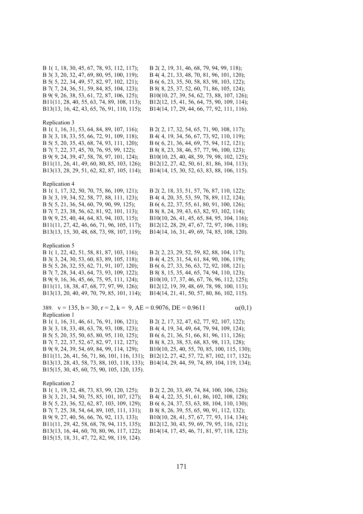B 1( 1, 18, 30, 45, 67, 78, 93, 112, 117); B 2( 2, 19, 31, 46, 68, 79, 94, 99, 118); B 3( 3, 20, 32, 47, 69, 80, 95, 100, 119); B 4( 4, 21, 33, 48, 70, 81, 96, 101, 120); B 5( 5, 22, 34, 49, 57, 82, 97, 102, 121); B 6( 6, 23, 35, 50, 58, 83, 98, 103, 122); B 7( 7, 24, 36, 51, 59, 84, 85, 104, 123); B 8( 8, 25, 37, 52, 60, 71, 86, 105, 124); B 9( 9, 26, 38, 53, 61, 72, 87, 106, 125); B10(10, 27, 39, 54, 62, 73, 88, 107, 126); B11(11, 28, 40, 55, 63, 74, 89, 108, 113); B12(12, 15, 41, 56, 64, 75, 90, 109, 114); B13(13, 16, 42, 43, 65, 76, 91, 110, 115); B14(14, 17, 29, 44, 66, 77, 92, 111, 116).

#### Replication 3

B 1( 1, 16, 31, 53, 64, 84, 89, 107, 116); B 2( 2, 17, 32, 54, 65, 71, 90, 108, 117); B 3( 3, 18, 33, 55, 66, 72, 91, 109, 118); B 4( 4, 19, 34, 56, 67, 73, 92, 110, 119); B 5( 5, 20, 35, 43, 68, 74, 93, 111, 120); B 6( 6, 21, 36, 44, 69, 75, 94, 112, 121); B 7( 7, 22, 37, 45, 70, 76, 95, 99, 122); B 8( 8, 23, 38, 46, 57, 77, 96, 100, 123); B 9( 9, 24, 39, 47, 58, 78, 97, 101, 124); B10(10, 25, 40, 48, 59, 79, 98, 102, 125); B11(11, 26, 41, 49, 60, 80, 85, 103, 126); B12(12, 27, 42, 50, 61, 81, 86, 104, 113); B13(13, 28, 29, 51, 62, 82, 87, 105, 114); B14(14, 15, 30, 52, 63, 83, 88, 106, 115).

#### Replication 4

B 1( 1, 17, 32, 50, 70, 75, 86, 109, 121); B 2( 2, 18, 33, 51, 57, 76, 87, 110, 122); B 3( 3, 19, 34, 52, 58, 77, 88, 111, 123); B 4( 4, 20, 35, 53, 59, 78, 89, 112, 124); B 5( 5, 21, 36, 54, 60, 79, 90, 99, 125); B 6( 6, 22, 37, 55, 61, 80, 91, 100, 126); B 7( 7, 23, 38, 56, 62, 81, 92, 101, 113); B 8( 8, 24, 39, 43, 63, 82, 93, 102, 114); B 9( 9, 25, 40, 44, 64, 83, 94, 103, 115); B10(10, 26, 41, 45, 65, 84, 95, 104, 116); B11(11, 27, 42, 46, 66, 71, 96, 105, 117); B12(12, 28, 29, 47, 67, 72, 97, 106, 118); B13(13, 15, 30, 48, 68, 73, 98, 107, 119); B14(14, 16, 31, 49, 69, 74, 85, 108, 120).

### Replication 5

B 3( 3, 24, 30, 53, 60, 83, 89, 105, 118); B 4( 4, 25, 31, 54, 61, 84, 90, 106, 119); B 5( 5, 26, 32, 55, 62, 71, 91, 107, 120); B 6( 6, 27, 33, 56, 63, 72, 92, 108, 121); B 7( 7, 28, 34, 43, 64, 73, 93, 109, 122); B 8( 8, 15, 35, 44, 65, 74, 94, 110, 123); B13(13, 20, 40, 49, 70, 79, 85, 101, 114); B14(14, 21, 41, 50, 57, 80, 86, 102, 115).

B 1( 1, 22, 42, 51, 58, 81, 87, 103, 116); B 2( 2, 23, 29, 52, 59, 82, 88, 104, 117); B 9( 9, 16, 36, 45, 66, 75, 95, 111, 124); B10(10, 17, 37, 46, 67, 76, 96, 112, 125); B11(11, 18, 38, 47, 68, 77, 97, 99, 126); B12(12, 19, 39, 48, 69, 78, 98, 100, 113);

| 389. $v = 135$ , $b = 30$ , $r = 2$ , $k = 9$ , $AE = 0.9076$ , $DE = 0.9611$ |                                           | $\alpha(0,1)$ |
|-------------------------------------------------------------------------------|-------------------------------------------|---------------|
| Replication 1                                                                 |                                           |               |
| B 1(1, 16, 31, 46, 61, 76, 91, 106, 121);                                     | B 2(2, 17, 32, 47, 62, 77, 92, 107, 122); |               |
| B 3(3, 18, 33, 48, 63, 78, 93, 108, 123);                                     | B 4(4, 19, 34, 49, 64, 79, 94, 109, 124); |               |
| B 5(5, 20, 35, 50, 65, 80, 95, 110, 125);                                     | B 6(6, 21, 36, 51, 66, 81, 96, 111, 126); |               |
| B 7(7, 22, 37, 52, 67, 82, 97, 112, 127);                                     | B 8(8, 23, 38, 53, 68, 83, 98, 113, 128); |               |

B 9( 9, 24, 39, 54, 69, 84, 99, 114, 129); B10(10, 25, 40, 55, 70, 85, 100, 115, 130); B11(11, 26, 41, 56, 71, 86, 101, 116, 131); B12(12, 27, 42, 57, 72, 87, 102, 117, 132); B13(13, 28, 43, 58, 73, 88, 103, 118, 133); B14(14, 29, 44, 59, 74, 89, 104, 119, 134); B15(15, 30, 45, 60, 75, 90, 105, 120, 135).

## Replication 2

B 3( 3, 21, 34, 50, 75, 85, 101, 107, 127); B 4( 4, 22, 35, 51, 61, 86, 102, 108, 128); B 5( 5, 23, 36, 52, 62, 87, 103, 109, 129); B 6( 6, 24, 37, 53, 63, 88, 104, 110, 130); B 7( 7, 25, 38, 54, 64, 89, 105, 111, 131); B 8( 8, 26, 39, 55, 65, 90, 91, 112, 132); B 9( 9, 27, 40, 56, 66, 76, 92, 113, 133); B10(10, 28, 41, 57, 67, 77, 93, 114, 134); B11(11, 29, 42, 58, 68, 78, 94, 115, 135); B12(12, 30, 43, 59, 69, 79, 95, 116, 121); B13(13, 16, 44, 60, 70, 80, 96, 117, 122); B14(14, 17, 45, 46, 71, 81, 97, 118, 123); B15(15, 18, 31, 47, 72, 82, 98, 119, 124).

B 1( 1, 19, 32, 48, 73, 83, 99, 120, 125); B 2( 2, 20, 33, 49, 74, 84, 100, 106, 126);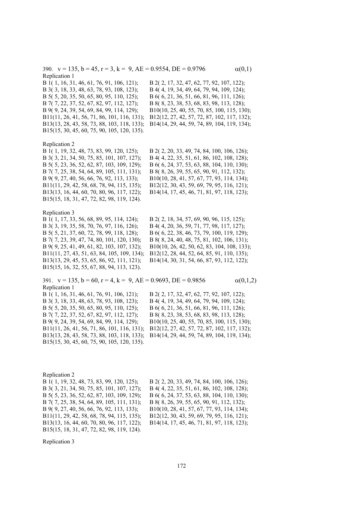390.  $v = 135$ ,  $b = 45$ ,  $r = 3$ ,  $k = 9$ ,  $AE = 0.9554$ ,  $DE = 0.9796$   $\alpha(0,1)$ Replication 1

B 1( 1, 16, 31, 46, 61, 76, 91, 106, 121); B 2( 2, 17, 32, 47, 62, 77, 92, 107, 122); B 3( 3, 18, 33, 48, 63, 78, 93, 108, 123); B 4( 4, 19, 34, 49, 64, 79, 94, 109, 124); B 5( 5, 20, 35, 50, 65, 80, 95, 110, 125); B 6( 6, 21, 36, 51, 66, 81, 96, 111, 126); B 7( 7, 22, 37, 52, 67, 82, 97, 112, 127); B 8( 8, 23, 38, 53, 68, 83, 98, 113, 128); B 9( 9, 24, 39, 54, 69, 84, 99, 114, 129); B10(10, 25, 40, 55, 70, 85, 100, 115, 130); B11(11, 26, 41, 56, 71, 86, 101, 116, 131); B12(12, 27, 42, 57, 72, 87, 102, 117, 132); B13(13, 28, 43, 58, 73, 88, 103, 118, 133); B14(14, 29, 44, 59, 74, 89, 104, 119, 134); B15(15, 30, 45, 60, 75, 90, 105, 120, 135).

#### Replication 2

B 1( 1, 19, 32, 48, 73, 83, 99, 120, 125); B 2( 2, 20, 33, 49, 74, 84, 100, 106, 126); B 3( 3, 21, 34, 50, 75, 85, 101, 107, 127); B 4( 4, 22, 35, 51, 61, 86, 102, 108, 128); B 5( 5, 23, 36, 52, 62, 87, 103, 109, 129); B 6( 6, 24, 37, 53, 63, 88, 104, 110, 130); B 7( 7, 25, 38, 54, 64, 89, 105, 111, 131); B 8( 8, 26, 39, 55, 65, 90, 91, 112, 132); B 9( 9, 27, 40, 56, 66, 76, 92, 113, 133); B10(10, 28, 41, 57, 67, 77, 93, 114, 134); B11(11, 29, 42, 58, 68, 78, 94, 115, 135); B12(12, 30, 43, 59, 69, 79, 95, 116, 121); B13(13, 16, 44, 60, 70, 80, 96, 117, 122); B14(14, 17, 45, 46, 71, 81, 97, 118, 123); B15(15, 18, 31, 47, 72, 82, 98, 119, 124).

Replication 3

B 3( 3, 19, 35, 58, 70, 76, 97, 116, 126); B 4( 4, 20, 36, 59, 71, 77, 98, 117, 127);<br>B 5( 5, 21, 37, 60, 72, 78, 99, 118, 128); B 6( 6, 22, 38, 46, 73, 79, 100, 119, 129) B 7( 7, 23, 39, 47, 74, 80, 101, 120, 130); B 8( 8, 24, 40, 48, 75, 81, 102, 106, 131); B 9( 9, 25, 41, 49, 61, 82, 103, 107, 132); B10(10, 26, 42, 50, 62, 83, 104, 108, 133); B11(11, 27, 43, 51, 63, 84, 105, 109, 134); B12(12, 28, 44, 52, 64, 85, 91, 110, 135); B13(13, 29, 45, 53, 65, 86, 92, 111, 121); B14(14, 30, 31, 54, 66, 87, 93, 112, 122); B15(15, 16, 32, 55, 67, 88, 94, 113, 123).

B 1( 1, 17, 33, 56, 68, 89, 95, 114, 124); B 2( 2, 18, 34, 57, 69, 90, 96, 115, 125); B 5( 5, 21, 37, 60, 72, 78, 99, 118, 128); B 6( 6, 22, 38, 46, 73, 79, 100, 119, 129);

391.  $v = 135$ ,  $b = 60$ ,  $r = 4$ ,  $k = 9$ ,  $AE = 0.9693$ ,  $DE = 0.9856$   $\alpha(0,1,2)$ Replication 1 B 1( 1, 16, 31, 46, 61, 76, 91, 106, 121); B 2( 2, 17, 32, 47, 62, 77, 92, 107, 122); B 3( 3, 18, 33, 48, 63, 78, 93, 108, 123); B 4( 4, 19, 34, 49, 64, 79, 94, 109, 124); B 5( 5, 20, 35, 50, 65, 80, 95, 110, 125); B 6( 6, 21, 36, 51, 66, 81, 96, 111, 126); B 7( 7, 22, 37, 52, 67, 82, 97, 112, 127); B 8( 8, 23, 38, 53, 68, 83, 98, 113, 128); B 9( 9, 24, 39, 54, 69, 84, 99, 114, 129); B10(10, 25, 40, 55, 70, 85, 100, 115, 130); B11(11, 26, 41, 56, 71, 86, 101, 116, 131); B12(12, 27, 42, 57, 72, 87, 102, 117, 132); B13(13, 28, 43, 58, 73, 88, 103, 118, 133); B14(14, 29, 44, 59, 74, 89, 104, 119, 134); B15(15, 30, 45, 60, 75, 90, 105, 120, 135).

Replication 2

B15(15, 18, 31, 47, 72, 82, 98, 119, 124).

B 1( 1, 19, 32, 48, 73, 83, 99, 120, 125); B 2( 2, 20, 33, 49, 74, 84, 100, 106, 126); B 3( 3, 21, 34, 50, 75, 85, 101, 107, 127); B 4( 4, 22, 35, 51, 61, 86, 102, 108, 128); B 5( 5, 23, 36, 52, 62, 87, 103, 109, 129); B 6( 6, 24, 37, 53, 63, 88, 104, 110, 130); B 7( 7, 25, 38, 54, 64, 89, 105, 111, 131); B 8( 8, 26, 39, 55, 65, 90, 91, 112, 132); B 9( 9, 27, 40, 56, 66, 76, 92, 113, 133); B10(10, 28, 41, 57, 67, 77, 93, 114, 134); B11(11, 29, 42, 58, 68, 78, 94, 115, 135); B12(12, 30, 43, 59, 69, 79, 95, 116, 121); B13(13, 16, 44, 60, 70, 80, 96, 117, 122); B14(14, 17, 45, 46, 71, 81, 97, 118, 123);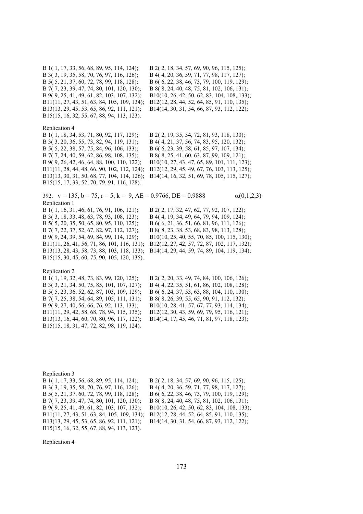B 1( 1, 17, 33, 56, 68, 89, 95, 114, 124); B 2( 2, 18, 34, 57, 69, 90, 96, 115, 125); B 3( 3, 19, 35, 58, 70, 76, 97, 116, 126); B 4( 4, 20, 36, 59, 71, 77, 98, 117, 127); B 5( 5, 21, 37, 60, 72, 78, 99, 118, 128); B 6( 6, 22, 38, 46, 73, 79, 100, 119, 129); B 7( 7, 23, 39, 47, 74, 80, 101, 120, 130); B 8( 8, 24, 40, 48, 75, 81, 102, 106, 131); B 9( 9, 25, 41, 49, 61, 82, 103, 107, 132); B10(10, 26, 42, 50, 62, 83, 104, 108, 133); B11(11, 27, 43, 51, 63, 84, 105, 109, 134); B12(12, 28, 44, 52, 64, 85, 91, 110, 135); B13(13, 29, 45, 53, 65, 86, 92, 111, 121); B14(14, 30, 31, 54, 66, 87, 93, 112, 122); B15(15, 16, 32, 55, 67, 88, 94, 113, 123).

Replication 4

B 1( 1, 18, 34, 53, 71, 80, 92, 117, 129); B 2( 2, 19, 35, 54, 72, 81, 93, 118, 130); B 3( 3, 20, 36, 55, 73, 82, 94, 119, 131); B 4( 4, 21, 37, 56, 74, 83, 95, 120, 132); B 5( 5, 22, 38, 57, 75, 84, 96, 106, 133); B 6( 6, 23, 39, 58, 61, 85, 97, 107, 134); B 7( 7, 24, 40, 59, 62, 86, 98, 108, 135); B 8( 8, 25, 41, 60, 63, 87, 99, 109, 121); B 9( 9, 26, 42, 46, 64, 88, 100, 110, 122); B10(10, 27, 43, 47, 65, 89, 101, 111, 123); B11(11, 28, 44, 48, 66, 90, 102, 112, 124); B12(12, 29, 45, 49, 67, 76, 103, 113, 125); B13(13, 30, 31, 50, 68, 77, 104, 114, 126); B14(14, 16, 32, 51, 69, 78, 105, 115, 127); B15(15, 17, 33, 52, 70, 79, 91, 116, 128).

392.  $v = 135$ ,  $b = 75$ ,  $r = 5$ ,  $k = 9$ ,  $AE = 0.9766$ ,  $DE = 0.9888$   $\alpha(0,1,2,3)$ Replication 1

B 3( 3, 18, 33, 48, 63, 78, 93, 108, 123); B 4( 4, 19, 34, 49, 64, 79, 94, 109, 124); B 5( 5, 20, 35, 50, 65, 80, 95, 110, 125); B 6( 6, 21, 36, 51, 66, 81, 96, 111, 126); B 7( 7, 22, 37, 52, 67, 82, 97, 112, 127); B 8( 8, 23, 38, 53, 68, 83, 98, 113, 128); B15(15, 30, 45, 60, 75, 90, 105, 120, 135).

B 1( 1, 16, 31, 46, 61, 76, 91, 106, 121); B 2( 2, 17, 32, 47, 62, 77, 92, 107, 122); B 9( 9, 24, 39, 54, 69, 84, 99, 114, 129); B10(10, 25, 40, 55, 70, 85, 100, 115, 130); B11(11, 26, 41, 56, 71, 86, 101, 116, 131); B12(12, 27, 42, 57, 72, 87, 102, 117, 132); B13(13, 28, 43, 58, 73, 88, 103, 118, 133); B14(14, 29, 44, 59, 74, 89, 104, 119, 134);

Replication 2

B 3( 3, 21, 34, 50, 75, 85, 101, 107, 127); B 4( 4, 22, 35, 51, 61, 86, 102, 108, 128); B 5( 5, 23, 36, 52, 62, 87, 103, 109, 129); B 6( 6, 24, 37, 53, 63, 88, 104, 110, 130); B 7( 7, 25, 38, 54, 64, 89, 105, 111, 131); B 8( 8, 26, 39, 55, 65, 90, 91, 112, 132); B 9( 9, 27, 40, 56, 66, 76, 92, 113, 133); B10(10, 28, 41, 57, 67, 77, 93, 114, 134);<br>B11(11, 29, 42, 58, 68, 78, 94, 115, 135); B12(12, 30, 43, 59, 69, 79, 95, 116, 121); B13(13, 16, 44, 60, 70, 80, 96, 117, 122); B14(14, 17, 45, 46, 71, 81, 97, 118, 123); B15(15, 18, 31, 47, 72, 82, 98, 119, 124).

B 1( 1, 19, 32, 48, 73, 83, 99, 120, 125); B 2( 2, 20, 33, 49, 74, 84, 100, 106, 126); B11(11, 29, 42, 58, 68, 78, 94, 115, 135); B12(12, 30, 43, 59, 69, 79, 95, 116, 121);

Replication 3

B 1( 1, 17, 33, 56, 68, 89, 95, 114, 124); B 2( 2, 18, 34, 57, 69, 90, 96, 115, 125); B 3( 3, 19, 35, 58, 70, 76, 97, 116, 126); B 4( 4, 20, 36, 59, 71, 77, 98, 117, 127); B 5( 5, 21, 37, 60, 72, 78, 99, 118, 128); B 6( 6, 22, 38, 46, 73, 79, 100, 119, 129); B 7( 7, 23, 39, 47, 74, 80, 101, 120, 130); B 8( 8, 24, 40, 48, 75, 81, 102, 106, 131); B 9( 9, 25, 41, 49, 61, 82, 103, 107, 132); B10(10, 26, 42, 50, 62, 83, 104, 108, 133); B11(11, 27, 43, 51, 63, 84, 105, 109, 134); B12(12, 28, 44, 52, 64, 85, 91, 110, 135); B13(13, 29, 45, 53, 65, 86, 92, 111, 121); B14(14, 30, 31, 54, 66, 87, 93, 112, 122); B15(15, 16, 32, 55, 67, 88, 94, 113, 123).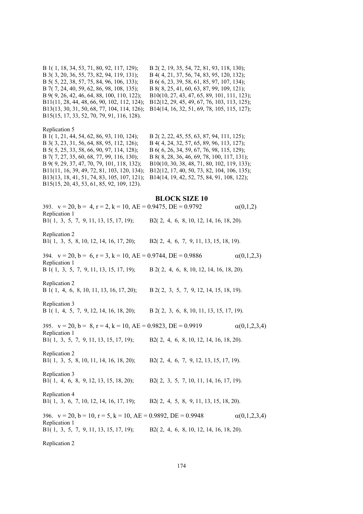B 1( 1, 18, 34, 53, 71, 80, 92, 117, 129); B 2( 2, 19, 35, 54, 72, 81, 93, 118, 130); B 3( 3, 20, 36, 55, 73, 82, 94, 119, 131); B 4( 4, 21, 37, 56, 74, 83, 95, 120, 132); B 5( 5, 22, 38, 57, 75, 84, 96, 106, 133); B 6( 6, 23, 39, 58, 61, 85, 97, 107, 134); B 7( 7, 24, 40, 59, 62, 86, 98, 108, 135); B 8( 8, 25, 41, 60, 63, 87, 99, 109, 121); B 9( 9, 26, 42, 46, 64, 88, 100, 110, 122); B10(10, 27, 43, 47, 65, 89, 101, 111, 123); B11(11, 28, 44, 48, 66, 90, 102, 112, 124); B12(12, 29, 45, 49, 67, 76, 103, 113, 125); B13(13, 30, 31, 50, 68, 77, 104, 114, 126); B14(14, 16, 32, 51, 69, 78, 105, 115, 127); B15(15, 17, 33, 52, 70, 79, 91, 116, 128).

Replication 5<br>B 1(1, 21, 44, 54, 62, 86, 93, 110, 124); B 3( 3, 23, 31, 56, 64, 88, 95, 112, 126); B 4( 4, 24, 32, 57, 65, 89, 96, 113, 127); B 5( 5, 25, 33, 58, 66, 90, 97, 114, 128); B 6( 6, 26, 34, 59, 67, 76, 98, 115, 129); B 7( 7, 27, 35, 60, 68, 77, 99, 116, 130); B 8( 8, 28, 36, 46, 69, 78, 100, 117, 131);<br>B 9( 9, 29, 37, 47, 70, 79, 101, 118, 132); B 10(10, 30, 38, 48, 71, 80, 102, 119, 133) B11(11, 16, 39, 49, 72, 81, 103, 120, 134); B12(12, 17, 40, 50, 73, 82, 104, 106, 135);<br>B13(13, 18, 41, 51, 74, 83, 105, 107, 121); B14(14, 19, 42, 52, 75, 84, 91, 108, 122); B15(15, 20, 43, 53, 61, 85, 92, 109, 123).

B 2( 2, 22, 45, 55, 63, 87, 94, 111, 125); B10(10, 30, 38, 48, 71, 80, 102, 119, 133); B14(14, 19, 42, 52, 75, 84, 91, 108, 122);

# **BLOCK SIZE 10**

| 393. $v = 20$ , $b = 4$ , $r = 2$ , $k = 10$ , $AE = 0.9475$ , $DE = 0.9792$<br>Replication 1<br>B1(1, 3, 5, 7, 9, 11, 13, 15, 17, 19); | B2(2, 4, 6, 8, 10, 12, 14, 16, 18, 20).   | $\alpha(0,1,2)$     |
|-----------------------------------------------------------------------------------------------------------------------------------------|-------------------------------------------|---------------------|
| Replication 2                                                                                                                           |                                           |                     |
| B1(1, 3, 5, 8, 10, 12, 14, 16, 17, 20); B2(2, 4, 6, 7, 9, 11, 13, 15, 18, 19).                                                          |                                           |                     |
| 394. $v = 20$ , $b = 6$ , $r = 3$ , $k = 10$ , $AE = 0.9744$ , $DE = 0.9886$<br>Replication 1                                           |                                           | $\alpha(0,1,2,3)$   |
| B 1(1, 3, 5, 7, 9, 11, 13, 15, 17, 19); B 2(2, 4, 6, 8, 10, 12, 14, 16, 18, 20).                                                        |                                           |                     |
| Replication 2<br>B 1(1, 4, 6, 8, 10, 11, 13, 16, 17, 20);                                                                               | B 2(2, 3, 5, 7, 9, 12, 14, 15, 18, 19).   |                     |
| Replication 3<br>B 1(1, 4, 5, 7, 9, 12, 14, 16, 18, 20); B 2(2, 3, 6, 8, 10, 11, 13, 15, 17, 19).                                       |                                           |                     |
| 395. $v = 20$ , $b = 8$ , $r = 4$ , $k = 10$ , $AE = 0.9823$ , $DE = 0.9919$<br>Replication 1                                           |                                           | $\alpha(0,1,2,3,4)$ |
| B1(1, 3, 5, 7, 9, 11, 13, 15, 17, 19);                                                                                                  | B2(2, 4, 6, 8, 10, 12, 14, 16, 18, 20).   |                     |
| Replication 2<br>B1(1, 3, 5, 8, 10, 11, 14, 16, 18, 20);                                                                                | B2(2, 4, 6, 7, 9, 12, 13, 15, 17, 19).    |                     |
| Replication 3<br>B1(1, 4, 6, 8, 9, 12, 13, 15, 18, 20);                                                                                 | $B2(2, 3, 5, 7, 10, 11, 14, 16, 17, 19).$ |                     |
| Replication 4<br>B1(1, 3, 6, 7, 10, 12, 14, 16, 17, 19); B2(2, 4, 5, 8, 9, 11, 13, 15, 18, 20).                                         |                                           |                     |
| 396. $v = 20$ , $b = 10$ , $r = 5$ , $k = 10$ , $AE = 0.9892$ , $DE = 0.9948$<br>Replication 1                                          |                                           | $\alpha(0,1,2,3,4)$ |
| B1(1, 3, 5, 7, 9, 11, 13, 15, 17, 19); B2(2, 4, 6, 8, 10, 12, 14, 16, 18, 20).                                                          |                                           |                     |
| Replication 2                                                                                                                           |                                           |                     |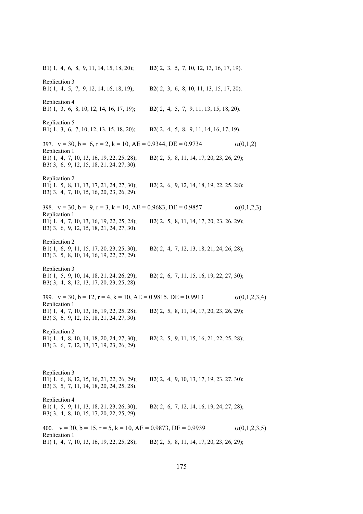B1( 1, 4, 6, 8, 9, 11, 14, 15, 18, 20); B2( 2, 3, 5, 7, 10, 12, 13, 16, 17, 19). Replication 3 B1( 1, 4, 5, 7, 9, 12, 14, 16, 18, 19); B2( 2, 3, 6, 8, 10, 11, 13, 15, 17, 20). Replication 4 B1( 1, 3, 6, 8, 10, 12, 14, 16, 17, 19); B2( 2, 4, 5, 7, 9, 11, 13, 15, 18, 20). Replication 5 B1( 1, 3, 6, 7, 10, 12, 13, 15, 18, 20); B2( 2, 4, 5, 8, 9, 11, 14, 16, 17, 19). 397.  $v = 30$ ,  $b = 6$ ,  $r = 2$ ,  $k = 10$ ,  $AE = 0.9344$ ,  $DE = 0.9734$   $\alpha(0,1,2)$ Replication 1 B1( 1, 4, 7, 10, 13, 16, 19, 22, 25, 28); B2( 2, 5, 8, 11, 14, 17, 20, 23, 26, 29); B3( 3, 6, 9, 12, 15, 18, 21, 24, 27, 30). Replication 2 B1( 1, 5, 8, 11, 13, 17, 21, 24, 27, 30); B2( 2, 6, 9, 12, 14, 18, 19, 22, 25, 28); B3( 3, 4, 7, 10, 15, 16, 20, 23, 26, 29). 398.  $v = 30$ ,  $b = 9$ ,  $r = 3$ ,  $k = 10$ ,  $AE = 0.9683$ ,  $DE = 0.9857$  (0,1,2,3) Replication 1 B1( 1, 4, 7, 10, 13, 16, 19, 22, 25, 28); B2( 2, 5, 8, 11, 14, 17, 20, 23, 26, 29); B3( 3, 6, 9, 12, 15, 18, 21, 24, 27, 30). Replication 2 B1( 1, 6, 9, 11, 15, 17, 20, 23, 25, 30); B2( 2, 4, 7, 12, 13, 18, 21, 24, 26, 28); B3( 3, 5, 8, 10, 14, 16, 19, 22, 27, 29). Replication 3 B1( 1, 5, 9, 10, 14, 18, 21, 24, 26, 29); B2( 2, 6, 7, 11, 15, 16, 19, 22, 27, 30); B3( 3, 4, 8, 12, 13, 17, 20, 23, 25, 28). 399.  $v = 30$ ,  $b = 12$ ,  $r = 4$ ,  $k = 10$ ,  $AE = 0.9815$ ,  $DE = 0.9913$   $\alpha(0,1,2,3,4)$ Replication 1 B1( 1, 4, 7, 10, 13, 16, 19, 22, 25, 28); B2( 2, 5, 8, 11, 14, 17, 20, 23, 26, 29); B3( 3, 6, 9, 12, 15, 18, 21, 24, 27, 30). Replication 2 B1( 1, 4, 8, 10, 14, 18, 20, 24, 27, 30); B2( 2, 5, 9, 11, 15, 16, 21, 22, 25, 28); B3( 3, 6, 7, 12, 13, 17, 19, 23, 26, 29). Replication 3 B1( 1, 6, 8, 12, 15, 16, 21, 22, 26, 29); B2( 2, 4, 9, 10, 13, 17, 19, 23, 27, 30); B3( 3, 5, 7, 11, 14, 18, 20, 24, 25, 28). Replication 4 B1( 1, 5, 9, 11, 13, 18, 21, 23, 26, 30); B2( 2, 6, 7, 12, 14, 16, 19, 24, 27, 28); B3( 3, 4, 8, 10, 15, 17, 20, 22, 25, 29). 400.  $v = 30$ ,  $b = 15$ ,  $r = 5$ ,  $k = 10$ ,  $AE = 0.9873$ ,  $DE = 0.9939$   $\alpha(0,1,2,3,5)$ Replication 1 B1( 1, 4, 7, 10, 13, 16, 19, 22, 25, 28); B2( 2, 5, 8, 11, 14, 17, 20, 23, 26, 29);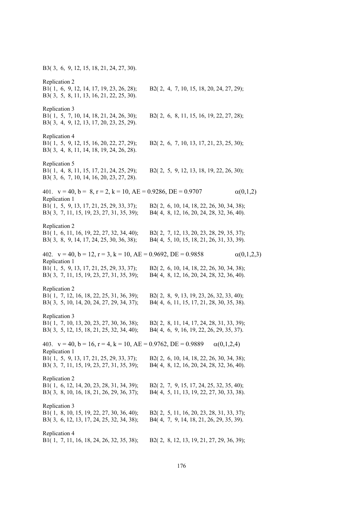B3( 3, 6, 9, 12, 15, 18, 21, 24, 27, 30). Replication 2 B1( 1, 6, 9, 12, 14, 17, 19, 23, 26, 28); B2( 2, 4, 7, 10, 15, 18, 20, 24, 27, 29); B3( 3, 5, 8, 11, 13, 16, 21, 22, 25, 30). Replication 3 B1( 1, 5, 7, 10, 14, 18, 21, 24, 26, 30); B2( 2, 6, 8, 11, 15, 16, 19, 22, 27, 28); B3( 3, 4, 9, 12, 13, 17, 20, 23, 25, 29). Replication 4 B1( 1, 5, 9, 12, 15, 16, 20, 22, 27, 29); B2( 2, 6, 7, 10, 13, 17, 21, 23, 25, 30); B3( 3, 4, 8, 11, 14, 18, 19, 24, 26, 28). Replication 5 B1( 1, 4, 8, 11, 15, 17, 21, 24, 25, 29); B2( 2, 5, 9, 12, 13, 18, 19, 22, 26, 30); B3( 3, 6, 7, 10, 14, 16, 20, 23, 27, 28). 401.  $v = 40$ ,  $b = 8$ ,  $r = 2$ ,  $k = 10$ ,  $AE = 0.9286$ ,  $DE = 0.9707$   $\alpha(0,1,2)$ Replication 1 B1( 1, 5, 9, 13, 17, 21, 25, 29, 33, 37); B2( 2, 6, 10, 14, 18, 22, 26, 30, 34, 38); B3( 3, 7, 11, 15, 19, 23, 27, 31, 35, 39); B4( 4, 8, 12, 16, 20, 24, 28, 32, 36, 40). Replication 2 B1( 1, 6, 11, 16, 19, 22, 27, 32, 34, 40); B2( 2, 7, 12, 13, 20, 23, 28, 29, 35, 37); B3( 3, 8, 9, 14, 17, 24, 25, 30, 36, 38); B4( 4, 5, 10, 15, 18, 21, 26, 31, 33, 39). 402.  $v = 40$ ,  $b = 12$ ,  $r = 3$ ,  $k = 10$ ,  $AE = 0.9692$ ,  $DE = 0.9858$   $\alpha(0,1,2,3)$ Replication 1 B1( 1, 5, 9, 13, 17, 21, 25, 29, 33, 37); B2( 2, 6, 10, 14, 18, 22, 26, 30, 34, 38); B3( 3, 7, 11, 15, 19, 23, 27, 31, 35, 39); B4( 4, 8, 12, 16, 20, 24, 28, 32, 36, 40). Replication 2 B1( 1, 7, 12, 16, 18, 22, 25, 31, 36, 39); B2( 2, 8, 9, 13, 19, 23, 26, 32, 33, 40); B3( 3, 5, 10, 14, 20, 24, 27, 29, 34, 37); B4( 4, 6, 11, 15, 17, 21, 28, 30, 35, 38). Replication 3 B1( 1, 7, 10, 13, 20, 23, 27, 30, 36, 38); B2( 2, 8, 11, 14, 17, 24, 28, 31, 33, 39); B3( 3, 5, 12, 15, 18, 21, 25, 32, 34, 40); B4( 4, 6, 9, 16, 19, 22, 26, 29, 35, 37). 403.  $v = 40$ ,  $b = 16$ ,  $r = 4$ ,  $k = 10$ ,  $AE = 0.9762$ ,  $DE = 0.9889$  (0,1,2,4) Replication 1 B1( 1, 5, 9, 13, 17, 21, 25, 29, 33, 37); B2( 2, 6, 10, 14, 18, 22, 26, 30, 34, 38); B3( 3, 7, 11, 15, 19, 23, 27, 31, 35, 39); B4( 4, 8, 12, 16, 20, 24, 28, 32, 36, 40). Replication 2 B1( 1, 6, 12, 14, 20, 23, 28, 31, 34, 39); B2( 2, 7, 9, 15, 17, 24, 25, 32, 35, 40); B3( 3, 8, 10, 16, 18, 21, 26, 29, 36, 37); B4( 4, 5, 11, 13, 19, 22, 27, 30, 33, 38). Replication 3 B1( 1, 8, 10, 15, 19, 22, 27, 30, 36, 40); B2( 2, 5, 11, 16, 20, 23, 28, 31, 33, 37); B3( 3, 6, 12, 13, 17, 24, 25, 32, 34, 38); B4( 4, 7, 9, 14, 18, 21, 26, 29, 35, 39). Replication 4 B1( 1, 7, 11, 16, 18, 24, 26, 32, 35, 38); B2( 2, 8, 12, 13, 19, 21, 27, 29, 36, 39);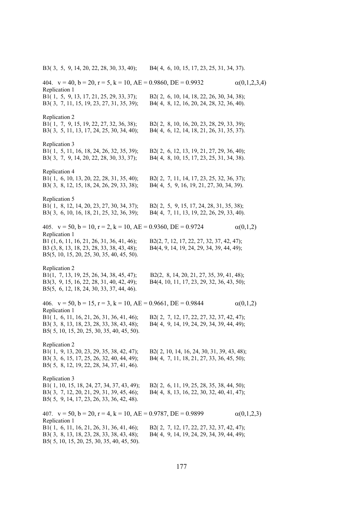B3( 3, 5, 9, 14, 20, 22, 28, 30, 33, 40); B4( 4, 6, 10, 15, 17, 23, 25, 31, 34, 37).

404.  $v = 40$ ,  $b = 20$ ,  $r = 5$ ,  $k = 10$ ,  $AE = 0.9860$ ,  $DE = 0.9932$   $\alpha(0,1,2,3,4)$ Replication 1 B1( 1, 5, 9, 13, 17, 21, 25, 29, 33, 37); B2( 2, 6, 10, 14, 18, 22, 26, 30, 34, 38); B3( 3, 7, 11, 15, 19, 23, 27, 31, 35, 39); B4( 4, 8, 12, 16, 20, 24, 28, 32, 36, 40). Replication 2 B1( 1, 7, 9, 15, 19, 22, 27, 32, 36, 38); B2( 2, 8, 10, 16, 20, 23, 28, 29, 33, 39); B3( 3, 5, 11, 13, 17, 24, 25, 30, 34, 40); B4( 4, 6, 12, 14, 18, 21, 26, 31, 35, 37). Replication 3 B1( 1, 5, 11, 16, 18, 24, 26, 32, 35, 39); B2( 2, 6, 12, 13, 19, 21, 27, 29, 36, 40); B3( 3, 7, 9, 14, 20, 22, 28, 30, 33, 37); B4( 4, 8, 10, 15, 17, 23, 25, 31, 34, 38). Replication 4 B1( 1, 6, 10, 13, 20, 22, 28, 31, 35, 40); B2( 2, 7, 11, 14, 17, 23, 25, 32, 36, 37); B3( 3, 8, 12, 15, 18, 24, 26, 29, 33, 38); B4( 4, 5, 9, 16, 19, 21, 27, 30, 34, 39). Replication 5 B1( 1, 8, 12, 14, 20, 23, 27, 30, 34, 37); B2( 2, 5, 9, 15, 17, 24, 28, 31, 35, 38); B3( 3, 6, 10, 16, 18, 21, 25, 32, 36, 39); B4( 4, 7, 11, 13, 19, 22, 26, 29, 33, 40). 405.  $v = 50$ ,  $b = 10$ ,  $r = 2$ ,  $k = 10$ ,  $AE = 0.9360$ ,  $DE = 0.9724$   $\alpha(0,1,2)$ Replication 1 B1 (1, 6, 11, 16, 21, 26, 31, 36, 41, 46); B2(2, 7, 12, 17, 22, 27, 32, 37, 42, 47); B3 (3, 8, 13, 18, 23, 28, 33, 38, 43, 48); B4(4, 9, 14, 19, 24, 29, 34, 39, 44, 49); B5(5, 10, 15, 20, 25, 30, 35, 40, 45, 50). Replication 2 B1(1, 7, 13, 19, 25, 26, 34, 38, 45, 47); B2(2, 8, 14, 20, 21, 27, 35, 39, 41, 48); B3(3, 9, 15, 16, 22, 28, 31, 40, 42, 49); B4(4, 10, 11, 17, 23, 29, 32, 36, 43, 50); B5(5, 6, 12, 18, 24, 30, 33, 37, 44, 46). 406.  $v = 50$ ,  $b = 15$ ,  $r = 3$ ,  $k = 10$ ,  $AE = 0.9661$ ,  $DE = 0.9844$   $\alpha(0,1,2)$ Replication 1 B1( 1, 6, 11, 16, 21, 26, 31, 36, 41, 46); B2( 2, 7, 12, 17, 22, 27, 32, 37, 42, 47); B3( 3, 8, 13, 18, 23, 28, 33, 38, 43, 48); B4( 4, 9, 14, 19, 24, 29, 34, 39, 44, 49); B5( 5, 10, 15, 20, 25, 30, 35, 40, 45, 50). Replication 2 B1( 1, 9, 13, 20, 23, 29, 35, 38, 42, 47); B2( 2, 10, 14, 16, 24, 30, 31, 39, 43, 48); B3( 3, 6, 15, 17, 25, 26, 32, 40, 44, 49); B4( 4, 7, 11, 18, 21, 27, 33, 36, 45, 50); B5( 5, 8, 12, 19, 22, 28, 34, 37, 41, 46). Replication 3 B1( 1, 10, 15, 18, 24, 27, 34, 37, 43, 49); B2( 2, 6, 11, 19, 25, 28, 35, 38, 44, 50); B3( 3, 7, 12, 20, 21, 29, 31, 39, 45, 46); B4( 4, 8, 13, 16, 22, 30, 32, 40, 41, 47); B5( 5, 9, 14, 17, 23, 26, 33, 36, 42, 48). 407.  $v = 50$ ,  $b = 20$ ,  $r = 4$ ,  $k = 10$ ,  $AE = 0.9787$ ,  $DE = 0.9899$   $\alpha(0,1,2,3)$ Replication 1 B1( 1, 6, 11, 16, 21, 26, 31, 36, 41, 46); B2( 2, 7, 12, 17, 22, 27, 32, 37, 42, 47); B3( 3, 8, 13, 18, 23, 28, 33, 38, 43, 48); B4( 4, 9, 14, 19, 24, 29, 34, 39, 44, 49); B5( 5, 10, 15, 20, 25, 30, 35, 40, 45, 50).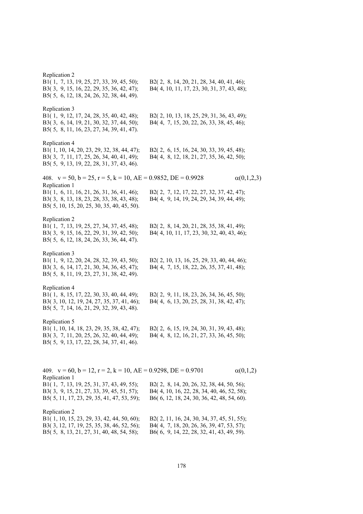Replication 2 B1( 1, 7, 13, 19, 25, 27, 33, 39, 45, 50); B2( 2, 8, 14, 20, 21, 28, 34, 40, 41, 46); B3( 3, 9, 15, 16, 22, 29, 35, 36, 42, 47); B4( 4, 10, 11, 17, 23, 30, 31, 37, 43, 48); B5( 5, 6, 12, 18, 24, 26, 32, 38, 44, 49). Replication 3 B1( 1, 9, 12, 17, 24, 28, 35, 40, 42, 48); B2( 2, 10, 13, 18, 25, 29, 31, 36, 43, 49); B3( 3, 6, 14, 19, 21, 30, 32, 37, 44, 50); B4( 4, 7, 15, 20, 22, 26, 33, 38, 45, 46); B5( 5, 8, 11, 16, 23, 27, 34, 39, 41, 47). Replication 4 B1( 1, 10, 14, 20, 23, 29, 32, 38, 44, 47); B2( 2, 6, 15, 16, 24, 30, 33, 39, 45, 48); B3( 3, 7, 11, 17, 25, 26, 34, 40, 41, 49); B4( 4, 8, 12, 18, 21, 27, 35, 36, 42, 50); B5( 5, 9, 13, 19, 22, 28, 31, 37, 43, 46). 408.  $v = 50$ ,  $b = 25$ ,  $r = 5$ ,  $k = 10$ ,  $AE = 0.9852$ ,  $DE = 0.9928$   $\alpha(0,1,2,3)$ Replication 1 B1( 1, 6, 11, 16, 21, 26, 31, 36, 41, 46); B2( 2, 7, 12, 17, 22, 27, 32, 37, 42, 47); B3( 3, 8, 13, 18, 23, 28, 33, 38, 43, 48); B4( 4, 9, 14, 19, 24, 29, 34, 39, 44, 49); B5( 5, 10, 15, 20, 25, 30, 35, 40, 45, 50). Replication 2 B1( 1, 7, 13, 19, 25, 27, 34, 37, 45, 48); B2( 2, 8, 14, 20, 21, 28, 35, 38, 41, 49); B3( 3, 9, 15, 16, 22, 29, 31, 39, 42, 50); B4( 4, 10, 11, 17, 23, 30, 32, 40, 43, 46); B5( 5, 6, 12, 18, 24, 26, 33, 36, 44, 47). Replication 3 B1( 1, 9, 12, 20, 24, 28, 32, 39, 43, 50); B2( 2, 10, 13, 16, 25, 29, 33, 40, 44, 46); B3( 3, 6, 14, 17, 21, 30, 34, 36, 45, 47); B4( 4, 7, 15, 18, 22, 26, 35, 37, 41, 48); B5( 5, 8, 11, 19, 23, 27, 31, 38, 42, 49). Replication 4 B1( 1, 8, 15, 17, 22, 30, 33, 40, 44, 49); B2( 2, 9, 11, 18, 23, 26, 34, 36, 45, 50); B3( 3, 10, 12, 19, 24, 27, 35, 37, 41, 46); B4( 4, 6, 13, 20, 25, 28, 31, 38, 42, 47); B5( 5, 7, 14, 16, 21, 29, 32, 39, 43, 48). Replication 5 B1( 1, 10, 14, 18, 23, 29, 35, 38, 42, 47); B2( 2, 6, 15, 19, 24, 30, 31, 39, 43, 48); B3( 3, 7, 11, 20, 25, 26, 32, 40, 44, 49); B4( 4, 8, 12, 16, 21, 27, 33, 36, 45, 50); B5( 5, 9, 13, 17, 22, 28, 34, 37, 41, 46). 409.  $v = 60$ ,  $b = 12$ ,  $r = 2$ ,  $k = 10$ ,  $AE = 0.9298$ ,  $DE = 0.9701$   $\alpha(0,1,2)$ Replication 1 B1( 1, 7, 13, 19, 25, 31, 37, 43, 49, 55); B2( 2, 8, 14, 20, 26, 32, 38, 44, 50, 56); B3( 3, 9, 15, 21, 27, 33, 39, 45, 51, 57); B4( 4, 10, 16, 22, 28, 34, 40, 46, 52, 58); B5( 5, 11, 17, 23, 29, 35, 41, 47, 53, 59); B6( 6, 12, 18, 24, 30, 36, 42, 48, 54, 60). Replication 2 B1( 1, 10, 15, 23, 29, 33, 42, 44, 50, 60); B2( 2, 11, 16, 24, 30, 34, 37, 45, 51, 55); B3( 3, 12, 17, 19, 25, 35, 38, 46, 52, 56); B4( 4, 7, 18, 20, 26, 36, 39, 47, 53, 57); B5( 5, 8, 13, 21, 27, 31, 40, 48, 54, 58); B6( 6, 9, 14, 22, 28, 32, 41, 43, 49, 59).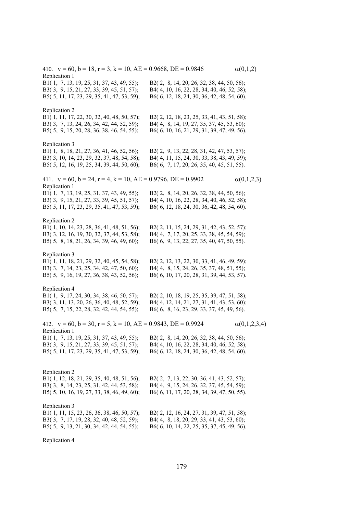410.  $v = 60$ ,  $b = 18$ ,  $r = 3$ ,  $k = 10$ ,  $AE = 0.9668$ ,  $DE = 0.9846$   $\alpha(0,1,2)$ Replication 1 B1( 1, 7, 13, 19, 25, 31, 37, 43, 49, 55); B2( 2, 8, 14, 20, 26, 32, 38, 44, 50, 56); B3( 3, 9, 15, 21, 27, 33, 39, 45, 51, 57); B4( 4, 10, 16, 22, 28, 34, 40, 46, 52, 58); B5( 5, 11, 17, 23, 29, 35, 41, 47, 53, 59); B6( 6, 12, 18, 24, 30, 36, 42, 48, 54, 60). Replication 2 B1( 1, 11, 17, 22, 30, 32, 40, 48, 50, 57); B2( 2, 12, 18, 23, 25, 33, 41, 43, 51, 58); B3( 3, 7, 13, 24, 26, 34, 42, 44, 52, 59); B4( 4, 8, 14, 19, 27, 35, 37, 45, 53, 60); B5( 5, 9, 15, 20, 28, 36, 38, 46, 54, 55); B6( 6, 10, 16, 21, 29, 31, 39, 47, 49, 56). Replication 3 B1( 1, 8, 18, 21, 27, 36, 41, 46, 52, 56); B2( 2, 9, 13, 22, 28, 31, 42, 47, 53, 57); B3( 3, 10, 14, 23, 29, 32, 37, 48, 54, 58); B4( 4, 11, 15, 24, 30, 33, 38, 43, 49, 59); B5( 5, 12, 16, 19, 25, 34, 39, 44, 50, 60); B6( 6, 7, 17, 20, 26, 35, 40, 45, 51, 55). 411.  $v = 60$ ,  $b = 24$ ,  $r = 4$ ,  $k = 10$ ,  $AE = 0.9796$ ,  $DE = 0.9902$   $\alpha(0,1,2,3)$ Replication 1 B1( 1, 7, 13, 19, 25, 31, 37, 43, 49, 55); B2( 2, 8, 14, 20, 26, 32, 38, 44, 50, 56); B3( 3, 9, 15, 21, 27, 33, 39, 45, 51, 57); B4( 4, 10, 16, 22, 28, 34, 40, 46, 52, 58); B5( 5, 11, 17, 23, 29, 35, 41, 47, 53, 59); B6( 6, 12, 18, 24, 30, 36, 42, 48, 54, 60). Replication 2 B1( 1, 10, 14, 23, 28, 36, 41, 48, 51, 56); B2( 2, 11, 15, 24, 29, 31, 42, 43, 52, 57); B3( 3, 12, 16, 19, 30, 32, 37, 44, 53, 58); B4( 4, 7, 17, 20, 25, 33, 38, 45, 54, 59); B5( 5, 8, 18, 21, 26, 34, 39, 46, 49, 60); B6( 6, 9, 13, 22, 27, 35, 40, 47, 50, 55). Replication 3 B1( 1, 11, 18, 21, 29, 32, 40, 45, 54, 58); B2( 2, 12, 13, 22, 30, 33, 41, 46, 49, 59); B3( 3, 7, 14, 23, 25, 34, 42, 47, 50, 60); B4( 4, 8, 15, 24, 26, 35, 37, 48, 51, 55); B5( 5, 9, 16, 19, 27, 36, 38, 43, 52, 56); B6( 6, 10, 17, 20, 28, 31, 39, 44, 53, 57). Replication 4 B1( 1, 9, 17, 24, 30, 34, 38, 46, 50, 57); B2( 2, 10, 18, 19, 25, 35, 39, 47, 51, 58); B3( 3, 11, 13, 20, 26, 36, 40, 48, 52, 59); B4( 4, 12, 14, 21, 27, 31, 41, 43, 53, 60); B5( 5, 7, 15, 22, 28, 32, 42, 44, 54, 55); B6( 6, 8, 16, 23, 29, 33, 37, 45, 49, 56). 412.  $v = 60$ ,  $b = 30$ ,  $r = 5$ ,  $k = 10$ ,  $AE = 0.9843$ ,  $DE = 0.9924$   $\alpha(0,1,2,3,4)$ Replication 1 B1( 1, 7, 13, 19, 25, 31, 37, 43, 49, 55); B2( 2, 8, 14, 20, 26, 32, 38, 44, 50, 56); B3( 3, 9, 15, 21, 27, 33, 39, 45, 51, 57); B4( 4, 10, 16, 22, 28, 34, 40, 46, 52, 58); B5( 5, 11, 17, 23, 29, 35, 41, 47, 53, 59); B6( 6, 12, 18, 24, 30, 36, 42, 48, 54, 60). Replication 2 B1( 1, 12, 18, 21, 29, 35, 40, 48, 51, 56); B2( 2, 7, 13, 22, 30, 36, 41, 43, 52, 57); B3( 3, 8, 14, 23, 25, 31, 42, 44, 53, 58); B4( 4, 9, 15, 24, 26, 32, 37, 45, 54, 59); B5( 5, 10, 16, 19, 27, 33, 38, 46, 49, 60); B6( 6, 11, 17, 20, 28, 34, 39, 47, 50, 55). Replication 3 B1( 1, 11, 15, 23, 26, 36, 38, 46, 50, 57); B2( 2, 12, 16, 24, 27, 31, 39, 47, 51, 58); B3( 3, 7, 17, 19, 28, 32, 40, 48, 52, 59); B4( 4, 8, 18, 20, 29, 33, 41, 43, 53, 60); B5( 5, 9, 13, 21, 30, 34, 42, 44, 54, 55); B6( 6, 10, 14, 22, 25, 35, 37, 45, 49, 56).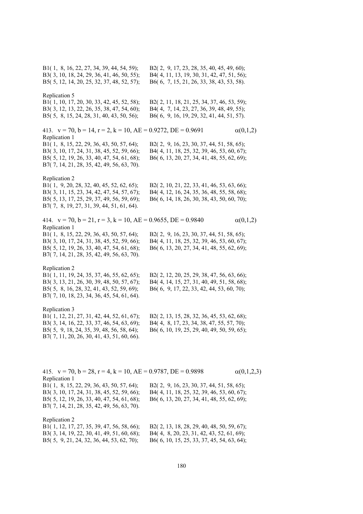B1( 1, 8, 16, 22, 27, 34, 39, 44, 54, 59); B2( 2, 9, 17, 23, 28, 35, 40, 45, 49, 60); B3( 3, 10, 18, 24, 29, 36, 41, 46, 50, 55); B4( 4, 11, 13, 19, 30, 31, 42, 47, 51, 56); B5( 5, 12, 14, 20, 25, 32, 37, 48, 52, 57); B6( 6, 7, 15, 21, 26, 33, 38, 43, 53, 58). Replication 5 B1( 1, 10, 17, 20, 30, 33, 42, 45, 52, 58); B2( 2, 11, 18, 21, 25, 34, 37, 46, 53, 59); B3( 3, 12, 13, 22, 26, 35, 38, 47, 54, 60); B4( 4, 7, 14, 23, 27, 36, 39, 48, 49, 55); B5( 5, 8, 15, 24, 28, 31, 40, 43, 50, 56); B6( 6, 9, 16, 19, 29, 32, 41, 44, 51, 57). 413.  $v = 70$ ,  $b = 14$ ,  $r = 2$ ,  $k = 10$ ,  $AE = 0.9272$ ,  $DE = 0.9691$  (0,1,2) Replication 1 B1( 1, 8, 15, 22, 29, 36, 43, 50, 57, 64); B2( 2, 9, 16, 23, 30, 37, 44, 51, 58, 65); B3( 3, 10, 17, 24, 31, 38, 45, 52, 59, 66); B4( 4, 11, 18, 25, 32, 39, 46, 53, 60, 67); B5( 5, 12, 19, 26, 33, 40, 47, 54, 61, 68); B6( 6, 13, 20, 27, 34, 41, 48, 55, 62, 69); B7( 7, 14, 21, 28, 35, 42, 49, 56, 63, 70). Replication 2 B1( 1, 9, 20, 28, 32, 40, 45, 52, 62, 65); B2( 2, 10, 21, 22, 33, 41, 46, 53, 63, 66); B3( 3, 11, 15, 23, 34, 42, 47, 54, 57, 67); B4( 4, 12, 16, 24, 35, 36, 48, 55, 58, 68); B5( 5, 13, 17, 25, 29, 37, 49, 56, 59, 69); B6( 6, 14, 18, 26, 30, 38, 43, 50, 60, 70); B7( 7, 8, 19, 27, 31, 39, 44, 51, 61, 64). 414.  $v = 70$ ,  $b = 21$ ,  $r = 3$ ,  $k = 10$ ,  $AE = 0.9655$ ,  $DE = 0.9840$   $\alpha(0,1,2)$ Replication 1 B1( 1, 8, 15, 22, 29, 36, 43, 50, 57, 64); B2( 2, 9, 16, 23, 30, 37, 44, 51, 58, 65); B3( 3, 10, 17, 24, 31, 38, 45, 52, 59, 66); B4( 4, 11, 18, 25, 32, 39, 46, 53, 60, 67); B5( 5, 12, 19, 26, 33, 40, 47, 54, 61, 68); B6( 6, 13, 20, 27, 34, 41, 48, 55, 62, 69); B7( 7, 14, 21, 28, 35, 42, 49, 56, 63, 70). Replication 2 B1( 1, 11, 19, 24, 35, 37, 46, 55, 62, 65); B2( 2, 12, 20, 25, 29, 38, 47, 56, 63, 66); B3( 3, 13, 21, 26, 30, 39, 48, 50, 57, 67); B4( 4, 14, 15, 27, 31, 40, 49, 51, 58, 68); B5( 5, 8, 16, 28, 32, 41, 43, 52, 59, 69); B6( 6, 9, 17, 22, 33, 42, 44, 53, 60, 70); B7( 7, 10, 18, 23, 34, 36, 45, 54, 61, 64). Replication 3 B1( 1, 12, 21, 27, 31, 42, 44, 52, 61, 67); B2( 2, 13, 15, 28, 32, 36, 45, 53, 62, 68); B3( 3, 14, 16, 22, 33, 37, 46, 54, 63, 69); B4( 4, 8, 17, 23, 34, 38, 47, 55, 57, 70); B5( 5, 9, 18, 24, 35, 39, 48, 56, 58, 64); B6( 6, 10, 19, 25, 29, 40, 49, 50, 59, 65); B7( 7, 11, 20, 26, 30, 41, 43, 51, 60, 66). 415.  $v = 70$ ,  $b = 28$ ,  $r = 4$ ,  $k = 10$ ,  $AE = 0.9787$ ,  $DE = 0.9898$   $\alpha(0,1,2,3)$ Replication 1 B1( 1, 8, 15, 22, 29, 36, 43, 50, 57, 64); B2( 2, 9, 16, 23, 30, 37, 44, 51, 58, 65); B3( 3, 10, 17, 24, 31, 38, 45, 52, 59, 66); B4( 4, 11, 18, 25, 32, 39, 46, 53, 60, 67); B5( 5, 12, 19, 26, 33, 40, 47, 54, 61, 68); B6( 6, 13, 20, 27, 34, 41, 48, 55, 62, 69); B7( 7, 14, 21, 28, 35, 42, 49, 56, 63, 70). Replication 2 B1( 1, 12, 17, 27, 35, 39, 47, 56, 58, 66); B2( 2, 13, 18, 28, 29, 40, 48, 50, 59, 67); B3( 3, 14, 19, 22, 30, 41, 49, 51, 60, 68); B4( 4, 8, 20, 23, 31, 42, 43, 52, 61, 69); B5( 5, 9, 21, 24, 32, 36, 44, 53, 62, 70); B6( 6, 10, 15, 25, 33, 37, 45, 54, 63, 64);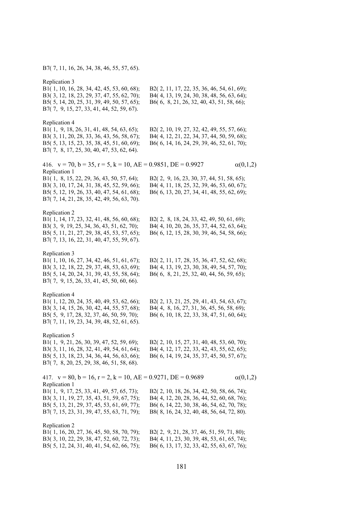B7( 7, 11, 16, 26, 34, 38, 46, 55, 57, 65).

Rep<br>B1(

| Replication 3<br>B1(1, 10, 16, 28, 34, 42, 45, 53, 60, 68);<br>B3(3, 12, 18, 23, 29, 37, 47, 55, 62, 70);<br>B5(5, 14, 20, 25, 31, 39, 49, 50, 57, 65);<br>B7(7, 9, 15, 27, 33, 41, 44, 52, 59, 67). | B2(2, 11, 17, 22, 35, 36, 46, 54, 61, 69);<br>B4(4, 13, 19, 24, 30, 38, 48, 56, 63, 64);<br>B6(6, 8, 21, 26, 32, 40, 43, 51, 58, 66);                                                |                 |
|------------------------------------------------------------------------------------------------------------------------------------------------------------------------------------------------------|--------------------------------------------------------------------------------------------------------------------------------------------------------------------------------------|-----------------|
| Replication 4<br>B1(1, 9, 18, 26, 31, 41, 48, 54, 63, 65);<br>B3(3, 11, 20, 28, 33, 36, 43, 56, 58, 67);<br>B5(5, 13, 15, 23, 35, 38, 45, 51, 60, 69);<br>B7(7, 8, 17, 25, 30, 40, 47, 53, 62, 64).  | B2(2, 10, 19, 27, 32, 42, 49, 55, 57, 66);<br>B4(4, 12, 21, 22, 34, 37, 44, 50, 59, 68);<br>B6(6, 14, 16, 24, 29, 39, 46, 52, 61, 70);                                               |                 |
| 416. $v = 70$ , $b = 35$ , $r = 5$ , $k = 10$ , $AE = 0.9851$ , $DE = 0.9927$<br>Replication 1                                                                                                       |                                                                                                                                                                                      | $\alpha(0,1,2)$ |
| B1(1, 8, 15, 22, 29, 36, 43, 50, 57, 64);<br>B3(3, 10, 17, 24, 31, 38, 45, 52, 59, 66);<br>B5(5, 12, 19, 26, 33, 40, 47, 54, 61, 68);<br>B7(7, 14, 21, 28, 35, 42, 49, 56, 63, 70).                  | B2(2, 9, 16, 23, 30, 37, 44, 51, 58, 65);<br>B4(4, 11, 18, 25, 32, 39, 46, 53, 60, 67);<br>B6(6, 13, 20, 27, 34, 41, 48, 55, 62, 69);                                                |                 |
| Replication 2<br>B1(1, 14, 17, 23, 32, 41, 48, 56, 60, 68);<br>B3(3, 9, 19, 25, 34, 36, 43, 51, 62, 70);<br>B5(5, 11, 21, 27, 29, 38, 45, 53, 57, 65);<br>B7(7, 13, 16, 22, 31, 40, 47, 55, 59, 67). | B2(2, 8, 18, 24, 33, 42, 49, 50, 61, 69);<br>B4(4, 10, 20, 26, 35, 37, 44, 52, 63, 64);<br>B6(6, 12, 15, 28, 30, 39, 46, 54, 58, 66);                                                |                 |
| Replication 3<br>B1(1, 10, 16, 27, 34, 42, 46, 51, 61, 67);<br>B3(3, 12, 18, 22, 29, 37, 48, 53, 63, 69);<br>B5(5, 14, 20, 24, 31, 39, 43, 55, 58, 64);<br>B7(7, 9, 15, 26, 33, 41, 45, 50, 60, 66). | B2(2, 11, 17, 28, 35, 36, 47, 52, 62, 68);<br>B4(4, 13, 19, 23, 30, 38, 49, 54, 57, 70);<br>B6(6, 8, 21, 25, 32, 40, 44, 56, 59, 65);                                                |                 |
| Replication 4<br>B1(1, 12, 20, 24, 35, 40, 49, 53, 62, 66);<br>B3(3, 14, 15, 26, 30, 42, 44, 55, 57, 68);<br>B5(5, 9, 17, 28, 32, 37, 46, 50, 59, 70);<br>B7(7, 11, 19, 23, 34, 39, 48, 52, 61, 65). | B2(2, 13, 21, 25, 29, 41, 43, 54, 63, 67);<br>B4(4, 8, 16, 27, 31, 36, 45, 56, 58, 69);<br>B6(6, 10, 18, 22, 33, 38, 47, 51, 60, 64);                                                |                 |
| Replication 5<br>B1(1, 9, 21, 26, 30, 39, 47, 52, 59, 69);<br>B3(3, 11, 16, 28, 32, 41, 49, 54, 61, 64);<br>B5(5, 13, 18, 23, 34, 36, 44, 56, 63, 66);<br>B7(7, 8, 20, 25, 29, 38, 46, 51, 58, 68).  | B2(2, 10, 15, 27, 31, 40, 48, 53, 60, 70);<br>B4(4, 12, 17, 22, 33, 42, 43, 55, 62, 65);<br>B6(6, 14, 19, 24, 35, 37, 45, 50, 57, 67);                                               |                 |
| 417. $v = 80$ , $b = 16$ , $r = 2$ , $k = 10$ , $AE = 0.9271$ , $DE = 0.9689$<br>Replication 1                                                                                                       |                                                                                                                                                                                      | $\alpha(0,1,2)$ |
| B1(1, 9, 17, 25, 33, 41, 49, 57, 65, 73);<br>B3(3, 11, 19, 27, 35, 43, 51, 59, 67, 75);<br>B5(5, 13, 21, 29, 37, 45, 53, 61, 69, 77);<br>B7(7, 15, 23, 31, 39, 47, 55, 63, 71, 79);                  | B2(2, 10, 18, 26, 34, 42, 50, 58, 66, 74);<br>B4(4, 12, 20, 28, 36, 44, 52, 60, 68, 76);<br>B6(6, 14, 22, 30, 38, 46, 54, 62, 70, 78);<br>B8(8, 16, 24, 32, 40, 48, 56, 64, 72, 80). |                 |
| Replication 2<br>B1(1, 16, 20, 27, 36, 45, 50, 58, 70, 79);<br>B3(3, 10, 22, 29, 38, 47, 52, 60, 72, 73);<br>B5(5, 12, 24, 31, 40, 41, 54, 62, 66, 75);                                              | B2(2, 9, 21, 28, 37, 46, 51, 59, 71, 80);<br>B4(4, 11, 23, 30, 39, 48, 53, 61, 65, 74);<br>B6(6, 13, 17, 32, 33, 42, 55, 63, 67, 76);                                                |                 |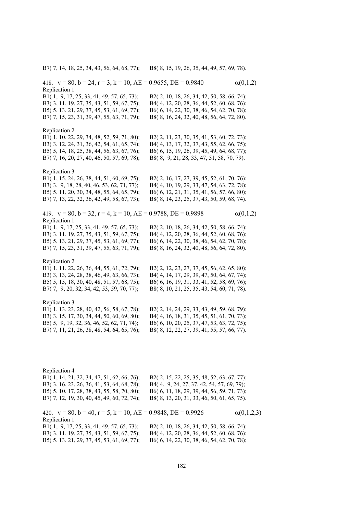B7( 7, 14, 18, 25, 34, 43, 56, 64, 68, 77); B8( 8, 15, 19, 26, 35, 44, 49, 57, 69, 78).

418.  $v = 80$ ,  $b = 24$ ,  $r = 3$ ,  $k = 10$ ,  $AE = 0.9655$ ,  $DE = 0.9840$   $\alpha(0,1,2)$ Replication 1 B1( 1, 9, 17, 25, 33, 41, 49, 57, 65, 73); B2( 2, 10, 18, 26, 34, 42, 50, 58, 66, 74); B3( 3, 11, 19, 27, 35, 43, 51, 59, 67, 75); B4( 4, 12, 20, 28, 36, 44, 52, 60, 68, 76); B5( 5, 13, 21, 29, 37, 45, 53, 61, 69, 77); B6( 6, 14, 22, 30, 38, 46, 54, 62, 70, 78); B7( 7, 15, 23, 31, 39, 47, 55, 63, 71, 79); B8( 8, 16, 24, 32, 40, 48, 56, 64, 72, 80). Replication 2 B1( 1, 10, 22, 29, 34, 48, 52, 59, 71, 80); B2( 2, 11, 23, 30, 35, 41, 53, 60, 72, 73); B3( 3, 12, 24, 31, 36, 42, 54, 61, 65, 74); B4( 4, 13, 17, 32, 37, 43, 55, 62, 66, 75); B5( 5, 14, 18, 25, 38, 44, 56, 63, 67, 76); B6( 6, 15, 19, 26, 39, 45, 49, 64, 68, 77); B7( 7, 16, 20, 27, 40, 46, 50, 57, 69, 78); B8( 8, 9, 21, 28, 33, 47, 51, 58, 70, 79). Replication 3 B1( 1, 15, 24, 26, 38, 44, 51, 60, 69, 75); B2( 2, 16, 17, 27, 39, 45, 52, 61, 70, 76); B3( 3, 9, 18, 28, 40, 46, 53, 62, 71, 77); B4( 4, 10, 19, 29, 33, 47, 54, 63, 72, 78); B5( 5, 11, 20, 30, 34, 48, 55, 64, 65, 79); B6( 6, 12, 21, 31, 35, 41, 56, 57, 66, 80); B7( 7, 13, 22, 32, 36, 42, 49, 58, 67, 73); B8( 8, 14, 23, 25, 37, 43, 50, 59, 68, 74). 419.  $v = 80$ ,  $b = 32$ ,  $r = 4$ ,  $k = 10$ ,  $AE = 0.9788$ ,  $DE = 0.9898$   $\alpha(0,1,2)$ Replication 1 B1( 1, 9, 17, 25, 33, 41, 49, 57, 65, 73); B2( 2, 10, 18, 26, 34, 42, 50, 58, 66, 74); B3( 3, 11, 19, 27, 35, 43, 51, 59, 67, 75); B4( 4, 12, 20, 28, 36, 44, 52, 60, 68, 76); B5( 5, 13, 21, 29, 37, 45, 53, 61, 69, 77); B6( 6, 14, 22, 30, 38, 46, 54, 62, 70, 78); B7( 7, 15, 23, 31, 39, 47, 55, 63, 71, 79); B8( 8, 16, 24, 32, 40, 48, 56, 64, 72, 80). Replication 2 B1( 1, 11, 22, 26, 36, 44, 55, 61, 72, 79); B2( 2, 12, 23, 27, 37, 45, 56, 62, 65, 80); B3( 3, 13, 24, 28, 38, 46, 49, 63, 66, 73); B4( 4, 14, 17, 29, 39, 47, 50, 64, 67, 74); B5( 5, 15, 18, 30, 40, 48, 51, 57, 68, 75); B6( 6, 16, 19, 31, 33, 41, 52, 58, 69, 76); B7( 7, 9, 20, 32, 34, 42, 53, 59, 70, 77); B8( 8, 10, 21, 25, 35, 43, 54, 60, 71, 78). Replication 3 B1( 1, 13, 23, 28, 40, 42, 56, 58, 67, 78); B2( 2, 14, 24, 29, 33, 43, 49, 59, 68, 79); B3( 3, 15, 17, 30, 34, 44, 50, 60, 69, 80); B4( 4, 16, 18, 31, 35, 45, 51, 61, 70, 73); B5( 5, 9, 19, 32, 36, 46, 52, 62, 71, 74); B6( 6, 10, 20, 25, 37, 47, 53, 63, 72, 75); B7( 7, 11, 21, 26, 38, 48, 54, 64, 65, 76); B8( 8, 12, 22, 27, 39, 41, 55, 57, 66, 77). Replication 4 B1( 1, 14, 21, 32, 34, 47, 51, 62, 66, 76); B2( 2, 15, 22, 25, 35, 48, 52, 63, 67, 77); B3( 3, 16, 23, 26, 36, 41, 53, 64, 68, 78); B4( 4, 9, 24, 27, 37, 42, 54, 57, 69, 79); B5( 5, 10, 17, 28, 38, 43, 55, 58, 70, 80); B6( 6, 11, 18, 29, 39, 44, 56, 59, 71, 73); B7( 7, 12, 19, 30, 40, 45, 49, 60, 72, 74); B8( 8, 13, 20, 31, 33, 46, 50, 61, 65, 75).

420.  $v = 80$ ,  $b = 40$ ,  $r = 5$ ,  $k = 10$ ,  $AE = 0.9848$ ,  $DE = 0.9926$   $\alpha(0,1,2,3)$ Replication 1 B1( 1, 9, 17, 25, 33, 41, 49, 57, 65, 73); B2( 2, 10, 18, 26, 34, 42, 50, 58, 66, 74); B3( 3, 11, 19, 27, 35, 43, 51, 59, 67, 75); B4( 4, 12, 20, 28, 36, 44, 52, 60, 68, 76); B5( 5, 13, 21, 29, 37, 45, 53, 61, 69, 77); B6( 6, 14, 22, 30, 38, 46, 54, 62, 70, 78);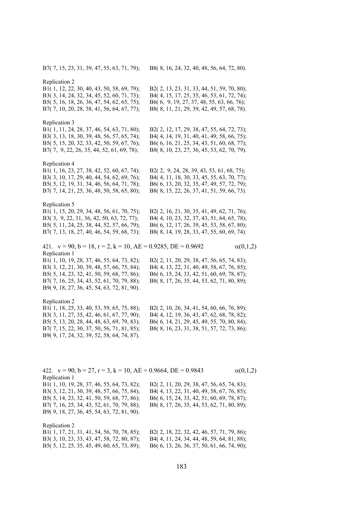B7( 7, 15, 23, 31, 39, 47, 55, 63, 71, 79); B8( 8, 16, 24, 32, 40, 48, 56, 64, 72, 80).

Replication 2 B1( 1, 12, 22, 30, 40, 43, 50, 58, 69, 79); B2( 2, 13, 23, 31, 33, 44, 51, 59, 70, 80); B3( 3, 14, 24, 32, 34, 45, 52, 60, 71, 73); B4( 4, 15, 17, 25, 35, 46, 53, 61, 72, 74); B5( 5, 16, 18, 26, 36, 47, 54, 62, 65, 75); B6( 6, 9, 19, 27, 37, 48, 55, 63, 66, 76); B7( 7, 10, 20, 28, 38, 41, 56, 64, 67, 77); B8( 8, 11, 21, 29, 39, 42, 49, 57, 68, 78). Replication 3 B1( 1, 11, 24, 28, 37, 46, 54, 63, 71, 80); B2( 2, 12, 17, 29, 38, 47, 55, 64, 72, 73); B3( 3, 13, 18, 30, 39, 48, 56, 57, 65, 74); B4( 4, 14, 19, 31, 40, 41, 49, 58, 66, 75); B5( 5, 15, 20, 32, 33, 42, 50, 59, 67, 76); B6( 6, 16, 21, 25, 34, 43, 51, 60, 68, 77); B7( 7, 9, 22, 26, 35, 44, 52, 61, 69, 78); B8( 8, 10, 23, 27, 36, 45, 53, 62, 70, 79). Replication 4 B1( 1, 16, 23, 27, 38, 42, 52, 60, 67, 74); B2( 2, 9, 24, 28, 39, 43, 53, 61, 68, 75);

B3( 3, 10, 17, 29, 40, 44, 54, 62, 69, 76); B4( 4, 11, 18, 30, 33, 45, 55, 63, 70, 77); B5( 5, 12, 19, 31, 34, 46, 56, 64, 71, 78); B6( 6, 13, 20, 32, 35, 47, 49, 57, 72, 79); B7( 7, 14, 21, 25, 36, 48, 50, 58, 65, 80); B8( 8, 15, 22, 26, 37, 41, 51, 59, 66, 73).

Replication 5

B1( 1, 15, 20, 29, 34, 48, 56, 61, 70, 75); B2( 2, 16, 21, 30, 35, 41, 49, 62, 71, 76); B3( 3, 9, 22, 31, 36, 42, 50, 63, 72, 77); B4( 4, 10, 23, 32, 37, 43, 51, 64, 65, 78); B5( 5, 11, 24, 25, 38, 44, 52, 57, 66, 79); B6( 6, 12, 17, 26, 39, 45, 53, 58, 67, 80); B7( 7, 13, 18, 27, 40, 46, 54, 59, 68, 73); B8( 8, 14, 19, 28, 33, 47, 55, 60, 69, 74).

421.  $v = 90$ ,  $b = 18$ ,  $r = 2$ ,  $k = 10$ ,  $AE = 0.9285$ ,  $DE = 0.9692$   $\alpha(0,1,2)$ Replication 1 B1( 1, 10, 19, 28, 37, 46, 55, 64, 73, 82); B2( 2, 11, 20, 29, 38, 47, 56, 65, 74, 83); B3( 3, 12, 21, 30, 39, 48, 57, 66, 75, 84); B4( 4, 13, 22, 31, 40, 49, 58, 67, 76, 85); B5( 5, 14, 23, 32, 41, 50, 59, 68, 77, 86); B6( 6, 15, 24, 33, 42, 51, 60, 69, 78, 87); B7( 7, 16, 25, 34, 43, 52, 61, 70, 79, 88); B8( 8, 17, 26, 35, 44, 53, 62, 71, 80, 89); B9( 9, 18, 27, 36, 45, 54, 63, 72, 81, 90).

Replication 2

| B1(1, 18, 25, 33, 40, 53, 59, 65, 75, 88); | B2(2, 10, 26, 34, 41, 54, 60, 66, 76, 89);  |
|--------------------------------------------|---------------------------------------------|
| B3(3, 11, 27, 35, 42, 46, 61, 67, 77, 90); | B4(4, 12, 19, 36, 43, 47, 62, 68, 78, 82);  |
| B5(5, 13, 20, 28, 44, 48, 63, 69, 79, 83); | B6( 6, 14, 21, 29, 45, 49, 55, 70, 80, 84); |
| B7(7, 15, 22, 30, 37, 50, 56, 71, 81, 85); | B8(8, 16, 23, 31, 38, 51, 57, 72, 73, 86);  |
| B9(9, 17, 24, 32, 39, 52, 58, 64, 74, 87). |                                             |

422.  $v = 90$ ,  $b = 27$ ,  $r = 3$ ,  $k = 10$ ,  $AE = 0.9664$ ,  $DE = 0.9843$   $\alpha(0,1,2)$ Replication 1 B1( 1, 10, 19, 28, 37, 46, 55, 64, 73, 82); B2( 2, 11, 20, 29, 38, 47, 56, 65, 74, 83); B3( 3, 12, 21, 30, 39, 48, 57, 66, 75, 84); B4( 4, 13, 22, 31, 40, 49, 58, 67, 76, 85); B5( 5, 14, 23, 32, 41, 50, 59, 68, 77, 86); B6( 6, 15, 24, 33, 42, 51, 60, 69, 78, 87); B7( 7, 16, 25, 34, 43, 52, 61, 70, 79, 88); B8( 8, 17, 26, 35, 44, 53, 62, 71, 80, 89); B9( 9, 18, 27, 36, 45, 54, 63, 72, 81, 90). Replication 2  $B1(1, 17, 21, 31, 41, 54, 56, 70, 78, 85)$ ; B2( 2, 18, 22, 32, 42, 46, 57, 71, 79, 86)

| BI(1, 17, 21, 31, 41, 34, 30, 70, 78, 83), | $D\angle$ (2, 10, 22, 32, 42, 40, 37, 71, 79, 60), |
|--------------------------------------------|----------------------------------------------------|
| B3(3, 10, 23, 33, 43, 47, 58, 72, 80, 87); | B4(4, 11, 24, 34, 44, 48, 59, 64, 81, 88);         |
| B5(5, 12, 25, 35, 45, 49, 60, 65, 73, 89); | B6( 6, 13, 26, 36, 37, 50, 61, 66, 74, 90);        |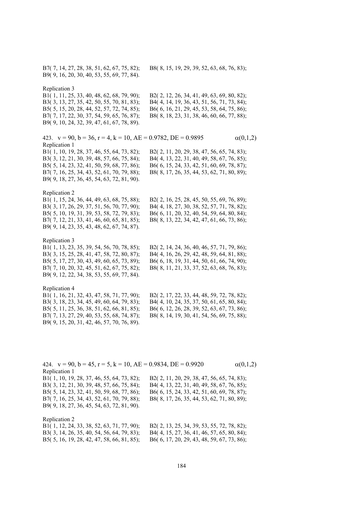B7( 7, 14, 27, 28, 38, 51, 62, 67, 75, 82); B8( 8, 15, 19, 29, 39, 52, 63, 68, 76, 83); B9( 9, 16, 20, 30, 40, 53, 55, 69, 77, 84). Replication 3 B1( 1, 11, 25, 33, 40, 48, 62, 68, 79, 90); B2( 2, 12, 26, 34, 41, 49, 63, 69, 80, 82); B3( 3, 13, 27, 35, 42, 50, 55, 70, 81, 83); B4( 4, 14, 19, 36, 43, 51, 56, 71, 73, 84); B5( 5, 15, 20, 28, 44, 52, 57, 72, 74, 85); B6( 6, 16, 21, 29, 45, 53, 58, 64, 75, 86); B7( 7, 17, 22, 30, 37, 54, 59, 65, 76, 87); B8( 8, 18, 23, 31, 38, 46, 60, 66, 77, 88); B9( 9, 10, 24, 32, 39, 47, 61, 67, 78, 89). 423.  $v = 90$ ,  $b = 36$ ,  $r = 4$ ,  $k = 10$ ,  $AE = 0.9782$ ,  $DE = 0.9895$   $\alpha(0,1,2)$ Replication 1 B1( 1, 10, 19, 28, 37, 46, 55, 64, 73, 82); B2( 2, 11, 20, 29, 38, 47, 56, 65, 74, 83); B3( 3, 12, 21, 30, 39, 48, 57, 66, 75, 84); B4( 4, 13, 22, 31, 40, 49, 58, 67, 76, 85); B5( 5, 14, 23, 32, 41, 50, 59, 68, 77, 86); B6( 6, 15, 24, 33, 42, 51, 60, 69, 78, 87); B7( 7, 16, 25, 34, 43, 52, 61, 70, 79, 88); B8( 8, 17, 26, 35, 44, 53, 62, 71, 80, 89); B9( 9, 18, 27, 36, 45, 54, 63, 72, 81, 90). Replication 2 B1( 1, 15, 24, 36, 44, 49, 63, 68, 75, 88); B2( 2, 16, 25, 28, 45, 50, 55, 69, 76, 89); B3( 3, 17, 26, 29, 37, 51, 56, 70, 77, 90); B4( 4, 18, 27, 30, 38, 52, 57, 71, 78, 82); B5( 5, 10, 19, 31, 39, 53, 58, 72, 79, 83); B6( 6, 11, 20, 32, 40, 54, 59, 64, 80, 84); B7( 7, 12, 21, 33, 41, 46, 60, 65, 81, 85); B8( 8, 13, 22, 34, 42, 47, 61, 66, 73, 86); B9( 9, 14, 23, 35, 43, 48, 62, 67, 74, 87). Replication 3 B1( 1, 13, 23, 35, 39, 54, 56, 70, 78, 85); B2( 2, 14, 24, 36, 40, 46, 57, 71, 79, 86); B3( 3, 15, 25, 28, 41, 47, 58, 72, 80, 87); B4( 4, 16, 26, 29, 42, 48, 59, 64, 81, 88); B5( 5, 17, 27, 30, 43, 49, 60, 65, 73, 89); B6( 6, 18, 19, 31, 44, 50, 61, 66, 74, 90); B7( 7, 10, 20, 32, 45, 51, 62, 67, 75, 82); B8( 8, 11, 21, 33, 37, 52, 63, 68, 76, 83); B9( 9, 12, 22, 34, 38, 53, 55, 69, 77, 84). Replication 4 B1( 1, 16, 21, 32, 43, 47, 58, 71, 77, 90); B2( 2, 17, 22, 33, 44, 48, 59, 72, 78, 82); B3( 3, 18, 23, 34, 45, 49, 60, 64, 79, 83); B4( 4, 10, 24, 35, 37, 50, 61, 65, 80, 84); B5( 5, 11, 25, 36, 38, 51, 62, 66, 81, 85); B6( 6, 12, 26, 28, 39, 52, 63, 67, 73, 86); B7( 7, 13, 27, 29, 40, 53, 55, 68, 74, 87); B8( 8, 14, 19, 30, 41, 54, 56, 69, 75, 88); B9( 9, 15, 20, 31, 42, 46, 57, 70, 76, 89).

424.  $v = 90$ ,  $b = 45$ ,  $r = 5$ ,  $k = 10$ ,  $AE = 0.9834$ ,  $DE = 0.9920$   $\alpha(0,1,2)$ Replication 1 B1( 1, 10, 19, 28, 37, 46, 55, 64, 73, 82); B2( 2, 11, 20, 29, 38, 47, 56, 65, 74, 83); B3( 3, 12, 21, 30, 39, 48, 57, 66, 75, 84); B4( 4, 13, 22, 31, 40, 49, 58, 67, 76, 85); B5( 5, 14, 23, 32, 41, 50, 59, 68, 77, 86); B6( 6, 15, 24, 33, 42, 51, 60, 69, 78, 87); B7( 7, 16, 25, 34, 43, 52, 61, 70, 79, 88); B8( 8, 17, 26, 35, 44, 53, 62, 71, 80, 89); B9( 9, 18, 27, 36, 45, 54, 63, 72, 81, 90). Replication 2

| B1(1, 12, 24, 33, 38, 52, 63, 71, 77, 90);  | B2(2, 13, 25, 34, 39, 53, 55, 72, 78, 82);  |
|---------------------------------------------|---------------------------------------------|
| B3(3, 14, 26, 35, 40, 54, 56, 64, 79, 83);  | B4(4, 15, 27, 36, 41, 46, 57, 65, 80, 84);  |
| B5( 5, 16, 19, 28, 42, 47, 58, 66, 81, 85); | B6( 6, 17, 20, 29, 43, 48, 59, 67, 73, 86); |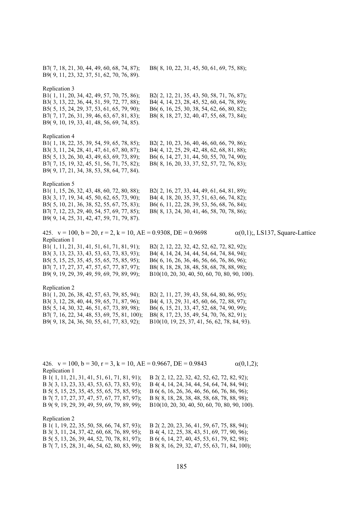B7( 7, 18, 21, 30, 44, 49, 60, 68, 74, 87); B8( 8, 10, 22, 31, 45, 50, 61, 69, 75, 88); B9( 9, 11, 23, 32, 37, 51, 62, 70, 76, 89). Replication 3 B1( 1, 11, 20, 34, 42, 49, 57, 70, 75, 86); B2( 2, 12, 21, 35, 43, 50, 58, 71, 76, 87); B3( 3, 13, 22, 36, 44, 51, 59, 72, 77, 88); B4( 4, 14, 23, 28, 45, 52, 60, 64, 78, 89); B5( 5, 15, 24, 29, 37, 53, 61, 65, 79, 90); B6( 6, 16, 25, 30, 38, 54, 62, 66, 80, 82); B7( 7, 17, 26, 31, 39, 46, 63, 67, 81, 83); B8( 8, 18, 27, 32, 40, 47, 55, 68, 73, 84); B9( 9, 10, 19, 33, 41, 48, 56, 69, 74, 85). Replication 4 B1( 1, 18, 22, 35, 39, 54, 59, 65, 78, 85); B2( 2, 10, 23, 36, 40, 46, 60, 66, 79, 86); B3( 3, 11, 24, 28, 41, 47, 61, 67, 80, 87); B4( 4, 12, 25, 29, 42, 48, 62, 68, 81, 88); B5( 5, 13, 26, 30, 43, 49, 63, 69, 73, 89); B6( 6, 14, 27, 31, 44, 50, 55, 70, 74, 90); B7( 7, 15, 19, 32, 45, 51, 56, 71, 75, 82); B8( 8, 16, 20, 33, 37, 52, 57, 72, 76, 83); B9( 9, 17, 21, 34, 38, 53, 58, 64, 77, 84). Replication 5 B1( 1, 15, 26, 32, 43, 48, 60, 72, 80, 88); B2( 2, 16, 27, 33, 44, 49, 61, 64, 81, 89); B3( 3, 17, 19, 34, 45, 50, 62, 65, 73, 90); B4( 4, 18, 20, 35, 37, 51, 63, 66, 74, 82); B5( 5, 10, 21, 36, 38, 52, 55, 67, 75, 83); B6( 6, 11, 22, 28, 39, 53, 56, 68, 76, 84); B7( 7, 12, 23, 29, 40, 54, 57, 69, 77, 85); B8( 8, 13, 24, 30, 41, 46, 58, 70, 78, 86); B9( 9, 14, 25, 31, 42, 47, 59, 71, 79, 87). 425.  $v = 100$ ,  $b = 20$ ,  $r = 2$ ,  $k = 10$ ,  $AE = 0.9308$ ,  $DE = 0.9698$   $\alpha(0,1)$ ;, LS137, Square-Lattice Replication 1 B1( 1, 11, 21, 31, 41, 51, 61, 71, 81, 91); B2( 2, 12, 22, 32, 42, 52, 62, 72, 82, 92); B3( 3, 13, 23, 33, 43, 53, 63, 73, 83, 93); B4( 4, 14, 24, 34, 44, 54, 64, 74, 84, 94); B5( 5, 15, 25, 35, 45, 55, 65, 75, 85, 95); B6( 6, 16, 26, 36, 46, 56, 66, 76, 86, 96); B7( 7, 17, 27, 37, 47, 57, 67, 77, 87, 97); B8( 8, 18, 28, 38, 48, 58, 68, 78, 88, 98); B9( 9, 19, 29, 39, 49, 59, 69, 79, 89, 99); B10(10, 20, 30, 40, 50, 60, 70, 80, 90, 100). Replication 2 B1( 1, 20, 26, 38, 42, 57, 63, 79, 85, 94); B2( 2, 11, 27, 39, 43, 58, 64, 80, 86, 95); B3( 3, 12, 28, 40, 44, 59, 65, 71, 87, 96); B4( 4, 13, 29, 31, 45, 60, 66, 72, 88, 97); B5( 5, 14, 30, 32, 46, 51, 67, 73, 89, 98); B6( 6, 15, 21, 33, 47, 52, 68, 74, 90, 99); B7( 7, 16, 22, 34, 48, 53, 69, 75, 81, 100); B8( 8, 17, 23, 35, 49, 54, 70, 76, 82, 91); B9( 9, 18, 24, 36, 50, 55, 61, 77, 83, 92); B10(10, 19, 25, 37, 41, 56, 62, 78, 84, 93).

426.  $v = 100$ ,  $b = 30$ ,  $r = 3$ ,  $k = 10$ ,  $AE = 0.9667$ ,  $DE = 0.9843$   $\alpha(0,1,2)$ ; Replication 1 B 1( 1, 11, 21, 31, 41, 51, 61, 71, 81, 91); B 2( 2, 12, 22, 32, 42, 52, 62, 72, 82, 92); B 3( 3, 13, 23, 33, 43, 53, 63, 73, 83, 93); B 4( 4, 14, 24, 34, 44, 54, 64, 74, 84, 94); B 5( 5, 15, 25, 35, 45, 55, 65, 75, 85, 95); B 6( 6, 16, 26, 36, 46, 56, 66, 76, 86, 96); B 7( 7, 17, 27, 37, 47, 57, 67, 77, 87, 97); B 8( 8, 18, 28, 38, 48, 58, 68, 78, 88, 98); B 9( 9, 19, 29, 39, 49, 59, 69, 79, 89, 99); B10(10, 20, 30, 40, 50, 60, 70, 80, 90, 100). Replication 2

| B 1(1, 19, 22, 35, 50, 58, 66, 74, 87, 93);  | B 2(2, 20, 23, 36, 41, 59, 67, 75, 88, 94);  |
|----------------------------------------------|----------------------------------------------|
| B 3(3, 11, 24, 37, 42, 60, 68, 76, 89, 95);  | B 4(4, 12, 25, 38, 43, 51, 69, 77, 90, 96);  |
| B 5( 5, 13, 26, 39, 44, 52, 70, 78, 81, 97); | B 6( 6, 14, 27, 40, 45, 53, 61, 79, 82, 98); |
| B 7(7, 15, 28, 31, 46, 54, 62, 80, 83, 99);  | B 8(8, 16, 29, 32, 47, 55, 63, 71, 84, 100); |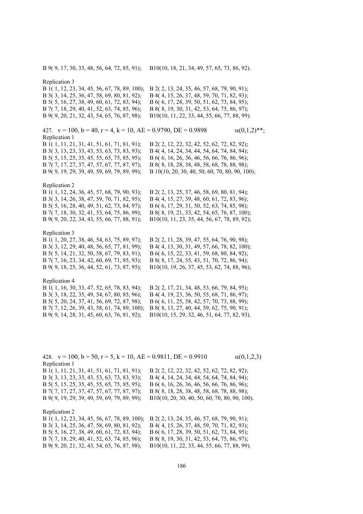B 9( 9, 17, 30, 33, 48, 56, 64, 72, 85, 91); B10(10, 18, 21, 34, 49, 57, 65, 73, 86, 92).

Replication 3 B 1( 1, 12, 23, 34, 45, 56, 67, 78, 89, 100); B 2( 2, 13, 24, 35, 46, 57, 68, 79, 90, 91); B 3( 3, 14, 25, 36, 47, 58, 69, 80, 81, 92); B 4( 4, 15, 26, 37, 48, 59, 70, 71, 82, 93); B 5( 5, 16, 27, 38, 49, 60, 61, 72, 83, 94); B 6( 6, 17, 28, 39, 50, 51, 62, 73, 84, 95); B 7( 7, 18, 29, 40, 41, 52, 63, 74, 85, 96); B 8( 8, 19, 30, 31, 42, 53, 64, 75, 86, 97); B 9( 9, 20, 21, 32, 43, 54, 65, 76, 87, 98); B10(10, 11, 22, 33, 44, 55, 66, 77, 88, 99). 427.  $v = 100$ ,  $b = 40$ ,  $r = 4$ ,  $k = 10$ ,  $AE = 0.9790$ ,  $DE = 0.9898$   $\alpha(0,1,2)$ <sup>\*\*</sup>; Replication 1 B 1( 1, 11, 21, 31, 41, 51, 61, 71, 81, 91); B 2( 2, 12, 22, 32, 42, 52, 62, 72, 82, 92); B 3( 3, 13, 23, 33, 43, 53, 63, 73, 83, 93); B 4( 4, 14, 24, 34, 44, 54, 64, 74, 84, 94); B 5( 5, 15, 25, 35, 45, 55, 65, 75, 85, 95); B 6( 6, 16, 26, 36, 46, 56, 66, 76, 86, 96); B 7( 7, 17, 27, 37, 47, 57, 67, 77, 87, 97); B 8( 8, 18, 28, 38, 48, 58, 68, 78, 88, 98); B 9( 9, 19, 29, 39, 49, 59, 69, 79, 89, 99); B 10(10, 20, 30, 40, 50, 60, 70, 80, 90, 100); Replication 2 B 1( 1, 12, 24, 36, 45, 57, 68, 79, 90, 93); B 2( 2, 13, 25, 37, 46, 58, 69, 80, 81, 94); B 3( 3, 14, 26, 38, 47, 59, 70, 71, 82, 95); B 4( 4, 15, 27, 39, 48, 60, 61, 72, 83, 96); B 5( 5, 16, 28, 40, 49, 51, 62, 73, 84, 97); B 6( 6, 17, 29, 31, 50, 52, 63, 74, 85, 98); B 7( 7, 18, 30, 32, 41, 53, 64, 75, 86, 99); B 8( 8, 19, 21, 33, 42, 54, 65, 76, 87, 100); B 9( 9, 20, 22, 34, 43, 55, 66, 77, 88, 91); B10(10, 11, 23, 35, 44, 56, 67, 78, 89, 92); Replication 3 B 1( 1, 20, 27, 38, 46, 54, 63, 75, 89, 97); B 2( 2, 11, 28, 39, 47, 55, 64, 76, 90, 98); B 3( 3, 12, 29, 40, 48, 56, 65, 77, 81, 99); B 4( 4, 13, 30, 31, 49, 57, 66, 78, 82, 100); B 5( 5, 14, 21, 32, 50, 58, 67, 79, 83, 91); B 6( 6, 15, 22, 33, 41, 59, 68, 80, 84, 92); B 7( 7, 16, 23, 34, 42, 60, 69, 71, 85, 93); B 8( 8, 17, 24, 35, 43, 51, 70, 72, 86, 94); B 9( 9, 18, 25, 36, 44, 52, 61, 73, 87, 95); B10(10, 19, 26, 37, 45, 53, 62, 74, 88, 96); Replication 4 B 1( 1, 16, 30, 33, 47, 52, 65, 78, 83, 94); B 2( 2, 17, 21, 34, 48, 53, 66, 79, 84, 95); B 3( 3, 18, 22, 35, 49, 54, 67, 80, 85, 96); B 4( 4, 19, 23, 36, 50, 55, 68, 71, 86, 97); B 5( 5, 20, 24, 37, 41, 56, 69, 72, 87, 98); B 6( 6, 11, 25, 38, 42, 57, 70, 73, 88, 99); B 7( 7, 12, 26, 39, 43, 58, 61, 74, 89, 100); B 8( 8, 13, 27, 40, 44, 59, 62, 75, 90, 91);

B 9( 9, 14, 28, 31, 45, 60, 63, 76, 81, 92); B10(10, 15, 29, 32, 46, 51, 64, 77, 82, 93).

428.  $v = 100$ ,  $b = 50$ ,  $r = 5$ ,  $k = 10$ ,  $AE = 0.9811$ ,  $DE = 0.9910$   $\alpha(0,1,2,3)$ Replication 1 B 1( 1, 11, 21, 31, 41, 51, 61, 71, 81, 91); B 2( 2, 12, 22, 32, 42, 52, 62, 72, 82, 92); B 3( 3, 13, 23, 33, 43, 53, 63, 73, 83, 93); B 4( 4, 14, 24, 34, 44, 54, 64, 74, 84, 94); B 5( 5, 15, 25, 35, 45, 55, 65, 75, 85, 95); B 6( 6, 16, 26, 36, 46, 56, 66, 76, 86, 96); B 7( 7, 17, 27, 37, 47, 57, 67, 77, 87, 97); B 8( 8, 18, 28, 38, 48, 58, 68, 78, 88, 98); B 9( 9, 19, 29, 39, 49, 59, 69, 79, 89, 99); B10(10, 20, 30, 40, 50, 60, 70, 80, 90, 100). Replication 2 B 1( 1, 12, 23, 34, 45, 56, 67, 78, 89, 100); B 2( 2, 13, 24, 35, 46, 57, 68, 79, 90, 91);

B 3( 3, 14, 25, 36, 47, 58, 69, 80, 81, 92); B 4( 4, 15, 26, 37, 48, 59, 70, 71, 82, 93); B 5( 5, 16, 27, 38, 49, 60, 61, 72, 83, 94); B 6( 6, 17, 28, 39, 50, 51, 62, 73, 84, 95); B 7( 7, 18, 29, 40, 41, 52, 63, 74, 85, 96); B 8( 8, 19, 30, 31, 42, 53, 64, 75, 86, 97); B 9( 9, 20, 21, 32, 43, 54, 65, 76, 87, 98); B10(10, 11, 22, 33, 44, 55, 66, 77, 88, 99).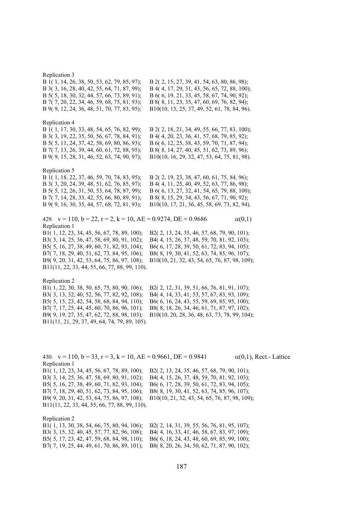# Replication 3

| B 1(1, 14, 26, 38, 50, 53, 62, 79, 85, 97);                                    | B 2(2, 15, 27, 39, 41, 54, 63, 80, 86, 98);   |
|--------------------------------------------------------------------------------|-----------------------------------------------|
| B 3(3, 16, 28, 40, 42, 55, 64, 71, 87, 99);                                    | B 4(4, 17, 29, 31, 43, 56, 65, 72, 88, 100);  |
| B 5(5, 18, 30, 32, 44, 57, 66, 73, 89, 91);                                    | B 6(6, 19, 21, 33, 45, 58, 67, 74, 90, 92);   |
| B 7(7, 20, 22, 34, 46, 59, 68, 75, 81, 93);                                    | B 8(8, 11, 23, 35, 47, 60, 69, 76, 82, 94);   |
| B 9(9, 12, 24, 36, 48, 51, 70, 77, 83, 95);                                    | B10(10, 13, 25, 37, 49, 52, 61, 78, 84, 96).  |
|                                                                                |                                               |
| Replication 4                                                                  |                                               |
| B 1(1, 17, 30, 33, 48, 54, 65, 76, 82, 99);                                    | B 2(2, 18, 21, 34, 49, 55, 66, 77, 83, 100);  |
| B 3(3, 19, 22, 35, 50, 56, 67, 78, 84, 91);                                    | B 4(4, 20, 23, 36, 41, 57, 68, 79, 85, 92);   |
| B 5(5, 11, 24, 37, 42, 58, 69, 80, 86, 93);                                    | B 6(6, 12, 25, 38, 43, 59, 70, 71, 87, 94);   |
| B 7(7, 13, 26, 39, 44, 60, 61, 72, 88, 95);                                    | B 8(8, 14, 27, 40, 45, 51, 62, 73, 89, 96);   |
| B 9(9, 15, 28, 31, 46, 52, 63, 74, 90, 97);                                    | B10(10, 16, 29, 32, 47, 53, 64, 75, 81, 98).  |
|                                                                                |                                               |
| Replication 5                                                                  |                                               |
| B 1(1, 18, 22, 37, 46, 59, 70, 74, 83, 95);                                    | B 2(2, 19, 23, 38, 47, 60, 61, 75, 84, 96);   |
| B 3(3, 20, 24, 39, 48, 51, 62, 76, 85, 97);                                    | B 4(4, 11, 25, 40, 49, 52, 63, 77, 86, 98);   |
| B 5(5, 12, 26, 31, 50, 53, 64, 78, 87, 99);                                    | B 6(6, 13, 27, 32, 41, 54, 65, 79, 88, 100);  |
| B 7(7, 14, 28, 33, 42, 55, 66, 80, 89, 91);                                    | B 8(8, 15, 29, 34, 43, 56, 67, 71, 90, 92);   |
| B 9(9, 16, 30, 35, 44, 57, 68, 72, 81, 93);                                    | B10(10, 17, 21, 36, 45, 58, 69, 73, 82, 94).  |
|                                                                                |                                               |
| 429. $v = 110$ , $b = 22$ , $r = 2$ , $k = 10$ , $AE = 0.9274$ , $DE = 0.9686$ | $\alpha(0,1)$                                 |
| Replication 1                                                                  |                                               |
| B1(1, 12, 23, 34, 45, 56, 67, 78, 89, 100);                                    | B2(2, 13, 24, 35, 46, 57, 68, 79, 90, 101);   |
| B3(3, 14, 25, 36, 47, 58, 69, 80, 91, 102);                                    | B4(4, 15, 26, 37, 48, 59, 70, 81, 92, 103);   |
| B5(5, 16, 27, 38, 49, 60, 71, 82, 93, 104);                                    | B6(6, 17, 28, 39, 50, 61, 72, 83, 94, 105);   |
| B7(7, 18, 29, 40, 51, 62, 73, 84, 95, 106);                                    | B8(8, 19, 30, 41, 52, 63, 74, 85, 96, 107);   |
| B9(9, 20, 31, 42, 53, 64, 75, 86, 97, 108);                                    | B10(10, 21, 32, 43, 54, 65, 76, 87, 98, 109); |
| B11(11, 22, 33, 44, 55, 66, 77, 88, 99, 110).                                  |                                               |
|                                                                                |                                               |
| Replication 2                                                                  |                                               |
| B1(1, 22, 30, 38, 50, 65, 75, 80, 90, 106);                                    | B2(2, 12, 31, 39, 51, 66, 76, 81, 91, 107);   |
| B3(3, 13, 32, 40, 52, 56, 77, 82, 92, 108);                                    | B4(4, 14, 33, 41, 53, 57, 67, 83, 93, 109);   |
|                                                                                |                                               |

B5( 5, 15, 23, 42, 54, 58, 68, 84, 94, 110); B6( 6, 16, 24, 43, 55, 59, 69, 85, 95, 100); B7( 7, 17, 25, 44, 45, 60, 70, 86, 96, 101); B8( 8, 18, 26, 34, 46, 61, 71, 87, 97, 102); B9( 9, 19, 27, 35, 47, 62, 72, 88, 98, 103); B10(10, 20, 28, 36, 48, 63, 73, 78, 99, 104); B11(11, 21, 29, 37, 49, 64, 74, 79, 89, 105).

430.  $v = 110$ ,  $b = 33$ ,  $r = 3$ ,  $k = 10$ ,  $AE = 0.9661$ ,  $DE = 0.9841$   $\alpha(0,1)$ , Rect.- Lattice Replication 1

B1( 1, 12, 23, 34, 45, 56, 67, 78, 89, 100); B2( 2, 13, 24, 35, 46, 57, 68, 79, 90, 101); B3( 3, 14, 25, 36, 47, 58, 69, 80, 91, 102); B4( 4, 15, 26, 37, 48, 59, 70, 81, 92, 103); B5( 5, 16, 27, 38, 49, 60, 71, 82, 93, 104); B6( 6, 17, 28, 39, 50, 61, 72, 83, 94, 105); B7( 7, 18, 29, 40, 51, 62, 73, 84, 95, 106); B8( 8, 19, 30, 41, 52, 63, 74, 85, 96, 107); B9( 9, 20, 31, 42, 53, 64, 75, 86, 97, 108); B10(10, 21, 32, 43, 54, 65, 76, 87, 98, 109); B11(11, 22, 33, 44, 55, 66, 77, 88, 99, 110).

Replication 2 B1( 1, 13, 30, 38, 54, 66, 75, 80, 94, 106); B2( 2, 14, 31, 39, 55, 56, 76, 81, 95, 107); B3( 3, 15, 32, 40, 45, 57, 77, 82, 96, 108); B4( 4, 16, 33, 41, 46, 58, 67, 83, 97, 109); B5( 5, 17, 23, 42, 47, 59, 68, 84, 98, 110); B7( 7, 19, 25, 44, 49, 61, 70, 86, 89, 101); B8( 8, 20, 26, 34, 50, 62, 71, 87, 90, 102);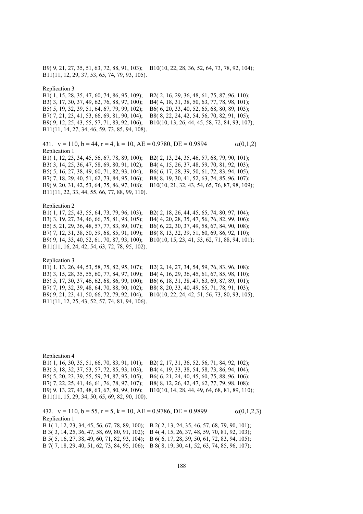B9( 9, 21, 27, 35, 51, 63, 72, 88, 91, 103); B10(10, 22, 28, 36, 52, 64, 73, 78, 92, 104); B11(11, 12, 29, 37, 53, 65, 74, 79, 93, 105).

Replication 3

B1( 1, 15, 28, 35, 47, 60, 74, 86, 95, 109); B2( 2, 16, 29, 36, 48, 61, 75, 87, 96, 110); B3( 3, 17, 30, 37, 49, 62, 76, 88, 97, 100); B4( 4, 18, 31, 38, 50, 63, 77, 78, 98, 101); B5( 5, 19, 32, 39, 51, 64, 67, 79, 99, 102); B6( 6, 20, 33, 40, 52, 65, 68, 80, 89, 103); B7( 7, 21, 23, 41, 53, 66, 69, 81, 90, 104); B8( 8, 22, 24, 42, 54, 56, 70, 82, 91, 105); B9( 9, 12, 25, 43, 55, 57, 71, 83, 92, 106); B10(10, 13, 26, 44, 45, 58, 72, 84, 93, 107); B11(11, 14, 27, 34, 46, 59, 73, 85, 94, 108).

431.  $v = 110$ ,  $b = 44$ ,  $r = 4$ ,  $k = 10$ ,  $AE = 0.9780$ ,  $DE = 0.9894$   $\alpha(0,1,2)$ Replication 1 B1( 1, 12, 23, 34, 45, 56, 67, 78, 89, 100); B2( 2, 13, 24, 35, 46, 57, 68, 79, 90, 101); B3( 3, 14, 25, 36, 47, 58, 69, 80, 91, 102); B4( 4, 15, 26, 37, 48, 59, 70, 81, 92, 103); B5( 5, 16, 27, 38, 49, 60, 71, 82, 93, 104); B6( 6, 17, 28, 39, 50, 61, 72, 83, 94, 105); B7( 7, 18, 29, 40, 51, 62, 73, 84, 95, 106); B8( 8, 19, 30, 41, 52, 63, 74, 85, 96, 107); B9( 9, 20, 31, 42, 53, 64, 75, 86, 97, 108); B10(10, 21, 32, 43, 54, 65, 76, 87, 98, 109); B11(11, 22, 33, 44, 55, 66, 77, 88, 99, 110).

Replication 2

B3( 3, 19, 27, 34, 46, 66, 75, 81, 98, 105); B4( 4, 20, 28, 35, 47, 56, 76, 82, 99, 106); B5( 5, 21, 29, 36, 48, 57, 77, 83, 89, 107); B6( 6, 22, 30, 37, 49, 58, 67, 84, 90, 108); B7( 7, 12, 31, 38, 50, 59, 68, 85, 91, 109); B8( 8, 13, 32, 39, 51, 60, 69, 86, 92, 110); B11(11, 16, 24, 42, 54, 63, 72, 78, 95, 102).

B1( 1, 17, 25, 43, 55, 64, 73, 79, 96, 103); B2( 2, 18, 26, 44, 45, 65, 74, 80, 97, 104); B9( 9, 14, 33, 40, 52, 61, 70, 87, 93, 100); B10(10, 15, 23, 41, 53, 62, 71, 88, 94, 101);

# Replication 3

B1( 1, 13, 26, 44, 53, 58, 75, 82, 95, 107); B2( 2, 14, 27, 34, 54, 59, 76, 83, 96, 108); B3( 3, 15, 28, 35, 55, 60, 77, 84, 97, 109); B4( 4, 16, 29, 36, 45, 61, 67, 85, 98, 110); B5( 5, 17, 30, 37, 46, 62, 68, 86, 99, 100); B6( 6, 18, 31, 38, 47, 63, 69, 87, 89, 101); B7( 7, 19, 32, 39, 48, 64, 70, 88, 90, 102); B8( 8, 20, 33, 40, 49, 65, 71, 78, 91, 103); B9( 9, 21, 23, 41, 50, 66, 72, 79, 92, 104); B10(10, 22, 24, 42, 51, 56, 73, 80, 93, 105); B11(11, 12, 25, 43, 52, 57, 74, 81, 94, 106).

Replication 4 B1( 1, 16, 30, 35, 51, 66, 70, 83, 91, 101); B2( 2, 17, 31, 36, 52, 56, 71, 84, 92, 102); B3( 3, 18, 32, 37, 53, 57, 72, 85, 93, 103); B4( 4, 19, 33, 38, 54, 58, 73, 86, 94, 104); B5( 5, 20, 23, 39, 55, 59, 74, 87, 95, 105); B6( 6, 21, 24, 40, 45, 60, 75, 88, 96, 106); B7( 7, 22, 25, 41, 46, 61, 76, 78, 97, 107); B8( 8, 12, 26, 42, 47, 62, 77, 79, 98, 108); B9( 9, 13, 27, 43, 48, 63, 67, 80, 99, 109); B10(10, 14, 28, 44, 49, 64, 68, 81, 89, 110); B11(11, 15, 29, 34, 50, 65, 69, 82, 90, 100).

432.  $v = 110$ ,  $b = 55$ ,  $r = 5$ ,  $k = 10$ ,  $AE = 0.9786$ ,  $DE = 0.9899$   $\alpha(0,1,2,3)$ Replication 1 B 1( 1, 12, 23, 34, 45, 56, 67, 78, 89, 100); B 2( 2, 13, 24, 35, 46, 57, 68, 79, 90, 101);

B 3( 3, 14, 25, 36, 47, 58, 69, 80, 91, 102); B 4( 4, 15, 26, 37, 48, 59, 70, 81, 92, 103); B 5( 5, 16, 27, 38, 49, 60, 71, 82, 93, 104); B 6( 6, 17, 28, 39, 50, 61, 72, 83, 94, 105); B 7( 7, 18, 29, 40, 51, 62, 73, 84, 95, 106); B 8( 8, 19, 30, 41, 52, 63, 74, 85, 96, 107);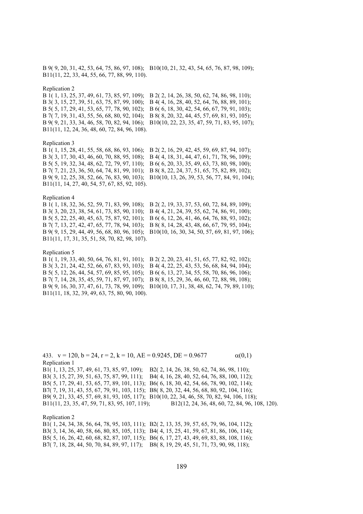B 9( 9, 20, 31, 42, 53, 64, 75, 86, 97, 108); B10(10, 21, 32, 43, 54, 65, 76, 87, 98, 109); B11(11, 22, 33, 44, 55, 66, 77, 88, 99, 110).

### Replication 2

B 1( 1, 13, 25, 37, 49, 61, 73, 85, 97, 109); B 2( 2, 14, 26, 38, 50, 62, 74, 86, 98, 110); B 3( 3, 15, 27, 39, 51, 63, 75, 87, 99, 100); B 4( 4, 16, 28, 40, 52, 64, 76, 88, 89, 101); B 5( 5, 17, 29, 41, 53, 65, 77, 78, 90, 102); B 6( 6, 18, 30, 42, 54, 66, 67, 79, 91, 103); B 7( 7, 19, 31, 43, 55, 56, 68, 80, 92, 104); B 8( 8, 20, 32, 44, 45, 57, 69, 81, 93, 105); B 9( 9, 21, 33, 34, 46, 58, 70, 82, 94, 106); B10(10, 22, 23, 35, 47, 59, 71, 83, 95, 107); B11(11, 12, 24, 36, 48, 60, 72, 84, 96, 108).

# Replication 3

B 1( 1, 15, 28, 41, 55, 58, 68, 86, 93, 106); B 2( 2, 16, 29, 42, 45, 59, 69, 87, 94, 107); B 3( 3, 17, 30, 43, 46, 60, 70, 88, 95, 108); B 4( 4, 18, 31, 44, 47, 61, 71, 78, 96, 109); B 5( 5, 19, 32, 34, 48, 62, 72, 79, 97, 110); B 6( 6, 20, 33, 35, 49, 63, 73, 80, 98, 100); B 7( 7, 21, 23, 36, 50, 64, 74, 81, 99, 101); B 8( 8, 22, 24, 37, 51, 65, 75, 82, 89, 102); B 9( 9, 12, 25, 38, 52, 66, 76, 83, 90, 103); B10(10, 13, 26, 39, 53, 56, 77, 84, 91, 104); B11(11, 14, 27, 40, 54, 57, 67, 85, 92, 105).

# Replication 4

B 1( 1, 18, 32, 36, 52, 59, 71, 83, 99, 108); B 2( 2, 19, 33, 37, 53, 60, 72, 84, 89, 109); B 3( 3, 20, 23, 38, 54, 61, 73, 85, 90, 110); B 4( 4, 21, 24, 39, 55, 62, 74, 86, 91, 100); B 5( 5, 22, 25, 40, 45, 63, 75, 87, 92, 101); B 6( 6, 12, 26, 41, 46, 64, 76, 88, 93, 102); B 7( 7, 13, 27, 42, 47, 65, 77, 78, 94, 103); B 8( 8, 14, 28, 43, 48, 66, 67, 79, 95, 104); B 9( 9, 15, 29, 44, 49, 56, 68, 80, 96, 105); B10(10, 16, 30, 34, 50, 57, 69, 81, 97, 106); B11(11, 17, 31, 35, 51, 58, 70, 82, 98, 107).

# Replication 5

B 1( 1, 19, 33, 40, 50, 64, 76, 81, 91, 101); B 2( 2, 20, 23, 41, 51, 65, 77, 82, 92, 102); B 3( 3, 21, 24, 42, 52, 66, 67, 83, 93, 103); B 4( 4, 22, 25, 43, 53, 56, 68, 84, 94, 104); B 5( 5, 12, 26, 44, 54, 57, 69, 85, 95, 105); B 6( 6, 13, 27, 34, 55, 58, 70, 86, 96, 106); B 7( 7, 14, 28, 35, 45, 59, 71, 87, 97, 107); B 8( 8, 15, 29, 36, 46, 60, 72, 88, 98, 108); B 9( 9, 16, 30, 37, 47, 61, 73, 78, 99, 109); B10(10, 17, 31, 38, 48, 62, 74, 79, 89, 110); B11(11, 18, 32, 39, 49, 63, 75, 80, 90, 100).

433.  $v = 120$ ,  $b = 24$ ,  $r = 2$ ,  $k = 10$ ,  $AE = 0.9245$ ,  $DE = 0.9677$   $\alpha(0,1)$ Replication 1 B1( 1, 13, 25, 37, 49, 61, 73, 85, 97, 109); B2( 2, 14, 26, 38, 50, 62, 74, 86, 98, 110); B3( 3, 15, 27, 39, 51, 63, 75, 87, 99, 111); B4( 4, 16, 28, 40, 52, 64, 76, 88, 100, 112); B5( 5, 17, 29, 41, 53, 65, 77, 89, 101, 113); B6( 6, 18, 30, 42, 54, 66, 78, 90, 102, 114); B7( 7, 19, 31, 43, 55, 67, 79, 91, 103, 115); B8( 8, 20, 32, 44, 56, 68, 80, 92, 104, 116); B9( 9, 21, 33, 45, 57, 69, 81, 93, 105, 117); B10(10, 22, 34, 46, 58, 70, 82, 94, 106, 118); B11(11, 23, 35, 47, 59, 71, 83, 95, 107, 119); B12(12, 24, 36, 48, 60, 72, 84, 96, 108, 120). Replication 2

B1( 1, 24, 34, 38, 56, 64, 78, 95, 103, 111); B2( 2, 13, 35, 39, 57, 65, 79, 96, 104, 112); B3( 3, 14, 36, 40, 58, 66, 80, 85, 105, 113); B4( 4, 15, 25, 41, 59, 67, 81, 86, 106, 114); B5( 5, 16, 26, 42, 60, 68, 82, 87, 107, 115); B6( 6, 17, 27, 43, 49, 69, 83, 88, 108, 116); B7( 7, 18, 28, 44, 50, 70, 84, 89, 97, 117); B8( 8, 19, 29, 45, 51, 71, 73, 90, 98, 118);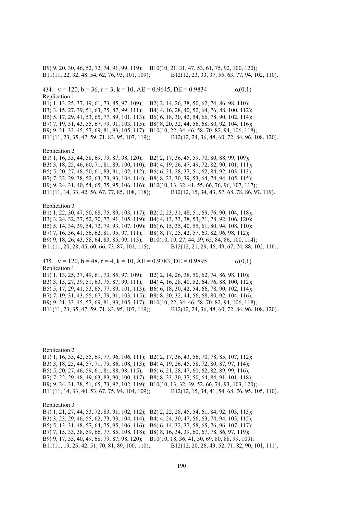B9( 9, 20, 30, 46, 52, 72, 74, 91, 99, 119); B10(10, 21, 31, 47, 53, 61, 75, 92, 100, 120); B11(11, 22, 32, 48, 54, 62, 76, 93, 101, 109); B12(12, 23, 33, 37, 55, 63, 77, 94, 102, 110). 434.  $v = 120$ ,  $b = 36$ ,  $r = 3$ ,  $k = 10$ ,  $AE = 0.9645$ ,  $DE = 0.9834$   $\alpha(0,1)$ Replication 1 B1( 1, 13, 25, 37, 49, 61, 73, 85, 97, 109); B2( 2, 14, 26, 38, 50, 62, 74, 86, 98, 110); B3( 3, 15, 27, 39, 51, 63, 75, 87, 99, 111); B4( 4, 16, 28, 40, 52, 64, 76, 88, 100, 112); B5( 5, 17, 29, 41, 53, 65, 77, 89, 101, 113); B6( 6, 18, 30, 42, 54, 66, 78, 90, 102, 114); B7( 7, 19, 31, 43, 55, 67, 79, 91, 103, 115); B8( 8, 20, 32, 44, 56, 68, 80, 92, 104, 116); B9( 9, 21, 33, 45, 57, 69, 81, 93, 105, 117); B10(10, 22, 34, 46, 58, 70, 82, 94, 106, 118); B11(11, 23, 35, 47, 59, 71, 83, 95, 107, 119); B12(12, 24, 36, 48, 60, 72, 84, 96, 108, 120). Replication 2 B1( 1, 16, 35, 44, 58, 69, 79, 87, 98, 120); B2( 2, 17, 36, 45, 59, 70, 80, 88, 99, 109); B3( 3, 18, 25, 46, 60, 71, 81, 89, 100, 110); B4( 4, 19, 26, 47, 49, 72, 82, 90, 101, 111); B5( 5, 20, 27, 48, 50, 61, 83, 91, 102, 112); B6( 6, 21, 28, 37, 51, 62, 84, 92, 103, 113); B7( 7, 22, 29, 38, 52, 63, 73, 93, 104, 114); B8( 8, 23, 30, 39, 53, 64, 74, 94, 105, 115); B9( 9, 24, 31, 40, 54, 65, 75, 95, 106, 116); B10(10, 13, 32, 41, 55, 66, 76, 96, 107, 117); B11(11, 14, 33, 42, 56, 67, 77, 85, 108, 118); B12(12, 15, 34, 43, 57, 68, 78, 86, 97, 119). Replication 3 B1( 1, 22, 30, 47, 50, 68, 75, 89, 103, 117); B2( 2, 23, 31, 48, 51, 69, 76, 90, 104, 118); B3( 3, 24, 32, 37, 52, 70, 77, 91, 105, 119); B4( 4, 13, 33, 38, 53, 71, 78, 92, 106, 120); B5( 5, 14, 34, 39, 54, 72, 79, 93, 107, 109); B6( 6, 15, 35, 40, 55, 61, 80, 94, 108, 110); B7( 7, 16, 36, 41, 56, 62, 81, 95, 97, 111); B8( 8, 17, 25, 42, 57, 63, 82, 96, 98, 112); B9( 9, 18, 26, 43, 58, 64, 83, 85, 99, 113); B10(10, 19, 27, 44, 59, 65, 84, 86, 100, 114); B11(11, 20, 28, 45, 60, 66, 73, 87, 101, 115); B12(12, 21, 29, 46, 49, 67, 74, 88, 102, 116). 435.  $v = 120$ ,  $b = 48$ ,  $r = 4$ ,  $k = 10$ ,  $AE = 0.9783$ ,  $DE = 0.9895$  (0,1) Replication 1 B1( 1, 13, 25, 37, 49, 61, 73, 85, 97, 109); B2( 2, 14, 26, 38, 50, 62, 74, 86, 98, 110); B3( 3, 15, 27, 39, 51, 63, 75, 87, 99, 111); B4( 4, 16, 28, 40, 52, 64, 76, 88, 100, 112); B5( 5, 17, 29, 41, 53, 65, 77, 89, 101, 113); B6( 6, 18, 30, 42, 54, 66, 78, 90, 102, 114); B7( 7, 19, 31, 43, 55, 67, 79, 91, 103, 115); B8( 8, 20, 32, 44, 56, 68, 80, 92, 104, 116); B9( 9, 21, 33, 45, 57, 69, 81, 93, 105, 117); B10(10, 22, 34, 46, 58, 70, 82, 94, 106, 118);

Replication 2 B1( 1, 16, 35, 42, 55, 69, 77, 96, 106, 111); B2( 2, 17, 36, 43, 56, 70, 78, 85, 107, 112); B3( 3, 18, 25, 44, 57, 71, 79, 86, 108, 113); B4( 4, 19, 26, 45, 58, 72, 80, 87, 97, 114); B5( 5, 20, 27, 46, 59, 61, 81, 88, 98, 115); B6( 6, 21, 28, 47, 60, 62, 82, 89, 99, 116); B7( 7, 22, 29, 48, 49, 63, 83, 90, 100, 117); B8( 8, 23, 30, 37, 50, 64, 84, 91, 101, 118); B9( 9, 24, 31, 38, 51, 65, 73, 92, 102, 119); B10(10, 13, 32, 39, 52, 66, 74, 93, 103, 120); B11(11, 14, 33, 40, 53, 67, 75, 94, 104, 109); B12(12, 15, 34, 41, 54, 68, 76, 95, 105, 110). Replication 3 B1( 1, 21, 27, 44, 53, 72, 83, 91, 102, 112); B2( 2, 22, 28, 45, 54, 61, 84, 92, 103, 113); B3( 3, 23, 29, 46, 55, 62, 73, 93, 104, 114); B4( 4, 24, 30, 47, 56, 63, 74, 94, 105, 115); B5( 5, 13, 31, 48, 57, 64, 75, 95, 106, 116); B6( 6, 14, 32, 37, 58, 65, 76, 96, 107, 117); B7( 7, 15, 33, 38, 59, 66, 77, 85, 108, 118); B8( 8, 16, 34, 39, 60, 67, 78, 86, 97, 119); B9( 9, 17, 35, 40, 49, 68, 79, 87, 98, 120); B10(10, 18, 36, 41, 50, 69, 80, 88, 99, 109);

B11(11, 23, 35, 47, 59, 71, 83, 95, 107, 119); B12(12, 24, 36, 48, 60, 72, 84, 96, 108, 120).

B11(11, 19, 25, 42, 51, 70, 81, 89, 100, 110); B12(12, 20, 26, 43, 52, 71, 82, 90, 101, 111).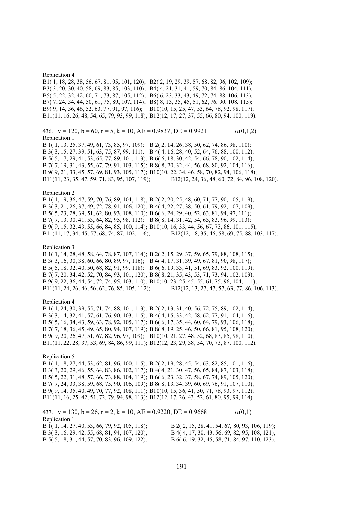## Replication 4

B1( 1, 18, 28, 38, 56, 67, 81, 95, 101, 120); B2( 2, 19, 29, 39, 57, 68, 82, 96, 102, 109); B3( 3, 20, 30, 40, 58, 69, 83, 85, 103, 110); B4( 4, 21, 31, 41, 59, 70, 84, 86, 104, 111); B5( 5, 22, 32, 42, 60, 71, 73, 87, 105, 112); B6( 6, 23, 33, 43, 49, 72, 74, 88, 106, 113); B7( 7, 24, 34, 44, 50, 61, 75, 89, 107, 114); B8( 8, 13, 35, 45, 51, 62, 76, 90, 108, 115); B9( 9, 14, 36, 46, 52, 63, 77, 91, 97, 116); B10(10, 15, 25, 47, 53, 64, 78, 92, 98, 117); B11(11, 16, 26, 48, 54, 65, 79, 93, 99, 118); B12(12, 17, 27, 37, 55, 66, 80, 94, 100, 119).

436.  $v = 120$ ,  $b = 60$ ,  $r = 5$ ,  $k = 10$ ,  $AE = 0.9837$ ,  $DE = 0.9921$   $\alpha(0,1,2)$ Replication 1

B 1( 1, 13, 25, 37, 49, 61, 73, 85, 97, 109); B 2( 2, 14, 26, 38, 50, 62, 74, 86, 98, 110); B 3( 3, 15, 27, 39, 51, 63, 75, 87, 99, 111); B 4( 4, 16, 28, 40, 52, 64, 76, 88, 100, 112); B 5( 5, 17, 29, 41, 53, 65, 77, 89, 101, 113); B 6( 6, 18, 30, 42, 54, 66, 78, 90, 102, 114); B 7( 7, 19, 31, 43, 55, 67, 79, 91, 103, 115); B 8( 8, 20, 32, 44, 56, 68, 80, 92, 104, 116); B 9( 9, 21, 33, 45, 57, 69, 81, 93, 105, 117); B10(10, 22, 34, 46, 58, 70, 82, 94, 106, 118); B11(11, 23, 35, 47, 59, 71, 83, 95, 107, 119); B12(12, 24, 36, 48, 60, 72, 84, 96, 108, 120).

### Replication 2

B 1( 1, 19, 36, 47, 59, 70, 76, 89, 104, 118); B 2( 2, 20, 25, 48, 60, 71, 77, 90, 105, 119); B 3( 3, 21, 26, 37, 49, 72, 78, 91, 106, 120); B 4( 4, 22, 27, 38, 50, 61, 79, 92, 107, 109); B 5( 5, 23, 28, 39, 51, 62, 80, 93, 108, 110); B 6( 6, 24, 29, 40, 52, 63, 81, 94, 97, 111); B 7( 7, 13, 30, 41, 53, 64, 82, 95, 98, 112); B 8( 8, 14, 31, 42, 54, 65, 83, 96, 99, 113); B 9( 9, 15, 32, 43, 55, 66, 84, 85, 100, 114); B10(10, 16, 33, 44, 56, 67, 73, 86, 101, 115); B11(11, 17, 34, 45, 57, 68, 74, 87, 102, 116); B12(12, 18, 35, 46, 58, 69, 75, 88, 103, 117).

# Replication 3

B 1( 1, 14, 28, 48, 58, 64, 78, 87, 107, 114); B 2( 2, 15, 29, 37, 59, 65, 79, 88, 108, 115); B 3( 3, 16, 30, 38, 60, 66, 80, 89, 97, 116); B 4( 4, 17, 31, 39, 49, 67, 81, 90, 98, 117); B 5( 5, 18, 32, 40, 50, 68, 82, 91, 99, 118); B 6( 6, 19, 33, 41, 51, 69, 83, 92, 100, 119); B 7( 7, 20, 34, 42, 52, 70, 84, 93, 101, 120); B 8( 8, 21, 35, 43, 53, 71, 73, 94, 102, 109); B 9( 9, 22, 36, 44, 54, 72, 74, 95, 103, 110); B10(10, 23, 25, 45, 55, 61, 75, 96, 104, 111); B11(11, 24, 26, 46, 56, 62, 76, 85, 105, 112); B12(12, 13, 27, 47, 57, 63, 77, 86, 106, 113).

# Replication 4

B 1( 1, 24, 30, 39, 55, 71, 74, 88, 101, 113); B 2( 2, 13, 31, 40, 56, 72, 75, 89, 102, 114); B 3( 3, 14, 32, 41, 57, 61, 76, 90, 103, 115); B 4( 4, 15, 33, 42, 58, 62, 77, 91, 104, 116); B 5( 5, 16, 34, 43, 59, 63, 78, 92, 105, 117); B 6( 6, 17, 35, 44, 60, 64, 79, 93, 106, 118); B 7( 7, 18, 36, 45, 49, 65, 80, 94, 107, 119); B 8( 8, 19, 25, 46, 50, 66, 81, 95, 108, 120); B 9( 9, 20, 26, 47, 51, 67, 82, 96, 97, 109); B10(10, 21, 27, 48, 52, 68, 83, 85, 98, 110); B11(11, 22, 28, 37, 53, 69, 84, 86, 99, 111); B12(12, 23, 29, 38, 54, 70, 73, 87, 100, 112).

## Replication 5

B 1( 1, 18, 27, 44, 53, 62, 81, 96, 100, 115); B 2( 2, 19, 28, 45, 54, 63, 82, 85, 101, 116); B 3( 3, 20, 29, 46, 55, 64, 83, 86, 102, 117); B 4( 4, 21, 30, 47, 56, 65, 84, 87, 103, 118); B 5( 5, 22, 31, 48, 57, 66, 73, 88, 104, 119); B 6( 6, 23, 32, 37, 58, 67, 74, 89, 105, 120); B 7( 7, 24, 33, 38, 59, 68, 75, 90, 106, 109); B 8( 8, 13, 34, 39, 60, 69, 76, 91, 107, 110); B 9( 9, 14, 35, 40, 49, 70, 77, 92, 108, 111); B10(10, 15, 36, 41, 50, 71, 78, 93, 97, 112); B11(11, 16, 25, 42, 51, 72, 79, 94, 98, 113); B12(12, 17, 26, 43, 52, 61, 80, 95, 99, 114).

437.  $v = 130$ ,  $b = 26$ ,  $r = 2$ ,  $k = 10$ ,  $AE = 0.9220$ ,  $DE = 0.9668$  (0,1) Replication 1 B 1( 1, 14, 27, 40, 53, 66, 79, 92, 105, 118); B 2( 2, 15, 28, 41, 54, 67, 80, 93, 106, 119); B 3( 3, 16, 29, 42, 55, 68, 81, 94, 107, 120); B 4( 4, 17, 30, 43, 56, 69, 82, 95, 108, 121); B 5( 5, 18, 31, 44, 57, 70, 83, 96, 109, 122); B 6( 6, 19, 32, 45, 58, 71, 84, 97, 110, 123);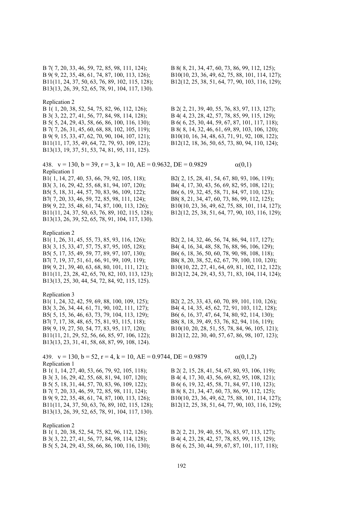B 7( 7, 20, 33, 46, 59, 72, 85, 98, 111, 124); B 8( 8, 21, 34, 47, 60, 73, 86, 99, 112, 125); B 9( 9, 22, 35, 48, 61, 74, 87, 100, 113, 126); B10(10, 23, 36, 49, 62, 75, 88, 101, 114, 127); B11(11, 24, 37, 50, 63, 76, 89, 102, 115, 128); B12(12, 25, 38, 51, 64, 77, 90, 103, 116, 129); B13(13, 26, 39, 52, 65, 78, 91, 104, 117, 130). Replication 2 B 1( 1, 20, 38, 52, 54, 75, 82, 96, 112, 126); B 2( 2, 21, 39, 40, 55, 76, 83, 97, 113, 127); B 3( 3, 22, 27, 41, 56, 77, 84, 98, 114, 128); B 4( 4, 23, 28, 42, 57, 78, 85, 99, 115, 129); B 5( 5, 24, 29, 43, 58, 66, 86, 100, 116, 130); B 6( 6, 25, 30, 44, 59, 67, 87, 101, 117, 118); B 7( 7, 26, 31, 45, 60, 68, 88, 102, 105, 119); B 8( 8, 14, 32, 46, 61, 69, 89, 103, 106, 120); B 9( 9, 15, 33, 47, 62, 70, 90, 104, 107, 121); B10(10, 16, 34, 48, 63, 71, 91, 92, 108, 122); B11(11, 17, 35, 49, 64, 72, 79, 93, 109, 123); B12(12, 18, 36, 50, 65, 73, 80, 94, 110, 124); B13(13, 19, 37, 51, 53, 74, 81, 95, 111, 125). 438.  $v = 130$ ,  $b = 39$ ,  $r = 3$ ,  $k = 10$ ,  $AE = 0.9632$ ,  $DE = 0.9829$   $\alpha(0,1)$ Replication 1 B1( 1, 14, 27, 40, 53, 66, 79, 92, 105, 118); B2( 2, 15, 28, 41, 54, 67, 80, 93, 106, 119); B3( 3, 16, 29, 42, 55, 68, 81, 94, 107, 120); B4( 4, 17, 30, 43, 56, 69, 82, 95, 108, 121); B5( 5, 18, 31, 44, 57, 70, 83, 96, 109, 122); B6( 6, 19, 32, 45, 58, 71, 84, 97, 110, 123); B7( 7, 20, 33, 46, 59, 72, 85, 98, 111, 124); B8( 8, 21, 34, 47, 60, 73, 86, 99, 112, 125); B9( 9, 22, 35, 48, 61, 74, 87, 100, 113, 126); B10(10, 23, 36, 49, 62, 75, 88, 101, 114, 127); B11(11, 24, 37, 50, 63, 76, 89, 102, 115, 128); B12(12, 25, 38, 51, 64, 77, 90, 103, 116, 129); B13(13, 26, 39, 52, 65, 78, 91, 104, 117, 130). Replication 2 B1( 1, 26, 31, 45, 55, 73, 85, 93, 116, 126); B2( 2, 14, 32, 46, 56, 74, 86, 94, 117, 127); B3( 3, 15, 33, 47, 57, 75, 87, 95, 105, 128); B4( 4, 16, 34, 48, 58, 76, 88, 96, 106, 129); B5( 5, 17, 35, 49, 59, 77, 89, 97, 107, 130); B6( 6, 18, 36, 50, 60, 78, 90, 98, 108, 118); B7( 7, 19, 37, 51, 61, 66, 91, 99, 109, 119); B8( 8, 20, 38, 52, 62, 67, 79, 100, 110, 120); B9( 9, 21, 39, 40, 63, 68, 80, 101, 111, 121); B10(10, 22, 27, 41, 64, 69, 81, 102, 112, 122); B11(11, 23, 28, 42, 65, 70, 82, 103, 113, 123); B12(12, 24, 29, 43, 53, 71, 83, 104, 114, 124); B13(13, 25, 30, 44, 54, 72, 84, 92, 115, 125). Replication 3 B1( 1, 24, 32, 42, 59, 69, 88, 100, 109, 125); B2( 2, 25, 33, 43, 60, 70, 89, 101, 110, 126); B3( 3, 26, 34, 44, 61, 71, 90, 102, 111, 127); B4( 4, 14, 35, 45, 62, 72, 91, 103, 112, 128); B5( 5, 15, 36, 46, 63, 73, 79, 104, 113, 129); B6( 6, 16, 37, 47, 64, 74, 80, 92, 114, 130); B7( 7, 17, 38, 48, 65, 75, 81, 93, 115, 118); B8( 8, 18, 39, 49, 53, 76, 82, 94, 116, 119); B9( 9, 19, 27, 50, 54, 77, 83, 95, 117, 120); B10(10, 20, 28, 51, 55, 78, 84, 96, 105, 121); B11(11, 21, 29, 52, 56, 66, 85, 97, 106, 122); B12(12, 22, 30, 40, 57, 67, 86, 98, 107, 123); B13(13, 23, 31, 41, 58, 68, 87, 99, 108, 124). 439.  $v = 130$ ,  $b = 52$ ,  $r = 4$ ,  $k = 10$ ,  $AE = 0.9744$ ,  $DE = 0.9879$   $\alpha(0,1,2)$ Replication 1 B 1( 1, 14, 27, 40, 53, 66, 79, 92, 105, 118); B 2( 2, 15, 28, 41, 54, 67, 80, 93, 106, 119); B 3( 3, 16, 29, 42, 55, 68, 81, 94, 107, 120); B 4( 4, 17, 30, 43, 56, 69, 82, 95, 108, 121); B 5( 5, 18, 31, 44, 57, 70, 83, 96, 109, 122); B 6( 6, 19, 32, 45, 58, 71, 84, 97, 110, 123); B 7( 7, 20, 33, 46, 59, 72, 85, 98, 111, 124); B 8( 8, 21, 34, 47, 60, 73, 86, 99, 112, 125); B 9( 9, 22, 35, 48, 61, 74, 87, 100, 113, 126); B10(10, 23, 36, 49, 62, 75, 88, 101, 114, 127); B11(11, 24, 37, 50, 63, 76, 89, 102, 115, 128); B12(12, 25, 38, 51, 64, 77, 90, 103, 116, 129); B13(13, 26, 39, 52, 65, 78, 91, 104, 117, 130). Replication 2<br>B 1(1, 20, 38, 52, 54, 75, 82, 96, 112, 126); B 2( 2, 21, 39, 40, 55, 76, 83, 97, 113, 127); B 3( 3, 22, 27, 41, 56, 77, 84, 98, 114, 128); B 4( 4, 23, 28, 42, 57, 78, 85, 99, 115, 129); B 5( 5, 24, 29, 43, 58, 66, 86, 100, 116, 130); B 6( 6, 25, 30, 44, 59, 67, 87, 101, 117, 118);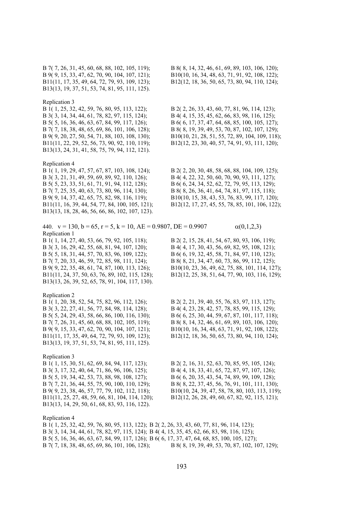B 7( 7, 26, 31, 45, 60, 68, 88, 102, 105, 119); B 8( 8, 14, 32, 46, 61, 69, 89, 103, 106, 120); B13(13, 19, 37, 51, 53, 74, 81, 95, 111, 125).

### Replication 3

B 3( 3, 14, 34, 44, 61, 78, 82, 97, 115, 124); B 4( 4, 15, 35, 45, 62, 66, 83, 98, 116, 125); B 5( 5, 16, 36, 46, 63, 67, 84, 99, 117, 126); B 6( 6, 17, 37, 47, 64, 68, 85, 100, 105, 127); B11(11, 22, 29, 52, 56, 73, 90, 92, 110, 119); B12(12, 23, 30, 40, 57, 74, 91, 93, 111, 120); B13(13, 24, 31, 41, 58, 75, 79, 94, 112, 121).

Replication 4

B 3( 3, 21, 31, 49, 59, 69, 89, 92, 110, 126); B 4( 4, 22, 32, 50, 60, 70, 90, 93, 111, 127); B 5( 5, 23, 33, 51, 61, 71, 91, 94, 112, 128); B 6( 6, 24, 34, 52, 62, 72, 79, 95, 113, 129); B 7( 7, 25, 35, 40, 63, 73, 80, 96, 114, 130); B 8( 8, 26, 36, 41, 64, 74, 81, 97, 115, 118); B 9( 9, 14, 37, 42, 65, 75, 82, 98, 116, 119); B10(10, 15, 38, 43, 53, 76, 83, 99, 117, 120); B11(11, 16, 39, 44, 54, 77, 84, 100, 105, 121); B12(12, 17, 27, 45, 55, 78, 85, 101, 106, 122); B13(13, 18, 28, 46, 56, 66, 86, 102, 107, 123).

440.  $v = 130$ ,  $b = 65$ ,  $r = 5$ ,  $k = 10$ ,  $AE = 0.9807$ ,  $DE = 0.9907$   $\alpha(0,1,2,3)$ Replication 1 B 1( 1, 14, 27, 40, 53, 66, 79, 92, 105, 118); B 2( 2, 15, 28, 41, 54, 67, 80, 93, 106, 119);

B 3( 3, 16, 29, 42, 55, 68, 81, 94, 107, 120); B 4( 4, 17, 30, 43, 56, 69, 82, 95, 108, 121); B 5( 5, 18, 31, 44, 57, 70, 83, 96, 109, 122); B 6( 6, 19, 32, 45, 58, 71, 84, 97, 110, 123); B 7( 7, 20, 33, 46, 59, 72, 85, 98, 111, 124); B 8( 8, 21, 34, 47, 60, 73, 86, 99, 112, 125); B 9( 9, 22, 35, 48, 61, 74, 87, 100, 113, 126); B10(10, 23, 36, 49, 62, 75, 88, 101, 114, 127); B11(11, 24, 37, 50, 63, 76, 89, 102, 115, 128); B12(12, 25, 38, 51, 64, 77, 90, 103, 116, 129); B13(13, 26, 39, 52, 65, 78, 91, 104, 117, 130).

### Replication 2

B 3( 3, 22, 27, 41, 56, 77, 84, 98, 114, 128); B 4( 4, 23, 28, 42, 57, 78, 85, 99, 115, 129); B 5( 5, 24, 29, 43, 58, 66, 86, 100, 116, 130); B 6( 6, 25, 30, 44, 59, 67, 87, 101, 117, 118); B 7( 7, 26, 31, 45, 60, 68, 88, 102, 105, 119); B 8( 8, 14, 32, 46, 61, 69, 89, 103, 106, 120); B 9( 9, 15, 33, 47, 62, 70, 90, 104, 107, 121); B10(10, 16, 34, 48, 63, 71, 91, 92, 108, 122); B11(11, 17, 35, 49, 64, 72, 79, 93, 109, 123); B12(12, 18, 36, 50, 65, 73, 80, 94, 110, 124); B13(13, 19, 37, 51, 53, 74, 81, 95, 111, 125).

# Replication 3

B 1( 1, 15, 30, 51, 62, 69, 84, 94, 117, 123); B 2( 2, 16, 31, 52, 63, 70, 85, 95, 105, 124); B 3( 3, 17, 32, 40, 64, 71, 86, 96, 106, 125); B 4( 4, 18, 33, 41, 65, 72, 87, 97, 107, 126); B 5( 5, 19, 34, 42, 53, 73, 88, 98, 108, 127); B 6( 6, 20, 35, 43, 54, 74, 89, 99, 109, 128); B 7( 7, 21, 36, 44, 55, 75, 90, 100, 110, 129); B 8( 8, 22, 37, 45, 56, 76, 91, 101, 111, 130); B11(11, 25, 27, 48, 59, 66, 81, 104, 114, 120); B12(12, 26, 28, 49, 60, 67, 82, 92, 115, 121); B13(13, 14, 29, 50, 61, 68, 83, 93, 116, 122).

Replication 4

B 9( 9, 15, 33, 47, 62, 70, 90, 104, 107, 121); B10(10, 16, 34, 48, 63, 71, 91, 92, 108, 122); B11(11, 17, 35, 49, 64, 72, 79, 93, 109, 123); B12(12, 18, 36, 50, 65, 73, 80, 94, 110, 124);

B 1( 1, 25, 32, 42, 59, 76, 80, 95, 113, 122); B 2( 2, 26, 33, 43, 60, 77, 81, 96, 114, 123); B 7( 7, 18, 38, 48, 65, 69, 86, 101, 106, 128); B 8( 8, 19, 39, 49, 53, 70, 87, 102, 107, 129); B 9( 9, 20, 27, 50, 54, 71, 88, 103, 108, 130); B10(10, 21, 28, 51, 55, 72, 89, 104, 109, 118);

B 1( 1, 19, 29, 47, 57, 67, 87, 103, 108, 124); B 2( 2, 20, 30, 48, 58, 68, 88, 104, 109, 125);

B 1( 1, 20, 38, 52, 54, 75, 82, 96, 112, 126); B 2( 2, 21, 39, 40, 55, 76, 83, 97, 113, 127);

B 9( 9, 23, 38, 46, 57, 77, 79, 102, 112, 118); B10(10, 24, 39, 47, 58, 78, 80, 103, 113, 119);

B 1( 1, 25, 32, 42, 59, 76, 80, 95, 113, 122); B 2( 2, 26, 33, 43, 60, 77, 81, 96, 114, 123); B 3( 3, 14, 34, 44, 61, 78, 82, 97, 115, 124); B 4( 4, 15, 35, 45, 62, 66, 83, 98, 116, 125); B 5( 5, 16, 36, 46, 63, 67, 84, 99, 117, 126); B 6( 6, 17, 37, 47, 64, 68, 85, 100, 105, 127); B 7( 7, 18, 38, 48, 65, 69, 86, 101, 106, 128); B 8( 8, 19, 39, 49, 53, 70, 87, 102, 107, 129);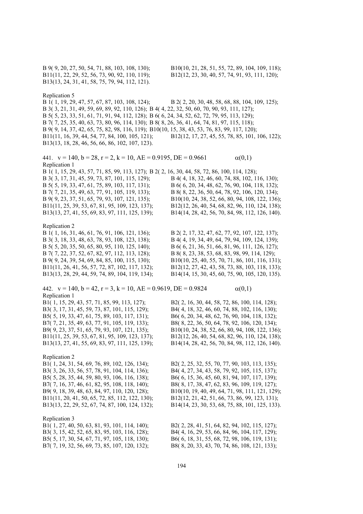B11(11, 22, 29, 52, 56, 73, 90, 92, 110, 119); B12(12, 23, 30, 40, 57, 74, 91, 93, 111, 120); B13(13, 24, 31, 41, 58, 75, 79, 94, 112, 121).

B 9( 9, 20, 27, 50, 54, 71, 88, 103, 108, 130); B10(10, 21, 28, 51, 55, 72, 89, 104, 109, 118);

Replication 5

B 1( 1, 19, 29, 47, 57, 67, 87, 103, 108, 124); B 2( 2, 20, 30, 48, 58, 68, 88, 104, 109, 125); B 3( 3, 21, 31, 49, 59, 69, 89, 92, 110, 126); B 4( 4, 22, 32, 50, 60, 70, 90, 93, 111, 127); B 5( 5, 23, 33, 51, 61, 71, 91, 94, 112, 128); B 6( 6, 24, 34, 52, 62, 72, 79, 95, 113, 129); B 7( 7, 25, 35, 40, 63, 73, 80, 96, 114, 130); B 8( 8, 26, 36, 41, 64, 74, 81, 97, 115, 118); B 9( 9, 14, 37, 42, 65, 75, 82, 98, 116, 119); B10(10, 15, 38, 43, 53, 76, 83, 99, 117, 120); B11(11, 16, 39, 44, 54, 77, 84, 100, 105, 121); B12(12, 17, 27, 45, 55, 78, 85, 101, 106, 122); B13(13, 18, 28, 46, 56, 66, 86, 102, 107, 123).

441.  $v = 140$ ,  $b = 28$ ,  $r = 2$ ,  $k = 10$ ,  $AE = 0.9195$ ,  $DE = 0.9661$   $\alpha(0,1)$ Replication 1 B 1( 1, 15, 29, 43, 57, 71, 85, 99, 113, 127); B 2( 2, 16, 30, 44, 58, 72, 86, 100, 114, 128);

B 3( 3, 17, 31, 45, 59, 73, 87, 101, 115, 129); B 4( 4, 18, 32, 46, 60, 74, 88, 102, 116, 130); B 5( 5, 19, 33, 47, 61, 75, 89, 103, 117, 131); B 6( 6, 20, 34, 48, 62, 76, 90, 104, 118, 132); B 7( 7, 21, 35, 49, 63, 77, 91, 105, 119, 133); B 8( 8, 22, 36, 50, 64, 78, 92, 106, 120, 134); B 9( 9, 23, 37, 51, 65, 79, 93, 107, 121, 135); B10(10, 24, 38, 52, 66, 80, 94, 108, 122, 136); B11(11, 25, 39, 53, 67, 81, 95, 109, 123, 137); B12(12, 26, 40, 54, 68, 82, 96, 110, 124, 138); B13(13, 27, 41, 55, 69, 83, 97, 111, 125, 139); B14(14, 28, 42, 56, 70, 84, 98, 112, 126, 140).

# Replication 2

B 3( 3, 18, 33, 48, 63, 78, 93, 108, 123, 138); B 4( 4, 19, 34, 49, 64, 79, 94, 109, 124, 139); B 5( 5, 20, 35, 50, 65, 80, 95, 110, 125, 140); B 6( 6, 21, 36, 51, 66, 81, 96, 111, 126, 127); B 7( 7, 22, 37, 52, 67, 82, 97, 112, 113, 128); B 8( 8, 23, 38, 53, 68, 83, 98, 99, 114, 129);

442.  $v = 140$ ,  $b = 42$ ,  $r = 3$ ,  $k = 10$ ,  $AE = 0.9619$ ,  $DE = 0.9824$   $\alpha(0,1)$ Replication 1 B1( 1, 15, 29, 43, 57, 71, 85, 99, 113, 127); B2( 2, 16, 30, 44, 58, 72, 86, 100, 114, 128); B3( 3, 17, 31, 45, 59, 73, 87, 101, 115, 129); B4( 4, 18, 32, 46, 60, 74, 88, 102, 116, 130); B5( 5, 19, 33, 47, 61, 75, 89, 103, 117, 131); B6( 6, 20, 34, 48, 62, 76, 90, 104, 118, 132); B7( 7, 21, 35, 49, 63, 77, 91, 105, 119, 133); B8( 8, 22, 36, 50, 64, 78, 92, 106, 120, 134); B9( 9, 23, 37, 51, 65, 79, 93, 107, 121, 135); B10(10, 24, 38, 52, 66, 80, 94, 108, 122, 136); B11(11, 25, 39, 53, 67, 81, 95, 109, 123, 137); B12(12, 26, 40, 54, 68, 82, 96, 110, 124, 138);

Replication 2<br>B1(1, 24, 31, 54, 69, 76, 89, 102, 126, 134); B3( 3, 26, 33, 56, 57, 78, 91, 104, 114, 136); B4( 4, 27, 34, 43, 58, 79, 92, 105, 115, 137); B5( 5, 28, 35, 44, 59, 80, 93, 106, 116, 138); B6( 6, 15, 36, 45, 60, 81, 94, 107, 117, 139); B7( 7, 16, 37, 46, 61, 82, 95, 108, 118, 140); B8( 8, 17, 38, 47, 62, 83, 96, 109, 119, 127); B11(11, 20, 41, 50, 65, 72, 85, 112, 122, 130); B12(12, 21, 42, 51, 66, 73, 86, 99, 123, 131);

Replication 3 B1( 1, 27, 40, 50, 63, 81, 93, 101, 114, 140); B2( 2, 28, 41, 51, 64, 82, 94, 102, 115, 127); B7( 7, 19, 32, 56, 69, 73, 85, 107, 120, 132); B8( 8, 20, 33, 43, 70, 74, 86, 108, 121, 133);

B 1( 1, 16, 31, 46, 61, 76, 91, 106, 121, 136); B 2( 2, 17, 32, 47, 62, 77, 92, 107, 122, 137);

B 9( 9, 24, 39, 54, 69, 84, 85, 100, 115, 130); B10(10, 25, 40, 55, 70, 71, 86, 101, 116, 131); B11(11, 26, 41, 56, 57, 72, 87, 102, 117, 132); B12(12, 27, 42, 43, 58, 73, 88, 103, 118, 133); B13(13, 28, 29, 44, 59, 74, 89, 104, 119, 134); B14(14, 15, 30, 45, 60, 75, 90, 105, 120, 135).

B13(13, 27, 41, 55, 69, 83, 97, 111, 125, 139); B14(14, 28, 42, 56, 70, 84, 98, 112, 126, 140).

B2( 2, 25, 32, 55, 70, 77, 90, 103, 113, 135); B9( 9, 18, 39, 48, 63, 84, 97, 110, 120, 128); B10(10, 19, 40, 49, 64, 71, 98, 111, 121, 129); B13(13, 22, 29, 52, 67, 74, 87, 100, 124, 132); B14(14, 23, 30, 53, 68, 75, 88, 101, 125, 133).

B3( 3, 15, 42, 52, 65, 83, 95, 103, 116, 128); B4( 4, 16, 29, 53, 66, 84, 96, 104, 117, 129); B5( 5, 17, 30, 54, 67, 71, 97, 105, 118, 130); B6( 6, 18, 31, 55, 68, 72, 98, 106, 119, 131);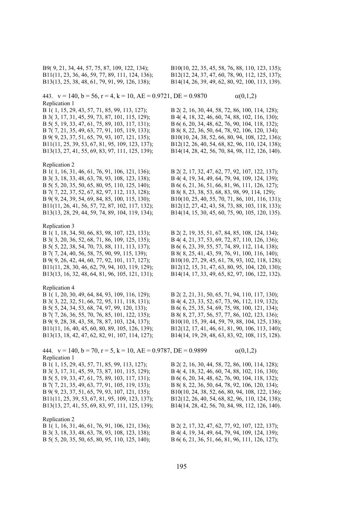B11(11, 23, 36, 46, 59, 77, 89, 111, 124, 136); B12(12, 24, 37, 47, 60, 78, 90, 112, 125, 137); B13(13, 25, 38, 48, 61, 79, 91, 99, 126, 138); B14(14, 26, 39, 49, 62, 80, 92, 100, 113, 139).

B9( 9, 21, 34, 44, 57, 75, 87, 109, 122, 134); B10(10, 22, 35, 45, 58, 76, 88, 110, 123, 135);

443.  $v = 140$ ,  $b = 56$ ,  $r = 4$ ,  $k = 10$ ,  $AE = 0.9721$ ,  $DE = 0.9870$   $\alpha(0,1,2)$ Replication 1

B 3( 3, 17, 31, 45, 59, 73, 87, 101, 115, 129); B 4( 4, 18, 32, 46, 60, 74, 88, 102, 116, 130); B 5( 5, 19, 33, 47, 61, 75, 89, 103, 117, 131); B 6( 6, 20, 34, 48, 62, 76, 90, 104, 118, 132); B 7( 7, 21, 35, 49, 63, 77, 91, 105, 119, 133); B 8( 8, 22, 36, 50, 64, 78, 92, 106, 120, 134); B 9( 9, 23, 37, 51, 65, 79, 93, 107, 121, 135); B10(10, 24, 38, 52, 66, 80, 94, 108, 122, 136); B11(11, 25, 39, 53, 67, 81, 95, 109, 123, 137); B12(12, 26, 40, 54, 68, 82, 96, 110, 124, 138); B13(13, 27, 41, 55, 69, 83, 97, 111, 125, 139); B14(14, 28, 42, 56, 70, 84, 98, 112, 126, 140).

## Replication 2

B 3( 3, 18, 33, 48, 63, 78, 93, 108, 123, 138); B 4( 4, 19, 34, 49, 64, 79, 94, 109, 124, 139); B 5( 5, 20, 35, 50, 65, 80, 95, 110, 125, 140); B 6( 6, 21, 36, 51, 66, 81, 96, 111, 126, 127); B 7( 7, 22, 37, 52, 67, 82, 97, 112, 113, 128); B 8( 8, 23, 38, 53, 68, 83, 98, 99, 114, 129); B 9( 9, 24, 39, 54, 69, 84, 85, 100, 115, 130); B10(10, 25, 40, 55, 70, 71, 86, 101, 116, 131); B11(11, 26, 41, 56, 57, 72, 87, 102, 117, 132); B12(12, 27, 42, 43, 58, 73, 88, 103, 118, 133); B13(13, 28, 29, 44, 59, 74, 89, 104, 119, 134); B14(14, 15, 30, 45, 60, 75, 90, 105, 120, 135).

### Replication 3

B 3( 3, 20, 36, 52, 68, 71, 86, 109, 125, 135); B 4( 4, 21, 37, 53, 69, 72, 87, 110, 126, 136); B 5( 5, 22, 38, 54, 70, 73, 88, 111, 113, 137); B 6( 6, 23, 39, 55, 57, 74, 89, 112, 114, 138); B 7( 7, 24, 40, 56, 58, 75, 90, 99, 115, 139); B 8( 8, 25, 41, 43, 59, 76, 91, 100, 116, 140); B 9( 9, 26, 42, 44, 60, 77, 92, 101, 117, 127); B10(10, 27, 29, 45, 61, 78, 93, 102, 118, 128); B11(11, 28, 30, 46, 62, 79, 94, 103, 119, 129); B12(12, 15, 31, 47, 63, 80, 95, 104, 120, 130);

## Replication 4

B 3( 3, 22, 32, 51, 66, 72, 95, 111, 118, 131); B 4( 4, 23, 33, 52, 67, 73, 96, 112, 119, 132); B 5( 5, 24, 34, 53, 68, 74, 97, 99, 120, 133); B 6( 6, 25, 35, 54, 69, 75, 98, 100, 121, 134); B 7( 7, 26, 36, 55, 70, 76, 85, 101, 122, 135); B 8( 8, 27, 37, 56, 57, 77, 86, 102, 123, 136); B 9( 9, 28, 38, 43, 58, 78, 87, 103, 124, 137); B10(10, 15, 39, 44, 59, 79, 88, 104, 125, 138); B11(11, 16, 40, 45, 60, 80, 89, 105, 126, 139); B12(12, 17, 41, 46, 61, 81, 90, 106, 113, 140);

444.  $v = 140$ ,  $b = 70$ ,  $r = 5$ ,  $k = 10$ ,  $AE = 0.9787$ ,  $DE = 0.9899$   $\alpha(0,1,2)$ Replication 1

B 3( 3, 17, 31, 45, 59, 73, 87, 101, 115, 129); B 4( 4, 18, 32, 46, 60, 74, 88, 102, 116, 130); B 5( 5, 19, 33, 47, 61, 75, 89, 103, 117, 131); B 6( 6, 20, 34, 48, 62, 76, 90, 104, 118, 132); B 7( 7, 21, 35, 49, 63, 77, 91, 105, 119, 133); B 8( 8, 22, 36, 50, 64, 78, 92, 106, 120, 134);

# Replication 2

B 1( 1, 16, 31, 46, 61, 76, 91, 106, 121, 136); B 2( 2, 17, 32, 47, 62, 77, 92, 107, 122, 137);

B 1( 1, 15, 29, 43, 57, 71, 85, 99, 113, 127); B 2( 2, 16, 30, 44, 58, 72, 86, 100, 114, 128);

B 1( 1, 16, 31, 46, 61, 76, 91, 106, 121, 136); B 2( 2, 17, 32, 47, 62, 77, 92, 107, 122, 137);

B 1( 1, 18, 34, 50, 66, 83, 98, 107, 123, 133); B 2( 2, 19, 35, 51, 67, 84, 85, 108, 124, 134); B13(13, 16, 32, 48, 64, 81, 96, 105, 121, 131); B14(14, 17, 33, 49, 65, 82, 97, 106, 122, 132).

B 1( 1, 20, 30, 49, 64, 84, 93, 109, 116, 129); B 2( 2, 21, 31, 50, 65, 71, 94, 110, 117, 130); B13(13, 18, 42, 47, 62, 82, 91, 107, 114, 127); B14(14, 19, 29, 48, 63, 83, 92, 108, 115, 128).

B 1( 1, 15, 29, 43, 57, 71, 85, 99, 113, 127); B 2( 2, 16, 30, 44, 58, 72, 86, 100, 114, 128); B 9( 9, 23, 37, 51, 65, 79, 93, 107, 121, 135); B10(10, 24, 38, 52, 66, 80, 94, 108, 122, 136); B11(11, 25, 39, 53, 67, 81, 95, 109, 123, 137); B12(12, 26, 40, 54, 68, 82, 96, 110, 124, 138); B13(13, 27, 41, 55, 69, 83, 97, 111, 125, 139); B14(14, 28, 42, 56, 70, 84, 98, 112, 126, 140).

B 3( 3, 18, 33, 48, 63, 78, 93, 108, 123, 138); B 4( 4, 19, 34, 49, 64, 79, 94, 109, 124, 139); B 5( 5, 20, 35, 50, 65, 80, 95, 110, 125, 140); B 6( 6, 21, 36, 51, 66, 81, 96, 111, 126, 127);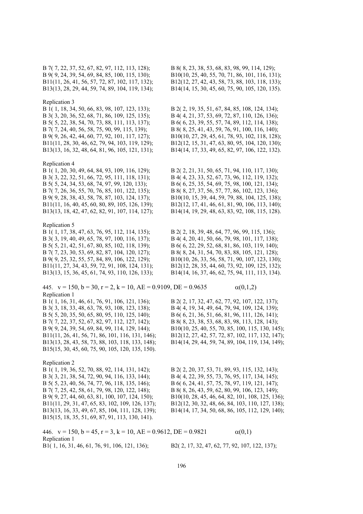### Replication 3

B 3( 3, 20, 36, 52, 68, 71, 86, 109, 125, 135); B 4( 4, 21, 37, 53, 69, 72, 87, 110, 126, 136); B 5( 5, 22, 38, 54, 70, 73, 88, 111, 113, 137); B 6( 6, 23, 39, 55, 57, 74, 89, 112, 114, 138); B 7( 7, 24, 40, 56, 58, 75, 90, 99, 115, 139); B 8( 8, 25, 41, 43, 59, 76, 91, 100, 116, 140); B 9( 9, 26, 42, 44, 60, 77, 92, 101, 117, 127); B10(10, 27, 29, 45, 61, 78, 93, 102, 118, 128); B11(11, 28, 30, 46, 62, 79, 94, 103, 119, 129); B12(12, 15, 31, 47, 63, 80, 95, 104, 120, 130); B13(13, 16, 32, 48, 64, 81, 96, 105, 121, 131); B14(14, 17, 33, 49, 65, 82, 97, 106, 122, 132).

### Replication 4

B 3( 3, 22, 32, 51, 66, 72, 95, 111, 118, 131); B 4( 4, 23, 33, 52, 67, 73, 96, 112, 119, 132); B 5( 5, 24, 34, 53, 68, 74, 97, 99, 120, 133); B 6( 6, 25, 35, 54, 69, 75, 98, 100, 121, 134); B 7( 7, 26, 36, 55, 70, 76, 85, 101, 122, 135); B 8( 8, 27, 37, 56, 57, 77, 86, 102, 123, 136);

Replication 5

B 3( 3, 19, 40, 49, 65, 78, 97, 100, 116, 137); B 4( 4, 20, 41, 50, 66, 79, 98, 101, 117, 138); B 5( 5, 21, 42, 51, 67, 80, 85, 102, 118, 139); B 6( 6, 22, 29, 52, 68, 81, 86, 103, 119, 140); B 7( 7, 23, 30, 53, 69, 82, 87, 104, 120, 127); B 8( 8, 24, 31, 54, 70, 83, 88, 105, 121, 128);

445.  $v = 150$ ,  $b = 30$ ,  $r = 2$ ,  $k = 10$ ,  $AE = 0.9109$ ,  $DE = 0.9635$   $\alpha(0,1,2)$ Replication 1 B 1( 1, 16, 31, 46, 61, 76, 91, 106, 121, 136); B 2( 2, 17, 32, 47, 62, 77, 92, 107, 122, 137); B 3( 3, 18, 33, 48, 63, 78, 93, 108, 123, 138); B 4( 4, 19, 34, 49, 64, 79, 94, 109, 124, 139); B 5( 5, 20, 35, 50, 65, 80, 95, 110, 125, 140); B 6( 6, 21, 36, 51, 66, 81, 96, 111, 126, 141); B 7( 7, 22, 37, 52, 67, 82, 97, 112, 127, 142); B 8( 8, 23, 38, 53, 68, 83, 98, 113, 128, 143); B 9( 9, 24, 39, 54, 69, 84, 99, 114, 129, 144); B10(10, 25, 40, 55, 70, 85, 100, 115, 130, 145); B11(11, 26, 41, 56, 71, 86, 101, 116, 131, 146); B12(12, 27, 42, 57, 72, 87, 102, 117, 132, 147); B13(13, 28, 43, 58, 73, 88, 103, 118, 133, 148); B14(14, 29, 44, 59, 74, 89, 104, 119, 134, 149); B15(15, 30, 45, 60, 75, 90, 105, 120, 135, 150).

# Replication 2

B 1( 1, 19, 36, 52, 70, 88, 92, 114, 131, 142); B 2( 2, 20, 37, 53, 71, 89, 93, 115, 132, 143); B 3( 3, 21, 38, 54, 72, 90, 94, 116, 133, 144); B 4( 4, 22, 39, 55, 73, 76, 95, 117, 134, 145); B 5( 5, 23, 40, 56, 74, 77, 96, 118, 135, 146); B 6( 6, 24, 41, 57, 75, 78, 97, 119, 121, 147); B 7( 7, 25, 42, 58, 61, 79, 98, 120, 122, 148); B 8( 8, 26, 43, 59, 62, 80, 99, 106, 123, 149); B15(15, 18, 35, 51, 69, 87, 91, 113, 130, 141).

446.  $v = 150$ ,  $b = 45$ ,  $r = 3$ ,  $k = 10$ ,  $AE = 0.9612$ ,  $DE = 0.9821$   $\alpha(0,1)$ Replication 1

B 7( 7, 22, 37, 52, 67, 82, 97, 112, 113, 128); B 8( 8, 23, 38, 53, 68, 83, 98, 99, 114, 129); B 9( 9, 24, 39, 54, 69, 84, 85, 100, 115, 130); B10(10, 25, 40, 55, 70, 71, 86, 101, 116, 131); B11(11, 26, 41, 56, 57, 72, 87, 102, 117, 132); B12(12, 27, 42, 43, 58, 73, 88, 103, 118, 133); B13(13, 28, 29, 44, 59, 74, 89, 104, 119, 134); B14(14, 15, 30, 45, 60, 75, 90, 105, 120, 135).

B 1( 1, 18, 34, 50, 66, 83, 98, 107, 123, 133); B 2( 2, 19, 35, 51, 67, 84, 85, 108, 124, 134);

B 1( 1, 20, 30, 49, 64, 84, 93, 109, 116, 129); B 2( 2, 21, 31, 50, 65, 71, 94, 110, 117, 130); B 9( 9, 28, 38, 43, 58, 78, 87, 103, 124, 137); B10(10, 15, 39, 44, 59, 79, 88, 104, 125, 138); B11(11, 16, 40, 45, 60, 80, 89, 105, 126, 139); B12(12, 17, 41, 46, 61, 81, 90, 106, 113, 140); B13(13, 18, 42, 47, 62, 82, 91, 107, 114, 127); B14(14, 19, 29, 48, 63, 83, 92, 108, 115, 128).

B 1( 1, 17, 38, 47, 63, 76, 95, 112, 114, 135); B 2( 2, 18, 39, 48, 64, 77, 96, 99, 115, 136); B 9( 9, 25, 32, 55, 57, 84, 89, 106, 122, 129); B10(10, 26, 33, 56, 58, 71, 90, 107, 123, 130); B11(11, 27, 34, 43, 59, 72, 91, 108, 124, 131); B12(12, 28, 35, 44, 60, 73, 92, 109, 125, 132); B13(13, 15, 36, 45, 61, 74, 93, 110, 126, 133); B14(14, 16, 37, 46, 62, 75, 94, 111, 113, 134).

B 9( 9, 27, 44, 60, 63, 81, 100, 107, 124, 150); B10(10, 28, 45, 46, 64, 82, 101, 108, 125, 136); B11(11, 29, 31, 47, 65, 83, 102, 109, 126, 137); B12(12, 30, 32, 48, 66, 84, 103, 110, 127, 138); B13(13, 16, 33, 49, 67, 85, 104, 111, 128, 139); B14(14, 17, 34, 50, 68, 86, 105, 112, 129, 140);

B1( 1, 16, 31, 46, 61, 76, 91, 106, 121, 136); B2( 2, 17, 32, 47, 62, 77, 92, 107, 122, 137);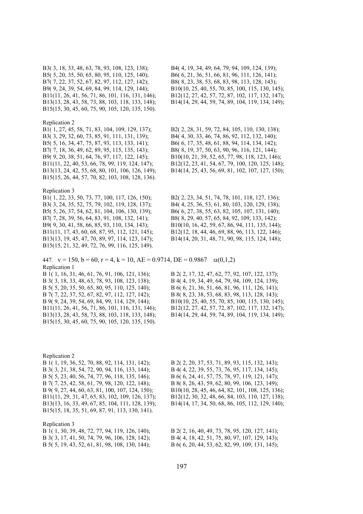B5( 5, 20, 35, 50, 65, 80, 95, 110, 125, 140); B6( 6, 21, 36, 51, 66, 81, 96, 111, 126, 141); B7( 7, 22, 37, 52, 67, 82, 97, 112, 127, 142); B8( 8, 23, 38, 53, 68, 83, 98, 113, 128, 143); B15(15, 30, 45, 60, 75, 90, 105, 120, 135, 150).

### Replication 2

B3( 3, 29, 32, 60, 73, 85, 91, 111, 131, 139); B4( 4, 30, 33, 46, 74, 86, 92, 112, 132, 140); B5( 5, 16, 34, 47, 75, 87, 93, 113, 133, 141); B6( 6, 17, 35, 48, 61, 88, 94, 114, 134, 142); B7( 7, 18, 36, 49, 62, 89, 95, 115, 135, 143); B8( 8, 19, 37, 50, 63, 90, 96, 116, 121, 144); B9( 9, 20, 38, 51, 64, 76, 97, 117, 122, 145); B10(10, 21, 39, 52, 65, 77, 98, 118, 123, 146); B11(11, 22, 40, 53, 66, 78, 99, 119, 124, 147); B12(12, 23, 41, 54, 67, 79, 100, 120, 125, 148); B13(13, 24, 42, 55, 68, 80, 101, 106, 126, 149); B14(14, 25, 43, 56, 69, 81, 102, 107, 127, 150); B15(15, 26, 44, 57, 70, 82, 103, 108, 128, 136).

# Replication 3

B3( 3, 24, 35, 52, 75, 79, 102, 119, 128, 137); B4( 4, 25, 36, 53, 61, 80, 103, 120, 129, 138); B5( 5, 26, 37, 54, 62, 81, 104, 106, 130, 139); B6( 6, 27, 38, 55, 63, 82, 105, 107, 131, 140); B7( 7, 28, 39, 56, 64, 83, 91, 108, 132, 141); B8( 8, 29, 40, 57, 65, 84, 92, 109, 133, 142); B9( 9, 30, 41, 58, 66, 85, 93, 110, 134, 143); B10(10, 16, 42, 59, 67, 86, 94, 111, 135, 144); B11(11, 17, 43, 60, 68, 87, 95, 112, 121, 145); B12(12, 18, 44, 46, 69, 88, 96, 113, 122, 146); B13(13, 19, 45, 47, 70, 89, 97, 114, 123, 147); B14(14, 20, 31, 48, 71, 90, 98, 115, 124, 148); B15(15, 21, 32, 49, 72, 76, 99, 116, 125, 149).

447.  $v = 150$ ,  $b = 60$ ,  $r = 4$ ,  $k = 10$ ,  $AE = 0.9714$ ,  $DE = 0.9867 \alpha(0,1,2)$ Replication 1

B 3( 3, 18, 33, 48, 63, 78, 93, 108, 123, 138); B 4( 4, 19, 34, 49, 64, 79, 94, 109, 124, 139); B 5( 5, 20, 35, 50, 65, 80, 95, 110, 125, 140); B 6( 6, 21, 36, 51, 66, 81, 96, 111, 126, 141); B 7( 7, 22, 37, 52, 67, 82, 97, 112, 127, 142); B 8( 8, 23, 38, 53, 68, 83, 98, 113, 128, 143); B15(15, 30, 45, 60, 75, 90, 105, 120, 135, 150).

B3( 3, 18, 33, 48, 63, 78, 93, 108, 123, 138); B4( 4, 19, 34, 49, 64, 79, 94, 109, 124, 139); B9( 9, 24, 39, 54, 69, 84, 99, 114, 129, 144); B10(10, 25, 40, 55, 70, 85, 100, 115, 130, 145); B11(11, 26, 41, 56, 71, 86, 101, 116, 131, 146); B12(12, 27, 42, 57, 72, 87, 102, 117, 132, 147); B13(13, 28, 43, 58, 73, 88, 103, 118, 133, 148); B14(14, 29, 44, 59, 74, 89, 104, 119, 134, 149);

B1( 1, 27, 45, 58, 71, 83, 104, 109, 129, 137); B2( 2, 28, 31, 59, 72, 84, 105, 110, 130, 138);

B1( 1, 22, 33, 50, 73, 77, 100, 117, 126, 150); B2( 2, 23, 34, 51, 74, 78, 101, 118, 127, 136);

B 1( 1, 16, 31, 46, 61, 76, 91, 106, 121, 136); B 2( 2, 17, 32, 47, 62, 77, 92, 107, 122, 137); B 9( 9, 24, 39, 54, 69, 84, 99, 114, 129, 144); B10(10, 25, 40, 55, 70, 85, 100, 115, 130, 145); B11(11, 26, 41, 56, 71, 86, 101, 116, 131, 146); B12(12, 27, 42, 57, 72, 87, 102, 117, 132, 147); B13(13, 28, 43, 58, 73, 88, 103, 118, 133, 148); B14(14, 29, 44, 59, 74, 89, 104, 119, 134, 149);

Replication 2 B 1( 1, 19, 36, 52, 70, 88, 92, 114, 131, 142); B 2( 2, 20, 37, 53, 71, 89, 93, 115, 132, 143); B 3( 3, 21, 38, 54, 72, 90, 94, 116, 133, 144); B 4( 4, 22, 39, 55, 73, 76, 95, 117, 134, 145); B 5( 5, 23, 40, 56, 74, 77, 96, 118, 135, 146); B 6( 6, 24, 41, 57, 75, 78, 97, 119, 121, 147); B 7( 7, 25, 42, 58, 61, 79, 98, 120, 122, 148); B 8( 8, 26, 43, 59, 62, 80, 99, 106, 123, 149); B 9( 9, 27, 44, 60, 63, 81, 100, 107, 124, 150); B10(10, 28, 45, 46, 64, 82, 101, 108, 125, 136); B11(11, 29, 31, 47, 65, 83, 102, 109, 126, 137); B12(12, 30, 32, 48, 66, 84, 103, 110, 127, 138); B13(13, 16, 33, 49, 67, 85, 104, 111, 128, 139); B14(14, 17, 34, 50, 68, 86, 105, 112, 129, 140); B15(15, 18, 35, 51, 69, 87, 91, 113, 130, 141).

Replication 3 B 1( 1, 30, 39, 48, 72, 77, 94, 119, 126, 140); B 2( 2, 16, 40, 49, 73, 78, 95, 120, 127, 141); B 3( 3, 17, 41, 50, 74, 79, 96, 106, 128, 142); B 4( 4, 18, 42, 51, 75, 80, 97, 107, 129, 143); B 5( 5, 19, 43, 52, 61, 81, 98, 108, 130, 144); B 6( 6, 20, 44, 53, 62, 82, 99, 109, 131, 145);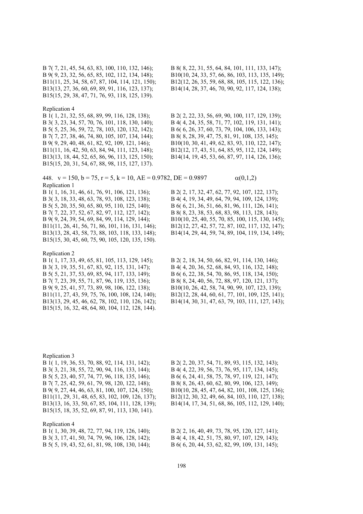B13(13, 27, 36, 60, 69, 89, 91, 116, 123, 137); B14(14, 28, 37, 46, 70, 90, 92, 117, 124, 138); B15(15, 29, 38, 47, 71, 76, 93, 118, 125, 139).

## Replication 4

B 3( 3, 23, 34, 57, 70, 76, 101, 118, 130, 140); B 4( 4, 24, 35, 58, 71, 77, 102, 119, 131, 141); B 5( 5, 25, 36, 59, 72, 78, 103, 120, 132, 142); B 6( 6, 26, 37, 60, 73, 79, 104, 106, 133, 143); B 7( 7, 27, 38, 46, 74, 80, 105, 107, 134, 144); B 8( 8, 28, 39, 47, 75, 81, 91, 108, 135, 145); B 9( 9, 29, 40, 48, 61, 82, 92, 109, 121, 146); B10(10, 30, 41, 49, 62, 83, 93, 110, 122, 147); B11(11, 16, 42, 50, 63, 84, 94, 111, 123, 148); B12(12, 17, 43, 51, 64, 85, 95, 112, 124, 149); B13(13, 18, 44, 52, 65, 86, 96, 113, 125, 150); B14(14, 19, 45, 53, 66, 87, 97, 114, 126, 136); B15(15, 20, 31, 54, 67, 88, 98, 115, 127, 137).

448.  $v = 150$ ,  $b = 75$ ,  $r = 5$ ,  $k = 10$ ,  $AE = 0.9782$ ,  $DE = 0.9897$   $\alpha(0,1,2)$ Replication 1<br>B 1(1, 16, 31, 46, 61, 76, 91, 106, 121, 136);

B 3( 3, 18, 33, 48, 63, 78, 93, 108, 123, 138); B 4( 4, 19, 34, 49, 64, 79, 94, 109, 124, 139); B 5( 5, 20, 35, 50, 65, 80, 95, 110, 125, 140); B 6( 6, 21, 36, 51, 66, 81, 96, 111, 126, 141); B 7( 7, 22, 37, 52, 67, 82, 97, 112, 127, 142); B 8( 8, 23, 38, 53, 68, 83, 98, 113, 128, 143); B15(15, 30, 45, 60, 75, 90, 105, 120, 135, 150).

# Replication 2

Replication 4

B 3( 3, 19, 35, 51, 67, 83, 92, 115, 131, 147); B 4( 4, 20, 36, 52, 68, 84, 93, 116, 132, 148); B 5( 5, 21, 37, 53, 69, 85, 94, 117, 133, 149); B 6( 6, 22, 38, 54, 70, 86, 95, 118, 134, 150); B 7( 7, 23, 39, 55, 71, 87, 96, 119, 135, 136); B 8( 8, 24, 40, 56, 72, 88, 97, 120, 121, 137); B 9( 9, 25, 41, 57, 73, 89, 98, 106, 122, 138); B10(10, 26, 42, 58, 74, 90, 99, 107, 123, 139); B15(15, 16, 32, 48, 64, 80, 104, 112, 128, 144).

B 7( 7, 21, 45, 54, 63, 83, 100, 110, 132, 146); B 8( 8, 22, 31, 55, 64, 84, 101, 111, 133, 147); B 9( 9, 23, 32, 56, 65, 85, 102, 112, 134, 148); B10(10, 24, 33, 57, 66, 86, 103, 113, 135, 149); B11(11, 25, 34, 58, 67, 87, 104, 114, 121, 150); B12(12, 26, 35, 59, 68, 88, 105, 115, 122, 136);

B 1( 1, 21, 32, 55, 68, 89, 99, 116, 128, 138); B 2( 2, 22, 33, 56, 69, 90, 100, 117, 129, 139);

B 2( 2, 17, 32, 47, 62, 77, 92, 107, 122, 137); B 9( 9, 24, 39, 54, 69, 84, 99, 114, 129, 144); B10(10, 25, 40, 55, 70, 85, 100, 115, 130, 145); B11(11, 26, 41, 56, 71, 86, 101, 116, 131, 146); B12(12, 27, 42, 57, 72, 87, 102, 117, 132, 147); B13(13, 28, 43, 58, 73, 88, 103, 118, 133, 148); B14(14, 29, 44, 59, 74, 89, 104, 119, 134, 149);

B 1( 1, 17, 33, 49, 65, 81, 105, 113, 129, 145); B 2( 2, 18, 34, 50, 66, 82, 91, 114, 130, 146); B11(11, 27, 43, 59, 75, 76, 100, 108, 124, 140); B12(12, 28, 44, 60, 61, 77, 101, 109, 125, 141); B13(13, 29, 45, 46, 62, 78, 102, 110, 126, 142); B14(14, 30, 31, 47, 63, 79, 103, 111, 127, 143);

Replication 3 B 1( 1, 19, 36, 53, 70, 88, 92, 114, 131, 142); B 2( 2, 20, 37, 54, 71, 89, 93, 115, 132, 143); B 3( 3, 21, 38, 55, 72, 90, 94, 116, 133, 144); B 4( 4, 22, 39, 56, 73, 76, 95, 117, 134, 145); B 5( 5, 23, 40, 57, 74, 77, 96, 118, 135, 146); B 6( 6, 24, 41, 58, 75, 78, 97, 119, 121, 147); B 7( 7, 25, 42, 59, 61, 79, 98, 120, 122, 148); B 8( 8, 26, 43, 60, 62, 80, 99, 106, 123, 149); B 9( 9, 27, 44, 46, 63, 81, 100, 107, 124, 150); B10(10, 28, 45, 47, 64, 82, 101, 108, 125, 136); B11(11, 29, 31, 48, 65, 83, 102, 109, 126, 137); B12(12, 30, 32, 49, 66, 84, 103, 110, 127, 138); B13(13, 16, 33, 50, 67, 85, 104, 111, 128, 139); B14(14, 17, 34, 51, 68, 86, 105, 112, 129, 140); B15(15, 18, 35, 52, 69, 87, 91, 113, 130, 141).

| Replication 4 |  |  |  |  |                                                 |
|---------------|--|--|--|--|-------------------------------------------------|
|               |  |  |  |  | B 1(1, 30, 39, 48, 72, 77, 94, 119, 126, 140);  |
|               |  |  |  |  | B 3(3, 17, 41, 50, 74, 79, 96, 106, 128, 142);  |
|               |  |  |  |  | B 5( 5, 19, 43, 52, 61, 81, 98, 108, 130, 144); |

B 2( 2, 16, 40, 49, 73, 78, 95, 120, 127, 141); B 4( 4, 18, 42, 51, 75, 80, 97, 107, 129, 143); B 6( 6, 20, 44, 53, 62, 82, 99, 109, 131, 145);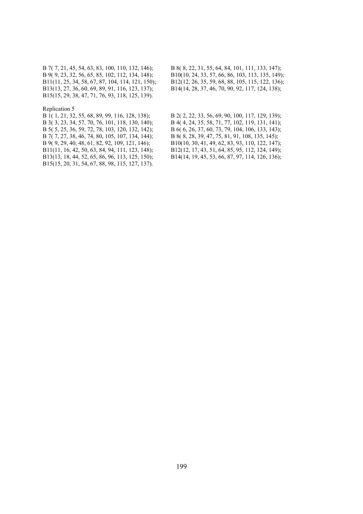B13(13, 27, 36, 60, 69, 89, 91, 116, 123, 137); B14(14, 28, 37, 46, 70, 90, 92, 117, 124, 138); B15(15, 29, 38, 47, 71, 76, 93, 118, 125, 139).

## Replication 5

B 7( 7, 27, 38, 46, 74, 80, 105, 107, 134, 144); B 8( 8, 28, 39, 47, 75, 81, 91, 108, 135, 145); B15(15, 20, 31, 54, 67, 88, 98, 115, 127, 137).

B 7( 7, 21, 45, 54, 63, 83, 100, 110, 132, 146); B 8( 8, 22, 31, 55, 64, 84, 101, 111, 133, 147); B 9( 9, 23, 32, 56, 65, 85, 102, 112, 134, 148); B10(10, 24, 33, 57, 66, 86, 103, 113, 135, 149); B11(11, 25, 34, 58, 67, 87, 104, 114, 121, 150); B12(12, 26, 35, 59, 68, 88, 105, 115, 122, 136);

B 1( 1, 21, 32, 55, 68, 89, 99, 116, 128, 138); B 2( 2, 22, 33, 56, 69, 90, 100, 117, 129, 139); B 3( 3, 23, 34, 57, 70, 76, 101, 118, 130, 140); B 4( 4, 24, 35, 58, 71, 77, 102, 119, 131, 141); B 5( 5, 25, 36, 59, 72, 78, 103, 120, 132, 142); B 6( 6, 26, 37, 60, 73, 79, 104, 106, 133, 143); B 9( 9, 29, 40, 48, 61, 82, 92, 109, 121, 146); B10(10, 30, 41, 49, 62, 83, 93, 110, 122, 147); B11(11, 16, 42, 50, 63, 84, 94, 111, 123, 148); B12(12, 17, 43, 51, 64, 85, 95, 112, 124, 149); B13(13, 18, 44, 52, 65, 86, 96, 113, 125, 150); B14(14, 19, 45, 53, 66, 87, 97, 114, 126, 136);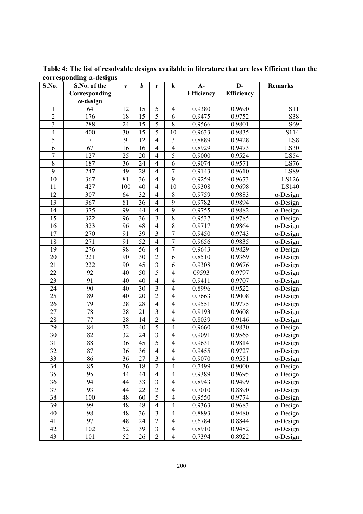**S.No. S.No. of the Corresponding -design**  *v b r k* **A-Efficiency D-Efficiency Remarks**  1 64 12 15 5 4 0.9380 0.9690 S11 2 176 18 15 5 6 0.9475 0.9752 S38 3 288 24 15 5 8 0.9566 0.9801 S69 4 400 30 15 5 10 0.9633 0.9835 S114 5 7 9 12 4 3 0.8889 0.9428 LS8 6 67 16 16 4 4 0.8929 0.9473 LS30 7 | 127 | 25 | 20 | 4 | 5 | 0.9000 | 0.9524 | LS54 8 187 36 24 4 6 0.9074 0.9571 LS76 9 247 | 49 | 28 | 4 | 7 | 0.9143 | 0.9610 | LS89 10 367 81 36 4 9 0.9259 0.9673 LS126 11 | 427 | 100 | 40 | 4 | 10 | 0.9308 | 0.9698 | LS140 12 307  $\begin{array}{|c|c|c|c|c|c|c|c|c|} \hline 64 & 32 & 4 & 8 & 0.9759 & 0.9883 & \alpha-Design \\\hline \end{array}$ 13 367 81 36 4 9 0.9782 0.9894 α-Design 14 375 99 44 4 9 0.9755 0.9882 α-Design 15 322 96 36 3 8 0.9537 0.9785 α-Design 16 323 96 48 4 8 0.9717 0.9864 α-Design 17 270 91 39 3 7 0.9450 0.9743 α-Design 18 271 91 52 4 7 0.9656 0.9835 α-Design 19 276 98 56 4 7 0.9643 0.9829 α-Design 20 221 90 30 2 6 0.8510 0.9369 α-Design 21 | 222 | 90 | 45 | 3 | 6 | 0.9308 | 0.9676 | α-Design 22 92 40 50 5 4 09593 0.9797 α-Design 23  $\vert$  91  $\vert$  40  $\vert$  40  $\vert$  4  $\vert$  4  $\vert$  0.9411  $\vert$  0.9707  $\vert$   $\alpha$ -Design 24 90 40 30 3 4 0.8996 0.9522 α-Design 25 | 89 | 40 | 20 | 2 | 4 | 0.7663 | 0.9008 | α-Design 26 79 28 28 4 4 0.9551 0.9775 α-Design 27 | 78 | 28 | 21 | 3 | 4 | 0.9193 | 0.9608 | α-Design 28 77 28 14 2 4 0.8039 0.9146 α-Design 29 84 32 40 5 4 0.9660 0.9830 α-Design 30 82 32 24 3 4 0.9091 0.9565 α-Design 31 | 88 | 36 | 45 | 5 | 4 | 0.9631 | 0.9814 | α-Design 32 | 87 | 36 | 36 | 4 | 4 | 0.9455 | 0.9727 | α-Design 33 86 36 27 3 4 0.9070 0.9551 α-Design 34 | 85 | 36 | 18 | 2 | 4 | 0.7499 | 0.9000 | α-Design 35 95 44 44 4 4 0.9389 0.9695 α-Design 36 94 44 33 3 4 0.8943 0.9499 α-Design 37  $\begin{vmatrix} 93 \\ 44 \end{vmatrix}$  22  $\begin{vmatrix} 2 \\ 4 \end{vmatrix}$  0.7010  $\begin{vmatrix} 0.8890 \\ 0.8890 \end{vmatrix}$   $\alpha$ -Design 38 100 48 60 5 4 0.9550 0.9774 α-Design 39 | 99 | 48 | 48 | 4 | 0.9363 | 0.9683 | α-Design 40 98 48 36 3 4 0.8893 0.9480 α-Design 41 | 97 | 48 | 24 | 2 | 4 | 0.6784 | 0.8844 | α-Design 42 102 52 39 3 4 0.8910 0.9482 α-Design 43 | 101 | 52 | 26 | 2 | 4 | 0.7394 | 0.8922 | α-Design

**Table 4: The list of resolvable designs available in literature that are less Efficient than the corresponding -designs**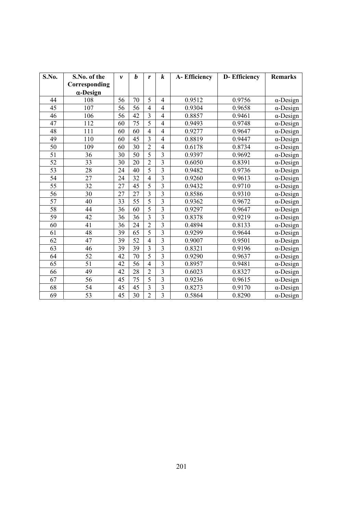| S.No.           | S.No. of the     | $\boldsymbol{\nu}$ | b               | r              | k                       | A-Efficiency | <b>D-Efficiency</b> | <b>Remarks</b>   |
|-----------------|------------------|--------------------|-----------------|----------------|-------------------------|--------------|---------------------|------------------|
|                 | Corresponding    |                    |                 |                |                         |              |                     |                  |
|                 | $\alpha$ -Design |                    |                 |                |                         |              |                     |                  |
| 44              | 108              | 56                 | 70              | 5              | $\overline{4}$          | 0.9512       | 0.9756              | $\alpha$ -Design |
| 45              | 107              | 56                 | 56              | $\overline{4}$ | $\overline{4}$          | 0.9304       | 0.9658              | $\alpha$ -Design |
| 46              | 106              | 56                 | $\overline{42}$ | $\overline{3}$ | $\overline{4}$          | 0.8857       | 0.9461              | $\alpha$ -Design |
| $\overline{47}$ | $\overline{112}$ | 60                 | $\overline{75}$ | $\overline{5}$ | $\overline{4}$          | 0.9493       | 0.9748              | $\alpha$ -Design |
| 48              | 111              | 60                 | 60              | $\overline{4}$ | $\overline{4}$          | 0.9277       | 0.9647              | $\alpha$ -Design |
| 49              | 110              | 60                 | 45              | $\overline{3}$ | $\overline{4}$          | 0.8819       | 0.9447              | $\alpha$ -Design |
| 50              | 109              | 60                 | 30              | $\overline{2}$ | $\overline{4}$          | 0.6178       | 0.8734              | $\alpha$ -Design |
| 51              | 36               | 30                 | 50              | 5              | $\overline{3}$          | 0.9397       | 0.9692              | $\alpha$ -Design |
| 52              | 33               | 30                 | 20              | $\overline{2}$ | $\overline{3}$          | 0.6050       | 0.8391              | $\alpha$ -Design |
| 53              | 28               | 24                 | 40              | 5              | $\overline{3}$          | 0.9482       | 0.9736              | $\alpha$ -Design |
| 54              | 27               | 24                 | 32              | $\overline{4}$ | $\overline{3}$          | 0.9260       | 0.9613              | $\alpha$ -Design |
| 55              | 32               | 27                 | 45              | $\overline{5}$ | $\overline{3}$          | 0.9432       | 0.9710              | $\alpha$ -Design |
| 56              | 30               | 27                 | 27              | $\overline{3}$ | $\overline{3}$          | 0.8586       | 0.9310              | $\alpha$ -Design |
| 57              | 40               | 33                 | 55              | 5              | $\overline{3}$          | 0.9362       | 0.9672              | $\alpha$ -Design |
| 58              | 44               | 36                 | 60              | $\overline{5}$ | $\overline{3}$          | 0.9297       | 0.9647              | $\alpha$ -Design |
| 59              | 42               | 36                 | 36              | $\overline{3}$ | $\overline{3}$          | 0.8378       | 0.9219              | $\alpha$ -Design |
| 60              | 41               | 36                 | 24              | $\overline{2}$ | $\overline{3}$          | 0.4894       | 0.8133              | $\alpha$ -Design |
| 61              | 48               | 39                 | 65              | 5              | $\overline{3}$          | 0.9299       | 0.9644              | $\alpha$ -Design |
| 62              | 47               | 39                 | 52              | $\overline{4}$ | $\overline{3}$          | 0.9007       | 0.9501              | $\alpha$ -Design |
| 63              | 46               | 39                 | 39              | $\overline{3}$ | $\overline{3}$          | 0.8321       | 0.9196              | $\alpha$ -Design |
| 64              | 52               | 42                 | 70              | $\overline{5}$ | $\overline{\mathbf{3}}$ | 0.9290       | 0.9637              | $\alpha$ -Design |
| 65              | 51               | 42                 | 56              | $\overline{4}$ | $\overline{\mathbf{3}}$ | 0.8957       | 0.9481              | $\alpha$ -Design |
| 66              | 49               | 42                 | 28              | $\overline{2}$ | $\overline{3}$          | 0.6023       | 0.8327              | $\alpha$ -Design |
| 67              | 56               | 45                 | 75              | 5              | $\overline{3}$          | 0.9236       | 0.9615              | $\alpha$ -Design |
| 68              | 54               | 45                 | 45              | $\overline{3}$ | $\overline{3}$          | 0.8273       | 0.9170              | $\alpha$ -Design |
| 69              | 53               | 45                 | 30              | $\overline{2}$ | $\overline{\mathbf{3}}$ | 0.5864       | 0.8290              | $\alpha$ -Design |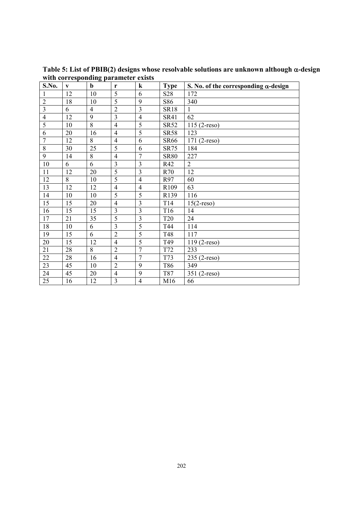| S.No.          | V  | . .<br>$\mathbf b$ | r                       | $\bf k$        | <b>Type</b>     | S. No. of the corresponding $\alpha$ -design |
|----------------|----|--------------------|-------------------------|----------------|-----------------|----------------------------------------------|
| $\mathbf{1}$   | 12 | 10                 | 5                       | 6              | S <sub>28</sub> | 172                                          |
| $\overline{2}$ | 18 | 10                 | $\overline{5}$          | 9              | S86             | 340                                          |
| 3              | 6  | $\overline{4}$     | $\overline{2}$          | 3              | <b>SR18</b>     | 1                                            |
| $\overline{4}$ | 12 | 9                  | $\overline{3}$          | $\overline{4}$ | <b>SR41</b>     | 62                                           |
| 5              | 10 | $\overline{8}$     | $\overline{4}$          | 5              | <b>SR52</b>     | $115(2-reso)$                                |
| 6              | 20 | 16                 | $\overline{4}$          | 5              | <b>SR58</b>     | 123                                          |
| $\overline{7}$ | 12 | 8                  | $\overline{4}$          | 6              | <b>SR66</b>     | $171(2-reso)$                                |
| 8              | 30 | 25                 | 5                       | 6              | <b>SR75</b>     | 184                                          |
| 9              | 14 | 8                  | $\overline{4}$          | 7              | <b>SR80</b>     | 227                                          |
| 10             | 6  | 6                  | $\overline{3}$          | 3              | R42             | $\overline{2}$                               |
| 11             | 12 | 20                 | $\overline{5}$          | $\overline{3}$ | R70             | 12                                           |
| 12             | 8  | 10                 | 5                       | $\overline{4}$ | R97             | 60                                           |
| 13             | 12 | 12                 | $\overline{4}$          | $\overline{4}$ | R109            | 63                                           |
| 14             | 10 | 10                 | 5                       | 5              | R139            | 116                                          |
| 15             | 15 | 20                 | $\overline{4}$          | 3              | T14             | $15(2$ -reso)                                |
| 16             | 15 | 15                 | $\overline{\mathbf{3}}$ | $\overline{3}$ | T <sub>16</sub> | 14                                           |
| 17             | 21 | 35                 | $\overline{5}$          | $\overline{3}$ | <b>T20</b>      | 24                                           |
| 18             | 10 | 6                  | $\overline{3}$          | $\overline{5}$ | T44             | 114                                          |
| 19             | 15 | 6                  | $\overline{2}$          | $\overline{5}$ | T48             | 117                                          |
| 20             | 15 | 12                 | $\overline{4}$          | 5              | T49             | $119(2-reso)$                                |
| 21             | 28 | 8                  | $\overline{2}$          | $\overline{7}$ | T72             | 233                                          |
| 22             | 28 | 16                 | $\overline{4}$          | $\overline{7}$ | T73             | $235(2-reso)$                                |
| 23             | 45 | 10                 | $\overline{2}$          | 9              | T86             | 349                                          |
| 24             | 45 | 20                 | $\overline{4}$          | 9              | T87             | 351 (2-reso)                                 |
| 25             | 16 | 12                 | $\overline{3}$          | $\overline{4}$ | M16             | 66                                           |

Table 5: List of PBIB(2) designs whose resolvable solutions are unknown although α-design **with corresponding parameter exists**